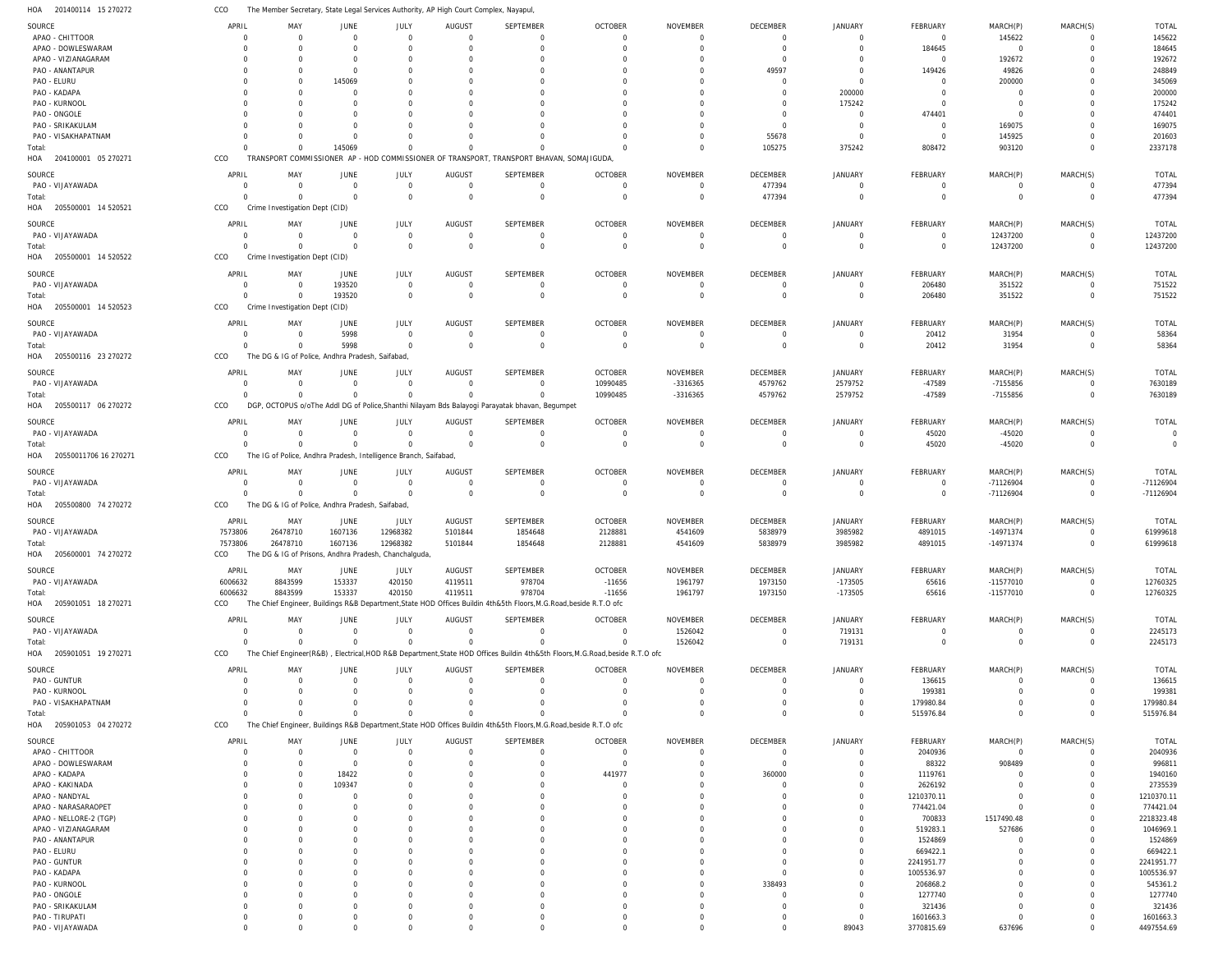201400114 15 270272 HOA CCO The Member Secretary, State Legal Services Authority, AP High Court Complex, Nayapul,

| SOURCE                             | APRIL          | MAY                                                              | JUNE        | JULY           | AUGUST         | SEPTEMBER                                                                                                                 | <b>OCTOBER</b> | NOVEMBER            | DECEMBER    | <b>JANUARY</b> | FEBRUARY                | MARCH(P)       | MARCH(S)       | <b>TOTAL</b>            |
|------------------------------------|----------------|------------------------------------------------------------------|-------------|----------------|----------------|---------------------------------------------------------------------------------------------------------------------------|----------------|---------------------|-------------|----------------|-------------------------|----------------|----------------|-------------------------|
| APAO - CHITTOOR                    | $\Omega$       | $\Omega$                                                         | $\Omega$    | $\Omega$       | $\Omega$       | $\Omega$                                                                                                                  | $\Omega$       | $\Omega$            | $\Omega$    | $\Omega$       | $\overline{0}$          | 145622         | $\Omega$       | 145622                  |
| APAO - DOWLESWARAM                 | $\Omega$       | $\Omega$                                                         |             | $\Omega$       | $\Omega$       | $\Omega$                                                                                                                  | $\Omega$       | $\mathbf 0$         | $\Omega$    | $\Omega$       | 184645                  | $\overline{0}$ | $\Omega$       | 184645                  |
| APAO - VIZIANAGARAM                | $\Omega$       | $\Omega$                                                         |             | $\Omega$       | $\Omega$       | $\Omega$                                                                                                                  | $\Omega$       | $\Omega$            | $\Omega$    | $\Omega$       | $\Omega$                |                | $\Omega$       | 192672                  |
|                                    |                |                                                                  |             |                |                |                                                                                                                           |                |                     |             |                |                         | 192672         |                |                         |
| PAO - ANANTAPUR                    | $\Omega$       | $\Omega$                                                         | $\Omega$    | $\Omega$       | -C             | O                                                                                                                         | $\Omega$       | $\Omega$            | 49597       | $\Omega$       | 149426                  | 49826          | $\Omega$       | 248849                  |
| PAO - ELURU                        | $\Omega$       | $\Omega$                                                         | 145069      | $\Omega$       | $\Omega$       | O                                                                                                                         | $\Omega$       | $\Omega$            | $\Omega$    | $\Omega$       | $\Omega$                | 200000         | $\Omega$       | 345069                  |
| PAO - KADAPA                       | O              | $\Omega$                                                         | $\Omega$    | <sup>0</sup>   | $\Gamma$       | O                                                                                                                         | C              | $\Omega$            | $\Omega$    | 200000         | <sup>0</sup>            | $\Omega$       | $\Omega$       | 200000                  |
| PAO - KURNOOL                      | $\Omega$       | $\Omega$                                                         |             | $\Omega$       | -C             | O                                                                                                                         | $\Omega$       | $\Omega$            | $\Omega$    | 175242         | <sup>0</sup>            | $\Omega$       | $\Omega$       | 175242                  |
| PAO - ONGOLE                       | O              | $\Omega$                                                         |             |                | -C             |                                                                                                                           | C              | $\sqrt{ }$          | $\Omega$    | $\Omega$       | 474401                  | $\Omega$       | $\Omega$       | 474401                  |
| PAO - SRIKAKULAM                   | $\Omega$       | $\Omega$                                                         |             | $\Omega$       | $\Omega$       |                                                                                                                           | $\Omega$       | $\Omega$            | $\Omega$    | $\Omega$       | $\Omega$                | 169075         | $\Omega$       | 169075                  |
| PAO - VISAKHAPATNAM                | O              | $\Omega$                                                         |             |                | -C             |                                                                                                                           | $\Omega$       | $\Omega$            | 55678       | $\Omega$       | $\Omega$                | 145925         | $\Omega$       | 201603                  |
| Total:                             | $\cap$         | $\Omega$                                                         | 145069      | $\Omega$       |                | O                                                                                                                         | $\Omega$       | $\Omega$            | 105275      | 375242         | 808472                  | 903120         | $\Omega$       | 2337178                 |
| 204100001 05 270271<br>HOA         | CCO            | TRANSPORT COMMISSIONER AP - HOD COMMISSIONER OF TRANSPORT        |             |                |                | , TRANSPORT BHAVAN, SOMAJIGUDA                                                                                            |                |                     |             |                |                         |                |                |                         |
|                                    |                |                                                                  |             |                |                |                                                                                                                           |                |                     |             |                |                         |                |                |                         |
| SOURCE                             | APRIL          | MAY                                                              | JUNE        | JULY           | AUGUST         | SEPTEMBER                                                                                                                 | <b>OCTOBER</b> | <b>NOVEMBER</b>     | DECEMBER    | <b>JANUARY</b> | FEBRUARY                | MARCH(P)       | MARCH(S)       | <b>TOTAL</b>            |
| PAO - VIJAYAWADA                   | $\mathbf 0$    | $\Omega$                                                         | $\Omega$    | $\overline{0}$ | $\overline{0}$ | $\mathbf 0$                                                                                                               | $\mathbf 0$    | $\overline{0}$      | 477394      | $\mathbf 0$    | $\overline{0}$          | $\overline{0}$ | $\mathbf 0$    | 477394                  |
| Total:                             | $\Omega$       | $\Omega$                                                         | $\Omega$    | $\Omega$       | $\Omega$       | $\mathbf 0$                                                                                                               | $\Omega$       | $\overline{0}$      | 477394      | $\Omega$       | $\mathbf 0$             | $\overline{0}$ | $\mathbf 0$    | 477394                  |
| HOA<br>205500001 14 520521         | CCO            | Crime Investigation Dept (CID)                                   |             |                |                |                                                                                                                           |                |                     |             |                |                         |                |                |                         |
|                                    |                |                                                                  |             |                |                |                                                                                                                           |                |                     |             |                |                         |                |                |                         |
| SOURCE                             | APRIL          | MAY                                                              | JUNE        | JULY           | <b>AUGUST</b>  | SEPTEMBER                                                                                                                 | <b>OCTOBER</b> | <b>NOVEMBER</b>     | DECEMBER    | <b>JANUARY</b> | FEBRUARY                | MARCH(P)       | MARCH(S)       | <b>TOTAL</b>            |
| PAO - VIJAYAWADA                   | $\Omega$       | $\Omega$                                                         | $\Omega$    | $\overline{0}$ | $\overline{0}$ | 0                                                                                                                         | $\overline{0}$ | $\mathbf 0$         | $\Omega$    | $\Omega$       | $\overline{0}$          | 12437200       | $\Omega$       | 12437200                |
| Total:                             | $\Omega$       | $\Omega$                                                         | $\Omega$    | $\Omega$       | $\overline{0}$ | $\mathbf 0$                                                                                                               | $\mathbf 0$    | $\overline{0}$      | $\Omega$    | $\Omega$       | $\overline{0}$          | 12437200       | $\mathbf 0$    | 12437200                |
| HOA 205500001 14 520522            | CCO            | Crime Investigation Dept (CID)                                   |             |                |                |                                                                                                                           |                |                     |             |                |                         |                |                |                         |
| SOURCE                             | APRIL          | MAY                                                              | JUNE        | JULY           | AUGUST         | SEPTEMBER                                                                                                                 | <b>OCTOBER</b> | <b>NOVEMBER</b>     | DECEMBER    | <b>JANUARY</b> | FEBRUARY                | MARCH(P)       | MARCH(S)       | TOTAL                   |
|                                    |                |                                                                  |             |                |                |                                                                                                                           |                |                     |             |                |                         |                |                |                         |
| PAO - VIJAYAWADA                   | $\Omega$       | $\Omega$                                                         | 193520      | $\overline{0}$ | $\overline{0}$ | $\mathbf 0$                                                                                                               | $\overline{0}$ | $\mathbf 0$         | $\Omega$    | $\mathbf{0}$   | 206480                  | 351522         | $\mathbf 0$    | 751522                  |
| Total:                             | $\Omega$       | $\Omega$                                                         | 193520      | $\Omega$       | $\overline{0}$ | $\mathbf 0$                                                                                                               | $\mathbf 0$    | $\overline{0}$      | $\Omega$    | $\mathbf 0$    | 206480                  | 351522         | $\mathbf 0$    | 751522                  |
| HOA 205500001 14 520523            | CCO            | Crime Investigation Dept (CID)                                   |             |                |                |                                                                                                                           |                |                     |             |                |                         |                |                |                         |
| SOURCE                             | APRIL          | MAY                                                              | JUNE        | JULY           | <b>AUGUST</b>  | SEPTEMBER                                                                                                                 | <b>OCTOBER</b> | <b>NOVEMBER</b>     | DECEMBER    | <b>JANUARY</b> | FEBRUARY                | MARCH(P)       | MARCH(S)       | TOTAL                   |
| PAO - VIJAYAWADA                   | $\Omega$       |                                                                  | 5998        | $\Omega$       |                |                                                                                                                           |                |                     |             |                |                         |                | $\Omega$       |                         |
|                                    |                | $\Omega$                                                         |             |                | $\overline{0}$ | $\mathbf 0$                                                                                                               | $\mathbf 0$    | $\mathbf 0$         | $\Omega$    | $\Omega$       | 20412                   | 31954          |                | 58364                   |
| Total:                             | $\Omega$       | $\Omega$                                                         | 5998        | $\Omega$       | $\Omega$       | $\mathbf 0$                                                                                                               | $\Omega$       | $\overline{0}$      | $\Omega$    | $\Omega$       | 20412                   | 31954          | $\Omega$       | 58364                   |
| HOA<br>205500116 23 270272         | CCO            | The DG & IG of Police, Andhra Pradesh, Saifabad                  |             |                |                |                                                                                                                           |                |                     |             |                |                         |                |                |                         |
| SOURCE                             | APRIL          | MAY                                                              | JUNE        | JULY           | <b>AUGUST</b>  | SEPTEMBER                                                                                                                 | <b>OCTOBER</b> | <b>NOVEMBER</b>     | DECEMBER    | <b>JANUARY</b> | FEBRUARY                | MARCH(P)       | MARCH(S)       | <b>TOTAL</b>            |
| PAO - VIJAYAWADA                   | $\mathbf 0$    | $\Omega$                                                         | $\Omega$    | $\overline{0}$ | $\overline{0}$ | $\mathbf 0$                                                                                                               | 10990485       | -3316365            | 4579762     | 2579752        | -47589                  |                | $\mathbf 0$    | 7630189                 |
|                                    |                |                                                                  |             |                |                |                                                                                                                           |                |                     |             |                |                         | -7155856       |                |                         |
| Total:                             | $\Omega$       | $\Omega$                                                         | $\Omega$    | $\Omega$       | $\Gamma$       | $\Omega$                                                                                                                  | 10990485       | -3316365            | 4579762     | 2579752        | -47589                  | -7155856       | $\mathbf 0$    | 7630189                 |
| HOA 205500117 06 270272            | CCO            | DGP.                                                             |             |                |                | OCTOPUS o/oThe Addl DG of Police, Shanthi Nilayam Bds Balayogi Parayatak bhavan, Begumpet                                 |                |                     |             |                |                         |                |                |                         |
| SOURCE                             | APRIL          | MAY                                                              | JUNE        | JULY           | <b>AUGUST</b>  | SEPTEMBER                                                                                                                 | <b>OCTOBER</b> | <b>NOVEMBER</b>     | DECEMBER    | <b>JANUARY</b> | FEBRUARY                | MARCH(P)       | MARCH(S)       | <b>TOTAL</b>            |
| PAO - VIJAYAWADA                   | $\Omega$       | $\Omega$                                                         | $\Omega$    | $\Omega$       | $\Omega$       | $\Omega$                                                                                                                  | $\Omega$       | $\mathbf 0$         | $\Omega$    | $\Omega$       | 45020                   | $-45020$       | $\Omega$       | $\Omega$                |
|                                    | $\Omega$       |                                                                  | $\Omega$    | $\Omega$       | $\Omega$       |                                                                                                                           |                |                     |             |                |                         |                | $\Omega$       | $\Omega$                |
| Total:                             |                | $\Omega$                                                         |             |                |                | $\mathbf 0$                                                                                                               | $\Omega$       | $\overline{0}$      | $\Omega$    | $\Omega$       | 45020                   | $-45020$       |                |                         |
| HOA 20550011706 16 270271          | CCO            | The IG of Police, Andhra Pradesh, Intelligence Branch, Saifabad, |             |                |                |                                                                                                                           |                |                     |             |                |                         |                |                |                         |
| SOURCE                             | APRIL          | MAY                                                              | JUNE        | JULY           | <b>AUGUST</b>  | SEPTEMBER                                                                                                                 | <b>OCTOBER</b> | <b>NOVEMBER</b>     | DECEMBER    | <b>JANUARY</b> | FEBRUARY                | MARCH(P)       | MARCH(S)       | <b>TOTAL</b>            |
| PAO - VIJAYAWADA                   | $\overline{0}$ | $\overline{0}$                                                   | $\mathbf 0$ | $\overline{0}$ | $\overline{0}$ | 0                                                                                                                         | $\overline{0}$ | $\mathbf 0$         | $\Omega$    | $\overline{0}$ | $\overline{\mathbf{0}}$ | -71126904      | $\mathbf 0$    | -71126904               |
|                                    |                |                                                                  |             |                |                |                                                                                                                           |                |                     |             |                |                         |                |                |                         |
|                                    |                |                                                                  |             |                |                |                                                                                                                           |                |                     |             |                |                         |                |                |                         |
| Total:                             | $\Omega$       | $\Omega$                                                         | $\Omega$    | $\Omega$       | $\overline{0}$ | $\mathbf 0$                                                                                                               | $\mathbf 0$    | $\overline{0}$      | $\mathbf 0$ | $\mathbf 0$    | $\overline{0}$          | -71126904      | $\mathbf 0$    | -71126904               |
| HOA 205500800 74 270272            | CCO            | The DG & IG of Police, Andhra Pradesh, Saifabad,                 |             |                |                |                                                                                                                           |                |                     |             |                |                         |                |                |                         |
| SOURCE                             | APRIL          | MAY                                                              | JUNE        | JULY           | <b>AUGUST</b>  | SEPTEMBER                                                                                                                 | <b>OCTOBER</b> | <b>NOVEMBER</b>     | DECEMBER    | <b>JANUARY</b> | FEBRUARY                | MARCH(P)       | MARCH(S)       | <b>TOTAL</b>            |
| PAO - VIJAYAWADA                   | 7573806        | 26478710                                                         | 1607136     | 12968382       | 5101844        | 1854648                                                                                                                   | 2128881        | 4541609             | 5838979     | 3985982        | 4891015                 | -14971374      | $\Omega$       | 61999618                |
|                                    |                |                                                                  |             |                |                |                                                                                                                           |                |                     |             |                |                         |                | $\Omega$       |                         |
| Total:                             | 7573806        | 26478710                                                         | 1607136     | 12968382       | 5101844        | 1854648                                                                                                                   | 2128881        | 4541609             | 5838979     | 3985982        | 4891015                 | -14971374      |                | 61999618                |
| HOA 205600001 74 270272            | CCO            | The DG & IG of Prisons, Andhra Pradesh, Chanchalguda,            |             |                |                |                                                                                                                           |                |                     |             |                |                         |                |                |                         |
| SOURCE                             | APRIL          | MAY                                                              | JUNE        | JULY           | AUGUST         | SEPTEMBER                                                                                                                 | <b>OCTOBER</b> | <b>NOVEMBER</b>     | DECEMBER    | <b>JANUARY</b> | FEBRUARY                | MARCH(P)       | MARCH(S)       | TOTAL                   |
| PAO - VIJAYAWADA                   | 6006632        | 8843599                                                          | 153337      | 420150         | 4119511        | 978704                                                                                                                    | $-11656$       | 1961797             | 1973150     | $-173505$      | 65616                   | $-11577010$    | 0              | 12760325                |
| Total:                             | 6006632        | 8843599                                                          | 153337      | 420150         | 4119511        | 978704                                                                                                                    | $-11656$       | 1961797             | 1973150     | $-173505$      |                         | $-11577010$    | $\mathbf 0$    | 12760325                |
|                                    |                |                                                                  |             |                |                |                                                                                                                           |                |                     |             |                | 65616                   |                |                |                         |
| HOA 205901051 18 270271            | CCO            |                                                                  |             |                |                | The Chief Engineer, Buildings R&B Department, State HOD Offices Buildin 4th&5th Floors, M.G.Road, beside R.T.O ofc        |                |                     |             |                |                         |                |                |                         |
| SOURCE                             | APRIL          | MAY                                                              | JUNE        | JULY           | <b>AUGUST</b>  | SEPTEMBER                                                                                                                 | <b>OCTOBER</b> | <b>NOVEMBER</b>     | DECEMBER    | <b>JANUARY</b> | FEBRUARY                | MARCH(P)       | MARCH(S)       | <b>TOTAL</b>            |
| PAO - VIJAYAWADA                   | $\mathbf 0$    | $\Omega$                                                         | $\Omega$    | $\overline{0}$ | $\Omega$       | $\Omega$                                                                                                                  | $\Omega$       | 1526042             | $\Omega$    | 719131         | $\overline{0}$          | $\overline{0}$ | $\overline{0}$ | 2245173                 |
| Total:                             | $\Omega$       | $\Omega$                                                         | $\Omega$    | $\Omega$       | $\Omega$       | $\Omega$                                                                                                                  | $\Omega$       | 1526042             | $\Omega$    | 719131         | $\overline{0}$          | $\overline{0}$ | $\mathbf 0$    | 2245173                 |
| HOA 205901051 19 270271            | CCO            |                                                                  |             |                |                | The Chief Engineer(R&B), Electrical,HOD R&B Department,State HOD Offices Buildin 4th&5th Floors,M.G.Road,beside R.T.O ofc |                |                     |             |                |                         |                |                |                         |
|                                    |                |                                                                  |             |                |                |                                                                                                                           |                |                     |             |                |                         |                |                |                         |
| SOURCE                             | APRIL          | MAY                                                              | <b>JUNE</b> | JULY           | AUGUST         | SEPTEMBER                                                                                                                 | <b>OCTOBER</b> | <b>NOVEMBER</b>     | DECEMBER    | <b>JANUARY</b> | FEBRUARY                | MARCH(P)       | MARCH(S)       | TOTAL                   |
| PAO - GUNTUR                       | $\Omega$       | $\Omega$                                                         | $\Omega$    | $\Omega$       | $\Omega$       | 0                                                                                                                         | $\overline{0}$ | $\mathbf 0$         | $\Omega$    | $\mathbf{0}$   | 136615                  | $\overline{0}$ | 0              | 136615                  |
| PAO - KURNOOL                      | $\Omega$       | $\Omega$                                                         | $\Omega$    | $\Omega$       | $\Omega$       | $\Omega$                                                                                                                  | $\Omega$       | $\mathbf 0$         | $\Omega$    | $\mathbf 0$    | 199381                  | $\Omega$       | $\mathbf 0$    | 199381                  |
| PAO - VISAKHAPATNAM                | $\Omega$       | $\Omega$                                                         | $\Omega$    | $\Omega$       | $\Gamma$       | $\Omega$                                                                                                                  | $\Omega$       | $\mathbf 0$         | $\Omega$    | $\mathbf 0$    | 179980.84               | $\Omega$       | $\mathbf 0$    | 179980.84               |
| Total:                             | $\Omega$       | $\Omega$                                                         | $\Omega$    | $\Omega$       | $\Gamma$       | $\Omega$                                                                                                                  | $\Omega$       | $\Omega$            | $\Omega$    | $\Omega$       | 515976.84               | $\Omega$       | $\mathbf 0$    | 515976.84               |
|                                    | CCO            |                                                                  |             |                |                |                                                                                                                           |                |                     |             |                |                         |                |                |                         |
| HOA 205901053 04 270272            |                |                                                                  |             |                |                | The Chief Engineer, Buildings R&B Department, State HOD Offices Buildin 4th&5th Floors, M.G.Road, beside R.T.O ofc        |                |                     |             |                |                         |                |                |                         |
| SOURCE                             | APRIL          | MAY                                                              | <b>JUNE</b> | JULY           | AUGUST         | SEPTEMBER                                                                                                                 | <b>OCTOBER</b> | NOVEMBER            | DECEMBER    | <b>JANUARY</b> | FEBRUARY                | MARCH(P)       | MARCH(S)       | <b>TOTAL</b>            |
| APAO - CHITTOOR                    | $\Omega$       | $\Omega$                                                         | $\Omega$    | $\Omega$       | $\Omega$       | $\mathbf 0$                                                                                                               | $\overline{0}$ | $\mathbf 0$         | $\Omega$    | $\Omega$       | 2040936                 | $\overline{0}$ | $\Omega$       | 2040936                 |
| APAO - DOWLESWARAM                 | $\Omega$       | $\Omega$                                                         | $\Omega$    | $\Omega$       | $\Omega$       | $\Omega$                                                                                                                  | $\Omega$       | $\Omega$            | $\Omega$    | $\Omega$       | 88322                   | 908489         | $\Omega$       | 996811                  |
| APAO - KADAPA                      |                | $\Omega$                                                         | 18422       | $\Omega$       | $\Gamma$       | $\Omega$                                                                                                                  | 441977         | $\mathbf 0$         | 360000      | $\Omega$       | 1119761                 | <sup>0</sup>   | $\Omega$       | 1940160                 |
| APAO - KAKINADA                    | O              | $\Omega$                                                         | 109347      | $\Omega$       | $\Gamma$       | O                                                                                                                         | $\Omega$       | $\Omega$            | $\Omega$    | $\Omega$       | 2626192                 |                | $\Omega$       | 2735539                 |
|                                    |                | $\Omega$                                                         | $\cap$      |                | -C             | O                                                                                                                         | $\Omega$       | $\Omega$            | $\Omega$    |                |                         |                | $\Omega$       |                         |
| APAO - NANDYAL                     | O              | $\Omega$                                                         |             |                | $\Gamma$       |                                                                                                                           | $\Omega$       | $\Omega$            |             | $\Omega$       | 1210370.11              | $\Omega$       | $\Omega$       | 1210370.11              |
| APAO - NARASARAOPET                |                |                                                                  |             |                |                |                                                                                                                           |                |                     |             |                | 774421.04               |                |                | 774421.04               |
| APAO - NELLORE-2 (TGP)             |                | $\Omega$                                                         |             |                |                |                                                                                                                           | $\Omega$       | $\Omega$            | $\Omega$    | $\Omega$       | 700833                  | 1517490.48     | $\Omega$       | 2218323.48              |
| APAO - VIZIANAGARAM                | O              | $\Omega$                                                         |             |                | -C             |                                                                                                                           | $\Omega$       | $\Omega$            |             | $\Omega$       | 519283.1                | 527686         | $\Omega$       | 1046969.1               |
| PAO - ANANTAPUR                    |                | $\sqrt{ }$                                                       |             |                |                |                                                                                                                           | C              | $\Omega$            |             |                | 1524869                 | $\Omega$       | C              | 1524869                 |
| PAO - ELURU                        | O              | $\Omega$                                                         |             |                | -C             |                                                                                                                           | $\Omega$       | $\Omega$            | $\Omega$    | $\Omega$       | 669422.1                | <sup>0</sup>   | $\Omega$       | 669422.1                |
| PAO - GUNTUR                       |                | $\Omega$                                                         |             |                |                |                                                                                                                           | C              | $\Omega$            | $\Omega$    |                | 2241951.77              |                | $\Omega$       | 2241951.77              |
| PAO - KADAPA                       | O              | $\Omega$                                                         |             |                | -C             |                                                                                                                           | $\Omega$       | $\Omega$            | $\Omega$    | $\Omega$       | 1005536.97              | <sup>0</sup>   | $\Omega$       | 1005536.97              |
| PAO - KURNOOL                      |                | $\Omega$                                                         |             |                |                |                                                                                                                           | $\Omega$       | $\Omega$            | 338493      |                | 206868.2                |                | C              | 545361.2                |
| PAO - ONGOLE                       |                | $\Omega$                                                         |             |                | -C             |                                                                                                                           | $\Omega$       | $\Omega$            | $\Omega$    | $\Omega$       | 1277740                 |                | C              | 1277740                 |
| PAO - SRIKAKULAM                   | O              | $\Omega$                                                         |             |                | -C             | O                                                                                                                         | $\Omega$       | $\Omega$            | $\Omega$    | $\Omega$       | 321436                  |                | $\Omega$       | 321436                  |
|                                    | $\Omega$       | $\Omega$                                                         |             | $\Omega$       | -0             | $\Omega$                                                                                                                  | $\Omega$       |                     | $\Omega$    | $\Omega$       |                         | <sup>0</sup>   | $\Omega$       |                         |
| PAO - TIRUPATI<br>PAO - VIJAYAWADA | $\mathbf 0$    | $\Omega$                                                         | $\Omega$    | $\Omega$       | $\Omega$       | $\Omega$                                                                                                                  | $\Omega$       | 0<br>$\overline{0}$ | $\Omega$    | 89043          | 1601663.3<br>3770815.69 | 637696         | $\mathbf 0$    | 1601663.3<br>4497554.69 |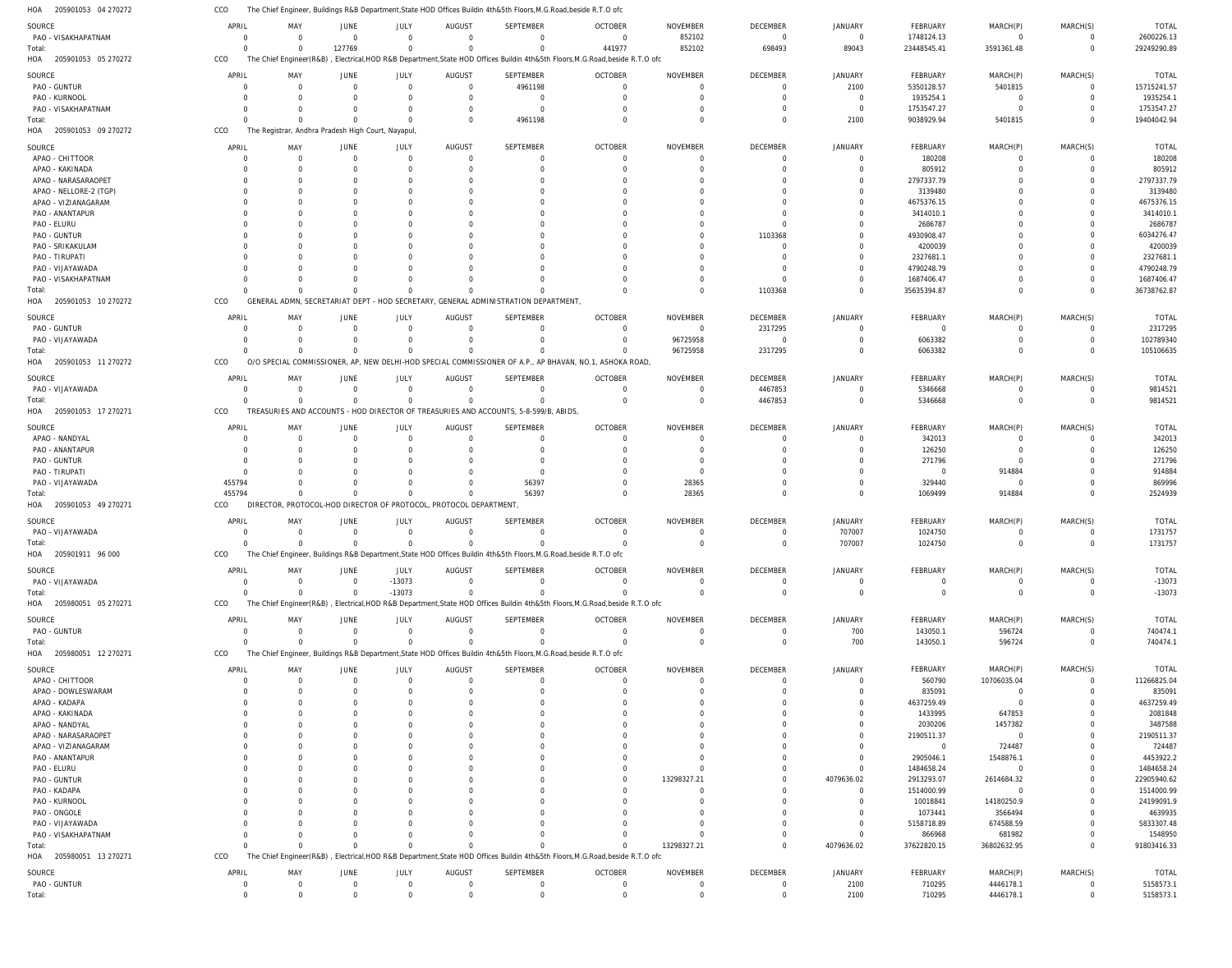205901053 04 270272 HOA The Chief Engineer, Buildings R&B Department,State HOD Offices Buildin 4th&5th Floors,M.G.Road,beside R.T.O ofc CCO

| SOURCE                            | APRIL                | MAY                                 | JUNE             | JULY                                           | AUGUST                                                            | <b>SEPTEMBER</b>                                                                     | <b>OCTOBER</b>                                                                                                                            | <b>NOVEMBER</b>             | <b>DECEMBER</b>            | <b>JANUARY</b>       | FEBRUARY              | MARCH(P)              | MARCH(S)             | <b>TOTAL</b>              |
|-----------------------------------|----------------------|-------------------------------------|------------------|------------------------------------------------|-------------------------------------------------------------------|--------------------------------------------------------------------------------------|-------------------------------------------------------------------------------------------------------------------------------------------|-----------------------------|----------------------------|----------------------|-----------------------|-----------------------|----------------------|---------------------------|
| PAO - VISAKHAPATNAM               | $\Omega$             | $\Omega$                            | $\Omega$         | $\Omega$                                       | $\Omega$                                                          | $\Omega$                                                                             | $\Omega$                                                                                                                                  | 852102                      | $\overline{0}$             | $\mathbf{0}$         | 1748124.13            | $\Omega$              | $\Omega$             | 2600226.13                |
| Total:<br>HOA 205901053 05 270272 | $\Omega$<br>CCO      | $\Omega$<br>The Chief Engineer(R&B) | 127769           | $\Omega$                                       | $\Omega$                                                          | $\Omega$                                                                             | 441977<br>, Electrical, HOD R&B Department, State HOD Offices Buildin 4th&5th Floors, M.G. Road, beside R.T.O ofc                         | 852102                      | 698493                     | 89043                | 23448545.41           | 3591361.48            | $\Omega$             | 29249290.89               |
|                                   | APRIL                |                                     |                  |                                                |                                                                   | SEPTEMBER                                                                            | <b>OCTOBER</b>                                                                                                                            | <b>NOVEMBER</b>             | DECEMBER                   | <b>JANUARY</b>       | FEBRUARY              | MARCH(P)              | MARCH(S)             | <b>TOTAL</b>              |
| SOURCE<br>PAO - GUNTUR            | $\Omega$             | MAY<br>$\Omega$                     | JUNE<br>$\Omega$ | JULY<br>$\Omega$                               | AUGUST<br>$\Omega$                                                | 4961198                                                                              | $\Omega$                                                                                                                                  | $\Omega$                    | $\overline{0}$             | 2100                 | 5350128.57            | 5401815               | $\Omega$             | 15715241.57               |
| PAO - KURNOOL                     | C                    | $\Gamma$                            |                  | $\Omega$                                       | $\Omega$                                                          | $\Omega$                                                                             | $\Omega$                                                                                                                                  | $\Omega$                    | $\Omega$                   | $\overline{0}$       | 1935254.1             | $\mathbf 0$           | $\Omega$             | 1935254.1                 |
| PAO - VISAKHAPATNAM               | C                    | $\Omega$                            | $\Omega$         | $\Omega$                                       | $\Omega$                                                          | $\mathbf 0$                                                                          | $\Omega$                                                                                                                                  | $\Omega$                    | $\Omega$                   | $\mathbf 0$          | 1753547.27            | $\mathbf 0$           | $\Omega$             | 1753547.27                |
| Total:                            | C                    | $\Omega$                            | $\Omega$         | $\Omega$                                       | $\Omega$                                                          | 4961198                                                                              | $\Omega$                                                                                                                                  | $\Omega$                    | $\Omega$                   | 2100                 | 9038929.94            | 5401815               | $\Omega$             | 19404042.94               |
| HOA 205901053 09 270272           | CCO                  | The                                 |                  | Registrar, Andhra Pradesh High Court, Nayapul, |                                                                   |                                                                                      |                                                                                                                                           |                             |                            |                      |                       |                       |                      |                           |
| SOURCE                            | APRIL                | MAY                                 | JUNE             | JULY                                           | AUGUST                                                            | SEPTEMBER                                                                            | <b>OCTOBER</b>                                                                                                                            | <b>NOVEMBER</b>             | DECEMBER                   | <b>JANUARY</b>       | <b>FEBRUARY</b>       | MARCH(P)              | MARCH(S)             | <b>TOTAI</b>              |
| APAO - CHITTOOR                   | $\Omega$             | $\Omega$                            | $\Omega$         | $\Omega$                                       | $\Omega$                                                          | $\Omega$                                                                             | $\Omega$                                                                                                                                  | $\Omega$                    | $\Omega$                   | $\overline{0}$       | 180208                | $\Omega$              | $\Omega$             | 180208                    |
| APAO - KAKINADA                   | C                    | -C                                  |                  | $\Omega$                                       |                                                                   | 0                                                                                    |                                                                                                                                           | $\Omega$                    | $\Omega$                   | $\Omega$             | 805912                | $\Omega$              | $\Omega$             | 805912                    |
| APAO - NARASARAOPET               | C                    |                                     |                  |                                                |                                                                   |                                                                                      |                                                                                                                                           | - 0                         | $\Omega$                   | $\Omega$             | 2797337.79            |                       |                      | 2797337.79                |
| APAO - NELLORE-2 (TGP)            | <sup>0</sup>         | -C                                  |                  |                                                |                                                                   |                                                                                      |                                                                                                                                           | - 0                         |                            | $\Omega$             | 3139480               |                       |                      | 3139480                   |
| APAO - VIZIANAGARAM               |                      |                                     |                  |                                                |                                                                   |                                                                                      |                                                                                                                                           |                             |                            |                      | 4675376.15            |                       |                      | 4675376.15                |
| PAO - ANANTAPUR                   | C                    |                                     |                  |                                                |                                                                   |                                                                                      |                                                                                                                                           |                             | $\Omega$                   | $\Omega$             | 3414010.1             |                       |                      | 3414010.1                 |
| PAO - ELURU                       |                      |                                     |                  |                                                |                                                                   |                                                                                      |                                                                                                                                           |                             | $\Omega$                   |                      | 2686787               |                       |                      | 2686787                   |
| PAO - GUNTUR<br>PAO - SRIKAKULAM  | C                    |                                     |                  |                                                |                                                                   |                                                                                      |                                                                                                                                           | $\Omega$                    | 1103368<br>$\Omega$        | $\Omega$<br>$\Omega$ | 4930908.47<br>4200039 |                       |                      | 6034276.47<br>4200039     |
| PAO - TIRUPATI                    |                      |                                     |                  |                                                |                                                                   |                                                                                      |                                                                                                                                           |                             |                            | $\Omega$             | 2327681.1             |                       |                      | 2327681.                  |
| PAO - VIJAYAWADA                  |                      |                                     |                  |                                                |                                                                   |                                                                                      |                                                                                                                                           |                             |                            | $\Omega$             | 4790248.79            |                       |                      | 4790248.79                |
| PAO - VISAKHAPATNAM               | C                    | -C                                  |                  |                                                |                                                                   |                                                                                      |                                                                                                                                           | $\Omega$                    | $\Omega$                   | $\Omega$             | 1687406.47            |                       | $\Omega$             | 1687406.47                |
| Total:                            | $\sqrt{ }$           |                                     |                  | O                                              |                                                                   | $\Omega$                                                                             |                                                                                                                                           | $\Omega$                    | 1103368                    | $\Omega$             | 35635394.87           | $\Omega$              | $\Omega$             | 36738762.87               |
| HOA 205901053 10 270272           | CCO                  | GENERAL ADMN. SECRETARIAT DEPT      |                  |                                                |                                                                   | HOD SECRETARY, GENERAL ADMINISTRATION DEPARTMENT                                     |                                                                                                                                           |                             |                            |                      |                       |                       |                      |                           |
| SOURCE                            | APRIL                | MAY                                 | JUNE             | JULY                                           | AUGUST                                                            | <b>SEPTEMBER</b>                                                                     | <b>OCTOBER</b>                                                                                                                            | <b>NOVEMBER</b>             | DECEMBER                   | <b>JANUARY</b>       | <b>FEBRUARY</b>       | MARCH(P)              | MARCH(S)             | <b>TOTAL</b>              |
| PAO - GUNTUR                      | 0                    | $\Omega$                            | $\Omega$         | $\mathbf 0$                                    | $\Omega$                                                          | $\mathbf 0$                                                                          | $\Omega$                                                                                                                                  | $\overline{0}$              | 2317295                    | $\overline{0}$       | $\overline{0}$        | $\Omega$              | $\Omega$             | 2317295                   |
| PAO - VIJAYAWADA                  | $\Omega$             | $\Omega$                            | $\Omega$         | $\Omega$                                       | $\Omega$                                                          | $\Omega$                                                                             | $\Omega$                                                                                                                                  | 96725958                    | $\overline{0}$             | $\Omega$             | 6063382               | $\Omega$              | $\Omega$             | 102789340                 |
| Total:                            | $\Omega$             |                                     | $\Omega$         | $\Omega$                                       |                                                                   | $\Omega$                                                                             | $\Omega$                                                                                                                                  | 96725958                    | 2317295                    | $\Omega$             | 6063382               | $\Omega$              | $\Omega$             | 105106635                 |
| HOA 205901053 11 270272           | CCO                  | O/O                                 |                  |                                                |                                                                   |                                                                                      | SPECIAL COMMISSIONER, AP, NEW DELHI-HOD SPECIAL COMMISSIONER OF A.P., AP BHAVAN, NO.1, ASHOKA ROAD                                        |                             |                            |                      |                       |                       |                      |                           |
| SOURCE                            | APRIL                | MAY                                 | JUNE             | JULY                                           | AUGUST                                                            | <b>SEPTEMBER</b>                                                                     | <b>OCTOBER</b>                                                                                                                            | <b>NOVEMBER</b>             | <b>DECEMBER</b>            | <b>JANUARY</b>       | <b>FEBRUARY</b>       | MARCH(P)              | MARCH(S)             | <b>TOTAL</b>              |
| PAO - VIJAYAWADA                  | $\Omega$             | $\Omega$                            | $\Omega$         | $\Omega$                                       | $\Omega$                                                          | $\Omega$                                                                             | $\Omega$                                                                                                                                  | $\Omega$                    | 4467853                    | $\Omega$             | 5346668               | $\Omega$              | - 0                  | 9814521                   |
| Total:                            | $\Omega$             | $\Omega$                            | $\Omega$         | $\Omega$                                       | $\Omega$                                                          | $\Omega$                                                                             | $\Omega$                                                                                                                                  | $\Omega$                    | 4467853                    | $\Omega$             | 5346668               | $\Omega$              | $\Omega$             | 9814521                   |
| HOA 205901053 17 270271           | CCO                  |                                     |                  |                                                |                                                                   | TREASURIES AND ACCOUNTS - HOD DIRECTOR OF TREASURIES AND ACCOUNTS, 5-8-599/B, ABIDS, |                                                                                                                                           |                             |                            |                      |                       |                       |                      |                           |
| SOURCE                            | APRIL                | MAY                                 | JUNE             | JULY                                           | AUGUST                                                            | <b>SEPTEMBER</b>                                                                     | <b>OCTOBER</b>                                                                                                                            | <b>NOVEMBER</b>             | <b>DECEMBER</b>            | JANUARY              | <b>FEBRUARY</b>       | MARCH(P)              | MARCH(S)             | <b>TOTAL</b>              |
| APAO - NANDYAL                    | $\Omega$             | $\Omega$                            | - 0              | 0                                              | - 0                                                               | $\mathbf 0$                                                                          | $\Omega$                                                                                                                                  | $\Omega$                    | $\Omega$                   | $\overline{0}$       | 342013                | 0                     | $\Omega$             | 342013                    |
| PAO - ANANTAPUR                   | $\Omega$             | $\Gamma$                            |                  | $\Omega$                                       | $\Omega$                                                          | $\Omega$                                                                             | $\Gamma$                                                                                                                                  | $\Omega$                    | $\Omega$                   | $\Omega$             | 126250                | $\Omega$              | $\Omega$             | 126250                    |
| PAO - GUNTUR                      | $\Omega$             | -0                                  |                  | $\Omega$                                       | - 0                                                               | $\Omega$                                                                             |                                                                                                                                           | -0                          | $\Omega$                   | $\Omega$             | 271796                | $\Omega$              |                      | 271796                    |
| PAO - TIRUPATI                    | $\Omega$             | $\Gamma$                            |                  | $\Omega$                                       | $\Omega$                                                          | $\Omega$                                                                             | $\Gamma$                                                                                                                                  | - 0                         |                            | $\Omega$             | $\Omega$              | 914884                | $\Omega$             | 914884                    |
| PAO - VIJAYAWADA                  | 455794               | $\Omega$                            | $\Omega$         | $\Omega$                                       | $\Omega$                                                          | 56397                                                                                | $\Omega$                                                                                                                                  | 28365                       | $\Omega$                   | $\Omega$             | 329440                | $\mathbf 0$           | $\Omega$             | 869996                    |
| Total:<br>HOA 205901053 49 270271 | 455794<br>CCO        | $\Omega$                            | $\Omega$         | $\Omega$                                       | DIRECTOR, PROTOCOL-HOD DIRECTOR OF PROTOCOL, PROTOCOL DEPARTMENT, | 56397                                                                                | $\Omega$                                                                                                                                  | 28365                       | $\Omega$                   | $\Omega$             | 1069499               | 914884                | $\Omega$             | 2524939                   |
|                                   |                      |                                     |                  |                                                |                                                                   |                                                                                      |                                                                                                                                           |                             |                            |                      |                       |                       |                      |                           |
| SOURCE                            | APRIL                | MAY                                 | JUNE             | JULY                                           | AUGUST                                                            | <b>SEPTEMBER</b>                                                                     | <b>OCTOBER</b>                                                                                                                            | <b>NOVEMBER</b>             | DECEMBER                   | <b>JANUARY</b>       | <b>FEBRUARY</b>       | MARCH(P)              | MARCH(S)             | <b>TOTAL</b>              |
| PAO - VIJAYAWADA                  | $\Omega$             | $\Omega$                            | $\Omega$         | $\Omega$                                       | $\Omega$                                                          | $\Omega$                                                                             | $\Omega$                                                                                                                                  | $\Omega$                    | $\Omega$                   | 707007               | 1024750               | $\Omega$              | - 0                  | 1731757                   |
| Total:                            | $\sqrt{ }$           | $\Omega$                            | $\Omega$         | $\Omega$                                       |                                                                   | $\Omega$                                                                             |                                                                                                                                           | $\Omega$                    | $\Omega$                   | 707007               | 1024750               | $\Omega$              | $\Omega$             | 1731757                   |
| HOA 205901911 96 000              | CCO                  |                                     |                  |                                                |                                                                   |                                                                                      | The Chief Engineer, Buildings R&B Department, State HOD Offices Buildin 4th&5th Floors, M.G.Road, beside R.T.O ofc                        |                             |                            |                      |                       |                       |                      |                           |
| SOURCE                            | APRIL                | MAY                                 | JUNE             | JULY                                           | AUGUST                                                            | SEPTEMBER                                                                            | <b>OCTOBER</b>                                                                                                                            | <b>NOVEMBER</b>             | DECEMBER                   | <b>JANUARY</b>       | <b>FEBRUARY</b>       | MARCH(P)              | MARCH(S)             | <b>TOTAL</b>              |
| PAO - VIJAYAWADA                  | $\mathbf 0$          | $\Omega$                            | $\Omega$         | $-13073$                                       | $\overline{0}$                                                    | $\mathbf 0$                                                                          | $\overline{0}$                                                                                                                            | $\overline{0}$              | $\overline{0}$             | $\overline{0}$       | $\mathbf 0$           | 0                     | $\overline{0}$       | $-13073$                  |
| Total:                            | $\Omega$             | $\Omega$                            | $\Omega$         | $-13073$                                       | $\Omega$                                                          | $\Omega$                                                                             |                                                                                                                                           | $\Omega$                    | $\Omega$                   | $\Omega$             | $\mathbf 0$           | $\mathbf 0$           | $\Omega$             | $-13073$                  |
| HOA 205980051 05 270271           | CCO                  |                                     |                  |                                                |                                                                   |                                                                                      | The Chief Engineer(R&B), Electrical, HOD R&B Department, State HOD Offices Buildin 4th&5th Floors, M.G.Road, beside R.T.O ofc             |                             |                            |                      |                       |                       |                      |                           |
| SOURCE                            | APRIL                | MAY                                 | JUNE             | JULY                                           | AUGUST                                                            | SEPTEMBER                                                                            | <b>OCTOBER</b>                                                                                                                            | NOVEMBER                    | DECEMBER                   | JANUARY              | <b>FEBRUARY</b>       | MARCH(P)              | MARCH(S)             | <b>TOTAL</b>              |
| PAO - GUNTUR                      | $\mathbf 0$          | $\Omega$                            | $\Omega$         | $\Omega$                                       | $\Omega$                                                          | $\Omega$                                                                             | $\Omega$                                                                                                                                  | $\Omega$                    | $\overline{0}$             | 700                  | 143050.1              | 596724                | $\Omega$             | 740474.1                  |
| Total:                            | $\Omega$             | $\Omega$                            | $\Omega$         | $\Omega$                                       | $\Omega$                                                          | $\Omega$                                                                             | $\Omega$                                                                                                                                  | - 0                         | $\overline{0}$             | 700                  | 143050.1              | 596724                | $\Omega$             | 740474.1                  |
| HOA 205980051 12 270271           | CCO                  |                                     |                  |                                                |                                                                   |                                                                                      | The Chief Engineer, Buildings R&B Department, State HOD Offices Buildin 4th&5th Floors, M.G.Road, beside R.T.O ofc                        |                             |                            |                      |                       |                       |                      |                           |
| SOURCE                            | APRIL                | MAY                                 | JUNE             | JULY                                           | AUGUST                                                            | SEPTEMBER                                                                            | <b>OCTOBER</b>                                                                                                                            | <b>NOVEMBER</b>             | <b>DECEMBER</b>            | JANUARY              | <b>FEBRUARY</b>       | MARCH(P)              | MARCH(S)             | <b>TOTAL</b>              |
| APAO - CHITTOOR                   | $\Omega$             | $\Omega$                            | $\Omega$         | $\Omega$                                       | $\Omega$                                                          | $\mathbf 0$                                                                          | $\Omega$                                                                                                                                  | $\Omega$                    | $\overline{0}$             | $\overline{0}$       | 560790                | 10706035.04           | $\Omega$             | 11266825.04               |
| APAO - DOWLESWARAM                | $\Omega$             | $\Omega$                            |                  | $\Omega$                                       | $\Omega$                                                          | $\Omega$                                                                             | $\Omega$                                                                                                                                  | $\Omega$                    | $\Omega$                   | $\overline{0}$       | 835091                | $\mathbf 0$           | $\Omega$             | 835091                    |
| APAO - KADAPA                     | C                    | -0                                  |                  | <sup>0</sup>                                   |                                                                   | 0                                                                                    |                                                                                                                                           | -0<br>- 0                   |                            | $\Omega$<br>$\Omega$ | 4637259.49            | $\mathbf 0$           |                      | 4637259.49                |
| APAO - KAKINADA<br>APAO - NANDYAL | C                    |                                     |                  |                                                |                                                                   |                                                                                      |                                                                                                                                           |                             |                            | $\Omega$             | 1433995<br>2030206    | 647853<br>1457382     |                      | 2081848<br>3487588        |
| APAO - NARASARAOPET               | C                    |                                     |                  |                                                |                                                                   |                                                                                      |                                                                                                                                           |                             |                            | $\Omega$             | 2190511.37            | $\mathbf 0$           |                      | 2190511.37                |
| APAO - VIZIANAGARAM               | C                    |                                     |                  |                                                |                                                                   |                                                                                      |                                                                                                                                           |                             |                            | $\Omega$             | $\overline{0}$        | 724487                |                      | 724487                    |
| PAO - ANANTAPUR                   |                      |                                     |                  |                                                |                                                                   |                                                                                      |                                                                                                                                           |                             |                            | $\Omega$             | 2905046.1             | 1548876.1             |                      | 4453922.2                 |
| PAO - ELURU                       |                      |                                     |                  |                                                |                                                                   |                                                                                      |                                                                                                                                           |                             | $\Omega$                   | $\Omega$             | 1484658.24            | $\overline{0}$        |                      | 1484658.24                |
| PAO - GUNTUR                      |                      |                                     |                  |                                                |                                                                   |                                                                                      |                                                                                                                                           | 13298327.21                 | $\Omega$                   | 4079636.02           | 2913293.07            | 2614684.32            | $\Omega$             | 22905940.62               |
| PAO - KADAPA                      |                      |                                     |                  |                                                |                                                                   |                                                                                      |                                                                                                                                           | $\Omega$                    |                            | $\Omega$             | 1514000.99            | $\mathbf 0$           |                      | 1514000.99                |
| PAO - KURNOOL                     |                      |                                     |                  |                                                |                                                                   |                                                                                      |                                                                                                                                           | $\Omega$                    |                            | $\Omega$             | 10018841              | 14180250.9            | $\Omega$             | 24199091.9                |
| PAO - ONGOLE                      | C                    |                                     |                  |                                                |                                                                   |                                                                                      |                                                                                                                                           | - 0                         | $\Omega$                   | $\Omega$             | 1073441               | 3566494               |                      | 4639935                   |
| PAO - VIJAYAWADA                  |                      |                                     |                  |                                                |                                                                   |                                                                                      |                                                                                                                                           |                             |                            | $\Omega$             | 5158718.89            | 674588.59             | $\Omega$             | 5833307.48                |
| PAO - VISAKHAPATNAM               |                      |                                     |                  |                                                |                                                                   | O                                                                                    |                                                                                                                                           |                             | $\Omega$                   | $\mathbf 0$          | 866968                | 681982                | $\Omega$             | 1548950                   |
| Total:<br>HOA 205980051 13 270271 | C<br>CCO             | $\Omega$                            | $\Omega$         | $\Omega$                                       |                                                                   | $\Omega$                                                                             | $\Omega$<br>The Chief Engineer(R&B), Electrical, HOD R&B Department, State HOD Offices Buildin 4th&5th Floors, M.G.Road, beside R.T.O ofc | 13298327.21                 | $\Omega$                   | 4079636.02           | 37622820.15           | 36802632.95           | $\Omega$             | 91803416.33               |
|                                   |                      |                                     |                  |                                                |                                                                   |                                                                                      |                                                                                                                                           |                             |                            |                      |                       |                       |                      |                           |
| SOURCE<br>PAO - GUNTUR            | APRIL<br>$\mathbf 0$ | MAY<br>$\Omega$                     | JUNE<br>$\Omega$ | JULY<br>$\Omega$                               | AUGUST<br>$\Omega$                                                | SEPTEMBER<br>$\Omega$                                                                | <b>OCTOBER</b><br>$\Omega$                                                                                                                | <b>NOVEMBER</b><br>$\Omega$ | DECEMBER<br>$\overline{0}$ | JANUARY<br>2100      | FEBRUARY<br>710295    | MARCH(P)<br>4446178.1 | MARCH(S)<br>$\Omega$ | <b>TOTAL</b><br>5158573.1 |
| Total:                            | $\Omega$             |                                     |                  | $\Omega$                                       |                                                                   | $\Omega$                                                                             |                                                                                                                                           | $\Omega$                    | $\Omega$                   | 2100                 | 710295                | 4446178.1             |                      | 5158573.1                 |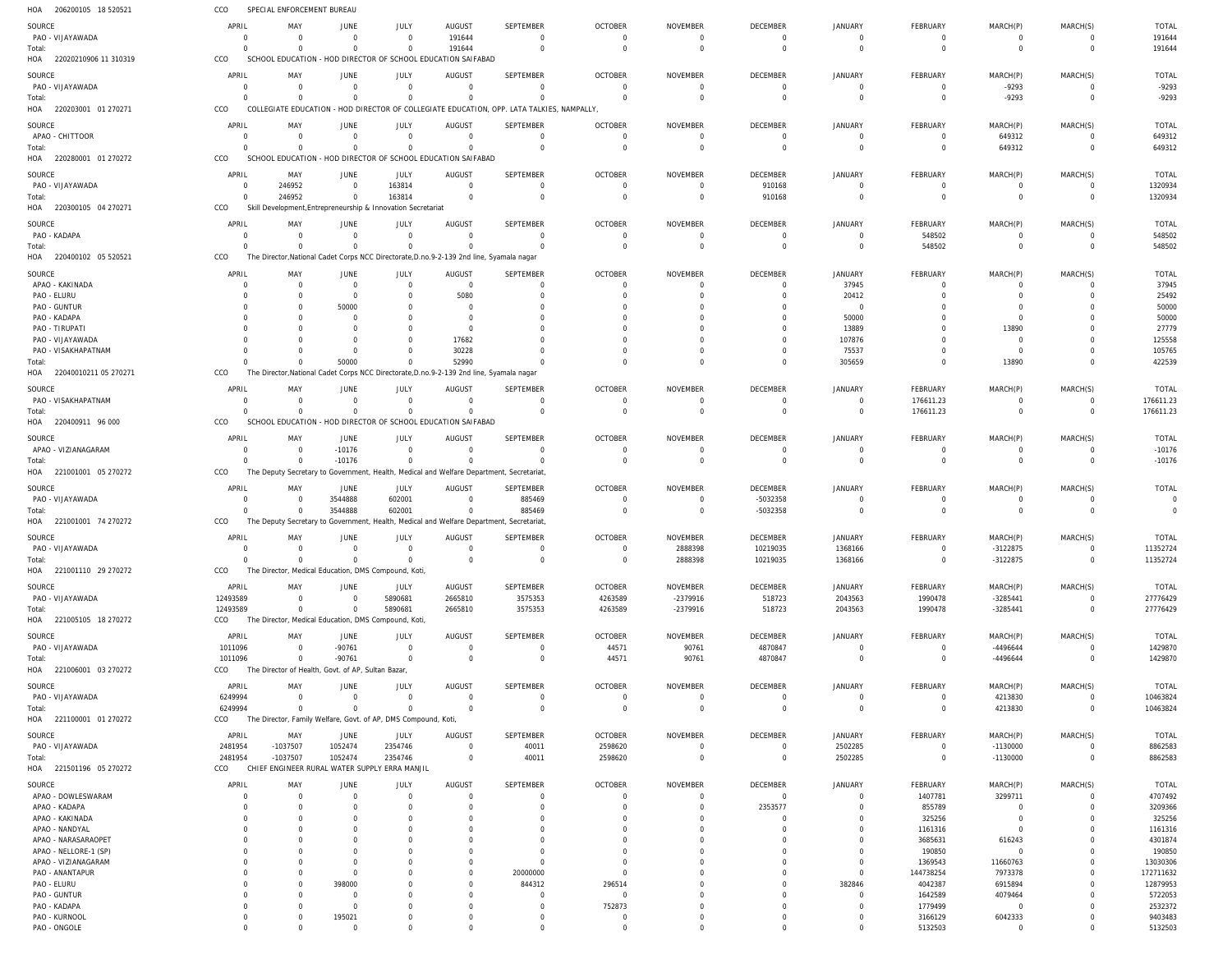| 206200105 18 520521<br>HOA                   | CCO                    | SPECIAL ENFORCEMENT BUREAU                                                               |                       |               |                |                                                                      |                            |                      |                      |                      |                    |                            |                            |                    |
|----------------------------------------------|------------------------|------------------------------------------------------------------------------------------|-----------------------|---------------|----------------|----------------------------------------------------------------------|----------------------------|----------------------|----------------------|----------------------|--------------------|----------------------------|----------------------------|--------------------|
| SOURCE                                       | APRIL                  | MAY                                                                                      | <b>JUNE</b>           | JULY          | <b>AUGUST</b>  | SEPTEMBER                                                            | <b>OCTOBER</b>             | <b>NOVEMBER</b>      | DECEMBER             | <b>JANUARY</b>       | FEBRUARY           | MARCH(P)                   | MARCH(S)                   | <b>TOTAL</b>       |
| PAO - VIJAYAWADA                             | - 0                    | $\Omega$                                                                                 | $\overline{0}$        | $\mathbf 0$   | 191644         | $\mathbf 0$                                                          | $\mathbf 0$                | - 0                  | $\overline{0}$       | $\Omega$             | 0                  | $\mathbf 0$                | $\overline{0}$             | 191644             |
| Total:                                       | $\Omega$               |                                                                                          | $\mathbf 0$           | $\mathbf 0$   | 191644         | $\mathbf 0$                                                          | $\mathbf 0$                | $\overline{0}$       | $\mathbf 0$          | $\Omega$             | $\mathbf 0$        | $\overline{0}$             | $\mathbf{0}$               | 191644             |
| HOA<br>22020210906 11 310319                 | CCO                    | SCHOOL EDUCATION - HOD DIRECTOR OF SCHOOL EDUCATION SAIFABAD                             |                       |               |                |                                                                      |                            |                      |                      |                      |                    |                            |                            |                    |
| SOURCE                                       | APRIL                  | MAY                                                                                      | JUNE                  | JULY          | <b>AUGUST</b>  | SEPTEMBER                                                            | <b>OCTOBER</b>             | <b>NOVEMBER</b>      | DECEMBER             | JANUARY              | FEBRUARY           | MARCH(P)                   | MARCH(S)                   | <b>TOTAL</b>       |
| PAO - VIJAYAWADA                             | - 0                    | $\Omega$                                                                                 | $\overline{0}$        | $\mathbf 0$   | $\Omega$       | $\mathbf 0$                                                          | $\Omega$                   | $\overline{0}$       | $\overline{0}$       | $\Omega$             | $\overline{0}$     | $-9293$                    | $\mathbf 0$                | $-9293$            |
| Total:                                       | $\Omega$               | $\cap$                                                                                   | $\Omega$              | $\mathbf 0$   | $\Omega$       | $\Omega$                                                             | $\Omega$                   | $\overline{0}$       | $\Omega$             | $\Omega$             | $\mathbf 0$        | $-9293$                    | $\mathbf 0$                | $-9293$            |
| 220203001 01 270271<br>HOA                   | CCO                    | COLLEGIATE EDUCATION                                                                     |                       |               |                | - HOD DIRECTOR OF COLLEGIATE EDUCATION, OPP. LATA TALKIES, NAMPALLY, |                            |                      |                      |                      |                    |                            |                            |                    |
| SOURCE                                       | APRIL                  | MAY                                                                                      | <b>JUNE</b>           | JULY          | <b>AUGUST</b>  | <b>SEPTEMBER</b>                                                     | <b>OCTOBER</b>             | <b>NOVEMBER</b>      | DECEMBER             | JANUARY              | FEBRUARY           | MARCH(P)                   | MARCH(S)                   | <b>TOTAL</b>       |
| APAO - CHITTOOR                              | $\overline{0}$         | $\Omega$                                                                                 | $\overline{0}$        | $\mathbf 0$   | $\Omega$       | $\mathbf 0$                                                          | $\overline{0}$             | $\overline{0}$       | $\overline{0}$       | $\Omega$             | $\overline{0}$     | 649312                     | $\mathbf 0$                | 649312             |
| Total:                                       | $\Omega$               | $\Omega$                                                                                 | $\mathbf 0$           | $\mathbf 0$   | $\cap$         | $\mathbf 0$                                                          | $\Omega$                   | $\overline{0}$       | $\Omega$             | $\Omega$             | $\mathbf 0$        | 649312                     | $\mathbf 0$                | 649312             |
| 220280001 01 270272<br>HOA                   | CCO                    | SCHOOL EDUCATION - HOD DIRECTOR OF SCHOOL EDUCATION SAIFABAD                             |                       |               |                |                                                                      |                            |                      |                      |                      |                    |                            |                            |                    |
| SOURCE                                       | APRIL                  | MAY                                                                                      | JUNE                  | JULY          | <b>AUGUST</b>  | <b>SEPTEMBER</b>                                                     | <b>OCTOBER</b>             | <b>NOVEMBER</b>      | DECEMBER             | <b>JANUARY</b>       | FEBRUARY           | MARCH(P)                   | MARCH(S)                   | <b>TOTAL</b>       |
| PAO - VIJAYAWADA                             | - 0                    | 246952                                                                                   | $\overline{0}$        | 163814        | $\Omega$       | $\mathbf 0$                                                          | $\overline{0}$             | $\overline{0}$       | 910168               | $\Omega$             | 0                  | 0                          | $\overline{0}$             | 1320934            |
| Total:                                       | $\Omega$               | 246952                                                                                   | $\mathbf 0$           | 163814        | $\Omega$       | $\mathbf 0$                                                          | $\Omega$                   | $\overline{0}$       | 910168               | $\Omega$             | $\mathbf 0$        | $\overline{0}$             | $\mathbf 0$                | 1320934            |
| HOA<br>220300105 04 270271                   | CCO                    | Skill Development, Entrepreneurship & Innovation Secretariat                             |                       |               |                |                                                                      |                            |                      |                      |                      |                    |                            |                            |                    |
| SOURCE                                       | APRIL                  | MAY                                                                                      | JUNE                  | JULY          | <b>AUGUST</b>  | SEPTEMBER                                                            | <b>OCTOBER</b>             | NOVEMBER             | DECEMBER             | <b>JANUARY</b>       | FEBRUARY           | MARCH(P)                   | MARCH(S)                   | <b>TOTAL</b>       |
| PAO - KADAPA                                 | 0                      | $\Omega$                                                                                 | $\overline{0}$        | $\mathbf 0$   | $\Omega$       | $\mathbf 0$                                                          | $\mathbf 0$                | $\overline{0}$       | $\Omega$             | $\Omega$             | 548502             | $\mathbf 0$                | 0                          | 548502             |
| Total:                                       | $\Omega$               | $\Omega$                                                                                 | $\overline{0}$        | $\mathbf 0$   | $\Omega$       | $\mathbf 0$                                                          | $\Omega$                   | $\overline{0}$       | $\mathbf 0$          | $\Omega$             | 548502             | $\mathbf 0$                | $\mathbf 0$                | 548502             |
| HOA 220400102 05 520521                      | CCO                    | The Director, National Cadet Corps NCC Directorate, D.no.9-2-139 2nd line, Syamala nagar |                       |               |                |                                                                      |                            |                      |                      |                      |                    |                            |                            |                    |
| SOURCE                                       | APRIL                  | MAY                                                                                      | JUNE                  | JULY          | <b>AUGUST</b>  | SEPTEMBER                                                            | <b>OCTOBER</b>             | <b>NOVEMBER</b>      | DECEMBER             | <b>JANUARY</b>       | FEBRUARY           | MARCH(P)                   | MARCH(S)                   | <b>TOTAL</b>       |
| APAO - KAKINADA                              | -0                     | $\Omega$                                                                                 | $\overline{0}$        | $\mathbf 0$   | $\Omega$       | $\mathbf 0$                                                          | $\Omega$                   | $\Omega$             | $\overline{0}$       | 37945                | 0                  | 0                          | 0                          | 37945              |
| PAO - ELURU                                  | -0                     | $\Omega$                                                                                 | $\overline{0}$        | $\mathbf 0$   | 5080           | $\Omega$                                                             | $\Omega$                   | $\Omega$             | $\Omega$             | 20412                | $\Omega$           | $\Omega$                   | $\mathbf 0$                | 25492              |
| PAO - GUNTUR                                 | $\Omega$               |                                                                                          | 50000                 | $\Omega$      | $\Omega$       | $\Omega$                                                             | -0                         | -0                   | $\Omega$             | $\Omega$             |                    | $\Omega$                   | $\Omega$                   | 50000              |
| PAO - KADAPA                                 | $\Omega$               |                                                                                          | $\Omega$              | $\Omega$      | $\Omega$       | $\Omega$                                                             | 0                          | -0                   | $\Omega$             | 50000                |                    | $\Omega$                   | $\Omega$                   | 50000              |
| PAO - TIRUPATI                               | $\Omega$               |                                                                                          | $\Omega$              | $\Omega$      | $\Omega$       | $\Omega$                                                             | -0                         | -0                   | $\Omega$             | 13889                |                    | 13890                      | $\Omega$                   | 27779              |
| PAO - VIJAYAWADA                             | -0                     |                                                                                          | $\Omega$              | $\Omega$      | 17682          | $\Omega$                                                             | $\Omega$                   | - 0                  | $\Omega$             | 107876               |                    | $\mathbf 0$                | $\Omega$                   | 125558             |
| PAO - VISAKHAPATNAM                          | $\Omega$               |                                                                                          | $\mathbf{0}$          | $\mathbf 0$   | 30228          | $\Omega$                                                             | $\Omega$                   | -0                   | $\Omega$             | 75537                |                    | $\overline{0}$             | $\mathbf 0$                | 105765             |
| Total:                                       | $\Omega$               |                                                                                          | 50000                 | $\Omega$      | 52990          | $\Omega$                                                             | $\Omega$                   | $\Omega$             | $\Omega$             | 305659               | $\Omega$           | 13890                      | $\Omega$                   | 422539             |
| 22040010211 05 270271<br>HOA                 | CCO                    | The Director, National Cadet Corps NCC Directorate, D.no.9-2-139 2nd line, Syamala nagar |                       |               |                |                                                                      |                            |                      |                      |                      |                    |                            |                            |                    |
| SOURCE                                       | APRIL                  | MAY                                                                                      | JUNE                  | JULY          | <b>AUGUST</b>  | <b>SEPTEMBER</b>                                                     | <b>OCTOBER</b>             | <b>NOVEMBER</b>      | DECEMBER             | <b>JANUARY</b>       | FEBRUARY           | MARCH(P)                   | MARCH(S)                   | <b>TOTAL</b>       |
| PAO - VISAKHAPATNAM                          | 0                      | $\Omega$                                                                                 | $\overline{0}$        | $\mathbf 0$   | $\Omega$       | $\mathbf 0$                                                          | $\overline{0}$             | $\overline{0}$       | $\overline{0}$       | $\Omega$             | 176611.23          | $\overline{0}$             | $\mathbf 0$                | 176611.23          |
| Total:                                       | $\Omega$               | $\Omega$                                                                                 | $\mathbf 0$           | $\mathbf 0$   |                | $\mathbf 0$                                                          | $\Omega$                   | $\Omega$             | $\Omega$             | $\Omega$             | 176611.23          | $\mathbf 0$                | $\mathbf 0$                | 176611.23          |
| 220400911 96 000<br>HOA                      | CCO                    | SCHOOL EDUCATION - HOD DIRECTOR OF SCHOOL EDUCATION SAIFABAD                             |                       |               |                |                                                                      |                            |                      |                      |                      |                    |                            |                            |                    |
| SOURCE                                       | APRIL                  | MAY                                                                                      | JUNE                  | JULY          | <b>AUGUST</b>  | <b>SEPTEMBER</b>                                                     | <b>OCTOBER</b>             | <b>NOVEMBER</b>      | DECEMBER             | <b>JANUARY</b>       | FEBRUARY           | MARCH(P)                   | MARCH(S)                   | <b>TOTAL</b>       |
| APAO - VIZIANAGARAM                          | $\Omega$               | $\Omega$                                                                                 | $-10176$              | $\mathbf 0$   | $\Omega$       | $\Omega$                                                             | $\overline{0}$             | 0                    | $\overline{0}$       | - 0                  | 0                  | $^{\circ}$                 | $\mathbf{0}$               | $-10176$           |
| Total:                                       | $\Omega$               | $\Omega$                                                                                 | $-10176$              | $\mathbf 0$   | $\Omega$       | $\Omega$                                                             | $\Omega$                   | $\overline{0}$       | $\overline{0}$       | $\Omega$             | $\mathbf 0$        | $\overline{0}$             | $\mathbf 0$                | $-10176$           |
|                                              |                        |                                                                                          |                       |               |                |                                                                      |                            |                      |                      |                      |                    |                            |                            |                    |
| HOA 221001001 05 270272                      | CCO                    | The Deputy Secretary to Government, Health, Medical and Welfare Department, Secretariat, |                       |               |                |                                                                      |                            |                      |                      |                      |                    |                            |                            |                    |
| SOURCE                                       | APRIL                  | MAY                                                                                      | JUNE                  | JULY          | AUGUST         | SEPTEMBER                                                            | <b>OCTOBER</b>             | NOVEMBER             | DECEMBER             | <b>JANUARY</b>       | FEBRUARY           | MARCH(P)                   | MARCH(S)                   | <b>TOTAL</b>       |
| PAO - VIJAYAWADA                             | 0                      | $\Omega$                                                                                 | 3544888               | 602001        | $\overline{0}$ | 885469                                                               | $\Omega$                   | $\Omega$             | -5032358             | $\Omega$             | 0                  | 0                          | $\overline{0}$             | $\Omega$           |
| Total:                                       | $\Omega$               | $\Omega$                                                                                 | 3544888               | 602001        | $\Omega$       | 885469                                                               | $\mathbf 0$                | 0                    | -5032358             | $\Omega$             | $\mathbf 0$        | $\mathbf 0$                | $\mathbf 0$                | $\Omega$           |
| HOA 221001001 74 270272                      | CCO                    | The Deputy Secretary to Government, Health, Medical and Welfare Department, Secretariat, |                       |               |                |                                                                      |                            |                      |                      |                      |                    |                            |                            |                    |
| SOURCE                                       | APRIL                  | MAY                                                                                      | JUNE                  | JULY          | <b>AUGUST</b>  | <b>SEPTEMBER</b>                                                     | <b>OCTOBER</b>             | <b>NOVEMBER</b>      | DECEMBER             | JANUARY              | FEBRUARY           | MARCH(P)                   | MARCH(S)                   | <b>TOTAL</b>       |
| PAO - VIJAYAWADA                             | $\Omega$               | $\Omega$                                                                                 | $\overline{0}$        | $\Omega$      | $\Omega$       | $\Omega$                                                             | $\Omega$                   | 2888398              | 10219035             | 1368166              | $\Omega$           | $-3122875$                 | $\Omega$                   | 11352724           |
| Total:                                       | $\overline{0}$         | $\Omega$                                                                                 | $\overline{0}$        | $\mathbf 0$   | $\Omega$       | $\mathbf 0$                                                          | $\overline{0}$             | 2888398              | 10219035             | 1368166              | $\mathbf 0$        | -3122875                   | $\overline{0}$             | 11352724           |
| 221001110 29 270272<br>HOA                   | CCO                    | The Director, Medical Education, DMS Compound, Koti,                                     |                       |               |                |                                                                      |                            |                      |                      |                      |                    |                            |                            |                    |
| SOURCE                                       | APRIL                  | MAY                                                                                      | JUNE                  | JULY          | AUGUST         | SEPTEMBER                                                            | <b>OCTOBER</b>             | NOVEMBER             | DECEMBER             | <b>JANUARY</b>       | FEBRUARY           | MARCH(P)                   | MARCH(S)                   | <b>TOTAL</b>       |
| PAO - VIJAYAWADA                             | 12493589               | $\Omega$                                                                                 | $\overline{0}$        | 5890681       | 2665810        | 3575353                                                              | 4263589                    | -2379916             | 518723               | 2043563              | 1990478            | $-3285441$                 | $\mathbf 0$                | 27776429           |
| Total:                                       | 12493589               | $\Omega$                                                                                 | $\mathbf 0$           | 5890681       | 2665810        | 3575353                                                              | 4263589                    | -2379916             | 518723               | 2043563              | 1990478            | $-3285441$                 | $\mathbf 0$                | 27776429           |
| HOA 221005105 18 270272                      | CCO                    | The Director, Medical Education, DMS Compound, Koti,                                     |                       |               |                |                                                                      |                            |                      |                      |                      |                    |                            |                            |                    |
| SOURCE                                       | APRIL                  | MAY                                                                                      | JUNE                  | JULY          | AUGUST         | SEPTEMBER                                                            | <b>OCTOBER</b>             | NOVEMBER             | DECEMBER             | JANUARY              | FEBRUARY           | MARCH(P)                   | MARCH(S)                   | <b>TOTAL</b>       |
| PAO - VIJAYAWADA                             | 1011096                | $\Omega$                                                                                 | $-90761$              | $\mathbf 0$   | $\Omega$       | $\mathbf 0$                                                          | 44571                      | 90761                | 4870847              | $\Omega$             | 0                  | -4496644                   | $\overline{0}$             | 1429870            |
| Total:                                       | 1011096                | $\Omega$                                                                                 | $-90761$              | $\mathbf 0$   | $\overline{0}$ | $\mathbf 0$                                                          | 44571                      | 90761                | 4870847              | $\Omega$             | $\overline{0}$     | -4496644                   | $\mathbf 0$                | 1429870            |
| HOA 221006001 03 270272                      | CCO                    | The Director of Health, Govt. of AP, Sultan Bazar,                                       |                       |               |                |                                                                      |                            |                      |                      |                      |                    |                            |                            |                    |
| SOURCE                                       | APRIL                  | MAY                                                                                      | JUNE                  | JULY          | AUGUST         | SEPTEMBER                                                            | <b>OCTOBER</b>             | NOVEMBER             | DECEMBER             | <b>JANUARY</b>       | FEBRUARY           | MARCH(P)                   | MARCH(S)                   | TOTAL              |
| PAO - VIJAYAWADA                             | 6249994                | $\overline{0}$                                                                           | $\overline{0}$        | $\mathbf 0$   | $\overline{0}$ | $\mathbf 0$                                                          | $\mathbf 0$                | $\overline{0}$       | $\overline{0}$       | $\Omega$             | $\overline{0}$     | 4213830                    | $\mathbf 0$                | 10463824           |
| Total:                                       | 6249994                | $\Omega$                                                                                 | $\overline{0}$        | $\mathbf 0$   | $\Omega$       | $\mathbf 0$                                                          | $\overline{0}$             | $\overline{0}$       | $\mathbf 0$          | $\Omega$             | $\overline{0}$     | 4213830                    | $\mathbf{0}$               | 10463824           |
| HOA 221100001 01 270272                      | CCO                    | The Director, Family Welfare, Govt. of AP, DMS Compound, Koti,                           |                       |               |                |                                                                      |                            |                      |                      |                      |                    |                            |                            |                    |
| SOURCE                                       | APRIL                  | MAY                                                                                      | JUNE                  | JULY          | AUGUST         | SEPTEMBER                                                            | <b>OCTOBER</b>             | NOVEMBER             | DECEMBER             | <b>JANUARY</b>       | FEBRUARY           | MARCH(P)                   | MARCH(S)                   | <b>TOTAL</b>       |
| PAO - VIJAYAWADA                             | 2481954                | -1037507                                                                                 | 1052474               | 2354746       | $\Omega$       | 40011                                                                | 2598620                    | $\overline{0}$       | $\overline{0}$       | 2502285              | $\overline{0}$     | $-1130000$                 | $\overline{0}$             | 8862583            |
| Total:                                       | 2481954                | -1037507                                                                                 | 1052474               | 2354746       | $\overline{0}$ | 40011                                                                | 2598620                    | $\mathbf 0$          | $\mathbf{0}$         | 2502285              | $\mathbf 0$        | $-1130000$                 | $\mathbf 0$                | 8862583            |
| HOA 221501196 05 270272                      | CCO                    | CHIEF ENGINEER RURAL WATER SUPPLY ERRA MANJIL                                            |                       |               |                |                                                                      |                            |                      |                      |                      |                    |                            |                            |                    |
| SOURCE                                       | APRIL                  | MAY                                                                                      | JUNE                  | JULY          | AUGUST         | SEPTEMBER                                                            | <b>OCTOBER</b>             | <b>NOVEMBER</b>      | DECEMBER             | JANUARY              | FEBRUARY           | MARCH(P)                   | MARCH(S)                   | TOTAL              |
| APAO - DOWLESWARAM                           | 0                      | $\Omega$                                                                                 | $\overline{0}$        | $\mathbf 0$   | $\Omega$       | $\mathbf 0$                                                          | $\mathbf 0$                | $\overline{0}$       | $\overline{0}$       | $\Omega$             | 1407781            | 3299711                    | $\mathbf 0$                | 4707492            |
| APAO - KADAPA                                | $\Omega$               | $\Omega$                                                                                 | $\mathbf 0$           | $\mathbf 0$   | $\cap$         | $\mathbf 0$                                                          | $\Omega$                   | $\mathbf 0$          | 2353577              | $\Omega$             | 855789             | $^{\circ}$                 | $\mathbf 0$                | 3209366            |
| APAO - KAKINADA                              | $\Omega$               |                                                                                          | 0                     | $\Omega$      |                | $\Omega$                                                             | $\Omega$                   | $\mathbf 0$          | $\Omega$             | $\Omega$             | 325256             | $\mathbf 0$                | $\mathbf 0$                | 325256             |
| APAO - NANDYAL                               | $\Omega$               |                                                                                          | $\Omega$              | $\Omega$      |                | $\Omega$                                                             | -0                         | $\Omega$             | $\Omega$             | $\Omega$             | 1161316            | $\mathbf 0$                | $\Omega$                   | 1161316            |
| APAO - NARASARAOPET                          | $\Omega$<br>$\Omega$   |                                                                                          | $\Omega$              | $\Omega$      |                | $\Omega$<br>$\Omega$                                                 | -C                         | $\Omega$<br>$\Omega$ | $\Omega$<br>$\Omega$ | $\Omega$<br>$\Omega$ | 3685631            | 616243                     | $\mathbf 0$<br>$\Omega$    | 4301874            |
| APAO - NELLORE-1 (SP)<br>APAO - VIZIANAGARAM | $\Omega$               |                                                                                          | $\Omega$              | $\Omega$      |                | $\mathbf 0$                                                          | $\Omega$                   | $\Omega$             | $\Omega$             | $\Omega$             | 190850<br>1369543  | $\overline{0}$<br>11660763 | $\mathbf 0$                | 190850<br>13030306 |
| PAO - ANANTAPUR                              | $\Omega$               |                                                                                          | $\mathbf 0$           | $\Omega$      |                | 20000000                                                             | $\Omega$                   | $\Omega$             | $\Omega$             | $\Omega$             | 144738254          | 7973378                    | $\mathbf 0$                | 172711632          |
| PAO - ELURU                                  | -0                     |                                                                                          | 398000                | O             |                | 844312                                                               | 296514                     | $\Omega$             | $\Omega$             | 382846               | 4042387            | 6915894                    | $\Omega$                   | 12879953           |
| PAO - GUNTUR                                 | $\Omega$               |                                                                                          | $\overline{0}$        | $\Omega$      |                | $\mathbf 0$                                                          | $\mathbf 0$                | $\Omega$             | $\Omega$             | $\Omega$             | 1642589            | 4079464                    | $\mathbf 0$                | 5722053            |
| PAO - KADAPA                                 | $\Omega$               |                                                                                          | $\overline{0}$        | O             |                | $\mathbf 0$                                                          | 752873                     | $\Omega$             | $\Omega$             | $\Omega$             | 1779499            | $\overline{0}$             | $\mathbf 0$                | 2532372            |
| PAO - KURNOOL<br>PAO - ONGOLE                | $^{\circ}$<br>$\Omega$ | $\Omega$<br>$\Omega$                                                                     | 195021<br>$\mathbf 0$ | 0<br>$\Omega$ | $\Omega$       | $\mathbf 0$<br>$\mathbf 0$                                           | $\mathbf 0$<br>$\mathbf 0$ | 0<br>$\mathbf 0$     | $\Omega$<br>$\Omega$ | $\Omega$<br>$\Omega$ | 3166129<br>5132503 | 6042333<br>$\overline{0}$  | $\mathbf 0$<br>$\mathbf 0$ | 9403483<br>5132503 |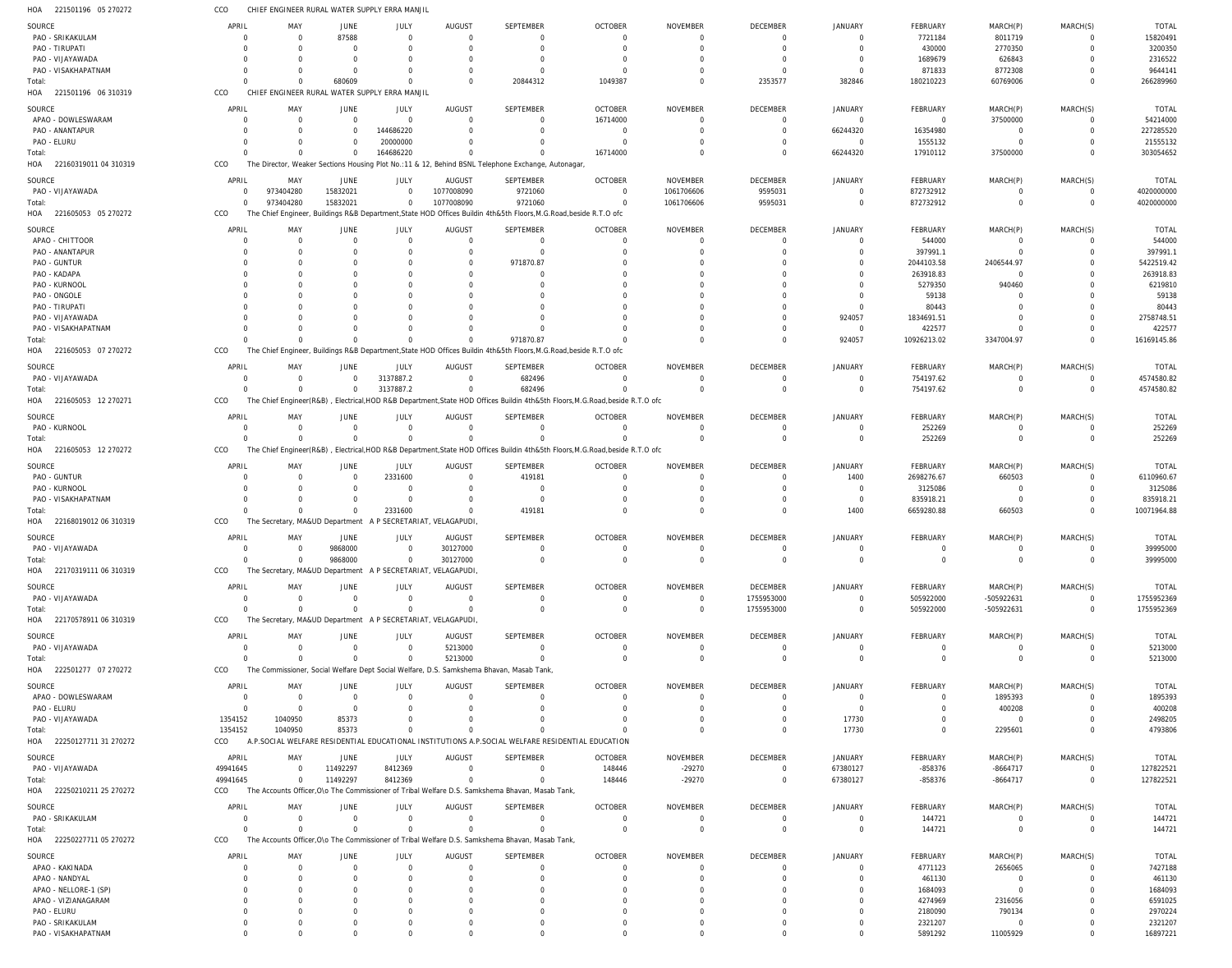|                                         | CCO                     |                                               |                                  | CHIEF ENGINEER RURAL WATER SUPPLY ERRA MANJIL |                                                              |                                                                                                                    |                                                                                                                               |                             |                         |                                  |                    |                         |                      |                         |
|-----------------------------------------|-------------------------|-----------------------------------------------|----------------------------------|-----------------------------------------------|--------------------------------------------------------------|--------------------------------------------------------------------------------------------------------------------|-------------------------------------------------------------------------------------------------------------------------------|-----------------------------|-------------------------|----------------------------------|--------------------|-------------------------|----------------------|-------------------------|
| SOURCE                                  | APRIL                   | MAY                                           | JUNE                             | JULY                                          | AUGUST                                                       | SEPTEMBER                                                                                                          | <b>OCTOBER</b>                                                                                                                | <b>NOVEMBER</b>             | <b>DECEMBER</b>         | <b>JANUARY</b>                   | <b>FEBRUARY</b>    | MARCH(P)                | MARCH(S)             | <b>TOTAL</b>            |
| PAO - SRIKAKULAM                        | $\mathcal{C}$           | $\Omega$                                      | 87588                            | $\Omega$                                      | $\Omega$                                                     | 0                                                                                                                  | $\Omega$                                                                                                                      | $\Omega$                    | $\overline{0}$          | $\overline{0}$                   | 7721184            | 8011719                 | $\Omega$             | 15820491                |
| PAO - TIRUPATI                          |                         |                                               | $\Omega$                         | $\Omega$                                      | $\Omega$                                                     | $\Omega$                                                                                                           | $\Omega$                                                                                                                      | $\Omega$                    | $\Omega$                | $\Omega$                         | 430000             | 2770350                 | $\Omega$             | 3200350                 |
| PAO - VIJAYAWADA                        | 0                       |                                               | $\Omega$                         | $\Omega$                                      |                                                              | 0                                                                                                                  | -0                                                                                                                            |                             | $\Omega$                | $\Omega$                         | 1689679            | 626843                  |                      | 2316522                 |
| PAO - VISAKHAPATNAM                     |                         |                                               | $\Omega$                         | $\Omega$                                      |                                                              | $\mathbf 0$                                                                                                        | $\Omega$                                                                                                                      | $\Omega$                    | $\Omega$                | $\Omega$                         | 871833             | 8772308                 | $\Omega$             | 9644141                 |
| Total:                                  | $\Omega$                | $\Omega$                                      | 680609                           | $\Omega$                                      | $\Omega$                                                     | 20844312                                                                                                           | 1049387                                                                                                                       | $\Omega$                    | 2353577                 | 382846                           | 180210223          | 60769006                | $\Omega$             | 266289960               |
| HOA 221501196 06 310319                 | CCO                     | CHIEF ENGINEER RURAL WATER SUPPLY ERRA MANJIL |                                  |                                               |                                                              |                                                                                                                    |                                                                                                                               |                             |                         |                                  |                    |                         |                      |                         |
|                                         |                         |                                               |                                  |                                               |                                                              |                                                                                                                    |                                                                                                                               |                             |                         |                                  |                    |                         |                      |                         |
| SOURCE                                  | APRIL                   | MAY                                           | JUNE                             | JULY                                          | AUGUST                                                       | <b>SEPTEMBER</b>                                                                                                   | <b>OCTOBER</b>                                                                                                                | <b>NOVEMBER</b>             | DECEMBER                | JANUARY                          | FEBRUARY           | MARCH(P)                | MARCH(S)             | <b>TOTAL</b>            |
| APAO - DOWLESWARAM                      | 0                       | $\Omega$                                      | $\overline{0}$                   | $\mathbf 0$                                   | $\Omega$                                                     | $\Omega$                                                                                                           | 16714000                                                                                                                      | $\Omega$                    | $\mathbf 0$             | $\overline{0}$                   | $\mathbf 0$        | 37500000                | $\Omega$             | 54214000                |
| PAO - ANANTAPUR                         |                         |                                               | $\Omega$                         | 144686220                                     |                                                              | $\Omega$                                                                                                           | $\Omega$                                                                                                                      | $\Omega$                    | $\overline{0}$          | 66244320                         | 16354980           | $\overline{0}$          | $\Omega$             | 227285520               |
| PAO - ELURU                             | $\Omega$                |                                               | $\Omega$                         | 20000000                                      |                                                              | $\Omega$                                                                                                           |                                                                                                                               | $\Omega$                    | $\Omega$                | $\Omega$                         | 1555132            | $\Omega$                | $\Omega$             | 21555132                |
| Total:                                  | $\Omega$                |                                               | $\Omega$                         | 164686220                                     |                                                              | $\Omega$                                                                                                           | 16714000                                                                                                                      | $\Omega$                    | $\Omega$                | 66244320                         | 17910112           | 37500000                | $\Omega$             | 303054652               |
| HOA 22160319011 04 310319               | CCO                     |                                               |                                  |                                               |                                                              | The Director, Weaker Sections Housing Plot No.:11 & 12, Behind BSNL Telephone Exchange, Autonagar                  |                                                                                                                               |                             |                         |                                  |                    |                         |                      |                         |
| SOURCE                                  | APRIL                   | MAY                                           | <b>JUNE</b>                      | JULY                                          | AUGUST                                                       | SEPTEMBER                                                                                                          | <b>OCTOBER</b>                                                                                                                | <b>NOVEMBER</b>             | DECEMBER                | JANUARY                          | FEBRUARY           | MARCH(P)                | MARCH(S)             | <b>TOTAL</b>            |
| PAO - VIJAYAWADA                        | $\mathbf 0$             | 973404280                                     | 15832021                         | $\mathbf 0$                                   | 1077008090                                                   | 9721060                                                                                                            | $\overline{0}$                                                                                                                | 1061706606                  | 9595031                 | $\overline{0}$                   | 872732912          | $\mathbf 0$             | $\Omega$             | 4020000000              |
| Total:                                  | $\Omega$                | 973404280                                     | 15832021                         | $\mathbf 0$                                   | 1077008090                                                   | 9721060                                                                                                            | $\Omega$                                                                                                                      | 1061706606                  | 9595031                 | $\overline{0}$                   | 872732912          | $\mathbf 0$             | $\mathbf 0$          | 4020000000              |
| HOA 221605053 05 270272                 | CCO                     |                                               |                                  |                                               |                                                              | The Chief Engineer, Buildings R&B Department, State HOD Offices Buildin 4th&5th Floors, M.G.Road, beside R.T.O ofc |                                                                                                                               |                             |                         |                                  |                    |                         |                      |                         |
|                                         |                         |                                               |                                  |                                               |                                                              |                                                                                                                    |                                                                                                                               |                             |                         |                                  |                    |                         |                      |                         |
| SOURCE                                  | APRIL                   | MAY                                           | JUNE                             | JULY                                          | AUGUST                                                       | <b>SEPTEMBER</b>                                                                                                   | <b>OCTOBER</b>                                                                                                                | <b>NOVEMBER</b>             | DECEMBER                | JANUARY                          | FEBRUARY           | MARCH(P)                | MARCH(S)             | <b>TOTAL</b>            |
| APAO - CHITTOOR                         | $\Omega$                |                                               | $\Omega$                         | $\Omega$                                      | $\Omega$                                                     | $\mathbf 0$                                                                                                        | $\Omega$                                                                                                                      | $\Omega$                    | $\mathbf 0$             | $\mathbf 0$                      | 544000             | $\mathbf 0$             | $\Omega$             | 544000                  |
| PAO - ANANTAPUR                         | C                       |                                               |                                  | $\Omega$                                      |                                                              | $\mathbf 0$                                                                                                        |                                                                                                                               |                             | $\Omega$                | $\Omega$                         | 397991.1           | $\mathbf 0$             | $\Omega$             | 397991.1                |
| PAO - GUNTUR                            | 0                       |                                               |                                  |                                               |                                                              | 971870.87                                                                                                          |                                                                                                                               |                             |                         | $\Omega$                         | 2044103.58         | 2406544.97              | $\Omega$             | 5422519.42              |
| PAO - KADAPA                            |                         |                                               |                                  |                                               |                                                              | $\Omega$                                                                                                           |                                                                                                                               |                             |                         |                                  | 263918.83          | 0                       |                      | 263918.83               |
| PAO - KURNOOL                           |                         |                                               |                                  |                                               |                                                              | $\Omega$                                                                                                           |                                                                                                                               |                             |                         |                                  | 5279350            | 940460                  |                      | 6219810                 |
| PAO - ONGOLE                            |                         |                                               |                                  |                                               |                                                              |                                                                                                                    |                                                                                                                               |                             |                         |                                  | 59138              |                         |                      | 59138                   |
| PAO - TIRUPATI                          |                         |                                               |                                  |                                               |                                                              |                                                                                                                    |                                                                                                                               |                             |                         | $\Omega$                         | 80443              |                         |                      | 80443                   |
| PAO - VIJAYAWADA                        |                         |                                               |                                  |                                               |                                                              |                                                                                                                    |                                                                                                                               |                             |                         | 924057                           | 1834691.51         |                         | $\Omega$             | 2758748.5               |
| PAO - VISAKHAPATNAM                     |                         |                                               |                                  |                                               |                                                              | $\Omega$                                                                                                           |                                                                                                                               |                             |                         | $\overline{0}$                   | 422577             | 0                       | $\Omega$             | 422577                  |
| Total:                                  | $\Omega$                |                                               | $\Omega$                         | $\Omega$                                      |                                                              | 971870.87                                                                                                          |                                                                                                                               |                             | $\Omega$                | 924057                           | 10926213.02        | 3347004.97              | $\Omega$             | 16169145.86             |
| 221605053 07 270272<br>HOA              | CCO                     |                                               |                                  |                                               |                                                              | The Chief Engineer, Buildings R&B Department, State HOD Offices Buildin 4th&5th Floors, M.G.Road, beside R.T.O ofc |                                                                                                                               |                             |                         |                                  |                    |                         |                      |                         |
| SOURCE                                  | APRIL                   | MAY                                           | JUNE                             | JULY                                          | AUGUST                                                       | <b>SEPTEMBER</b>                                                                                                   | <b>OCTOBER</b>                                                                                                                | <b>NOVEMBER</b>             | <b>DECEMBER</b>         | <b>JANUARY</b>                   | FEBRUARY           | MARCH(P)                | MARCH(S)             | <b>TOTAI</b>            |
| PAO - VIJAYAWADA                        | 0                       | $\Omega$                                      | $\mathbf{0}$                     | 3137887.2                                     | $\overline{0}$                                               | 682496                                                                                                             | $\Omega$                                                                                                                      | 0                           | $\overline{0}$          | $\overline{0}$                   | 754197.62          | 0                       | $\mathbf 0$          | 4574580.82              |
| Total:                                  | $\Omega$                | $\Omega$                                      | $\overline{0}$                   | 3137887.2                                     | $\Omega$                                                     | 682496                                                                                                             | $\Omega$                                                                                                                      | $\Omega$                    | $\Omega$                | $\overline{0}$                   | 754197.62          | $\mathbf 0$             | $\mathbf 0$          | 4574580.82              |
| HOA 221605053 12 270271                 | CCO                     |                                               |                                  |                                               |                                                              |                                                                                                                    | The Chief Engineer(R&B), Electrical, HOD R&B Department, State HOD Offices Buildin 4th&5th Floors, M.G.Road, beside R.T.O ofc |                             |                         |                                  |                    |                         |                      |                         |
|                                         |                         |                                               |                                  |                                               |                                                              |                                                                                                                    |                                                                                                                               |                             |                         |                                  |                    |                         |                      |                         |
| SOURCE                                  | APRIL                   | MAY                                           | JUNE                             | JULY                                          | AUGUST                                                       | <b>SEPTEMBER</b>                                                                                                   | <b>OCTOBER</b>                                                                                                                | <b>NOVEMBER</b>             | DECEMBER                | <b>JANUARY</b>                   | FEBRUARY           | MARCH(P)                | MARCH(S)             | <b>TOTAL</b>            |
| PAO - KURNOOL                           | 0                       | $\Omega$                                      | $\overline{0}$                   | $\mathbf 0$                                   | $\Omega$                                                     | $\mathbf 0$                                                                                                        | $\Omega$                                                                                                                      | $\Omega$                    | $\overline{0}$          | $\overline{0}$                   | 252269             | 0                       | $\Omega$             | 252269                  |
| Total:                                  | $\Omega$                |                                               | $\Omega$                         | $\mathbf 0$                                   |                                                              | $\Omega$                                                                                                           |                                                                                                                               | $\Omega$                    | $\overline{0}$          | $\Omega$                         | 252269             | $\mathbf 0$             | $\Omega$             | 252269                  |
| HOA 221605053 12 270272                 | CCO                     |                                               |                                  |                                               |                                                              |                                                                                                                    | The Chief Engineer(R&B), Electrical,HOD R&B Department,State HOD Offices Buildin 4th&5th Floors,M.G.Road,beside R.T.O ofc     |                             |                         |                                  |                    |                         |                      |                         |
| SOURCE                                  | APRIL                   | MAY                                           | JUNE                             | <b>JULY</b>                                   | AUGUST                                                       | SEPTEMBER                                                                                                          | <b>OCTOBER</b>                                                                                                                | <b>NOVEMBER</b>             | DECEMBER                | JANUARY                          | FEBRUARY           | MARCH(P)                | MARCH(S)             | <b>TOTAL</b>            |
|                                         |                         |                                               |                                  |                                               |                                                              |                                                                                                                    |                                                                                                                               |                             |                         |                                  |                    |                         |                      |                         |
|                                         |                         |                                               |                                  |                                               |                                                              |                                                                                                                    |                                                                                                                               |                             |                         |                                  |                    |                         |                      |                         |
| PAO - GUNTUR                            | C                       | $\Omega$<br>$\Omega$                          | $\overline{0}$                   | 2331600                                       | $\Omega$                                                     | 419181                                                                                                             | $\Omega$                                                                                                                      | $\Omega$                    | $\mathbf 0$             | 1400                             | 2698276.67         | 660503                  | $\Omega$             | 6110960.67              |
| PAO - KURNOOL                           |                         |                                               | $\Omega$                         | $\Omega$                                      | $\Omega$                                                     | $\mathbf 0$                                                                                                        | $\Omega$                                                                                                                      | $\Omega$                    | $\Omega$                | $\overline{0}$                   | 3125086            | $\overline{0}$          | $\Omega$             | 3125086                 |
| PAO - VISAKHAPATNAM                     | $\Omega$                | $\Omega$                                      | $\mathbf 0$                      | $\mathbf 0$                                   | $\Omega$                                                     | $\overline{0}$                                                                                                     | $\Omega$                                                                                                                      | 0                           | $\Omega$                | $\overline{0}$                   | 835918.21          | $\overline{0}$          | $\Omega$             | 835918.21               |
| Total:                                  |                         | $\Omega$                                      | $\Omega$                         | 2331600                                       |                                                              | 419181                                                                                                             | $\Omega$                                                                                                                      | $\Omega$                    | $\Omega$                | 1400                             | 6659280.88         | 660503                  | $\Omega$             | 10071964.88             |
| HOA 22168019012 06 310319               | CCO                     | The Secretary, MA&UD Department               |                                  |                                               | A P SECRETARIAT, VELAGAPUDI,                                 |                                                                                                                    |                                                                                                                               |                             |                         |                                  |                    |                         |                      |                         |
| SOURCE                                  | APRIL                   | MAY                                           | JUNE                             | JULY                                          | AUGUST                                                       | <b>SEPTEMBER</b>                                                                                                   | <b>OCTOBER</b>                                                                                                                | NOVEMBER                    | DECEMBER                | <b>JANUARY</b>                   | FEBRUARY           | MARCH(P)                | MARCH(S)             | TOTAI                   |
| PAO - VIJAYAWADA                        | $\Omega$                | $\Omega$                                      | 9868000                          | $\mathbf 0$                                   | 30127000                                                     | $\mathbf 0$                                                                                                        | $\Omega$                                                                                                                      | $\Omega$                    | $\overline{0}$          | $\overline{0}$                   | $\mathbf 0$        | $\mathbf 0$             | $\Omega$             | 39995000                |
| Total:                                  | $\mathbf{0}$            |                                               | 9868000                          | 0                                             | 30127000                                                     | $\mathbf 0$                                                                                                        | $\Omega$                                                                                                                      | $\Omega$                    | $\overline{0}$          | $\overline{0}$                   | 0                  | 0                       | $\Omega$             | 39995000                |
| HOA 22170319111 06 310319               | CCO                     |                                               |                                  |                                               | The Secretary, MA&UD Department A P SECRETARIAT, VELAGAPUDI, |                                                                                                                    |                                                                                                                               |                             |                         |                                  |                    |                         |                      |                         |
|                                         |                         |                                               |                                  |                                               |                                                              |                                                                                                                    |                                                                                                                               |                             |                         |                                  |                    |                         |                      |                         |
| SOURCE<br>PAO - VIJAYAWADA              | APRIL<br>$\Omega$       | MAY<br>$\overline{0}$                         | JUNE                             | JULY<br>$\mathbf 0$                           | <b>AUGUST</b><br>$\overline{0}$                              | <b>SEPTEMBER</b><br>$\mathbf 0$                                                                                    | <b>OCTOBER</b><br>$\overline{0}$                                                                                              | NOVEMBER<br>$\overline{0}$  | DECEMBER                | JANUARY<br>$\overline{0}$        | FEBRUARY           | MARCH(P)                | MARCH(S)             | <b>TOTAL</b>            |
|                                         | $\Omega$                | $\Omega$                                      | $\overline{0}$<br>$\overline{0}$ | $\mathbf 0$                                   | $\Omega$                                                     | $\mathbf 0$                                                                                                        | $\Omega$                                                                                                                      | $\overline{0}$              | 1755953000              | $\overline{0}$                   | 505922000          | -505922631              | $\overline{0}$       | 1755952369              |
| Total:                                  |                         |                                               |                                  |                                               |                                                              |                                                                                                                    |                                                                                                                               |                             | 1755953000              |                                  | 505922000          | -505922631              | $\overline{0}$       | 1755952369              |
| HOA 22170578911 06 310319               | CCO                     |                                               |                                  |                                               | The Secretary, MA&UD Department A P SECRETARIAT, VELAGAPUDI, |                                                                                                                    |                                                                                                                               |                             |                         |                                  |                    |                         |                      |                         |
| SOURCE                                  | APRIL                   | MAY                                           | <b>JUNE</b>                      | <b>JULY</b>                                   | <b>AUGUST</b>                                                | SEPTEMBER                                                                                                          | <b>OCTOBER</b>                                                                                                                | <b>NOVEMBER</b>             | DECEMBER                | <b>JANUARY</b>                   | FEBRUARY           | MARCH(P)                | MARCH(S)             | <b>TOTAL</b>            |
| PAO - VIJAYAWADA                        | 0                       | $\Omega$                                      | $\mathbf 0$                      | $\Omega$                                      | 5213000                                                      | $\mathbf 0$                                                                                                        | $\Omega$                                                                                                                      | 0                           | $\mathbf 0$             | $\overline{0}$                   | 0                  | 0                       | $\Omega$             | 5213000                 |
| Total:                                  | $\Omega$                | $\Omega$                                      | $\mathbf 0$                      | $\mathbf 0$                                   | 5213000                                                      | $\mathbf 0$                                                                                                        | $\Omega$                                                                                                                      | $\mathbf 0$                 | $\overline{0}$          | $\overline{0}$                   | $\mathbf 0$        | $\mathbf 0$             | $\mathbf 0$          | 5213000                 |
| HOA 222501277 07 270272                 | CCO                     |                                               |                                  |                                               |                                                              | The Commissioner, Social Welfare Dept Social Welfare, D.S. Samkshema Bhavan, Masab Tank,                           |                                                                                                                               |                             |                         |                                  |                    |                         |                      |                         |
|                                         |                         |                                               |                                  |                                               |                                                              |                                                                                                                    |                                                                                                                               |                             |                         |                                  |                    |                         |                      |                         |
| SOURCE<br>APAO - DOWLESWARAM            | APRIL<br>$\overline{0}$ | MAY<br>$\Omega$                               | <b>JUNE</b><br>$\overline{0}$    | JULY<br>$\mathbf 0$                           | <b>AUGUST</b><br>$\Omega$                                    | <b>SEPTEMBER</b><br>$\mathbf 0$                                                                                    | <b>OCTOBER</b><br>$\Omega$                                                                                                    | <b>NOVEMBER</b><br>$\Omega$ | DECEMBER<br>$\mathbf 0$ | <b>JANUARY</b><br>$\overline{0}$ | FEBRUARY<br>0      | MARCH(P)<br>1895393     | MARCH(S)<br>$\Omega$ | <b>TOTAL</b><br>1895393 |
|                                         | $\Omega$                | $\Omega$                                      | $\Omega$                         | $\Omega$                                      | $\Omega$                                                     | $\Omega$                                                                                                           | $\Omega$                                                                                                                      | $\Omega$                    | $\Omega$                | $\Omega$                         | $\mathbf 0$        | 400208                  | $\Omega$             |                         |
| PAO - ELURU                             |                         |                                               |                                  | $\Omega$                                      | $\Omega$                                                     |                                                                                                                    | $\Omega$                                                                                                                      |                             | $\Omega$                |                                  |                    |                         | $\Omega$             | 400208                  |
| PAO - VIJAYAWADA                        | 1354152                 | 1040950                                       | 85373                            | $\Omega$                                      |                                                              | $\mathbf 0$<br>$\Omega$                                                                                            |                                                                                                                               | 0<br>$\Omega$               | $\Omega$                | 17730                            | 0<br>$\mathbf 0$   | $\overline{0}$          | $\Omega$             | 2498205                 |
| Total:                                  | 1354152                 | 1040950                                       | 85373                            |                                               |                                                              |                                                                                                                    |                                                                                                                               |                             |                         | 17730                            |                    | 2295601                 |                      | 4793806                 |
| HOA 22250127711 31 270272               | CCO                     |                                               |                                  |                                               |                                                              | A.P.SOCIAL WELFARE RESIDENTIAL EDUCATIONAL INSTITUTIONS A.P.SOCIAL WELFARE RESIDENTIAL EDUCATION                   |                                                                                                                               |                             |                         |                                  |                    |                         |                      |                         |
| SOURCE                                  | APRIL                   | MAY                                           | JUNE                             | JULY                                          | AUGUST                                                       | <b>SEPTEMBER</b>                                                                                                   | <b>OCTOBER</b>                                                                                                                | <b>NOVEMBER</b>             | DECEMBER                | <b>JANUARY</b>                   | <b>FEBRUARY</b>    | MARCH(P)                | MARCH(S)             | <b>TOTAL</b>            |
| PAO - VIJAYAWADA                        | 49941645                | $\Omega$                                      | 11492297                         | 8412369                                       | $\overline{0}$                                               | $\mathbf 0$                                                                                                        | 148446                                                                                                                        | $-29270$                    | $\overline{0}$          | 67380127                         | $-858376$          | $-8664717$              | $\Omega$             | 127822521               |
| Total:                                  | 49941645                | $\Omega$                                      | 11492297                         | 8412369                                       | $\Omega$                                                     | $\Omega$                                                                                                           | 148446                                                                                                                        | $-29270$                    | $\overline{0}$          | 67380127                         | -858376            | $-8664717$              | $\Omega$             | 127822521               |
| HOA 22250210211 25 270272               | CCO                     |                                               |                                  |                                               |                                                              | The Accounts Officer, O\o The Commissioner of Tribal Welfare D.S. Samkshema Bhavan, Masab Tank,                    |                                                                                                                               |                             |                         |                                  |                    |                         |                      |                         |
|                                         | APRIL                   | MAY                                           | JUNE                             | JULY                                          | <b>AUGUST</b>                                                |                                                                                                                    | <b>OCTOBER</b>                                                                                                                | <b>NOVEMBER</b>             | DECEMBER                | JANUARY                          | FEBRUARY           | MARCH(P)                | MARCH(S)             | <b>TOTAL</b>            |
| SOURCE                                  | $\Omega$                | $\overline{0}$                                | $\overline{0}$                   | $\mathbf 0$                                   | $\overline{0}$                                               | SEPTEMBER<br>$\mathbf 0$                                                                                           | $\Omega$                                                                                                                      | $\overline{0}$              | $\overline{0}$          | $\overline{0}$                   |                    | $\mathbf 0$             | $\mathbf 0$          |                         |
| PAO - SRIKAKULAM<br>Total:              | $\Omega$                | $\Omega$                                      | $\Omega$                         | $\Omega$                                      | $\Omega$                                                     | $\Omega$                                                                                                           | $\Omega$                                                                                                                      | $\Omega$                    | $\overline{0}$          | $\overline{0}$                   | 144721<br>144721   | $\mathbf 0$             | $\Omega$             | 144721                  |
|                                         | CCO                     |                                               |                                  |                                               |                                                              |                                                                                                                    |                                                                                                                               |                             |                         |                                  |                    |                         |                      | 144721                  |
| HOA 22250227711 05 270272               |                         |                                               |                                  |                                               |                                                              | The Accounts Officer, O\o The Commissioner of Tribal Welfare D.S. Samkshema Bhavan, Masab Tank,                    |                                                                                                                               |                             |                         |                                  |                    |                         |                      |                         |
| SOURCE                                  | APRIL                   | MAY                                           | JUNE                             | JULY                                          | <b>AUGUST</b>                                                | SEPTEMBER                                                                                                          | <b>OCTOBER</b>                                                                                                                | <b>NOVEMBER</b>             | DECEMBER                | <b>JANUARY</b>                   | FEBRUARY           | MARCH(P)                | MARCH(S)             | <b>TOTAL</b>            |
| APAO - KAKINADA                         | $\Omega$                | $\Omega$                                      | $\mathbf 0$                      | $\Omega$                                      | $\Omega$                                                     | $\mathbf 0$                                                                                                        | $\Omega$                                                                                                                      | $\Omega$                    | $\mathbf 0$             | $\overline{0}$                   | 4771123            | 2656065                 | $\Omega$             | 7427188                 |
| APAO - NANDYAL                          | $\Omega$                |                                               | $\Omega$                         | $\Omega$                                      |                                                              | $\Omega$                                                                                                           |                                                                                                                               | $\Omega$                    | $\Omega$                | $\Omega$                         | 461130             | $\overline{0}$          | $\Omega$             | 461130                  |
| APAO - NELLORE-1 (SP)                   | $\Omega$                |                                               | $\Omega$                         | $\Omega$                                      |                                                              | $\Omega$                                                                                                           |                                                                                                                               | $\Omega$                    |                         | $\Omega$                         | 1684093            | $\mathbf 0$             |                      | 1684093                 |
| APAO - VIZIANAGARAM                     | $\Omega$                |                                               |                                  |                                               |                                                              | $\Omega$                                                                                                           |                                                                                                                               | $\Omega$                    |                         | $\Omega$                         | 4274969            | 2316056                 |                      | 6591025                 |
| PAO - ELURU                             | $\Omega$                |                                               |                                  | $\Omega$                                      |                                                              | $\Omega$                                                                                                           |                                                                                                                               | $\Omega$                    | $\Omega$                | $\Omega$                         | 2180090            | 790134                  |                      | 2970224                 |
| PAO - SRIKAKULAM<br>PAO - VISAKHAPATNAM | $\Omega$<br>$\Omega$    |                                               | $\Omega$                         | $\Omega$                                      |                                                              | $\Omega$<br>$\Omega$                                                                                               |                                                                                                                               | $\Omega$                    | $\Omega$<br>$\Omega$    | $\Omega$<br>$\overline{0}$       | 2321207<br>5891292 | $\mathbf 0$<br>11005929 | $\Omega$             | 2321207<br>16897221     |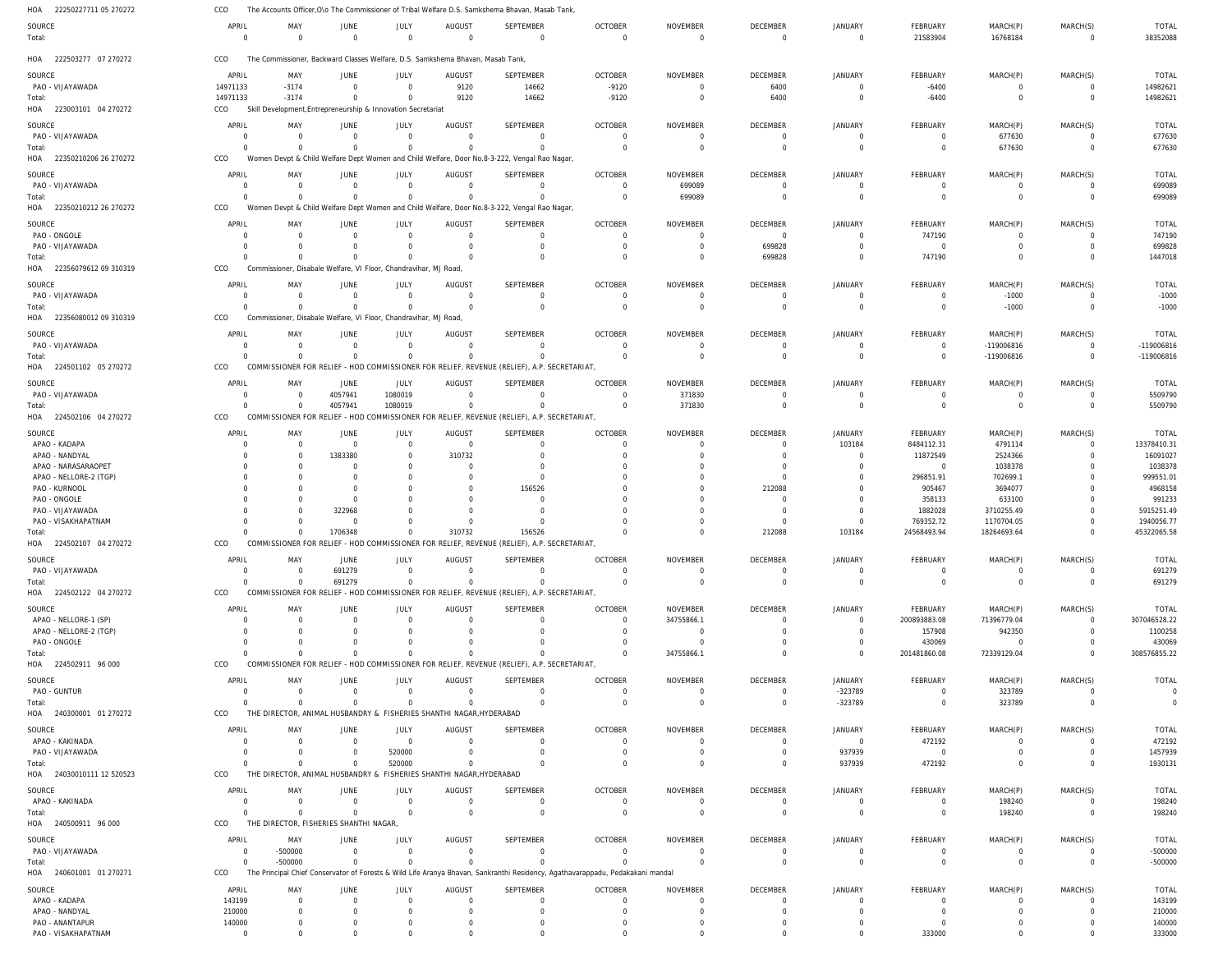| HOA<br>22250227711 05 270272      | CCO                     |                                                                         |                                  |                         |                                                                                 | The Accounts Officer, O\o The Commissioner of Tribal Welfare D.S. Samkshema Bhavan, Masab Tank,        |                                                                                                                                |                                   |                            |                            |                                  |                                |                               |                              |
|-----------------------------------|-------------------------|-------------------------------------------------------------------------|----------------------------------|-------------------------|---------------------------------------------------------------------------------|--------------------------------------------------------------------------------------------------------|--------------------------------------------------------------------------------------------------------------------------------|-----------------------------------|----------------------------|----------------------------|----------------------------------|--------------------------------|-------------------------------|------------------------------|
| SOURCE<br>Total:                  | APRIL<br>$\Omega$       | MAY<br>$\Omega$                                                         | JUNE<br>$\overline{0}$           | JULY<br>$\mathbf 0$     | <b>AUGUST</b><br>$\Omega$                                                       | <b>SEPTEMBER</b><br>$\Omega$                                                                           | <b>OCTOBER</b><br>$\overline{0}$                                                                                               | <b>NOVEMBER</b><br>$\overline{0}$ | DECEMBER<br>$\overline{0}$ | <b>JANUARY</b><br>$\Omega$ | FEBRUARY<br>21583904             | MARCH(P)<br>16768184           | MARCH(S)<br>$\Omega$          | <b>TOTAL</b><br>38352088     |
| HOA 222503277 07 270272           | CCO                     |                                                                         |                                  |                         | The Commissioner, Backward Classes Welfare, D.S. Samkshema Bhavan, Masab Tank,  |                                                                                                        |                                                                                                                                |                                   |                            |                            |                                  |                                |                               |                              |
| SOURCE                            | APRIL                   | MAY                                                                     | JUNE                             | JULY                    | <b>AUGUST</b>                                                                   | <b>SEPTEMBER</b>                                                                                       | <b>OCTOBER</b>                                                                                                                 | NOVEMBER                          | DECEMBER                   | <b>JANUARY</b>             | FEBRUARY                         | MARCH(P)                       | MARCH(S)                      | <b>TOTAL</b>                 |
| PAO - VIJAYAWADA                  | 14971133                | $-3174$                                                                 | $\overline{0}$                   | $\mathbf 0$             | 9120                                                                            | 14662                                                                                                  | $-9120$                                                                                                                        | $\overline{0}$                    | 6400                       | $\Omega$                   | $-6400$                          | $\mathbf 0$                    | $\mathbf 0$                   | 14982621                     |
| Total:<br>HOA 223003101 04 270272 | 14971133<br>CCO         | $-3174$<br>Skill Development, Entrepreneurship & Innovation Secretariat | $\Omega$                         | $\Omega$                | 9120                                                                            | 14662                                                                                                  | $-9120$                                                                                                                        | $\overline{0}$                    | 6400                       | $\Omega$                   | $-6400$                          | $\mathbf 0$                    | $\mathbf 0$                   | 14982621                     |
| SOURCE                            | APRIL                   | MAY                                                                     | JUNE                             | JULY                    | <b>AUGUST</b>                                                                   | SEPTEMBER                                                                                              | <b>OCTOBER</b>                                                                                                                 | <b>NOVEMBER</b>                   | DECEMBER                   | JANUARY                    | FEBRUARY                         | MARCH(P)                       | MARCH(S)                      | <b>TOTAL</b>                 |
| PAO - VIJAYAWADA                  | - 0                     | $\Omega$                                                                | $\Omega$                         | $\Omega$                | $\Omega$                                                                        | $\Omega$                                                                                               | $\Omega$                                                                                                                       | $\Omega$                          | $\Omega$                   | $\Omega$                   | 0                                | 677630                         | $\Omega$                      | 677630                       |
| Total:                            | $\Omega$                | $\Omega$                                                                | $\Omega$                         | $\Omega$                | $\Omega$                                                                        | $\Omega$                                                                                               | $\Omega$                                                                                                                       | $\Omega$                          | $\Omega$                   | $\Omega$                   | $\Omega$                         | 677630                         | $\Omega$                      | 677630                       |
| 22350210206 26 270272<br>HOA      | CCO                     |                                                                         |                                  |                         |                                                                                 | Women Devpt & Child Welfare Dept Women and Child Welfare, Door No.8-3-222, Vengal Rao Nagar            |                                                                                                                                |                                   |                            |                            |                                  |                                |                               |                              |
| SOURCE<br>PAO - VIJAYAWADA        | APRIL<br>- 0            | MAY<br>$\Omega$                                                         | JUNE<br>$\overline{0}$           | JULY<br>$\mathbf 0$     | <b>AUGUST</b><br>$\Omega$                                                       | <b>SEPTEMBER</b><br>$\mathbf 0$                                                                        | <b>OCTOBER</b><br>$\overline{0}$                                                                                               | <b>NOVEMBER</b><br>699089         | DECEMBER<br>$\overline{0}$ | JANUARY<br>$\Omega$        | FEBRUARY<br>$\overline{0}$       | MARCH(P)<br>$\overline{0}$     | MARCH(S)<br>$\mathbf 0$       | <b>TOTAL</b><br>699089       |
| Total:                            | $\Omega$                | $\Omega$                                                                | $\Omega$                         | $\Omega$                | $\cap$                                                                          | $\Omega$                                                                                               | $\Omega$                                                                                                                       | 699089                            | $\Omega$                   | $\Omega$                   | $\mathbf 0$                      | $\overline{0}$                 | $\mathbf 0$                   | 699089                       |
| 22350210212 26 270272<br>HOA      | CCO                     |                                                                         |                                  |                         |                                                                                 | Women Devpt & Child Welfare Dept Women and Child Welfare, Door No.8-3-222, Vengal Rao Nagar            |                                                                                                                                |                                   |                            |                            |                                  |                                |                               |                              |
| SOURCE                            | APRIL                   | MAY                                                                     | JUNE                             | JULY                    | <b>AUGUST</b>                                                                   | SEPTEMBER                                                                                              | <b>OCTOBER</b>                                                                                                                 | <b>NOVEMBER</b>                   | DECEMBER                   | <b>JANUARY</b>             | FEBRUARY                         | MARCH(P)                       | MARCH(S)                      | <b>TOTAL</b>                 |
| PAO - ONGOLE<br>PAO - VIJAYAWADA  | $\Omega$<br>$\Omega$    | $\Omega$                                                                | $\Omega$<br>$\Omega$             | $\mathbf 0$<br>$\Omega$ | $\Omega$<br>$\Omega$                                                            | $\Omega$<br>$\mathbf 0$                                                                                | $\Omega$<br>$\overline{0}$                                                                                                     | $\Omega$<br>$\overline{0}$        | $\Omega$<br>699828         | $\Omega$<br>$\Omega$       | 747190<br>$\overline{0}$         | $\Omega$<br>$\mathbf 0$        | $\Omega$<br>$\mathbf 0$       | 747190<br>699828             |
| Total:                            | $\Omega$                |                                                                         | $\Omega$                         | $\Omega$                | $\cap$                                                                          | $\Omega$                                                                                               | $\Omega$                                                                                                                       | $\Omega$                          | 699828                     | $\Omega$                   | 747190                           | $\Omega$                       | $\Omega$                      | 1447018                      |
| 22356079612 09 310319<br>HOA      | CCO                     | Commissioner, Disabale Welfare, VI Floor, Chandravihar, MJ Road,        |                                  |                         |                                                                                 |                                                                                                        |                                                                                                                                |                                   |                            |                            |                                  |                                |                               |                              |
| SOURCE                            | APRIL                   | MAY                                                                     | JUNE                             | JULY                    | AUGUST                                                                          | SEPTEMBER                                                                                              | <b>OCTOBER</b>                                                                                                                 | <b>NOVEMBER</b>                   | DECEMBER                   | JANUARY                    | FEBRUARY                         | MARCH(P)                       | MARCH(S)                      | <b>TOTAL</b>                 |
| PAO - VIJAYAWADA<br>Total:        | $\Omega$<br>$\Omega$    | $\Omega$<br>$\Omega$                                                    | $\overline{0}$<br>$\overline{0}$ | $\mathbf 0$<br>$\Omega$ | $\overline{0}$<br>$\Omega$                                                      | $\mathbf 0$<br>$\mathbf 0$                                                                             | $\overline{0}$<br>$\Omega$                                                                                                     | $\overline{0}$<br>$\Omega$        | $\Omega$<br>$\Omega$       | $\Omega$<br>$\Omega$       | $\overline{0}$<br>$\overline{0}$ | $-1000$<br>$-1000$             | $\mathbf 0$<br>$\mathbf 0$    | $-1000$<br>$-1000$           |
| HOA<br>22356080012 09 310319      | CCO                     | Commissioner, Disabale Welfare, VI Floor, Chandravihar, MJ Road,        |                                  |                         |                                                                                 |                                                                                                        |                                                                                                                                |                                   |                            |                            |                                  |                                |                               |                              |
| SOURCE                            | APRIL                   | MAY                                                                     | JUNE                             | JULY                    | <b>AUGUST</b>                                                                   | SEPTEMBER                                                                                              | <b>OCTOBER</b>                                                                                                                 | <b>NOVEMBER</b>                   | DECEMBER                   | <b>JANUARY</b>             | FEBRUARY                         | MARCH(P)                       | MARCH(S)                      | <b>TOTAL</b>                 |
| PAO - VIJAYAWADA                  | $\Omega$                | $\Omega$                                                                | $\Omega$                         | $\Omega$                | $\Omega$                                                                        | $\Omega$                                                                                               | $\Omega$                                                                                                                       | $\Omega$                          | $\Omega$                   | $\Omega$                   | $\overline{0}$                   | -119006816                     | $\Omega$                      | -119006816                   |
| Total:<br>HOA 224501102 05 270272 | $\Omega$<br>CCO         | $\Omega$                                                                | $\Omega$                         | $\Omega$                | $\Omega$                                                                        | $\Omega$<br>COMMISSIONER FOR RELIEF - HOD COMMISSIONER FOR RELIEF, REVENUE (RELIEF), A.P. SECRETARIAT, | $\Omega$                                                                                                                       | $\Omega$                          | $\Omega$                   | $\Omega$                   | $\overline{0}$                   | -119006816                     | $\mathbf 0$                   | -119006816                   |
|                                   |                         |                                                                         |                                  |                         |                                                                                 |                                                                                                        |                                                                                                                                |                                   |                            |                            |                                  |                                |                               |                              |
| SOURCE<br>PAO - VIJAYAWADA        | APRIL<br>$\Omega$       | MAY<br>$\Omega$                                                         | JUNE<br>4057941                  | JULY<br>1080019         | AUGUST<br>$\overline{0}$                                                        | SEPTEMBER<br>$\overline{0}$                                                                            | <b>OCTOBER</b><br>$\Omega$                                                                                                     | <b>NOVEMBER</b><br>371830         | DECEMBER<br>$\overline{0}$ | <b>JANUARY</b><br>$\Omega$ | FEBRUARY<br>$\overline{0}$       | MARCH(P)<br>0                  | MARCH(S)<br>$\overline{0}$    | <b>TOTAL</b><br>5509790      |
| Total:                            | $\Omega$                | $\Omega$                                                                | 4057941                          | 1080019                 | $\Omega$                                                                        | $\mathbf 0$                                                                                            | $\Omega$                                                                                                                       | 371830                            | $\mathbf 0$                | $\Omega$                   | $\mathbf 0$                      | $\mathbf 0$                    | $\mathbf 0$                   | 5509790                      |
| HOA 224502106 04 270272           | CCO                     |                                                                         |                                  |                         |                                                                                 | COMMISSIONER FOR RELIEF - HOD COMMISSIONER FOR RELIEF, REVENUE (RELIEF), A.P. SECRETARIAT,             |                                                                                                                                |                                   |                            |                            |                                  |                                |                               |                              |
| SOURCE                            | APRIL                   | MAY                                                                     | JUNE                             | JULY                    | AUGUST                                                                          | SEPTEMBER                                                                                              | <b>OCTOBER</b>                                                                                                                 | <b>NOVEMBER</b>                   | DECEMBER                   | JANUARY                    | FEBRUARY                         | MARCH(P)                       | MARCH(S)                      | <b>TOTAL</b>                 |
| APAO - KADAPA<br>APAO - NANDYAL   | - 0<br>- 0              | $\Omega$<br>$\Omega$                                                    | $\Omega$<br>1383380              | $\mathbf 0$<br>$\Omega$ | $\Omega$<br>310732                                                              | $\Omega$<br>$\Omega$                                                                                   | $\Omega$<br>$\Omega$                                                                                                           | - 0<br>$\Omega$                   | $\Omega$<br>$\Omega$       | 103184<br>$\Omega$         | 8484112.31<br>11872549           | 4791114<br>2524366             | $\Omega$<br>$\Omega$          | 13378410.31<br>16091027      |
| APAO - NARASARAOPET               | - 0                     |                                                                         | $\Omega$                         | $\Omega$                | $\Omega$                                                                        | $\Omega$                                                                                               | $\Omega$                                                                                                                       | - 0                               | $\Omega$                   | $\Omega$                   | $\overline{0}$                   | 1038378                        | $\Omega$                      | 1038378                      |
| APAO - NELLORE-2 (TGP)            | - 0                     |                                                                         | $\Omega$                         | $\Omega$                | $\Omega$                                                                        | $\Omega$                                                                                               |                                                                                                                                | $\Omega$                          | $\Omega$                   | $\Omega$                   | 296851.91                        | 702699.1                       | $\Omega$                      | 999551.01                    |
| PAO - KURNOOL<br>PAO - ONGOLE     | - 0<br>- 0              |                                                                         | $\Omega$<br>$\Omega$             | O<br>O                  | $\Omega$<br>$\Omega$                                                            | 156526<br>$\Omega$                                                                                     |                                                                                                                                | - 0<br>- 0                        | 212088<br>$\Omega$         | $\Omega$                   | 905467<br>358133                 | 3694077<br>633100              | $\Omega$<br>$\Omega$          | 4968158<br>991233            |
| PAO - VIJAYAWADA                  | - 0                     |                                                                         | 322968                           | $\Omega$                |                                                                                 | $\Omega$                                                                                               |                                                                                                                                | $\Omega$                          | $\Omega$                   | $\Omega$                   | 1882028                          | 3710255.49                     | $\Omega$                      | 5915251.49                   |
| PAO - VISAKHAPATNAM               | - 0<br>- 0              |                                                                         | $\Omega$                         | O<br>$\Omega$           |                                                                                 | $\Omega$                                                                                               |                                                                                                                                | $\Omega$<br>$\Omega$              | $\Omega$                   | $\Omega$                   | 769352.72                        | 1170704.05                     | $\Omega$<br>$\Omega$          | 1940056.77                   |
| Total:<br>HOA 224502107 04 270272 | <b>CCO</b>              |                                                                         | 1706348                          |                         | 310732                                                                          | 156526<br>COMMISSIONER FOR RELIEF - HOD COMMISSIONER FOR RELIEF, REVENUE (RELIEF), A.P. SECRETARIAT,   |                                                                                                                                |                                   | 212088                     | 103184                     | 24568493.94                      | 18264693.64                    |                               | 45322065.58                  |
| SOURCE                            | APRIL                   | MAY                                                                     | JUNE                             | JULY                    | AUGUST                                                                          | SEPTEMBER                                                                                              | <b>OCTOBER</b>                                                                                                                 | <b>NOVEMBER</b>                   | DECEMBER                   | JANUARY                    | FEBRUARY                         | MARCH(P)                       | MARCH(S)                      | TOTAL                        |
| PAO - VIJAYAWADA                  | $\mathbf 0$             | $\Omega$                                                                | 691279                           | $\mathbf 0$             | $\overline{0}$                                                                  | $\overline{0}$                                                                                         | $\overline{0}$                                                                                                                 | $\overline{0}$                    | $\overline{0}$             | $\overline{0}$             | 0                                | $\mathbf 0$                    | $\mathbf 0$                   | 691279                       |
| Total:                            | $\Omega$<br>CCO         | $\Omega$                                                                | 691279                           | $\mathbf 0$             | $\Omega$                                                                        | $\mathbf 0$                                                                                            | $\Omega$                                                                                                                       | $\mathbf 0$                       | $\mathbf 0$                | $\overline{0}$             | $\mathbf 0$                      | $\mathbf 0$                    | $\mathbf 0$                   | 691279                       |
| HOA 224502122 04 270272           |                         |                                                                         |                                  |                         |                                                                                 | COMMISSIONER FOR RELIEF - HOD COMMISSIONER FOR RELIEF, REVENUE (RELIEF), A.P. SECRETARIAT,             |                                                                                                                                |                                   |                            |                            |                                  |                                |                               |                              |
| SOURCE<br>APAO - NELLORE-1 (SP)   | APRIL<br>$\Omega$       | MAY<br>$\Omega$                                                         | JUNE<br>$\Omega$                 | JULY<br>$\Omega$        | <b>AUGUST</b><br>$\Omega$                                                       | <b>SEPTEMBER</b><br>$\Omega$                                                                           | <b>OCTOBER</b><br>$\Omega$                                                                                                     | <b>NOVEMBER</b><br>34755866.1     | DECEMBER<br>$\Omega$       | <b>JANUARY</b><br>$\Omega$ | FEBRUARY<br>200893883.08         | MARCH(P)<br>71396779.04        | MARCH(S)<br>$\Omega$          | <b>TOTAL</b><br>307046528.22 |
| APAO - NELLORE-2 (TGP)            | - 0                     | $\Omega$                                                                | <sup>0</sup>                     | $\Omega$                | $\Omega$                                                                        | $\Omega$                                                                                               | $\Omega$                                                                                                                       | $\overline{0}$                    | $\Omega$                   | $\Omega$                   | 157908                           | 942350                         | $\Omega$                      | 1100258                      |
| PAO - ONGOLE<br>Total:            | $\Omega$<br>$\Omega$    |                                                                         | <sup>0</sup><br>$\Omega$         | $\Omega$<br>$\Omega$    | $\Omega$                                                                        | $\Omega$<br>$\Omega$                                                                                   | $\mathbf 0$<br>$\Omega$                                                                                                        | $\Omega$<br>34755866.1            | $\Omega$<br>$\Omega$       | $\Omega$<br>$\Omega$       | 430069<br>201481860.08           | $\overline{0}$<br>72339129.04  | $\Omega$<br>$\Omega$          | 430069<br>308576855.22       |
| HOA 224502911 96 000              | CCO                     |                                                                         |                                  |                         |                                                                                 | COMMISSIONER FOR RELIEF - HOD COMMISSIONER FOR RELIEF, REVENUE (RELIEF), A.P. SECRETARIAT,             |                                                                                                                                |                                   |                            |                            |                                  |                                |                               |                              |
| SOURCE                            | APRIL                   | MAY                                                                     | JUNE                             | JULY                    | <b>AUGUST</b>                                                                   | SEPTEMBER                                                                                              | <b>OCTOBER</b>                                                                                                                 | <b>NOVEMBER</b>                   | DECEMBER                   | <b>JANUARY</b>             | FEBRUARY                         | MARCH(P)                       | MARCH(S)                      | <b>TOTAL</b>                 |
| PAO - GUNTUR                      | 0                       | $\Omega$                                                                | $\overline{0}$                   | $\mathbf 0$             | $\overline{0}$                                                                  | $\overline{0}$                                                                                         | $\overline{0}$                                                                                                                 | $\overline{0}$                    | $\overline{0}$             | -323789                    | $\mathbf 0$                      | 323789                         | $\mathbf 0$                   | $\overline{0}$               |
| Total:<br>HOA 240300001 01 270272 | $\Omega$<br>CCO         | $\Omega$                                                                | $\Omega$                         | $\mathbf 0$             | $\Omega$<br>THE DIRECTOR, ANIMAL HUSBANDRY & FISHERIES SHANTHI NAGAR, HYDERABAD | $\mathbf 0$                                                                                            | $\Omega$                                                                                                                       | $\overline{0}$                    | $\mathbf 0$                | -323789                    | $\mathbf 0$                      | 323789                         | $\mathbf 0$                   | $\overline{0}$               |
|                                   |                         |                                                                         |                                  |                         |                                                                                 |                                                                                                        |                                                                                                                                |                                   |                            |                            |                                  |                                |                               |                              |
| SOURCE<br>APAO - KAKINADA         | APRIL<br>$\Omega$       | MAY<br>$\Omega$                                                         | JUNE<br>$\overline{0}$           | JULY<br>$\overline{0}$  | <b>AUGUST</b><br>$\Omega$                                                       | <b>SEPTEMBER</b><br>$\Omega$                                                                           | <b>OCTOBER</b><br>$\Omega$                                                                                                     | NOVEMBER<br>$\Omega$              | DECEMBER<br>$\Omega$       | <b>JANUARY</b><br>$\Omega$ | FEBRUARY<br>472192               | MARCH(P)<br>$\Omega$           | MARCH(S)<br>$\Omega$          | <b>TOTAL</b><br>472192       |
| PAO - VIJAYAWADA                  | $\Omega$                | $\Omega$                                                                | $\Omega$                         | 520000                  | $\Omega$                                                                        | $\mathbf 0$                                                                                            | $\overline{0}$                                                                                                                 | $\overline{0}$                    | $\overline{0}$             | 937939                     | $\overline{0}$                   | $^{\circ}$                     | $\mathbf 0$                   | 1457939                      |
| Total:                            | $\Omega$<br>CCO         |                                                                         | $\Omega$                         | 520000                  | $\Omega$<br>FISHERIES SHANTHI NAGAR, HYDERABAD                                  | $\Omega$                                                                                               | $\Omega$                                                                                                                       | $\Omega$                          | $\Omega$                   | 937939                     | 472192                           | $\mathbf 0$                    | $\Omega$                      | 1930131                      |
| HOA 24030010111 12 520523         |                         | THE DIRECTOR, ANIMAL HUSBANDRY &                                        |                                  |                         |                                                                                 |                                                                                                        |                                                                                                                                |                                   |                            |                            |                                  |                                |                               |                              |
| SOURCE<br>APAO - KAKINADA         | APRIL<br>$\overline{0}$ | MAY<br>$\Omega$                                                         | JUNE<br>$\overline{0}$           | JULY<br>$\mathbf 0$     | <b>AUGUST</b><br>$\overline{0}$                                                 | <b>SEPTEMBER</b><br>$\overline{0}$                                                                     | <b>OCTOBER</b><br>$\overline{0}$                                                                                               | <b>NOVEMBER</b><br>$\overline{0}$ | DECEMBER<br>$\overline{0}$ | JANUARY<br>$\Omega$        | FEBRUARY<br>$\mathbf 0$          | MARCH(P)<br>198240             | MARCH(S)<br>$\mathbf 0$       | <b>TOTAL</b><br>198240       |
| Total:                            | $\Omega$                | $\Omega$                                                                | $\mathbf 0$                      | $\mathbf 0$             | $\Omega$                                                                        | $\overline{0}$                                                                                         | $\Omega$                                                                                                                       | $\Omega$                          | $\Omega$                   | $\Omega$                   | $\mathbf 0$                      | 198240                         | $\mathbf 0$                   | 198240                       |
| HOA 240500911 96 000              | CCO                     | THE DIRECTOR, FISHERIES SHANTHI NAGAR,                                  |                                  |                         |                                                                                 |                                                                                                        |                                                                                                                                |                                   |                            |                            |                                  |                                |                               |                              |
| SOURCE                            | APRIL                   | MAY                                                                     | JUNE                             | JULY                    | <b>AUGUST</b>                                                                   | <b>SEPTEMBER</b>                                                                                       | <b>OCTOBER</b>                                                                                                                 | NOVEMBER                          | DECEMBER                   | JANUARY                    | FEBRUARY                         | MARCH(P)                       | MARCH(S)                      | <b>TOTAL</b>                 |
| PAO - VIJAYAWADA<br>Total:        | 0<br>$\Omega$           | $-500000$<br>$-500000$                                                  | $\overline{0}$<br>$\Omega$       | $\mathbf 0$<br>$\Omega$ | $\Omega$<br>$\Omega$                                                            | $\Omega$<br>$\Omega$                                                                                   | $\Omega$<br>$\Omega$                                                                                                           | $\overline{0}$<br>$\Omega$        | $\overline{0}$<br>$\Omega$ | $\Omega$<br>$\Omega$       | $^{\circ}$<br>$\mathbf 0$        | $\mathbf{0}$<br>$\overline{0}$ | $\overline{0}$<br>$\mathbf 0$ | -500000<br>$-500000$         |
| HOA 240601001 01 270271           | CCO                     |                                                                         |                                  |                         |                                                                                 |                                                                                                        | The Principal Chief Conservator of Forests & Wild Life Aranya Bhavan, Sankranthi Residency, Agathavarappadu, Pedakakani mandal |                                   |                            |                            |                                  |                                |                               |                              |
| SOURCE                            | APRIL                   | MAY                                                                     | JUNE                             | JULY                    | AUGUST                                                                          | SEPTEMBER                                                                                              | <b>OCTOBER</b>                                                                                                                 | NOVEMBER                          | DECEMBER                   | <b>JANUARY</b>             | FEBRUARY                         | MARCH(P)                       | MARCH(S)                      | <b>TOTAL</b>                 |
| APAO - KADAPA                     | 143199                  | $\overline{0}$                                                          | $\overline{0}$                   | $\mathbf 0$             | $\Omega$                                                                        | $\mathbf 0$                                                                                            | $\Omega$                                                                                                                       | $\overline{0}$                    | $\Omega$                   | $\Omega$                   | $\mathbf 0$                      | $^{\circ}$                     | $\Omega$                      | 143199                       |
| APAO - NANDYAL<br>PAO - ANANTAPUR | 210000<br>140000        | $\Omega$<br>$\Omega$                                                    | $\Omega$<br>$\mathbf{0}$         | $\Omega$<br>$\mathbf 0$ | $\Omega$<br>$\Omega$                                                            | $\mathbf 0$<br>$\mathbf 0$                                                                             | $\Omega$<br>0                                                                                                                  | $\overline{0}$<br>$\overline{0}$  | $\Omega$<br>$\overline{0}$ | $\Omega$<br>$\Omega$       | $\Omega$<br>$\mathbf 0$          | $\mathbf 0$<br>$\mathbf 0$     | $\mathbf 0$<br>$\mathbf 0$    | 210000<br>140000             |
| PAO - VISAKHAPATNAM               | $\overline{0}$          | $\Omega$                                                                | $\Omega$                         | $\mathbf 0$             | $\Omega$                                                                        | $\overline{0}$                                                                                         | $\Omega$                                                                                                                       | $\Omega$                          | $\Omega$                   | $\Omega$                   | 333000                           | $\mathbf 0$                    | $\Omega$                      | 333000                       |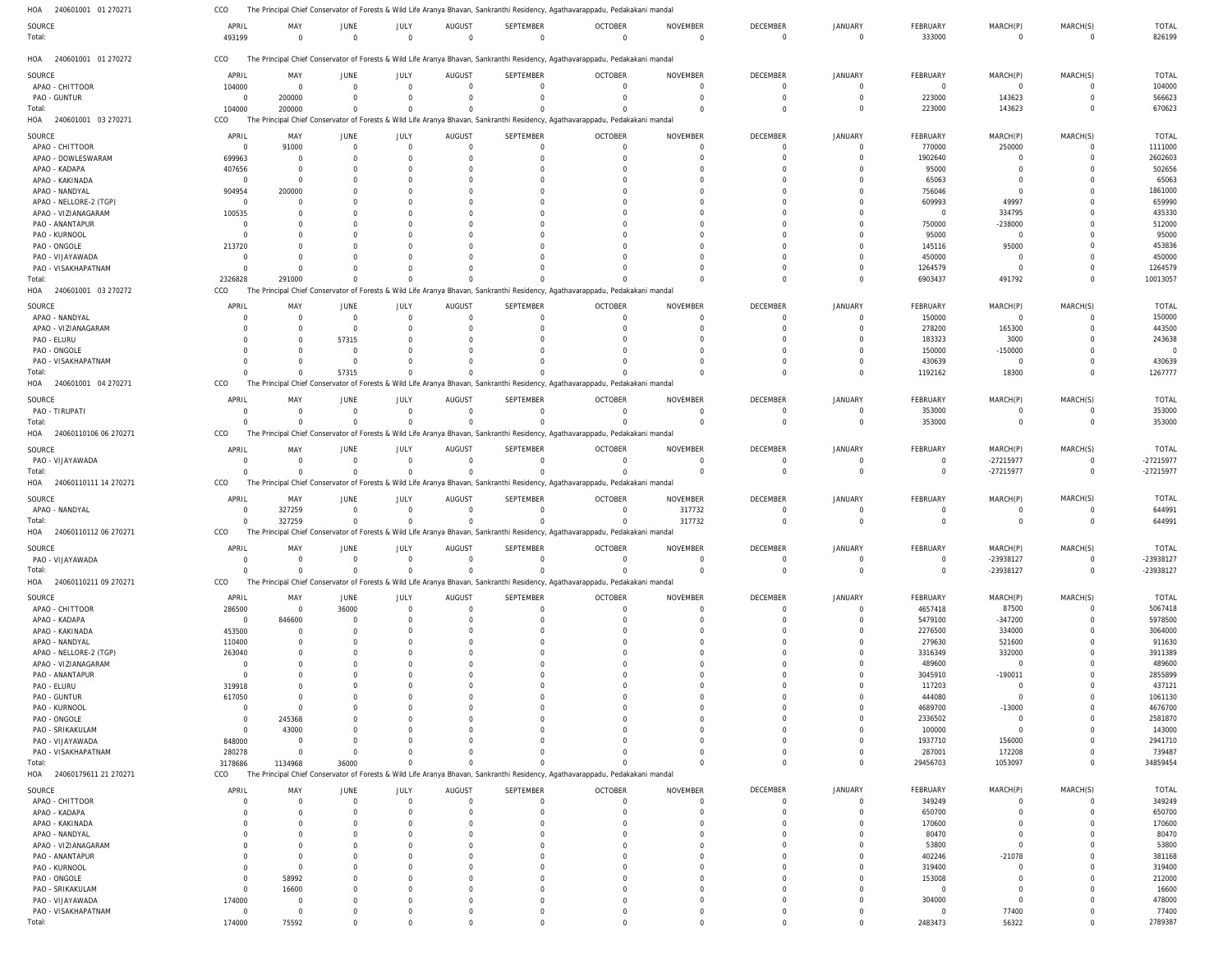| HOA 240601001 01 270271                       | CCO                        |                      |                            |             |                            |                       | The Principal Chief Conservator of Forests & Wild Life Aranya Bhavan, Sankranthi Residency, Agathavarappadu, Pedakakani mandal |                             |                             |                           |                         |                  |                         |                   |
|-----------------------------------------------|----------------------------|----------------------|----------------------------|-------------|----------------------------|-----------------------|--------------------------------------------------------------------------------------------------------------------------------|-----------------------------|-----------------------------|---------------------------|-------------------------|------------------|-------------------------|-------------------|
| SOURCE                                        | APRIL                      | MAY                  | JUNE                       | JULY        | AUGUST                     | SEPTEMBER             | <b>OCTOBER</b>                                                                                                                 | <b>NOVEMBER</b>             | <b>DECEMBER</b>             | JANUARY                   | <b>FEBRUARY</b>         | MARCH(P)         | MARCH(S)                | <b>TOTAL</b>      |
| Total:                                        | 493199                     | $\Omega$             | $\Omega$                   |             | $\overline{0}$<br>$\Omega$ | $\mathbf 0$           | $\Omega$                                                                                                                       | $\Omega$                    | $\Omega$                    | $\Omega$                  | 333000                  | $\Omega$         | $\mathbf 0$             | 826199            |
| HOA 240601001 01 270272                       | CCO                        |                      |                            |             |                            |                       | The Principal Chief Conservator of Forests & Wild Life Aranya Bhavan, Sankranthi Residency, Agathavarappadu, Pedakakani mandal |                             |                             |                           |                         |                  |                         |                   |
| SOURCE                                        | APRIL                      | MAY                  | JUNE                       | JULY        | AUGUST                     | SEPTEMBER             | <b>OCTOBER</b>                                                                                                                 | <b>NOVEMBER</b>             | DECEMBER                    | JANUARY                   | FEBRUARY                | MARCH(P)         | MARCH(S)                | TOTAL             |
| APAO - CHITTOOR                               | 104000                     | $\overline{0}$       | $\overline{0}$             |             | $\mathbf 0$<br>$\Omega$    | $\mathbf 0$           | $\overline{0}$                                                                                                                 | $\overline{0}$              | $\Omega$                    | $\mathbf 0$               | $\overline{0}$          | $\overline{0}$   | 0                       | 104000            |
| PAO - GUNTUR                                  | $\overline{0}$             | 200000               | $\Omega$                   |             | $\Omega$<br>$\Omega$       | $\Omega$              | $\overline{0}$                                                                                                                 | $\overline{0}$              | $\Omega$                    | $\mathbf 0$               | 223000                  | 143623           | $\mathbf 0$             | 566623            |
| Total:                                        | 104000                     | 200000               | $\Omega$                   |             | $\Omega$                   | $\Omega$              | $\Omega$                                                                                                                       | $\Omega$                    | $\Omega$                    | $\Omega$                  | 223000                  | 143623           | $\Omega$                | 670623            |
| HOA 240601001 03 270271                       | CCO                        |                      |                            |             |                            |                       | The Principal Chief Conservator of Forests & Wild Life Aranya Bhavan, Sankranthi Residency, Agathavarappadu, Pedakakani mandal |                             |                             |                           |                         |                  |                         |                   |
| SOURCE                                        | APRIL                      | MAY                  | JUNE                       | JULY        | AUGUST                     | SEPTEMBER             | <b>OCTOBER</b>                                                                                                                 | <b>NOVEMBER</b>             | <b>DECEMBER</b>             | JANUARY                   | <b>FEBRUARY</b>         | MARCH(P)         | MARCH(S)                | <b>TOTAL</b>      |
| APAO - CHITTOOR                               | $\overline{0}$             | 91000                | $\overline{0}$             |             | $\Omega$<br>$\overline{0}$ | 0                     | $\mathbf 0$                                                                                                                    | $\Omega$                    | $\Omega$                    | $\Omega$                  | 770000                  | 250000           | $\Omega$                | 1111000           |
| APAO - DOWLESWARAM                            | 699963                     | $\Omega$             | -0                         |             | $\Omega$                   | 0                     | $\Omega$                                                                                                                       | $\Omega$                    | $\Omega$                    | $\Omega$                  | 1902640                 | $\Omega$         | $\Omega$                | 2602603           |
| APAO - KADAPA                                 | 407656                     | $\Omega$             |                            |             | 0                          | 0                     | $\Omega$                                                                                                                       | $\Omega$                    |                             | $\Omega$                  | 95000                   |                  | $\Omega$                | 502656            |
| APAO - KAKINADA                               | $\overline{0}$             | $\Omega$             |                            |             | C                          |                       | $\Omega$                                                                                                                       | $\Omega$                    |                             | $\Omega$                  | 65063                   |                  | $\Omega$                | 65063             |
| APAO - NANDYAL                                | 904954                     | 200000               |                            |             | C                          |                       |                                                                                                                                | $\Omega$                    |                             | $\Gamma$                  | 756046                  | $\Omega$         | $\Omega$                | 1861000           |
| APAO - NELLORE-2 (TGP)                        | $\Omega$                   | $\Omega$             |                            |             |                            |                       |                                                                                                                                | $\Omega$                    |                             | $\Gamma$                  | 609993                  | 49997            | $\Omega$                | 659990            |
| APAO - VIZIANAGARAM                           | 100535                     | $\Omega$             |                            |             | C                          |                       |                                                                                                                                | $\Omega$                    |                             | $\Omega$                  | $\Omega$                | 334795           | $\Omega$                | 435330            |
| PAO - ANANTAPUR                               | $\Omega$                   | $\Omega$             |                            |             |                            |                       |                                                                                                                                |                             |                             | $\Gamma$                  | 750000                  | $-238000$        | O                       | 512000            |
| PAO - KURNOOL                                 | $\Omega$                   | $\Omega$             |                            |             | C                          |                       |                                                                                                                                | $\Omega$                    |                             | $\Omega$                  | 95000                   | $\overline{0}$   | $\Omega$                | 95000             |
| PAO - ONGOLE                                  | 213720                     | $\Omega$             |                            |             |                            |                       |                                                                                                                                | $\Omega$                    |                             | $\Gamma$                  | 145116                  | 95000            | $\Omega$                | 453836            |
| PAO - VIJAYAWADA                              | $\Omega$                   | $\Omega$             |                            |             |                            |                       |                                                                                                                                | $\Omega$                    | $\Omega$                    | $\Omega$                  | 450000                  | $\overline{0}$   | $\Omega$                | 450000            |
| PAO - VISAKHAPATNAM                           | $\overline{0}$             | $\Omega$             | -0                         |             |                            |                       |                                                                                                                                | $\Omega$                    | $\Omega$                    | $\Omega$                  | 1264579                 | $\Omega$         | $\Omega$                | 1264579           |
| Total:                                        | 2326828                    | 291000               | $\Omega$                   |             |                            | $\Omega$              |                                                                                                                                | $\Omega$                    |                             | $\Omega$                  | 6903437                 | 491792           | $\Omega$                | 10013057          |
| HOA<br>240601001 03 270272                    | CCO                        |                      |                            |             |                            |                       | The Principal Chief Conservator of Forests & Wild Life Aranya Bhavan, Sankranthi Residency, Agathavarappadu, Pedakakani mandal |                             |                             |                           |                         |                  |                         |                   |
| SOURCE                                        | APRIL                      | MAY                  | JUNE                       | JULY        | AUGUST                     | SEPTEMBER             | <b>OCTOBER</b>                                                                                                                 | <b>NOVEMBER</b>             | <b>DECEMBER</b>             | <b>JANUARY</b>            | <b>FEBRUARY</b>         | MARCH(P)         | MARCH(S)                | <b>TOTAL</b>      |
| APAO - NANDYAL                                | $\Omega$                   | 0                    | 0                          |             | $\overline{0}$<br>$\Omega$ | $\mathbf 0$           | $\overline{0}$                                                                                                                 | $\overline{0}$              | $\Omega$                    | $\mathbf 0$               | 150000                  | $\overline{0}$   | 0                       | 150000            |
| APAO - VIZIANAGARAM                           | $\Omega$                   | $\Omega$             | $\overline{0}$             |             | $\Omega$<br>$\Omega$       | 0                     | $\Omega$                                                                                                                       | $\Omega$                    | $\Omega$                    | $\Omega$                  | 278200                  | 165300           | $\mathbf 0$             | 443500            |
| PAO - ELURU                                   |                            | $\Omega$             | 57315                      |             | $\Omega$<br>$\Omega$       |                       | $\Omega$                                                                                                                       | $\Omega$                    | $\Omega$                    | $\Omega$                  | 183323                  | 3000             | $\Omega$                | 243638            |
| PAO - ONGOLE                                  | $\Omega$                   | $\overline{0}$       | $\overline{0}$             |             | $\Omega$                   |                       | $\Omega$                                                                                                                       | $\Omega$                    | $\Omega$                    | $\Omega$                  | 150000                  | $-150000$        | $\Omega$                | $\Omega$          |
| PAO - VISAKHAPATNAM                           | $\Omega$                   | $\Omega$             | $\overline{0}$             |             | $\Omega$                   | 0                     |                                                                                                                                | $\Omega$                    | $\Omega$                    | $\Omega$                  | 430639                  | $\overline{0}$   | $\Omega$                | 430639            |
| Total:                                        | $\Omega$                   | $\Omega$             | 57315                      |             | $\Omega$                   | $\Omega$              |                                                                                                                                | $\Omega$                    | $\Omega$                    | $\Omega$                  | 1192162                 | 18300            | $\Omega$                | 1267777           |
| HOA 240601001 04 270271                       | CCO                        |                      |                            |             |                            |                       | The Principal Chief Conservator of Forests & Wild Life Aranya Bhavan, Sankranthi Residency, Agathavarappadu, Pedakakani mandal |                             |                             |                           |                         |                  |                         |                   |
| SOURCE                                        | APRIL                      | MAY                  | JUNE                       | JULY        | AUGUST                     | SEPTEMBER             | <b>OCTOBER</b>                                                                                                                 | <b>NOVEMBER</b>             | <b>DECEMBER</b>             | <b>JANUARY</b>            | <b>FEBRUARY</b>         | MARCH(P)         | MARCH(S)                | <b>TOTAL</b>      |
| PAO - TIRUPATI                                | $\Omega$                   | $\Omega$             | $\overline{0}$             |             | $\Omega$<br>$\overline{0}$ | $\mathbf 0$           | $\Omega$                                                                                                                       | $\Omega$                    | $\Omega$                    | $\Omega$                  | 353000                  | $\Omega$         | $\Omega$                | 353000            |
| Total:                                        | $\Omega$                   | $\Omega$             | $\Omega$                   |             | $\Omega$<br>$\Omega$       | $\Omega$              | $\Omega$                                                                                                                       | $\overline{0}$              | $\Omega$                    | $\Omega$                  | 353000                  | $\Omega$         | $\Omega$                | 353000            |
| HOA 24060110106 06 270271                     | CCO                        |                      |                            |             |                            |                       | The Principal Chief Conservator of Forests & Wild Life Aranya Bhavan, Sankranthi Residency, Agathavarappadu, Pedakakani mandal |                             |                             |                           |                         |                  |                         |                   |
| SOURCE                                        | APRIL                      | MAY                  | JUNE                       | JULY        | AUGUST                     | SEPTEMBER             | <b>OCTOBER</b>                                                                                                                 | <b>NOVEMBER</b>             | <b>DECEMBER</b>             | <b>JANUARY</b>            | FEBRUARY                | MARCH(P)         | MARCH(S)                | <b>TOTAL</b>      |
| PAO - VIJAYAWADA                              | $\Omega$                   | $\overline{0}$       | $\overline{0}$             |             | $\mathbf 0$<br>$\Omega$    | $\overline{0}$        | $\overline{0}$                                                                                                                 | $\overline{0}$              | $\overline{0}$              | 0                         | $\overline{0}$          | -27215977        | 0                       | -27215977         |
| Total:                                        | $\Omega$                   | $\Omega$             | $\Omega$                   |             | $\Omega$<br>$\Omega$       | $\Omega$              | $\Omega$                                                                                                                       | $\Omega$                    | $\Omega$                    | $\mathbf 0$               | $\mathbf 0$             | -27215977        | $\mathbf 0$             | -27215977         |
| HOA 24060110111 14 270271                     | CCO                        |                      |                            |             |                            |                       | The Principal Chief Conservator of Forests & Wild Life Aranya Bhavan, Sankranthi Residency, Agathavarappadu, Pedakakani mandal |                             |                             |                           |                         |                  |                         |                   |
|                                               | APRIL                      | MAY                  | JUNE                       | JULY        | AUGUST                     | SEPTEMBER             | <b>OCTOBER</b>                                                                                                                 | NOVEMBER                    | DECEMBER                    | <b>JANUARY</b>            | FEBRUARY                | MARCH(P)         | MARCH(S)                | TOTAL             |
| SOURCE<br>APAO - NANDYAL                      | $\overline{0}$             | 327259               | $\overline{0}$             |             | $\mathbf 0$<br>$\Omega$    | $\mathbf 0$           | $\overline{0}$                                                                                                                 | 317732                      | $\Omega$                    | $\overline{0}$            | $\mathbf 0$             | $\overline{0}$   | $\overline{0}$          | 644991            |
| Total:                                        | $\Omega$                   | 327259               | $\mathbf 0$                |             | $\Omega$<br>$\Omega$       | $\Omega$              | $\Omega$                                                                                                                       | 317732                      | $\Omega$                    | $\Omega$                  | $\mathbf 0$             | $\Omega$         | $\Omega$                | 644991            |
| HOA 24060110112 06 270271                     | CCO                        |                      |                            |             |                            |                       | The Principal Chief Conservator of Forests & Wild Life Aranya Bhavan, Sankranthi Residency, Agathavarappadu, Pedakakani mandal |                             |                             |                           |                         |                  |                         |                   |
|                                               |                            |                      |                            |             |                            |                       |                                                                                                                                |                             |                             |                           |                         |                  |                         |                   |
| SOURCE                                        | APRIL                      | MAY<br>$\Omega$      | JUNE                       | <b>JULY</b> | AUGUST<br>$\Omega$         | SEPTEMBER<br>$\Omega$ | <b>OCTOBER</b><br>$\Omega$                                                                                                     | <b>NOVEMBER</b><br>$\Omega$ | <b>DECEMBER</b><br>$\Omega$ | <b>JANUARY</b><br>$\circ$ | FEBRUARY<br>$\mathbf 0$ | MARCH(P)         | MARCH(S)<br>$\mathbf 0$ | TOTAL             |
| PAO - VIJAYAWADA                              | $\overline{0}$<br>$\Omega$ | $\Omega$             | $\overline{0}$<br>$\Omega$ |             | $\Omega$<br>$\Omega$       | $\Omega$              | $\Omega$                                                                                                                       | $\Omega$                    | $\Omega$                    | $\Omega$                  | $\Omega$                | -23938127        | $\mathbf 0$             | -23938127         |
| Total:<br>HOA 24060110211 09 270271           | CCO                        |                      |                            |             |                            |                       | The Principal Chief Conservator of Forests & Wild Life Aranya Bhavan, Sankranthi Residency, Agathavarappadu, Pedakakani mandal |                             |                             |                           |                         | -23938127        |                         | -23938127         |
|                                               |                            |                      |                            |             |                            |                       |                                                                                                                                |                             |                             |                           |                         |                  |                         |                   |
| SOURCE                                        | APRIL                      | MAY                  | JUNE                       | <b>JULY</b> | AUGUST                     | SEPTEMBER             | <b>OCTOBER</b>                                                                                                                 | <b>NOVEMBER</b>             | <b>DECEMBER</b>             | <b>JANUARY</b>            | FEBRUARY                | MARCH(P)         | MARCH(S)                | <b>TOTAL</b>      |
| APAO - CHITTOOR                               | 286500                     | $\overline{0}$       | 36000                      |             | $\Omega$<br>$\overline{0}$ | 0                     | $\mathbf 0$                                                                                                                    | $\Omega$                    | $\Omega$                    | $\Omega$                  | 4657418                 | 87500            | 0                       | 5067418           |
| APAO - KADAPA                                 | $\overline{0}$             | 846600               | 0                          |             | $\Omega$                   | $\Omega$              | $\mathbf 0$                                                                                                                    | $\overline{0}$              | $\Omega$                    | $\Omega$                  | 5479100                 | $-347200$        | $\mathbf 0$             | 5978500           |
| APAO - KAKINADA<br>APAO - NANDYAL             | 453500                     | $\Omega$             | -0                         |             | $\Omega$<br>$\Omega$       | $\Omega$<br>0         | $\Omega$<br>$\Omega$                                                                                                           | $\Omega$<br>$\Omega$        | $\Omega$<br>$\Omega$        | $\Omega$<br>$\Omega$      | 2276500<br>279630       | 334000           | $\Omega$<br>$\Omega$    | 3064000<br>911630 |
|                                               | 110400<br>263040           | $\Omega$<br>$\Omega$ |                            |             | $\Omega$                   | $\Omega$              | $\Omega$                                                                                                                       | $\Omega$                    | $\Omega$                    | $\Omega$                  | 3316349                 | 521600<br>332000 | $\Omega$                | 3911389           |
| APAO - NELLORE-2 (TGP)<br>APAO - VIZIANAGARAM | $\Omega$                   | $\Omega$             |                            |             | O                          |                       | $\Omega$                                                                                                                       | $\Omega$                    |                             | $\Omega$                  | 489600                  | $\overline{0}$   | $\Omega$                | 489600            |
| PAO - ANANTAPUR                               | $\Omega$                   | $\Omega$             |                            |             | O                          | 0                     | $\Omega$                                                                                                                       | $\Omega$                    | $\Omega$                    | $\Omega$                  | 3045910                 | $-190011$        | $\Omega$                | 2855899           |
| PAO - ELURU                                   | 319918                     | $\Omega$             |                            |             | O                          |                       | $\Omega$                                                                                                                       | $\Omega$                    |                             | $\Omega$                  | 117203                  | $\overline{0}$   | $\Omega$                | 437121            |
| PAO - GUNTUR                                  | 617050                     | $\Omega$             |                            |             | O                          | <sup>0</sup>          | $\Omega$                                                                                                                       | $\Omega$                    | $\Omega$                    | $\Omega$                  | 444080                  | $\Omega$         | $\Omega$                | 1061130           |
| PAO - KURNOOL                                 | $\overline{0}$             | $\Omega$             |                            |             |                            |                       | $\Omega$                                                                                                                       | $\Omega$                    |                             | $\Omega$                  | 4689700                 | $-13000$         | $\Omega$                | 4676700           |
| PAO - ONGOLE                                  | $\overline{0}$             | 245368               |                            |             | C                          | <sup>0</sup>          | $\Omega$                                                                                                                       | $\Omega$                    | $\cap$                      | $\Omega$                  | 2336502                 | $\overline{0}$   | $\Omega$                | 2581870           |
| PAO - SRIKAKULAM                              | $\overline{0}$             | 43000                |                            |             | O                          |                       | $\Omega$                                                                                                                       | $\Omega$                    | $\Omega$                    | $\Omega$                  | 100000                  | $\Omega$         | $\Omega$                | 143000            |
| PAO - VIJAYAWADA                              | 848000                     | $\Omega$             | $\Omega$                   |             | $\Omega$                   |                       | $\Omega$                                                                                                                       | $\Omega$                    | $\Omega$                    | $\Omega$                  | 1937710                 | 156000           | $\Omega$                | 2941710           |
| PAO - VISAKHAPATNAM                           | 280278                     | $\Omega$             | $\Omega$                   |             | $\Omega$                   |                       | $\Omega$                                                                                                                       | $\Omega$                    | $\Omega$                    | $\Omega$                  | 287001                  | 172208           | $\Omega$                | 739487            |
| Total:                                        | 3178686                    | 1134968              | 36000                      |             | $\Omega$                   | $\Omega$              |                                                                                                                                | $\Omega$                    | $\Omega$                    | $\Omega$                  | 29456703                | 1053097          | $\Omega$                | 34859454          |
| HOA 24060179611 21 270271                     | CCO                        |                      |                            |             |                            |                       | The Principal Chief Conservator of Forests & Wild Life Aranya Bhavan, Sankranthi Residency, Agathavarappadu, Pedakakani mandal |                             |                             |                           |                         |                  |                         |                   |
| SOURCE                                        | APRIL                      | MAY                  | JUNE                       | JULY        | AUGUST                     | SEPTEMBER             | <b>OCTOBER</b>                                                                                                                 | NOVEMBER                    | DECEMBER                    | JANUARY                   | FEBRUARY                | MARCH(P)         | MARCH(S)                | <b>TOTAL</b>      |
| APAO - CHITTOOR                               | $\Omega$                   | $\overline{0}$       | $\overline{0}$             |             | $\overline{0}$<br>$\Omega$ | $\Omega$              | $\mathbf 0$                                                                                                                    | $\Omega$                    | $\Omega$                    | $\mathbf 0$               | 349249                  | $\Omega$         | $\mathbf 0$             | 349249            |
| APAO - KADAPA                                 | $\Omega$                   | $\overline{0}$       | $\Omega$                   |             | $\Omega$<br>0              | $\Omega$              | $\mathbf 0$                                                                                                                    | $\overline{0}$              | $\Omega$                    | $\mathbf 0$               | 650700                  | $\Omega$         | $\mathbf 0$             | 650700            |
| APAO - KAKINADA                               | $\Omega$                   | $\Omega$             | $\Omega$                   |             | $\Omega$<br>$\Omega$       | $\Omega$              | $\Omega$                                                                                                                       | $\Omega$                    | $\Omega$                    | $\mathbf 0$               | 170600                  |                  | $\Omega$                | 170600            |
| APAO - NANDYAL                                | $\Omega$                   | $\Omega$             | $\Omega$                   |             | $\Omega$                   | $\Omega$              | $\Omega$                                                                                                                       | $\Omega$                    |                             | $\Omega$                  | 80470                   | $\Omega$         | $\Omega$                | 80470             |
| APAO - VIZIANAGARAM                           |                            | $\Omega$             | $\Omega$                   |             | $\Omega$                   | $\Omega$              | $\Omega$                                                                                                                       | $\Omega$                    | $\Omega$                    | $\Omega$                  | 53800                   | $\Omega$         | $\Omega$                | 53800             |
| PAO - ANANTAPUR                               | $\Omega$                   | $\Omega$             | $\Omega$                   |             | O                          | $\Omega$              | $\Omega$                                                                                                                       | $\Omega$                    |                             | $\Omega$                  | 402246                  | $-21078$         | $\Omega$                | 381168            |
| PAO - KURNOOL                                 | $\Omega$                   | $\Omega$             |                            |             | $\Omega$                   |                       | $\Omega$                                                                                                                       | $\Omega$                    | $\Omega$                    | $\Omega$                  | 319400                  | $\Omega$         | $\Omega$                | 319400            |
| PAO - ONGOLE                                  | $\Omega$                   | 58992                |                            |             | $\Omega$                   | $\Omega$              | $\Omega$                                                                                                                       | $\Omega$                    |                             | $\Omega$                  | 153008                  | $\Omega$         | $\Omega$                | 212000            |
| PAO - SRIKAKULAM                              | $\Omega$                   | 16600                |                            |             | $\Omega$                   |                       | $\Omega$                                                                                                                       | $\Omega$                    | $\Omega$                    | $\Omega$                  | $\Omega$                | $\Omega$         | $\Omega$                | 16600             |
| PAO - VIJAYAWADA                              | 174000                     | $\overline{0}$       | $\Omega$                   |             | $\Omega$                   | $\Omega$              | $\Omega$                                                                                                                       | $\Omega$                    | $\Omega$                    | $\mathbf 0$               | 304000                  | $\overline{0}$   | $\Omega$                | 478000            |
| PAO - VISAKHAPATNAM                           | $\overline{0}$             | $\overline{0}$       | $\Omega$                   |             | $\Omega$                   | $\Omega$              | $\Omega$                                                                                                                       | $\Omega$                    | $\Omega$                    | $\mathbf 0$               | $\mathbf 0$             | 77400            | $\mathbf 0$             | 77400             |
| Total:                                        | 174000                     | 75592                |                            |             |                            |                       |                                                                                                                                |                             |                             | $\Omega$                  | 2483473                 | 56322            | $\Omega$                | 2789387           |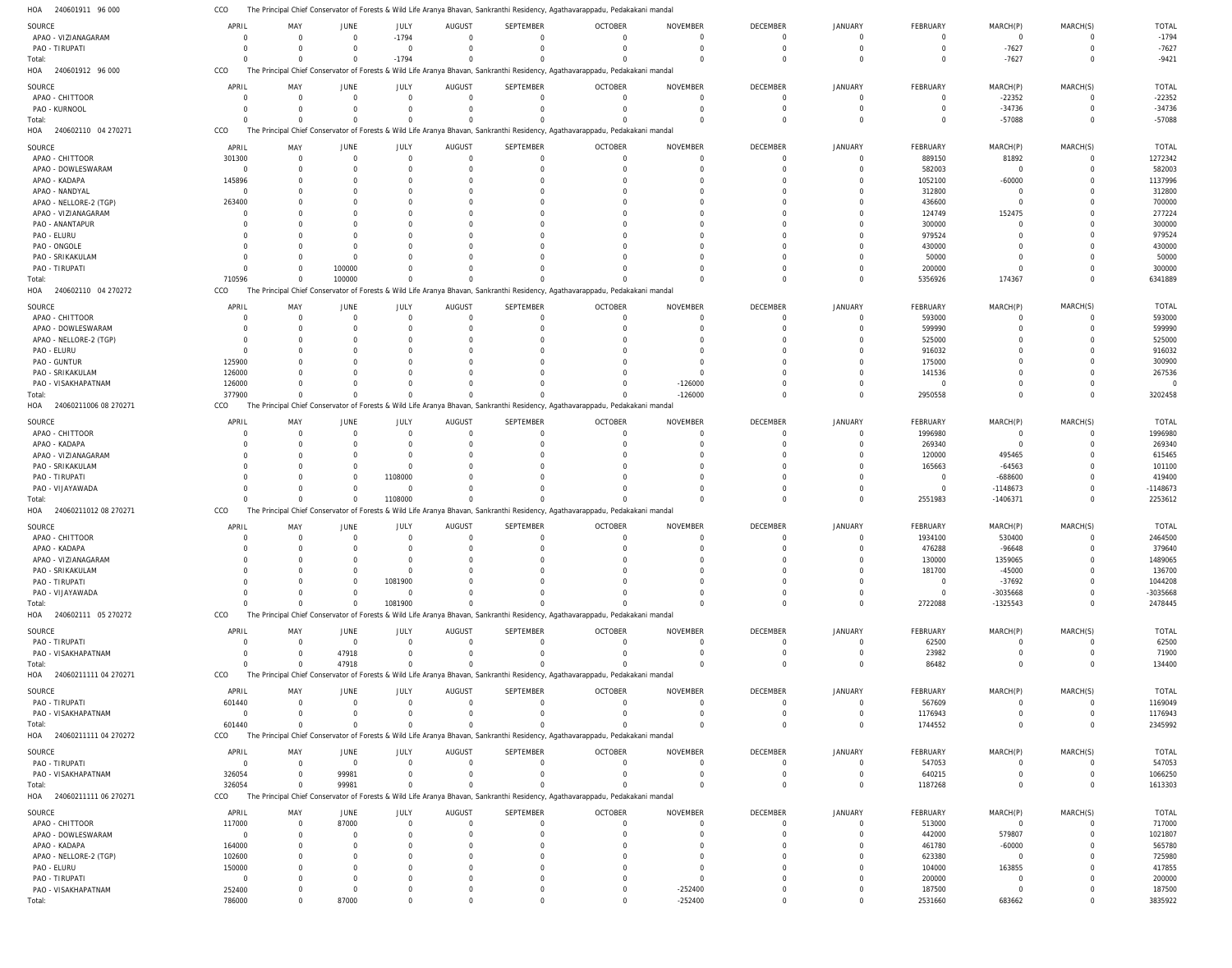The Principal Chief Conservator of Forests & Wild Life Aranya Bhavan, Sankranthi Residency, Agathavarappadu, Pedakakani mandal CCO

| HOA<br>240601911 96 000      | CCO      |                |                |                |                |                  | The Principal Chief Conservator of Forests & Wild Life Aranya Bhavan, Sankranthi Residency, Agathavarappadu, Pedakakani mandal |                 |                |                |                 |                |             |              |
|------------------------------|----------|----------------|----------------|----------------|----------------|------------------|--------------------------------------------------------------------------------------------------------------------------------|-----------------|----------------|----------------|-----------------|----------------|-------------|--------------|
| SOURCE                       | APRIL    | MAY            | <b>JUNE</b>    | JULY           | <b>AUGUST</b>  | SEPTEMBER        | <b>OCTOBER</b>                                                                                                                 | <b>NOVEMBER</b> | DECEMBER       | JANUARY        | FEBRUARY        | MARCH(P)       | MARCH(S)    | <b>TOTAL</b> |
| APAO - VIZIANAGARAM          | $\Omega$ | $\Omega$       | $\mathbf 0$    | $-1794$        | $\Omega$       | $\mathbf{0}$     | $\Omega$                                                                                                                       | $\Omega$        | $\overline{0}$ | $\Omega$       | 0               | $\overline{0}$ | 0           | $-1794$      |
| PAO - TIRUPATI               |          | $\Omega$       | $\Omega$       | $\mathbf 0$    | $\Omega$       | $\mathbf{0}$     | $\Omega$                                                                                                                       | $\Omega$        | $\Omega$       | $\Omega$       | $\Omega$        | $-7627$        | $\mathbf 0$ | $-7627$      |
|                              |          |                |                |                |                |                  |                                                                                                                                |                 |                | $\Omega$       |                 |                |             |              |
| Total:                       | $\Omega$ | $\Omega$       | $\mathbf 0$    | $-1794$        | $\Omega$       | $\Omega$         |                                                                                                                                | $\Omega$        | $\Omega$       |                | $\Omega$        | $-7627$        | $\Omega$    | $-9421$      |
| 240601912 96 000<br>HOA      | CCO      |                |                |                |                |                  | The Principal Chief Conservator of Forests & Wild Life Aranya Bhavan, Sankranthi Residency, Agathavarappadu, Pedakakani mandal |                 |                |                |                 |                |             |              |
| SOURCE                       | APRIL    | MAY            | <b>JUNE</b>    | JULY           | AUGUST         | <b>SEPTEMBER</b> | <b>OCTOBER</b>                                                                                                                 | <b>NOVEMBER</b> | DECEMBER       | JANUARY        | FEBRUARY        | MARCH(P)       | MARCH(S)    | <b>TOTAL</b> |
| APAO - CHITTOOR              |          | $\Omega$       | $\Omega$       | $\mathbf 0$    | $\overline{0}$ | $\mathbf 0$      |                                                                                                                                | $\Omega$        | $\Omega$       | $\Omega$       | 0               | $-22352$       | $\Omega$    | $-22352$     |
| PAO - KURNOOL                |          | $\Omega$       | $\Omega$       | $\mathbf 0$    | $\Omega$       | $\mathbf 0$      |                                                                                                                                | $\Omega$        | $\Omega$       | $\Omega$       | $\Omega$        | $-34736$       | $\Omega$    | $-34736$     |
| Total:                       |          | $\Omega$       | $\Omega$       | $\mathbf 0$    | $\Omega$       | $\Omega$         |                                                                                                                                |                 | $\Omega$       | $\Omega$       | $\Omega$        | $-57088$       | $\Omega$    | $-57088$     |
| 240602110 04 270271<br>HOA   | CCO      |                |                |                |                |                  | The Principal Chief Conservator of Forests & Wild Life Aranya Bhavan, Sankranthi Residency, Agathavarappadu, Pedakakani mandal |                 |                |                |                 |                |             |              |
|                              |          |                |                |                |                |                  |                                                                                                                                |                 |                |                |                 |                |             |              |
| SOURCE                       | APRIL    | MAY            | JUNE           | JULY           | <b>AUGUST</b>  | <b>SEPTEMBER</b> | <b>OCTOBER</b>                                                                                                                 | <b>NOVEMBER</b> | DECEMBER       | <b>JANUARY</b> | FEBRUARY        | MARCH(P)       | MARCH(S)    | <b>TOTAL</b> |
| APAO - CHITTOOR              | 301300   | $\overline{0}$ | $\mathbf 0$    | $\mathbf 0$    | $\overline{0}$ | $\mathbf 0$      | $\Omega$                                                                                                                       | $\Omega$        | $\overline{0}$ | $\Omega$       | 889150          | 81892          | 0           | 1272342      |
| APAO - DOWLESWARAM           | $\Omega$ | $\Omega$       | $\Omega$       | $\Omega$       | $\Omega$       | $\Omega$         |                                                                                                                                |                 | $\Omega$       | $\Omega$       | 582003          | $\overline{0}$ | $\Omega$    | 582003       |
| APAO - KADAPA                | 145896   | $\Omega$       | $\Omega$       | $\Omega$       | $\Omega$       | $\Omega$         |                                                                                                                                |                 | $\Omega$       |                | 1052100         | $-60000$       | $\Omega$    | 1137996      |
| APAO - NANDYAL               | $\Omega$ |                | $\Omega$       | $\Omega$       |                | $\Omega$         |                                                                                                                                |                 |                |                | 312800          | $\overline{0}$ | $\Omega$    | 312800       |
| APAO - NELLORE-2 (TGP)       | 263400   |                |                | $\Omega$       |                | $\Omega$         |                                                                                                                                |                 |                |                | 436600          | $\Omega$       | $\Omega$    | 700000       |
| APAO - VIZIANAGARAM          | - 0      |                |                | $\Omega$       |                | $\Omega$         |                                                                                                                                |                 |                |                | 124749          | 152475         | $\Omega$    | 277224       |
| PAO - ANANTAPUR              |          |                |                | $\Omega$       |                | $\Omega$         |                                                                                                                                |                 |                |                | 300000          | $\Omega$       | $\Omega$    | 300000       |
| PAO - ELURU                  |          |                |                | $\Omega$       |                | $\Omega$         |                                                                                                                                |                 |                |                | 979524          | $\Omega$       | $\Omega$    | 979524       |
| PAO - ONGOLE                 |          | $\Omega$       |                | $\Omega$       |                | $\Omega$         |                                                                                                                                |                 |                |                | 430000          |                | $\Omega$    | 430000       |
| PAO - SRIKAKULAM             |          |                | $\Omega$       | $\Omega$       |                | $\Omega$         |                                                                                                                                |                 | $\Omega$       |                | 50000           |                | $\Omega$    | 50000        |
| PAO - TIRUPATI               |          | $\Omega$       | 100000         | $\Omega$       | $\Omega$       | $\Omega$         |                                                                                                                                |                 | $\Omega$       |                | 200000          | $\Omega$       | $\mathbf 0$ | 300000       |
|                              | 710596   | $\Omega$       | 100000         | $\mathbf{0}$   | $\Omega$       | $\Omega$         |                                                                                                                                |                 | $\Omega$       | $\Omega$       | 5356926         | 174367         | $\Omega$    | 6341889      |
| Total:                       |          |                |                |                |                |                  |                                                                                                                                |                 |                |                |                 |                |             |              |
| HOA 240602110 04 270272      | CCO      |                |                |                |                |                  | The Principal Chief Conservator of Forests & Wild Life Aranya Bhavan, Sankranthi Residency, Agathavarappadu, Pedakakani mandal |                 |                |                |                 |                |             |              |
| SOURCE                       | APRIL    | MAY            | <b>JUNE</b>    | JULY           | <b>AUGUST</b>  | SEPTEMBER        | <b>OCTOBER</b>                                                                                                                 | <b>NOVEMBER</b> | DECEMBER       | <b>JANUARY</b> | <b>FEBRUARY</b> | MARCH(P)       | MARCH(S)    | <b>TOTAL</b> |
| APAO - CHITTOOR              |          | $\Omega$       | $\Omega$       | $\overline{0}$ | $\Omega$       | $\mathbf 0$      |                                                                                                                                | $\Gamma$        | $\Omega$       | $\Omega$       | 593000          | 0              | $\Omega$    | 593000       |
| APAO - DOWLESWARAM           |          | $\Omega$       | $\Omega$       | $\Omega$       | $\Omega$       | $\Omega$         |                                                                                                                                |                 | $\Omega$       |                | 599990          |                | $\Omega$    | 599990       |
| APAO - NELLORE-2 (TGP)       |          | $\Omega$       | $\Omega$       | $\Omega$       |                | $\Omega$         |                                                                                                                                |                 |                |                | 525000          |                | $\Omega$    | 525000       |
| PAO - ELURU                  | $\Omega$ |                |                | $\Omega$       |                | $\Omega$         |                                                                                                                                |                 |                |                | 916032          |                | $\Omega$    | 916032       |
| PAO - GUNTUR                 | 125900   | $\Omega$       |                | $\Omega$       |                | $\Omega$         |                                                                                                                                |                 |                |                | 175000          |                | $\Omega$    | 300900       |
| PAO - SRIKAKULAM             | 126000   |                |                | $\Omega$       |                |                  |                                                                                                                                |                 |                |                | 141536          |                | $\Omega$    | 267536       |
| PAO - VISAKHAPATNAM          | 126000   | <sup>0</sup>   | $\Omega$       | $\Omega$       |                | $\Omega$         |                                                                                                                                | $-126000$       | $\Omega$       | $\Omega$       | $\Omega$        |                | $\Omega$    | $\Omega$     |
| Total:                       | 377900   | $\Omega$       | $\Omega$       | $\Omega$       | $\Omega$       | $\Omega$         |                                                                                                                                | $-126000$       | $\Omega$       | $\Omega$       | 2950558         | $\Omega$       | $\Omega$    | 3202458      |
| HOA<br>24060211006 08 270271 | CCO      |                |                |                |                |                  | The Principal Chief Conservator of Forests & Wild Life Aranya Bhavan, Sankranthi Residency, Agathavarappadu, Pedakakani mandal |                 |                |                |                 |                |             |              |
|                              |          |                |                |                |                |                  |                                                                                                                                |                 |                |                |                 |                |             |              |
| SOURCE                       | APRIL    | MAY            | <b>JUNE</b>    | JULY           | AUGUST         | <b>SEPTEMBER</b> | <b>OCTOBER</b>                                                                                                                 | <b>NOVEMBER</b> | DECEMBER       | <b>JANUARY</b> | <b>FEBRUARY</b> | MARCH(P)       | MARCH(S)    | <b>TOTAL</b> |
| APAO - CHITTOOR              |          | $\Omega$       | $\mathbf 0$    | $\mathbf 0$    | $\Omega$       | $\mathbf{0}$     | $\Omega$                                                                                                                       | $\Omega$        | $\mathbf 0$    | $\Omega$       | 1996980         | $\overline{0}$ | 0           | 1996980      |
| APAO - KADAPA                |          | $\Omega$       | $\Omega$       | $\Omega$       | $\Omega$       | $\Omega$         |                                                                                                                                |                 | $\Omega$       | $\Omega$       | 269340          | $\mathbf 0$    | $\Omega$    | 269340       |
| APAO - VIZIANAGARAM          |          | $\Omega$       | $\Omega$       | $\mathbf 0$    | $\Omega$       | $\Omega$         |                                                                                                                                |                 | $\Omega$       |                | 120000          | 495465         | $\Omega$    | 615465       |
| PAO - SRIKAKULAM             |          | $\Omega$       | $\Omega$       | $\mathbf 0$    | $\Omega$       | $\Omega$         |                                                                                                                                |                 |                |                | 165663          | $-64563$       | $\Omega$    | 101100       |
|                              |          | $\Omega$       | $\Omega$       | 1108000        |                | $\Omega$         |                                                                                                                                |                 | $\Omega$       |                | $\overline{0}$  | $-688600$      | $\Omega$    | 419400       |
|                              |          |                |                |                |                |                  |                                                                                                                                |                 | $\Omega$       | $\Omega$       | $\mathbf 0$     |                | $\Omega$    | $-1148673$   |
| PAO - TIRUPATI               |          | $\Omega$       | $\Omega$       |                | $\Omega$       | $\Omega$         |                                                                                                                                |                 |                |                |                 |                |             |              |
| PAO - VIJAYAWADA             |          | $\Omega$       | $\mathbf 0$    | $\mathbf 0$    | $\Omega$       | $\Omega$         |                                                                                                                                |                 | $\Omega$       | $\Omega$       |                 | $-1148673$     | $\Omega$    |              |
| Total:                       |          |                |                | 1108000        |                |                  |                                                                                                                                |                 |                |                | 2551983         | $-1406371$     |             | 2253612      |
| HOA 24060211012 08 270271    | CCO      |                |                |                |                |                  | The Principal Chief Conservator of Forests & Wild Life Aranya Bhavan, Sankranthi Residency, Agathavarappadu, Pedakakani mandal |                 |                |                |                 |                |             |              |
| SOURCE                       | APRIL    | MAY            | <b>JUNE</b>    | JULY           | AUGUST         | <b>SEPTEMBER</b> | <b>OCTOBER</b>                                                                                                                 | <b>NOVEMBER</b> | DECEMBER       | JANUARY        | <b>FEBRUARY</b> | MARCH(P)       | MARCH(S)    | <b>TOTAL</b> |
| APAO - CHITTOOR              |          | 0              | $\mathbf 0$    | $\mathbf 0$    | $\overline{0}$ | $\mathbf 0$      |                                                                                                                                | $\Omega$        | $\Omega$       | $\Omega$       | 1934100         | 530400         | $\Omega$    | 2464500      |
| APAO - KADAPA                | $\Omega$ | $\Omega$       | $\Omega$       | $\mathbf 0$    | $\Omega$       | $\Omega$         |                                                                                                                                | $\Omega$        | $\Omega$       | $\Omega$       | 476288          | $-96648$       | $\Omega$    | 379640       |
| APAO - VIZIANAGARAM          |          |                |                | 0              |                | $\Omega$         |                                                                                                                                |                 |                |                | 130000          | 1359065        | $\Omega$    | 1489065      |
| PAO - SRIKAKULAM             |          |                |                | $\Omega$       |                | $\Omega$         |                                                                                                                                |                 |                |                | 181700          | $-45000$       | $\Omega$    | 136700       |
| PAO - TIRUPATI               |          | $\Omega$       | 0              | 1081900        |                | $\Omega$         |                                                                                                                                |                 | $\Omega$       | $\Omega$       | $\mathbf 0$     | $-37692$       | $\Omega$    | 1044208      |
| PAO - VIJAYAWADA             |          |                |                | 0              |                |                  |                                                                                                                                |                 |                | $\Omega$       | $\mathbf 0$     | -3035668       | $\Omega$    | -3035668     |
| Total:                       |          | $\Omega$       | $\Omega$       | 1081900        |                | $\Omega$         |                                                                                                                                |                 | $\Omega$       | $\Omega$       | 2722088         | $-1325543$     | $\Omega$    | 2478445      |
| HOA 240602111 05 270272      | CCO      |                |                |                |                |                  | The Principal Chief Conservator of Forests & Wild Life Aranya Bhavan, Sankranthi Residency, Agathavarappadu, Pedakakani mandal |                 |                |                |                 |                |             |              |
|                              |          |                |                |                |                |                  |                                                                                                                                |                 |                |                |                 |                |             |              |
| SOURCE                       | APRIL    | MAY            | JUNE           | JULY           | AUGUST         | SEPTEMBER        | <b>OCTOBER</b>                                                                                                                 | <b>NOVEMBER</b> | DECEMBER       | JANUARY        | <b>FEBRUARY</b> | MARCH(P)       | MARCH(S)    | <b>TOTAL</b> |
| PAO - TIRUPATI               | - 0      | $\overline{0}$ | $\overline{0}$ | $\mathbf 0$    | $\overline{0}$ | $\mathbf{0}$     | $\Omega$                                                                                                                       | $\Omega$        | $\overline{0}$ | $\overline{0}$ | 62500           | 0              | 0           | 62500        |
| PAO - VISAKHAPATNAM          |          | $\Omega$       | 47918          | $\mathbf 0$    | $\Omega$       | $\mathbf 0$      | $\Omega$                                                                                                                       | $\Omega$        | $\Omega$       | $\Omega$       | 23982           | $\mathbf 0$    | $\mathbf 0$ | 71900        |
| Total:                       |          | $\Omega$       | 47918          | $\mathbf 0$    | $\Omega$       | $\Omega$         |                                                                                                                                | $\Omega$        | $\Omega$       | $\Omega$       | 86482           | $\Omega$       | $\mathbf 0$ | 134400       |
| HOA 24060211111 04 270271    | CCO      |                |                |                |                |                  | The Principal Chief Conservator of Forests & Wild Life Aranya Bhavan, Sankranthi Residency, Agathavarappadu, Pedakakani mandal |                 |                |                |                 |                |             |              |
|                              |          |                |                |                |                |                  |                                                                                                                                |                 |                |                |                 |                |             |              |
| SOURCE                       | APRIL    | MAY            | JUNE           | JULY           | AUGUST         | SEPTEMBER        | <b>OCTOBER</b><br>$\Omega$                                                                                                     | <b>NOVEMBER</b> | DECEMBER       | <b>JANUARY</b> | <b>FEBRUARY</b> | MARCH(P)       | MARCH(S)    | TOTAL        |
| PAO - TIRUPATI               | 601440   | $\Omega$       | $\Omega$       | $\mathbf 0$    | $\Omega$       | $\Omega$         |                                                                                                                                | $\Omega$        | $\overline{0}$ | $\overline{0}$ | 567609          | $\overline{0}$ | $\mathbf 0$ | 1169049      |
| PAO - VISAKHAPATNAM          | $\Omega$ | $\Omega$       | $\Omega$       | $\mathbf 0$    | $\Omega$       | $\Omega$         |                                                                                                                                |                 | $\Omega$       | $\Omega$       | 1176943         | $\mathbf 0$    | $\mathbf 0$ | 1176943      |
| Total:                       | 601440   | $\Omega$       | $\mathbf 0$    | $\mathbf 0$    | $\Omega$       | $\Omega$         |                                                                                                                                |                 | $\Omega$       | $\Omega$       | 1744552         | $\Omega$       | $\Omega$    | 2345992      |
| HOA 24060211111 04 270272    | CCO      |                |                |                |                |                  | The Principal Chief Conservator of Forests & Wild Life Aranya Bhavan, Sankranthi Residency, Agathavarappadu, Pedakakani mandal |                 |                |                |                 |                |             |              |
| SOURCE                       | APRIL    | MAY            | JUNE           | JULY           | <b>AUGUST</b>  | <b>SEPTEMBER</b> | <b>OCTOBER</b>                                                                                                                 | <b>NOVEMBER</b> | DECEMBER       | <b>JANUARY</b> | <b>FEBRUARY</b> | MARCH(P)       | MARCH(S)    | TOTAL        |
| PAO - TIRUPATI               | $\Omega$ | $\Omega$       | $\mathbf 0$    | $\mathbf 0$    | $\Omega$       | $\mathbf{0}$     | $\Omega$                                                                                                                       | $\Omega$        | $\Omega$       | $\overline{0}$ | 547053          | $\overline{0}$ | $\Omega$    | 547053       |
| PAO - VISAKHAPATNAM          | 326054   | $\overline{0}$ | 99981          | $\mathbf 0$    | $\Omega$       | $\mathbf 0$      | $\Omega$                                                                                                                       | $\Omega$        | $\Omega$       | $\overline{0}$ | 640215          | $\mathbf 0$    | $\mathbf 0$ | 1066250      |
| Total:                       | 326054   | $\Omega$       | 99981          | $\mathbf{0}$   | $\Omega$       | $\Omega$         |                                                                                                                                | $\Omega$        | $\Omega$       | $\Omega$       | 1187268         | $\Omega$       | $\Omega$    | 1613303      |
| HOA 24060211111 06 270271    | CCO      |                |                |                |                |                  | The Principal Chief Conservator of Forests & Wild Life Aranya Bhavan, Sankranthi Residency, Agathavarappadu, Pedakakani mandal |                 |                |                |                 |                |             |              |
|                              |          |                |                |                |                |                  |                                                                                                                                |                 |                |                |                 |                |             |              |
| SOURCE                       | APRIL    | MAY            | JUNE           | JULY           | AUGUST         | <b>SEPTEMBER</b> | <b>OCTOBER</b>                                                                                                                 | <b>NOVEMBER</b> | DECEMBER       | JANUARY        | <b>FEBRUARY</b> | MARCH(P)       | MARCH(S)    | TOTAL        |
| APAO - CHITTOOR              | 117000   | $\Omega$       | 87000          | $\mathbf 0$    | $\Omega$       | $\mathbf 0$      |                                                                                                                                |                 | $\mathbf 0$    | $\Omega$       | 513000          | $\overline{0}$ | $\Omega$    | 717000       |
| APAO - DOWLESWARAM           | $\Omega$ | $\Omega$       | $\Omega$       | $\Omega$       | $\Omega$       | $\Omega$         |                                                                                                                                |                 | $\Omega$       | $\Omega$       | 442000          | 579807         | $\Omega$    | 1021807      |
| APAO - KADAPA                | 164000   | $\Omega$       | $\Omega$       | $\Omega$       |                | $\Omega$         |                                                                                                                                |                 |                |                | 461780          | $-60000$       | $\Omega$    | 565780       |
| APAO - NELLORE-2 (TGP)       | 102600   |                |                |                |                | $\Omega$         |                                                                                                                                |                 |                |                | 623380          | $\overline{0}$ | $\Omega$    | 725980       |
| PAO - ELURU                  | 150000   |                |                | $\Omega$       |                | $\Omega$         |                                                                                                                                |                 |                |                | 104000          | 163855         | $\Omega$    | 417855       |
| PAO - TIRUPATI               | $\Omega$ |                |                |                |                | $\Omega$         |                                                                                                                                | $\Gamma$        |                |                | 200000          | $\Omega$       | $\Omega$    | 200000       |
| PAO - VISAKHAPATNAM          | 252400   | $\Omega$       | $\mathbf 0$    | $\Omega$       |                | $\mathbf 0$      |                                                                                                                                | $-252400$       | $\Omega$       | $\Omega$       | 187500          | $\mathbf 0$    | $\Omega$    | 187500       |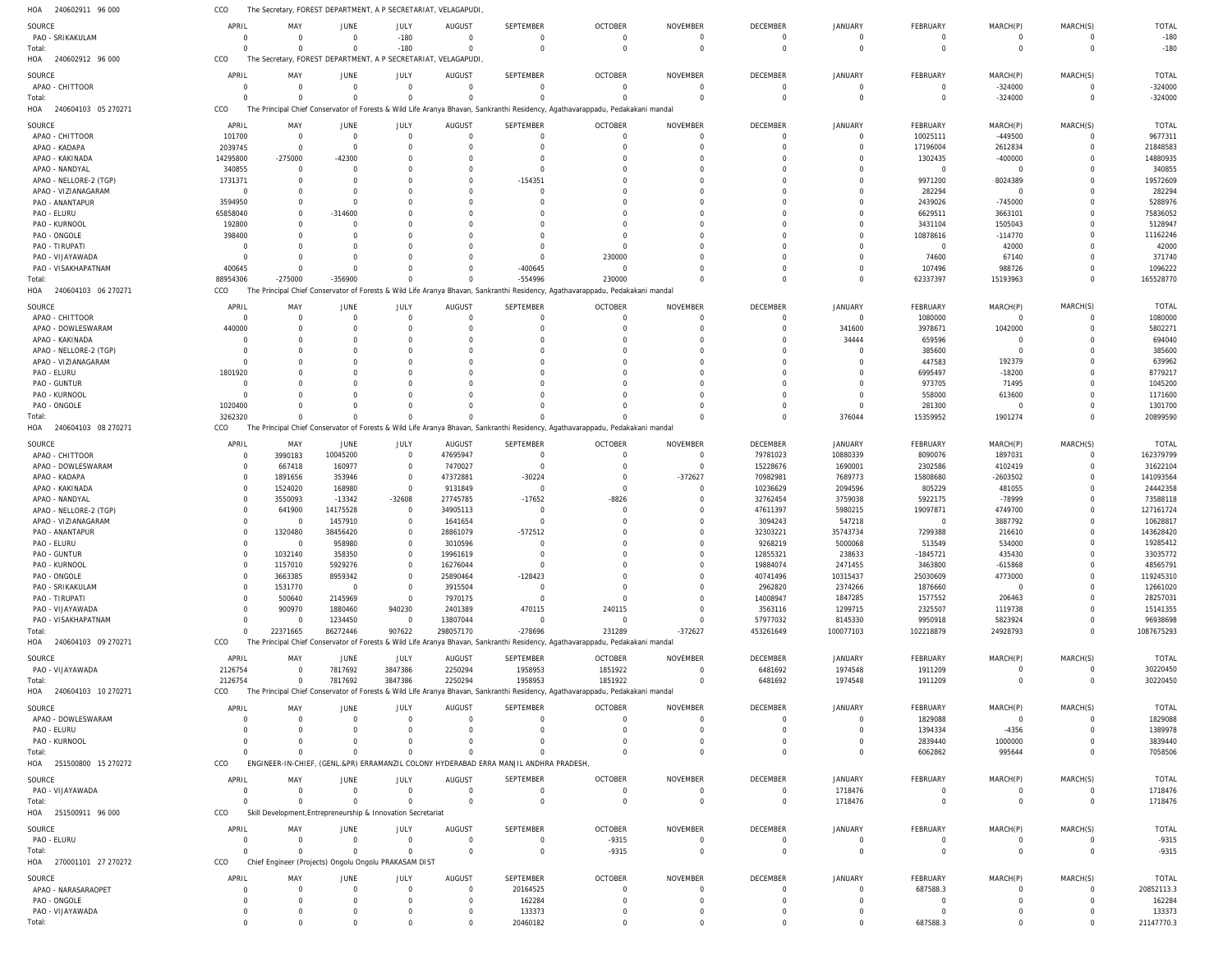240602911 96 000 HOA 240602912 96 000 240604103 05 270271 240604103 06 270271 240604103 08 270271 240604103 09 270271 240604103 10 270271 HOA 251500800 15 270272 251500911 96 000 270001101 27 270272 HOA HOA HOA HOA HOA HOA HOA HOA The Secretary, FOREST DEPARTMENT, A P SECRETARIAT, VELAGAPUDI, The Secretary, FOREST DEPARTMENT, A P SECRETARIAT, VELAGAPUDI, The Principal Chief Conservator of Forests & Wild Life Aranya Bhavan, Sankranthi Residency, Agathavarappadu, Pedakakani mandal The Principal Chief Conservator of Forests & Wild Life Aranya Bhavan, Sankranthi Residency, Agathavarappadu, Pedakakani mandal The Principal Chief Conservator of Forests & Wild Life Aranya Bhavan, Sankranthi Residency, Agathavarappadu, Pedakakani mandal The Principal Chief Conservator of Forests & Wild Life Aranya Bhavan, Sankranthi Residency, Agathavarappadu, Pedakakani mandal The Principal Chief Conservator of Forests & Wild Life Aranya Bhavan, Sankranthi Residency, Agathavarappadu, Pedakakani mandal ENGINEER-IN-CHIEF, (GENL.&PR) ERRAMANZIL COLONY HYDERABAD ERRA MANJIL ANDHRA PRADESH, Skill Development,Entrepreneurship & Innovation Secretariat Chief Engineer (Projects) Ongolu Ongolu PRAKASAM DIST CCO CCO CCO CCO CCO CCO CCO CCO CCO CCO 0 0 88954306 3262320 0 2126754  $\Omega$  $\Omega$ 0 0 0 0 -275000  $\Omega$ 22371665 0  $\Omega$  $\Omega$ 0 0 0 0 -356900  $\Omega$ 86272446 7817692  $\Omega$  $\Omega$ 0 0 -180 0  $\Omega$  $\Omega$ 907622 3847386  $\Omega$  $\Omega$  $\Omega$ 0 0 0 0 0 298057170 2250294  $\Omega$ 0 0 0 0 0 -554996  $\Omega$ -278696 1958953  $\Omega$  $\Omega$ 0 20460182 0 0 230000  $\Omega$ 231289 1851922  $\Omega$  $\Omega$ -9315 0 0 0  $\Omega$  $\Omega$ -372627 0  $\Omega$  $\Omega$ 0 0 0 0 0  $\Omega$ 453261649 6481692  $\Omega$  $\Omega$ 0 0 0 0 0 376044 100077103 1974548 0 1718476 0 0 0 0 62337397 15359952 102218879 1911209 6062862  $\Omega$ 0 687588.3 0 -324000 15193963 1901274 24928793 0 995644  $\Omega$ 0 0 0 0  $\Omega$  $\Omega$ 0 0  $\Omega$  $\Omega$ 0 0 -180 -324000 165528770 20899590 1087675293 30220450 7058506 1718476 -9315 21147770.3 PAO - SRIKAKULAM APAO - CHITTOOR APAO - CHITTOOR APAO - KADAPA APAO - KAKINADA APAO - NANDYAL APAO - NELLORE-2 (TGP) APAO - VIZIANAGARAM PAO - ANANTAPUR PAO - ELURU PAO - KURNOOL PAO - ONGOLE PAO - TIRUPATI PAO - VIJAYAWADA PAO - VISAKHAPATNAM APAO - CHITTOOR APAO - DOWLESWARAM APAO - KAKINADA APAO - NELLORE-2 (TGP) APAO - VIZIANAGARAM PAO - ELURU PAO - GUNTUR PAO - KURNOOL PAO - ONGOLE APAO - CHITTOOR APAO - DOWLESWARAM APAO - KADAPA APAO - KAKINADA APAO - NANDYAL APAO - NELLORE-2 (TGP) APAO - VIZIANAGARAM PAO - ANANTAPUR PAO - ELURU PAO - GUNTUR PAO - KURNOOL PAO - ONGOLE PAO - SRIKAKULAM PAO - TIRUPATI PAO - VIJAYAWADA PAO - VISAKHAPATNAM PAO - VIJAYAWADA APAO - DOWLESWARAM PAO - ELURU PAO - KURNOOL PAO - VIJAYAWADA PAO - ELURU APAO - NARASARAOPET PAO - ONGOLE PAO - VIJAYAWADA SOURCE **SOURCE** SOURCE SOURCE SOURCE SOURCE **SOURCE** SOURCE SOURCE **SOURCE** 0 0 101700 2039745 14295800 340855 1731371 0 3594950 65858040 192800 398400  $\Omega$  $\Omega$ 400645  $\Omega$ 440000 0 0  $\Omega$ 1801920 0  $\Omega$ 1020400 0  $\Omega$ 0  $\Omega$ 0 0 0 0  $\Omega$ 0 0 0 0  $\Omega$ 0 0 2126754 0  $\Omega$ 0 0  $\Omega$ 0 0  $\Omega$ APRIL APRIL APRIL APRIL APRIL APRIL APRIL APRIL APRIL APRIL 0 0 0  $\Omega$ -275000  $\Omega$ 0 0  $\Omega$  $\Omega$  $\Omega$ 0  $\Omega$ 0  $\Omega$  $\Omega$ 0 0 0  $\Omega$  $\Omega$ 0  $\Omega$ 0 3990183 667418 1891656 1524020 3550093 641900 0 1320480  $\Omega$ 1032140 1157010 3663385 1531770 500640 900970 0 0 0  $\Omega$ 0 0  $\Omega$ 0 0 0 MAY MAY MAY MAY MAY MAY MAY MAY MAY MAY 0 0 0  $\Omega$ -42300  $\Omega$ 0 0  $\Omega$ -314600  $\Omega$  $\overline{0}$  $\Omega$ 0  $\Omega$  $\Omega$ 0 0 0  $\Omega$  $\Omega$  $\overline{0}$  $\Omega$ 0 10045200 160977 353946 168980 -13342 14175528 1457910 38456420 958980 358350 5929276 8959342 0 2145969 1880460 1234450 7817692 0  $\Omega$ 0 0  $\Omega$ 0 0  $\Omega$ JUNE **JUNE** JUNE JUNE JUNE JUNE **JUNE** JUNE JUNE **JUNE** -180 0 0  $\Omega$ 0  $\Omega$ 0  $\Omega$ 0  $\Omega$  $\cap$ 0  $\Omega$ 0  $\Omega$  $\Omega$ 0  $\Omega$ 0  $\Omega$  $\Omega$ 0  $\cap$  $\Omega$ 0  $\Omega$ 0  $\Omega$ -32608 0 0 0  $\Omega$ 0 0  $\Omega$ 0  $\Omega$ 940230 0 3847386 0  $\Omega$ 0 0  $\Omega$ 0 0  $\Omega$ JULY JULY JULY JULY JULY JULY JULY JULY JULY JULY 0 0 0 0 0  $\Omega$ 0 0 0 0 0 0  $\Omega$ 0 0 0 0 0 0 0 0 0  $\Omega$ 0 47695947 7470027 47372881 9131849 27745785 34905113 1641654 28861079 3010596 19961619 16276044 25890464 3915504 7970175 2401389 13807044 2250294 0  $\Omega$ 0 0  $\Omega$ 0 0 0 AUGUST AUGUST AUGUST AUGUST AUGUST AUGUST AUGUST AUGUST AUGUST **AUGUST**  $\Omega$ 0  $\Omega$  $\bigcap$ 0  $\Omega$ -154351 0  $\Omega$  $\Omega$  $\Omega$ 0  $\Omega$ 0 -400645  $\Omega$ 0 0  $\Omega$  $\Omega$  $\Omega$ 0  $\Omega$ 0 0  $\Omega$ -30224  $\Omega$ -17652  $\Omega$  $\Omega$ -572512  $\Omega$ 0  $\Omega$ -128423 0  $\bigcap$ 470115  $\Omega$ 1958953 0  $\Omega$ 0  $\Omega$  $\Omega$ 20164525 162284 133373 SEPTEMBER **SEPTEMBER** SEPTEMBER SEPTEMBER SEPTEMBER SEPTEMBER **SEPTEMBER** SEPTEMBER SEPTEMBER **SEPTEMBER** 0 0  $\Omega$  $\Omega$ 0  $\Omega$ 0 0  $\Omega$  $\Omega$  $\Omega$ 0  $\Omega$ 230000  $\Omega$  $\Omega$ 0 0  $\Omega$  $\Omega$  $\Omega$ 0  $\Omega$ 0  $\Omega$  $\Omega$ 0  $\Omega$ -8826  $\Omega$  $\Omega$ 0  $\Omega$ 0  $\Omega$  $\Omega$ 0  $\Omega$ 240115  $\Omega$ 1851922 0  $\Omega$ 0  $\Omega$ -9315 0 0  $\Omega$ OCTOBER OCTOBER OCTOBER OCTOBER OCTOBER OCTOBER OCTOBER OCTOBER OCTOBER **OCTOBER**  $\Omega$ 0  $\Omega$  $\Omega$ 0  $\Omega$ 0 0  $\Omega$  $\Omega$  $\Omega$ 0  $\Omega$ 0  $\Omega$  $\Omega$ 0 0  $\Omega$  $\Omega$  $\Omega$ 0  $\Omega$ 0  $\Omega$  $\Omega$ -372627  $\Omega$ 0 0  $\Omega$ 0  $\Omega$ 0 0  $\Omega$ 0  $\Omega$  $\Omega$  $\Omega$  $\Omega$ 0  $\Omega$ 0  $\Omega$  $\Omega$ 0 0  $\Omega$ NOVEMBER NOVEMBER NOVEMBER NOVEMBER NOVEMBER NOVEMBER NOVEMBER NOVEMBER NOVEMBER NOVEMBER  $\Omega$ 0 0 0 0  $\Omega$ 0 0  $\Omega$ 0  $\Omega$ 0  $\Omega$ 0 0  $\Omega$ 0 0 0 0 0 0  $\Omega$ 0 79781023 15228676 70982981 10236629 32762454 47611397 3094243 32303221 9268219 12855321 19884074 40741496 2962820 14008947 3563116 57977032 6481692 0  $\Omega$ 0  $\Omega$  $\Omega$ 0 0  $\Omega$ DECEMBER **DECEMBER** DECEMBER DECEMBER DECEMBER DECEMBER **DECEMBER** DECEMBER DECEMBER DECEMBER 0 0 0 0 0  $\Omega$ 0 0  $\Omega$  $\Omega$  $\Omega$ 0  $\Omega$ 0 0  $\Omega$ 341600 34444 0 0  $\Omega$ 0  $\Omega$ 0 10880339 1690001 7689773 2094596 3759038 5980215 547218 35743734 5000068 238633 2471455 10315437 2374266 1847285 1299715 8145330 1974548 0  $\Omega$ 0 1718476  $\Omega$ 0 0 0 JANUARY JANUARY JANUARY JANUARY JANUARY JANUARY JANUARY JANUARY JANUARY **JANUARY** 0 0 10025111 17196004 1302435  $\Omega$ 9971200 282294 2439026 6629511 3431104 10878616  $\Omega$ 74600 107496 1080000 3978671 659596 385600 447583 6995497 973705 558000 281300 8090076 2302586 15808680 805229 5922175 19097871  $\Omega$ 7299388 513549 -1845721 3463800 25030609 1876660 1577552 2325507 9950918 1911209 1829088 1394334 2839440  $\Omega$  $\Omega$ 687588.3 0  $\Omega$ FEBRUARY FEBRUARY FEBRUARY FEBRUARY FEBRUARY FEBRUARY **FEBRUARY** FEBRUARY FEBRUARY **FFBRUARY** 0 -324000 -449500 2612834 -400000  $\Omega$ 8024389  $\Omega$ -745000 3663101 1505043 -114770 42000 67140 988726  $\Omega$ 1042000 0 0 192379 -18200 71495 613600 0 1897031 4102419 -2603502 481055 -78999 4749700 3887792 216610 534000 435430 -615868 4773000 0 206463 1119738 5823924  $\Omega$ 0 -4356 1000000 0  $\Omega$ 0 0  $\Omega$ MARCH(P) MARCH(P) MARCH(P) MARCH(P) MARCH(P) MARCH(P) MARCH(P) MARCH(P) MARCH(P) MARCH(P)  $\Omega$ 0 0  $\Omega$ 0  $\Omega$ 0 0  $\Omega$  $\Omega$  $\Omega$ 0  $\Omega$ 0  $\Omega$  $\Omega$ 0 0  $\Omega$  $\Omega$  $\Omega$ 0  $\Omega$ 0  $\Omega$  $\Omega$ 0  $\Omega$ 0  $\Omega$  $\Omega$ 0  $\Omega$ 0  $\Omega$  $\Omega$ 0  $\Omega$  $\Omega$ 0  $\Omega$ 0  $\Omega$ 0  $\Omega$  $\Omega$ 0  $\Omega$  $\Omega$ MARCH(S) MARCH(S) MARCH(S) MARCH(S) MARCH(S) MARCH(S) MARCH(S) MARCH(S) MARCH(S) MARCH(S) -180 -324000 9677311 21848583 14880935 340855 19572609 282294 5288976 75836052 5128947 11162246 42000 371740 1096222 1080000 5802271 694040 385600 639962 8779217 1045200 1171600 1301700 162379799 31622104 141093564 24442358 73588118 127161724 10628817 143628420 19285412 33035772 48565791 119245310 12661020 28257031 15141355 96938698 30220450 1829088 1389978 3839440 1718476 -9315 20852113.3 162284 133373 TOTAL TOTAL TOTAL TOTAL TOTAL TOTAL TOTAL TOTAL TOTAL TOTAL Total: Total: Total: Total: Total: Total: Total: Total: Total: Total: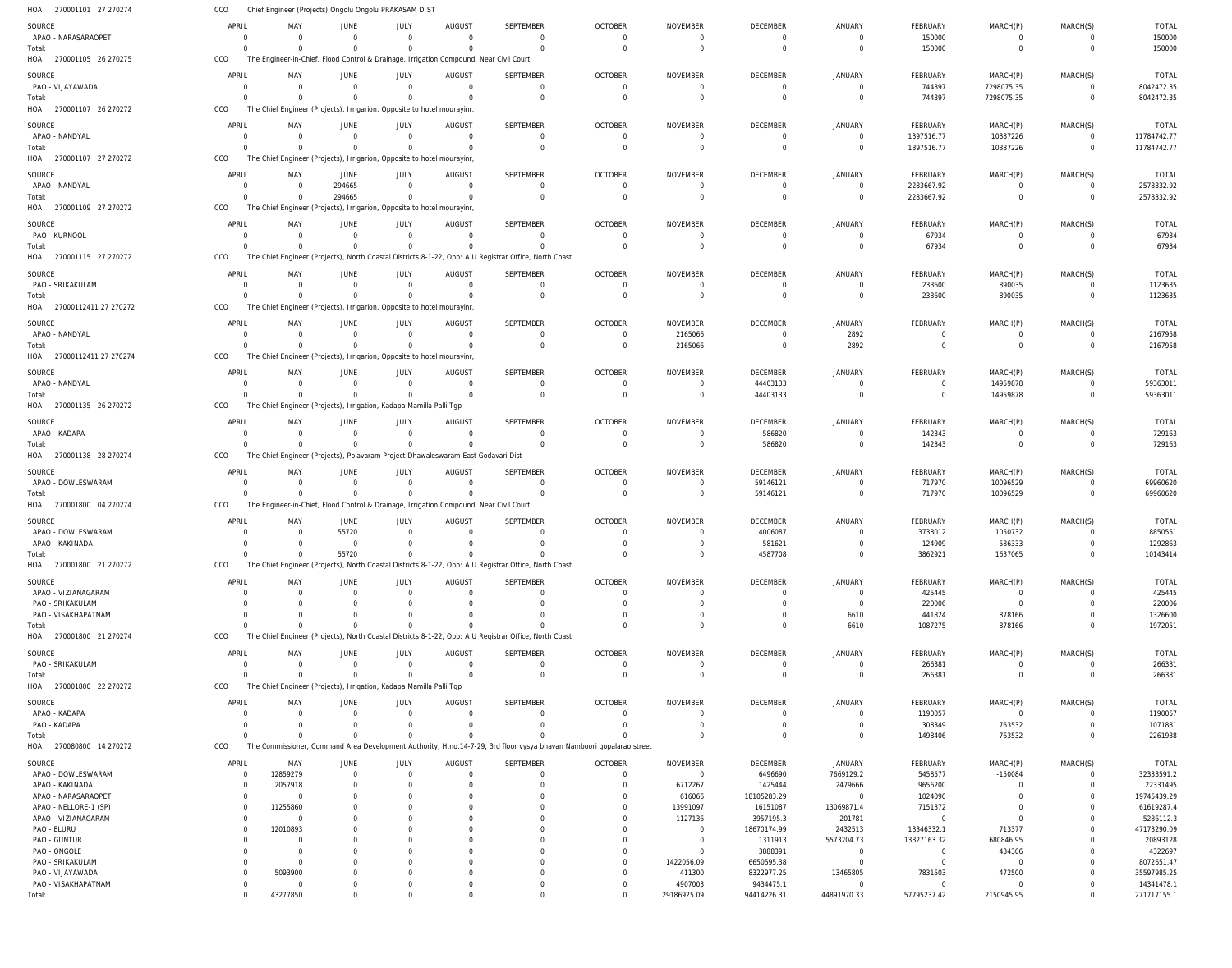| HOA<br>270001101 27 270274             | CCO                  |                            | Chief Engineer (Projects) Ongolu Ongolu PRAKASAM DIST                   |                         |                                                                                                     |                                                                                                                      |                            |                                  |                            |                               |                               |                            |                               |                            |
|----------------------------------------|----------------------|----------------------------|-------------------------------------------------------------------------|-------------------------|-----------------------------------------------------------------------------------------------------|----------------------------------------------------------------------------------------------------------------------|----------------------------|----------------------------------|----------------------------|-------------------------------|-------------------------------|----------------------------|-------------------------------|----------------------------|
| SOURCE                                 | APRIL                | MAY                        | JUNE                                                                    | JULY                    | AUGUST                                                                                              | SEPTEMBER                                                                                                            | <b>OCTOBER</b>             | <b>NOVEMBER</b>                  | <b>DECEMBER</b>            | <b>JANUARY</b>                | FEBRUARY                      | MARCH(P)                   | MARCH(S)                      | <b>TOTAL</b>               |
| APAO - NARASARAOPET                    | - 0                  | $\overline{0}$             | $\mathbf 0$                                                             | $\Omega$                | $\overline{0}$                                                                                      | $\Omega$<br>$\Omega$                                                                                                 | $\Omega$<br>$\Omega$       | $\overline{0}$                   | $\overline{0}$             | $\Omega$                      | 150000                        | $\mathbf 0$                | $\overline{0}$                | 150000                     |
| Total:<br>HOA 270001105 26 270275      | $\Omega$<br>CCO      | $\Omega$                   | $\Omega$                                                                | $\Omega$                | $\Omega$<br>The Engineer-in-Chief, Flood Control & Drainage, Irrigation Compound, Near Civil Court, |                                                                                                                      |                            | $\overline{0}$                   | $\mathbf 0$                | $\Omega$                      | 150000                        | $\overline{0}$             | $\mathbf 0$                   | 150000                     |
| SOURCE                                 | APRIL                | MAY                        | <b>JUNE</b>                                                             | JULY                    | <b>AUGUST</b>                                                                                       | <b>SEPTEMBER</b>                                                                                                     | <b>OCTOBER</b>             | <b>NOVEMBER</b>                  | <b>DECEMBER</b>            | JANUARY                       | FEBRUARY                      | MARCH(P)                   | MARCH(S)                      | <b>TOTAL</b>               |
| PAO - VIJAYAWADA                       | $\Omega$             | $\Omega$                   | $\Omega$                                                                | $\Omega$                | $\Omega$                                                                                            | $\mathbf 0$                                                                                                          | $\Omega$                   | $\Omega$                         | $\overline{0}$             | $\Omega$                      | 744397                        | 7298075.35                 | $\mathbf 0$                   | 8042472.35                 |
| Total:                                 | $\Omega$             |                            | $\Omega$                                                                | $\Omega$                |                                                                                                     | $\Omega$                                                                                                             | $\Omega$                   | $\Omega$                         | $\Omega$                   | $\Omega$                      | 744397                        | 7298075.35                 | $\mathbf 0$                   | 8042472.35                 |
| 270001107 26 270272<br>HOA             | CCO                  |                            | The Chief Engineer (Projects), Irrigarion, Opposite to hotel mourayinr  |                         |                                                                                                     |                                                                                                                      |                            |                                  |                            |                               |                               |                            |                               |                            |
| SOURCE                                 | APRIL                | MAY                        | JUNE                                                                    | JULY                    | <b>AUGUST</b>                                                                                       | <b>SEPTEMBER</b>                                                                                                     | <b>OCTOBER</b>             | <b>NOVEMBER</b>                  | DECEMBER                   | <b>JANUARY</b>                | FEBRUARY                      | MARCH(P)                   | MARCH(S)                      | <b>TOTAL</b>               |
| APAO - NANDYAL                         | 0<br>$\Omega$        | $\Omega$<br>$\Omega$       | $\overline{0}$<br>$\Omega$                                              | $\mathbf 0$<br>$\Omega$ | $\overline{0}$<br>$\Omega$                                                                          | $\mathbf 0$<br>$\Omega$                                                                                              | $\overline{0}$<br>$\Omega$ | $\overline{0}$<br>$\Omega$       | $\overline{0}$<br>$\Omega$ | $\Omega$<br>$\Omega$          | 1397516.77                    | 10387226<br>10387226       | $\mathbf 0$<br>$\mathbf 0$    | 11784742.77<br>11784742.77 |
| Total:<br>HOA 270001107 27 270272      | CCO                  |                            | The Chief Engineer (Projects), Irrigarion, Opposite to hotel mourayinr, |                         |                                                                                                     |                                                                                                                      |                            |                                  |                            |                               | 1397516.77                    |                            |                               |                            |
| SOURCE                                 | APRIL                | MAY                        | JUNE                                                                    | JULY                    | AUGUST                                                                                              | <b>SEPTEMBER</b>                                                                                                     | <b>OCTOBER</b>             | NOVEMBER                         | DECEMBER                   | <b>JANUARY</b>                | FEBRUARY                      | MARCH(P)                   | MARCH(S)                      | <b>TOTAL</b>               |
| APAO - NANDYAL                         | $\Omega$             | $\Omega$                   | 294665                                                                  | $\Omega$                | $\Omega$                                                                                            | $\Omega$                                                                                                             | $\Omega$                   | 0                                | $\Omega$                   | $\Omega$                      | 2283667.92                    | $\mathbf 0$                | $\Omega$                      | 2578332.92                 |
| Total:                                 | $\Omega$             |                            | 294665                                                                  | $\Omega$                | $\Omega$                                                                                            | $\Omega$                                                                                                             | $\Omega$                   | $\overline{0}$                   | $\overline{0}$             | $\Omega$                      | 2283667.92                    | $\mathbf 0$                | $\mathbf 0$                   | 2578332.92                 |
| HOA 270001109 27 270272                | CCO                  |                            | The Chief Engineer (Projects), Irrigarion, Opposite to hotel mourayinr  |                         |                                                                                                     |                                                                                                                      |                            |                                  |                            |                               |                               |                            |                               |                            |
| SOURCE                                 | APRIL                | MAY                        | JUNE                                                                    | JULY                    | <b>AUGUST</b>                                                                                       | SEPTEMBER                                                                                                            | <b>OCTOBER</b>             | NOVEMBER                         | DECEMBER                   | JANUARY                       | FEBRUARY                      | MARCH(P)                   | MARCH(S)                      | <b>TOTAL</b>               |
| PAO - KURNOOL<br>Total:                | - 0<br>$\Omega$      | $\overline{0}$<br>$\Omega$ | $\overline{0}$<br>$\Omega$                                              | $\Omega$<br>$\Omega$    | $\overline{0}$<br>$\Omega$                                                                          | $\Omega$<br>$\mathbf 0$                                                                                              | $\Omega$<br>$\Omega$       | $\Omega$<br>$\overline{0}$       | $\Omega$<br>$\overline{0}$ | $\Omega$<br>$\Omega$          | 67934<br>67934                | $^{\circ}$<br>$\mathbf 0$  | $\mathbf 0$<br>$\mathbf 0$    | 67934<br>67934             |
| HOA 270001115 27 270272                | CCO                  |                            |                                                                         |                         |                                                                                                     | The Chief Engineer (Projects), North Coastal Districts 8-1-22, Opp: A U Registrar Office, North Coast                |                            |                                  |                            |                               |                               |                            |                               |                            |
| SOURCE                                 | APRIL                | MAY                        | JUNE                                                                    | JULY                    | <b>AUGUST</b>                                                                                       | SEPTEMBER                                                                                                            | <b>OCTOBER</b>             | <b>NOVEMBER</b>                  | DECEMBER                   | <b>JANUARY</b>                | FEBRUARY                      | MARCH(P)                   | MARCH(S)                      | <b>TOTAL</b>               |
| PAO - SRIKAKULAM                       | $\Omega$             | $\Omega$                   | $\Omega$                                                                | $\Omega$                | $\Omega$                                                                                            | $\Omega$                                                                                                             | $\Omega$                   | $\Omega$                         | $\Omega$                   | $\Omega$                      | 233600                        | 890035                     | $\Omega$                      | 1123635                    |
| Total:                                 | $\Omega$             |                            | $\overline{0}$                                                          | $\Omega$                | $\Omega$                                                                                            | $\Omega$                                                                                                             | $\Omega$                   | $\Omega$                         | $\Omega$                   | $\Omega$                      | 233600                        | 890035                     | $\mathbf 0$                   | 1123635                    |
| HOA<br>27000112411 27 270272           | CCO                  |                            | The Chief Engineer (Projects), Irrigarion, Opposite to hotel mourayinr, |                         |                                                                                                     |                                                                                                                      |                            |                                  |                            |                               |                               |                            |                               |                            |
| SOURCE                                 | APRIL                | MAY                        | JUNE                                                                    | JULY                    | <b>AUGUST</b>                                                                                       | <b>SEPTEMBER</b>                                                                                                     | <b>OCTOBER</b>             | <b>NOVEMBER</b>                  | <b>DECEMBER</b>            | JANUARY                       | FEBRUARY                      | MARCH(P)                   | MARCH(S)                      | TOTAL                      |
| APAO - NANDYAL                         | - 0<br>$\Omega$      | $\Omega$<br>$\Omega$       | $\overline{0}$<br>$\Omega$                                              | $\mathbf 0$<br>$\Omega$ | $\overline{0}$<br>$\Omega$                                                                          | $\overline{0}$<br>$\Omega$                                                                                           | $\overline{0}$             | 2165066                          | $\overline{0}$<br>$\Omega$ | 2892                          | $\overline{0}$                | $\mathbf 0$                | $\mathbf 0$<br>$\mathbf 0$    | 2167958<br>2167958         |
| Total:<br>HOA 27000112411 27 270274    | CCO                  |                            | The Chief Engineer (Projects), Irrigarion, Opposite to hotel mourayinr  |                         |                                                                                                     |                                                                                                                      | $\overline{0}$             | 2165066                          |                            | 2892                          | $\mathbf 0$                   | $\overline{0}$             |                               |                            |
|                                        | APRIL                | MAY                        | JUNE                                                                    | JULY                    | <b>AUGUST</b>                                                                                       | SEPTEMBER                                                                                                            | <b>OCTOBER</b>             | <b>NOVEMBER</b>                  | DECEMBER                   | <b>JANUARY</b>                | FEBRUARY                      | MARCH(P)                   | MARCH(S)                      | <b>TOTAL</b>               |
| SOURCE<br>APAO - NANDYAL               | $\Omega$             | $\Omega$                   | $\mathbf 0$                                                             | $\Omega$                | $\Omega$                                                                                            | $\Omega$                                                                                                             | $\Omega$                   | $\Omega$                         | 44403133                   | $\Omega$                      | 0                             | 14959878                   | $\Omega$                      | 59363011                   |
| Total:                                 | $\Omega$             |                            | $\Omega$                                                                | $\Omega$                | $\Omega$                                                                                            | $\Omega$                                                                                                             | $\Omega$                   | $\Omega$                         | 44403133                   | $\Omega$                      | $\mathbf 0$                   | 14959878                   | $\Omega$                      | 59363011                   |
| HOA 270001135 26 270272                | CCO                  |                            | The Chief Engineer (Projects), Irrigation, Kadapa Mamilla Palli Tgp     |                         |                                                                                                     |                                                                                                                      |                            |                                  |                            |                               |                               |                            |                               |                            |
| SOURCE                                 | APRIL                | MAY                        | JUNE                                                                    | JULY                    | <b>AUGUST</b>                                                                                       | SEPTEMBER                                                                                                            | <b>OCTOBER</b>             | NOVEMBER                         | DECEMBER                   | JANUARY                       | FEBRUARY                      | MARCH(P)                   | MARCH(S)                      | <b>TOTAL</b>               |
| APAO - KADAPA                          | - 0                  | $\Omega$<br>$\Omega$       | $\overline{0}$<br>$\Omega$                                              | $\mathbf 0$<br>$\Omega$ | $\overline{0}$<br>$\Omega$                                                                          | $\Omega$<br>$\Omega$                                                                                                 | $\overline{0}$<br>$\Omega$ | - 0                              | 586820                     | $\Omega$<br>$\Omega$          | 142343                        | $\mathbf 0$<br>$\mathbf 0$ | $\overline{0}$<br>$\mathbf 0$ | 729163                     |
| Total:<br>HOA 270001138 28 270274      | $\Omega$<br>CCO      |                            |                                                                         |                         | The Chief Engineer (Projects), Polavaram Project Dhawaleswaram East Godavari Dist                   |                                                                                                                      |                            | $\overline{0}$                   | 586820                     |                               | 142343                        |                            |                               | 729163                     |
| SOURCE                                 | APRIL                | MAY                        | JUNE                                                                    | JULY                    | <b>AUGUST</b>                                                                                       | SEPTEMBER                                                                                                            | <b>OCTOBER</b>             | NOVEMBER                         | DECEMBER                   | <b>JANUARY</b>                | FEBRUARY                      | MARCH(P)                   | MARCH(S)                      | <b>TOTAL</b>               |
| APAO - DOWLESWARAM                     | $\Omega$             | $\Omega$                   | $\Omega$                                                                | $\Omega$                | $\Omega$                                                                                            | $\Omega$                                                                                                             | $\Omega$                   | $\Omega$                         | 59146121                   | $\Omega$                      | 717970                        | 10096529                   | $\Omega$                      | 69960620                   |
| Total:                                 | $\Omega$             |                            | $\mathbf 0$                                                             | $\mathbf 0$             |                                                                                                     | $\Omega$                                                                                                             | $\Omega$                   | $\Omega$                         | 59146121                   | $\Omega$                      | 717970                        | 10096529                   | $\Omega$                      | 69960620                   |
| 270001800 04 270274<br>HOA             | CCO                  |                            |                                                                         |                         | The Engineer-in-Chief, Flood Control & Drainage, Irrigation Compound, Near Civil Court,             |                                                                                                                      |                            |                                  |                            |                               |                               |                            |                               |                            |
| SOURCE                                 | APRIL                | MAY                        | JUNE                                                                    | JULY                    | <b>AUGUST</b>                                                                                       | SEPTEMBER                                                                                                            | <b>OCTOBER</b>             | <b>NOVEMBER</b>                  | DECEMBER                   | <b>JANUARY</b>                | FEBRUARY                      | MARCH(P)                   | MARCH(S)                      | <b>TOTAL</b>               |
| APAO - DOWLESWARAM<br>APAO - KAKINADA  | - 0<br>$\Omega$      | $\Omega$<br>$\Omega$       | 55720<br>$\overline{0}$                                                 | $\Omega$<br>$\Omega$    | $\Omega$<br>$\Omega$                                                                                | $\Omega$<br>$\Omega$                                                                                                 | $\Omega$<br>$\Omega$       | - 0<br>$\Omega$                  | 4006087<br>581621          | $\Omega$<br>$\Omega$          | 3738012                       | 1050732<br>586333          | $\mathbf 0$<br>$\Omega$       | 8850551<br>1292863         |
| Total:                                 |                      |                            | 55720                                                                   |                         |                                                                                                     |                                                                                                                      |                            |                                  | 4587708                    |                               | 124909<br>3862921             | 1637065                    | $\Omega$                      | 10143414                   |
| HOA 270001800 21 270272                | CCO                  |                            |                                                                         |                         |                                                                                                     | The Chief Engineer (Projects), North Coastal Districts 8-1-22, Opp: A U Registrar Office, North Coast                |                            |                                  |                            |                               |                               |                            |                               |                            |
| SOURCE                                 | APRIL                | MAY                        | JUNE                                                                    | JULY                    | AUGUST                                                                                              | <b>SEPTEMBER</b>                                                                                                     | <b>OCTOBER</b>             | <b>NOVEMBER</b>                  | DECEMBER                   | <b>JANUARY</b>                | FEBRUARY                      | MARCH(P)                   | MARCH(S)                      | <b>TOTAL</b>               |
| APAO - VIZIANAGARAM                    | $\Omega$             | $\Omega$                   | $\Omega$                                                                | $\Omega$                | $\Omega$                                                                                            | $\Omega$                                                                                                             | $\Omega$                   | $\Omega$                         | $\overline{0}$             | $\Omega$                      | 425445                        | $\mathbf 0$                | $\Omega$                      | 425445                     |
| PAO - SRIKAKULAM                       | - 0                  |                            | <sup>0</sup>                                                            | $\Omega$                |                                                                                                     | $\Omega$                                                                                                             |                            | $\Omega$                         | $\Omega$                   | $\Omega$                      | 220006                        | $\Omega$                   | $\Omega$                      | 220006                     |
| PAO - VISAKHAPATNAM<br>Total:          | -0<br>$\Omega$       |                            | 0<br>$\Omega$                                                           | $\Omega$                |                                                                                                     | $\Omega$<br>$\Omega$                                                                                                 | $\Omega$                   | 0<br>$\Omega$                    | $\Omega$<br>$\Omega$       | 6610<br>6610                  | 441824<br>1087275             | 878166<br>878166           | $\Omega$<br>$\Omega$          | 1326600<br>1972051         |
| HOA 270001800 21 270274                | CCO                  |                            |                                                                         |                         |                                                                                                     | The Chief Engineer (Projects), North Coastal Districts 8-1-22, Opp: A U Registrar Office, North Coast                |                            |                                  |                            |                               |                               |                            |                               |                            |
| SOURCE                                 | APRIL                | MAY                        | JUNE                                                                    | JULY                    | AUGUST                                                                                              | SEPTEMBER                                                                                                            | <b>OCTOBER</b>             | <b>NOVEMBER</b>                  | DECEMBER                   | <b>JANUARY</b>                | FEBRUARY                      | MARCH(P)                   | MARCH(S)                      | <b>TOTAL</b>               |
| PAO - SRIKAKULAM                       | - 0                  | $\Omega$                   | $\overline{0}$                                                          | $\mathbf 0$             | $\overline{0}$                                                                                      | $\mathbf 0$                                                                                                          | $\mathbf 0$                | $\overline{0}$                   | $\overline{0}$             | $\overline{0}$                | 266381                        | $\mathbf 0$                | 0                             | 266381                     |
| Total:                                 | $\Omega$             |                            | $\Omega$                                                                | $\Omega$                | $\Omega$                                                                                            | $\mathbf 0$                                                                                                          | $\mathbf 0$                | $\overline{0}$                   | $\mathbf 0$                | $\overline{0}$                | 266381                        | $\mathbf 0$                | $\mathbf 0$                   | 266381                     |
| HOA 270001800 22 270272                | CCO                  |                            | The Chief Engineer (Projects), Irrigation, Kadapa Mamilla Palli Tgp     |                         |                                                                                                     |                                                                                                                      |                            |                                  |                            |                               |                               |                            |                               |                            |
| SOURCE<br>APAO - KADAPA                | APRIL<br>$\Omega$    | MAY<br>$\Omega$            | JUNE<br>$\Omega$                                                        | JULY<br>$\Omega$        | <b>AUGUST</b><br>$\Omega$                                                                           | SEPTEMBER<br>$\Omega$                                                                                                | <b>OCTOBER</b><br>$\Omega$ | NOVEMBER<br>$\Omega$             | DECEMBER<br>$\Omega$       | <b>JANUARY</b><br>$\Omega$    | FEBRUARY<br>1190057           | MARCH(P)<br>$\Omega$       | MARCH(S)<br>0                 | <b>TOTAL</b><br>1190057    |
| PAO - KADAPA                           | -0                   |                            | $\Omega$                                                                | $\Omega$                |                                                                                                     | $\Omega$                                                                                                             |                            | 0                                | $\overline{0}$             | $\Omega$                      | 308349                        | 763532                     | $\mathbf 0$                   | 1071881                    |
| Total:                                 | $\Omega$             |                            | $\Omega$                                                                |                         |                                                                                                     |                                                                                                                      |                            | $\Omega$                         | $\Omega$                   | $\Omega$                      | 1498406                       | 763532                     | $\Omega$                      | 2261938                    |
| HOA 270080800 14 270272                | CCO                  |                            |                                                                         |                         |                                                                                                     | The Commissioner, Command Area Development Authority, H.no.14-7-29, 3rd floor vysya bhavan Namboori gopalarao street |                            |                                  |                            |                               |                               |                            |                               |                            |
| SOURCE                                 | APRIL                | MAY                        | JUNE                                                                    | JULY                    | AUGUST                                                                                              | SEPTEMBER                                                                                                            | <b>OCTOBER</b>             | <b>NOVEMBER</b>                  | DECEMBER                   | JANUARY                       | FEBRUARY                      | MARCH(P)                   | MARCH(S)                      | <b>TOTAL</b>               |
| APAO - DOWLESWARAM                     | 0                    | 12859279                   | $\overline{0}$                                                          | $\mathbf 0$             | $\Omega$                                                                                            | $\mathbf 0$                                                                                                          | $\mathbf 0$                | $\overline{0}$                   | 6496690                    | 7669129.2                     | 5458577                       | $-150084$                  | $\mathbf 0$                   | 32333591.2                 |
| APAO - KAKINADA<br>APAO - NARASARAOPET | 0<br>0               | 2057918<br>$\Omega$        | 0<br>0                                                                  | $\Omega$                | $\Omega$                                                                                            | $\Omega$<br>$\Omega$                                                                                                 | $\Omega$<br>0              | 6712267<br>616066                | 1425444<br>18105283.29     | 2479666<br>$\Omega$           | 9656200<br>1024090            | $\mathbf 0$<br>$\Omega$    | $\mathbf 0$<br>$\mathbf 0$    | 22331495<br>19745439.29    |
| APAO - NELLORE-1 (SP)                  | $\Omega$             | 11255860                   | 0                                                                       |                         |                                                                                                     | $\Omega$                                                                                                             | $\Omega$                   | 13991097                         | 16151087                   | 13069871.4                    | 7151372                       | 0                          | $\Omega$                      | 61619287.4                 |
| APAO - VIZIANAGARAM                    | $\Omega$             | $\Omega$                   | 0                                                                       |                         |                                                                                                     | $\Omega$                                                                                                             | $\Omega$                   | 1127136                          | 3957195.3                  | 201781                        | $\overline{0}$                | $\Omega$                   | $\Omega$                      | 5286112.3                  |
| PAO - ELURU<br>PAO - GUNTUR            | $\Omega$<br>- 0      | 12010893<br>$\Omega$       | 0                                                                       |                         |                                                                                                     | $\Omega$<br>$\Omega$                                                                                                 | -0                         | $\overline{0}$<br>$\overline{0}$ | 18670174.99<br>1311913     | 2432513<br>5573204.73         | 13346332.1<br>13327163.32     | 713377<br>680846.95        | $\mathbf 0$<br>$\Omega$       | 47173290.09<br>20893128    |
| PAO - ONGOLE                           | -0                   | $\Omega$                   |                                                                         |                         |                                                                                                     | $\Omega$                                                                                                             | 0                          | $\Omega$                         | 3888391                    | $\Omega$                      | $\overline{0}$                | 434306                     | $\Omega$                      | 4322697                    |
| PAO - SRIKAKULAM                       | $\Omega$             | $\Omega$                   |                                                                         |                         |                                                                                                     | $\Omega$                                                                                                             | $\Omega$                   | 1422056.09                       | 6650595.38                 | $\Omega$                      | $\mathbf 0$                   | $\mathbf 0$                | $\Omega$                      | 8072651.47                 |
| PAO - VIJAYAWADA                       | $\Omega$             | 5093900                    |                                                                         |                         |                                                                                                     | $\Omega$                                                                                                             | $\Omega$                   | 411300                           | 8322977.25                 | 13465805                      | 7831503                       | 472500                     | $\mathbf 0$                   | 35597985.25                |
| PAO - VISAKHAPATNAM<br>Total:          | $\Omega$<br>$\Omega$ | $\Omega$<br>43277850       | 0<br>$\Omega$                                                           | $\Omega$                |                                                                                                     | $\Omega$<br>$\Omega$                                                                                                 | 0<br>$\mathbf 0$           | 4907003<br>29186925.09           | 9434475.1<br>94414226.31   | $\overline{0}$<br>44891970.33 | $\overline{0}$<br>57795237.42 | $\Omega$<br>2150945.95     | $\mathbf 0$<br>$\mathbf 0$    | 14341478.1<br>271717155.1  |
|                                        |                      |                            |                                                                         |                         |                                                                                                     |                                                                                                                      |                            |                                  |                            |                               |                               |                            |                               |                            |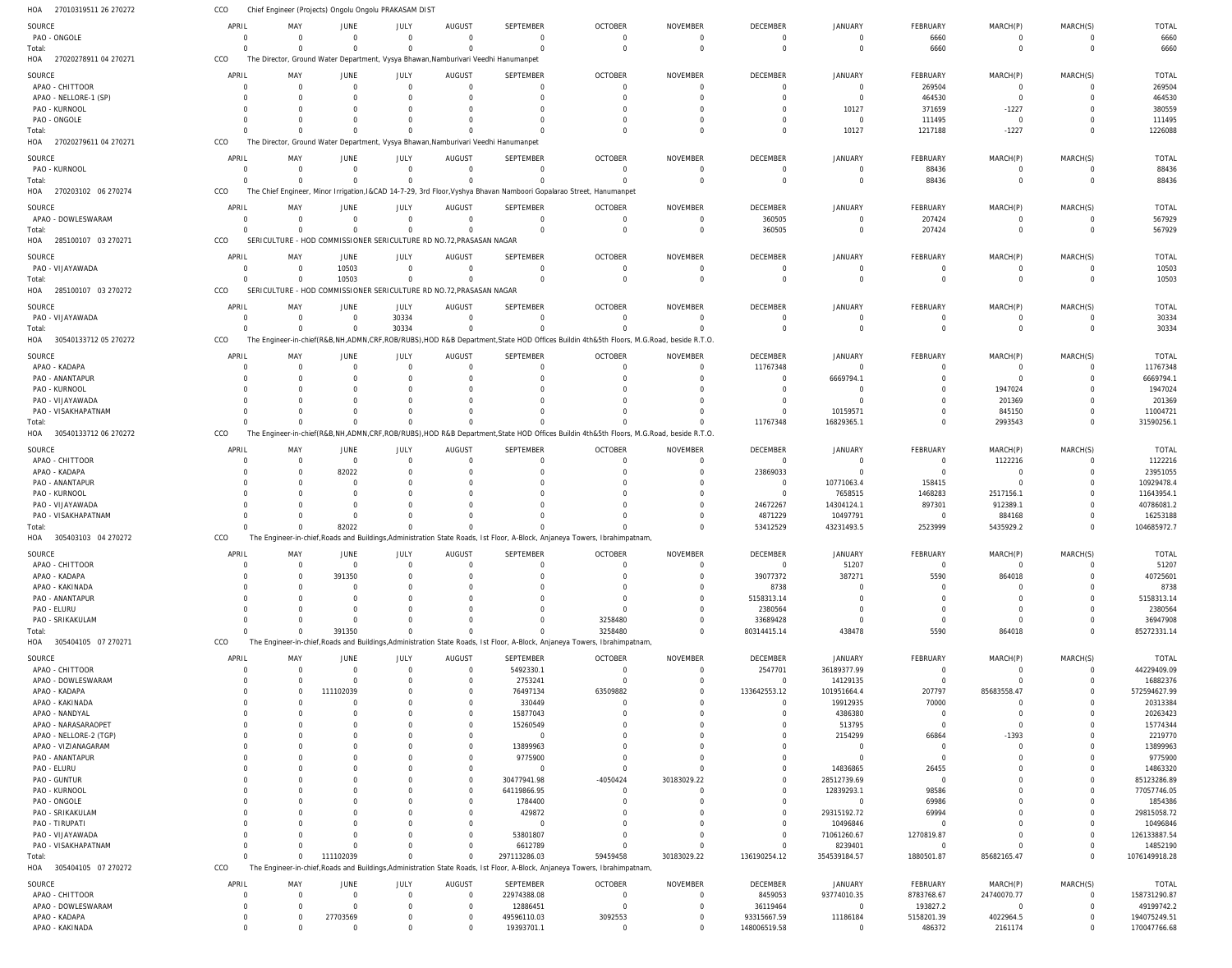27010319511 26 270272 27020278911 04 270271 HOA 27020279611 04 270271 270203102 06 270274 285100107 03 270271 285100107 03 270272 30540133712 05 270272 30540133712 06 270272 305403103 04 270272 305404105 07 270271 305404105 07 270272 HOA HOA HOA HOA HOA HOA HOA HOA HOA HOA Chief Engineer (Projects) Ongolu Ongolu PRAKASAM DIST The Director, Ground Water Department, Vysya Bhawan,Namburivari Veedhi Hanumanpet The Director, Ground Water Department, Vysya Bhawan,Namburivari Veedhi Hanumanpet The Chief Engineer, Minor Irrigation,I&CAD 14-7-29, 3rd Floor,Vyshya Bhavan Namboori Gopalarao Street, Hanumanpet SERICULTURE - HOD COMMISSIONER SERICULTURE RD NO.72,PRASASAN NAGAR SERICULTURE - HOD COMMISSIONER SERICULTURE RD NO.72,PRASASAN NAGAR The Engineer-in-chief(R&B,NH,ADMN,CRF,ROB/RUBS),HOD R&B Department,State HOD Offices Buildin 4th&5th Floors, M.G.Road, beside R.T.O. The Engineer-in-chief(R&B,NH,ADMN,CRF,ROB/RUBS),HOD R&B Department,State HOD Offices Buildin 4th&5th Floors, M.G.Road, beside R.T.O. The Engineer-in-chief,Roads and Buildings,Administration State Roads, Ist Floor, A-Block, Anjaneya Towers, Ibrahimpatnam, The Engineer-in-chief,Roads and Buildings,Administration State Roads, Ist Floor, A-Block, Anjaneya Towers, Ibrahimpatnam, The Engineer-in-chief,Roads and Buildings,Administration State Roads, Ist Floor, A-Block, Anjaneya Towers, Ibrahimpatnam, CCO CCO CCO CCO CCO CCO CCO CCO CCO CCO CCO 0  $\Omega$ 0 0  $\Omega$ 0 0 0  $\Omega$  $\Omega$ 0  $\Omega$ 0 0  $\Omega$ 0 0 0 0  $\Omega$ 0  $\Omega$ 0 0 10503 0 0 82022 391350 111102039 0  $\Omega$ 0 0  $\Omega$ 30334  $\Omega$ 0  $\Omega$  $\Omega$ 0  $\Omega$ 0 0  $\Omega$ 0 0 0  $\Omega$ 0 0  $\Omega$ 0  $\Omega$  $\Omega$ 0 0  $\Omega$  $\Omega$ 297113286.03 0  $\Omega$ 0 0  $\Omega$ 0 0 0 3258480 59459458 0  $\Omega$ 0 0  $\Omega$  $\Omega$ 0 0 0 30183029.22 0  $\Omega$ 0 360505  $\Omega$ 0 11767348 53412529 80314415.14 136190254.12 0 10127 0 0 0 0 16829365.1 43231493.5 438478 354539184.57 6660 1217188 88436 207424  $\Omega$ 0 0 2523999 5590 1880501.87 0 -1227 0 0 0 0 2993543 5435929.2 864018 85682165.47 0  $\Omega$ 0 0  $\Omega$ 0 0 0 0 0 6660 1226088 88436 567929 10503 30334 31590256.1 104685972.7 85272331.14 1076149918.28 PAO - ONGOLE APAO - CHITTOOR APAO - NELLORE-1 (SP) PAO - KURNOOL PAO - ONGOLE PAO - KURNOOL APAO - DOWLESWARAM PAO - VIJAYAWADA PAO - VIJAYAWADA APAO - KADAPA PAO - ANANTAPUR PAO - KURNOOL PAO - VIJAYAWADA PAO - VISAKHAPATNAM APAO - CHITTOOR APAO - KADAPA PAO - ANANTAPUR PAO - KURNOOL PAO - VIJAYAWADA PAO - VISAKHAPATNAM APAO - CHITTOOR APAO - KADAPA APAO - KAKINADA PAO - ANANTAPUR PAO - ELURU PAO - SRIKAKULAM APAO - CHITTOOR APAO - DOWLESWARAM APAO - KADAPA APAO - KAKINADA APAO - NANDYAL APAO - NARASARAOPET APAO - NELLORE-2 (TGP) APAO - VIZIANAGARAM PAO - ANANTAPUR PAO - ELURU PAO - GUNTUR PAO - KURNOOL PAO - ONGOLE PAO - SRIKAKULAM PAO - TIRUPATI PAO - VIJAYAWADA PAO - VISAKHAPATNAM APAO - CHITTOOR APAO - DOWLESWARAM APAO - KADAPA SOURCE **SOURCE** SOURCE **SOURCE** SOURCE SOURCE **SOURCE SOURCE** SOURCE SOURCE SOURCE 0 0 0 0  $\Omega$  $\Omega$ 0 0 0  $\mathbf{0}$  $\Omega$  $\Omega$ 0  $\Omega$  $\mathbf{0}$ 0  $\Omega$ 0  $\Omega$ 0 0  $\Omega$ 0  $\Omega$  $\Omega$  $\Omega$  $\Omega$ 0  $\Omega$ 0 0  $\Omega$ 0  $\Omega$ 0 0 0  $\Omega$  $\Omega$ 0 0 0  $\Omega$  $\Omega$ 0 0 APRIL APRIL APRIL APRIL APRIL APRIL APRIL APRIL APRIL APRIL APRIL 0 0 0 0  $\Omega$  $\Omega$ 0 0  $\Omega$ 0  $\Omega$  $\bigcap$ 0  $\Omega$ 0 0  $\Omega$ 0  $\Omega$ 0 0  $\Omega$ 0  $\Omega$  $\Omega$ 0 0 0  $\Omega$ 0  $\Omega$  $\Omega$ 0  $\Omega$ 0 0  $\Omega$  $\Omega$  $\Omega$ 0 0 0  $\Omega$ 0 0 0 MAY MAY MAY MAY MAY MAY MAY MAY MAY MAY MAY 0 0 0 0  $\Omega$  $\Omega$ 0 10503  $\Omega$  $\mathbf{0}$ 0  $\Omega$ 0  $\Omega$  $\mathbf{0}$ 82022  $\Omega$ 0  $\Omega$ 0 0 391350 0  $\Omega$ 0  $\Omega$  $\Omega$ 0 111102039  $\overline{0}$  $\Omega$  $\Omega$ 0  $\Omega$  $\overline{0}$ 0 0  $\Omega$  $\Omega$  $\overline{0}$ 0 0  $\Omega$  $\Omega$ 0 27703569 JUNE JUNE JUNE **JUNE** JUNE JUNE **JUNE** JUNE JUNE JUNE JUNE 0 0 0  $\Omega$  $\Omega$  $\Omega$ 0 0 30334 0  $\Omega$  $\cap$ 0  $\Omega$ 0  $\Omega$  $\cap$ 0  $\Omega$ 0 0  $\cap$ 0  $\Omega$ 0  $\Omega$  $\Omega$ 0  $\Omega$ 0  $\Omega$ 0 0  $\cap$ 0  $\Omega$ 0 0  $\cap$ 0  $\Omega$  $\Omega$  $\Omega$  $\Omega$ 0 0 JULY JULY JULY JULY JULY JULY JULY JULY JULY JULY JULY 0 0 0 0 0  $\Omega$ 0 0 0 0 0  $\Omega$ 0 0 0 0 0 0  $\Omega$ 0 0  $\Omega$ 0  $\Omega$ 0 0 0 0  $\Omega$ 0 0  $\Omega$ 0 0 0 0 0 0  $\Omega$ 0 0 0 0  $\Omega$ 0 0 AUGUST AUGUST AUGUST **AUGUST** AUGUST AUGUST **AUGUST AUGUST** AUGUST AUGUST AUGUST  $\Omega$ 0 0  $\Omega$ 0  $\Omega$ 0  $\Omega$  $\Omega$ 0 0  $\Omega$ 0  $\Omega$ 0  $\Omega$  $\bigcap$ 0  $\Omega$ 0  $\Omega$  $\Omega$ 0  $\bigcap$ 0  $\Omega$ 5492330.1 2753241 76497134 330449 15877043 15260549 0 13899963 9775900  $\Omega$ 30477941.98 64119866.95 1784400 429872  $\Omega$ 53801807 6612789 22974388.08 12886451 49596110.03 SEPTEMBER SEPTEMBER SEPTEMBER **SEPTEMBER** SEPTEMBER **SEPTEMBER** SEPTEMBER **SEPTEMBER** SEPTEMBER SEPTEMBER SEPTEMBER 0 0 0 0  $\Omega$  $\Omega$ 0  $\Omega$  $\Omega$ 0 0  $\Omega$ 0  $\Omega$ 0  $\Omega$  $\Omega$ 0  $\Omega$ 0  $\Omega$  $\Omega$ 0  $\Omega$ 0 3258480  $\Omega$ 0 63509882 0 0 0 0  $\cap$ 0 0 -4050424  $\Omega$  $\Omega$ 0 0  $\Omega$ 0  $\Omega$ 0 3092553 OCTOBER OCTOBER OCTOBER **OCTOBER** OCTOBER OCTOBER **OCTOBER** OCTOBER OCTOBER OCTOBER OCTOBER  $\Omega$ 0 0 0  $\Omega$  $\Omega$ 0  $\Omega$  $\Omega$ 0  $\Omega$  $\Omega$ 0  $\Omega$ 0 0  $\Omega$ 0  $\Omega$ 0  $\Omega$  $\Omega$ 0  $\Omega$ 0 0  $\Omega$ 0  $\Omega$ 0  $\Omega$  $\Omega$ 0  $\Omega$ 0  $\Omega$ 30183029.22  $\Omega$  $\Omega$ 0 0  $\Omega$ 0  $\Omega$ 0 0 NOVEMBER NOVEMBER NOVEMBER NOVEMBER NOVEMBER NOVEMBER NOVEMBER NOVEMBER NOVEMBER NOVEMBER NOVEMBER  $\Omega$ 0 0 0  $\Omega$  $\Omega$ 360505  $\Omega$  $\Omega$ 11767348 0  $\cap$ 0  $\Omega$ 0 23869033  $\Omega$ 0 24672267 4871229 0 39077372 8738 5158313.14 2380564 33689428 2547701 0 133642553.12 0  $\Omega$  $\cap$ 0  $\Omega$ 0 0  $\Omega$  $\Omega$  $\Omega$ 0 0 0  $\Omega$ 8459053 36119464 93315667.59 DECEMBER **DECEMBER** DECEMBER **DECEMBER** DECEMBER DECEMBER **DECEMBER** DECEMBER DECEMBER DECEMBER DECEMBER 0 0 0 10127 0  $\Omega$ 0 0  $\Omega$ 0 6669794.1 0 0 10159571 0 0 10771063.4 7658515 14304124.1 10497791 51207 387271 0  $\Omega$  $\mathbf{0}$ 0 36189377.99 14129135 101951664.4 19912935 4386380 513795 2154299  $\Omega$ 0 14836865 28512739.69 12839293.1  $\Omega$ 29315192.72 10496846 71061260.67 8239401 93774010.35 0 11186184 JANUARY JANUARY JANUARY **JANUARY** JANUARY JANUARY **JANUARY** JANUARY JANUARY JANUARY JANUARY 6660 269504 464530 371659 111495 88436 207424  $\Omega$  $\Omega$ 0  $\Omega$ 0 0  $\cap$ 0 0 158415 1468283 897301 0 0 5590 0  $\Omega$ 0  $\Omega$  $\Omega$ 0 207797 70000 0  $\Omega$ 66864  $\Omega$ 0 26455  $\bigcap$ 98586 69986 69994 0 1270819.87  $\Omega$ 8783768.67 193827.2 5158201.39 FEBRUARY FEBRUARY FEBRUARY **FFBRUARY** FEBRUARY FEBRUARY **FEBRUARY FEBRUARY** FEBRUARY FEBRUARY FEBRUARY 0 0 0 -1227 0  $\Omega$ 0  $\Omega$  $\Omega$ 0 0 1947024 201369 845150 1122216 0  $\Omega$ 2517156.1 912389.1 884168  $\Omega$ 864018 0  $\Omega$ 0  $\Omega$  $\Omega$ 0 85683558.47 0  $\Omega$  $\Omega$ -1393  $\Omega$ 0 0 0  $\Omega$  $\Omega$ 0 0 0  $\Omega$ 24740070.77 0 4022964.5 MARCH(P) MARCH(P) MARCH(P) MARCH(P) MARCH(P) MARCH(P) MARCH(P) MARCH(P) MARCH(P) MARCH(P) MARCH(P)  $\Omega$ 0 0 0  $\Omega$  $\Omega$ 0  $\Omega$  $\Omega$ 0  $\Omega$  $\cap$ 0  $\Omega$ 0 0  $\Omega$ 0  $\Omega$ 0 0  $\Omega$ 0  $\Omega$  $\Omega$ 0  $\Omega$ 0  $\Omega$ 0  $\Omega$  $\cap$ 0  $\Omega$ 0 0  $\Omega$  $\Omega$  $\Omega$ 0 0 0 0  $\Omega$ 0 0 MARCH(S) MARCH(S) MARCH(S) MARCH(S) MARCH(S) MARCH(S) MARCH(S) MARCH(S) MARCH(S) MARCH(S) MARCH(S) 6660 269504 464530 380559 111495 88436 567929 10503 30334 11767348 6669794.1 1947024 201369 11004721 1122216 23951055 10929478.4 11643954.1 40786081.2 16253188 51207 40725601 8738 5158313.14 2380564 36947908 44229409.09 16882376 572594627.99 20313384 20263423 15774344 2219770 13899963 9775900 14863320 85123286.89 77057746.05 1854386 29815058.72 10496846 126133887.54 14852190 158731290.87 49199742.2 194075249.51 TOTAL TOTAL TOTAL TOTAL TOTAL TOTAL TOTAL TOTAL TOTAL TOTAL TOTAL Total: Total: Total: Total: Total: Total: Total: Total: Total: Total:

APAO - KAKINADA

0

0

0

0

0

19393701.1

0

0

148006519.58

0

486372

2161174

0

170047766.68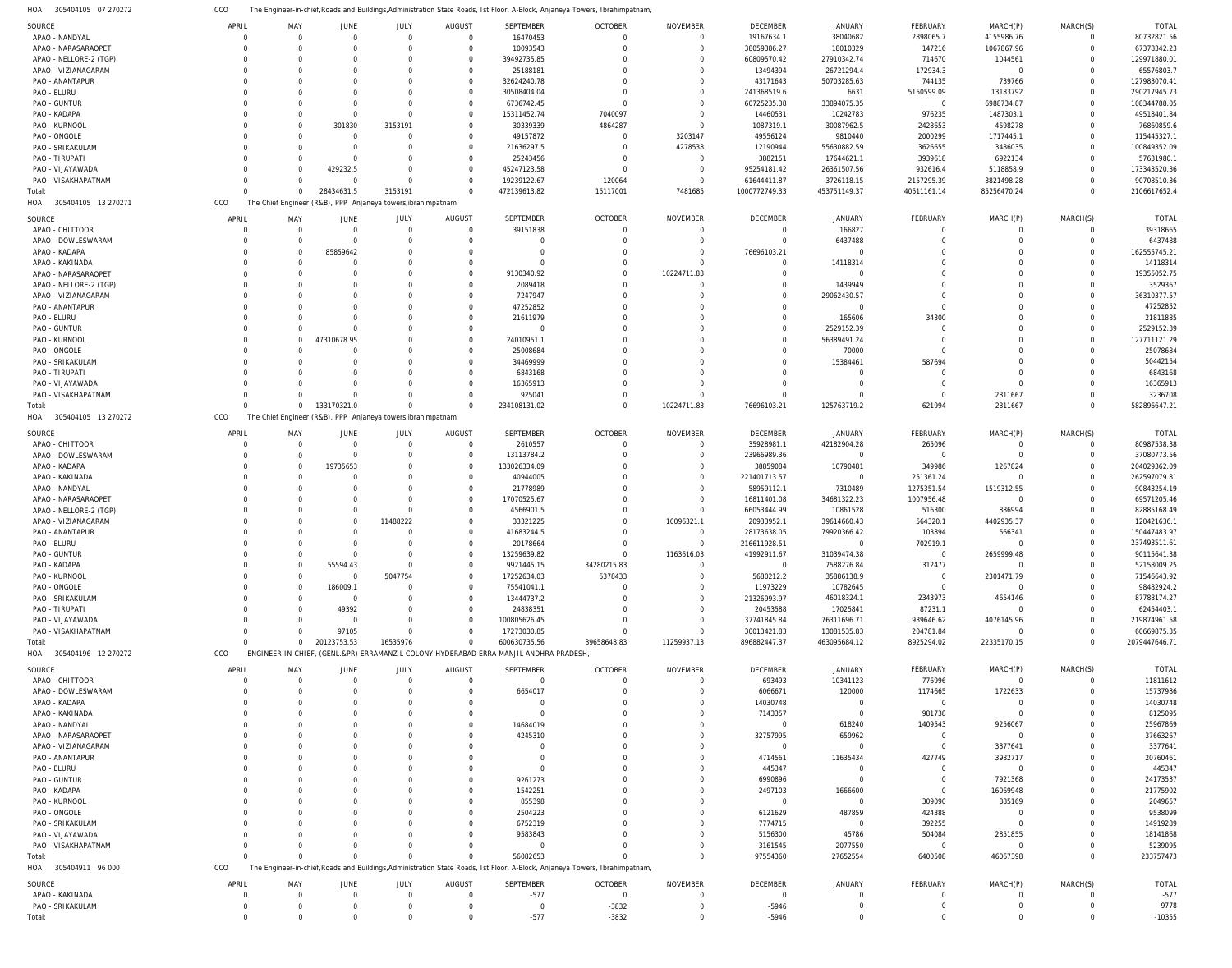305404105 07 270272 HOA The Engineer-in-chief,Roads and Buildings,Administration State Roads, Ist Floor, A-Block, Anjaneya Towers, Ibrahimpatnam, CCO

| SOURCE                     | APRIL                      | MAY           | JUNE           | JULY                                                         | AUGUST          | SEPTEMBER                                                                            | <b>OCTOBER</b>                                                                                                              | NOVEMBER             | DECEMBER           | JANUARY                       | FEBRUARY                   | MARCH(P)                    | MARCH(S)                         | <b>TOTAL</b>        |
|----------------------------|----------------------------|---------------|----------------|--------------------------------------------------------------|-----------------|--------------------------------------------------------------------------------------|-----------------------------------------------------------------------------------------------------------------------------|----------------------|--------------------|-------------------------------|----------------------------|-----------------------------|----------------------------------|---------------------|
| APAO - NANDYAL             | $\mathbf 0$                | $\Omega$      | $\Omega$       | $\mathbf 0$                                                  | $\Omega$        | 16470453                                                                             |                                                                                                                             | $\Omega$             | 19167634.1         | 38040682                      | 2898065.7                  | 4155986.76                  | $\overline{0}$                   | 80732821.56         |
| APAO - NARASARAOPET        | $\Omega$                   | $\Omega$      |                | $\Omega$                                                     | $\Omega$        | 10093543                                                                             |                                                                                                                             | $\Omega$             | 38059386.27        | 18010329                      | 147216                     | 1067867.96                  | $\overline{0}$                   | 67378342.23         |
|                            |                            |               |                |                                                              |                 |                                                                                      |                                                                                                                             |                      |                    |                               |                            |                             |                                  |                     |
| APAO - NELLORE-2 (TGP)     | $\Omega$                   | $\Omega$      |                | $\Omega$                                                     | $\Omega$        | 39492735.85                                                                          |                                                                                                                             |                      | 60809570.42        | 27910342.74                   | 714670                     | 1044561                     | $\overline{0}$                   | 129971880.01        |
| APAO - VIZIANAGARAM        | $\Omega$                   | $\Gamma$      |                | $\Omega$                                                     | $\Omega$        | 25188181                                                                             |                                                                                                                             |                      | 13494394           | 26721294.4                    | 172934.3                   | $\mathbf 0$                 | $\Omega$                         | 65576803.7          |
| PAO - ANANTAPUR            | $\Omega$                   | $\Omega$      |                | $\Omega$                                                     | $\Omega$        | 32624240.78                                                                          |                                                                                                                             |                      | 43171643           | 50703285.63                   | 744135                     | 739766                      | $\overline{0}$                   | 127983070.41        |
| PAO - ELURU                | C                          | $\Gamma$      |                | $\Omega$                                                     | $\Omega$        | 30508404.04                                                                          |                                                                                                                             |                      | 241368519.6        | 6631                          | 5150599.09                 | 13183792                    | $\overline{0}$                   | 290217945.73        |
|                            | C                          |               | $\Omega$       | $\Omega$                                                     | $\Omega$        |                                                                                      |                                                                                                                             |                      |                    |                               |                            |                             | $\overline{0}$                   |                     |
| PAO - GUNTUR               |                            | $\Omega$      |                |                                                              |                 | 6736742.45                                                                           |                                                                                                                             |                      | 60725235.38        | 33894075.35                   | $\mathbf{0}$               | 6988734.87                  |                                  | 108344788.05        |
| PAO - KADAPA               | C                          | $\Gamma$      | $\Omega$       | $\Omega$                                                     | $\cap$          | 15311452.74                                                                          | 7040097                                                                                                                     | $\cap$               | 14460531           | 10242783                      | 976235                     | 1487303.1                   | $\Omega$                         | 49518401.84         |
| PAO - KURNOOL              | C                          | $\Omega$      | 301830         | 3153191                                                      | $\Omega$        | 30339339                                                                             | 4864287                                                                                                                     | $\Omega$             | 1087319.1          | 30087962.5                    | 2428653                    | 4598278                     | $\Omega$                         | 76860859.6          |
| PAO - ONGOLE               | C                          | -C            | $\Omega$       | $\Omega$                                                     | $\Omega$        | 49157872                                                                             | $\Omega$                                                                                                                    | 3203147              | 49556124           | 9810440                       | 2000299                    | 1717445.1                   | $\Omega$                         | 115445327.1         |
| PAO - SRIKAKULAM           | $\Omega$                   | $\Omega$      | $\Omega$       | $\Omega$                                                     | $\Omega$        | 21636297.5                                                                           | $\Omega$                                                                                                                    | 4278538              | 12190944           | 55630882.59                   | 3626655                    | 3486035                     | $\overline{0}$                   | 100849352.09        |
|                            |                            |               |                |                                                              |                 |                                                                                      |                                                                                                                             |                      |                    |                               |                            |                             |                                  |                     |
| PAO - TIRUPATI             | C                          | -C            | $\Omega$       | 0                                                            | $\cap$          | 25243456                                                                             | $\cap$                                                                                                                      | $\Omega$             | 3882151            | 17644621.1                    | 3939618                    | 6922134                     | $\Omega$                         | 57631980.1          |
| PAO - VIJAYAWADA           | $\Gamma$                   | $\Gamma$      | 429232.5       | $\Omega$                                                     | $\Omega$        | 45247123.58                                                                          |                                                                                                                             | $\Omega$             | 95254181.42        | 26361507.56                   | 932616.4                   | 5118858.9                   | $\overline{0}$                   | 173343520.36        |
| PAO - VISAKHAPATNAM        | $\Gamma$                   | $\Gamma$      | $\Omega$       | $\Omega$                                                     | $\Omega$        | 19239122.67                                                                          | 120064                                                                                                                      | $\Omega$             | 61644411.87        | 3726118.15                    | 2157295.39                 | 3821498.28                  | $\Omega$                         | 90708510.36         |
| Total:                     | $\Omega$                   | $\Omega$      | 28434631.5     | 3153191                                                      |                 | 472139613.82                                                                         | 15117001                                                                                                                    | 7481685              | 1000772749.33      | 453751149.37                  | 40511161.14                | 85256470.24                 | $\overline{0}$                   | 2106617652.4        |
|                            |                            |               |                |                                                              |                 |                                                                                      |                                                                                                                             |                      |                    |                               |                            |                             |                                  |                     |
| 305404105 13 270271<br>HOA | CCO                        |               |                | The Chief Engineer (R&B), PPP Anjaneya towers, ibrahimpatnam |                 |                                                                                      |                                                                                                                             |                      |                    |                               |                            |                             |                                  |                     |
|                            | APRIL                      | MAY           |                |                                                              | AUGUST          |                                                                                      | <b>OCTOBER</b>                                                                                                              | <b>NOVEMBER</b>      |                    |                               | FEBRUARY                   |                             |                                  | <b>TOTAL</b>        |
| SOURCE                     |                            |               | JUNE           | JULY                                                         |                 | SEPTEMBER                                                                            |                                                                                                                             |                      | DECEMBER           | JANUARY                       |                            | MARCH(P)                    | MARCH(S)                         |                     |
| APAO - CHITTOOR            | $\overline{0}$             | $\Omega$      | $\Omega$       | $\mathbf 0$                                                  | $\Omega$        | 39151838                                                                             | $\Omega$                                                                                                                    | $\Omega$             | $\overline{0}$     | 166827                        | $^{\circ}$                 | 0                           | $\overline{0}$                   | 39318665            |
| APAO - DOWLESWARAM         | $\Omega$                   | $\Omega$      | $\Omega$       | $\Omega$                                                     | $\Omega$        | $\mathbf 0$                                                                          | $\Omega$                                                                                                                    | $\Omega$             | $\overline{0}$     | 6437488                       | $\mathbf 0$                | $\mathbf 0$                 | $\overline{0}$                   | 6437488             |
| APAO - KADAPA              | $\Omega$                   | $\Omega$      | 85859642       | $\Omega$                                                     | $\cap$          | $\mathbf 0$                                                                          |                                                                                                                             | $\Omega$             | 76696103.21        | $\Omega$                      | $\Omega$                   | $\Omega$                    | $\overline{0}$                   | 162555745.21        |
| APAO - KAKINADA            | $\Omega$                   | $\Omega$      | $\Omega$       | $\Omega$                                                     | $\Omega$        | $\Omega$                                                                             |                                                                                                                             |                      | $\mathbf 0$        | 14118314                      | $\Omega$                   | $\Omega$                    | $\overline{0}$                   | 14118314            |
|                            |                            |               |                |                                                              |                 |                                                                                      |                                                                                                                             |                      |                    |                               |                            |                             |                                  |                     |
| APAO - NARASARAOPET        | $\Omega$                   | $\Omega$      | $\Omega$       | $\Omega$                                                     | $\Omega$        | 9130340.92                                                                           | $\Omega$                                                                                                                    | 10224711.83          | $\Omega$           | $\Omega$                      | $\Omega$                   | $\Omega$                    | $\Omega$                         | 19355052.75         |
| APAO - NELLORE-2 (TGP)     | $\Omega$                   | $\Omega$      |                | $\Omega$                                                     |                 | 2089418                                                                              |                                                                                                                             |                      | $\mathbf 0$        | 1439949                       | $\Omega$                   | $\Omega$                    | $\Omega$                         | 3529367             |
| APAO - VIZIANAGARAM        | $\Omega$                   | $\Omega$      | $\Omega$       | $\Omega$                                                     | $\Omega$        | 7247947                                                                              |                                                                                                                             |                      | $\Omega$           | 29062430.57                   | $\Omega$                   | $\Omega$                    | $\Omega$                         | 36310377.57         |
| PAO - ANANTAPUR            | C                          | $\Omega$      | $\Omega$       | $\Omega$                                                     | $\Omega$        | 47252852                                                                             |                                                                                                                             |                      | $\Omega$           | $\overline{0}$                | $\mathbf 0$                | $\Omega$                    | $\Omega$                         | 47252852            |
|                            |                            |               |                |                                                              |                 |                                                                                      |                                                                                                                             |                      |                    |                               |                            |                             |                                  |                     |
| PAO - ELURU                | C                          | $\Omega$      | $\Omega$       | $\Omega$                                                     | $\Omega$        | 21611979                                                                             |                                                                                                                             |                      | $\Omega$           | 165606                        | 34300                      | $\Omega$                    | $\Omega$                         | 21811885            |
| PAO - GUNTUR               | $\Omega$                   | $\Omega$      | $\Omega$       | $\Omega$                                                     | $\Omega$        | $\overline{0}$                                                                       |                                                                                                                             |                      | $\Omega$           | 2529152.39                    | $\Omega$                   | $\Omega$                    | $\Omega$                         | 2529152.39          |
| PAO - KURNOOL              | $\Omega$                   | $\Omega$      | 47310678.95    | $\Omega$                                                     | $\Omega$        | 24010951.1                                                                           |                                                                                                                             |                      | $\Omega$           | 56389491.24                   | $\Omega$                   | $\Omega$                    | $\overline{0}$                   | 127711121.29        |
| PAO - ONGOLE               | $\Omega$                   | $\Omega$      | $\Omega$       | $\Omega$                                                     |                 | 25008684                                                                             |                                                                                                                             |                      | $\Omega$           | 70000                         | $\Omega$                   | $\Omega$                    | $\Omega$                         | 25078684            |
|                            |                            |               |                |                                                              |                 |                                                                                      |                                                                                                                             |                      |                    |                               |                            |                             |                                  |                     |
| PAO - SRIKAKULAM           | $\Omega$                   | $\Omega$      | $\Omega$       | $\Omega$                                                     | $\Omega$        | 34469999                                                                             |                                                                                                                             |                      | $\Omega$           | 15384461                      | 587694                     | $\Omega$                    | $\Omega$                         | 50442154            |
| PAO - TIRUPATI             | $\Omega$                   | $\Omega$      | $\Omega$       | $\Omega$                                                     | $\Omega$        | 6843168                                                                              |                                                                                                                             |                      | $\Omega$           | $\Omega$                      | $\mathbf 0$                | $\Omega$                    | $\Omega$                         | 6843168             |
| PAO - VIJAYAWADA           | $\Omega$                   | $\Omega$      | $\Omega$       | $\Omega$                                                     | $\Omega$        | 16365913                                                                             |                                                                                                                             |                      | $\Omega$           | $\Omega$                      | $\mathbf 0$                | $\Omega$                    | $\Omega$                         | 16365913            |
|                            | $\Omega$                   | $\Omega$      | $\Omega$       | $\Omega$                                                     | $\Omega$        |                                                                                      |                                                                                                                             |                      | $\Omega$           | $\Omega$                      | $\mathbf 0$                |                             | $\Omega$                         | 3236708             |
| PAO - VISAKHAPATNAM        |                            |               |                |                                                              |                 | 925041                                                                               |                                                                                                                             |                      |                    |                               |                            | 2311667                     |                                  |                     |
| Total:                     | $\Omega$                   | $\mathbf{0}$  | 133170321.0    | $\Omega$                                                     | $\cap$          | 234108131.02                                                                         | $\Omega$                                                                                                                    | 10224711.83          | 76696103.21        | 125763719.2                   | 621994                     | 2311667                     | $\overline{0}$                   | 582896647.21        |
| 305404105 13 270272<br>HOA | CCO                        |               |                | The Chief Engineer (R&B), PPP Anjaneya towers, ibrahimpatnam |                 |                                                                                      |                                                                                                                             |                      |                    |                               |                            |                             |                                  |                     |
|                            |                            |               |                |                                                              |                 |                                                                                      |                                                                                                                             |                      |                    |                               |                            |                             |                                  |                     |
| SOURCE                     | APRIL                      | MAY           | JUNE           | JULY                                                         | AUGUST          | SEPTEMBER                                                                            | <b>OCTOBER</b>                                                                                                              | NOVEMBER             | DECEMBER           | JANUARY                       | FEBRUARY                   | MARCH(P)                    | MARCH(S)                         | TOTAL               |
| APAO - CHITTOOR            | $\mathbf 0$                | $\Omega$      | $\Omega$       | $\mathbf 0$                                                  | $\Omega$        | 2610557                                                                              | $\Omega$                                                                                                                    | $\Omega$             | 35928981.1         | 42182904.28                   | 265096                     | $\mathbf 0$                 | $\overline{0}$                   | 80987538.38         |
| APAO - DOWLESWARAM         | $\Omega$                   | $\Omega$      | $\Omega$       | $\mathbf 0$                                                  | $\Omega$        | 13113784.2                                                                           |                                                                                                                             |                      | 23966989.36        | $\overline{0}$                | $\mathbf 0$                | $\mathbf{0}$                | $\Omega$                         | 37080773.56         |
|                            |                            |               |                |                                                              |                 |                                                                                      |                                                                                                                             |                      |                    |                               |                            |                             |                                  |                     |
| APAO - KADAPA              | $\Omega$                   | $\Omega$      | 19735653       | $\Omega$                                                     | $\Omega$        | 133026334.09                                                                         |                                                                                                                             |                      | 38859084           | 10790481                      | 349986                     | 1267824                     | $\Omega$                         | 204029362.09        |
| APAO - KAKINADA            | $\Omega$                   | $\Omega$      |                | $\Omega$                                                     | $\Omega$        | 40944005                                                                             |                                                                                                                             |                      | 221401713.57       | $\overline{0}$                | 251361.24                  | $\mathbf 0$                 | $\overline{0}$                   | 262597079.81        |
| APAO - NANDYAL             | C                          | $\Omega$      |                | $\Omega$                                                     | $\Omega$        | 21778989                                                                             |                                                                                                                             |                      | 58959112.1         | 7310489                       | 1275351.54                 | 1519312.55                  | $\Omega$                         | 90843254.19         |
| APAO - NARASARAOPET        | $\Omega$                   | $\Omega$      | $\Omega$       | $\Omega$                                                     | $\Omega$        | 17070525.67                                                                          |                                                                                                                             | $\Omega$             | 16811401.08        | 34681322.23                   | 1007956.48                 | $\mathbf 0$                 | $\Omega$                         | 69571205.46         |
|                            |                            |               |                |                                                              |                 |                                                                                      |                                                                                                                             |                      |                    |                               |                            |                             |                                  |                     |
| APAO - NELLORE-2 (TGP)     | C                          | $\Gamma$      | $\Omega$       | $\Omega$                                                     | $\cap$          | 4566901.5                                                                            |                                                                                                                             | $\Omega$             | 66053444.99        | 10861528                      | 516300                     | 886994                      | $\Omega$                         | 82885168.49         |
| APAO - VIZIANAGARAM        | C                          | $\Omega$      | $\Omega$       | 11488222                                                     | $\Omega$        | 33321225                                                                             |                                                                                                                             | 10096321.1           | 20933952.1         | 39614660.43                   | 564320.1                   | 4402935.37                  | $\Omega$                         | 120421636.1         |
| PAO - ANANTAPUR            | C                          | $\Gamma$      |                | $\Omega$                                                     | $\cap$          | 41683244.5                                                                           |                                                                                                                             | $\Omega$             | 28173638.05        | 79920366.42                   | 103894                     | 566341                      | $\Omega$                         | 150447483.97        |
| PAO - ELURU                | $\Omega$                   | $\Omega$      |                | 0                                                            | $\Omega$        | 20178664                                                                             |                                                                                                                             | $\Omega$             | 216611928.51       | $\overline{0}$                | 702919.1                   | $\overline{0}$              | $\Omega$                         | 237493511.61        |
|                            |                            |               |                |                                                              |                 |                                                                                      |                                                                                                                             |                      |                    |                               |                            |                             |                                  |                     |
| PAO - GUNTUR               | $\Omega$                   | $\Omega$      | $\Omega$       | $\Omega$                                                     | $\Omega$        | 13259639.82                                                                          | $\cap$                                                                                                                      | 1163616.03           | 41992911.67        | 31039474.38                   | $\mathbf 0$                | 2659999.48                  | $\Omega$                         | 90115641.38         |
| PAO - KADAPA               |                            |               | 55594.43       | 0                                                            |                 | 9921445.15                                                                           | 34280215.83                                                                                                                 |                      | 0                  | 7588276.84                    | 312477                     | $\mathbf 0$                 | $^{\circ}$                       | 52158009.25         |
| PAO - KURNOOL              | C                          | 0             | $\overline{0}$ | 5047754                                                      | $\Omega$        | 17252634.03                                                                          | 5378433                                                                                                                     |                      | 5680212.2          | 35886138.9                    | $\mathbf{0}$               | 2301471.79                  | $\Omega$                         | 71546643.92         |
| PAO - ONGOLE               | $\mathbf 0$                | $\Omega$      | 186009.1       | 0                                                            | $\Omega$        | 75541041.1                                                                           |                                                                                                                             |                      | 11973229           | 10782645                      | $\mathbf 0$                | $\mathbf{0}$                | $\Omega$                         | 98482924.2          |
|                            |                            |               |                |                                                              |                 |                                                                                      |                                                                                                                             |                      |                    |                               |                            |                             |                                  |                     |
| PAO - SRIKAKULAM           | C                          | -C            | $\overline{0}$ |                                                              |                 | 13444737.2                                                                           |                                                                                                                             |                      | 21326993.97        | 46018324.1                    | 2343973                    | 4654146                     | $\Omega$                         | 87788174.27         |
| PAO - TIRUPATI             | $\Omega$                   | -0            | 49392          | Ω                                                            | $\Omega$        | 24838351                                                                             |                                                                                                                             |                      | 20453588           | 17025841                      | 87231.1                    | 0                           | $\Omega$                         | 62454403.1          |
| PAO - VIJAYAWADA           | $\Omega$                   |               | $\Omega$       |                                                              |                 | 100805626.45                                                                         |                                                                                                                             |                      | 37741845.84        | 76311696.71                   | 939646.62                  | 4076145.96                  | $\Omega$                         | 219874961.58        |
| PAO - VISAKHAPATNAM        | $\Omega$                   | $\Omega$      | 97105          | $\Omega$                                                     |                 | 17273030.85                                                                          |                                                                                                                             |                      | 30013421.83        | 13081535.83                   | 204781.84                  | $\mathbf 0$                 | $\Omega$                         | 60669875.35         |
|                            |                            |               |                |                                                              |                 |                                                                                      |                                                                                                                             |                      |                    |                               |                            |                             |                                  |                     |
| Total:                     | $\Omega$                   | $\Omega$      | 20123753.53    | 16535976                                                     |                 | 600630735.56                                                                         | 39658648.83                                                                                                                 | 11259937.13          | 896882447.37       | 463095684.12                  | 8925294.02                 | 22335170.15                 | $\Omega$                         | 2079447646.71       |
| HOA 305404196 12 270272    | CCO                        |               |                |                                                              |                 | ENGINEER-IN-CHIEF, (GENL.&PR) ERRAMANZIL COLONY HYDERABAD ERRA MANJIL ANDHRA PRADESH |                                                                                                                             |                      |                    |                               |                            |                             |                                  |                     |
|                            |                            |               |                |                                                              |                 |                                                                                      |                                                                                                                             |                      |                    |                               |                            |                             |                                  |                     |
| SOURCE                     |                            |               |                | <b>JULY</b>                                                  | AUGUST          | SEPTEMBER                                                                            | <b>OCTOBER</b>                                                                                                              | NOVEMBER             | DECEMBER           | JANUARY                       | FEBRUARY                   | MARCH(P)                    | MARCH(S)                         | <b>TOTAL</b>        |
|                            | APRIL                      | MAY           | JUNE           |                                                              |                 |                                                                                      |                                                                                                                             |                      |                    |                               |                            |                             |                                  |                     |
| APAO - CHITTOOR            | C                          | $\Omega$      | $\Omega$       | $\mathbf 0$                                                  | $\cap$          | $\overline{0}$                                                                       |                                                                                                                             |                      | 693493             | 10341123                      | 776996                     | $\mathbf 0$                 | $\Omega$                         | 11811612            |
|                            | $\Omega$                   | $\Omega$      | $\Omega$       | $\Omega$                                                     | $\Omega$        |                                                                                      |                                                                                                                             |                      |                    |                               |                            |                             | $\Omega$                         |                     |
| APAO - DOWLESWARAM         |                            |               |                |                                                              |                 | 6654017                                                                              |                                                                                                                             |                      | 6066671            | 120000                        | 1174665                    | 1722633                     |                                  | 15737986            |
| APAO - KADAPA              | $\Omega$                   | $\Omega$      |                |                                                              |                 | $\mathbf 0$                                                                          |                                                                                                                             |                      | 14030748           | $\overline{0}$                | $\mathbf 0$                | $\mathbf 0$                 |                                  | 14030748            |
| APAO - KAKINADA            | $\Omega$                   | $\Omega$      |                |                                                              |                 | $\mathbf 0$                                                                          |                                                                                                                             |                      | 7143357            | $\overline{0}$                | 981738                     | $\mathbf 0$                 | $\Omega$                         | 8125095             |
| APAO - NANDYAL             | $\Omega$                   | 0             |                |                                                              |                 | 14684019                                                                             |                                                                                                                             |                      | $\overline{0}$     | 618240                        | 1409543                    | 9256067                     | $\Omega$                         | 25967869            |
|                            | $\Omega$                   | $\Omega$      |                |                                                              |                 |                                                                                      |                                                                                                                             |                      |                    |                               | $\mathbf 0$                | $\overline{0}$              | $\Omega$                         |                     |
| APAO - NARASARAOPET        |                            |               |                |                                                              |                 | 4245310                                                                              |                                                                                                                             |                      | 32757995           | 659962                        |                            |                             |                                  | 37663267            |
| APAO - VIZIANAGARAM        | $\Omega$                   | 0             |                |                                                              |                 | $\mathbf 0$                                                                          |                                                                                                                             |                      | $\overline{0}$     | $\overline{0}$                | $\mathbf 0$                | 3377641                     | $\Omega$                         | 3377641             |
| PAO - ANANTAPUR            | $\Omega$                   | $\Omega$      |                |                                                              |                 | $\mathbf 0$                                                                          |                                                                                                                             |                      | 4714561            | 11635434                      | 427749                     | 3982717                     | $\Omega$                         | 20760461            |
| PAO - ELURU                | C                          | -C            |                |                                                              |                 | $\mathbf 0$                                                                          |                                                                                                                             |                      | 445347             | $\overline{0}$                | 0                          | $\mathbf 0$                 | $\Omega$                         | 445347              |
| PAO - GUNTUR               | $\Omega$                   | $\Omega$      |                |                                                              |                 | 9261273                                                                              |                                                                                                                             |                      | 6990896            | $\Omega$                      | $\mathbf 0$                | 7921368                     | $\Omega$                         | 24173537            |
|                            |                            |               |                |                                                              |                 |                                                                                      |                                                                                                                             |                      |                    |                               |                            |                             | $\Omega$                         |                     |
| PAO - KADAPA               | C                          | $\Omega$      |                |                                                              |                 | 1542251                                                                              |                                                                                                                             |                      | 2497103            | 1666600                       | $\mathbf 0$                | 16069948                    |                                  | 21775902            |
| PAO - KURNOOL              | $\Omega$                   | 0             |                |                                                              |                 | 855398                                                                               |                                                                                                                             |                      | $\overline{0}$     | $\overline{0}$                | 309090                     | 885169                      | $\cap$                           | 2049657             |
| PAO - ONGOLE               | $\Omega$                   | $\Gamma$      |                |                                                              |                 | 2504223                                                                              |                                                                                                                             |                      | 6121629            | 487859                        | 424388                     | $\overline{0}$              | $\Omega$                         | 9538099             |
| PAO - SRIKAKULAM           | $\Omega$                   | $\Omega$      |                |                                                              | $\Omega$        | 6752319                                                                              |                                                                                                                             |                      | 7774715            | $\overline{0}$                | 392255                     | $\mathbf 0$                 | $\Omega$                         | 14919289            |
|                            |                            |               |                |                                                              |                 |                                                                                      |                                                                                                                             |                      |                    |                               |                            |                             |                                  |                     |
| PAO - VIJAYAWADA           | $\Omega$                   | $\Omega$      |                |                                                              |                 | 9583843                                                                              |                                                                                                                             |                      | 5156300            | 45786                         | 504084                     | 2851855                     | $\Omega$                         | 18141868            |
| PAO - VISAKHAPATNAM        | C                          | $\Omega$      | $\Omega$       |                                                              |                 | $\mathbf 0$                                                                          |                                                                                                                             |                      | 3161545            | 2077550                       | $\overline{0}$             | 0                           | $\Omega$                         | 5239095             |
| Total:                     | $\Omega$                   | $\Omega$      | $\Omega$       | $\Omega$                                                     | $\Omega$        | 56082653                                                                             |                                                                                                                             | $\Omega$             | 97554360           | 27652554                      | 6400508                    | 46067398                    | $\overline{0}$                   | 233757473           |
|                            | CCO                        |               |                |                                                              |                 |                                                                                      |                                                                                                                             |                      |                    |                               |                            |                             |                                  |                     |
| HOA 305404911 96 000       |                            |               |                |                                                              |                 |                                                                                      | The Engineer-in-chief, Roads and Buildings, Administration State Roads, Ist Floor, A-Block, Anjaneya Towers, Ibrahimpatnam, |                      |                    |                               |                            |                             |                                  |                     |
| SOURCE                     | APRIL                      | MAY           | JUNE           | JULY                                                         | AUGUST          | SEPTEMBER                                                                            | <b>OCTOBER</b>                                                                                                              | NOVEMBER             | DECEMBER           | JANUARY                       | FEBRUARY                   | MARCH(P)                    | MARCH(S)                         | <b>TOTAL</b>        |
|                            |                            |               |                |                                                              |                 |                                                                                      |                                                                                                                             |                      |                    |                               |                            |                             |                                  |                     |
| APAO - KAKINADA            | 0                          | 0             | $\Omega$       | $\mathbf 0$                                                  | $\Omega$        | $-577$                                                                               | $\Omega$                                                                                                                    |                      | $\overline{0}$     | $\Omega$                      | 0                          | 0                           | $\Omega$                         | $-577$              |
| PAO - SRIKAKULAM<br>Total: | $\mathbf 0$<br>$\mathbf 0$ | 0<br>$\Omega$ | $\Omega$       | $\mathbf 0$<br>$\mathbf 0$                                   | - 0<br>$\Omega$ | $\mathbf 0$<br>$-577$                                                                | $-3832$<br>$-3832$                                                                                                          | $\Omega$<br>$\Omega$ | $-5946$<br>$-5946$ | $\overline{0}$<br>$\mathbf 0$ | $\mathbf 0$<br>$\mathbf 0$ | $\mathbf{0}$<br>$\mathbf 0$ | $\overline{0}$<br>$\overline{0}$ | $-9778$<br>$-10355$ |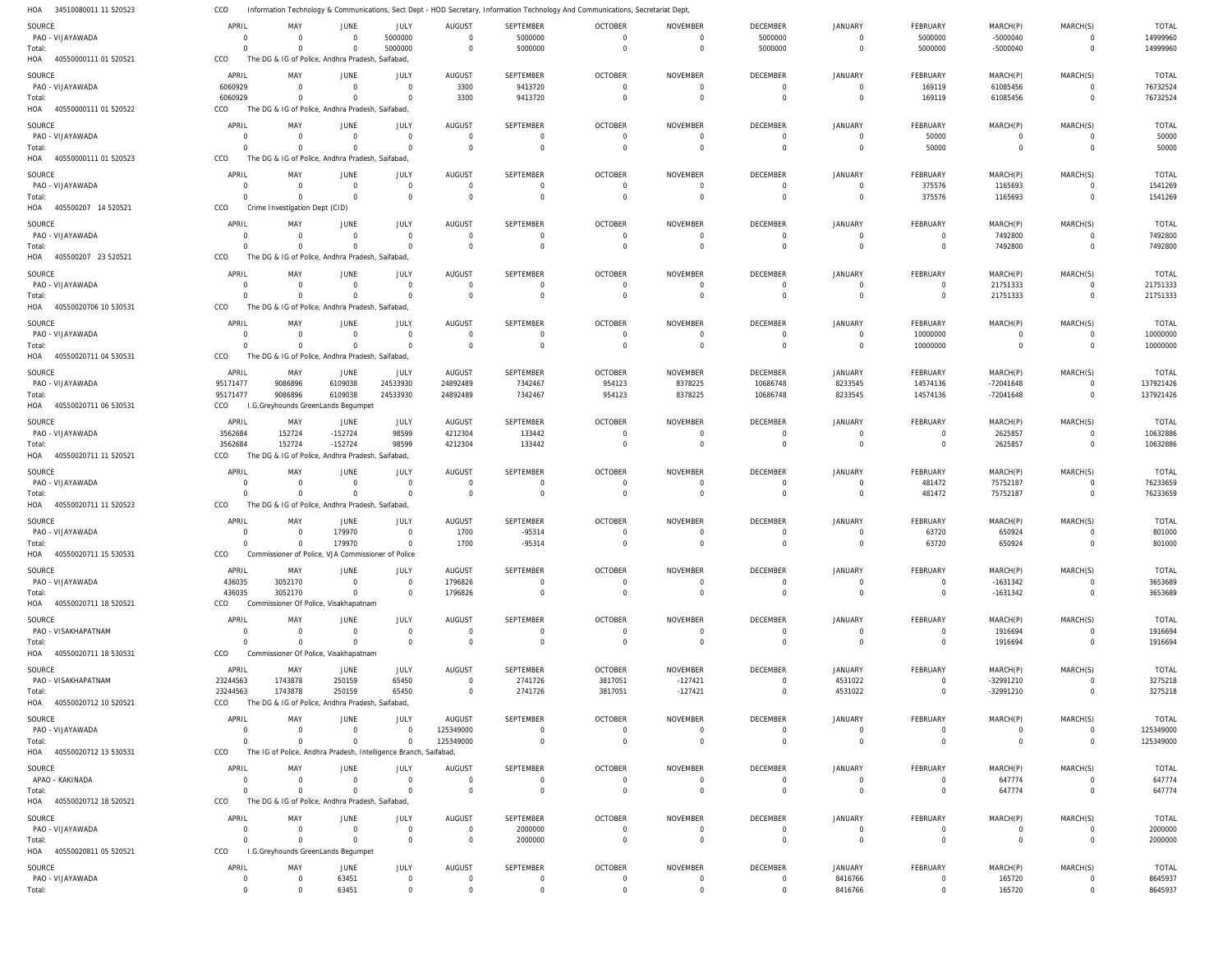34510080011 11 520523 HOA Information Technology & Communications, Sect Dept - HOD Secretary, Information Technology And Communications, Secretariat Dept, CCO

| 110 <sub>M</sub><br><b>PROPORT III JANUALI</b> |             | <b>Hation</b> recrimoiogy      |                                                                  |                |                |                  | Communications, bect Dept - HOD becretary, information rechilology And Communications, becretariat Dept |                 |                 |                |                 |                |                |              |
|------------------------------------------------|-------------|--------------------------------|------------------------------------------------------------------|----------------|----------------|------------------|---------------------------------------------------------------------------------------------------------|-----------------|-----------------|----------------|-----------------|----------------|----------------|--------------|
| SOURCE                                         | APRIL       | MAY                            | <b>JUNE</b>                                                      | JULY           | AUGUST         | SEPTEMBER        | <b>OCTOBER</b>                                                                                          | NOVEMBER        | DECEMBER        | <b>JANUARY</b> | FEBRUARY        | MARCH(P)       | MARCH(S)       | <b>TOTAL</b> |
| PAO - VIJAYAWADA                               | $\Omega$    | $\Omega$                       | $\overline{0}$                                                   | 5000000        | $\overline{0}$ | 5000000          | $\mathbf 0$                                                                                             | $\Omega$        | 5000000         | $\overline{0}$ | 5000000         | $-5000040$     | $\overline{0}$ | 14999960     |
| Total:                                         | $\Omega$    | $\overline{0}$                 | $\Omega$                                                         | 5000000        | $\mathbf 0$    | 5000000          | $\mathbf 0$                                                                                             | $\overline{0}$  | 5000000         | $\overline{0}$ | 5000000         | $-5000040$     | $\mathbf{0}$   | 14999960     |
| 40550000111 01 520521<br>HOA                   | CCO         |                                | The DG & IG of Police, Andhra Pradesh, Saifabad,                 |                |                |                  |                                                                                                         |                 |                 |                |                 |                |                |              |
|                                                |             |                                |                                                                  |                |                |                  |                                                                                                         |                 |                 |                |                 |                |                |              |
| SOURCE                                         | APRIL       | MAY                            | <b>JUNE</b>                                                      | <b>JULY</b>    | <b>AUGUST</b>  | <b>SEPTEMBER</b> | <b>OCTOBER</b>                                                                                          | <b>NOVEMBER</b> | <b>DECEMBER</b> | <b>JANUARY</b> | <b>FEBRUARY</b> | MARCH(P)       | MARCH(S)       | <b>TOTAL</b> |
| PAO - VIJAYAWADA                               | 6060929     | $\Omega$                       | $\overline{0}$                                                   | $\Omega$       | 3300           | 9413720          | $\overline{0}$                                                                                          | $\overline{0}$  | $\mathbf 0$     | $\overline{0}$ | 169119          | 61085456       | $\Omega$       | 76732524     |
| Total:                                         | 6060929     | $\overline{0}$                 | $\Omega$                                                         | $\Omega$       | 3300           | 9413720          | $\Omega$                                                                                                | $\overline{0}$  | $\overline{0}$  | $\overline{0}$ | 169119          | 61085456       | $\mathbf 0$    | 76732524     |
| HOA<br>40550000111 01 520522                   | CCO         |                                | The DG & IG of Police, Andhra Pradesh, Saifabad                  |                |                |                  |                                                                                                         |                 |                 |                |                 |                |                |              |
| SOURCE                                         | APRIL       | MAY                            | <b>JUNE</b>                                                      | JULY           | <b>AUGUST</b>  | SEPTEMBER        | <b>OCTOBER</b>                                                                                          | <b>NOVEMBER</b> | DECEMBER        | JANUARY        | FEBRUARY        | MARCH(P)       | MARCH(S)       | <b>TOTAL</b> |
| PAO - VIJAYAWADA                               | $\Omega$    | $\Omega$                       | $\overline{0}$                                                   | $\Omega$       | $\overline{0}$ | $\Omega$         | $\mathbf 0$                                                                                             | $\Omega$        | $\overline{0}$  | $\overline{0}$ | 50000           | $\overline{0}$ | $\overline{0}$ | 50000        |
|                                                | $\Omega$    | $\Omega$                       | $\Omega$                                                         | $\Omega$       | $\overline{0}$ | $\Omega$         | $\Omega$                                                                                                | $\Omega$        | $\overline{0}$  | $\overline{0}$ | 50000           | $\overline{0}$ | $\mathbf{0}$   | 50000        |
| Total:                                         |             |                                |                                                                  |                |                |                  |                                                                                                         |                 |                 |                |                 |                |                |              |
| 40550000111 01 520523<br>HOA                   | CCO         |                                | The DG & IG of Police, Andhra Pradesh, Saifabad                  |                |                |                  |                                                                                                         |                 |                 |                |                 |                |                |              |
| SOURCE                                         | APRIL       | MAY                            | <b>JUNE</b>                                                      | JULY           | <b>AUGUST</b>  | SEPTEMBER        | <b>OCTOBER</b>                                                                                          | <b>NOVEMBER</b> | DECEMBER        | JANUARY        | FEBRUARY        | MARCH(P)       | MARCH(S)       | <b>TOTAL</b> |
| PAO - VIJAYAWADA                               | $\Omega$    | $\Omega$                       | $\Omega$                                                         | $\Omega$       | $\mathbf 0$    | $\overline{0}$   | $\overline{0}$                                                                                          | $\overline{0}$  | $\overline{0}$  | $\overline{0}$ | 375576          | 1165693        | $\mathbf 0$    | 1541269      |
| Total:                                         | $\Omega$    | $\Omega$                       | $\Omega$                                                         | $\Omega$       | $\mathbf 0$    | $\Omega$         | $\mathbf 0$                                                                                             | $\Omega$        | $\overline{0}$  | $\overline{0}$ | 375576          | 1165693        | $\mathbf{0}$   | 1541269      |
| 405500207 14 520521<br>HOA                     | CCO         | Crime Investigation Dept (CID) |                                                                  |                |                |                  |                                                                                                         |                 |                 |                |                 |                |                |              |
|                                                |             |                                |                                                                  |                |                |                  |                                                                                                         |                 |                 |                |                 |                |                |              |
| SOURCE                                         | APRIL       | MAY                            | <b>JUNE</b>                                                      | JULY           | <b>AUGUST</b>  | SEPTEMBER        | <b>OCTOBER</b>                                                                                          | <b>NOVEMBER</b> | DECEMBER        | <b>JANUARY</b> | <b>FEBRUARY</b> | MARCH(P)       | MARCH(S)       | <b>TOTAL</b> |
| PAO - VIJAYAWADA                               | $\Omega$    | $\mathbf 0$                    | $\Omega$                                                         | $\Omega$       | $\overline{0}$ | $\overline{0}$   | $\overline{0}$                                                                                          | $\overline{0}$  | $\overline{0}$  | $\overline{0}$ | $\overline{0}$  | 7492800        | $\overline{0}$ | 7492800      |
| Total:                                         | $\Omega$    | $\overline{0}$                 | $\Omega$                                                         | $\Omega$       | $\mathbf 0$    | $\Omega$         | $\overline{0}$                                                                                          | $\Omega$        | $\overline{0}$  | $\overline{0}$ | $\overline{0}$  | 7492800        | $\mathbf{0}$   | 7492800      |
| HOA<br>405500207 23 520521                     | CCO         |                                | The DG & IG of Police, Andhra Pradesh, Saifabad                  |                |                |                  |                                                                                                         |                 |                 |                |                 |                |                |              |
|                                                |             |                                |                                                                  |                |                |                  |                                                                                                         |                 |                 |                |                 |                |                |              |
| SOURCE                                         | APRIL       | MAY                            | <b>JUNE</b>                                                      | <b>JULY</b>    | <b>AUGUST</b>  | SEPTEMBER        | <b>OCTOBER</b>                                                                                          | <b>NOVEMBER</b> | DECEMBER        | <b>JANUARY</b> | FEBRUARY        | MARCH(P)       | MARCH(S)       | <b>TOTAL</b> |
| PAO - VIJAYAWADA                               | $\Omega$    | $\Omega$                       | $\overline{0}$                                                   | $\Omega$       | $\overline{0}$ | $\Omega$         | $\overline{0}$                                                                                          | $\Omega$        | $\mathbf 0$     | $\overline{0}$ | $\overline{0}$  | 21751333       | $\Omega$       | 21751333     |
| Total:                                         | $\Omega$    | $\Omega$                       | $\Omega$                                                         | $\Omega$       | $\mathbf 0$    | $\Omega$         | $\mathbf 0$                                                                                             | $\Omega$        | $\overline{0}$  | $\overline{0}$ | $\overline{0}$  | 21751333       | $\mathbf{0}$   | 21751333     |
| HOA<br>40550020706 10 530531                   | CCO         |                                | The DG & IG of Police, Andhra Pradesh, Saifabad                  |                |                |                  |                                                                                                         |                 |                 |                |                 |                |                |              |
| SOURCE                                         | APRIL       | MAY                            | <b>JUNE</b>                                                      | JULY           | <b>AUGUST</b>  | SEPTEMBER        | <b>OCTOBER</b>                                                                                          | <b>NOVEMBER</b> | DECEMBER        | <b>JANUARY</b> | FEBRUARY        | MARCH(P)       | MARCH(S)       | <b>TOTAL</b> |
|                                                | $\Omega$    | $\Omega$                       |                                                                  | $\Omega$       | $\overline{0}$ | $\Omega$         |                                                                                                         | $\Omega$        | $\overline{0}$  | $\overline{0}$ |                 | $\overline{0}$ |                | 10000000     |
| PAO - VIJAYAWADA                               |             |                                | $\overline{0}$                                                   |                |                |                  | $\overline{0}$                                                                                          |                 |                 |                | 10000000        |                | $\overline{0}$ |              |
| Total:                                         | $\Omega$    | $\overline{0}$                 | $\Omega$                                                         | $\Omega$       | $\mathbf 0$    | $\Omega$         | $\mathbf 0$                                                                                             | $\overline{0}$  | $\overline{0}$  | $\overline{0}$ | 10000000        | $\overline{0}$ | $\mathbf{0}$   | 10000000     |
| 40550020711 04 530531<br>HOA                   | CCO         |                                | The DG & IG of Police, Andhra Pradesh, Saifabad                  |                |                |                  |                                                                                                         |                 |                 |                |                 |                |                |              |
| SOURCE                                         | APRIL       | MAY                            | JUNE                                                             | JULY           | <b>AUGUST</b>  | SEPTEMBER        | <b>OCTOBER</b>                                                                                          | NOVEMBER        | DECEMBER        | JANUARY        | <b>FEBRUARY</b> | MARCH(P)       | MARCH(S)       | TOTAL        |
| PAO - VIJAYAWADA                               | 95171477    | 9086896                        | 6109038                                                          | 24533930       | 24892489       | 7342467          | 954123                                                                                                  | 8378225         | 10686748        | 8233545        | 14574136        | $-72041648$    | $\mathbf 0$    | 137921426    |
| Total:                                         | 95171477    | 9086896                        | 6109038                                                          | 24533930       | 24892489       | 7342467          | 954123                                                                                                  | 8378225         | 10686748        | 8233545        | 14574136        | -72041648      | $\mathbf{0}$   | 137921426    |
| 40550020711 06 530531<br>HOA                   | CCO         |                                | I.G.Greyhounds GreenLands Begumpet                               |                |                |                  |                                                                                                         |                 |                 |                |                 |                |                |              |
|                                                |             |                                |                                                                  |                |                |                  |                                                                                                         |                 |                 |                |                 |                |                |              |
| SOURCE                                         | APRIL       | MAY                            | JUNE                                                             | JULY           | <b>AUGUST</b>  | SEPTEMBER        | <b>OCTOBER</b>                                                                                          | <b>NOVEMBER</b> | <b>DECEMBER</b> | <b>JANUARY</b> | FEBRUARY        | MARCH(P)       | MARCH(S)       | <b>TOTAL</b> |
| PAO - VIJAYAWADA                               | 3562684     | 152724                         | $-152724$                                                        | 98599          | 4212304        | 133442           | $\overline{0}$                                                                                          | $\Omega$        | $\overline{0}$  | $\overline{0}$ | $\overline{0}$  | 2625857        | $\mathbf 0$    | 10632886     |
| Total:                                         | 3562684     | 152724                         | $-152724$                                                        | 98599          | 4212304        | 133442           | $\mathbf 0$                                                                                             | $\Omega$        | $\overline{0}$  | $\overline{0}$ | $\overline{0}$  | 2625857        | $\mathbf{0}$   | 10632886     |
| 40550020711 11 520521<br>HOA                   | CCO         |                                | The DG & IG of Police, Andhra Pradesh, Saifabad,                 |                |                |                  |                                                                                                         |                 |                 |                |                 |                |                |              |
|                                                |             |                                |                                                                  |                |                |                  |                                                                                                         |                 |                 |                |                 |                |                |              |
| SOURCE                                         | APRIL       | MAY                            | <b>JUNE</b>                                                      | <b>JULY</b>    | <b>AUGUST</b>  | SEPTEMBER        | <b>OCTOBER</b>                                                                                          | <b>NOVEMBER</b> | DECEMBER        | <b>JANUARY</b> | FEBRUARY        | MARCH(P)       | MARCH(S)       | <b>TOTAL</b> |
| PAO - VIJAYAWADA                               | $\Omega$    | $\mathbf 0$                    | $\Omega$                                                         | $\Omega$       | $\overline{0}$ | $\Omega$         | $\overline{0}$                                                                                          | $\Omega$        | $\overline{0}$  | $\overline{0}$ | 481472          | 75752187       | $\mathbf 0$    | 76233659     |
| Total:                                         | $\Omega$    | $\overline{0}$                 | $\Omega$                                                         | $\Omega$       | $\mathbf 0$    | $\Omega$         | $\overline{0}$                                                                                          | $\Omega$        | $\overline{0}$  | $\overline{0}$ | 481472          | 75752187       | $\mathbf 0$    | 76233659     |
| 40550020711 11 520523<br>HOA                   | CCO         |                                | The DG & IG of Police, Andhra Pradesh, Saifabad,                 |                |                |                  |                                                                                                         |                 |                 |                |                 |                |                |              |
|                                                |             |                                |                                                                  |                |                |                  |                                                                                                         |                 |                 |                |                 |                |                |              |
| SOURCE                                         | APRIL       | MAY                            | JUNE                                                             | JULY           | <b>AUGUST</b>  | SEPTEMBER        | <b>OCTOBER</b>                                                                                          | <b>NOVEMBER</b> | DECEMBER        | <b>JANUARY</b> | FEBRUARY        | MARCH(P)       | MARCH(S)       | <b>TOTAL</b> |
| PAO - VIJAYAWADA                               | $\Omega$    | $\mathbf 0$                    | 179970                                                           | $\Omega$       | 1700           | $-95314$         | $\overline{0}$                                                                                          | $\Omega$        | $\mathbf 0$     | $\overline{0}$ | 63720           | 650924         | $\mathbf 0$    | 801000       |
| Total:                                         | $\Omega$    | $\Omega$                       | 179970                                                           | $\Omega$       | 1700           | $-95314$         | $\Omega$                                                                                                | $\Omega$        | $\overline{0}$  | $\overline{0}$ | 63720           | 650924         | $\mathbf 0$    | 801000       |
| HOA<br>40550020711 15 530531                   | CCO         |                                | Commissioner of Police, VJA Commissioner of Police               |                |                |                  |                                                                                                         |                 |                 |                |                 |                |                |              |
| SOURCE                                         | APRIL       | MAY                            | <b>JUNE</b>                                                      | <b>JULY</b>    | <b>AUGUST</b>  | <b>SEPTEMBER</b> | <b>OCTOBER</b>                                                                                          | <b>NOVEMBER</b> | DECEMBER        | <b>JANUARY</b> | FEBRUARY        | MARCH(P)       | MARCH(S)       | TOTAL        |
| PAO - VIJAYAWADA                               | 436035      | 3052170                        | $\overline{0}$                                                   | $\Omega$       | 1796826        | $\Omega$         | $\mathbf 0$                                                                                             | $\Omega$        | $\mathbf 0$     | $\overline{0}$ | $\overline{0}$  | $-1631342$     | $\mathbf 0$    | 3653689      |
|                                                |             |                                | $\overline{0}$                                                   | $\Omega$       |                | $\mathbf 0$      | $\mathbf 0$                                                                                             | $\overline{0}$  | $\overline{0}$  | $\overline{0}$ | $\overline{0}$  | $-1631342$     | $\mathbf 0$    | 3653689      |
| Total:                                         | 436035      | 3052170                        |                                                                  |                | 1796826        |                  |                                                                                                         |                 |                 |                |                 |                |                |              |
| HOA 40550020711 18 520521                      | CCO         |                                | Commissioner Of Police, Visakhapatnam                            |                |                |                  |                                                                                                         |                 |                 |                |                 |                |                |              |
| SOURCE                                         | APRIL       | MAY                            | <b>JUNE</b>                                                      | <b>JULY</b>    | <b>AUGUST</b>  | SEPTEMBER        | <b>OCTOBER</b>                                                                                          | <b>NOVEMBER</b> | <b>DECEMBER</b> | <b>JANUARY</b> | FEBRUARY        | MARCH(P)       | MARCH(S)       | <b>TOTAL</b> |
| PAO - VISAKHAPATNAM                            | $\Omega$    | $\mathbf{0}$                   | $\overline{0}$                                                   | $\Omega$       | $\overline{0}$ | $\Omega$         | $\mathbf 0$                                                                                             | $\overline{0}$  | $\overline{0}$  | $\overline{0}$ | $\overline{0}$  | 1916694        | $\overline{0}$ | 1916694      |
| Total:                                         | $\mathbf 0$ | $\overline{0}$                 | $\overline{0}$                                                   | $\overline{0}$ | $\overline{0}$ | $\overline{0}$   | $\overline{0}$                                                                                          | $\overline{0}$  | $\overline{0}$  | $\overline{0}$ | $\overline{0}$  | 1916694        | $\mathbf{0}$   | 1916694      |
| HOA<br>40550020711 18 530531                   | CCO         |                                | Commissioner Of Police, Visakhapatnam                            |                |                |                  |                                                                                                         |                 |                 |                |                 |                |                |              |
|                                                |             |                                |                                                                  |                |                |                  |                                                                                                         |                 |                 |                |                 |                |                |              |
| SOURCE                                         | APRIL       | MAY                            | JUNE                                                             | JULY           | <b>AUGUST</b>  | SEPTEMBER        | <b>OCTOBER</b>                                                                                          | <b>NOVEMBER</b> | DECEMBER        | JANUARY        | FEBRUARY        | MARCH(P)       | MARCH(S)       | TOTAL        |
| PAO - VISAKHAPATNAM                            | 23244563    | 1743878                        | 250159                                                           | 65450          | $\overline{0}$ | 2741726          | 3817051                                                                                                 | $-127421$       | $\mathbf 0$     | 4531022        | $\mathbf 0$     | -32991210      | $\Omega$       | 3275218      |
| Total:                                         | 23244563    | 1743878                        | 250159                                                           | 65450          | $\overline{0}$ | 2741726          | 3817051                                                                                                 | $-127421$       | $\overline{0}$  | 4531022        | $\overline{0}$  | -32991210      | $\mathbf 0$    | 3275218      |
| HOA<br>40550020712 10 520521                   | CCO         |                                | The DG & IG of Police, Andhra Pradesh, Saifabad,                 |                |                |                  |                                                                                                         |                 |                 |                |                 |                |                |              |
|                                                |             |                                |                                                                  |                |                |                  |                                                                                                         |                 |                 |                |                 |                |                |              |
| SOURCE                                         | APRIL       | MAY                            | <b>JUNE</b>                                                      | JULY           | <b>AUGUST</b>  | SEPTEMBER        | <b>OCTOBER</b>                                                                                          | <b>NOVEMBER</b> | <b>DECEMBER</b> | <b>JANUARY</b> | FEBRUARY        | MARCH(P)       | MARCH(S)       | TOTAL        |
| PAO - VIJAYAWADA                               | $\mathbf 0$ | $\mathbf 0$                    | $\overline{0}$                                                   | $\mathbf 0$    | 125349000      | $\Omega$         | $\mathbf 0$                                                                                             | $\Omega$        | $\mathbf 0$     | $\overline{0}$ | $\overline{0}$  | $\overline{0}$ | $\mathbf 0$    | 125349000    |
| Total:                                         | $\Omega$    | $\mathbf{0}$                   | $\mathbf 0$                                                      | $\overline{0}$ | 125349000      | $\overline{0}$   | $\overline{0}$                                                                                          | $\overline{0}$  | $\overline{0}$  | $\overline{0}$ | $\overline{0}$  | $\overline{0}$ | $\mathbf{0}$   | 125349000    |
| 40550020712 13 530531<br>HOA                   | CCO         |                                | The IG of Police, Andhra Pradesh, Intelligence Branch, Saifabad, |                |                |                  |                                                                                                         |                 |                 |                |                 |                |                |              |
| SOURCE                                         | APRIL       | MAY                            | JUNE                                                             | <b>JULY</b>    | <b>AUGUST</b>  | SEPTEMBER        | <b>OCTOBER</b>                                                                                          | <b>NOVEMBER</b> | DECEMBER        | <b>JANUARY</b> | FEBRUARY        | MARCH(P)       | MARCH(S)       | <b>TOTAL</b> |
| APAO - KAKINADA                                | $\mathbf 0$ | $\mathbf 0$                    | $\overline{0}$                                                   | $\Omega$       | $\mathbf 0$    | $\overline{0}$   | $\overline{0}$                                                                                          | $\overline{0}$  | $\overline{0}$  | $\overline{0}$ | $\overline{0}$  | 647774         | $\mathbf 0$    | 647774       |
|                                                |             |                                |                                                                  |                |                |                  |                                                                                                         |                 |                 |                |                 |                |                |              |
| Total:                                         | $\Omega$    | $\overline{0}$                 | $\overline{0}$                                                   | $\Omega$       | $\mathbf 0$    | $\overline{0}$   | $\mathbf 0$                                                                                             | $\overline{0}$  | $\overline{0}$  | $\overline{0}$ | $\overline{0}$  | 647774         | $\mathbf{0}$   | 647774       |
| HOA 40550020712 18 520521                      | CCO         |                                | The DG & IG of Police, Andhra Pradesh, Saifabad,                 |                |                |                  |                                                                                                         |                 |                 |                |                 |                |                |              |
| SOURCE                                         | APRIL       | MAY                            | <b>JUNE</b>                                                      | JULY           | <b>AUGUST</b>  | SEPTEMBER        | <b>OCTOBER</b>                                                                                          | <b>NOVEMBER</b> | <b>DECEMBER</b> | JANUARY        | FEBRUARY        | MARCH(P)       | MARCH(S)       | TOTAL        |
| PAO - VIJAYAWADA                               | $\Omega$    | $\mathbf 0$                    | $\circ$                                                          | $\mathbf 0$    | $\overline{0}$ | 2000000          | $\mathbf 0$                                                                                             | $\overline{0}$  | $\mathbf 0$     | $\overline{0}$ | $\mathbf 0$     | $\mathbf 0$    | $\overline{0}$ | 2000000      |
| Total:                                         | $\Omega$    | $\overline{0}$                 | $\Omega$                                                         | $\overline{0}$ | $\overline{0}$ | 2000000          | $\overline{0}$                                                                                          | $\overline{0}$  | $\overline{0}$  | $\overline{0}$ | $\overline{0}$  | $\overline{0}$ | $\mathbf{0}$   | 2000000      |
| 40550020811 05 520521<br>HOA                   | CCO         |                                | I.G.Greyhounds GreenLands Begumpet                               |                |                |                  |                                                                                                         |                 |                 |                |                 |                |                |              |
|                                                |             |                                |                                                                  |                |                |                  |                                                                                                         |                 |                 |                |                 |                |                |              |
| SOURCE                                         | APRIL       | MAY                            | <b>JUNE</b>                                                      | <b>JULY</b>    | <b>AUGUST</b>  | SEPTEMBER        | <b>OCTOBER</b>                                                                                          | <b>NOVEMBER</b> | DECEMBER        | <b>JANUARY</b> | FEBRUARY        | MARCH(P)       | MARCH(S)       | TOTAL        |
| PAO - VIJAYAWADA                               | $\mathbf 0$ | $\mathbf 0$                    | 63451                                                            | $\mathbf 0$    | $\overline{0}$ | $\Omega$         | $\overline{0}$                                                                                          | $\circ$         | $\mathbf 0$     | 8416766        | $\mathbf 0$     | 165720         | $^{\circ}$     | 8645937      |
| Total:                                         | $\mathbf 0$ | $\mathbf{0}$                   | 63451                                                            | $\overline{0}$ | $\overline{0}$ | $\mathbf 0$      | $\overline{0}$                                                                                          | $\overline{0}$  | $\mathbf 0$     | 8416766        | $\mathbf 0$     | 165720         | $\mathbf{0}$   | 8645937      |
|                                                |             |                                |                                                                  |                |                |                  |                                                                                                         |                 |                 |                |                 |                |                |              |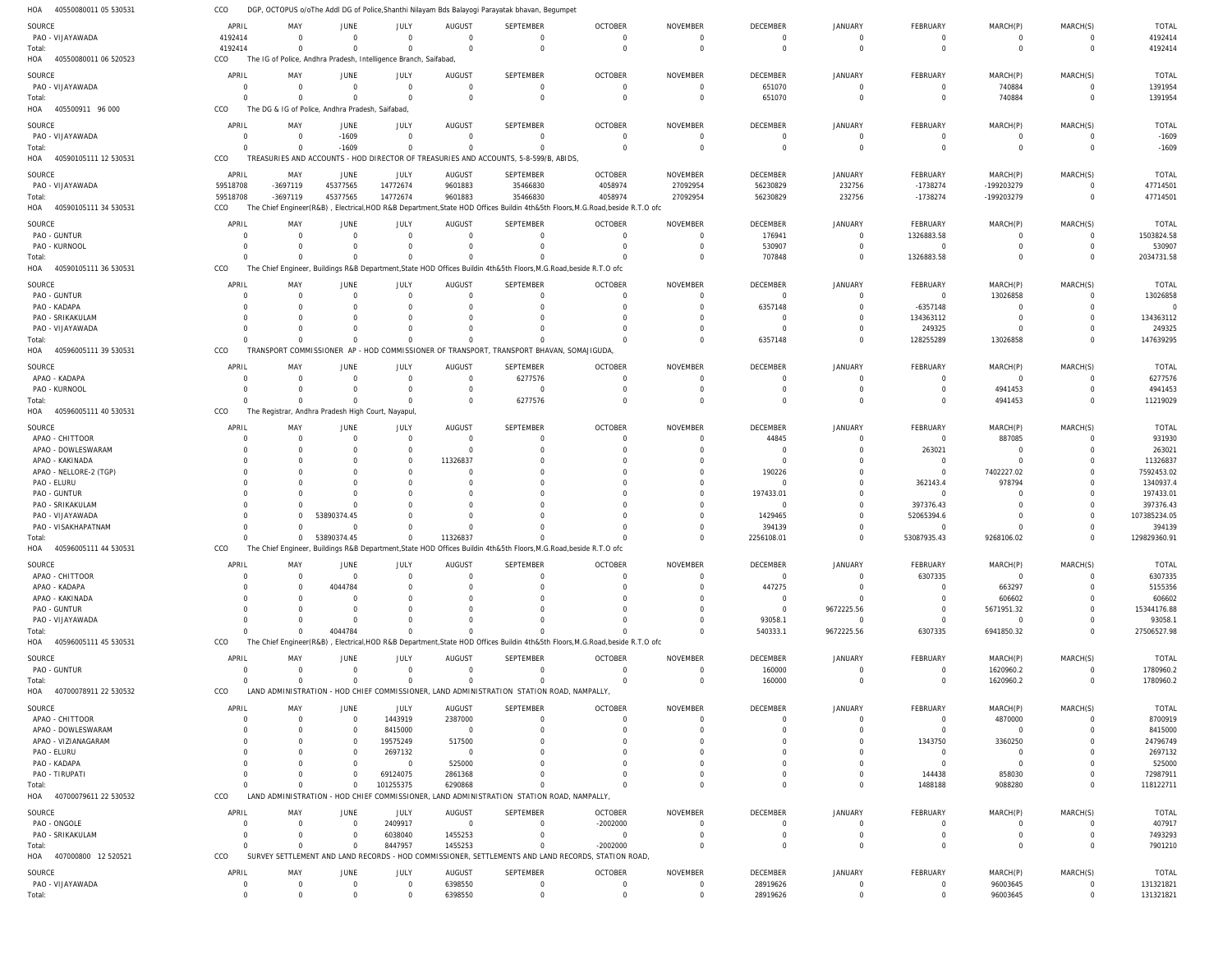| 40550080011 05 530531<br>HOA  | CCO                        |                                                                  |                         |                            |                            | DGP, OCTOPUS o/oThe Addl DG of Police, Shanthi Nilayam Bds Balayogi Parayatak bhavan, Begumpet                     |                                                                                                                               |                                   |                             |                            |                              |                            |                               |                          |
|-------------------------------|----------------------------|------------------------------------------------------------------|-------------------------|----------------------------|----------------------------|--------------------------------------------------------------------------------------------------------------------|-------------------------------------------------------------------------------------------------------------------------------|-----------------------------------|-----------------------------|----------------------------|------------------------------|----------------------------|-------------------------------|--------------------------|
| SOURCE                        | APRIL                      | MAY                                                              | <b>JUNE</b>             | JULY                       | AUGUST                     | SEPTEMBER                                                                                                          | <b>OCTOBER</b>                                                                                                                | <b>NOVEMBER</b>                   | DECEMBER                    | <b>JANUARY</b>             | FEBRUARY                     | MARCH(P)                   | MARCH(S)                      | <b>TOTAL</b>             |
| PAO - VIJAYAWADA              | 4192414                    | $\mathbf 0$                                                      | $\Omega$                | $\overline{0}$             | $\overline{0}$             | $\mathbf 0$                                                                                                        | $\mathbf 0$                                                                                                                   | $\mathbf 0$                       | $\Omega$                    | $\Omega$                   | - 0                          | $\overline{0}$             | $\mathbf 0$                   | 4192414                  |
| Total:                        | 4192414                    | $\Omega$                                                         | $\Omega$                | $\Omega$                   | $\Omega$                   | $\mathbf 0$                                                                                                        | $\mathbf 0$                                                                                                                   | $\overline{0}$                    | $\Omega$                    | $\mathbf 0$                | $\mathbf 0$                  | $\overline{0}$             | $\mathbf 0$                   | 4192414                  |
| HOA<br>40550080011 06 520523  | CCO                        | The IG of Police, Andhra Pradesh, Intelligence Branch, Saifabad, |                         |                            |                            |                                                                                                                    |                                                                                                                               |                                   |                             |                            |                              |                            |                               |                          |
| SOURCE                        | APRIL                      | MAY                                                              | <b>JUNE</b>             | JULY                       | <b>AUGUST</b>              | <b>SEPTEMBER</b>                                                                                                   | <b>OCTOBER</b>                                                                                                                | <b>NOVEMBER</b>                   | DECEMBER                    | <b>JANUARY</b>             | FEBRUARY                     | MARCH(P)                   | MARCH(S)                      | <b>TOTAL</b>             |
| PAO - VIJAYAWADA              | $\Omega$                   | $\Omega$                                                         | $\Omega$                | $\overline{0}$             | $\mathbf{0}$               | $\mathbf 0$                                                                                                        | $\mathbf 0$                                                                                                                   | $\overline{0}$                    | 651070                      | $\Omega$                   | - 0                          | 740884                     | $\mathbf 0$                   | 1391954                  |
| Total:                        | $\Omega$                   | $\Omega$                                                         | $\Omega$                | $\Omega$                   | $\Omega$                   | $\mathbf 0$                                                                                                        | $\mathbf 0$                                                                                                                   | $\overline{0}$                    | 651070                      | $\Omega$                   | $\mathbf 0$                  | 740884                     | $\mathbf 0$                   | 1391954                  |
| HOA<br>405500911 96 000       | CCO                        | The DG & IG of Police, Andhra Pradesh, Saifabad                  |                         |                            |                            |                                                                                                                    |                                                                                                                               |                                   |                             |                            |                              |                            |                               |                          |
| SOURCE                        | APRIL                      | MAY                                                              | JUNE                    | <b>JULY</b>                | <b>AUGUST</b>              | SEPTEMBER                                                                                                          | <b>OCTOBER</b>                                                                                                                | <b>NOVEMBER</b>                   | DECEMBER                    | <b>JANUARY</b>             | FEBRUARY                     | MARCH(P)                   | MARCH(S)                      | <b>TOTAL</b>             |
| PAO - VIJAYAWADA              | $\mathbf 0$                | $\mathbf 0$                                                      | $-1609$                 | $\overline{0}$             | $\mathbf 0$                | $\mathbf 0$                                                                                                        | $\mathbf 0$                                                                                                                   | $\overline{0}$                    | $\Omega$                    | $\mathbf 0$                | $\overline{0}$               | $\overline{0}$             | $\mathbf 0$                   | $-1609$                  |
| Total:                        | $\Omega$                   | $\overline{0}$                                                   | $-1609$                 | $\overline{0}$             | $\Omega$                   | $\mathbf 0$                                                                                                        | $\Omega$                                                                                                                      | $\overline{0}$                    | $\Omega$                    | $\Omega$                   | $\mathbf 0$                  | $\overline{0}$             | $\mathbf 0$                   | $-1609$                  |
| 40590105111 12 530531<br>HOA  | CCO                        |                                                                  |                         |                            |                            | TREASURIES AND ACCOUNTS - HOD DIRECTOR OF TREASURIES AND ACCOUNTS, 5-8-599/B, ABIDS,                               |                                                                                                                               |                                   |                             |                            |                              |                            |                               |                          |
|                               |                            |                                                                  |                         |                            |                            |                                                                                                                    |                                                                                                                               |                                   |                             |                            |                              |                            |                               |                          |
| SOURCE<br>PAO - VIJAYAWADA    | APRIL<br>59518708          | MAY<br>-3697119                                                  | JUNE<br>45377565        | JULY<br>14772674           | AUGUST<br>9601883          | SEPTEMBER<br>35466830                                                                                              | <b>OCTOBER</b><br>4058974                                                                                                     | <b>NOVEMBER</b><br>27092954       | <b>DECEMBER</b><br>56230829 | <b>JANUARY</b><br>232756   | FEBRUARY<br>$-1738274$       | MARCH(P)<br>-199203279     | MARCH(S)<br>$\mathbf 0$       | <b>TOTAL</b><br>47714501 |
| Total:                        | 59518708                   | $-3697119$                                                       | 45377565                | 14772674                   | 9601883                    | 35466830                                                                                                           | 4058974                                                                                                                       | 27092954                          | 56230829                    | 232756                     | $-1738274$                   | -199203279                 | $\mathbf 0$                   | 47714501                 |
| HOA 40590105111 34 530531     | CCO                        |                                                                  |                         |                            |                            |                                                                                                                    | The Chief Engineer(R&B), Electrical, HOD R&B Department, State HOD Offices Buildin 4th&5th Floors, M.G.Road, beside R.T.O ofc |                                   |                             |                            |                              |                            |                               |                          |
|                               |                            |                                                                  |                         |                            |                            |                                                                                                                    |                                                                                                                               |                                   |                             |                            |                              |                            |                               |                          |
| SOURCE                        | APRIL                      | MAY                                                              | JUNE                    | JULY                       | AUGUST                     | SEPTEMBER                                                                                                          | <b>OCTOBER</b>                                                                                                                | <b>NOVEMBER</b>                   | DECEMBER                    | <b>JANUARY</b>             | FEBRUARY                     | MARCH(P)                   | MARCH(S)                      | <b>TOTAL</b>             |
| PAO - GUNTUR<br>PAO - KURNOOL | $\overline{0}$<br>$\Omega$ | $\mathbf 0$<br>$\Omega$                                          | $\Omega$                | $\overline{0}$<br>$\Omega$ | $\overline{0}$<br>$\Omega$ | $\mathbf 0$<br>$\Omega$                                                                                            | $\overline{0}$<br>$\mathbf 0$                                                                                                 | $\mathbf 0$<br>$\overline{0}$     | 176941<br>530907            | $\Omega$<br>$\Omega$       | 1326883.58<br>$\overline{0}$ | $\overline{0}$<br>$\Omega$ | $\mathbf 0$<br>$\mathbf 0$    | 1503824.58<br>530907     |
| Total:                        | $\Omega$                   | $\Omega$                                                         |                         | $\Omega$                   | $\Gamma$                   |                                                                                                                    | $\Omega$                                                                                                                      | $\overline{0}$                    | 707848                      | $\Omega$                   | 1326883.58                   | $\mathbf 0$                | $\mathbf 0$                   | 2034731.58               |
| HOA<br>40590105111 36 530531  | CCO                        | The                                                              |                         |                            |                            | Chief Engineer, Buildings R&B Department, State HOD Offices Buildin 4th&5th Floors, M.G. Road, beside R.T.O ofc    |                                                                                                                               |                                   |                             |                            |                              |                            |                               |                          |
|                               |                            |                                                                  |                         |                            |                            |                                                                                                                    |                                                                                                                               |                                   |                             |                            |                              |                            |                               |                          |
| SOURCE                        | APRIL<br>$\Omega$          | MAY<br>$\mathbf 0$                                               | JUNE<br>$\Omega$        | JULY<br>$\overline{0}$     | AUGUST<br>$\overline{0}$   | SEPTEMBER                                                                                                          | <b>OCTOBER</b>                                                                                                                | <b>NOVEMBER</b><br>$\mathbf 0$    | DECEMBER<br>$\Omega$        | <b>JANUARY</b><br>$\Omega$ | FEBRUARY<br>$\overline{0}$   | MARCH(P)                   | MARCH(S)                      | <b>TOTAL</b>             |
| PAO - GUNTUR<br>PAO - KADAPA  | $\Omega$                   | $\Omega$                                                         |                         | $\Omega$                   | $\Omega$                   | 0<br>$\Omega$                                                                                                      | $\overline{0}$<br>0                                                                                                           | $\mathbf 0$                       | 6357148                     | $\Omega$                   | $-6357148$                   | 13026858<br>$\overline{0}$ | $\overline{0}$<br>$\mathbf 0$ | 13026858<br>$\Omega$     |
| PAO - SRIKAKULAM              | $\Omega$                   | $\Omega$                                                         |                         | $\Omega$                   | $\Omega$                   |                                                                                                                    | $\Omega$                                                                                                                      | $\Omega$                          | $\Omega$                    | $\Omega$                   | 134363112                    | $\Omega$                   | $\Omega$                      | 134363112                |
| PAO - VIJAYAWADA              | $\Omega$                   | $\Omega$                                                         | $\Omega$                | $\Omega$                   | $\Omega$                   | 0                                                                                                                  | $\Omega$                                                                                                                      | $\mathbf 0$                       | $\Omega$                    | $\Omega$                   | 249325                       | $\Omega$                   | $\mathbf 0$                   | 249325                   |
| Total:                        | $\Omega$                   | $\Omega$                                                         | $\Omega$                | $\Omega$                   | $\Omega$                   | $\Omega$                                                                                                           | $\Omega$                                                                                                                      | $\Omega$                          | 6357148                     | $\Omega$                   | 128255289                    | 13026858                   | $\Omega$                      | 147639295                |
| HOA<br>40596005111 39 530531  | CCO                        |                                                                  |                         |                            |                            | TRANSPORT COMMISSIONER AP - HOD COMMISSIONER OF TRANSPORT, TRANSPORT BHAVAN, SOMAJIGUDA                            |                                                                                                                               |                                   |                             |                            |                              |                            |                               |                          |
| SOURCE                        | APRIL                      | MAY                                                              | <b>JUNE</b>             | JULY                       | AUGUST                     | SEPTEMBER                                                                                                          | <b>OCTOBER</b>                                                                                                                | <b>NOVEMBER</b>                   | DECEMBER                    | <b>JANUARY</b>             | FEBRUARY                     | MARCH(P)                   | MARCH(S)                      | <b>TOTAL</b>             |
| APAO - KADAPA                 | $\overline{0}$             | $\overline{0}$                                                   | $\Omega$                | $\overline{0}$             | $\mathbf 0$                | 6277576                                                                                                            | $\mathbf 0$                                                                                                                   | $\overline{0}$                    | $\Omega$                    | $\mathbf 0$                | $\overline{0}$               | $\overline{0}$             | $\mathbf 0$                   | 6277576                  |
| PAO - KURNOOL                 | $\Omega$                   | $\overline{0}$                                                   | $\Omega$                | $\Omega$                   | $\overline{0}$             | $\mathbf 0$                                                                                                        | $\mathbf 0$                                                                                                                   | $\mathbf 0$                       | $\Omega$                    | $\Omega$                   | $\mathbf 0$                  | 4941453                    | $\mathbf 0$                   | 4941453                  |
| Total:                        | $\Omega$                   | $\Omega$                                                         | $\Omega$                | $\Omega$                   | $\mathbf 0$                | 6277576                                                                                                            | $\mathbf 0$                                                                                                                   | $\mathbf 0$                       | $\Omega$                    | $\Omega$                   | $\overline{0}$               | 4941453                    | $\mathbf 0$                   | 11219029                 |
| HOA<br>40596005111 40 530531  | CCO                        | The Registrar, Andhra Pradesh High Court, Nayapul,               |                         |                            |                            |                                                                                                                    |                                                                                                                               |                                   |                             |                            |                              |                            |                               |                          |
| SOURCE                        | APRIL                      | MAY                                                              | <b>JUNE</b>             | JULY                       | <b>AUGUST</b>              | SEPTEMBER                                                                                                          | <b>OCTOBER</b>                                                                                                                | <b>NOVEMBER</b>                   | DECEMBER                    | <b>JANUARY</b>             | FEBRUARY                     | MARCH(P)                   | MARCH(S)                      | <b>TOTAL</b>             |
| APAO - CHITTOOR               | $\Omega$                   | $\overline{0}$                                                   | $\Omega$                | $\overline{0}$             | $\overline{0}$             | $\mathbf 0$                                                                                                        | $\mathbf 0$                                                                                                                   | $\mathbf 0$                       | 44845                       | $\Omega$                   | $\overline{0}$               | 887085                     | 0                             | 931930                   |
| APAO - DOWLESWARAM            | $\Omega$                   | $\Omega$                                                         |                         | $\Omega$                   | $\overline{0}$             | $\Omega$                                                                                                           | $\Omega$                                                                                                                      | $\mathbf 0$                       | $\Omega$                    | $\Omega$                   | 263021                       | $\overline{0}$             | $\mathbf 0$                   | 263021                   |
| APAO - KAKINADA               | $\Omega$                   | $\Omega$                                                         |                         | $\Omega$                   | 11326837                   | 0                                                                                                                  | $\Omega$                                                                                                                      | $\mathbf 0$                       | $\Omega$                    | $\Omega$                   | $\Omega$                     | $\Omega$                   | $\Omega$                      | 11326837                 |
| APAO - NELLORE-2 (TGP)        | $\Omega$                   | $\Omega$                                                         |                         | $\Omega$                   | $\Omega$                   | O                                                                                                                  | $\Omega$                                                                                                                      | $\Omega$                          | 190226                      | $\Omega$                   | $\Omega$                     | 7402227.02                 | $\Omega$                      | 7592453.02               |
| PAO - ELURU                   |                            | $\Omega$                                                         |                         | $\Omega$                   | $\Omega$                   |                                                                                                                    | $\Omega$                                                                                                                      | $\Omega$                          | $\Omega$                    | $\Omega$                   | 362143.4                     | 978794                     | $\Omega$                      | 1340937.4                |
| PAO - GUNTUR                  |                            | $\Omega$                                                         |                         | $\Omega$                   | $\Omega$                   |                                                                                                                    | $\Omega$                                                                                                                      | $\Omega$                          | 197433.01                   | $\Omega$                   | $\Omega$                     | $\Omega$                   | $\Omega$                      | 197433.01                |
| PAO - SRIKAKULAM              | $\Omega$                   | $\Omega$                                                         | $\Omega$                | $\Omega$                   | $\Omega$                   |                                                                                                                    | $\Omega$                                                                                                                      | $\mathbf 0$                       | $\Omega$                    | $\Omega$                   | 397376.43                    | $\Omega$                   | $\mathbf 0$                   | 397376.43                |
| PAO - VIJAYAWADA              |                            | $\Omega$<br>$\Omega$                                             | 53890374.45<br>$\Omega$ | $\Omega$<br>$\Omega$       | $\Omega$<br>$\Omega$       |                                                                                                                    | $\Omega$<br>$\Omega$                                                                                                          | $\Omega$                          | 1429465                     | $\Omega$                   | 52065394.6<br>$\overline{0}$ | $\Omega$<br>$\Omega$       | $\Omega$<br>$\mathbf 0$       | 107385234.05             |
| PAO - VISAKHAPATNAM<br>Total: |                            |                                                                  | 0 53890374.45           | $\Omega$                   | 11326837                   | $\Omega$                                                                                                           | $\cap$                                                                                                                        | 0<br>$\Omega$                     | 394139<br>2256108.01        | $\Omega$                   | 53087935.43                  | 9268106.02                 | $\Omega$                      | 394139<br>129829360.91   |
| HOA 40596005111 44 530531     | CCO                        |                                                                  |                         |                            |                            | The Chief Engineer, Buildings R&B Department, State HOD Offices Buildin 4th&5th Floors, M.G.Road, beside R.T.O ofc |                                                                                                                               |                                   |                             |                            |                              |                            |                               |                          |
|                               |                            |                                                                  |                         |                            |                            |                                                                                                                    |                                                                                                                               |                                   |                             |                            |                              |                            |                               |                          |
| SOURCE<br>APAO - CHITTOOR     | APRIL                      | MAY                                                              | JUNE                    | JULY                       | <b>AUGUST</b>              | SEPTEMBER                                                                                                          | <b>OCTOBER</b><br>$\mathbf 0$                                                                                                 | <b>NOVEMBER</b><br>$\overline{0}$ | DECEMBER                    | <b>JANUARY</b>             | FEBRUARY                     | MARCH(P)                   | MARCH(S)                      | TOTAL                    |
| APAO - KADAPA                 | $\overline{0}$<br>$\Omega$ | $\overline{0}$<br>$\Omega$                                       | $\mathbf 0$<br>4044784  | $\overline{0}$<br>$\Omega$ | $\overline{0}$<br>-0       | $\mathbf 0$<br>0                                                                                                   | $\Omega$                                                                                                                      | $\mathbf 0$                       | $\overline{0}$<br>447275    | $\mathbf 0$<br>$\Omega$    | 6307335<br>0                 | $\overline{0}$<br>663297   | $\mathbf 0$<br>$\mathbf 0$    | 6307335<br>5155356       |
| APAO - KAKINADA               | $\Omega$                   | $\Omega$                                                         | $\Omega$                |                            |                            |                                                                                                                    | $\Omega$                                                                                                                      | $\mathbf 0$                       | $\mathbf 0$                 | $\Omega$                   | $\mathbf 0$                  | 606602                     | $\mathbf 0$                   | 606602                   |
| PAO - GUNTUR                  | $\Omega$                   | $\Omega$                                                         |                         |                            |                            |                                                                                                                    | $\Omega$                                                                                                                      | $\mathbf 0$                       | $\overline{0}$              | 9672225.56                 | $\mathbf 0$                  | 5671951.32                 | $\mathbf 0$                   | 15344176.88              |
| PAO - VIJAYAWADA              | $\Omega$                   | 0                                                                |                         |                            |                            |                                                                                                                    | $\Omega$                                                                                                                      | $\mathbf 0$                       | 93058.1                     | $\mathbf 0$                | $\overline{0}$               | $\overline{0}$             | $\Omega$                      | 93058.1                  |
| Total:                        | $\Omega$                   | $\Omega$                                                         | 4044784                 | $\Omega$                   |                            |                                                                                                                    | $\Omega$                                                                                                                      | $\Omega$                          | 540333.1                    | 9672225.56                 | 6307335                      | 6941850.32                 | $\mathbf 0$                   | 27506527.98              |
| HOA 40596005111 45 530531     | CCO                        |                                                                  |                         |                            |                            |                                                                                                                    | The Chief Engineer(R&B), Electrical, HOD R&B Department, State HOD Offices Buildin 4th&5th Floors, M.G.Road, beside R.T.O ofc |                                   |                             |                            |                              |                            |                               |                          |
| SOURCE                        | APRIL                      | MAY                                                              | JUNE                    | JULY                       | AUGUST                     | SEPTEMBER                                                                                                          | <b>OCTOBER</b>                                                                                                                | <b>NOVEMBER</b>                   | DECEMBER                    | <b>JANUARY</b>             | FEBRUARY                     | MARCH(P)                   | MARCH(S)                      | <b>TOTAL</b>             |
| PAO - GUNTUR                  | $\overline{0}$             | $\mathbf 0$                                                      | $\Omega$                | $\overline{0}$             | $\overline{0}$             | $\mathbf 0$                                                                                                        | $\mathbf 0$                                                                                                                   | $\mathbf 0$                       | 160000                      | $\overline{0}$             | $\overline{0}$               | 1620960.2                  | $\mathbf 0$                   | 1780960.2                |
| Total:                        | $\Omega$                   | $\Omega$                                                         | $\Omega$                | $\Omega$                   | $\Omega$                   | $\Omega$                                                                                                           | $\Omega$                                                                                                                      | $\overline{0}$                    | 160000                      | $\mathbf 0$                | $\overline{0}$               | 1620960.2                  | $\mathbf 0$                   | 1780960.2                |
| HOA 40700078911 22 530532     | CCO                        |                                                                  |                         |                            |                            | LAND ADMINISTRATION - HOD CHIEF COMMISSIONER, LAND ADMINISTRATION STATION ROAD, NAMPALLY,                          |                                                                                                                               |                                   |                             |                            |                              |                            |                               |                          |
| SOURCE                        | APRIL                      | MAY                                                              | JUNE                    | JULY                       | AUGUST                     | SEPTEMBER                                                                                                          | <b>OCTOBER</b>                                                                                                                | <b>NOVEMBER</b>                   | DECEMBER                    | <b>JANUARY</b>             | FEBRUARY                     | MARCH(P)                   | MARCH(S)                      | TOTAL                    |
| APAO - CHITTOOR               | $\Omega$                   | $\overline{0}$                                                   | $\mathbf 0$             | 1443919                    | 2387000                    | 0                                                                                                                  | $\overline{0}$                                                                                                                | $\mathbf 0$                       | $\Omega$                    | $\Omega$                   | $\overline{\mathbf{0}}$      | 4870000                    | 0                             | 8700919                  |
| APAO - DOWLESWARAM            | $\Omega$                   | $\Omega$                                                         | $\Omega$                | 8415000                    | $\mathbf 0$                | 0                                                                                                                  | $\overline{0}$                                                                                                                | $\mathbf 0$                       | $\Omega$                    | $\Omega$                   | $\overline{0}$               | $\overline{0}$             | $\mathbf 0$                   | 8415000                  |
| APAO - VIZIANAGARAM           | $\Omega$                   | 0                                                                | $\Omega$                | 19575249                   | 517500                     |                                                                                                                    | $\Omega$                                                                                                                      | $\Omega$                          |                             |                            | 1343750                      | 3360250                    | $\Omega$                      | 24796749                 |
| PAO - ELURU                   | $\Omega$                   | 0                                                                |                         | 2697132                    | $\overline{0}$             |                                                                                                                    | $\Omega$                                                                                                                      | $\Omega$                          |                             | $\Omega$                   | $\overline{0}$               | $\overline{0}$             | $\Omega$                      | 2697132                  |
| PAO - KADAPA                  | $\Omega$                   | 0                                                                | $\Omega$                | $\overline{0}$             | 525000                     |                                                                                                                    | $\Omega$                                                                                                                      | C                                 |                             | $\Omega$                   | $\overline{0}$               | $\Omega$                   | $\Omega$                      | 525000                   |
| PAO - TIRUPATI                | $\Omega$                   | $\Omega$                                                         | $\Omega$                | 69124075                   | 2861368                    |                                                                                                                    | $\Omega$                                                                                                                      | $\Omega$                          | $\Omega$                    | $\Omega$                   | 144438                       | 858030                     | $\mathbf 0$                   | 72987911                 |
| Total:                        | $\Omega$                   | $\Omega$                                                         | $\Omega$                | 101255375                  | 6290868                    | $\Omega$                                                                                                           | $\Omega$                                                                                                                      | $\Omega$                          | $\cap$                      | $\Omega$                   | 1488188                      | 9088280                    | $\Omega$                      | 118122711                |
| HOA 40700079611 22 530532     | CCO                        | LAND ADMINISTRATION - HOD CHIEF COMMISSIONER,                    |                         |                            |                            | LAND ADMINISTRATION STATION ROAD, NAMPALLY,                                                                        |                                                                                                                               |                                   |                             |                            |                              |                            |                               |                          |
| SOURCE                        | APRIL                      | MAY                                                              | JUNE                    | JULY                       | AUGUST                     | SEPTEMBER                                                                                                          | <b>OCTOBER</b>                                                                                                                | <b>NOVEMBER</b>                   | DECEMBER                    | <b>JANUARY</b>             | FEBRUARY                     | MARCH(P)                   | MARCH(S)                      | <b>TOTAL</b>             |
| PAO - ONGOLE                  | $\overline{0}$             | $\Omega$                                                         | $\Omega$                | 2409917                    | $\overline{0}$             | $\mathbf 0$                                                                                                        | $-2002000$                                                                                                                    | $\mathbf 0$                       | $\Omega$                    | $\overline{0}$             | 0                            | $\Omega$                   | 0                             | 407917                   |
| PAO - SRIKAKULAM              | $\mathbf 0$                | $\Omega$                                                         | $\Omega$                | 6038040                    | 1455253                    | 0                                                                                                                  | $\mathbf 0$                                                                                                                   | $\mathbf 0$                       | $\Omega$                    | $\Omega$                   | $\Omega$                     | $\overline{0}$             | $\mathbf 0$                   | 7493293                  |
| Total:                        | $\Omega$                   | $\Omega$                                                         | $\Omega$                | 8447957                    | 1455253                    | $\Omega$                                                                                                           | $-2002000$                                                                                                                    | $\Omega$                          | $\Omega$                    | $\Omega$                   | $\Omega$                     | $\Omega$                   | $\mathbf 0$                   | 7901210                  |
| HOA 407000800 12 520521       | CCO                        |                                                                  |                         |                            |                            |                                                                                                                    | SURVEY SETTLEMENT AND LAND RECORDS - HOD COMMISSIONER, SETTLEMENTS AND LAND RECORDS, STATION ROAD,                            |                                   |                             |                            |                              |                            |                               |                          |
| SOURCE                        | APRIL                      | MAY                                                              | JUNE                    | JULY                       | AUGUST                     | SEPTEMBER                                                                                                          | <b>OCTOBER</b>                                                                                                                | <b>NOVEMBER</b>                   | DECEMBER                    | <b>JANUARY</b>             | FEBRUARY                     | MARCH(P)                   | MARCH(S)                      | TOTAL                    |
| PAO - VIJAYAWADA              | $\overline{0}$             | $\mathbf 0$                                                      | $\mathbf 0$             | $\overline{0}$             | 6398550                    | $\mathbf 0$                                                                                                        | $\mathbf 0$                                                                                                                   | $\overline{0}$                    | 28919626                    | $\overline{0}$             | $\overline{0}$               | 96003645                   | $\mathbf 0$                   | 131321821                |
| Total:                        | $\mathbf 0$                | $\mathbf 0$                                                      | $\Omega$                | $\mathbf 0$                | 6398550                    | $\mathbf 0$                                                                                                        | $\mathbf 0$                                                                                                                   | $\overline{0}$                    | 28919626                    | $\mathbf 0$                | $\mathbf 0$                  | 96003645                   | $\mathbf 0$                   | 131321821                |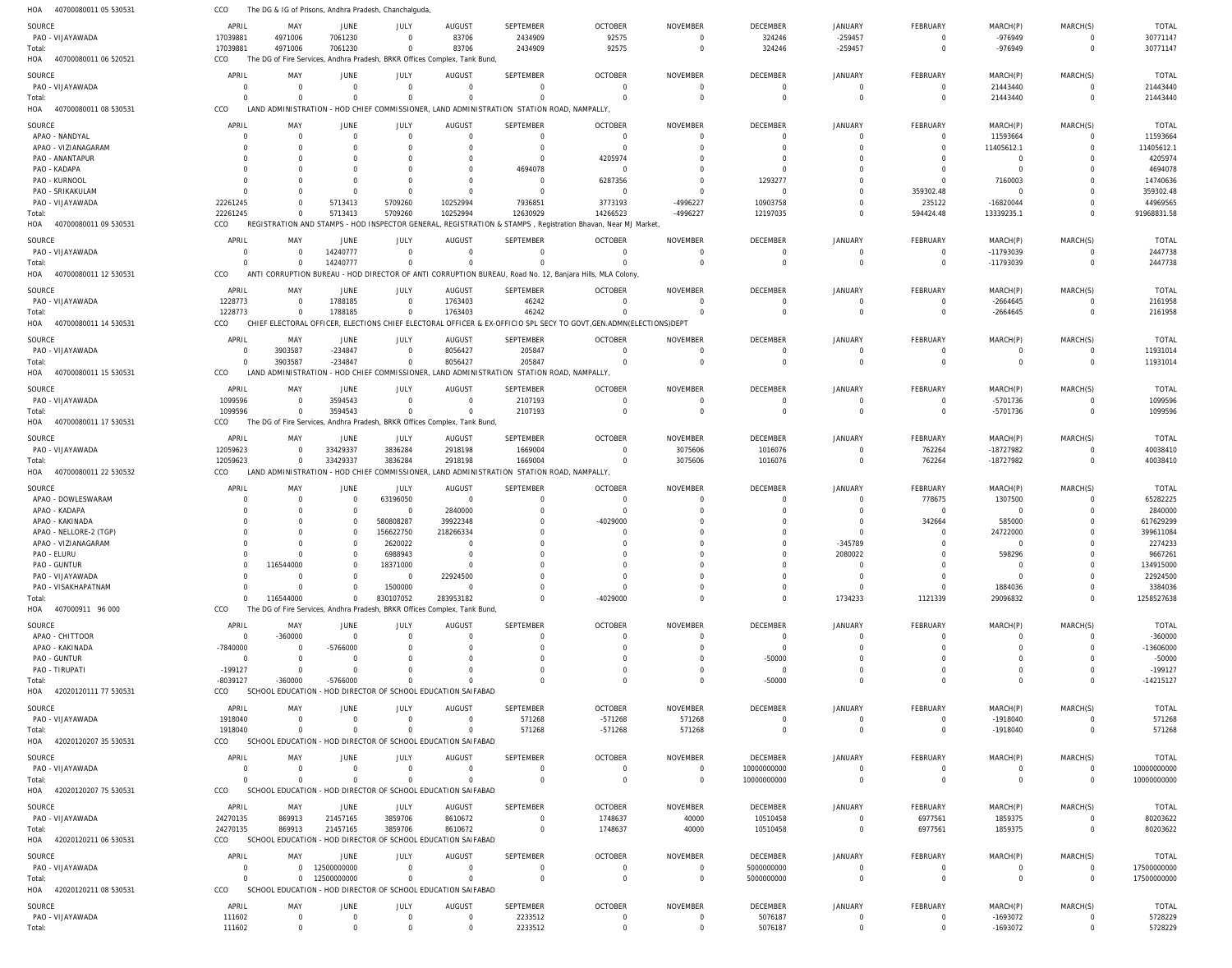40700080011 05 530531 40700080011 06 520521 40700080011 08 530531 40700080011 09 530531 40700080011 12 530531 40700080011 14 530531 40700080011 15 530531 40700080011 17 530531 40700080011 22 530532 407000911 96 000 42020120111 77 530531 42020120207 35 530531 42020120207 75 530531 42020120211 06 530531 42020120211 08 530531 HOA HOA HOA HOA HOA HOA HOA HOA HOA HOA HOA HOA HOA HOA HOA The DG & IG of Prisons, Andhra Pradesh, Chanchalguda, The DG of Fire Services, Andhra Pradesh, BRKR Offices Complex, Tank Bund, LAND ADMINISTRATION - HOD CHIEF COMMISSIONER, LAND ADMINISTRATION STATION ROAD, NAMPALLY, REGISTRATION AND STAMPS - HOD INSPECTOR GENERAL, REGISTRATION & STAMPS , Registration Bhavan, Near MJ Market, ANTI CORRUPTION BUREAU - HOD DIRECTOR OF ANTI CORRUPTION BUREAU, Road No. 12, Banjara Hills, MLA Colony, CHIEF ELECTORAL OFFICER, ELECTIONS CHIEF ELECTORAL OFFICER & EX-OFFICIO SPL SECY TO GOVT,GEN.ADMN(ELECTIONS)DEPT LAND ADMINISTRATION - HOD CHIEF COMMISSIONER, LAND ADMINISTRATION STATION ROAD, NAMPALLY, The DG of Fire Services, Andhra Pradesh, BRKR Offices Complex, Tank Bund, LAND ADMINISTRATION - HOD CHIEF COMMISSIONER, LAND ADMINISTRATION STATION ROAD, NAMPALLY, The DG of Fire Services, Andhra Pradesh, BRKR Offices Complex, Tank Bund, SCHOOL EDUCATION - HOD DIRECTOR OF SCHOOL EDUCATION SAIFABAD SCHOOL EDUCATION - HOD DIRECTOR OF SCHOOL EDUCATION SAIFABAD SCHOOL EDUCATION - HOD DIRECTOR OF SCHOOL EDUCATION SAIFABAD SCHOOL EDUCATION - HOD DIRECTOR OF SCHOOL EDUCATION SAIFABAD SCHOOL EDUCATION - HOD DIRECTOR OF SCHOOL EDUCATION SAIFABAD CCO CCO CCO CCO CCO CCO CCO CCO CCO CCO CCO CCO CCO CCO CCO 17039881 0 22261245  $\Omega$ 1228773  $\Omega$ 1099596 12059623  $\Omega$ -8039127 1918040 0 24270135  $\Omega$ 111602 4971006 0  $\Omega$  $\Omega$ 0 3903587  $\Omega$ 0 116544000 -360000  $\Omega$ 0 869913 0 12500000000 0 7061230 0 5713413 14240777 1788185 -234847 3594543 33429337  $\Omega$ -5766000  $\Omega$ 0 21457165 0 0 0 5709260  $\Omega$  $\Omega$  $\Omega$  $\Omega$ 3836284 830107052 0  $\Omega$  $\Omega$ 3859706  $\Omega$ 0 83706 0 10252994  $\Omega$ 1763403 8056427  $\Omega$ 2918198 283953182 0  $\Omega$ 0 8610672  $\Omega$ 0 2434909  $\Omega$ 12630929  $\Omega$ 46242 205847 2107193 1669004 0 0 571268  $\Omega$ 0  $\Omega$ 2233512 92575  $\Omega$ 14266523  $\Omega$ 0  $\Omega$ 0 0 -4029000 0 -571268 0 1748637  $\Omega$ 0 0 0 -4996227  $\Omega$ 0 0  $\Omega$ 3075606  $\Omega$ 0 571268 0 40000  $\Omega$ 0 324246 0 12197035  $\Omega$ 0 0  $\Omega$ 1016076  $\Omega$ -50000  $\Omega$ 10000000000 10510458 5000000000 5076187 -259457 0  $\Omega$  $\Omega$ 0 0 0 0 1734233 0  $\Omega$ 0 0  $\Omega$ 0 0 0 594424.48  $\Omega$ 0  $\Omega$  $\Omega$ 762264 1121339 0  $\Omega$ 0 6977561  $\Omega$ 0 -976949 21443440 13339235.1 -11793039 -2664645 0 -5701736 -18727982 29096832 0 -1918040 0 1859375  $\Omega$ -1693072 0 0  $\Omega$  $\Omega$ 0  $\Omega$  $\Omega$ 0  $\Omega$ 0  $\Omega$ 0 0  $\Omega$ 0 30771147 21443440 91968831.58 2447738 2161958 11931014 1099596 40038410 1258527638 -14215127 571268 10000000000 80203622 17500000000 5728229 PAO - VIJAYAWADA PAO - VIJAYAWADA APAO - NANDYAL APAO - VIZIANAGARAM PAO - ANANTAPUR PAO - KADAPA PAO - KURNOOL PAO - SRIKAKULAM PAO - VIJAYAWADA PAO - VIJAYAWADA PAO - VIJAYAWADA PAO - VIJAYAWADA PAO - VIJAYAWADA PAO - VIJAYAWADA APAO - DOWLESWARAM APAO - KADAPA APAO - KAKINADA APAO - NELLORE-2 (TGP) APAO - VIZIANAGARAM PAO - ELURU PAO - GUNTUR PAO - VIJAYAWADA PAO - VISAKHAPATNAM APAO - CHITTOOR APAO - KAKINADA PAO - GUNTUR PAO - TIRUPATI PAO - VIJAYAWADA PAO - VIJAYAWADA PAO - VIJAYAWADA PAO - VIJAYAWADA PAO - VIJAYAWADA SOURCE **SOURCE** SOURCE SOURCE **SOURCE** SOURCE SOURCE SOURCE **SOURCE** SOURCE **SOURCE** SOURCE SOURCE SOURCE SOURCE 17039881 0 0  $\Omega$ 0  $\Omega$ 0 0 22261245 0 1228773 0 1099596 12059623 0 0 0 0  $\Omega$ 0 0  $\Omega$ 0  $\Omega$ -7840000 0 -199127 1918040 0 24270135 0 111602 APRIL APRIL APRIL APRIL APRIL APRIL APRIL APRIL APRIL APRIL APRIL APRIL APRIL APRIL APRIL 4971006 0  $\Omega$  $\Omega$ 0  $\Omega$ 0 0 0 0 0 3903587 0  $\Omega$ 0 0 0 0  $\Omega$ 0 116544000  $\Omega$ 0 -360000 0 0  $\Omega$ 0 0 869913 0 12500000000 0 MAY MAY MAY MAY MAY MAY MAY MAY MAY MAY MAY MAY MAY MAY MAY 7061230 0 0 0 0  $\Omega$ 0  $\Omega$ 5713413 14240777 1788185 -234847 3594543 33429337 0 0 0 0  $\Omega$ 0 0  $\Omega$ 0  $\Omega$ -5766000 0  $\Omega$ 0 0 21457165 0 JUNE **JUNE** JUNE JUNE JUNE JUNE JUNE JUNE JUNE JUNE **JUNE** JUNE JUNE JUNE JUNE 0 0 0  $\Omega$ 0  $\Omega$ 0  $\Omega$ 5709260 0  $\Omega$ 0 0 3836284 63196050  $\Omega$ 580808287 156622750 2620022 6988943 18371000  $\Omega$ 1500000  $\Omega$ 0  $\Omega$  $\Omega$ 0 0 3859706 0 0 JULY JULY JULY JULY JULY JULY JULY JULY JULY JULY JULY JULY JULY JULY JULY 83706 0 0 0 0  $\Omega$ 0 0 10252994 0 1763403 8056427 0 2918198 0 2840000 39922348 218266334  $\Omega$ 0 0 22924500 0  $\Omega$ 0 0 0 0 0 8610672 0 0 AUGUST AUGUST AUGUST **AUGUST** AUGUST AUGUST **AUGUST** AUGUST **AUGUST** AUGUST **AUGUST** AUGUST AUGUST AUGUST AUGUST 2434909 0  $\Omega$  $\bigcap$ 0 4694078 0  $\Omega$ 7936851 0 46242 205847 2107193 1669004 0  $\Omega$  $\Omega$ 0  $\Omega$ 0  $\Omega$  $\bigcap$ 0  $\bigcap$  $\Omega$  $\Omega$  $\Omega$ 571268 0  $\Omega$ 0 2233512 SEPTEMBER **SEPTEMBER SEPTEMBER SEPTEMBER** SEPTEMBER SEPTEMBER **SEPTEMBER** SEPTEMBER **SEPTEMBER** SEPTEMBER **SEPTEMBER** SEPTEMBER SEPTEMBER SEPTEMBER SEPTEMBER 92575 0 0  $\Omega$ 4205974  $\Omega$ 6287356  $\Omega$ 3773193 0  $\Omega$ 0 0  $\Omega$ 0  $\Omega$ -4029000 0  $\Omega$ 0  $\Omega$  $\bigcap$ 0  $\Omega$ 0 0  $\Omega$ -571268 0 1748637 0 0 OCTOBER **OCTOBER** OCTOBER **OCTOBER** OCTOBER OCTOBER **OCTOBER** OCTOBER **OCTOBER** OCTOBER **OCTOBER** OCTOBER OCTOBER OCTOBER OCTOBER  $\Omega$ 0  $\Omega$  $\Omega$ 0  $\Omega$ 0  $\Omega$ -4996227 0  $\Omega$ 0 0 3075606 0  $\Omega$  $\Omega$ 0  $\Omega$ 0  $\Omega$  $\cap$ 0  $\Omega$  $\Omega$ 0  $\Omega$ 571268 0 40000 0 0 NOVEMBER NOVEMBER NOVEMBER NOVEMBER NOVEMBER NOVEMBER NOVEMBER NOVEMBER NOVEMBER NOVEMBER NOVEMBER NOVEMBER NOVEMBER NOVEMBER NOVEMBER 324246 0 0  $\Omega$ 0  $\Omega$ 1293277 0 10903758 0  $\Omega$ 0 0 1016076 0 0  $\Omega$ 0  $\Omega$ 0 0  $\Omega$ 0  $\Omega$  $\Omega$ -50000  $\Omega$ 0 10000000000 10510458 5000000000 5076187 DECEMBER **DECEMBER** DECEMBER **DECEMBER** DECEMBER DECEMBER **DECEMBER** DECEMBER **DECEMBER** DECEMBER **DECEMBER** DECEMBER DECEMBER DECEMBER DECEMBER -259457 0 0 0 0  $\Omega$ 0 0 0 0  $\Omega$  $\mathbf 0$ 0  $\Omega$ 0 0  $\Omega$ 0 -345789 2080022 0  $\Omega$ 0  $\Omega$ 0 0 0 0 0  $\Omega$ 0 0 JANUARY JANUARY JANUARY JANUARY JANUARY JANUARY JANUARY JANUARY JANUARY JANUARY **JANUARY** JANUARY JANUARY JANUARY JANUARY  $\Omega$ 0  $\Omega$ 0 0  $\Omega$ 0 359302.48 235122 0  $\Omega$ 0 0 762264 778675  $\Omega$ 342664 0  $\cap$ 0  $\Omega$  $\Omega$ 0  $\Omega$ 0 0  $\Omega$ 0 0 6977561 0 0 FEBRUARY **FEBRUARY** FEBRUARY FEBRUARY FEBRUARY FEBRUARY **FFBRUARY** FEBRUARY **FFBRUARY** FEBRUARY **FEBRUARY** FEBRUARY FEBRUARY FEBRUARY FEBRUARY -976949 21443440 11593664 11405612.1 0  $\Omega$ 7160003 0 -16820044 -11793039 -2664645 0 -5701736 -18727982 1307500  $\Omega$ 585000 24722000  $\Omega$ 598296 0  $\Omega$ 1884036  $\Omega$ 0 0 0 -1918040 0 1859375 0 -1693072 MARCH(P) MARCH(P) MARCH(P) MARCH(P) MARCH(P) MARCH(P) MARCH(P) MARCH(P) MARCH(P) MARCH(P) MARCH(P) MARCH(P) MARCH(P) MARCH(P) MARCH(P)  $\Omega$ 0 0  $\Omega$ 0  $\Omega$ 0 0 0 0  $\Omega$ 0 0  $\Omega$ 0  $\Omega$  $\Omega$ 0  $\Omega$ 0  $\Omega$  $\cap$ 0  $\Omega$ 0 0  $\Omega$ 0 0  $\cap$ 0 0 MARCH(S) MARCH(S) MARCH(S) MARCH(S) MARCH(S) MARCH(S) MARCH(S) MARCH(S) MARCH(S) MARCH(S) MARCH(S) MARCH(S) MARCH(S) MARCH(S) MARCH(S) 30771147 21443440 11593664 11405612.1 4205974 4694078 14740636 359302.48 44969565 2447738 2161958 11931014 1099596 40038410 65282225 2840000 617629299 399611084 2274233 9667261 134915000 22924500 3384036 -360000 -13606000 -50000 -199127 571268 10000000000 80203622 17500000000 5728229 TOTAL TOTAL TOTAL TOTAL TOTAL TOTAL TOTAL TOTAL TOTAL TOTAL TOTAL TOTAL TOTAL TOTAL TOTAL Total: Total: Total: Total: Total: Total: Total: Total: Total: Total: Total: Total: Total: Total: Total: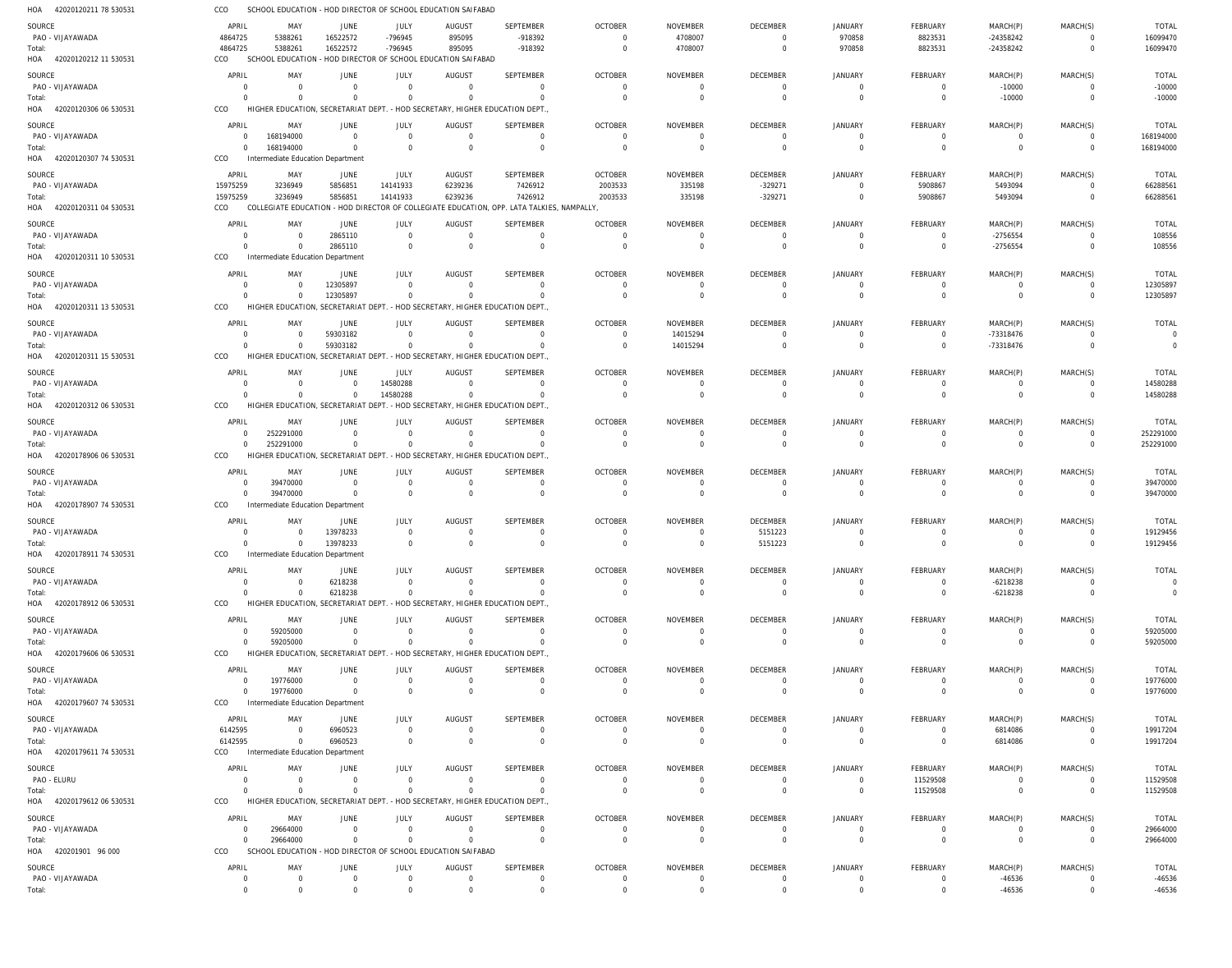| HOA 42020120211 78 530531           | CCO                        |                                                 |                            |                               | SCHOOL EDUCATION - HOD DIRECTOR OF SCHOOL EDUCATION SAIFABAD                            |                                                                                           |                                  |                                   |                                   |                                  |                               |                            |                            |                                |
|-------------------------------------|----------------------------|-------------------------------------------------|----------------------------|-------------------------------|-----------------------------------------------------------------------------------------|-------------------------------------------------------------------------------------------|----------------------------------|-----------------------------------|-----------------------------------|----------------------------------|-------------------------------|----------------------------|----------------------------|--------------------------------|
| SOURCE                              | APRIL                      | MAY                                             | JUNE                       | JULY                          | AUGUST                                                                                  | <b>SEPTEMBER</b>                                                                          | <b>OCTOBER</b>                   | <b>NOVEMBER</b>                   | <b>DECEMBER</b>                   | <b>JANUARY</b>                   | <b>FEBRUARY</b>               | MARCH(P)                   | MARCH(S)                   | <b>TOTAL</b>                   |
| PAO - VIJAYAWADA<br>Total:          | 4864725<br>4864725         | 5388261<br>5388261                              | 16522572<br>16522572       | -796945<br>-796945            | 895095<br>895095                                                                        | -918392<br>-918392                                                                        | $\Omega$<br>$\Omega$             | 4708007<br>4708007                | $\overline{0}$<br>$\overline{0}$  | 970858<br>970858                 | 8823531<br>8823531            | $-24358242$<br>$-24358242$ | $\Omega$<br>$\Omega$       | 16099470<br>16099470           |
| HOA 42020120212 11 530531           | CCO                        |                                                 |                            |                               | SCHOOL EDUCATION - HOD DIRECTOR OF SCHOOL EDUCATION SAIFABAD                            |                                                                                           |                                  |                                   |                                   |                                  |                               |                            |                            |                                |
| SOURCE                              | APRIL                      | MAY                                             | JUNE                       | <b>JULY</b>                   | <b>AUGUST</b>                                                                           | <b>SEPTEMBER</b>                                                                          | <b>OCTOBER</b>                   | <b>NOVEMBER</b>                   | <b>DECEMBER</b>                   | <b>JANUARY</b>                   | <b>FEBRUARY</b>               | MARCH(P)                   | MARCH(S)                   | <b>TOTAL</b>                   |
| PAO - VIJAYAWADA                    | $\Omega$                   | $\Omega$                                        | $\Omega$                   | $\Omega$                      | $\Omega$                                                                                | $\mathbf 0$                                                                               | $\mathbf 0$                      | $\mathbf 0$                       | $\overline{0}$                    | $\Omega$                         | $\mathbf 0$                   | $-10000$                   | $\Omega$                   | $-10000$                       |
| Total:<br>HOA 42020120306 06 530531 | $\Omega$<br>CCO            | $\Omega$<br>HIGHER EDUCATION, SECRETARIAT DEPT. | $\Omega$                   | $\overline{0}$                | - HOD SECRETARY, HIGHER EDUCATION DEPT.                                                 | $\Omega$                                                                                  | $\Omega$                         | $\overline{0}$                    | $\Omega$                          | $\Omega$                         | $\mathbf 0$                   | $-10000$                   | $\Omega$                   | $-10000$                       |
| SOURCE                              | APRIL                      | MAY                                             | JUNE                       | <b>JULY</b>                   | <b>AUGUST</b>                                                                           | <b>SEPTEMBER</b>                                                                          | <b>OCTOBER</b>                   | <b>NOVEMBER</b>                   | <b>DECEMBER</b>                   | <b>JANUARY</b>                   | FEBRUARY                      | MARCH(P)                   | MARCH(S)                   | <b>TOTAL</b>                   |
| PAO - VIJAYAWADA                    | $\overline{0}$             | 168194000                                       | $\overline{0}$             | $\overline{0}$                | $\overline{0}$                                                                          | $\mathbf 0$                                                                               | $\overline{0}$                   | $\Omega$                          | $\overline{0}$                    | $\Omega$                         | 0                             | $\overline{0}$             | $\mathbf 0$                | 168194000                      |
| Total:<br>HOA 42020120307 74 530531 | $\overline{0}$<br>CCO      | 168194000<br>Intermediate Education Department  | $\overline{0}$             | $\overline{0}$                | $\overline{0}$                                                                          | $\mathbf 0$                                                                               | $\Omega$                         | $\Omega$                          | $\Omega$                          | $\Omega$                         | $\mathbf 0$                   | $\mathbf 0$                | $\overline{0}$             | 168194000                      |
| SOURCE                              | APRIL                      | MAY                                             | <b>JUNE</b>                | <b>JULY</b>                   | <b>AUGUST</b>                                                                           | <b>SEPTEMBER</b>                                                                          | <b>OCTOBER</b>                   | <b>NOVEMBER</b>                   | <b>DECEMBER</b>                   | JANUARY                          | <b>FEBRUARY</b>               | MARCH(P)                   | MARCH(S)                   | <b>TOTAL</b>                   |
| PAO - VIJAYAWADA                    | 15975259                   | 3236949                                         | 5856851                    | 14141933                      | 6239236                                                                                 | 7426912                                                                                   | 2003533                          | 335198                            | $-329271$                         | $\Omega$                         | 5908867                       | 5493094                    | $\Omega$                   | 66288561                       |
| Total:                              | 15975259                   | 3236949                                         | 5856851                    | 14141933                      | 6239236                                                                                 | 7426912                                                                                   | 2003533                          | 335198                            | $-329271$                         | $\Omega$                         | 5908867                       | 5493094                    | $\Omega$                   | 66288561                       |
| HOA 42020120311 04 530531           | CCO                        |                                                 |                            |                               |                                                                                         | COLLEGIATE EDUCATION - HOD DIRECTOR OF COLLEGIATE EDUCATION, OPP. LATA TALKIES, NAMPALLY, |                                  |                                   |                                   |                                  |                               |                            |                            |                                |
| SOURCE<br>PAO - VIJAYAWADA          | APRIL<br>$\Omega$          | MAY<br>$\Omega$                                 | JUNE<br>2865110            | JULY<br>$\overline{0}$        | <b>AUGUST</b><br>$\overline{0}$                                                         | <b>SEPTEMBER</b><br>$\mathbf 0$                                                           | <b>OCTOBER</b><br>$\mathbf 0$    | <b>NOVEMBER</b><br>$\Omega$       | <b>DECEMBER</b><br>$\overline{0}$ | JANUARY<br>$\Omega$              | FEBRUARY<br>$\overline{0}$    | MARCH(P)<br>$-2756554$     | MARCH(S)<br>$\Omega$       | <b>TOTAL</b><br>108556         |
| Total:                              | $\Omega$                   | $\Omega$                                        | 2865110                    | $\overline{0}$                | $\Omega$                                                                                | $\mathbf 0$                                                                               | $\overline{0}$                   | $\overline{0}$                    | $\overline{0}$                    | $\Omega$                         | $\mathbf 0$                   | $-2756554$                 | $\Omega$                   | 108556                         |
| HOA 42020120311 10 530531           | CCO                        | Intermediate Education Department               |                            |                               |                                                                                         |                                                                                           |                                  |                                   |                                   |                                  |                               |                            |                            |                                |
| SOURCE<br>PAO - VIJAYAWADA          | APRIL<br>$\Omega$          | MAY<br>$\overline{0}$                           | <b>JUNE</b><br>12305897    | JULY<br>$\Omega$              | <b>AUGUST</b><br>$\Omega$                                                               | <b>SEPTEMBER</b><br>$\mathbf 0$                                                           | <b>OCTOBER</b><br>$\overline{0}$ | <b>NOVEMBER</b><br>$\overline{0}$ | <b>DECEMBER</b><br>$\overline{0}$ | <b>JANUARY</b><br>$\Omega$       | FEBRUARY<br>0                 | MARCH(P)<br>$\mathbf 0$    | MARCH(S)<br>$\Omega$       | <b>TOTAL</b><br>12305897       |
| Total:                              | $\Omega$                   | $\Omega$                                        | 12305897                   | $\mathbf 0$                   | $\Omega$                                                                                | $\Omega$                                                                                  | $\Omega$                         | $\Omega$                          | $\Omega$                          | $\Omega$                         | $\mathbf 0$                   | $\mathbf 0$                | $\Omega$                   | 12305897                       |
| HOA 42020120311 13 530531           | CCO                        | HIGHER EDUCATION, SECRETARIAT DEPT.             |                            |                               | . - HOD SECRETARY, HIGHER EDUCATION DEPT                                                |                                                                                           |                                  |                                   |                                   |                                  |                               |                            |                            |                                |
| SOURCE                              | APRIL<br>$\Omega$          | MAY                                             | JUNE<br>59303182           | JULY                          | <b>AUGUST</b><br>$\overline{0}$                                                         | SEPTEMBER<br>$\mathbf 0$                                                                  | <b>OCTOBER</b><br>$\overline{0}$ | <b>NOVEMBER</b>                   | <b>DECEMBER</b><br>$\overline{0}$ | <b>JANUARY</b><br>$\Omega$       | <b>FEBRUARY</b>               | MARCH(P)<br>-73318476      | MARCH(S)<br>$\mathbf 0$    | <b>TOTAL</b><br>$\overline{0}$ |
| PAO - VIJAYAWADA<br>Total:          | $\Omega$                   | - 0<br>$\Omega$                                 | 59303182                   | $\overline{0}$<br>$\Omega$    | $\Omega$                                                                                | $\Omega$                                                                                  | $\mathbf 0$                      | 14015294<br>14015294              | $\Omega$                          | $\Omega$                         | $\overline{0}$<br>$\mathbf 0$ | -73318476                  | $\Omega$                   | $\overline{0}$                 |
| HOA 42020120311 15 530531           | CCO                        |                                                 |                            |                               | HIGHER EDUCATION, SECRETARIAT DEPT. - HOD SECRETARY, HIGHER EDUCATION DEPT.             |                                                                                           |                                  |                                   |                                   |                                  |                               |                            |                            |                                |
| SOURCE                              | APRIL                      | MAY                                             | JUNE                       | <b>JULY</b>                   | <b>AUGUST</b>                                                                           | <b>SEPTEMBER</b>                                                                          | <b>OCTOBER</b>                   | <b>NOVEMBER</b>                   | <b>DECEMBER</b>                   | JANUARY                          | FEBRUARY                      | MARCH(P)                   | MARCH(S)                   | <b>TOTAL</b>                   |
| PAO - VIJAYAWADA<br>Total:          | $\Omega$<br>$\Omega$       | $\Omega$<br>$\Omega$                            | $\Omega$<br>$\Omega$       | 14580288<br>14580288          | $\Omega$<br>$\Omega$                                                                    | $\Omega$<br>$\mathbf 0$                                                                   | $\Omega$<br>$\Omega$             | 0<br>$\overline{0}$               | $\Omega$<br>$\overline{0}$        | $\Omega$<br>$\Omega$             | 0<br>$\mathbf 0$              | 0<br>$\mathbf 0$           | $\Omega$<br>$\Omega$       | 14580288<br>14580288           |
| HOA 42020120312 06 530531           | CCO                        |                                                 |                            |                               | HIGHER EDUCATION, SECRETARIAT DEPT. - HOD SECRETARY, HIGHER EDUCATION DEPT.             |                                                                                           |                                  |                                   |                                   |                                  |                               |                            |                            |                                |
| SOURCE                              | APRIL                      | MAY                                             | JUNE                       | <b>JULY</b>                   | <b>AUGUST</b>                                                                           | <b>SEPTEMBER</b>                                                                          | <b>OCTOBER</b>                   | <b>NOVEMBER</b>                   | <b>DECEMBER</b>                   | <b>JANUARY</b>                   | FEBRUARY                      | MARCH(P)                   | MARCH(S)                   | <b>TOTAL</b>                   |
| PAO - VIJAYAWADA<br>Total:          | $\Omega$<br>$\Omega$       | 252291000<br>252291000                          | $\Omega$<br>$\Omega$       | $\Omega$<br>$\Omega$          | $\Omega$<br>$\overline{0}$                                                              | $\mathbf 0$<br>$\Omega$                                                                   | $\overline{0}$<br>$\mathbf 0$    | $\overline{0}$<br>$\overline{0}$  | $\overline{0}$<br>$\overline{0}$  | $\Omega$<br>$\Omega$             | 0<br>$\mathbf 0$              | $\mathbf 0$<br>$\mathbf 0$ | $\Omega$<br>$\mathbf 0$    | 252291000<br>252291000         |
| HOA 42020178906 06 530531           | CCO                        |                                                 |                            |                               | HIGHER EDUCATION, SECRETARIAT DEPT. - HOD SECRETARY, HIGHER EDUCATION DEPT.             |                                                                                           |                                  |                                   |                                   |                                  |                               |                            |                            |                                |
| SOURCE                              | APRIL                      | MAY                                             | JUNE                       | JULY                          | <b>AUGUST</b>                                                                           | <b>SEPTEMBER</b>                                                                          | <b>OCTOBER</b>                   | <b>NOVEMBER</b>                   | <b>DECEMBER</b>                   | <b>JANUARY</b>                   | <b>FEBRUARY</b>               | MARCH(P)                   | MARCH(S)                   | <b>TOTAL</b>                   |
| PAO - VIJAYAWADA                    | $\overline{0}$<br>$\Omega$ | 39470000                                        | $\Omega$                   | $\overline{0}$                | $\Omega$                                                                                | $\mathbf 0$<br>$\mathbf{0}$                                                               | $\overline{0}$                   | $\overline{0}$                    | $\overline{0}$<br>$\Omega$        | $\Omega$<br>$\Omega$             | 0                             | $\overline{0}$             | $\Omega$<br>$\Omega$       | 39470000                       |
| Total:<br>HOA 42020178907 74 530531 | CCO                        | 39470000<br>Intermediate Education Department   | $\overline{0}$             | $\overline{0}$                | $\Omega$                                                                                |                                                                                           | $\Omega$                         | $\Omega$                          |                                   |                                  | $\mathbf 0$                   | $\mathbf 0$                |                            | 39470000                       |
| SOURCE                              | APRIL                      | MAY                                             | JUNE                       | JULY                          | <b>AUGUST</b>                                                                           | <b>SEPTEMBER</b>                                                                          | <b>OCTOBER</b>                   | <b>NOVEMBER</b>                   | <b>DECEMBER</b>                   | JANUARY                          | FEBRUARY                      | MARCH(P)                   | MARCH(S)                   | <b>TOTAL</b>                   |
| PAO - VIJAYAWADA                    | $\Omega$                   | $\Omega$                                        | 13978233                   | $\overline{0}$                | $\Omega$                                                                                | 0                                                                                         | $\overline{0}$                   | $\Omega$                          | 5151223                           | $\Omega$                         | 0                             | 0                          | $\Omega$                   | 19129456                       |
| Total:<br>HOA 42020178911 74 530531 | $\Omega$<br>CCO            | $\Omega$<br>Intermediate Education Department   | 13978233                   | $\Omega$                      | $\overline{0}$                                                                          | $\Omega$                                                                                  | $\Omega$                         | $\Omega$                          | 5151223                           | $\Omega$                         | $\Omega$                      | $\Omega$                   | $\Omega$                   | 19129456                       |
| SOURCE                              | APRIL                      | MAY                                             | JUNE                       | JULY                          | <b>AUGUST</b>                                                                           | SEPTEMBER                                                                                 | <b>OCTOBER</b>                   | <b>NOVEMBER</b>                   | <b>DECEMBER</b>                   | <b>JANUARY</b>                   | <b>FEBRUARY</b>               | MARCH(P)                   | MARCH(S)                   | <b>TOTAL</b>                   |
| PAO - VIJAYAWADA                    | $\Omega$                   | - 0                                             | 6218238                    | $\mathbf 0$                   | $\Omega$                                                                                | $\Omega$                                                                                  | $\Omega$                         | $\Omega$                          | $\Omega$                          | $\Omega$                         | 0                             | $-6218238$                 |                            | $\overline{0}$                 |
| Total:<br>HOA 42020178912 06 530531 | $\Omega$<br><b>CCO</b>     | $\overline{0}$                                  | 6218238                    | $\overline{0}$                | $\Omega$<br>HIGHER EDUCATION, SECRETARIAT DEPT. - HOD SECRETARY, HIGHER EDUCATION DEPT. | $\mathbf 0$                                                                               | $\overline{0}$                   | $\overline{0}$                    | $\overline{0}$                    | $\Omega$                         | $\mathbf 0$                   | $-6218238$                 | $\mathbf 0$                | $\overline{0}$                 |
| SOURCE                              | APRIL                      | MAY                                             | JUNE                       | JULY                          | <b>AUGUST</b>                                                                           | <b>SEPTEMBER</b>                                                                          | <b>OCTOBER</b>                   | <b>NOVEMBER</b>                   | <b>DECEMBER</b>                   | <b>JANUARY</b>                   | FEBRUARY                      | MARCH(P)                   | MARCH(S)                   | <b>TOTAL</b>                   |
| PAO - VIJAYAWADA                    | $\overline{0}$             | 59205000                                        | $\Omega$                   | $\overline{0}$                | $\Omega$                                                                                | $\overline{0}$                                                                            | $\overline{0}$                   | - 0                               | $\overline{0}$                    | $\Omega$                         | 0                             | 0                          | - 0                        | 59205000                       |
| Total:<br>HOA 42020179606 06 530531 | $\Omega$<br>CCO            | 59205000                                        | $\Omega$                   | $\Omega$                      | $\Omega$<br>HIGHER EDUCATION, SECRETARIAT DEPT. - HOD SECRETARY, HIGHER EDUCATION DEPT. | $\Omega$                                                                                  | $\Omega$                         | $\overline{0}$                    | $\overline{0}$                    | $\Omega$                         | $\overline{0}$                | $\mathbf 0$                | $\mathbf 0$                | 59205000                       |
|                                     | APRIL                      | MAY                                             | JUNE                       |                               | <b>AUGUST</b>                                                                           | <b>SEPTEMBER</b>                                                                          | <b>OCTOBER</b>                   | <b>NOVEMBER</b>                   | <b>DECEMBER</b>                   | JANUARY                          | <b>FEBRUARY</b>               | MARCH(P)                   | MARCH(S)                   | <b>TOTAL</b>                   |
| SOURCE<br>PAO - VIJAYAWADA          | $\overline{0}$             | 19776000                                        | $\Omega$                   | JULY<br>$\overline{0}$        | $\Omega$                                                                                | $\mathbf 0$                                                                               | $\overline{0}$                   | $\overline{0}$                    | $\overline{0}$                    | $\overline{0}$                   | 0                             | $\overline{0}$             | $\mathbf 0$                | 19776000                       |
| Total:                              | $\Omega$                   | 19776000                                        | $\Omega$                   | $\mathbf 0$                   | $\Omega$                                                                                | $\mathbf 0$                                                                               | $\Omega$                         | $\overline{0}$                    | $\overline{0}$                    | $\Omega$                         | $\mathbf 0$                   | $\mathbf 0$                | $\Omega$                   | 19776000                       |
| HOA 42020179607 74 530531           | CCO                        | Intermediate Education Department               |                            |                               |                                                                                         |                                                                                           |                                  |                                   |                                   |                                  |                               |                            |                            |                                |
| SOURCE<br>PAO - VIJAYAWADA          | APRIL<br>6142595           | MAY<br>$\Omega$                                 | JUNE<br>6960523            | JULY<br>$\overline{0}$        | <b>AUGUST</b><br>$\Omega$                                                               | SEPTEMBER<br>$\mathbf 0$                                                                  | <b>OCTOBER</b><br>$\overline{0}$ | <b>NOVEMBER</b><br>$\overline{0}$ | <b>DECEMBER</b><br>$\overline{0}$ | <b>JANUARY</b><br>$\overline{0}$ | FEBRUARY<br>0                 | MARCH(P)<br>6814086        | MARCH(S)<br>$\overline{0}$ | <b>TOTAL</b><br>19917204       |
| Total:                              | 6142595                    | $\overline{0}$                                  | 6960523                    | $\overline{0}$                | $\overline{0}$                                                                          | $\mathbf 0$                                                                               | $\overline{0}$                   | $\overline{0}$                    | $\overline{0}$                    | $\Omega$                         | $\mathbf 0$                   | 6814086                    | $\mathbf 0$                | 19917204                       |
| HOA 42020179611 74 530531           | CCO                        | Intermediate Education Department               |                            |                               |                                                                                         |                                                                                           |                                  |                                   |                                   |                                  |                               |                            |                            |                                |
| SOURCE<br>PAO - ELURU               | APRIL<br>$\Omega$          | MAY<br>$\Omega$                                 | JUNE<br>$\Omega$           | <b>JULY</b><br>$\overline{0}$ | <b>AUGUST</b><br>$\Omega$                                                               | <b>SEPTEMBER</b><br>$\mathbf 0$                                                           | <b>OCTOBER</b><br>$\overline{0}$ | <b>NOVEMBER</b><br>$\overline{0}$ | <b>DECEMBER</b><br>$\overline{0}$ | JANUARY<br>$\Omega$              | FEBRUARY<br>11529508          | MARCH(P)<br>0              | MARCH(S)<br>$\Omega$       | TOTAL<br>11529508              |
| Total:                              | $\Omega$                   | $\Omega$                                        | $\Omega$                   | $\mathbf 0$                   | $\Omega$                                                                                | $\Omega$                                                                                  | $\overline{0}$                   | $\overline{0}$                    | $\overline{0}$                    | $\Omega$                         | 11529508                      | $\mathbf 0$                | $\Omega$                   | 11529508                       |
| HOA 42020179612 06 530531           | CCO                        |                                                 |                            |                               | HIGHER EDUCATION, SECRETARIAT DEPT. - HOD SECRETARY, HIGHER EDUCATION DEPT.             |                                                                                           |                                  |                                   |                                   |                                  |                               |                            |                            |                                |
| SOURCE                              | APRIL                      | MAY                                             | JUNE                       | JULY                          | <b>AUGUST</b>                                                                           | <b>SEPTEMBER</b>                                                                          | <b>OCTOBER</b>                   | <b>NOVEMBER</b>                   | <b>DECEMBER</b>                   | JANUARY                          | <b>FEBRUARY</b>               | MARCH(P)                   | MARCH(S)                   | TOTAL                          |
| PAO - VIJAYAWADA<br>Total:          | $\overline{0}$<br>$\Omega$ | 29664000<br>29664000                            | $\overline{0}$<br>$\Omega$ | $\overline{0}$<br>$\mathbf 0$ | $\Omega$<br>$\Omega$                                                                    | 0<br>$\Omega$                                                                             | $\overline{0}$<br>$\overline{0}$ | $\overline{0}$<br>$\overline{0}$  | $\overline{0}$<br>$\overline{0}$  | $\Omega$<br>$\Omega$             | 0<br>$\mathbf{0}$             | 0<br>$\mathbf 0$           | $\Omega$<br>$\mathbf 0$    | 29664000<br>29664000           |
| HOA 420201901 96 000                | CCO                        |                                                 |                            |                               | SCHOOL EDUCATION - HOD DIRECTOR OF SCHOOL EDUCATION SAIFABAD                            |                                                                                           |                                  |                                   |                                   |                                  |                               |                            |                            |                                |
| SOURCE                              | APRIL                      | MAY                                             | JUNE                       | JULY                          | AUGUST                                                                                  | SEPTEMBER                                                                                 | <b>OCTOBER</b>                   | <b>NOVEMBER</b>                   | DECEMBER                          | JANUARY                          | FEBRUARY                      | MARCH(P)                   | MARCH(S)                   | TOTAL                          |
| PAO - VIJAYAWADA<br>Total:          | $\overline{0}$<br>$\Omega$ | $\overline{0}$<br>$\Omega$                      | $\Omega$<br>$\Omega$       | $\mathbf 0$<br>$\Omega$       | $\Omega$<br>$\Omega$                                                                    | $\mathbf 0$<br>$\Omega$                                                                   | $\mathbf 0$<br>$\Omega$          | $\overline{0}$<br>$\Omega$        | $\overline{0}$<br>$\Omega$        | $\overline{0}$<br>$\Omega$       | $\mathbf 0$<br>$\Omega$       | $-46536$<br>$-46536$       | $\mathbf 0$<br>$\Omega$    | $-46536$<br>$-46536$           |
|                                     |                            |                                                 |                            |                               |                                                                                         |                                                                                           |                                  |                                   |                                   |                                  |                               |                            |                            |                                |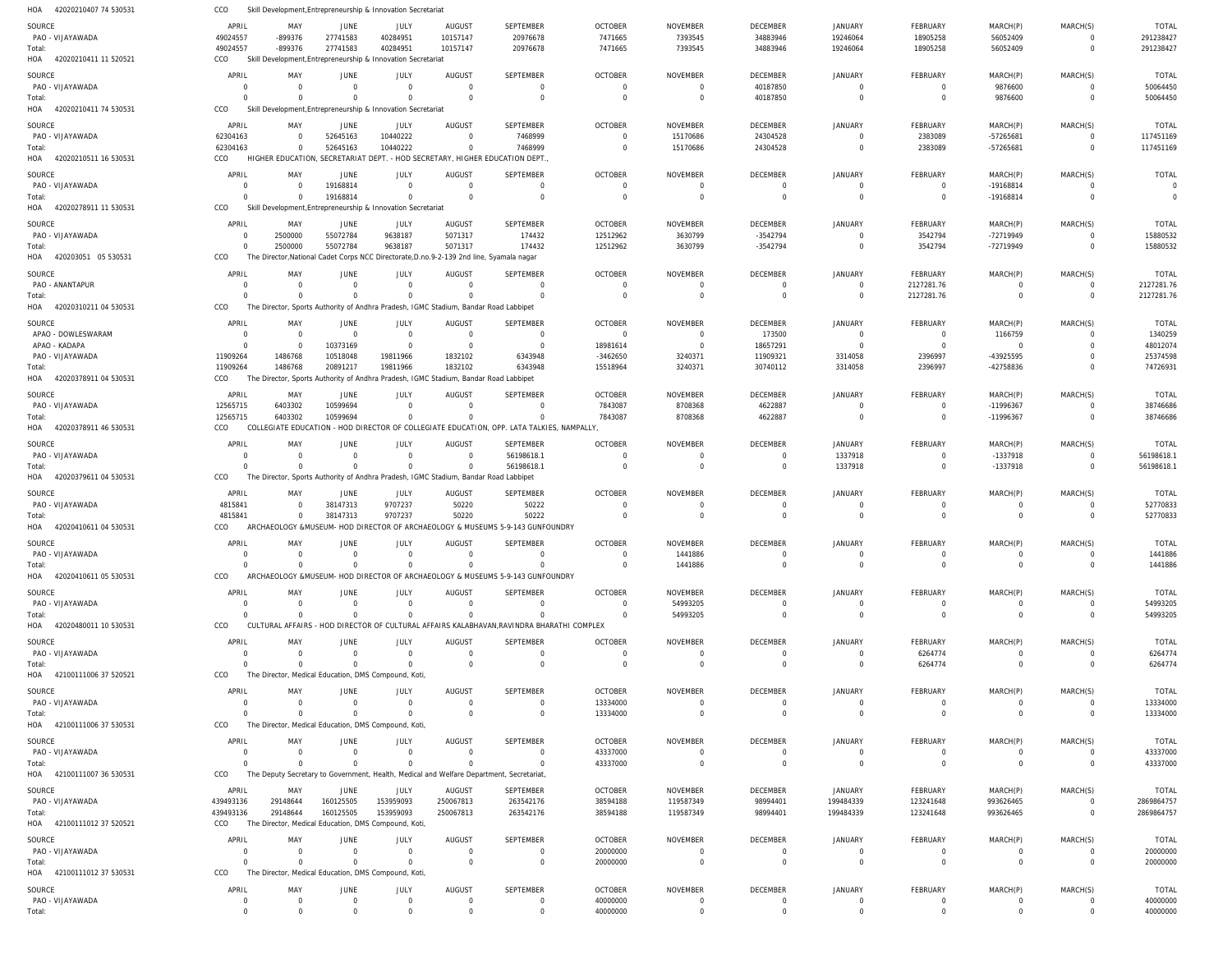| HOA 42020210407 74 530531                                                                                                                        | CCO                      | Skill Development, Entrepreneurship & Innovation Secretariat |                                  |                                                                                          |                                  |                                                                                           |                                  |                            |                         |                               |                            |                            |                                  |                                |
|--------------------------------------------------------------------------------------------------------------------------------------------------|--------------------------|--------------------------------------------------------------|----------------------------------|------------------------------------------------------------------------------------------|----------------------------------|-------------------------------------------------------------------------------------------|----------------------------------|----------------------------|-------------------------|-------------------------------|----------------------------|----------------------------|----------------------------------|--------------------------------|
| SOURCE                                                                                                                                           | APRIL                    | MAY                                                          | JUNE                             | JULY                                                                                     | AUGUST                           | <b>SEPTEMBER</b>                                                                          | <b>OCTOBER</b>                   | NOVEMBER                   | DECEMBER                | <b>JANUARY</b>                | FEBRUARY                   | MARCH(P)                   | MARCH(S)                         | <b>TOTAL</b>                   |
| PAO - VIJAYAWADA                                                                                                                                 | 49024557                 | -899376                                                      | 27741583                         | 40284951                                                                                 | 10157147                         | 20976678                                                                                  | 7471665                          | 7393545                    | 34883946                | 19246064                      | 18905258                   | 56052409                   | $\overline{0}$                   | 291238427                      |
| Total:                                                                                                                                           | 49024557                 | -899376                                                      | 27741583                         | 40284951                                                                                 | 10157147                         | 20976678                                                                                  | 7471665                          | 7393545                    | 34883946                | 19246064                      | 18905258                   | 56052409                   | $\overline{0}$                   | 291238427                      |
| HOA 42020210411 11 520521                                                                                                                        | CCO                      |                                                              |                                  | Skill Development, Entrepreneurship & Innovation Secretariat                             |                                  |                                                                                           |                                  |                            |                         |                               |                            |                            |                                  |                                |
| SOURCE                                                                                                                                           | APRIL                    | MAY                                                          | JUNE                             | JULY                                                                                     | AUGUST                           | <b>SEPTEMBER</b>                                                                          | <b>OCTOBER</b>                   | <b>NOVEMBER</b>            | <b>DECEMBER</b>         | <b>JANUARY</b>                | FEBRUARY                   | MARCH(P)                   | MARCH(S)                         | <b>TOTAL</b>                   |
| PAO - VIJAYAWADA                                                                                                                                 | $\mathbf{0}$             | $\Omega$                                                     | $\overline{0}$                   | $\overline{0}$                                                                           | $\overline{0}$                   | $\mathbf 0$                                                                               | $\overline{0}$                   | $\Omega$                   | 40187850                | $\Omega$                      | $\overline{0}$             | 9876600                    | $\Omega$                         | 50064450                       |
| Total:                                                                                                                                           | $\Omega$                 | $\Omega$                                                     | $\Omega$                         | $\Omega$                                                                                 | $\Omega$                         | $\mathbf 0$                                                                               | $\Omega$                         | $\mathbf 0$                | 40187850                | $\mathbf 0$                   | $\overline{0}$             | 9876600                    | $\Omega$                         | 50064450                       |
| HOA 42020210411 74 530531                                                                                                                        | CCO                      |                                                              |                                  | Skill Development, Entrepreneurship & Innovation Secretariat                             |                                  |                                                                                           |                                  |                            |                         |                               |                            |                            |                                  |                                |
| SOURCE                                                                                                                                           | APRIL                    | MAY                                                          | JUNE                             | JULY                                                                                     | AUGUST                           | SEPTEMBER                                                                                 | <b>OCTOBER</b>                   | NOVEMBER                   | DECEMBER                | <b>JANUARY</b>                | FEBRUARY                   | MARCH(P)                   | MARCH(S)                         | <b>TOTAL</b>                   |
| PAO - VIJAYAWADA                                                                                                                                 | 62304163                 | $\overline{0}$<br>$\Omega$                                   | 52645163                         | 10440222<br>10440222                                                                     | $\overline{0}$<br>$\overline{0}$ | 7468999                                                                                   | $\mathbf 0$<br>$\mathbf 0$       | 15170686<br>15170686       | 24304528                | $\mathbf 0$<br>$\Omega$       | 2383089                    | -57265681                  | $\overline{0}$<br>$\overline{0}$ | 117451169                      |
| Total:<br>HOA 42020210511 16 530531                                                                                                              | 62304163<br>CCO          |                                                              | 52645163                         | HIGHER EDUCATION, SECRETARIAT DEPT. - HOD SECRETARY, HIGHER EDUCATION DEPT.              |                                  | 7468999                                                                                   |                                  |                            | 24304528                |                               | 2383089                    | -57265681                  |                                  | 117451169                      |
|                                                                                                                                                  |                          |                                                              |                                  |                                                                                          |                                  |                                                                                           |                                  |                            |                         |                               |                            |                            |                                  |                                |
| SOURCE<br>PAO - VIJAYAWADA                                                                                                                       | APRIL<br>$\mathbf 0$     | MAY<br>$\Omega$                                              | JUNE<br>19168814                 | JULY<br>$\overline{0}$                                                                   | AUGUST<br>$\overline{0}$         | SEPTEMBER<br>$\mathbf 0$                                                                  | <b>OCTOBER</b><br>$\Omega$       | NOVEMBER<br>$\Omega$       | DECEMBER<br>$\mathbf 0$ | <b>JANUARY</b><br>$\Omega$    | FEBRUARY<br>$\overline{0}$ | MARCH(P)<br>-19168814      | MARCH(S)<br>$\Omega$             | <b>TOTAL</b><br>$\overline{0}$ |
| Total:                                                                                                                                           | $\Omega$                 | $\Omega$                                                     | 19168814                         | $\overline{0}$                                                                           | $\overline{0}$                   | $\mathbf 0$                                                                               | $\mathbf 0$                      | $\overline{0}$             | $\mathbf 0$             | $\mathbf 0$                   | $\mathbf 0$                | -19168814                  | $\overline{0}$                   | $\overline{0}$                 |
| HOA 42020278911 11 530531                                                                                                                        | CCO                      |                                                              |                                  | Skill Development, Entrepreneurship & Innovation Secretariat                             |                                  |                                                                                           |                                  |                            |                         |                               |                            |                            |                                  |                                |
| SOURCE                                                                                                                                           | APRIL                    | MAY                                                          | JUNE                             | JULY                                                                                     | AUGUST                           | <b>SEPTEMBER</b>                                                                          | <b>OCTOBER</b>                   | NOVEMBER                   | <b>DECEMBER</b>         | <b>JANUARY</b>                | FEBRUARY                   | MARCH(P)                   | MARCH(S)                         | <b>TOTAL</b>                   |
| PAO - VIJAYAWADA                                                                                                                                 | $\mathbf 0$              | 2500000                                                      | 55072784                         | 9638187                                                                                  | 5071317                          | 174432                                                                                    | 12512962                         | 3630799                    | $-3542794$              | 0                             | 3542794                    | -72719949                  | $\Omega$                         | 15880532                       |
| Total:                                                                                                                                           | $\mathbf 0$              | 2500000                                                      | 55072784                         | 9638187                                                                                  | 5071317                          | 174432                                                                                    | 12512962                         | 3630799                    | $-3542794$              | $\mathbf 0$                   | 3542794                    | -72719949                  | $\overline{0}$                   | 15880532                       |
| HOA 420203051 05 530531                                                                                                                          | CCO                      |                                                              |                                  | The Director, National Cadet Corps NCC Directorate, D.no.9-2-139 2nd line, Syamala nagar |                                  |                                                                                           |                                  |                            |                         |                               |                            |                            |                                  |                                |
| SOURCE                                                                                                                                           | APRIL                    | MAY                                                          | JUNE                             | JULY                                                                                     | AUGUST                           | <b>SEPTEMBER</b>                                                                          | <b>OCTOBER</b>                   | NOVEMBER                   | <b>DECEMBER</b>         | <b>JANUARY</b>                | FEBRUARY                   | MARCH(P)                   | MARCH(S)                         | <b>TOTAL</b>                   |
| PAO - ANANTAPUR                                                                                                                                  | $\mathbf 0$              | $\mathbf{0}$                                                 | $\overline{0}$                   | $\overline{0}$                                                                           | $\overline{0}$                   | $\mathbf 0$                                                                               | $\overline{0}$                   | $\overline{0}$             | $\mathbf 0$             | $\mathbf 0$                   | 2127281.76                 | $\overline{0}$             | $\overline{0}$                   | 2127281.76                     |
| Total:                                                                                                                                           | $\Omega$                 | $\Omega$                                                     | $\overline{0}$                   | $\Omega$                                                                                 | $\Omega$                         | $\Omega$                                                                                  | $\Omega$                         | $\Omega$                   | $\Omega$                | $\Omega$                      | 2127281.76                 | $\overline{0}$             | $\overline{0}$                   | 2127281.76                     |
| 42020310211 04 530531<br>HOA                                                                                                                     | CCO                      |                                                              |                                  | The Director, Sports Authority of Andhra Pradesh, IGMC Stadium, Bandar Road Labbipet     |                                  |                                                                                           |                                  |                            |                         |                               |                            |                            |                                  |                                |
| SOURCE                                                                                                                                           | APRIL                    | MAY                                                          | JUNE                             | JULY                                                                                     | <b>AUGUST</b>                    | SEPTEMBER                                                                                 | <b>OCTOBER</b>                   | NOVEMBER                   | DECEMBER                | <b>JANUARY</b>                | FEBRUARY                   | MARCH(P)                   | MARCH(S)                         | <b>TOTAL</b>                   |
| APAO - DOWLESWARAM                                                                                                                               | $\mathbf 0$              | $\Omega$                                                     | $\overline{0}$                   | $\overline{0}$                                                                           | $\overline{0}$                   | $\mathbf 0$                                                                               | $\overline{0}$                   | $\overline{0}$             | 173500                  | $\mathbf 0$                   | $\overline{0}$             | 1166759                    | $\overline{0}$                   | 1340259                        |
| APAO - KADAPA                                                                                                                                    | $\mathbf 0$              | $\Omega$<br>1486768                                          | 10373169                         | $\overline{0}$<br>19811966                                                               | $\overline{0}$<br>1832102        | $\mathbf 0$                                                                               | 18981614                         | $\overline{0}$             | 18657291                | 0                             | $\overline{0}$             | $\overline{0}$             | $\Omega$<br>$\Omega$             | 48012074                       |
| PAO - VIJAYAWADA<br>Total:                                                                                                                       | 11909264<br>11909264     | 1486768                                                      | 10518048<br>20891217             | 19811966                                                                                 | 1832102                          | 6343948<br>6343948                                                                        | $-3462650$<br>15518964           | 3240371<br>3240371         | 11909321<br>30740112    | 3314058<br>3314058            | 2396997<br>2396997         | -43925595<br>-42758836     | $\Omega$                         | 25374598<br>74726931           |
| HOA 42020378911 04 530531                                                                                                                        | CCO                      |                                                              |                                  | The Director, Sports Authority of Andhra Pradesh, IGMC Stadium, Bandar Road Labbipet     |                                  |                                                                                           |                                  |                            |                         |                               |                            |                            |                                  |                                |
| SOURCE                                                                                                                                           | APRIL                    | MAY                                                          | JUNE                             | JULY                                                                                     | <b>AUGUST</b>                    | SEPTEMBER                                                                                 | <b>OCTOBER</b>                   | NOVEMBER                   | DECEMBER                | <b>JANUARY</b>                | FEBRUARY                   | MARCH(P)                   | MARCH(S)                         | <b>TOTAL</b>                   |
| PAO - VIJAYAWADA                                                                                                                                 | 12565715                 | 6403302                                                      | 10599694                         | $\overline{0}$                                                                           | $\Omega$                         | $\Omega$                                                                                  | 7843087                          | 8708368                    | 4622887                 | $\Omega$                      | $\overline{0}$             | -11996367                  | $\Omega$                         | 38746686                       |
| Total:                                                                                                                                           | 12565715                 | 6403302                                                      | 10599694                         | $\overline{0}$                                                                           | $\Omega$                         | $\Omega$                                                                                  | 7843087                          | 8708368                    | 4622887                 | $\mathbf 0$                   | $\overline{0}$             | -11996367                  | $\overline{0}$                   | 38746686                       |
| HOA 42020378911 46 530531                                                                                                                        | CCO                      |                                                              |                                  |                                                                                          |                                  | COLLEGIATE EDUCATION - HOD DIRECTOR OF COLLEGIATE EDUCATION, OPP. LATA TALKIES, NAMPALLY, |                                  |                            |                         |                               |                            |                            |                                  |                                |
| SOURCE                                                                                                                                           | APRIL                    | MAY                                                          | JUNE                             | JULY                                                                                     | AUGUST                           | SEPTEMBER                                                                                 | <b>OCTOBER</b>                   | <b>NOVEMBER</b>            | <b>DECEMBER</b>         | <b>JANUARY</b>                | FEBRUARY                   | MARCH(P)                   | MARCH(S)                         | <b>TOTAL</b>                   |
| PAO - VIJAYAWADA                                                                                                                                 | $\mathbf 0$              | $\overline{0}$                                               | $\overline{0}$                   | $\overline{0}$                                                                           | $\overline{0}$                   | 56198618.1                                                                                | $\Omega$                         | $\Omega$                   | $\mathbf 0$             | 1337918                       | $\overline{0}$             | -1337918                   | $\overline{0}$                   | 56198618.1                     |
| Total:                                                                                                                                           | $\Omega$                 | $\Omega$                                                     | $\overline{0}$                   | $\overline{0}$                                                                           | $\overline{0}$                   | 56198618.1                                                                                | $\mathbf 0$                      | $\mathbf 0$                | $\mathbf 0$             | 1337918                       | $\overline{0}$             | -1337918                   | $\mathbf 0$                      | 56198618.1                     |
| HOA 42020379611 04 530531                                                                                                                        | CCO                      |                                                              |                                  | The Director, Sports Authority of Andhra Pradesh, IGMC Stadium, Bandar Road Labbipet     |                                  |                                                                                           |                                  |                            |                         |                               |                            |                            |                                  |                                |
| SOURCE                                                                                                                                           | APRIL                    | MAY                                                          | JUNE                             | JULY                                                                                     | AUGUST                           | SEPTEMBER                                                                                 | <b>OCTOBER</b>                   | NOVEMBER                   | DECEMBER                | <b>JANUARY</b>                | FEBRUARY                   | MARCH(P)                   | MARCH(S)                         | <b>TOTAL</b>                   |
|                                                                                                                                                  |                          |                                                              |                                  |                                                                                          |                                  |                                                                                           |                                  |                            |                         |                               |                            |                            |                                  |                                |
| PAO - VIJAYAWADA                                                                                                                                 | 4815841                  | $\Omega$                                                     | 38147313                         | 9707237                                                                                  | 50220                            | 50222                                                                                     | $\Omega$                         | $\overline{0}$             | $\mathbf 0$             | $\mathbf 0$                   | $\overline{0}$             | $\overline{0}$             | $\Omega$                         | 52770833                       |
|                                                                                                                                                  | 4815841                  | $\Omega$                                                     | 38147313                         | 9707237                                                                                  | 50220                            | 50222                                                                                     | $\Omega$                         | $\Omega$                   | $\Omega$                | $\Omega$                      | $\overline{0}$             | $\mathbf 0$                | $\Omega$                         | 52770833                       |
| HOA 42020410611 04 530531                                                                                                                        | CCO                      |                                                              |                                  |                                                                                          |                                  | ARCHAEOLOGY &MUSEUM- HOD DIRECTOR OF ARCHAEOLOGY & MUSEUMS 5-9-143 GUNFOUNDRY             |                                  |                            |                         |                               |                            |                            |                                  |                                |
|                                                                                                                                                  | APRIL                    | MAY                                                          | JUNE                             | JULY                                                                                     | AUGUST                           | SEPTEMBER                                                                                 | <b>OCTOBER</b>                   | NOVEMBER                   | DECEMBER                | JANUARY                       | FEBRUARY                   | MARCH(P)                   | MARCH(S)                         | <b>TOTAL</b>                   |
| PAO - VIJAYAWADA                                                                                                                                 | $\cap$                   | $\cap$                                                       | $\bigcap$                        | $\sqrt{ }$                                                                               | $\cap$                           | $\Omega$                                                                                  | $\cap$                           | 1441886                    |                         |                               |                            |                            |                                  | 1441886                        |
|                                                                                                                                                  | $\mathbf 0$              | $\Omega$                                                     | $\mathbf 0$                      | $\overline{0}$                                                                           | $\Omega$                         | $\Omega$                                                                                  | $\overline{0}$                   | 1441886                    | $\mathbf 0$             | $\mathbf 0$                   | $\overline{0}$             | $\mathbf 0$                | $\overline{0}$                   | 1441886                        |
|                                                                                                                                                  | CCO                      |                                                              |                                  |                                                                                          |                                  | ARCHAEOLOGY & MUSEUM- HOD DIRECTOR OF ARCHAEOLOGY & MUSEUMS 5-9-143 GUNFOUNDRY            |                                  |                            |                         |                               |                            |                            |                                  |                                |
|                                                                                                                                                  | APRIL                    | MAY                                                          | JUNE                             | JULY                                                                                     | <b>AUGUST</b>                    | SEPTEMBER                                                                                 | <b>OCTOBER</b>                   | NOVEMBER                   | DECEMBER                | <b>JANUARY</b>                | FEBRUARY                   | MARCH(P)                   | MARCH(S)                         | <b>TOTAL</b>                   |
| PAO - VIJAYAWADA                                                                                                                                 | $\mathbf{0}$<br>$\Omega$ | $\Omega$<br>$\Omega$                                         | $\overline{0}$                   | $\overline{0}$                                                                           | $\overline{0}$<br>$\Omega$       | $\mathbf{0}$<br>$\Omega$                                                                  | $\Omega$                         | 54993205                   | $\Omega$<br>$\Omega$    | $\Omega$                      | $\overline{0}$             | $\overline{0}$             | $\Omega$                         | 54993205                       |
|                                                                                                                                                  | CCO                      |                                                              | $\overline{0}$                   | $\overline{0}$                                                                           |                                  | CULTURAL AFFAIRS - HOD DIRECTOR OF CULTURAL AFFAIRS KALABHAVAN, RAVINDRA BHARATHI COMPLEX | $\overline{0}$                   | 54993205                   |                         | $\mathbf 0$                   | $\overline{0}$             | $\overline{0}$             | $\overline{0}$                   | 54993205                       |
|                                                                                                                                                  |                          |                                                              |                                  |                                                                                          |                                  |                                                                                           |                                  |                            |                         |                               |                            |                            |                                  |                                |
|                                                                                                                                                  | APRIL<br>0               | MAY<br>$\overline{0}$                                        | <b>JUNE</b><br>$\overline{0}$    | JULY<br>$\overline{0}$                                                                   | AUGUST<br>$\overline{0}$         | SEPTEMBER<br>$\mathbf 0$                                                                  | <b>OCTOBER</b><br>$\overline{0}$ | NOVEMBER<br>$\Omega$       | <b>DECEMBER</b><br>0    | <b>JANUARY</b><br>0           | FEBRUARY                   | MARCH(P)<br>$^{\circ}$     | MARCH(S)<br>$\Omega$             | TOTAL                          |
| Total:<br>SOURCE<br>Total:<br>HOA 42020410611 05 530531<br>SOURCE<br>Total:<br>HOA 42020480011 10 530531<br>SOURCE<br>PAO - VIJAYAWADA<br>Total: | $\Omega$                 | $\Omega$                                                     | $\Omega$                         | $\overline{0}$                                                                           | $\overline{0}$                   | $\mathbf 0$                                                                               | $\mathbf 0$                      | $\overline{0}$             | $\mathbf 0$             | $\mathbf 0$                   | 6264774<br>6264774         | $\overline{0}$             | $\overline{0}$                   | 6264774<br>6264774             |
| HOA 42100111006 37 520521                                                                                                                        | CCO                      |                                                              |                                  | The Director, Medical Education, DMS Compound, Koti,                                     |                                  |                                                                                           |                                  |                            |                         |                               |                            |                            |                                  |                                |
|                                                                                                                                                  |                          | MAY                                                          |                                  |                                                                                          |                                  | SEPTEMBER                                                                                 |                                  |                            |                         |                               |                            |                            |                                  |                                |
| SOURCE<br>PAO - VIJAYAWADA                                                                                                                       | APRIL<br>$\Omega$        | $\Omega$                                                     | JUNE<br>$\overline{0}$           | JULY<br>$\overline{0}$                                                                   | AUGUST<br>$\overline{0}$         | $\mathbf 0$                                                                               | <b>OCTOBER</b><br>13334000       | NOVEMBER<br>$\Omega$       | DECEMBER<br>$\mathbf 0$ | <b>JANUARY</b><br>$\mathbf 0$ | FEBRUARY<br>$\overline{0}$ | MARCH(P)<br>0              | MARCH(S)<br>$\Omega$             | <b>TOTAL</b><br>13334000       |
|                                                                                                                                                  | $\Omega$                 | $\Omega$                                                     | $\overline{0}$                   | $\overline{0}$                                                                           | $\overline{0}$                   | $\mathbf 0$                                                                               | 13334000                         | $\Omega$                   | $\mathbf 0$             | $\Omega$                      | $\overline{0}$             | $\overline{0}$             | $\Omega$                         | 13334000                       |
|                                                                                                                                                  | CCO                      |                                                              |                                  | The Director, Medical Education, DMS Compound, Koti,                                     |                                  |                                                                                           |                                  |                            |                         |                               |                            |                            |                                  |                                |
| Total:<br>HOA 42100111006 37 530531<br>SOURCE                                                                                                    | APRIL                    | MAY                                                          | JUNE                             | JULY                                                                                     | AUGUST                           | SEPTEMBER                                                                                 | <b>OCTOBER</b>                   | NOVEMBER                   | DECEMBER                | <b>JANUARY</b>                | FEBRUARY                   | MARCH(P)                   | MARCH(S)                         | <b>TOTAL</b>                   |
| PAO - VIJAYAWADA                                                                                                                                 | $\mathbf{0}$             | $\Omega$                                                     | $\overline{0}$                   | $\overline{0}$                                                                           | $\overline{0}$                   | $\mathbf 0$                                                                               | 43337000                         | $\Omega$                   | $\mathbf 0$             | 0                             | $\overline{0}$             | 0                          | $\overline{0}$                   | 43337000                       |
| Total:                                                                                                                                           | $\Omega$                 | $\Omega$                                                     | $\Omega$                         | $\overline{0}$                                                                           | $\Omega$                         | $\mathbf 0$                                                                               | 43337000                         | $\overline{0}$             | $\mathbf 0$             | $\mathbf 0$                   | $\overline{0}$             | $\overline{0}$             | $\overline{0}$                   | 43337000                       |
| HOA 42100111007 36 530531                                                                                                                        | CCO                      |                                                              |                                  | The Deputy Secretary to Government, Health, Medical and Welfare Department, Secretariat  |                                  |                                                                                           |                                  |                            |                         |                               |                            |                            |                                  |                                |
| SOURCE                                                                                                                                           | APRIL                    | MAY                                                          | JUNE                             | JULY                                                                                     | AUGUST                           | SEPTEMBER                                                                                 | <b>OCTOBER</b>                   | NOVEMBER                   | DECEMBER                | <b>JANUARY</b>                | FEBRUARY                   | MARCH(P)                   | MARCH(S)                         | <b>TOTAL</b>                   |
| PAO - VIJAYAWADA                                                                                                                                 | 439493136                | 29148644                                                     | 160125505                        | 153959093                                                                                | 250067813                        | 263542176                                                                                 | 38594188                         | 119587349                  | 98994401                | 199484339                     | 123241648                  | 993626465                  | $\overline{0}$                   | 2869864757                     |
| Total:                                                                                                                                           | 439493136                | 29148644                                                     | 160125505                        | 153959093                                                                                | 250067813                        | 263542176                                                                                 | 38594188                         | 119587349                  | 98994401                | 199484339                     | 123241648                  | 993626465                  | $\overline{0}$                   | 2869864757                     |
| HOA 42100111012 37 520521                                                                                                                        | CCO                      |                                                              |                                  | The Director, Medical Education, DMS Compound, Koti,                                     |                                  |                                                                                           |                                  |                            |                         |                               |                            |                            |                                  |                                |
| SOURCE                                                                                                                                           | APRIL                    | MAY                                                          | JUNE                             | JULY                                                                                     | AUGUST                           | SEPTEMBER                                                                                 | <b>OCTOBER</b>                   | NOVEMBER                   | DECEMBER                | <b>JANUARY</b>                | FEBRUARY                   | MARCH(P)                   | MARCH(S)                         | <b>TOTAL</b>                   |
| PAO - VIJAYAWADA                                                                                                                                 | 0<br>$\Omega$            | $\Omega$<br>$\Omega$                                         | $\overline{0}$<br>$\overline{0}$ | $\overline{0}$<br>$\overline{0}$                                                         | $\overline{0}$<br>$\overline{0}$ | $\mathbf 0$<br>$\mathbf 0$                                                                | 20000000                         | $\Omega$<br>$\overline{0}$ | 0<br>$\mathbf 0$        | 0<br>$\mathbf 0$              | 0<br>$\overline{0}$        | 0<br>$\overline{0}$        | $\Omega$<br>$\overline{0}$       | 20000000                       |
| Total:<br>HOA 42100111012 37 530531                                                                                                              | CCO                      |                                                              |                                  | The Director, Medical Education, DMS Compound, Koti,                                     |                                  |                                                                                           | 20000000                         |                            |                         |                               |                            |                            |                                  | 20000000                       |
|                                                                                                                                                  |                          |                                                              |                                  |                                                                                          |                                  |                                                                                           |                                  |                            |                         |                               |                            |                            |                                  |                                |
| SOURCE<br>PAO - VIJAYAWADA                                                                                                                       | APRIL<br>$\mathbf 0$     | MAY<br>$\mathbf 0$                                           | <b>JUNE</b><br>$\overline{0}$    | JULY<br>$\overline{0}$                                                                   | AUGUST<br>$\overline{0}$         | SEPTEMBER<br>$\mathbf 0$                                                                  | <b>OCTOBER</b><br>40000000       | NOVEMBER<br>$\overline{0}$ | DECEMBER<br>$\mathbf 0$ | <b>JANUARY</b><br>$\mathbf 0$ | FEBRUARY<br>$\overline{0}$ | MARCH(P)<br>$\overline{0}$ | MARCH(S)<br>$\overline{0}$       | <b>TOTAL</b><br>40000000       |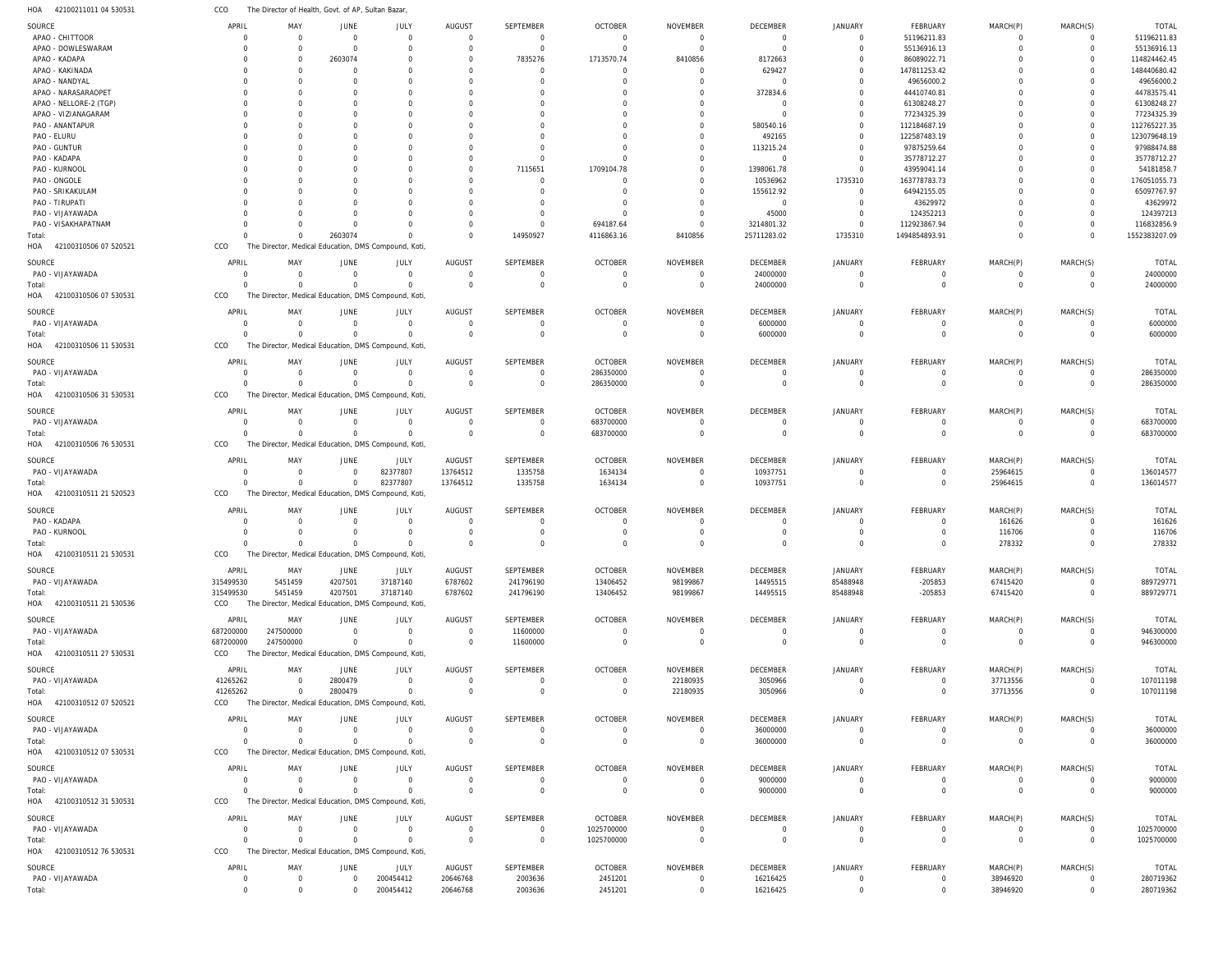42100211011 04 530531 HOA The Director of Health, Govt. of AP, Sultan Bazar, CCO

| SOURCE                       | APRIL          | MAY                                                  | JUNE           | JULY           | AUGUST         | <b>SEPTEMBER</b> | <b>OCTOBER</b> | <b>NOVEMBER</b> | DECEMBER        | <b>JANUARY</b> | FEBRUARY       | MARCH(P)       | MARCH(S)    | <b>TOTAL</b>  |
|------------------------------|----------------|------------------------------------------------------|----------------|----------------|----------------|------------------|----------------|-----------------|-----------------|----------------|----------------|----------------|-------------|---------------|
| APAO - CHITTOOR              | C              | $\Omega$                                             | $\overline{0}$ | $\mathbf 0$    | $\overline{0}$ | 0                | $\Omega$       | $\Omega$        | 0               | $\mathbf 0$    | 51196211.83    |                | 0           | 51196211.83   |
| APAO - DOWLESWARAM           | C              | $\Omega$                                             | $\Omega$       | $\mathbf 0$    | $\Omega$       | $\Omega$         | $\Omega$       | $\Omega$        | $\Omega$        | $\Omega$       | 55136916.13    |                | $\mathbf 0$ | 55136916.13   |
| APAO - KADAPA                | C              | $\Omega$                                             | 2603074        | $\Omega$       | $\Omega$       | 7835276          | 1713570.74     | 8410856         | 8172663         | $\Omega$       | 86089022.71    |                | $\Omega$    | 114824462.45  |
| APAO - KAKINADA              |                | $\Omega$                                             | $\Omega$       | $\Omega$       | $\Omega$       | $\Omega$         | $\Omega$       | $\Omega$        | 629427          | $\Omega$       | 147811253.42   |                | $\Omega$    | 148440680.42  |
| APAO - NANDYAL               |                | $\Omega$                                             | $\Omega$       | $\Omega$       | $\Omega$       | $\cup$           | $\Omega$       | $\Omega$        | $\Omega$        | $\Omega$       | 49656000.2     |                | $\Omega$    | 49656000.2    |
| APAO - NARASARAOPET          |                |                                                      | <sup>0</sup>   | O              | $\Omega$       | -0               |                | $\Omega$        | 372834.6        | $\Omega$       | 44410740.81    |                | $\Omega$    | 44783575.41   |
| APAO - NELLORE-2 (TGP)       | C              | $\Omega$                                             | $\Omega$       | $\Omega$       |                |                  |                | $\Omega$        | $\Omega$        | $\Omega$       | 61308248.27    |                | $\Omega$    | 61308248.27   |
| APAO - VIZIANAGARAM          |                |                                                      |                | $\Omega$       |                |                  |                | $\Omega$        | $\Omega$        | $\Omega$       | 77234325.39    |                | $\mathbf 0$ | 77234325.39   |
| PAO - ANANTAPUR              |                |                                                      | $\Omega$       | $\Omega$       | $\Omega$       |                  |                | $\Omega$        | 580540.16       | $\Omega$       | 112184687.19   |                | $\Omega$    | 112765227.35  |
| PAO - ELURU                  |                |                                                      |                | O              |                |                  |                | $\Omega$        | 492165          | $\Omega$       | 122587483.19   |                | $\mathbf 0$ | 123079648.19  |
| PAO - GUNTUR                 | C              | $\Omega$                                             | $\Omega$       | $\Omega$       | $\Omega$       | $\cup$           | $\Omega$       | $\Omega$        | 113215.24       | $\Omega$       | 97875259.64    |                | $\Omega$    | 97988474.88   |
| PAO - KADAPA                 |                |                                                      |                | O              | $\Omega$       | $\Omega$         | $\Omega$       | $\Omega$        | $\Omega$        | $\Omega$       | 35778712.27    |                | $\Omega$    | 35778712.27   |
| PAO - KURNOOL                | C              |                                                      | $\Omega$       | $\Omega$       | $\Omega$       | 7115651          | 1709104.78     | $\Omega$        | 1398061.78      | $\Omega$       | 43959041.14    |                | $\Omega$    | 54181858.7    |
| PAO - ONGOLE                 |                |                                                      |                | O              | $\Omega$       | $\Omega$         | $\Omega$       | $\Omega$        | 10536962        | 1735310        | 163778783.73   |                | $\Omega$    | 176051055.73  |
| PAO - SRIKAKULAM             |                |                                                      | $\Omega$       | $\Omega$       | $\Omega$       | $\Omega$         | $\Omega$       | $\Omega$        | 155612.92       | $\Omega$       | 64942155.05    |                | $\Omega$    | 65097767.97   |
| PAO - TIRUPATI               |                |                                                      |                | O              | $\Omega$       | $\cup$           | $\Omega$       | $\Omega$        | $\Omega$        | $\Omega$       | 43629972       |                | $\Omega$    | 43629972      |
| PAO - VIJAYAWADA             |                |                                                      | $\Omega$       | O              | $\Omega$       | $\Omega$         |                | $\Omega$        | 45000           | $\Omega$       | 124352213      |                | $\Omega$    | 124397213     |
| PAO - VISAKHAPATNAM          |                |                                                      | $\Omega$       | $\Omega$       | $\Omega$       | $\Omega$         | 694187.64      | $\Omega$        | 3214801.32      | $\mathbf 0$    | 112923867.94   |                | $\Omega$    | 116832856.9   |
| Total:                       |                |                                                      | 2603074        | $\Omega$       | $\Omega$       | 14950927         | 4116863.16     | 8410856         | 25711283.02     | 1735310        | 1494854893.91  |                | $\Omega$    | 1552383207.09 |
| HOA<br>42100310506 07 520521 | CCO            | The Director, Medical Education, DMS Compound, Koti, |                |                |                |                  |                |                 |                 |                |                |                |             |               |
| SOURCE                       | APRIL          | MAY                                                  | JUNE           | JULY           | AUGUST         | SEPTEMBER        | <b>OCTOBER</b> | NOVEMBER        | DECEMBER        | <b>JANUARY</b> | FEBRUARY       | MARCH(P)       | MARCH(S)    | <b>TOTAL</b>  |
| PAO - VIJAYAWADA             | $\Omega$       | $\Omega$                                             | $\Omega$       | $\overline{0}$ | $\overline{0}$ | $\Omega$         | $\overline{0}$ | $\Omega$        | 24000000        | $\mathbf 0$    | $\Omega$       | $\Omega$       | $\mathbf 0$ | 24000000      |
| Total                        | $\Omega$       | $\Omega$                                             | $\Omega$       | $\overline{0}$ | $\overline{0}$ | $\Omega$         | $\overline{0}$ | $\overline{0}$  | 24000000        | $\mathbf 0$    | $\Omega$       | $\Omega$       | $\mathbf 0$ | 24000000      |
| HOA<br>42100310506 07 530531 | CCO            | The Director, Medical Education, DMS Compound, Koti, |                |                |                |                  |                |                 |                 |                |                |                |             |               |
|                              |                |                                                      |                |                |                |                  |                |                 |                 |                |                |                |             |               |
| SOURCE                       | APRIL          | MAY                                                  | <b>JUNE</b>    | JULY           | AUGUST         | <b>SEPTEMBER</b> | <b>OCTOBER</b> | <b>NOVEMBER</b> | DECEMBER        | <b>JANUARY</b> | FEBRUARY       | MARCH(P)       | MARCH(S)    | <b>TOTAL</b>  |
| PAO - VIJAYAWADA             | $\Omega$       | $\Omega$                                             | $\overline{0}$ | $\mathbf 0$    | $\overline{0}$ | $\Omega$         | $\overline{0}$ | $\Omega$        | 6000000         | $\Omega$       | $\Omega$       | - 0            | $\Omega$    | 6000000       |
| Total:                       | $\Omega$       | $\Omega$                                             | $\Omega$       | $\Omega$       | $\overline{0}$ | $\Omega$         | $\overline{0}$ | $\overline{0}$  | 6000000         | $\Omega$       | $\Omega$       | $\Omega$       | $\mathbf 0$ | 6000000       |
| 42100310506 11 530531<br>HOA | CCO            | The Director, Medical Education, DMS Compound, Koti, |                |                |                |                  |                |                 |                 |                |                |                |             |               |
| SOURCE                       | APRIL          | MAY                                                  | JUNE           | JULY           | <b>AUGUST</b>  | SEPTEMBER        | <b>OCTOBER</b> | NOVEMBER        | DECEMBER        | JANUARY        | FEBRUARY       | MARCH(P)       | MARCH(S)    | <b>TOTAL</b>  |
| PAO - VIJAYAWADA             | $\Omega$       | $\Omega$                                             | $\overline{0}$ | $\overline{0}$ | $\overline{0}$ | $\mathbf 0$      | 286350000      | $\overline{0}$  | $\mathbf 0$     | $\mathbf 0$    | $\Omega$       | $\Omega$       | 0           | 286350000     |
| Total                        | $\Omega$       | $\Omega$                                             | $\Omega$       | $\overline{0}$ | $\Omega$       | $\Omega$         | 286350000      | $\Omega$        | $\mathbf 0$     | $\Omega$       | $\Omega$       | $\Omega$       | $\mathbf 0$ | 286350000     |
| HOA 42100310506 31 530531    | CCO            | The Director, Medical Education, DMS Compound, Koti, |                |                |                |                  |                |                 |                 |                |                |                |             |               |
| SOURCE                       | APRIL          | MAY                                                  | JUNE           | JULY           | AUGUST         | SEPTEMBER        | <b>OCTOBER</b> | NOVEMBER        | DECEMBER        | <b>JANUARY</b> | FEBRUARY       | MARCH(P)       | MARCH(S)    | <b>TOTAL</b>  |
| PAO - VIJAYAWADA             | $\Omega$       | $\Omega$                                             | $\Omega$       | $\mathbf 0$    | $\Omega$       | $\Omega$         | 683700000      | $\Omega$        | $\mathbf 0$     | $\mathbf 0$    | $\Omega$       | $\Omega$       | $\mathbf 0$ | 683700000     |
| Total                        |                | $\Omega$                                             | $\Omega$       | $\overline{0}$ | $\overline{0}$ | $\Omega$         | 683700000      | $\Omega$        | $\Omega$        | $\Omega$       | $\Omega$       | $\Omega$       | $\Omega$    | 683700000     |
| 42100310506 76 530531<br>HOA | CCO            | The Director, Medical Education, DMS Compound, Koti, |                |                |                |                  |                |                 |                 |                |                |                |             |               |
|                              |                |                                                      |                |                |                |                  |                |                 |                 |                |                |                |             |               |
| SOURCE                       | APRIL          | MAY                                                  | JUNE           | JULY           | AUGUST         | SEPTEMBER        | <b>OCTOBER</b> | NOVEMBER        | DECEMBER        | <b>JANUARY</b> | FEBRUARY       | MARCH(P)       | MARCH(S)    | <b>TOTAL</b>  |
| PAO - VIJAYAWADA             | $\Omega$       | $\Omega$                                             | $\overline{0}$ | 82377807       | 13764512       | 1335758          | 1634134        | $\overline{0}$  | 10937751        | $\mathbf 0$    | $\Omega$       | 25964615       | $\mathbf 0$ | 136014577     |
| Total                        | $\Omega$       | $\Omega$                                             | $\overline{0}$ | 82377807       | 13764512       | 1335758          | 1634134        | $\overline{0}$  | 10937751        | $\mathbf 0$    | $\Omega$       | 25964615       | $\mathbf 0$ | 136014577     |
| HOA<br>42100310511 21 520523 | CCO            | The Director, Medical Education, DMS Compound, Koti, |                |                |                |                  |                |                 |                 |                |                |                |             |               |
| SOURCE                       | APRIL          | MAY                                                  | JUNE           | JULY           | AUGUST         | SEPTEMBER        | <b>OCTOBER</b> | NOVEMBER        | DECEMBER        | <b>JANUARY</b> | FEBRUARY       | MARCH(P)       | MARCH(S)    | <b>TOTAL</b>  |
| PAO - KADAPA                 | $\Omega$       | $\Omega$                                             | $\Omega$       | $\overline{0}$ | $\Omega$       | $\Omega$         | $\Omega$       | $\Omega$        | $\Omega$        | $\Omega$       | $\Omega$       | 161626         | $\Omega$    | 161626        |
| PAO - KURNOOL                |                | $\Omega$                                             | $\Omega$       | $\mathbf 0$    | $\overline{0}$ | $\Omega$         | $\overline{0}$ | $\overline{0}$  | $\mathbf 0$     | $\Omega$       |                | 116706         | $\Omega$    | 116706        |
| Total:                       |                | $\Omega$                                             | $\Omega$       | $\Omega$       | $\Omega$       | $\Omega$         | $\Omega$       | $\Omega$        | $\Omega$        | $\Omega$       | $\Omega$       | 278332         | $\Omega$    | 278332        |
| HOA 42100310511 21 530531    | CCO            | The Director, Medical Education, DMS Compound, Koti, |                |                |                |                  |                |                 |                 |                |                |                |             |               |
|                              |                |                                                      |                |                |                |                  |                |                 |                 |                |                |                |             |               |
| SOURCE                       | APRIL          | MAY                                                  | JUNE           | JULY           | AUGUST         | SEPTEMBER        | <b>OCTOBER</b> | NOVEMBER        | DECEMBER        | JANUARY        | FEBRUARY       | MARCH(P)       | MARCH(S)    | <b>TOTAL</b>  |
| PAO - VIJAYAWADA             | 315499530      | 5451459                                              | 4207501        | 37187140       | 6787602        | 241796190        | 13406452       | 98199867        | 14495515        | 85488948       | $-205853$      | 67415420       | $\Omega$    | 889729771     |
| Total:                       | 315499530      | 5451459                                              | 4207501        | 37187140       | 6787602        | 241796190        | 13406452       | 98199867        | 14495515        | 85488948       | -205853        | 67415420       | $\mathbf 0$ | 889729771     |
| HOA 42100310511 21 530536    | CCO            | The Director, Medical Education, DMS Compound, Koti, |                |                |                |                  |                |                 |                 |                |                |                |             |               |
| SOURCE                       | APRIL          | MAY                                                  | <b>JUNE</b>    | JULY           | AUGUST         | <b>SEPTEMBER</b> | <b>OCTOBER</b> | NOVEMBER        | <b>DECEMBER</b> | <b>JANUARY</b> | FEBRUARY       | MARCH(P)       | MARCH(S)    | TOTAL         |
| PAO - VIJAYAWADA             | 687200000      | 247500000                                            | $\overline{0}$ | $\Omega$       | $\overline{0}$ | 11600000         | $\Omega$       | $\Omega$        | $\mathbf 0$     | $\Omega$       | $\Omega$       | - 0            | $\Omega$    | 946300000     |
| Total:                       | 687200000      | 247500000                                            | $\overline{0}$ | $\overline{0}$ | $\overline{0}$ | 11600000         | $\overline{0}$ | $\overline{0}$  | $\mathbf 0$     | $\mathbf 0$    | $\overline{0}$ | $\Omega$       | $\mathbf 0$ | 946300000     |
| HOA 42100310511 27 530531    | CCO            | The Director, Medical Education, DMS Compound, Koti, |                |                |                |                  |                |                 |                 |                |                |                |             |               |
| SOURCE                       | APRIL          | MAY                                                  | JUNE           | JULY           | AUGUST         | <b>SEPTEMBER</b> | <b>OCTOBER</b> | NOVEMBER        | <b>DECEMBER</b> | <b>JANUARY</b> | FEBRUARY       | MARCH(P)       | MARCH(S)    | <b>TOTAL</b>  |
| PAO - VIJAYAWADA             | 41265262       | $\overline{0}$                                       | 2800479        | $\overline{0}$ | $\overline{0}$ | $\mathbf 0$      | $\overline{0}$ | 22180935        | 3050966         | $\mathbf 0$    | $\Omega$       | 37713556       | 0           | 107011198     |
| Total:                       | 41265262       | $\Omega$                                             | 2800479        | $\overline{0}$ | $\overline{0}$ | $\mathbf 0$      | $\mathbf 0$    | 22180935        | 3050966         | $\mathbf 0$    | $\Omega$       | 37713556       | $\mathbf 0$ | 107011198     |
| HOA 42100310512 07 520521    | CCO            | The Director, Medical Education, DMS Compound, Koti, |                |                |                |                  |                |                 |                 |                |                |                |             |               |
|                              |                |                                                      |                |                |                |                  |                |                 |                 |                |                |                |             |               |
| SOURCE                       | APRIL          | MAY                                                  | JUNE           | JULY           | <b>AUGUST</b>  | SEPTEMBER        | <b>OCTOBER</b> | NOVEMBER        | DECEMBER        | <b>JANUARY</b> | FEBRUARY       | MARCH(P)       | MARCH(S)    | TOTAL         |
| PAO - VIJAYAWADA             | $\Omega$       | $\Omega$                                             | $\overline{0}$ | $\overline{0}$ | $\overline{0}$ | $\mathbf 0$      | $\overline{0}$ | $\overline{0}$  | 36000000        | $\Omega$       | $\Omega$       | $\Omega$       | $\mathbf 0$ | 36000000      |
| Total:                       | $\Omega$       | $\Omega$                                             | $\overline{0}$ | $\Omega$       | $\overline{0}$ | $\Omega$         | $\overline{0}$ | $\overline{0}$  | 36000000        | $\mathbf 0$    | $\Omega$       | $\Omega$       | $\mathbf 0$ | 36000000      |
| HOA 42100310512 07 530531    | CCO            | The Director, Medical Education, DMS Compound, Koti, |                |                |                |                  |                |                 |                 |                |                |                |             |               |
| SOURCE                       | APRIL          | MAY                                                  | <b>JUNE</b>    | JULY           | AUGUST         | SEPTEMBER        | <b>OCTOBER</b> | NOVEMBER        | DECEMBER        | <b>JANUARY</b> | FEBRUARY       | MARCH(P)       | MARCH(S)    | <b>TOTAL</b>  |
| PAO - VIJAYAWADA             | $\Omega$       | $\overline{0}$                                       | $\overline{0}$ | $\overline{0}$ | $\overline{0}$ | $\mathbf 0$      | $\overline{0}$ | $\overline{0}$  | 9000000         | $\mathbf 0$    | $\Omega$       | $\Omega$       | $\mathbf 0$ | 9000000       |
| Total:                       | $\Omega$       | $\Omega$                                             | $\Omega$       | $\overline{0}$ | $\overline{0}$ | $\Omega$         | $\overline{0}$ | $\overline{0}$  | 9000000         | $\mathbf 0$    | $\Omega$       | $\Omega$       | $\mathbf 0$ | 9000000       |
| HOA 42100310512 31 530531    | CCO            | The Director, Medical Education, DMS Compound, Koti, |                |                |                |                  |                |                 |                 |                |                |                |             |               |
|                              |                |                                                      |                |                |                |                  |                |                 |                 |                |                |                |             |               |
| SOURCE                       | APRIL          | MAY                                                  | JUNE           | JULY           | AUGUST         | <b>SEPTEMBER</b> | <b>OCTOBER</b> | NOVEMBER        | <b>DECEMBER</b> | <b>JANUARY</b> | FEBRUARY       | MARCH(P)       | MARCH(S)    | TOTAL         |
| PAO - VIJAYAWADA             | $\Omega$       | $\Omega$                                             | $\overline{0}$ | $\overline{0}$ | $\overline{0}$ | $\mathbf 0$      | 1025700000     | $\overline{0}$  | 0               | 0              | $\Omega$       | $\Omega$       | $^{\circ}$  | 1025700000    |
| Total:                       | $\Omega$       | $\Omega$                                             | $\overline{0}$ | $\Omega$       | $\overline{0}$ | $\mathbf 0$      | 1025700000     | $\overline{0}$  | $\mathbf 0$     | $\mathbf 0$    | $\Omega$       | $\overline{0}$ | $\mathbf 0$ | 1025700000    |
| HOA 42100310512 76 530531    | CCO            | The Director, Medical Education, DMS Compound, Koti, |                |                |                |                  |                |                 |                 |                |                |                |             |               |
| SOURCE                       | APRIL          | MAY                                                  | JUNE           | JULY           | AUGUST         | SEPTEMBER        | <b>OCTOBER</b> | NOVEMBER        | <b>DECEMBER</b> | <b>JANUARY</b> | FEBRUARY       | MARCH(P)       | MARCH(S)    | TOTAL         |
| PAO - VIJAYAWADA             | $\overline{0}$ | $\overline{0}$                                       | $\overline{0}$ | 200454412      | 20646768       | 2003636          | 2451201        | $\overline{0}$  | 16216425        | $\mathbf 0$    | $\overline{0}$ | 38946920       | $^{\circ}$  | 280719362     |
| Total:                       | $\mathbf 0$    | $\mathbf 0$                                          | $\overline{0}$ | 200454412      | 20646768       | 2003636          | 2451201        | $\overline{0}$  | 16216425        | 0              | $\overline{0}$ | 38946920       | $\circ$     | 280719362     |
|                              |                |                                                      |                |                |                |                  |                |                 |                 |                |                |                |             |               |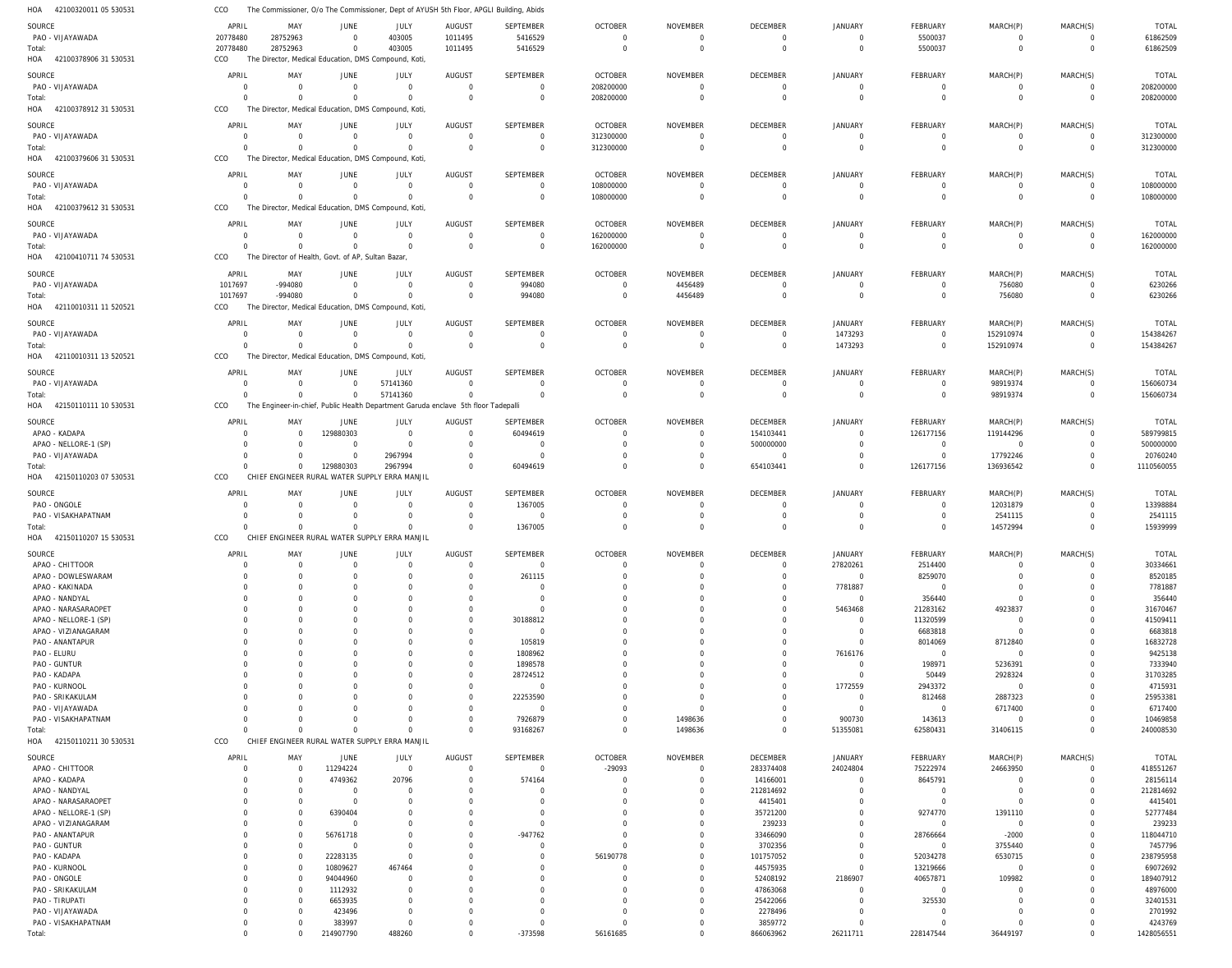|                           | CCO            | The Commissioner, O/o The Commissioner, Dept of AYUSH 5th Floor, APGLI Building, Abids |                |                                                                                    |                |                  |                |                 |                 |                |                 |                |                |              |
|---------------------------|----------------|----------------------------------------------------------------------------------------|----------------|------------------------------------------------------------------------------------|----------------|------------------|----------------|-----------------|-----------------|----------------|-----------------|----------------|----------------|--------------|
| SOURCE                    | APRIL          | MAY                                                                                    | <b>JUNE</b>    | JULY                                                                               | AUGUST         | SEPTEMBER        | <b>OCTOBER</b> | <b>NOVEMBER</b> | <b>DECEMBER</b> | <b>JANUARY</b> | <b>FEBRUARY</b> | MARCH(P)       | MARCH(S)       | <b>TOTAL</b> |
| PAO - VIJAYAWADA          | 20778480       | 28752963                                                                               | $\overline{0}$ | 403005                                                                             | 1011495        | 5416529          | $\overline{0}$ | $\overline{0}$  | $\Omega$        | $\Omega$       | 5500037         | $\overline{0}$ | $\overline{0}$ | 61862509     |
| Total:                    | 20778480       | 28752963                                                                               | $\Omega$       | 403005                                                                             | 1011495        | 5416529          | $\Omega$       | $\overline{0}$  | $\Omega$        | $\Omega$       | 5500037         | $\mathbf 0$    | $\mathbf{0}$   | 61862509     |
| HOA 42100378906 31 530531 | CCO            |                                                                                        |                | The Director, Medical Education, DMS Compound, Koti,                               |                |                  |                |                 |                 |                |                 |                |                |              |
|                           |                |                                                                                        |                |                                                                                    |                |                  |                |                 |                 |                |                 |                |                |              |
| SOURCE                    | APRIL          | MAY                                                                                    | JUNE           | JULY                                                                               | <b>AUGUST</b>  | SEPTEMBER        | <b>OCTOBER</b> | <b>NOVEMBER</b> | DECEMBER        | <b>JANUARY</b> | FEBRUARY        | MARCH(P)       | MARCH(S)       | <b>TOTAL</b> |
| PAO - VIJAYAWADA          | $\overline{0}$ | $\Omega$                                                                               | $\Omega$       | $\overline{0}$                                                                     | $\overline{0}$ | $\mathbf 0$      | 208200000      | $\overline{0}$  | $\Omega$        | $\Omega$       | $\overline{0}$  | $\overline{0}$ | $\mathbf 0$    | 208200000    |
| Total:                    | $\Omega$       | $\Omega$                                                                               | $\Omega$       | $\mathbf 0$                                                                        | $\Omega$       | $\mathbf 0$      | 208200000      | $\overline{0}$  | $\Omega$        | $\Omega$       | $\mathbf 0$     | $\overline{0}$ | $\mathbf 0$    | 208200000    |
| HOA 42100378912 31 530531 | CCO            |                                                                                        |                | The Director, Medical Education, DMS Compound, Koti,                               |                |                  |                |                 |                 |                |                 |                |                |              |
| SOURCE                    | APRIL          | MAY                                                                                    | JUNE           | JULY                                                                               | <b>AUGUST</b>  | SEPTEMBER        | <b>OCTOBER</b> | <b>NOVEMBER</b> | DECEMBER        | <b>JANUARY</b> | FEBRUARY        | MARCH(P)       | MARCH(S)       | <b>TOTAL</b> |
| PAO - VIJAYAWADA          | $\overline{0}$ | $\Omega$                                                                               | $\Omega$       | $\overline{0}$                                                                     | $\Omega$       | $\mathbf 0$      | 312300000      | $\mathbf 0$     | $\Omega$        | $\Omega$       | $\overline{0}$  | $\overline{0}$ | $\mathbf 0$    | 312300000    |
| Total:                    | $\Omega$       | $\Omega$                                                                               | $\Omega$       | $\overline{0}$                                                                     | $\overline{0}$ | $\mathbf 0$      | 312300000      | $\overline{0}$  | $\Omega$        | $\Omega$       | $\overline{0}$  | $\overline{0}$ | $\mathbf{0}$   | 312300000    |
| HOA 42100379606 31 530531 | CCO            |                                                                                        |                | The Director, Medical Education, DMS Compound, Koti,                               |                |                  |                |                 |                 |                |                 |                |                |              |
|                           |                |                                                                                        |                |                                                                                    |                |                  |                |                 |                 |                |                 |                |                |              |
| SOURCE                    | APRIL          | MAY                                                                                    | JUNE           | <b>JULY</b>                                                                        | <b>AUGUST</b>  | SEPTEMBER        | <b>OCTOBER</b> | <b>NOVEMBER</b> | <b>DECEMBER</b> | <b>JANUARY</b> | FEBRUARY        | MARCH(P)       | MARCH(S)       | <b>TOTAL</b> |
| PAO - VIJAYAWADA          | $\overline{0}$ | $\overline{0}$                                                                         | $\Omega$       | $\mathbf 0$                                                                        | $\Omega$       | $\mathbf 0$      | 108000000      | 0               | $\Omega$        | $\Omega$       | $\overline{0}$  | $\mathbf 0$    | $\overline{0}$ | 108000000    |
| Total:                    | $\Omega$       | $\Omega$                                                                               | $\Omega$       | $\mathbf 0$                                                                        | $\Omega$       | $\mathbf 0$      | 108000000      | $\overline{0}$  | $\Omega$        | $\Omega$       | $\mathbf 0$     | $\mathbf 0$    | $\mathbf 0$    | 108000000    |
| HOA 42100379612 31 530531 | CCO            |                                                                                        |                | The Director, Medical Education, DMS Compound, Koti,                               |                |                  |                |                 |                 |                |                 |                |                |              |
| SOURCE                    | APRIL          | MAY                                                                                    | JUNE           | JULY                                                                               | <b>AUGUST</b>  | SEPTEMBER        | <b>OCTOBER</b> | <b>NOVEMBER</b> | <b>DECEMBER</b> | <b>JANUARY</b> | <b>FEBRUARY</b> | MARCH(P)       | MARCH(S)       | <b>TOTAL</b> |
| PAO - VIJAYAWADA          | $\overline{0}$ | $\overline{0}$                                                                         | $\overline{0}$ | $\overline{0}$                                                                     | $\overline{0}$ | $\mathbf 0$      | 162000000      | $\mathbf 0$     | $\Omega$        | $\Omega$       | $\overline{0}$  | $\overline{0}$ | $\overline{0}$ | 162000000    |
| Total:                    | $\Omega$       | $\Omega$                                                                               | $\Omega$       | $\Omega$                                                                           | $\Omega$       | $\mathbf 0$      | 162000000      | $\overline{0}$  | $\Omega$        | $\Omega$       | $\overline{0}$  | $\mathbf 0$    | $\mathbf 0$    | 162000000    |
| HOA 42100410711 74 530531 | CCO            | The Director of Health, Govt. of AP, Sultan Bazar,                                     |                |                                                                                    |                |                  |                |                 |                 |                |                 |                |                |              |
|                           |                |                                                                                        |                |                                                                                    |                |                  |                |                 |                 |                |                 |                |                |              |
| SOURCE                    | APRIL          | MAY                                                                                    | JUNE           | JULY                                                                               | <b>AUGUST</b>  | SEPTEMBER        | <b>OCTOBER</b> | <b>NOVEMBER</b> | DECEMBER        | <b>JANUARY</b> | FEBRUARY        | MARCH(P)       | MARCH(S)       | <b>TOTAL</b> |
| PAO - VIJAYAWADA          | 1017697        | -994080                                                                                | $\Omega$       | $\mathbf 0$                                                                        | $\overline{0}$ | 994080           | $\mathbf 0$    | 4456489         | $\Omega$        | $\Omega$       | $\overline{0}$  | 756080         | $\mathbf 0$    | 6230266      |
| Total:                    | 1017697        | -994080                                                                                | $\Omega$       | $\mathbf 0$                                                                        | $\Omega$       | 994080           | $\overline{0}$ | 4456489         | $\Omega$        | $\Omega$       | $\mathbf 0$     | 756080         | $\mathbf 0$    | 6230266      |
| HOA 42110010311 11 520521 | CCO            |                                                                                        |                | The Director, Medical Education, DMS Compound, Koti,                               |                |                  |                |                 |                 |                |                 |                |                |              |
| SOURCE                    | APRIL          | MAY                                                                                    | JUNE           | JULY                                                                               | <b>AUGUST</b>  | SEPTEMBER        | <b>OCTOBER</b> | <b>NOVEMBER</b> | DECEMBER        | <b>JANUARY</b> | FEBRUARY        | MARCH(P)       | MARCH(S)       | <b>TOTAL</b> |
| PAO - VIJAYAWADA          | $\Omega$       | $\Omega$                                                                               | $\Omega$       | $\overline{0}$                                                                     | $\overline{0}$ | $\mathbf 0$      | $\overline{0}$ | $\overline{0}$  | $\overline{0}$  | 1473293        | $\overline{0}$  | 152910974      | $\mathbf 0$    | 154384267    |
| Total:                    | $\Omega$       | $\Omega$                                                                               | $\Omega$       | $\mathbf 0$                                                                        | $\Omega$       | $\mathbf 0$      | $\overline{0}$ | $\overline{0}$  | $\overline{0}$  | 1473293        | $\overline{0}$  | 152910974      | $\mathbf 0$    | 154384267    |
| HOA 42110010311 13 520521 | CCO            |                                                                                        |                | The Director, Medical Education, DMS Compound, Koti,                               |                |                  |                |                 |                 |                |                 |                |                |              |
|                           |                |                                                                                        |                |                                                                                    |                |                  |                |                 |                 |                |                 |                |                |              |
| SOURCE                    | APRIL          | MAY                                                                                    | JUNE           | <b>JULY</b>                                                                        | <b>AUGUST</b>  | <b>SEPTEMBER</b> | <b>OCTOBER</b> | <b>NOVEMBER</b> | DECEMBER        | <b>JANUARY</b> | FEBRUARY        | MARCH(P)       | MARCH(S)       | <b>TOTAL</b> |
| PAO - VIJAYAWADA          | $\overline{0}$ | $\Omega$                                                                               | $\Omega$       | 57141360                                                                           | $\Omega$       | $\mathbf 0$      | $\overline{0}$ | 0               | $\Omega$        | $\Omega$       | $\overline{0}$  | 98919374       | 0              | 156060734    |
| Total:                    | $\Omega$       | $\overline{0}$                                                                         | $\overline{0}$ | 57141360                                                                           | $\overline{0}$ | $\mathbf 0$      | $\overline{0}$ | $\overline{0}$  | $\mathbf 0$     | $\Omega$       | $\overline{0}$  | 98919374       | $\mathbf 0$    | 156060734    |
| HOA 42150110111 10 530531 | CCO            |                                                                                        |                | The Engineer-in-chief, Public Health Department Garuda enclave 5th floor Tadepalli |                |                  |                |                 |                 |                |                 |                |                |              |
| SOURCE                    | APRIL          | MAY                                                                                    | <b>JUNE</b>    | JULY                                                                               | <b>AUGUST</b>  | SEPTEMBER        | <b>OCTOBER</b> | <b>NOVEMBER</b> | <b>DECEMBER</b> | <b>JANUARY</b> | FEBRUARY        | MARCH(P)       | MARCH(S)       | <b>TOTAL</b> |
| APAO - KADAPA             | $\Omega$       | $\overline{0}$                                                                         | 129880303      | $\overline{0}$                                                                     | $\Omega$       | 60494619         | $\overline{0}$ | 0               | 154103441       | $\Omega$       | 126177156       | 119144296      | 0              | 589799815    |
| APAO - NELLORE-1 (SP)     | $\Omega$       | $\Omega$                                                                               | $\Omega$       | $\overline{0}$                                                                     | $\Omega$       | $\mathbf 0$      | $\Omega$       | $\overline{0}$  | 500000000       | $\Omega$       | $\overline{0}$  | $\overline{0}$ | $\mathbf 0$    | 500000000    |
| PAO - VIJAYAWADA          | $\Omega$       | $\Omega$                                                                               | $\Omega$       | 2967994                                                                            | $\Omega$       | $\mathbf 0$      | 0              | 0               | $\overline{0}$  |                | $\mathbf 0$     | 17792246       | $\mathbf 0$    | 20760240     |
| Total:                    | $\Omega$       | $\mathbf 0$                                                                            | 129880303      | 2967994                                                                            | $\Omega$       | 60494619         | $\Omega$       | $\Omega$        | 654103441       | $\Omega$       | 126177156       | 136936542      | $\mathbf 0$    | 1110560055   |
| HOA 42150110203 07 530531 | CCO            |                                                                                        |                | CHIEF ENGINEER RURAL WATER SUPPLY ERRA MANJIL                                      |                |                  |                |                 |                 |                |                 |                |                |              |
|                           |                |                                                                                        |                |                                                                                    |                |                  |                |                 |                 |                |                 |                |                |              |
| SOURCE                    | APRIL          | MAY                                                                                    | JUNE           | <b>JULY</b>                                                                        | <b>AUGUST</b>  | <b>SEPTEMBER</b> | <b>OCTOBER</b> | <b>NOVEMBER</b> | <b>DECEMBER</b> | <b>JANUARY</b> | FEBRUARY        | MARCH(P)       | MARCH(S)       | TOTAL        |
| PAO - ONGOLE              | $\Omega$       | $\Omega$                                                                               |                | $\overline{0}$                                                                     | $\Omega$       | 1367005          | $\overline{0}$ | $\overline{0}$  | $\Omega$        | $\Omega$       | $\overline{0}$  | 12031879       | $\mathbf 0$    | 13398884     |
| PAO - VISAKHAPATNAM       | $\Omega$       | $\Omega$                                                                               |                | $\overline{0}$                                                                     | $\Omega$       | $\mathbf 0$      | $\Omega$       | $\overline{0}$  | $\Omega$        | $\Omega$       | 0               | 2541115        | $\Omega$       | 2541115      |
| Total:                    | $\Omega$       | $\Omega$                                                                               | $\Omega$       | $\mathbf 0$                                                                        | $\Omega$       | 1367005          | $\Omega$       | $\overline{0}$  | $\Omega$        | $\Omega$       | $\Omega$        | 14572994       | $\Omega$       | 15939999     |
|                           |                |                                                                                        |                |                                                                                    |                |                  |                |                 |                 |                |                 |                |                |              |
| HOA 42150110207 15 530531 | CCO            |                                                                                        |                | CHIEF ENGINEER RURAL WATER SUPPLY ERRA MANJIL                                      |                |                  |                |                 |                 |                |                 |                |                |              |
|                           |                |                                                                                        |                |                                                                                    |                |                  |                |                 |                 |                |                 |                |                |              |
| SOURCE                    | APRIL          | MAY                                                                                    | <b>JUNE</b>    | JULY                                                                               | <b>AUGUST</b>  | <b>SEPTEMBER</b> | <b>OCTOBER</b> | <b>NOVEMBER</b> | <b>DECEMBER</b> | JANUARY        | <b>FEBRUARY</b> | MARCH(P)       | MARCH(S)       | <b>TOTAL</b> |
| APAO - CHITTOOR           | $\Omega$       | 0                                                                                      |                | $\Omega$                                                                           | $\Omega$       | $\mathbf 0$      | $\Omega$       | $\Omega$        | $\Omega$        | 27820261       | 2514400         |                | $\Omega$       | 30334661     |
| APAO - DOWLESWARAM        | $\Omega$       | 0                                                                                      |                | $\Omega$                                                                           | $\Omega$       | 261115           | 0              | 0               | $\Omega$        | $\Omega$       | 8259070         |                | 0              | 8520185      |
| APAO - KAKINADA           |                | $\Omega$                                                                               |                |                                                                                    |                | $\Omega$         |                | O               |                 | 7781887        | $\overline{0}$  |                | $\Omega$       | 7781887      |
| APAO - NANDYAL            |                | $\Omega$                                                                               |                |                                                                                    |                | $\Omega$         |                |                 |                 | $\Omega$       | 356440          | $\Omega$       | $\Omega$       | 356440       |
| APAO - NARASARAOPET       |                | $\Omega$                                                                               |                |                                                                                    |                | $\mathbf 0$      |                |                 |                 | 5463468        | 21283162        | 4923837        | $\Omega$       | 31670467     |
| APAO - NELLORE-1 (SP)     |                | $\Omega$                                                                               |                |                                                                                    |                | 30188812         |                | $\Omega$        |                 | $\Omega$       | 11320599        | $\mathbf 0$    | $\Omega$       | 41509411     |
| APAO - VIZIANAGARAM       |                | $\Omega$                                                                               |                |                                                                                    |                | $\mathbf 0$      |                |                 |                 | $\Omega$       | 6683818         | $\mathbf 0$    | $\Omega$       | 6683818      |
| PAO - ANANTAPUR           |                | $\Omega$                                                                               |                |                                                                                    | $\Omega$       | 105819           |                | $\Omega$        | $\Omega$        | $\Omega$       | 8014069         | 8712840        | $\Omega$       | 16832728     |
| PAO - ELURU               |                | $\Omega$                                                                               |                |                                                                                    | $\Omega$       | 1808962          |                |                 |                 | 7616176        | $\overline{0}$  | $\overline{0}$ | $\Omega$       | 9425138      |
| PAO - GUNTUR              |                | $\Omega$                                                                               |                |                                                                                    | $\Omega$       | 1898578          |                | O               |                 | $\Omega$       | 198971          | 5236391        | $\Omega$       | 7333940      |
| PAO - KADAPA              |                |                                                                                        |                |                                                                                    | $\Omega$       | 28724512         |                |                 |                 | $\Omega$       | 50449           | 2928324        | $\Omega$       | 31703285     |
| PAO - KURNOOL             |                |                                                                                        |                |                                                                                    | $\Omega$       | $\mathbf 0$      |                |                 | $\Omega$        | 1772559        | 2943372         | $\mathbf 0$    | $\Omega$       | 4715931      |
| PAO - SRIKAKULAM          |                | $\Omega$                                                                               |                |                                                                                    | $\Omega$       | 22253590         |                |                 |                 | $\Omega$       | 812468          | 2887323        | $\Omega$       | 25953381     |
| PAO - VIJAYAWADA          |                | $\Omega$                                                                               |                |                                                                                    | $\Omega$       | $\mathbf 0$      |                | O               | $\Omega$        | $\Omega$       | $\overline{0}$  | 6717400        | $\Omega$       | 6717400      |
| PAO - VISAKHAPATNAM       | $\Omega$       | $\Omega$                                                                               |                | $\Omega$                                                                           | $\Omega$       | 7926879          | 0              | 1498636         | $\Omega$        | 900730         | 143613          | $\overline{0}$ | $\Omega$       | 10469858     |
| Total:                    | $\Omega$       | $\Omega$                                                                               | $\Omega$       | $\Omega$                                                                           | $\mathbf 0$    | 93168267         | $\mathbf 0$    | 1498636         | $\Omega$        | 51355081       | 62580431        | 31406115       | $\mathbf 0$    | 240008530    |
| HOA 42150110211 30 530531 | CCO            |                                                                                        |                | CHIEF ENGINEER RURAL WATER SUPPLY ERRA MANJIL                                      |                |                  |                |                 |                 |                |                 |                |                |              |
| SOURCE                    | APRIL          | MAY                                                                                    | JUNE           | JULY                                                                               | <b>AUGUST</b>  | SEPTEMBER        | <b>OCTOBER</b> | NOVEMBER        | DECEMBER        | JANUARY        | FEBRUARY        | MARCH(P)       | MARCH(S)       | <b>TOTAL</b> |
| APAO - CHITTOOR           | 0              | $\overline{0}$                                                                         | 11294224       | $\overline{0}$                                                                     | $\Omega$       | 0                | $-29093$       | $\overline{0}$  | 283374408       | 24024804       | 75222974        | 24663950       | 0              | 418551267    |
| APAO - KADAPA             |                | $\Omega$                                                                               | 4749362        | 20796                                                                              |                | 574164           | $\Omega$       | 0               | 14166001        |                | 8645791         | $\mathbf 0$    | $\Omega$       | 28156114     |
| APAO - NANDYAL            |                | $\Omega$                                                                               | $\Omega$       | $\Omega$                                                                           |                |                  | $\Omega$       | 0               | 212814692       |                | $\overline{0}$  | $\Omega$       | $\Omega$       | 212814692    |
| APAO - NARASARAOPET       |                | $\Omega$                                                                               | $\Omega$       |                                                                                    |                |                  |                | $\Omega$        | 4415401         |                | $\overline{0}$  | $\Omega$       |                | 4415401      |
| APAO - NELLORE-1 (SP)     |                | $\Omega$                                                                               | 6390404        |                                                                                    |                |                  |                | 0               | 35721200        |                | 9274770         | 1391110        |                | 52777484     |
| APAO - VIZIANAGARAM       |                | $\Omega$                                                                               |                |                                                                                    |                | $\Omega$         |                | 0               | 239233          |                | $\mathbf 0$     | $\overline{0}$ | $\Omega$       | 239233       |
| PAO - ANANTAPUR           |                | $\Omega$                                                                               | 56761718       |                                                                                    |                | $-947762$        | $\Omega$       | $\Omega$        | 33466090        |                | 28766664        | $-2000$        | $\Omega$       | 118044710    |
| PAO - GUNTUR              |                | $\Omega$                                                                               | $\Omega$       |                                                                                    |                | $\Omega$         |                | $\Omega$        | 3702356         |                | $\overline{0}$  | 3755440        | $\Omega$       | 7457796      |
| PAO - KADAPA              |                | $\Omega$                                                                               | 22283135       | $\Omega$                                                                           |                |                  | 56190778       | 0               | 101757052       |                | 52034278        | 6530715        | $\Omega$       | 238795958    |
| PAO - KURNOOL             |                | $\Omega$                                                                               | 10809627       | 467464                                                                             |                |                  |                | 0               | 44575935        |                | 13219666        | $\mathbf 0$    | $\Omega$       | 69072692     |
| PAO - ONGOLE              |                | $\Omega$                                                                               | 94044960       | $\Omega$                                                                           |                |                  |                | 0               | 52408192        | 2186907        | 40657871        | 109982         |                | 189407912    |
| PAO - SRIKAKULAM          |                | $\Omega$                                                                               | 1112932        | $\Omega$                                                                           |                |                  |                | 0               | 47863068        |                | $\overline{0}$  |                |                | 48976000     |
| PAO - TIRUPATI            |                | $\Omega$                                                                               | 6653935        |                                                                                    |                |                  |                | 0               | 25422066        | $\Omega$       | 325530          |                |                | 32401531     |
| PAO - VIJAYAWADA          | $\Omega$       |                                                                                        | 423496         |                                                                                    |                |                  |                | 0               | 2278496         | $\Omega$       | 0               |                |                | 2701992      |
| PAO - VISAKHAPATNAM       | 0              |                                                                                        | 383997         | $\Omega$                                                                           |                | $\Omega$         | $\Omega$       | $\mathbf 0$     | 3859772         | $\Omega$       | $\Omega$        |                | $\Omega$       | 4243769      |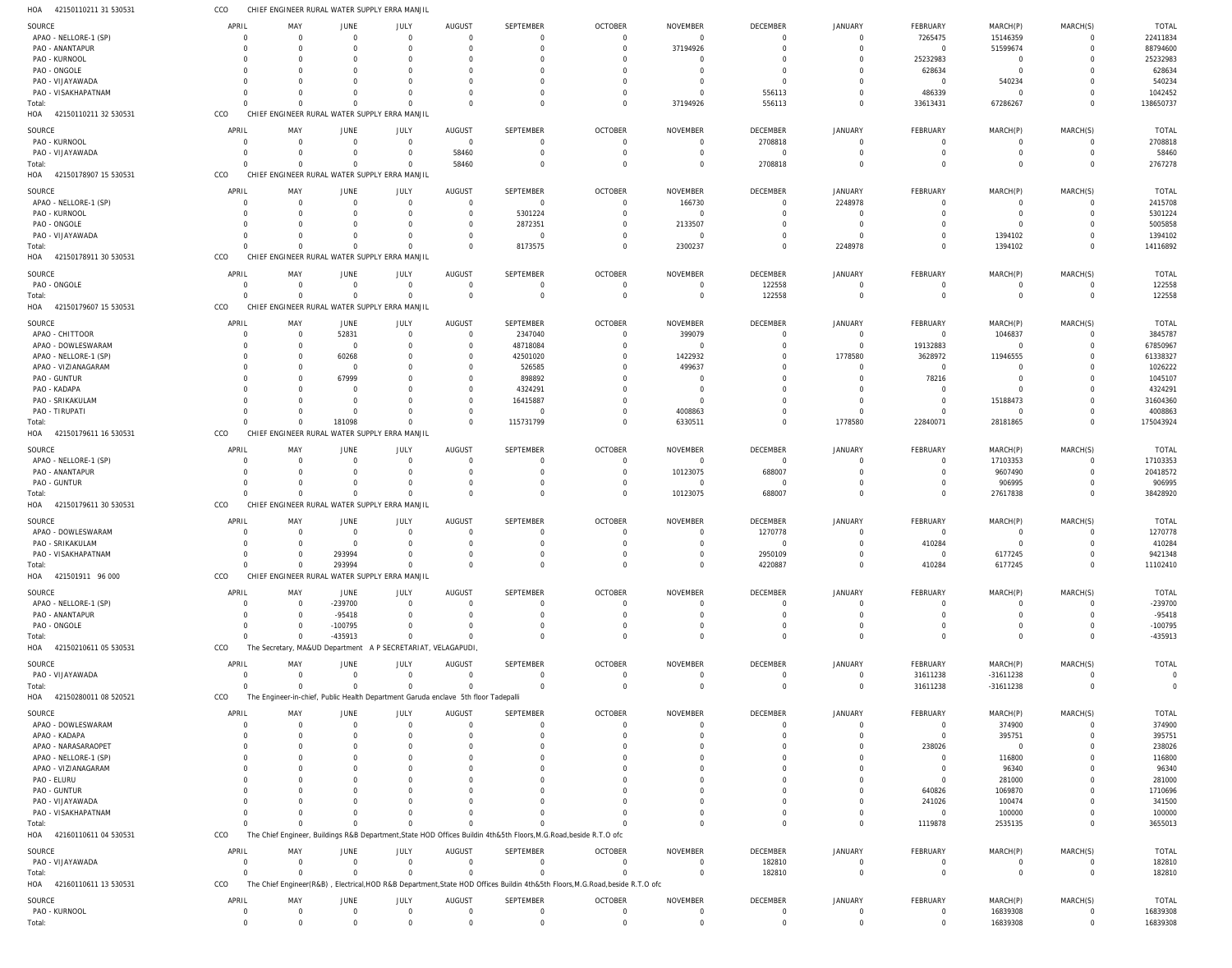| HOA<br>42150110211 31 530531                 | CCO                     | CHIEF ENGINEER RURAL WATER SUPPLY ERRA MANJIL                                      |                            |                                         |                      |                                                                                                                               |                            |                             |                            |                                  |                               |                         |                            |                           |
|----------------------------------------------|-------------------------|------------------------------------------------------------------------------------|----------------------------|-----------------------------------------|----------------------|-------------------------------------------------------------------------------------------------------------------------------|----------------------------|-----------------------------|----------------------------|----------------------------------|-------------------------------|-------------------------|----------------------------|---------------------------|
| SOURCE                                       | APRIL                   | MAY                                                                                | <b>JUNE</b>                | JULY                                    | AUGUST               | <b>SEPTEMBER</b>                                                                                                              | <b>OCTOBER</b>             | <b>NOVEMBER</b>             | DECEMBER                   | <b>JANUARY</b>                   | FEBRUARY                      | MARCH(P)                | MARCH(S)                   | <b>TOTAL</b>              |
| APAO - NELLORE-1 (SP)                        | $\Omega$                | $\overline{0}$                                                                     | $\Omega$                   | $\overline{0}$                          | $\Omega$             | $\mathbf 0$                                                                                                                   | $\Omega$                   | $\Omega$                    | $\overline{0}$             | $\overline{0}$                   | 7265475                       | 15146359                | $\overline{0}$             | 22411834                  |
| PAO - ANANTAPUR                              |                         | $\Omega$                                                                           |                            | $\overline{0}$                          | $\Omega$             | $\Omega$                                                                                                                      | $\Omega$                   | 37194926                    | $\overline{0}$             | $\overline{0}$                   | $\mathbf 0$                   | 51599674                | $\Omega$                   | 88794600                  |
| PAO - KURNOOL                                |                         | $\Omega$                                                                           |                            | $\Omega$                                |                      | $\Omega$                                                                                                                      | $\Omega$                   |                             | $\Omega$                   | $\mathbf 0$                      | 25232983                      | $\mathbf 0$             |                            | 25232983                  |
| PAO - ONGOLE                                 | $\Omega$<br>$\Omega$    | $\Omega$<br>$\Omega$                                                               |                            | $\Omega$                                |                      | $\Omega$<br>$\Omega$                                                                                                          |                            | - 0                         | $\Omega$<br>$\overline{0}$ | $\Omega$<br>$\Omega$             | 628634                        | $\mathbf 0$             | $\Omega$                   | 628634<br>540234          |
| PAO - VIJAYAWADA<br>PAO - VISAKHAPATNAM      | $\Omega$                | $\Omega$                                                                           |                            | $\Omega$                                | $\Omega$             | $\Omega$                                                                                                                      | $\Omega$                   | - 0                         | 556113                     | $\overline{0}$                   | 0<br>486339                   | 540234<br>$\mathbf 0$   | $\Omega$                   | 1042452                   |
| Total:                                       | $\Omega$                | $\Omega$                                                                           | $\Omega$                   | $\Omega$                                | $\Omega$             | $\Omega$                                                                                                                      | $\Omega$                   | 37194926                    | 556113                     | $\overline{0}$                   | 33613431                      | 67286267                | $\overline{0}$             | 138650737                 |
| HOA 42150110211 32 530531                    | CCO                     | CHIEF ENGINEER RURAL WATER SUPPLY ERRA MANJIL                                      |                            |                                         |                      |                                                                                                                               |                            |                             |                            |                                  |                               |                         |                            |                           |
| SOURCE                                       | APRIL                   | MAY                                                                                | JUNE                       | JULY                                    | AUGUST               | <b>SEPTEMBER</b>                                                                                                              | <b>OCTOBER</b>             | <b>NOVEMBER</b>             | <b>DECEMBER</b>            | <b>JANUARY</b>                   | FEBRUARY                      | MARCH(P)                | MARCH(S)                   | <b>TOTAL</b>              |
| PAO - KURNOOL                                | $\Omega$                | - 0                                                                                | $\Omega$                   | $\overline{0}$                          | $\overline{0}$       | $\mathbf 0$                                                                                                                   | $\Omega$                   |                             | 2708818                    | 0                                | 0                             | 0                       | 0                          | 2708818                   |
| PAO - VIJAYAWADA                             | $\Omega$                | $\Omega$                                                                           |                            | $\mathbf 0$                             | 58460                | $\mathbf 0$                                                                                                                   | $\Omega$                   |                             | $\overline{0}$             | $\Omega$                         | $\mathbf 0$                   | $\mathbf 0$             | $\overline{0}$             | 58460                     |
| Total:                                       | $\Omega$                | $\Omega$                                                                           | $\Omega$                   | 0                                       | 58460                | $\Omega$                                                                                                                      | $\Omega$                   |                             | 2708818                    | $\Omega$                         | $\Omega$                      | $\mathbf 0$             | $\Omega$                   | 2767278                   |
| HOA 42150178907 15 530531                    | CCO                     | CHIEF ENGINEER RURAL WATER SUPPLY ERRA MANJIL                                      |                            |                                         |                      |                                                                                                                               |                            |                             |                            |                                  |                               |                         |                            |                           |
| SOURCE                                       | APRIL                   | MAY                                                                                | JUNE                       | JULY                                    | AUGUST               | SEPTEMBER                                                                                                                     | <b>OCTOBER</b>             | <b>NOVEMBER</b>             | DECEMBER                   | JANUARY                          | FEBRUARY                      | MARCH(P)                | MARCH(S)                   | <b>TOTAL</b>              |
| APAO - NELLORE-1 (SP)                        | $\Omega$                | $\overline{0}$                                                                     | $\Omega$                   | $\overline{0}$                          | $\Omega$             | $\mathbf 0$                                                                                                                   | $\Omega$                   | 166730                      | $\overline{0}$             | 2248978                          | 0                             | $\overline{0}$          | $\Omega$                   | 2415708                   |
| PAO - KURNOOL                                | $\Omega$                | - 0                                                                                |                            | $\mathbf 0$                             | $\Omega$             | 5301224                                                                                                                       | $\Omega$                   | $\Omega$                    | $\Omega$                   | $\overline{0}$                   | 0                             | $\overline{0}$          | $\Omega$                   | 5301224                   |
| PAO - ONGOLE                                 | $\Omega$                | $\Omega$                                                                           |                            | $\Omega$                                | $\Omega$             | 2872351                                                                                                                       | $\Omega$                   | 2133507                     | $\Omega$                   | $\Omega$                         | $\Omega$                      | $\mathbf 0$             | $\Omega$                   | 5005858                   |
| PAO - VIJAYAWADA<br>Total:                   | $\Omega$<br>$\Omega$    | $\Omega$<br>$\Omega$                                                               | - 0<br>$\Omega$            | 0<br>$\mathbf 0$                        | $\Omega$<br>$\Omega$ | $\overline{0}$<br>8173575                                                                                                     | $\Omega$<br>$\Omega$       | - 0<br>2300237              | $\Omega$<br>$\Omega$       | $\overline{0}$<br>2248978        | $\mathbf 0$<br>$\mathbf 0$    | 1394102<br>1394102      | $\Omega$<br>$\Omega$       | 1394102<br>14116892       |
| HOA 42150178911 30 530531                    | CCO                     | CHIEF ENGINEER RURAL WATER SUPPLY ERRA MANJIL                                      |                            |                                         |                      |                                                                                                                               |                            |                             |                            |                                  |                               |                         |                            |                           |
|                                              |                         |                                                                                    |                            |                                         |                      |                                                                                                                               |                            |                             |                            |                                  |                               |                         |                            |                           |
| SOURCE<br>PAO - ONGOLE                       | APRIL<br>$\overline{0}$ | MAY<br>$\overline{0}$                                                              | JUNE<br>$\Omega$           | JULY<br>$\mathbf 0$                     | AUGUST<br>$\Omega$   | <b>SEPTEMBER</b><br>$\mathbf 0$                                                                                               | <b>OCTOBER</b><br>$\Omega$ | <b>NOVEMBER</b><br>$\Omega$ | DECEMBER<br>122558         | <b>JANUARY</b><br>$\overline{0}$ | FEBRUARY<br>$\mathbf 0$       | MARCH(P)<br>$\mathbf 0$ | MARCH(S)<br>$\overline{0}$ | <b>TOTAL</b><br>122558    |
| Total:                                       | $\Omega$                | $\Omega$                                                                           | $\Omega$                   | $\mathbf 0$                             | $\Omega$             | $\mathbf 0$                                                                                                                   | $\Omega$                   | $\Omega$                    | 122558                     | $\Omega$                         | $\mathbf 0$                   | $\mathbf 0$             | $\overline{0}$             | 122558                    |
| HOA 42150179607 15 530531                    | CCO                     | CHIEF ENGINEER RURAL WATER SUPPLY ERRA MANJIL                                      |                            |                                         |                      |                                                                                                                               |                            |                             |                            |                                  |                               |                         |                            |                           |
| <b>SOURCE</b>                                | APRIL                   |                                                                                    |                            |                                         | AUGUST               | SEPTEMBER                                                                                                                     | <b>OCTOBER</b>             | <b>NOVEMBER</b>             | <b>DECEMBER</b>            |                                  |                               |                         | MARCH(S)                   | <b>TOTAL</b>              |
| APAO - CHITTOOR                              | $\Omega$                | MAY<br>- 0                                                                         | JUNE<br>52831              | JULY<br>$\mathbf 0$                     | $\Omega$             | 2347040                                                                                                                       | $\Omega$                   | 399079                      | $\overline{0}$             | JANUARY<br>$\overline{0}$        | FEBRUARY<br>$\mathbf 0$       | MARCH(P)<br>1046837     | $\Omega$                   | 3845787                   |
| APAO - DOWLESWARAM                           | $\Omega$                | - 0                                                                                | $\overline{0}$             | $\overline{0}$                          | $\Omega$             | 48718084                                                                                                                      | $\Omega$                   | - 0                         | $\Omega$                   | $\overline{0}$                   | 19132883                      | $\mathbf 0$             | $\Omega$                   | 67850967                  |
| APAO - NELLORE-1 (SP)                        | $\Omega$                | $\Omega$                                                                           | 60268                      | $\Omega$                                | $\Omega$             | 42501020                                                                                                                      | $\Omega$                   | 1422932                     | $\Omega$                   | 1778580                          | 3628972                       | 11946555                |                            | 61338327                  |
| APAO - VIZIANAGARAM                          | $\Omega$                | $\Omega$                                                                           | $\overline{0}$             | $\Omega$                                | $\Omega$             | 526585                                                                                                                        |                            | 499637                      |                            | $\overline{0}$                   | $\mathbf 0$                   | $\overline{0}$          |                            | 1026222                   |
| PAO - GUNTUR                                 |                         | $\Omega$                                                                           | 67999                      | $\Omega$                                | $\Omega$             | 898892                                                                                                                        |                            | - 0                         |                            | $\mathbf 0$                      | 78216                         | $\mathbf 0$             |                            | 1045107                   |
| PAO - KADAPA                                 | $\Omega$                | $\Omega$                                                                           | - 0                        | $\Omega$                                | $\Omega$             | 4324291                                                                                                                       |                            | - 0                         |                            | $\Omega$                         | 0                             | $\Omega$                |                            | 4324291                   |
| PAO - SRIKAKULAM<br>PAO - TIRUPATI           | $\Omega$                | $\Omega$<br>$\Omega$                                                               | $\Omega$<br>$\Omega$       | $\Omega$<br>$\Omega$                    | $\Omega$<br>$\Omega$ | 16415887<br>$\overline{0}$                                                                                                    |                            | - 0<br>4008863              |                            | $\Omega$<br>$\overline{0}$       | $\mathbf 0$<br>$\mathbf 0$    | 15188473<br>$\mathbf 0$ | $\Omega$<br>$\Omega$       | 31604360<br>4008863       |
| Total:                                       | $\Omega$                | $\Omega$                                                                           | 181098                     | $\mathbf 0$                             | $\Omega$             | 115731799                                                                                                                     | $\Omega$                   | 6330511                     | $\Omega$                   | 1778580                          | 22840071                      | 28181865                | $\Omega$                   | 175043924                 |
| HOA 42150179611 16 530531                    | CCO                     | CHIEF ENGINEER RURAL WATER SUPPLY ERRA MANJIL                                      |                            |                                         |                      |                                                                                                                               |                            |                             |                            |                                  |                               |                         |                            |                           |
| SOURCE                                       | APRIL                   | MAY                                                                                | JUNE                       | JULY                                    | AUGUST               | <b>SEPTEMBER</b>                                                                                                              | <b>OCTOBER</b>             | <b>NOVEMBER</b>             | DECEMBER                   | JANUARY                          | FEBRUARY                      | MARCH(P)                | MARCH(S)                   | <b>TOTAL</b>              |
| APAO - NELLORE-1 (SP)                        | $\Omega$                | $\Omega$                                                                           |                            | $\mathbf 0$                             | $\Omega$             | 0                                                                                                                             | $\Omega$                   | $\Omega$                    | $\overline{0}$             | $\Omega$                         | 0                             | 17103353                | $\overline{0}$             | 17103353                  |
| PAO - ANANTAPUR                              | $\Omega$                | $\Omega$                                                                           |                            | 0                                       | $\Omega$             | $\mathbf 0$                                                                                                                   | $\Omega$                   | 10123075                    | 688007                     | $\Omega$                         | $\mathbf 0$                   | 9607490                 | $\Omega$                   | 20418572                  |
| PAO - GUNTUR                                 | $\Omega$                | $\Omega$                                                                           |                            | $\Omega$                                |                      | $\mathbf 0$                                                                                                                   | $\Omega$                   | - 0                         | $\overline{0}$             | $\Omega$                         | 0                             | 906995                  | $\Omega$                   | 906995                    |
| Total:                                       | $\Omega$                | $\Omega$                                                                           | $\Omega$                   | $\Omega$                                | $\Omega$             | $\Omega$                                                                                                                      | $\Omega$                   | 10123075                    | 688007                     | $\overline{0}$                   | $\mathbf 0$                   | 27617838                | $\Omega$                   | 38428920                  |
| HOA 42150179611 30 530531                    | CCO                     | CHIE                                                                               |                            | ENGINEER RURAL WATER SUPPLY ERRA MANJIL |                      |                                                                                                                               |                            |                             |                            |                                  |                               |                         |                            |                           |
| SOURCE                                       | APRIL                   | MAY                                                                                | JUNE                       | JULY                                    | AUGUST               | SEPTEMBER                                                                                                                     | <b>OCTOBER</b>             | <b>NOVEMBER</b>             | DECEMBER                   | JANUARY                          | FEBRUARY                      | MARCH(P)                | MARCH(S)                   | <b>TOTAL</b>              |
| APAO - DOWLESWARAM                           | $\Omega$                | - 0                                                                                | $\Omega$                   | $\overline{0}$                          | $\Omega$             | 0                                                                                                                             | $\Omega$                   | $\Omega$                    | 1270778                    | $\overline{0}$                   | $\overline{0}$                | $\overline{0}$          | $\Omega$                   | 1270778                   |
| PAO - SRIKAKULAM                             | $\Omega$                | $\Omega$                                                                           | $\Omega$                   | $\mathbf 0$                             | $\Omega$             | $\Omega$                                                                                                                      | $\Omega$                   | $\Omega$                    | $\overline{0}$             | $\overline{0}$                   | 410284                        | $\mathbf 0$             | $\Omega$                   | 410284                    |
| PAO - VISAKHAPATNAM<br>Total:                | $\Omega$<br>$\Omega$    | $\Omega$<br>$\Omega$                                                               | 293994<br>293994           | $\Omega$<br>$\Omega$                    | $\Omega$<br>$\Omega$ | $\Omega$<br>$\mathbf 0$                                                                                                       | $\Omega$<br>$\Omega$       | $\Omega$<br>$\Omega$        | 2950109<br>4220887         | $\Omega$<br>$\mathbf 0$          | $\Omega$<br>410284            | 6177245<br>6177245      | $\Omega$<br>$\overline{0}$ | 9421348<br>11102410       |
| HOA 421501911 96 000                         | CCO                     | CHIEF ENGINEER RURAL WATER SUPPLY ERRA MANJIL                                      |                            |                                         |                      |                                                                                                                               |                            |                             |                            |                                  |                               |                         |                            |                           |
|                                              |                         |                                                                                    |                            |                                         |                      |                                                                                                                               |                            |                             |                            |                                  |                               |                         |                            |                           |
| SOURCE<br>APAO - NELLORE-1 (SP)              | APRIL<br>$\Omega$       | MAY<br>$\overline{0}$                                                              | JUNE<br>$-239700$          | JULY<br>$\overline{0}$                  | AUGUST<br>$\Omega$   | <b>SEPTEMBER</b><br>$\Omega$                                                                                                  | <b>OCTOBER</b>             | <b>NOVEMBER</b>             | DECEMBER<br>$\Omega$       | <b>JANUARY</b><br>$\Omega$       | FEBRUARY<br>0                 | MARCH(P)<br>0           | MARCH(S)                   | <b>TOTAL</b><br>$-239700$ |
| PAO - ANANTAPUR                              |                         | $\Omega$                                                                           | $-95418$                   | $\Omega$                                |                      | $\Omega$                                                                                                                      |                            |                             |                            |                                  | $\Omega$                      | $\Omega$                |                            | $-95418$                  |
| PAO - ONGOLE                                 | $\Omega$                | $\Omega$                                                                           | $-100795$                  | $\Omega$                                |                      | $\Omega$                                                                                                                      |                            |                             |                            | $\Omega$                         | $\Omega$                      | $\Omega$                | $\Omega$                   | $-100795$                 |
| Total:                                       | $\Omega$                | $\Omega$                                                                           | $-435913$                  | $\Omega$                                |                      | $\Omega$                                                                                                                      |                            |                             | $\Omega$                   | $\Omega$                         | $\mathbf 0$                   | $\mathbf 0$             | $\Omega$                   | $-435913$                 |
| HOA 42150210611 05 530531                    | CCO                     | The Secretary, MA&UD Department A P SECRETARIAT, VELAGAPUDI                        |                            |                                         |                      |                                                                                                                               |                            |                             |                            |                                  |                               |                         |                            |                           |
| SOURCE                                       | APRIL                   | MAY                                                                                | JUNE                       | JULY                                    | AUGUST               | <b>SEPTEMBER</b>                                                                                                              | <b>OCTOBER</b>             | <b>NOVEMBER</b>             | DECEMBER                   | <b>JANUARY</b>                   | FEBRUARY                      | MARCH(P)                | MARCH(S)                   | <b>TOTAL</b>              |
| PAO - VIJAYAWADA                             | $\Omega$                | $\overline{0}$                                                                     | $\Omega$                   | $\overline{0}$                          | $\Omega$             | $\overline{0}$                                                                                                                | $\Omega$                   | $\Omega$                    | $\overline{0}$             | $\overline{0}$                   | 31611238                      | -31611238               | $\Omega$                   | $\mathbf 0$               |
| Total:                                       | $\Omega$                | $\Omega$                                                                           | $\Omega$                   | $\mathbf 0$                             | $\Omega$             | $\mathbf 0$                                                                                                                   | $\overline{0}$             | $\Omega$                    | $\overline{0}$             | $\overline{0}$                   | 31611238                      | -31611238               | $\overline{0}$             | $\mathsf 0$               |
| HOA 42150280011 08 520521                    | CCO                     | The Engineer-in-chief, Public Health Department Garuda enclave 5th floor Tadepalli |                            |                                         |                      |                                                                                                                               |                            |                             |                            |                                  |                               |                         |                            |                           |
| SOURCE                                       | APRIL                   | MAY                                                                                | JUNE                       | JULY                                    | AUGUST               | SEPTEMBER                                                                                                                     | <b>OCTOBER</b>             | <b>NOVEMBER</b>             | <b>DECEMBER</b>            | JANUARY                          | FEBRUARY                      | MARCH(P)                | MARCH(S)                   | <b>TOTAL</b>              |
| APAO - DOWLESWARAM                           | $\Omega$                | 0                                                                                  |                            | $\overline{0}$                          | $\Omega$             | $\mathbf 0$                                                                                                                   | $\Omega$                   | $\Gamma$                    | $\overline{0}$             | $\overline{0}$                   | $\overline{0}$                | 374900                  | $\Omega$                   | 374900                    |
| APAO - KADAPA                                |                         | $\Omega$                                                                           |                            | $\Omega$                                |                      | $\Omega$                                                                                                                      |                            |                             |                            | $\Omega$                         | $\mathbf 0$                   | 395751                  |                            | 395751                    |
| APAO - NARASARAOPET                          |                         |                                                                                    |                            |                                         |                      |                                                                                                                               |                            |                             |                            | $\Omega$                         | 238026                        | $\mathbf 0$             |                            | 238026                    |
| APAO - NELLORE-1 (SP)<br>APAO - VIZIANAGARAM | $\Omega$                | $\Omega$                                                                           |                            |                                         |                      |                                                                                                                               |                            |                             |                            | $\Omega$                         | 0<br>$\Omega$                 | 116800<br>96340         |                            | 116800<br>96340           |
| PAO - ELURU                                  |                         | 0                                                                                  |                            |                                         |                      |                                                                                                                               |                            |                             |                            |                                  | $\Omega$                      | 281000                  |                            | 281000                    |
| PAO - GUNTUR                                 |                         |                                                                                    |                            |                                         |                      |                                                                                                                               |                            |                             |                            |                                  | 640826                        | 1069870                 |                            | 1710696                   |
| PAO - VIJAYAWADA                             |                         |                                                                                    |                            |                                         |                      |                                                                                                                               |                            |                             |                            |                                  | 241026                        | 100474                  |                            | 341500                    |
| PAO - VISAKHAPATNAM                          |                         |                                                                                    |                            |                                         |                      |                                                                                                                               |                            |                             |                            | $\Omega$                         | $\mathbf 0$                   | 100000                  |                            | 100000                    |
| Total:                                       | $\Omega$                |                                                                                    |                            |                                         |                      |                                                                                                                               |                            |                             | $\Omega$                   | $\overline{0}$                   | 1119878                       | 2535135                 | $\Omega$                   | 3655013                   |
| HOA 42160110611 04 530531                    | CCO                     |                                                                                    |                            |                                         |                      | The Chief Engineer, Buildings R&B Department, State HOD Offices Buildin 4th&5th Floors, M.G.Road, beside R.T.O ofc            |                            |                             |                            |                                  |                               |                         |                            |                           |
| SOURCE                                       | APRIL                   | MAY                                                                                | JUNE                       | JULY                                    | AUGUST               | SEPTEMBER                                                                                                                     | <b>OCTOBER</b>             | <b>NOVEMBER</b>             | DECEMBER                   | <b>JANUARY</b>                   | FEBRUARY                      | MARCH(P)                | MARCH(S)                   | <b>TOTAL</b>              |
| PAO - VIJAYAWADA                             | $\mathbf 0$             | $\overline{0}$                                                                     | $\Omega$                   | $\mathbf 0$                             | $\Omega$             | $\mathbf 0$                                                                                                                   | $\Omega$                   | $\Omega$                    | 182810                     | $\overline{0}$                   | $\overline{0}$                | $\overline{0}$          | $\overline{0}$             | 182810                    |
| Total:                                       | $\Omega$                | $\Omega$                                                                           | $\Omega$                   | $\mathbf 0$                             | $\Omega$             | $\Omega$                                                                                                                      | $\Omega$                   | $\Omega$                    | 182810                     | $\overline{0}$                   | $\mathbf 0$                   | $\mathbf 0$             | $\overline{0}$             | 182810                    |
| HOA 42160110611 13 530531                    | CCO                     |                                                                                    |                            |                                         |                      | The Chief Engineer(R&B), Electrical, HOD R&B Department, State HOD Offices Buildin 4th&5th Floors, M.G.Road, beside R.T.O ofc |                            |                             |                            |                                  |                               |                         |                            |                           |
| SOURCE                                       | APRIL                   | MAY                                                                                | JUNE                       | JULY                                    | AUGUST               | <b>SEPTEMBER</b>                                                                                                              | <b>OCTOBER</b>             | <b>NOVEMBER</b>             | <b>DECEMBER</b>            | <b>JANUARY</b>                   | FEBRUARY                      | MARCH(P)                | MARCH(S)                   | <b>TOTAL</b>              |
| PAO - KURNOOL                                | 0<br>$\overline{0}$     | $\overline{0}$                                                                     | $\overline{0}$<br>$\Omega$ | $\overline{0}$<br>$\mathbf 0$           | $\Omega$             | $\mathbf 0$<br>$\Omega$                                                                                                       | $\Omega$                   | $\Omega$                    | $\overline{0}$<br>$\Omega$ | $\overline{0}$<br>$\Omega$       | $\overline{0}$<br>$\mathbf 0$ | 16839308                | 0                          | 16839308                  |
| Total:                                       |                         | $\overline{0}$                                                                     |                            |                                         | $\Omega$             |                                                                                                                               |                            |                             |                            |                                  |                               | 16839308                | $\overline{0}$             | 16839308                  |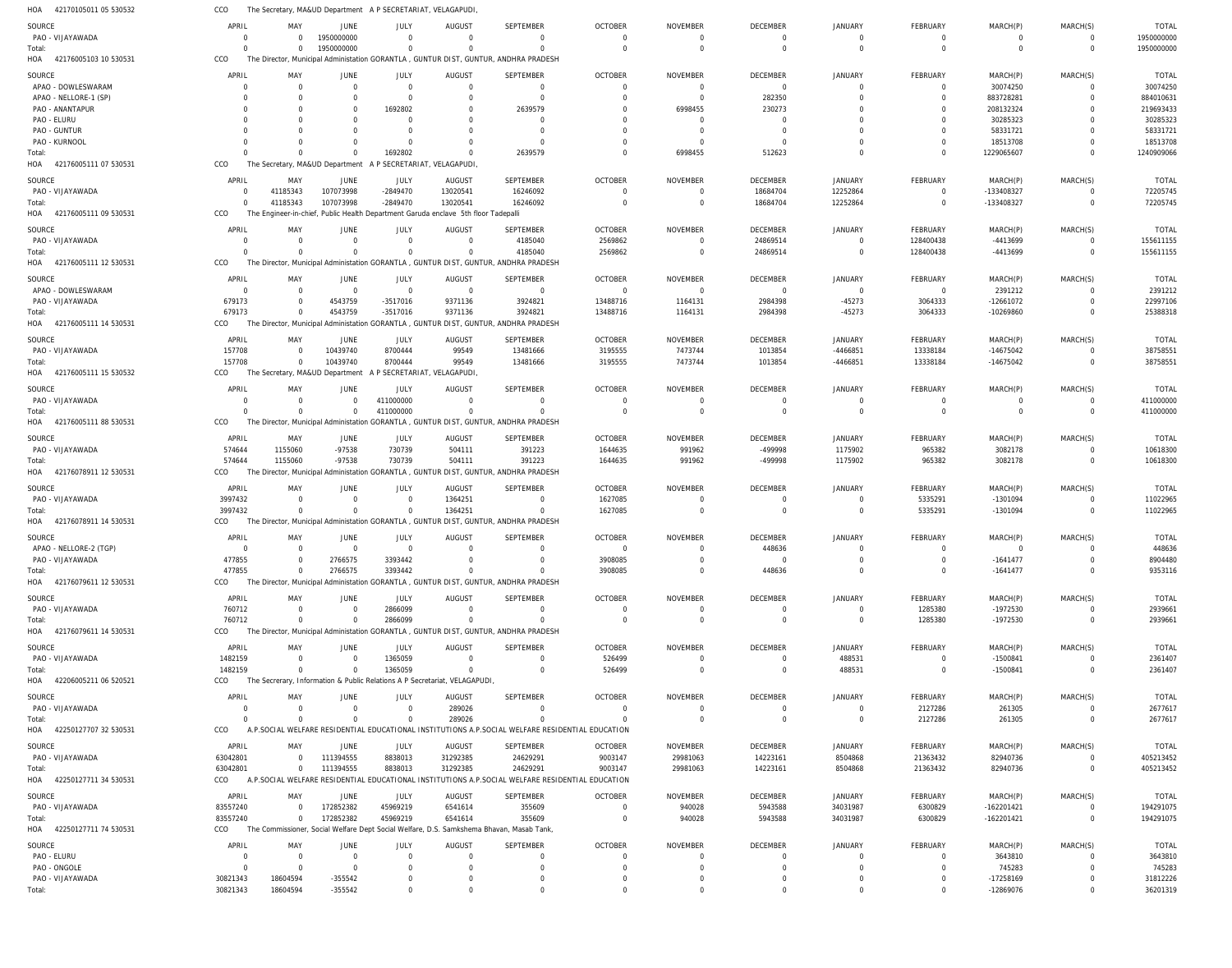| 42170105011 05 530532<br>HOA        | CCO                              | The Secretary, MA&UD Department A P SECRETARIAT, VELAGAPUDI                |                                  |                                                                                |                                  |                                                                                                              |                                  |                                  |                            |                               |                      |                            |                                  |                          |
|-------------------------------------|----------------------------------|----------------------------------------------------------------------------|----------------------------------|--------------------------------------------------------------------------------|----------------------------------|--------------------------------------------------------------------------------------------------------------|----------------------------------|----------------------------------|----------------------------|-------------------------------|----------------------|----------------------------|----------------------------------|--------------------------|
| SOURCE                              | APRIL                            | MAY                                                                        | JUNE                             | JULY                                                                           | <b>AUGUST</b>                    | SEPTEMBER                                                                                                    | <b>OCTOBER</b>                   | <b>NOVEMBER</b>                  | <b>DECEMBER</b>            | JANUARY                       | FEBRUARY             | MARCH(P)                   | MARCH(S)                         | <b>TOTAL</b>             |
| PAO - VIJAYAWADA                    | $\overline{0}$                   | $\Omega$                                                                   | 1950000000                       | $\Omega$                                                                       | $\overline{0}$                   | $\overline{0}$                                                                                               | $\mathbf 0$                      | $\mathbf 0$                      | 0                          | 0                             | $\Omega$             | 0                          | $^{\circ}$                       | 1950000000               |
| Total:                              | $\Omega$                         | $\Omega$                                                                   | 1950000000                       | $\Omega$                                                                       | $\Omega$                         | $\overline{0}$                                                                                               | $\Omega$                         | $\overline{0}$                   | $\mathbf 0$                | $\mathbf 0$                   | $\Omega$             | $\Omega$                   | $\mathbf 0$                      | 1950000000               |
| HOA<br>42176005103 10 530531        | CCO                              |                                                                            |                                  |                                                                                |                                  | The Director, Municipal Administation GORANTLA, GUNTUR DIST, GUNTUR, ANDHRA PRADESH                          |                                  |                                  |                            |                               |                      |                            |                                  |                          |
| SOURCE                              | APRIL                            | MAY                                                                        | <b>JUNE</b>                      | JULY                                                                           | <b>AUGUST</b>                    | SEPTEMBER                                                                                                    | <b>OCTOBER</b>                   | <b>NOVEMBER</b>                  | DECEMBER                   | JANUARY                       | FEBRUARY             | MARCH(P)                   | MARCH(S)                         | <b>TOTAL</b>             |
| APAO - DOWLESWARAM                  | $\overline{0}$                   | $\overline{0}$                                                             | $\overline{0}$                   | $\overline{0}$                                                                 | $\overline{0}$                   | $\overline{0}$                                                                                               | $\mathbf 0$                      | $\overline{0}$                   | $\mathbf 0$                | $\mathbf 0$                   | $\Omega$             | 30074250                   | $\Omega$                         | 30074250                 |
| APAO - NELLORE-1 (SP)               | $\Omega$                         | $\Omega$                                                                   | $\Omega$                         | $\Omega$                                                                       | $\overline{0}$                   | $\Omega$                                                                                                     | $\overline{0}$                   | $\overline{0}$                   | 282350                     | $\overline{0}$                | $\Omega$             | 883728281                  | $\overline{0}$                   | 884010631                |
| PAO - ANANTAPUR<br>PAO - ELURU      | $\Omega$                         | - 0<br>$\Omega$                                                            | $\Omega$<br>$\Omega$             | 1692802<br>$\Omega$                                                            | $\overline{0}$<br>$\Omega$       | 2639579<br>$\Omega$                                                                                          | $\overline{0}$<br>$\Omega$       | 6998455<br>$\Omega$              | 230273<br>0                | $\Omega$<br>$\Omega$          | $\Omega$             | 208132324<br>30285323      | $\mathbf 0$<br>$\Omega$          | 219693433<br>30285323    |
| PAO - GUNTUR                        |                                  | $\Omega$                                                                   | $\Omega$                         | $\Omega$                                                                       | $\overline{0}$                   | $\Omega$                                                                                                     | $\Omega$                         | $\overline{0}$                   | $\mathbf 0$                | $\Omega$                      |                      | 58331721                   | $\Omega$                         | 58331721                 |
| PAO - KURNOOL                       |                                  | $\Omega$                                                                   | $\Omega$                         | $\Omega$                                                                       | $\overline{0}$                   |                                                                                                              | $\Omega$                         | $\overline{0}$                   | $\Omega$                   | $\Omega$                      |                      | 18513708                   | $\Omega$                         | 18513708                 |
| Total:                              | $\Omega$                         | $\Omega$                                                                   | $\Omega$                         | 1692802                                                                        | $\Omega$                         | 2639579                                                                                                      | $\mathbf 0$                      | 6998455                          | 512623                     | $\Omega$                      | $\Omega$             | 1229065607                 | $\Omega$                         | 1240909066               |
| HOA 42176005111 07 530531           | CCO                              | The Secretary, MA&UD Department                                            |                                  | A P SECRETARIAT, VELAGAPUDI,                                                   |                                  |                                                                                                              |                                  |                                  |                            |                               |                      |                            |                                  |                          |
| SOURCE                              | APRIL                            | MAY                                                                        | JUNE                             | JULY                                                                           | AUGUST                           | SEPTEMBER                                                                                                    | <b>OCTOBER</b>                   | <b>NOVEMBER</b>                  | <b>DECEMBER</b>            | JANUARY                       | FEBRUARY             | MARCH(P)                   | MARCH(S)                         | <b>TOTAL</b>             |
| PAO - VIJAYAWADA                    | $\overline{0}$                   | 41185343                                                                   | 107073998                        | $-2849470$                                                                     | 13020541                         | 16246092                                                                                                     | $\mathbf 0$                      | $\mathbf 0$                      | 18684704                   | 12252864                      | $\Omega$             | -133408327                 | $\Omega$                         | 72205745                 |
| Total:                              | $\overline{0}$                   | 41185343                                                                   | 107073998                        | $-2849470$                                                                     | 13020541                         | 16246092                                                                                                     | $\overline{0}$                   | $\overline{0}$                   | 18684704                   | 12252864                      | $\Omega$             | -133408327                 | $\mathbf 0$                      | 72205745                 |
| 42176005111 09 530531<br>HOA        | CCO                              | The                                                                        |                                  | Engineer-in-chief, Public Health Department Garuda enclave 5th floor Tadepalli |                                  |                                                                                                              |                                  |                                  |                            |                               |                      |                            |                                  |                          |
| SOURCE                              | APRIL                            | MAY                                                                        | <b>JUNE</b>                      | JULY                                                                           | <b>AUGUST</b>                    | SEPTEMBER                                                                                                    | <b>OCTOBER</b>                   | <b>NOVEMBER</b>                  | <b>DECEMBER</b>            | JANUARY                       | FEBRUARY             | MARCH(P)                   | MARCH(S)                         | <b>TOTAL</b>             |
| PAO - VIJAYAWADA                    | $\overline{0}$                   | $\overline{0}$                                                             | $\Omega$                         | $\Omega$                                                                       | $\overline{0}$                   | 4185040                                                                                                      | 2569862                          | $\overline{0}$                   | 24869514                   | $\mathbf 0$                   | 128400438            | -4413699                   | $\Omega$                         | 155611155                |
| Total:                              | $\Omega$                         | $\Omega$                                                                   | $\Omega$                         | $\Omega$                                                                       | $\overline{0}$                   | 4185040                                                                                                      | 2569862                          | $\overline{0}$                   | 24869514                   | $\mathbf 0$                   | 128400438            | -4413699                   | $\overline{0}$                   | 155611155                |
| HOA<br>42176005111 12 530531        | CCO                              |                                                                            |                                  |                                                                                |                                  | The Director, Municipal Administation GORANTLA , GUNTUR DIST, GUNTUR, ANDHRA PRADESH                         |                                  |                                  |                            |                               |                      |                            |                                  |                          |
| SOURCE                              | APRIL                            | MAY                                                                        | JUNE                             | JULY                                                                           | <b>AUGUST</b>                    | SEPTEMBER                                                                                                    | <b>OCTOBER</b>                   | <b>NOVEMBER</b>                  | <b>DECEMBER</b>            | <b>JANUARY</b>                | FEBRUARY             | MARCH(P)                   | MARCH(S)                         | <b>TOTAL</b>             |
| APAO - DOWLESWARAM                  | $\overline{0}$                   | $\overline{0}$                                                             | $\overline{0}$                   | $\Omega$                                                                       | $\overline{0}$                   | $\overline{0}$                                                                                               | $\overline{0}$                   | $\overline{0}$                   | $\mathbf 0$                | $\mathbf 0$                   | $\overline{0}$       | 2391212                    | $\Omega$                         | 2391212                  |
| PAO - VIJAYAWADA                    | 679173                           | $\Omega$                                                                   | 4543759                          | $-3517016$                                                                     | 9371136                          | 3924821                                                                                                      | 13488716                         | 1164131                          | 2984398                    | $-45273$                      | 3064333              | -12661072                  | $\Omega$                         | 22997106                 |
| Total:<br>HOA 42176005111 14 530531 | 679173<br>CCO                    | $\Omega$                                                                   | 4543759                          | $-3517016$                                                                     | 9371136                          | 3924821<br>The Director, Municipal Administation GORANTLA, GUNTUR DIST, GUNTUR, ANDHRA PRADESH               | 13488716                         | 1164131                          | 2984398                    | $-45273$                      | 3064333              | -10269860                  | $\Omega$                         | 25388318                 |
|                                     |                                  |                                                                            |                                  |                                                                                |                                  |                                                                                                              |                                  |                                  |                            |                               |                      |                            |                                  |                          |
| SOURCE                              | APRIL                            | MAY                                                                        | JUNE                             | JULY                                                                           | AUGUST                           | SEPTEMBER                                                                                                    | <b>OCTOBER</b>                   | <b>NOVEMBER</b>                  | <b>DECEMBER</b>            | JANUARY                       | FEBRUARY             | MARCH(P)                   | MARCH(S)                         | <b>TOTAL</b>             |
| PAO - VIJAYAWADA                    | 157708                           | $\overline{0}$                                                             | 10439740                         | 8700444                                                                        | 99549                            | 13481666                                                                                                     | 3195555                          | 7473744                          | 1013854                    | -4466851                      | 13338184             | $-14675042$                | $\Omega$                         | 38758551                 |
| Total:<br>HOA 42176005111 15 530532 | 157708<br>CCO                    | $\overline{0}$<br>The Secretary, MA&UD Department                          | 10439740                         | 8700444<br>A P SECRETARIAT, VELAGAPUDI,                                        | 99549                            | 13481666                                                                                                     | 3195555                          | 7473744                          | 1013854                    | -4466851                      | 13338184             | -14675042                  | $\overline{0}$                   | 38758551                 |
|                                     |                                  |                                                                            |                                  |                                                                                |                                  |                                                                                                              |                                  |                                  |                            |                               |                      |                            |                                  |                          |
| SOURCE                              | APRIL                            | MAY                                                                        | <b>JUNE</b>                      | JULY                                                                           | <b>AUGUST</b>                    | SEPTEMBER                                                                                                    | <b>OCTOBER</b>                   | NOVEMBER                         | <b>DECEMBER</b>            | <b>JANUARY</b>                | FEBRUARY             | MARCH(P)                   | MARCH(S)                         | <b>TOTAL</b>             |
| PAO - VIJAYAWADA<br>Total:          | $\overline{0}$<br>$\Omega$       | $\overline{0}$<br>$\Omega$                                                 | $\overline{0}$<br>$\overline{0}$ | 411000000<br>411000000                                                         | $\overline{0}$<br>$\overline{0}$ | $\Omega$<br>$\mathbf 0$                                                                                      | $\overline{0}$<br>$\overline{0}$ | $\overline{0}$<br>$\overline{0}$ | $\mathbf 0$<br>$\mathbf 0$ | $\mathbf 0$<br>$\mathbf 0$    | $\Omega$<br>$\Omega$ | 0<br>$\Omega$              | $\overline{0}$<br>$\overline{0}$ | 411000000<br>411000000   |
| HOA 42176005111 88 530531           | CCO                              |                                                                            |                                  |                                                                                |                                  | The Director, Municipal Administation GORANTLA, GUNTUR DIST, GUNTUR, ANDHRA PRADESH                          |                                  |                                  |                            |                               |                      |                            |                                  |                          |
|                                     |                                  |                                                                            |                                  |                                                                                |                                  |                                                                                                              |                                  |                                  |                            |                               |                      |                            |                                  |                          |
| SOURCE<br>PAO - VIJAYAWADA          | APRIL<br>574644                  | MAY<br>1155060                                                             | JUNE<br>-97538                   | JULY<br>730739                                                                 | AUGUST<br>504111                 | SEPTEMBER<br>391223                                                                                          | <b>OCTOBER</b><br>1644635        | <b>NOVEMBER</b><br>991962        | <b>DECEMBER</b><br>-499998 | JANUARY<br>1175902            | FEBRUARY             | MARCH(P)<br>3082178        | MARCH(S)<br>$\overline{0}$       | <b>TOTAL</b><br>10618300 |
| Total:                              | 574644                           | 1155060                                                                    | $-97538$                         | 730739                                                                         | 504111                           | 391223                                                                                                       | 1644635                          | 991962                           | -499998                    | 1175902                       | 965382<br>965382     | 3082178                    | $\overline{0}$                   | 10618300                 |
| HOA 42176078911 12 530531           | CCO                              |                                                                            |                                  |                                                                                |                                  | The Director, Municipal Administation GORANTLA, GUNTUR DIST, GUNTUR, ANDHRA PRADESH                          |                                  |                                  |                            |                               |                      |                            |                                  |                          |
| SOURCE                              | APRIL                            | MAY                                                                        | JUNE                             | JULY                                                                           | <b>AUGUST</b>                    | SEPTEMBER                                                                                                    | <b>OCTOBER</b>                   | <b>NOVEMBER</b>                  | <b>DECEMBER</b>            | JANUARY                       | FEBRUARY             | MARCH(P)                   | MARCH(S)                         | <b>TOTAL</b>             |
| PAO - VIJAYAWADA                    | 3997432                          | $\overline{0}$                                                             | $\overline{0}$                   | $\Omega$                                                                       | 1364251                          | $\overline{0}$                                                                                               | 1627085                          | $\mathbf 0$                      | 0                          | 0                             | 5335291              | -1301094                   | $\Omega$                         | 11022965                 |
| Total:                              | 3997432                          | $\Omega$                                                                   | $\Omega$                         | $\Omega$                                                                       | 1364251                          | $\overline{0}$                                                                                               | 1627085                          | $\overline{0}$                   | $\mathbf 0$                | $\mathbf 0$                   | 5335291              | -1301094                   | $\Omega$                         | 11022965                 |
| HOA 42176078911 14 530531           | CCO                              |                                                                            |                                  |                                                                                |                                  | The Director, Municipal Administation GORANTLA , GUNTUR DIST, GUNTUR, ANDHRA PRADESH                         |                                  |                                  |                            |                               |                      |                            |                                  |                          |
| SOURCE                              | APRIL                            | MAY                                                                        | JUNE                             | JULY                                                                           | AUGUST                           | SEPTEMBER                                                                                                    | <b>OCTOBER</b>                   | <b>NOVEMBER</b>                  | <b>DECEMBER</b>            | JANUARY                       | FEBRUARY             | MARCH(P)                   | MARCH(S)                         | <b>TOTAL</b>             |
| APAO - NELLORE-2 (TGP)              | $\Omega$                         | $\Omega$                                                                   | $\Omega$                         | $\Omega$                                                                       | $\Omega$                         | $\Omega$                                                                                                     | $\Omega$                         | $\Omega$                         | 448636                     | $\Omega$                      | $\Omega$             | $\Omega$                   | $\Omega$                         | 448636                   |
| PAO - VIJAYAWADA                    | 477855                           | $\Omega$                                                                   | 2766575                          | 3393442                                                                        |                                  | $\overline{0}$                                                                                               | 3908085                          | $\mathbf 0$                      | $\mathbf 0$                | $\Omega$                      | $\Omega$             | $-1641477$                 | 0                                | 8904480                  |
| Total:                              | 477855                           | $\Omega$                                                                   | 2766575                          | 3393442                                                                        | $\Omega$                         | $\Omega$                                                                                                     | 3908085                          | $\overline{0}$                   | 448636                     | $\mathbf 0$                   | $\Omega$             | $-1641477$                 | $\mathbf 0$                      | 9353116                  |
| HOA 42176079611 12 530531           | CCO                              |                                                                            |                                  |                                                                                |                                  | The Director, Municipal Administation GORANTLA, GUNTUR DIST, GUNTUR, ANDHRA PRADESH                          |                                  |                                  |                            |                               |                      |                            |                                  |                          |
| SOURCE                              | APRIL                            | MAY                                                                        | JUNE                             | JULY                                                                           | <b>AUGUST</b>                    | SEPTEMBER                                                                                                    | <b>OCTOBER</b>                   | <b>NOVEMBER</b>                  | <b>DECEMBER</b>            | <b>JANUARY</b>                | FEBRUARY             | MARCH(P)                   | MARCH(S)                         | TOTAL                    |
| PAO - VIJAYAWADA                    | 760712                           | $\overline{0}$                                                             | $\overline{0}$                   | 2866099                                                                        | $\overline{0}$                   | $\overline{0}$                                                                                               | $\Omega$                         | $\mathbf 0$                      | 0                          | 0                             | 1285380              | -1972530                   | $\Omega$                         | 2939661                  |
| Total:                              | 760712                           | $\Omega$                                                                   | $\overline{0}$                   | 2866099                                                                        | $\overline{0}$                   | $\overline{0}$                                                                                               | $\overline{0}$                   | $\overline{0}$                   | $\mathbf 0$                | $\mathbf 0$                   | 1285380              | -1972530                   | $\mathbf 0$                      | 2939661                  |
| HOA 42176079611 14 530531           | CCO                              |                                                                            |                                  |                                                                                |                                  | The Director, Municipal Administation GORANTLA, GUNTUR DIST, GUNTUR, ANDHRA PRADESH                          |                                  |                                  |                            |                               |                      |                            |                                  |                          |
| SOURCE                              | APRIL                            | MAY                                                                        | JUNE                             | JULY                                                                           | AUGUST                           | SEPTEMBER                                                                                                    | <b>OCTOBER</b>                   | <b>NOVEMBER</b>                  | <b>DECEMBER</b>            | <b>JANUARY</b>                | FEBRUARY             | MARCH(P)                   | MARCH(S)                         | <b>TOTAL</b>             |
| PAO - VIJAYAWADA                    | 1482159                          | $\overline{0}$                                                             | $\overline{0}$                   | 1365059                                                                        | $\overline{0}$                   | $\overline{0}$                                                                                               | 526499                           | - 0                              | 0                          | 488531                        | $\Omega$             | $-1500841$                 |                                  | 2361407                  |
| Total:                              | 1482159                          | $\Omega$                                                                   | $\Omega$                         | 1365059                                                                        | $\overline{0}$                   | $\Omega$                                                                                                     | 526499                           | $\overline{0}$                   | $\mathbf 0$                | 488531                        | $\Omega$             | $-1500841$                 | $\mathbf 0$                      | 2361407                  |
| HOA 42206005211 06 520521           | CCO                              | The Secrerary, Information & Public Relations A P Secretariat, VELAGAPUDI, |                                  |                                                                                |                                  |                                                                                                              |                                  |                                  |                            |                               |                      |                            |                                  |                          |
| <b>SOURCE</b>                       | APRIL                            | MAY                                                                        | JUNE                             | JULY                                                                           | AUGUST                           | SEPTEMBER                                                                                                    | <b>OCTOBER</b>                   | NOVEMBER                         | DECEMBER                   | JANUARY                       | FEBRUARY             | MARCH(P)                   | MARCH(S)                         | <b>TOTAL</b>             |
| PAO - VIJAYAWADA                    | $\Omega$                         | $\overline{0}$                                                             | $\overline{0}$                   | $\Omega$                                                                       | 289026                           | $\overline{0}$                                                                                               | $\overline{0}$                   | $\overline{0}$                   | $\mathbf 0$                | $\mathbf 0$                   | 2127286              | 261305                     | $\mathbf 0$                      | 2677617                  |
| Total:                              | $\Omega$                         | $\Omega$                                                                   | $\Omega$                         |                                                                                | 289026                           | $\Omega$                                                                                                     | $\Omega$                         | $\Omega$                         | $\mathbf 0$                | $\mathbf 0$                   | 2127286              | 261305                     | $\mathbf 0$                      | 2677617                  |
| HOA 42250127707 32 530531           | CCO                              |                                                                            |                                  |                                                                                |                                  | A.P.SOCIAL WELFARE RESIDENTIAL EDUCATIONAL INSTITUTIONS A.P.SOCIAL WELFARE RESIDENTIAL EDUCATION             |                                  |                                  |                            |                               |                      |                            |                                  |                          |
| SOURCE                              | APRIL                            | MAY                                                                        | JUNE                             | JULY                                                                           | AUGUST                           | SEPTEMBER                                                                                                    | <b>OCTOBER</b>                   | <b>NOVEMBER</b>                  | <b>DECEMBER</b>            | JANUARY                       | FEBRUARY             | MARCH(P)                   | MARCH(S)                         | <b>TOTAL</b>             |
| PAO - VIJAYAWADA                    | 63042801                         | $\overline{0}$                                                             | 111394555                        | 8838013                                                                        | 31292385                         | 24629291                                                                                                     | 9003147                          | 29981063                         | 14223161                   | 8504868                       | 21363432             | 82940736                   | $\mathbf 0$                      | 405213452                |
| Total:<br>HOA 42250127711 34 530531 | 63042801<br>CCO                  | $\overline{0}$                                                             | 111394555                        | 8838013                                                                        | 31292385                         | 24629291<br>A.P.SOCIAL WELFARE RESIDENTIAL EDUCATIONAL INSTITUTIONS A.P.SOCIAL WELFARE RESIDENTIAL EDUCATION | 9003147                          | 29981063                         | 14223161                   | 8504868                       | 21363432             | 82940736                   | $\overline{0}$                   | 405213452                |
|                                     |                                  |                                                                            |                                  |                                                                                |                                  |                                                                                                              |                                  |                                  |                            |                               |                      |                            |                                  |                          |
| SOURCE                              | APRIL                            | MAY                                                                        | JUNE                             | <b>JULY</b>                                                                    | <b>AUGUST</b>                    | SEPTEMBER                                                                                                    | <b>OCTOBER</b>                   | <b>NOVEMBER</b>                  | <b>DECEMBER</b>            | JANUARY                       | FEBRUARY             | MARCH(P)                   | MARCH(S)                         | <b>TOTAL</b>             |
| PAO - VIJAYAWADA                    | 83557240<br>83557240             | $\Omega$<br>$\overline{0}$                                                 | 172852382<br>172852382           | 45969219<br>45969219                                                           | 6541614<br>6541614               | 355609<br>355609                                                                                             | $\overline{0}$<br>$\overline{0}$ | 940028<br>940028                 | 5943588<br>5943588         | 34031987<br>34031987          | 6300829<br>6300829   | -162201421<br>$-162201421$ | $\Omega$<br>$\overline{0}$       | 194291075<br>194291075   |
| Total:<br>HOA 42250127711 74 530531 | CCO                              |                                                                            |                                  |                                                                                |                                  | The Commissioner, Social Welfare Dept Social Welfare, D.S. Samkshema Bhavan, Masab Tank,                     |                                  |                                  |                            |                               |                      |                            |                                  |                          |
|                                     |                                  |                                                                            |                                  |                                                                                |                                  |                                                                                                              |                                  |                                  |                            |                               |                      |                            |                                  |                          |
| <b>SOURCE</b>                       | APRIL                            | MAY                                                                        | <b>JUNE</b>                      | JULY<br>$\Omega$                                                               | <b>AUGUST</b><br>$\overline{0}$  | SEPTEMBER                                                                                                    | <b>OCTOBER</b><br>$\Omega$       | <b>NOVEMBER</b>                  | <b>DECEMBER</b>            | <b>JANUARY</b>                | FEBRUARY             | MARCH(P)                   | MARCH(S)                         | TOTAL                    |
| PAO - ELURU<br>PAO - ONGOLE         | $\overline{0}$<br>$\overline{0}$ | $\overline{0}$<br>$\overline{0}$                                           | $\overline{0}$<br>$\mathbf 0$    | $\Omega$                                                                       | $\overline{0}$                   | $\Omega$<br>$\Omega$                                                                                         | $\Omega$                         | $\overline{0}$<br>$\overline{0}$ | 0<br>$\mathbf 0$           | $\mathbf 0$<br>$\overline{0}$ | $\Omega$<br>$\Omega$ | 3643810<br>745283          | $\Omega$                         | 3643810<br>745283        |
| PAO - VIJAYAWADA                    | 30821343                         | 18604594                                                                   | $-355542$                        | $\Omega$                                                                       | $\overline{0}$                   | $\mathbf 0$                                                                                                  | $\Omega$                         | $\mathbf 0$                      | $\mathbf 0$                | $\mathbf 0$                   |                      | $-17258169$                |                                  | 31812226                 |
| Total:                              | 30821343                         | 18604594                                                                   | $-355542$                        | $\Omega$                                                                       | $\mathbf 0$                      | $\Omega$                                                                                                     | $\Omega$                         | $\mathbf 0$                      | $\Omega$                   | $\mathbf 0$                   | $\Omega$             | -12869076                  | $\Omega$                         | 36201319                 |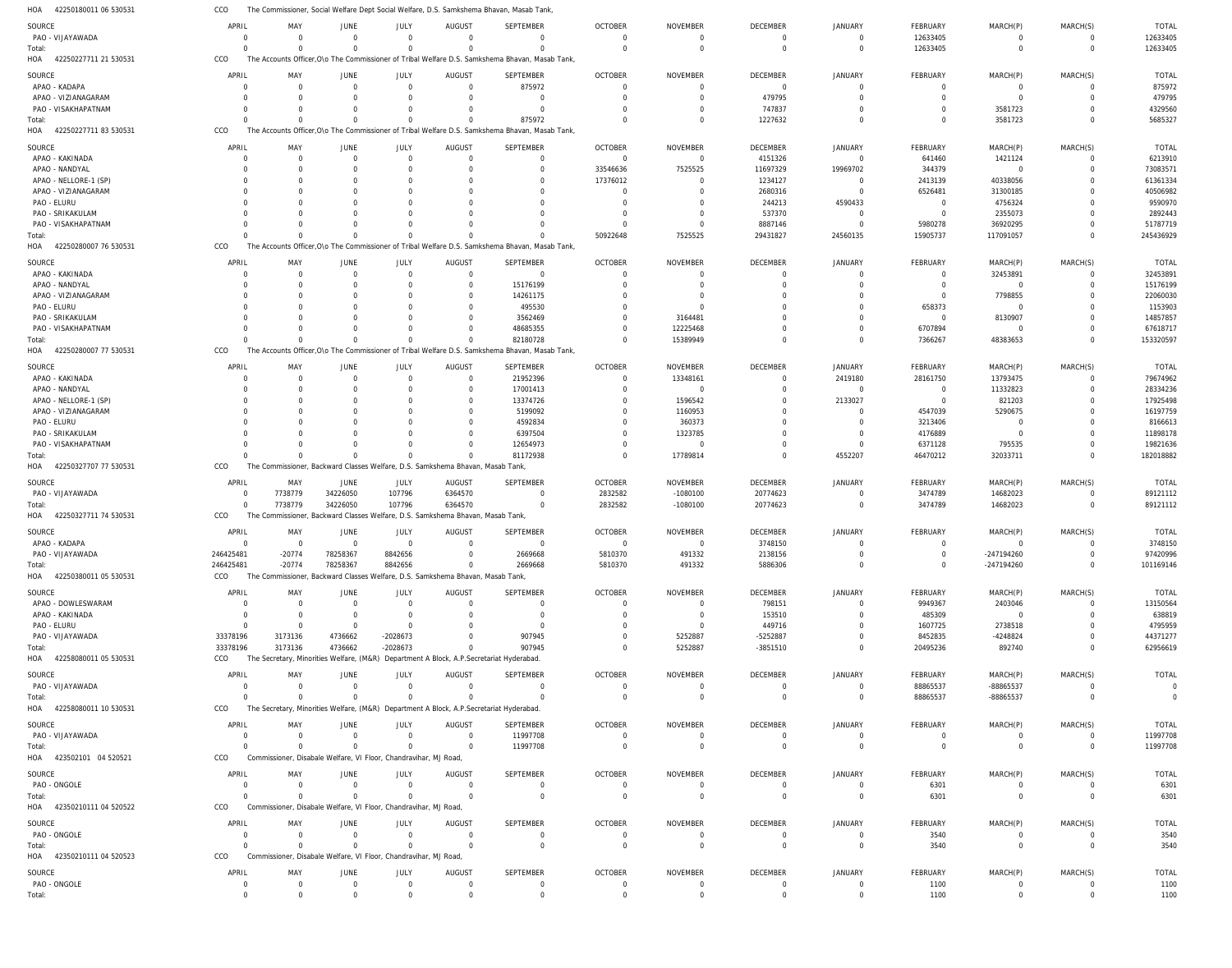| HOA<br>42250180011 06 530531 | CCO                  | The Commissioner, Social Welfare Dept Social Welfare, D.S. Samkshema Bhavan, Masab Tank |                      |                        |                           |                                                                                                |                            |                             |                           |                      |                          |                       |                      |                               |
|------------------------------|----------------------|-----------------------------------------------------------------------------------------|----------------------|------------------------|---------------------------|------------------------------------------------------------------------------------------------|----------------------------|-----------------------------|---------------------------|----------------------|--------------------------|-----------------------|----------------------|-------------------------------|
| SOURCE                       | APRIL                | MAY                                                                                     | JUNE                 | JULY                   | <b>AUGUST</b>             | SEPTEMBER                                                                                      | <b>OCTOBER</b>             | <b>NOVEMBER</b>             | <b>DECEMBER</b>           | <b>JANUARY</b>       | FEBRUARY                 | MARCH(P)              | MARCH(S)             | <b>TOTAL</b>                  |
| PAO - VIJAYAWADA             | $\Omega$             | $\Omega$                                                                                | $\Omega$             | $\Omega$               | $\Omega$                  | $\mathbf 0$                                                                                    | $\Omega$                   | $\overline{0}$              | $\Omega$                  | $\Omega$             | 12633405                 | $\mathbf 0$           | $\Omega$             | 12633405                      |
| Total:                       | $\Omega$             | $\Omega$                                                                                | $\Omega$             | $\Omega$               | $\Omega$                  | $\Omega$                                                                                       | $\Omega$                   | $\overline{0}$              | $\mathbf 0$               | $\Omega$             | 12633405                 | $\overline{0}$        | $\mathbf 0$          | 12633405                      |
| 42250227711 21 530531<br>HOA | CCO                  |                                                                                         |                      |                        |                           | The Accounts Officer, O\o The Commissioner of Tribal Welfare D.S. Samkshema Bhavan, Masab Tank |                            |                             |                           |                      |                          |                       |                      |                               |
| SOURCE                       | APRIL                | MAY                                                                                     | JUNE                 | JULY                   | AUGUST                    | SEPTEMBER                                                                                      | <b>OCTOBER</b>             | <b>NOVEMBER</b>             | DECEMBER                  | <b>JANUARY</b>       | FEBRUARY                 | MARCH(P)              | MARCH(S)             | <b>TOTAL</b>                  |
| APAO - KADAPA                | $\Omega$             | $\Omega$                                                                                | $\Omega$             | $\Omega$               | $\Omega$                  | 875972                                                                                         | $\Omega$                   | $\Omega$                    | $\Omega$                  | $\Omega$             | $\mathbf 0$              | $\mathbf 0$           | $\Omega$             | 875972                        |
| APAO - VIZIANAGARAM          | C                    | $\Omega$                                                                                |                      | $\Omega$               | $\Omega$                  | $\Omega$                                                                                       | $\Omega$                   | $\Omega$                    | 479795                    | U                    | $\Omega$                 | $\Omega$              | $\Omega$             | 479795                        |
| PAO - VISAKHAPATNAM          | $\Omega$             | $\Gamma$                                                                                |                      |                        | $\Omega$                  | $\Omega$                                                                                       | $\Omega$                   | $\Omega$                    | 747837                    |                      | $\Omega$                 | 3581723               | $\Omega$             | 4329560                       |
| Total:                       | $\Omega$             |                                                                                         |                      | $\Omega$               | $\Omega$                  | 875972                                                                                         | $\Omega$                   | $\Omega$                    | 1227632                   |                      | $\Omega$                 | 3581723               | $\Omega$             | 5685327                       |
| HOA<br>42250227711 83 530531 | CCO                  |                                                                                         |                      |                        |                           | The Accounts Officer, O\o The Commissioner of Tribal Welfare D.S. Samkshema Bhavan, Masab Tank |                            |                             |                           |                      |                          |                       |                      |                               |
| SOURCE                       | APRIL                | MAY                                                                                     | JUNE                 | JULY                   | AUGUST                    | SEPTEMBER                                                                                      | <b>OCTOBER</b>             | NOVEMBER                    | DECEMBER                  | JANUARY              | FEBRUARY                 | MARCH(P)              | MARCH(S)             | <b>TOTAL</b>                  |
| APAO - KAKINADA              | $\Omega$             | $\Omega$                                                                                | $\Omega$             | $\Omega$               | $\overline{0}$            | $\overline{0}$                                                                                 | $\overline{0}$             | $\overline{0}$              | 4151326                   | $\mathbf 0$          | 641460                   | 1421124               | $\Omega$             | 6213910                       |
| APAO - NANDYAL               | C                    | $\Omega$                                                                                | - 0                  | $\Omega$               | $\Omega$                  | $\Omega$                                                                                       | 33546636                   | 7525525                     | 11697329                  | 19969702             | 344379                   | $\overline{0}$        | $\Omega$             | 73083571                      |
| APAO - NELLORE-1 (SP)        | C                    | $\Gamma$                                                                                |                      | $\Omega$               | $\Omega$                  | 0                                                                                              | 17376012                   | $\Omega$                    | 1234127                   | $\Omega$             | 2413139                  | 40338056              | $\Omega$             | 61361334                      |
| APAO - VIZIANAGARAM          | $\Omega$             | $\Omega$                                                                                |                      | $\Omega$               | $\Omega$                  | 0                                                                                              | $\Omega$                   | $\Omega$                    | 2680316                   | $\Omega$             | 6526481                  | 31300185              | $\Omega$             | 40506982                      |
| PAO - ELURU                  |                      | -C                                                                                      |                      |                        | $\Omega$                  |                                                                                                | $\Omega$                   | $\Omega$                    | 244213                    | 4590433              | $\overline{0}$           | 4756324               | -C                   | 9590970                       |
| PAO - SRIKAKULAM             | C                    | $\Gamma$                                                                                |                      | <sup>0</sup>           | $\Omega$                  |                                                                                                | $\Omega$                   | $\Omega$                    | 537370                    | $\Omega$             | $\overline{\phantom{0}}$ | 2355073               | $\Omega$             | 2892443                       |
| PAO - VISAKHAPATNAM          | C                    | $\Gamma$                                                                                |                      | $\Omega$               | $\Omega$                  |                                                                                                | $\Omega$                   | $\Omega$                    | 8887146                   | $\Omega$             | 5980278                  | 36920295              | $\Omega$             | 51787719                      |
| Total:                       | $\Omega$             | $\Omega$                                                                                | $\Omega$             | $\Omega$               | $\Omega$                  | $\Omega$                                                                                       | 50922648                   | 7525525                     | 29431827                  | 24560135             | 15905737                 | 117091057             | $\Omega$             | 245436929                     |
| HOA<br>42250280007 76 530531 | CCO                  | The                                                                                     |                      |                        |                           | Accounts Officer, O\o The Commissioner of Tribal Welfare D.S. Samkshema Bhavan, Masab Tank     |                            |                             |                           |                      |                          |                       |                      |                               |
| SOURCE                       | APRIL                | MAY                                                                                     | JUNE                 | JULY                   | AUGUST                    | SEPTEMBER                                                                                      | <b>OCTOBER</b>             | NOVEMBER                    | DECEMBER                  | <b>JANUARY</b>       | FEBRUARY                 | MARCH(P)              | MARCH(S)             | <b>TOTAL</b>                  |
| APAO - KAKINADA              | 0                    | $\Omega$                                                                                | $\Omega$             | $\Omega$               | $\Omega$                  | $\Omega$                                                                                       | $\Omega$                   | $\Omega$                    | 0                         | 0                    | $\overline{0}$           | 32453891              | $\Omega$             | 32453891                      |
| APAO - NANDYAL               | C                    | $\Gamma$                                                                                |                      | $\Omega$               | $\Omega$                  | 15176199                                                                                       | $\Omega$                   | $\Omega$                    |                           |                      | $\mathbf 0$              | $\mathbf 0$           | $\Omega$             | 15176199                      |
| APAO - VIZIANAGARAM          | $\Omega$             | $\Gamma$                                                                                |                      | $\Omega$               | $\Omega$                  | 14261175                                                                                       | $\Omega$                   | $\Omega$                    |                           |                      | $\Omega$                 | 7798855               | $\Omega$             | 22060030                      |
| PAO - ELURU                  |                      |                                                                                         |                      |                        | $\Omega$                  | 495530                                                                                         | $\Omega$                   | $\Omega$                    |                           |                      | 658373                   | $\mathbf 0$           |                      | 1153903                       |
| PAO - SRIKAKULAM             |                      | -C                                                                                      |                      |                        | $\Omega$                  | 3562469                                                                                        | $\Omega$                   | 3164481                     |                           |                      | $\Omega$                 | 8130907               | -C                   | 14857857                      |
| PAO - VISAKHAPATNAM          | C                    |                                                                                         |                      |                        | $\Omega$                  | 48685355                                                                                       | $\Omega$                   | 12225468                    |                           | $\Omega$             | 6707894                  | $\mathbf 0$           | $\Omega$             | 67618717                      |
| Total:                       |                      |                                                                                         | $\Omega$             | $\Omega$               | $\Omega$                  | 82180728                                                                                       | $\Omega$                   | 15389949                    |                           | $\Omega$             | 7366267                  | 48383653              | $\Omega$             | 153320597                     |
| 42250280007 77 530531<br>HOA | CCO                  |                                                                                         |                      |                        |                           | The Accounts Officer. Olo The Commissioner of Tribal Welfare D.S. Samkshema Bhayan, Masab Tank |                            |                             |                           |                      |                          |                       |                      |                               |
| SOURCE                       | APRIL                | MAY                                                                                     | JUNE                 | JULY                   | AUGUST                    | SEPTEMBER                                                                                      | <b>OCTOBER</b>             | NOVEMBER                    | <b>DECEMBER</b>           | <b>JANUARY</b>       | FEBRUARY                 | MARCH(P)              | MARCH(S)             | <b>TOTAL</b>                  |
| APAO - KAKINADA              | $\Omega$             | $\Omega$                                                                                | $\Omega$             | $\Omega$               | $\overline{0}$            | 21952396                                                                                       | $\mathbf 0$                | 13348161                    | $\mathbf 0$               | 2419180              | 28161750                 | 13793475              | $\overline{0}$       | 79674962                      |
| APAO - NANDYAL               | C                    | $\Omega$                                                                                | - 0                  | $\Omega$               | $\Omega$                  | 17001413                                                                                       | $\Omega$                   | $\Omega$                    | $\Omega$                  | $\mathbf 0$          | $\overline{0}$           | 11332823              | $\Omega$             | 28334236                      |
| APAO - NELLORE-1 (SP)        | C                    | $\Gamma$                                                                                |                      | $\Omega$               | $\Omega$                  | 13374726                                                                                       | $\Omega$                   | 1596542                     | $\Omega$                  | 2133027              | $\overline{0}$           | 821203                | $\Omega$             | 17925498                      |
| APAO - VIZIANAGARAM          | $\Omega$             | $\Omega$                                                                                |                      | $\Omega$               | $\Omega$                  | 5199092                                                                                        | $\overline{0}$             | 1160953                     |                           | $\Omega$             | 4547039                  | 5290675               | $\Omega$             | 16197759                      |
| PAO - ELURU                  |                      | -C                                                                                      |                      |                        | $\Omega$                  | 4592834                                                                                        | $\Omega$                   | 360373                      | O                         | $\Omega$             | 3213406                  | $\Omega$              | $\Omega$             | 8166613                       |
| PAO - SRIKAKULAM             | C                    | $\Gamma$                                                                                |                      | $\Omega$               | $\Omega$                  | 6397504                                                                                        | $\Omega$                   | 1323785                     | O                         | $\Omega$             | 4176889                  | $\overline{0}$        | $\Omega$             | 11898178                      |
| PAO - VISAKHAPATNAM          | C                    | $\Omega$                                                                                |                      | $\Omega$               | $\Omega$                  | 12654973                                                                                       | $\mathbf 0$                | $\Omega$                    | $\Omega$                  | $\Omega$             | 6371128                  | 795535                | $\Omega$             | 19821636                      |
| Total:                       |                      |                                                                                         | $\Omega$             | $\Omega$               | $\Omega$                  | 81172938                                                                                       | $\Omega$                   | 17789814                    | $\Omega$                  | 4552207              | 46470212                 | 32033711              | $\Omega$             | 182018882                     |
| HOA 42250327707 77 530531    | CCO                  | The Commissioner, Backward Classes Welfare, D.S. Samkshema Bhavan, Masab Tank,          |                      |                        |                           |                                                                                                |                            |                             |                           |                      |                          |                       |                      |                               |
| SOURCE                       | APRIL                | MAY                                                                                     | JUNE                 | JULY                   | AUGUST                    | SEPTEMBER                                                                                      | <b>OCTOBER</b>             | NOVEMBER                    | DECEMBER                  | <b>JANUARY</b>       | FEBRUARY                 | MARCH(P)              | MARCH(S)             | <b>TOTAL</b>                  |
| PAO - VIJAYAWADA             | 0                    | 7738779                                                                                 | 34226050             | 107796                 | 6364570                   | $\mathbf 0$                                                                                    | 2832582                    | $-1080100$                  | 20774623                  | $\Omega$             | 3474789                  | 14682023              | $\Omega$             | 89121112                      |
| Total:                       | $\Omega$             | 7738779                                                                                 | 34226050             | 107796                 | 6364570                   | $\mathbf 0$                                                                                    | 2832582                    | $-1080100$                  | 20774623                  | $\Omega$             | 3474789                  | 14682023              | $\overline{0}$       | 89121112                      |
| HOA 42250327711 74 530531    | CCO                  | The Commissioner, Backward Classes Welfare, D.S. Samkshema Bhavan, Masab Tank,          |                      |                        |                           |                                                                                                |                            |                             |                           |                      |                          |                       |                      |                               |
| SOURCE                       | APRIL                |                                                                                         |                      |                        |                           |                                                                                                |                            |                             |                           |                      |                          |                       |                      |                               |
| APAO - KADAPA                |                      | MAY                                                                                     | JUNE                 | JULY                   | AUGUST                    | SEPTEMBER                                                                                      | <b>OCTOBER</b>             | NOVEMBER                    | <b>DECEMBER</b>           | JANUARY              | FEBRUARY                 | MARCH(P)              | MARCH(S)             | <b>TOTAL</b>                  |
| PAO - VIJAYAWADA             | $\Omega$             | $\overline{0}$                                                                          | $\Omega$             | $\overline{0}$         | $\Omega$                  | $\Omega$                                                                                       | $\Omega$                   | $\Omega$                    | 3748150                   | $\Omega$             | $\Omega$                 | $\Omega$              | $\Omega$             | 3748150                       |
|                              | 246425481            | $-20774$                                                                                | 78258367             | 8842656                | $\Omega$                  | 2669668                                                                                        | 5810370                    | 491332                      | 2138156                   | $\Omega$             | $\Omega$                 | $-247194260$          |                      | 97420996                      |
| Total:                       | 246425481            | $-20774$                                                                                | 78258367             | 8842656                | $\Omega$                  | 2669668                                                                                        | 5810370                    | 491332                      | 5886306                   | $\Omega$             | $\mathbf 0$              | -247194260            | $\Omega$             | 101169146                     |
| HOA 42250380011 05 530531    | CCO                  | The Commissioner, Backward Classes Welfare, D.S. Samkshema Bhavan, Masab Tank,          |                      |                        |                           |                                                                                                |                            |                             |                           |                      |                          |                       |                      |                               |
|                              |                      |                                                                                         |                      |                        |                           |                                                                                                |                            |                             |                           |                      |                          |                       |                      |                               |
| SOURCE<br>APAO - DOWLESWARAM | APRIL<br>$\Omega$    | MAY<br>$\Omega$                                                                         | JUNE<br>$\Omega$     | JULY<br>$\Omega$       | <b>AUGUST</b><br>$\Omega$ | SEPTEMBER<br>$\Omega$                                                                          | <b>OCTOBER</b><br>$\Omega$ | <b>NOVEMBER</b><br>$\Omega$ | <b>DECEMBER</b><br>798151 | <b>JANUARY</b><br>O  | FEBRUARY<br>9949367      | MARCH(P)<br>2403046   | MARCH(S)             | <b>TOTAL</b><br>13150564      |
| APAO - KAKINADA              | $\Omega$             | $\Omega$                                                                                | $\Omega$             | $\Omega$               | $\Omega$                  | $\Omega$                                                                                       | $\Omega$                   | $\Omega$                    | 153510                    |                      | 485309                   | $\overline{0}$        |                      | 638819                        |
| PAO - ELURU                  | $\Omega$             | $\Omega$                                                                                | $\Omega$             | $\Omega$               | $\Omega$                  | $\Omega$                                                                                       | $\Omega$                   | - 0                         | 449716                    |                      | 1607725                  | 2738518               |                      | 4795959                       |
| PAO - VIJAYAWADA             | 33378196             | 3173136                                                                                 | 4736662              | $-2028673$             | -0                        | 907945                                                                                         | $\Omega$                   | 5252887                     | -5252887                  |                      | 8452835                  | -4248824              |                      | 44371277                      |
| Total:                       | 33378196             | 3173136                                                                                 | 4736662              | $-2028673$             | $\Omega$                  | 907945                                                                                         | $\Omega$                   | 5252887                     | $-3851510$                | $\Omega$             | 20495236                 | 892740                | $\Omega$             | 62956619                      |
| HOA 42258080011 05 530531    | CCO                  | The Secretary, Minorities Welfare, (M&R) Department A Block, A.P.Secretariat Hyderabad. |                      |                        |                           |                                                                                                |                            |                             |                           |                      |                          |                       |                      |                               |
|                              |                      |                                                                                         | JUNE                 |                        |                           | SEPTEMBER                                                                                      | <b>OCTOBER</b>             | <b>NOVEMBER</b>             | <b>DECEMBER</b>           | <b>JANUARY</b>       |                          |                       |                      |                               |
| SOURCE                       | APRIL<br>$\Omega$    | MAY<br>$\Omega$                                                                         | $\overline{0}$       | JULY<br>$\overline{0}$ | <b>AUGUST</b><br>$\Omega$ | $\Omega$                                                                                       | $\Omega$                   | $\overline{0}$              | $\Omega$                  | $\Omega$             | FEBRUARY                 | MARCH(P)<br>-88865537 | MARCH(S)<br>$\Omega$ | TOTAL                         |
| PAO - VIJAYAWADA<br>Total:   | $\Omega$             | $\Omega$                                                                                | $\Omega$             | $\Omega$               | $\Omega$                  | $\Omega$                                                                                       | $\Omega$                   | $\overline{0}$              | $\Omega$                  | $\Omega$             | 88865537<br>88865537     | -88865537             | $\Omega$             | $\overline{0}$<br>$\mathbf 0$ |
| HOA 42258080011 10 530531    | CCO                  | The Secretary, Minorities Welfare, (M&R) Department A Block, A.P.Secretariat Hyderabad. |                      |                        |                           |                                                                                                |                            |                             |                           |                      |                          |                       |                      |                               |
|                              |                      |                                                                                         |                      |                        |                           |                                                                                                |                            |                             |                           |                      |                          |                       |                      |                               |
| SOURCE                       | APRIL                | MAY                                                                                     | JUNE                 | JULY                   | <b>AUGUST</b>             | SEPTEMBER                                                                                      | <b>OCTOBER</b>             | <b>NOVEMBER</b>             | <b>DECEMBER</b>           | <b>JANUARY</b>       | FEBRUARY                 | MARCH(P)              | MARCH(S)             | TOTAL                         |
| PAO - VIJAYAWADA             | $\Omega$<br>$\Omega$ | $\Omega$<br>$\Omega$                                                                    | $\Omega$<br>$\Omega$ | $\Omega$<br>$\Omega$   | $\Omega$<br>$\Omega$      | 11997708                                                                                       | $\Omega$                   | - 0                         | $\Omega$<br>$\Omega$      | $\Omega$<br>$\Omega$ | $\overline{0}$           | 0                     | $\Omega$             | 11997708                      |
| Total:                       | CCO                  |                                                                                         |                      |                        |                           | 11997708                                                                                       | $\overline{0}$             | $\overline{0}$              |                           |                      | $\overline{0}$           | $\mathbf 0$           | $\overline{0}$       | 11997708                      |
| HOA 423502101 04 520521      |                      | Commissioner, Disabale Welfare, VI Floor, Chandravihar, MJ Road,                        |                      |                        |                           |                                                                                                |                            |                             |                           |                      |                          |                       |                      |                               |
| SOURCE                       | APRIL                | MAY                                                                                     | JUNE                 | JULY                   | AUGUST                    | SEPTEMBER                                                                                      | <b>OCTOBER</b>             | <b>NOVEMBER</b>             | <b>DECEMBER</b>           | <b>JANUARY</b>       | FEBRUARY                 | MARCH(P)              | MARCH(S)             | TOTAL                         |
| PAO - ONGOLE                 | $\Omega$             | $\Omega$                                                                                | $\overline{0}$       | $\overline{0}$         | $\Omega$                  | $\mathbf 0$                                                                                    | $\mathbf 0$                | $\overline{0}$              | $\Omega$                  | $\Omega$             | 6301                     | $\Omega$              | $\Omega$             | 6301                          |
| Total:                       | $\Omega$             | $\Omega$                                                                                | $\Omega$             | $\Omega$               | $\Omega$                  | $\mathbf 0$                                                                                    | $\overline{0}$             | $\overline{0}$              | $\mathbf 0$               | $\mathbf 0$          | 6301                     | $\mathbf 0$           | $\Omega$             | 6301                          |
| HOA 42350210111 04 520522    | CCO                  | Commissioner, Disabale Welfare, VI Floor, Chandravihar, MJ Road                         |                      |                        |                           |                                                                                                |                            |                             |                           |                      |                          |                       |                      |                               |
| SOURCE                       | APRIL                | MAY                                                                                     | JUNE                 | JULY                   | AUGUST                    | SEPTEMBER                                                                                      | <b>OCTOBER</b>             | <b>NOVEMBER</b>             | <b>DECEMBER</b>           | JANUARY              | FEBRUARY                 | MARCH(P)              | MARCH(S)             | TOTAL                         |
| PAO - ONGOLE                 | $\Omega$             | $\Omega$                                                                                | $\Omega$             | $\Omega$               | $\Omega$                  | $\mathbf 0$                                                                                    | $\mathbf 0$                | $\overline{0}$              | $\Omega$                  | $\Omega$             | 3540                     | $\Omega$              | $\Omega$             | 3540                          |
| Total:                       | $\Omega$             | $\Omega$                                                                                | $\Omega$             | $\Omega$               | $\Omega$                  | $\Omega$                                                                                       | $\Omega$                   | $\Omega$                    | $\Omega$                  | $\Omega$             | 3540                     | $\mathbf 0$           | $\Omega$             | 3540                          |
| HOA 42350210111 04 520523    | CCO                  | Commissioner, Disabale Welfare, VI Floor, Chandravihar, MJ Road                         |                      |                        |                           |                                                                                                |                            |                             |                           |                      |                          |                       |                      |                               |
| SOURCE                       | APRIL                | MAY                                                                                     | JUNE                 | JULY                   | AUGUST                    | SEPTEMBER                                                                                      | <b>OCTOBER</b>             | NOVEMBER                    | <b>DECEMBER</b>           | <b>JANUARY</b>       | FEBRUARY                 | MARCH(P)              | MARCH(S)             | TOTAL                         |
| PAO - ONGOLE                 | 0                    | $\overline{0}$                                                                          | $\overline{0}$       | $\overline{0}$         | $\mathbf 0$               | $\mathbf 0$                                                                                    | $\overline{0}$             | $\overline{0}$              | $\mathbf 0$               | 0                    | 1100                     | $\mathbf 0$           | $\Omega$             | 1100                          |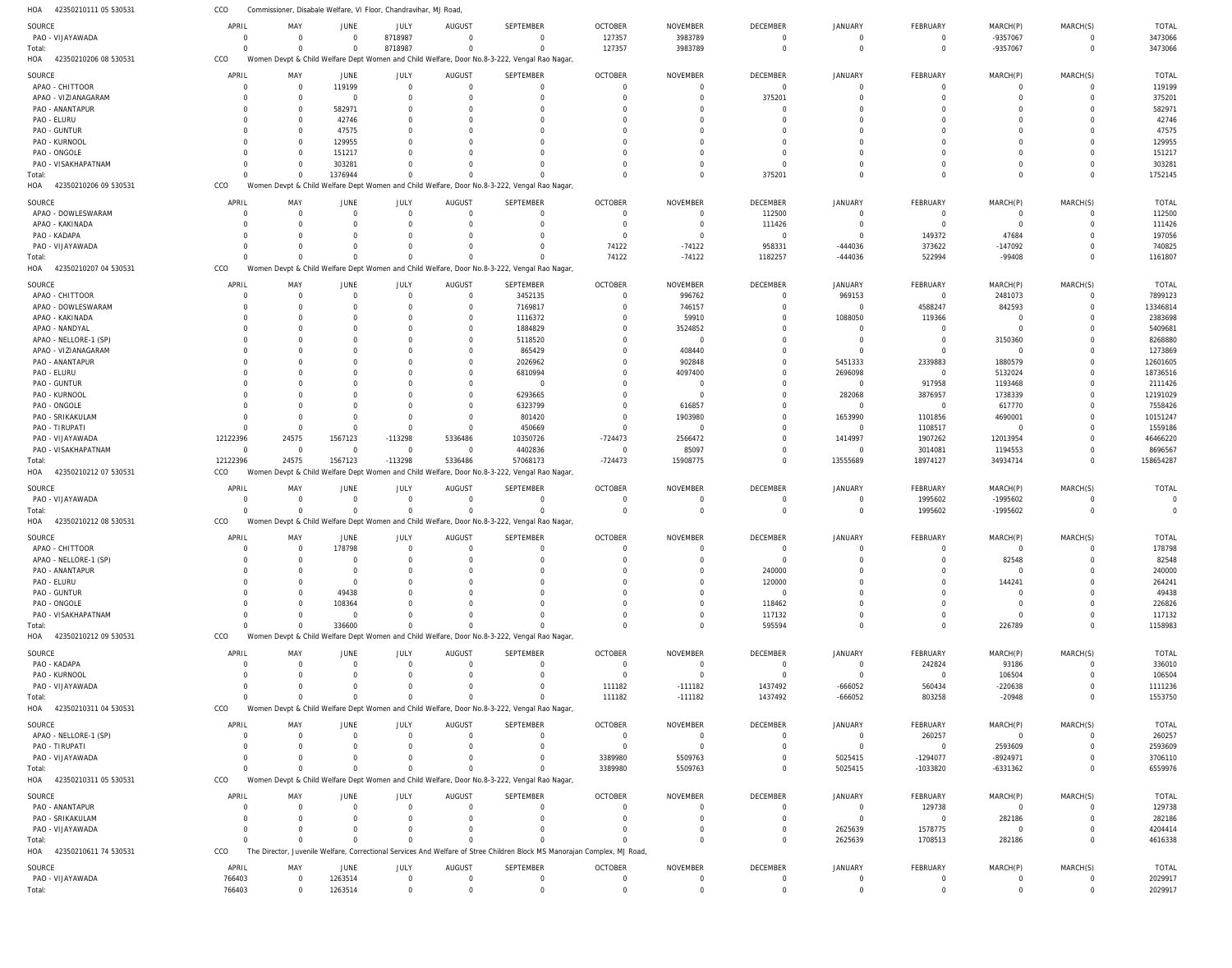42350210111 05 530531 HOA 42350210206 08 530531 HOA 42350210206 09 530531 42350210207 04 530531 HOA 42350210212 07 530531 HOA 42350210212 08 530531 42350210212 09 530531 HOA 42350210311 04 530531 HOA 42350210311 05 530531 42350210611 74 530531 HOA HOA HOA HOA Commissioner, Disabale Welfare, VI Floor, Chandravihar, MJ Road, Women Devpt & Child Welfare Dept Women and Child Welfare, Door No.8-3-222, Vengal Rao Nagar, Women Devpt & Child Welfare Dept Women and Child Welfare, Door No.8-3-222, Vengal Rao Nagar, Women Devpt & Child Welfare Dept Women and Child Welfare, Door No.8-3-222, Vengal Rao Nagar, Women Devpt & Child Welfare Dept Women and Child Welfare, Door No.8-3-222, Vengal Rao Nagar, Women Devpt & Child Welfare Dept Women and Child Welfare, Door No.8-3-222, Vengal Rao Nagar, Women Devpt & Child Welfare Dept Women and Child Welfare, Door No.8-3-222, Vengal Rao Nagar, Women Devpt & Child Welfare Dept Women and Child Welfare, Door No.8-3-222, Vengal Rao Nagar, Women Devpt & Child Welfare Dept Women and Child Welfare, Door No.8-3-222, Vengal Rao Nagar, The Director, Juvenile Welfare, Correctional Services And Welfare of Stree Children Block MS Manorajan Complex, MJ Road, CCO CCO CCO CCO CCO CCO CCO CCO CCO CCO 0 0 0 12122396 0 0  $\Omega$ 0  $\Omega$ 766403 0 0 0 24575 0 0 0 0  $\Omega$ 0 0 1376944 0 1567123 0 336600 0 0  $\Omega$ 1263514 8718987  $\Omega$ 0 -113298 0 0 0 0  $\Omega$ 0 0 0 0 5336486 0 0 0 0  $\Omega$ 0 0  $\Omega$ 0 57068173  $\Omega$ 0  $\Omega$ 0  $\Omega$ 0 127357  $\Omega$ 74122 -724473  $\Omega$ 0 111182 3389980  $\Omega$ 0 3983789 0 -74122 15908775 0 0 -111182 5509763  $\Omega$ 0 0 375201 1182257 0 0 595594 1437492 0  $\Omega$ 0 0 0 -444036 13555689 0 0 -666052 5025415 2625639 0 0  $\Omega$ 522994 18974127 1995602 0 803258 -1033820 1708513 0 -9357067 0 -99408 34934714 -1995602 226789 -20948 -6331362 282186 0 0 0 0 0  $\Omega$ 0  $\Omega$ 0  $\Omega$ 0 3473066 1752145 1161807 158654287 0 1158983 1553750 6559976 4616338 2029917 PAO - VIJAYAWADA APAO - CHITTOOR APAO - VIZIANAGARAM PAO - ANANTAPUR PAO - ELURU PAO - GUNTUR PAO - KURNOOL PAO - ONGOLE PAO - VISAKHAPATNAM APAO - DOWLESWARAM APAO - KAKINADA PAO - KADAPA PAO - VIJAYAWADA APAO - CHITTOOR APAO - DOWLESWARAM APAO - KAKINADA APAO - NANDYAL APAO - NELLORE-1 (SP) APAO - VIZIANAGARAM PAO - ANANTAPUR PAO - ELURU PAO - GUNTUR PAO - KURNOOL PAO - ONGOLE PAO - SRIKAKULAM PAO - TIRUPATI PAO - VIJAYAWADA PAO - VISAKHAPATNAM PAO - VIJAYAWADA APAO - CHITTOOR APAO - NELLORE-1 (SP) PAO - ANANTAPUR PAO - ELURU PAO - GUNTUR PAO - ONGOLE PAO - VISAKHAPATNAM PAO - KADAPA PAO - KURNOOL PAO - VIJAYAWADA APAO - NELLORE-1 (SP) PAO - TIRUPATI PAO - VIJAYAWADA PAO - ANANTAPUR PAO - SRIKAKULAM PAO - VIJAYAWADA PAO - VIJAYAWADA SOURCE **SOURCE SOURCE** SOURCE **SOURCE SOURCE SOURCE SOURCE** SOURCE SOURCE 0 0 0 0 0  $\Omega$ 0  $\Omega$ 0 0  $\Omega$ 0  $\Omega$ 0  $\Omega$  $\Omega$ 0 0 0 0  $\Omega$ 0  $\Omega$ 0  $\Omega$  $\Omega$ 12122396  $\Omega$ 0 0  $\Omega$ 0 0 0  $\Omega$  $\Omega$ 0 0 0 0  $\Omega$ 0 0  $\Omega$ 0 766403 APRIL APRIL APRIL APRIL APRIL APRIL APRIL APRIL APRIL APRIL 0 0 0 0 0 0 0  $\Omega$ 0 0 0 0  $\Omega$ 0  $\Omega$  $\Omega$ 0 0 0 0  $\Omega$ 0  $\Omega$ 0  $\Omega$  $\Omega$ 24575  $\Omega$ 0 0 0 0 0 0 0 0 0 0 0 0 0 0 0 0 0  $\Omega$ MAY MAY MAY MAY MAY MAY MAY MAY MAY MAY 0 119199 0 582971 42746 47575 129955 151217 303281 0  $\Omega$ 0  $\Omega$ 0  $\Omega$  $\Omega$ 0 0 0  $\Omega$  $\Omega$  $\overline{0}$  $\Omega$ 0  $\Omega$  $\Omega$ 1567123  $\Omega$ 0 178798  $\Omega$ 0 0 49438 108364  $\Omega$ 0 0 0 0  $\Omega$ 0 0  $\Omega$ 0 1263514 JUNE **JUNE** JUNE JUNE JUNE JUNE **JUNE** JUNE JUNE JUNE 8718987 0 0 0  $\Omega$  $\Omega$ 0  $\Omega$ 0 0  $\Omega$ 0  $\Omega$ 0  $\Omega$  $\Omega$ 0  $\Omega$ 0  $\Omega$  $\Omega$ 0  $\Omega$ 0  $\Omega$  $\Omega$ -113298  $\Omega$ 0  $\Omega$  $\Omega$ 0 0 0  $\Omega$  $\Omega$ 0 0 0 0  $\Omega$ 0 0  $\Omega$ 0  $\Omega$ JULY JULY JULY JULY JULY JULY JULY JULY JULY JULY 0 0 0 0 0  $\Omega$ 0  $\Omega$ 0 0 0 0  $\Omega$ 0 0 0 0 0 0 0 0 0  $\Omega$ 0 0  $\Omega$ 5336486  $\Omega$ 0 0  $\Omega$ 0 0 0 0  $\Omega$ 0 0 0 0 0 0 0 0 0  $\Omega$ AUGUST AUGUST AUGUST AUGUST **AUGUST** AUGUST **AUGUST AUGUST** AUGUST AUGUST 0 0 0 0  $\Omega$  $\Omega$ 0  $\Omega$ 0  $\Omega$  $\Omega$ 0  $\Omega$ 3452135 7169817 1116372 1884829 5118520 865429 2026962 6810994 0 6293665 6323799 801420 450669 10350726 4402836 0  $\Omega$  $\Omega$ 0 0 0  $\Omega$  $\Omega$ 0 0  $\Omega$ 0  $\Omega$ 0  $\Omega$  $\bigcap$ 0  $\Omega$ SEPTEMBER SEPTEMBER **SEPTEMBER** SEPTEMBER **SEPTEMBER SEPTEMBER SEPTEMBER SEPTEMBER** SEPTEMBER SEPTEMBER 127357 0 0 0  $\Omega$  $\Omega$ 0  $\Omega$ 0  $\Omega$  $\Omega$ 0 74122 0  $\Omega$  $\Omega$ 0 0 0  $\Omega$  $\Omega$ 0  $\Omega$ 0  $\Omega$  $\Omega$ -724473  $\Omega$ 0  $\Omega$  $\Omega$ 0 0 0  $\Omega$  $\Omega$ 0 0 111182 0  $\Omega$ 3389980 0  $\Omega$ 0  $\Omega$ OCTOBER OCTOBER OCTOBER OCTOBER OCTOBER OCTOBER **OCTOBER** OCTOBER OCTOBER OCTOBER 3983789 0 0 0  $\Omega$  $\Omega$ 0  $\Omega$ 0 0  $\Omega$ 0 -74122 996762 746157 59910 3524852 0 408440 902848 4097400 0  $\Omega$ 616857 1903980  $\Omega$ 2566472 85097 0  $\Omega$  $\Omega$ 0 0 0 0  $\Omega$ 0 0 -111182 0  $\Omega$ 5509763 0  $\Omega$ 0  $\Omega$ NOVEMBER NOVEMBER NOVEMBER NOVEMBER NOVEMBER NOVEMBER NOVEMBER NOVEMBER NOVEMBER NOVEMBER 0 0 375201 0  $\Omega$  $\Omega$ 0  $\Omega$ 0 112500 111426 0 958331 0  $\Omega$  $\Omega$ 0 0  $\Omega$ 0 0 0  $\Omega$ 0  $\Omega$  $\Omega$ 0  $\Omega$ 0 0  $\Omega$ 240000 120000  $\Omega$ 118462 117132 0 0 1437492 0  $\Omega$ 0 0  $\Omega$ 0  $\Omega$ DECEMBER **DECEMBER** DECEMBER DECEMBER DECEMBER DECEMBER **DECEMBER DECEMBER** DECEMBER DECEMBER 0 0 0 0 0  $\Omega$ 0  $\Omega$ 0 0 0 0 -444036 969153 0 1088050 0 0 0 5451333 2696098 0 282068 0 1653990  $\Omega$ 1414997  $\Omega$ 0 0  $\Omega$ 0 0 0 0  $\Omega$ 0 0 -666052 0  $\Omega$ 5025415 0  $\Omega$ 2625639  $\Omega$ JANUARY JANUARY JANUARY JANUARY JANUARY JANUARY **JANUARY** JANUARY JANUARY JANUARY 0 0 0 0  $\Omega$  $\Omega$ 0  $\Omega$ 0 0  $\Omega$ 149372 373622  $\Omega$ 4588247 119366 0 0  $\Omega$ 2339883  $\Omega$ 917958 3876957 0 1101856 1108517 1907262 3014081 1995602  $\Omega$  $\Omega$ 0 0 0  $\Omega$  $\Omega$ 242824 0 560434 260257  $\Omega$ -1294077 129738  $\sqrt{2}$ 1578775  $\Omega$ FEBRUARY FEBRUARY FEBRUARY FEBRUARY **FEBRUARY** FEBRUARY **FFBRUARY FFBRUARY** FEBRUARY FEBRUARY -9357067 0 0 0  $\Omega$  $\Omega$ 0  $\Omega$ 0  $\Omega$  $\Omega$ 47684 -147092 2481073 842593  $\Omega$ 0 3150360 0 1880579 5132024 1193468 1738339 617770 4690001  $\Omega$ 12013954 1194553 -1995602  $\Omega$ 82548 0 144241 0 0  $\Omega$ 93186 106504 -220638 0 2593609 -8924971  $\Omega$ 282186 0  $\Omega$ MARCH(P) MARCH(P) MARCH(P) MARCH(P) MARCH(P) MARCH(P) MARCH(P) MARCH(P) MARCH(P) MARCH(P)  $\Omega$ 0 0 0  $\Omega$  $\Omega$ 0  $\Omega$ 0  $\Omega$  $\Omega$ 0  $\Omega$ 0  $\Omega$  $\Omega$ 0 0  $\Omega$  $\Omega$  $\Omega$ 0  $\Omega$ 0  $\Omega$  $\Omega$ 0  $\Omega$ 0  $\Omega$  $\Omega$ 0 0 0  $\Omega$  $\Omega$ 0 0 0 0  $\Omega$ 0 0  $\Omega$ 0  $\Omega$ MARCH(S) MARCH(S) MARCH(S) MARCH(S) MARCH(S) MARCH(S) MARCH(S) MARCH(S) MARCH(S) MARCH(S) 3473066 119199 375201 582971 42746 47575 129955 151217 303281 112500 111426 197056 740825 7899123 13346814 2383698 5409681 8268880 1273869 12601605 18736516 2111426 12191029 7558426 10151247 1559186 46466220 8696567 0 178798 82548 240000 264241 49438 226826 117132 336010 106504 1111236 260257 2593609 3706110 129738 282186 4204414 2029917 TOTAL TOTAL TOTAL TOTAL TOTAL TOTAL TOTAL TOTAL TOTAL TOTAL Total: Total: Total: Total: Total: Total: Total: Total: Total: Total: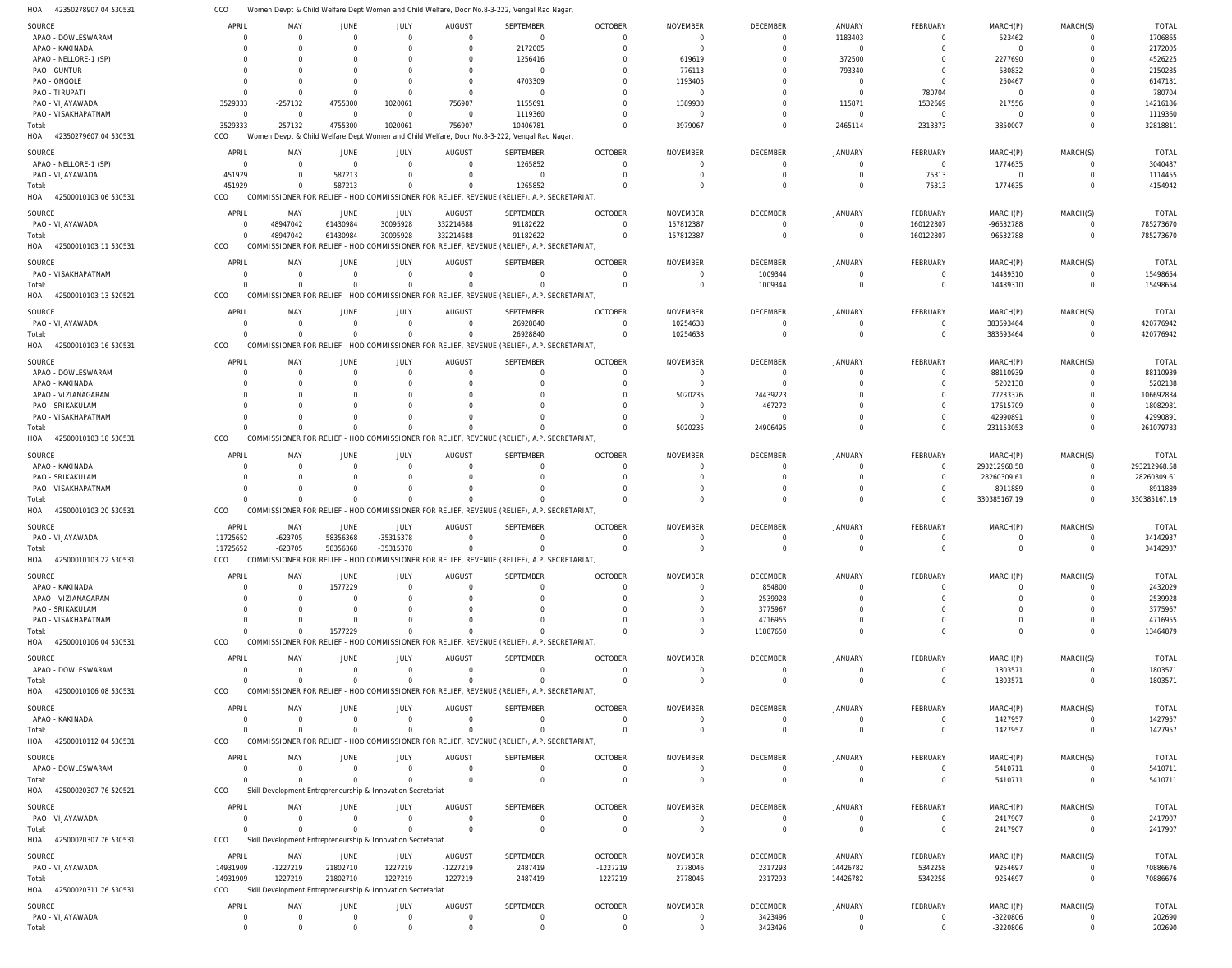42350278907 04 530531 HOA Women Devpt & Child Welfare Dept Women and Child Welfare, Door No.8-3-222, Vengal Rao Nagar, CCO

| SOURCE                       |                  |                            |                                                              |                            |                                  |                                                                                             |                               |                               |                    |                               |                           |                      |                     |                  |
|------------------------------|------------------|----------------------------|--------------------------------------------------------------|----------------------------|----------------------------------|---------------------------------------------------------------------------------------------|-------------------------------|-------------------------------|--------------------|-------------------------------|---------------------------|----------------------|---------------------|------------------|
|                              | APRIL            | MAY                        | JUNE                                                         | JULY                       | <b>AUGUST</b>                    | <b>SEPTEMBER</b>                                                                            | <b>OCTOBER</b>                | <b>NOVEMBER</b>               | <b>DECEMBER</b>    | <b>JANUARY</b>                | FEBRUARY                  | MARCH(P)             | MARCH(S)            | <b>TOTAL</b>     |
| APAO - DOWLESWARAM           | $\Omega$         | $\Omega$                   | $\overline{0}$                                               | $\overline{0}$             | $\Omega$                         | $\overline{0}$                                                                              | $\Omega$                      | $\Omega$                      | $\overline{0}$     | 1183403                       | $\mathbf 0$               | 523462               | 0                   | 1706865          |
| APAO - KAKINADA              |                  |                            | $\Omega$                                                     | $\Omega$                   | $\Omega$                         | 2172005                                                                                     | $\Omega$                      | $\Omega$                      | $\Omega$           | $\Omega$                      | $\Omega$                  | $\Omega$             | $\Omega$            | 2172005          |
|                              |                  |                            |                                                              |                            |                                  |                                                                                             |                               |                               |                    |                               |                           |                      |                     |                  |
| APAO - NELLORE-1 (SP)        |                  |                            |                                                              |                            | $\Omega$                         | 1256416                                                                                     |                               | 619619                        |                    | 372500                        |                           | 2277690              | $\Omega$            | 4526225          |
| PAO - GUNTUR                 |                  |                            |                                                              | 0                          | $\Omega$                         | $\mathbf 0$                                                                                 |                               | 776113                        |                    | 793340                        |                           | 580832               | $\Omega$            | 2150285          |
| PAO - ONGOLE                 | $\Omega$         |                            | $\Omega$                                                     | $\Omega$                   | $\Omega$                         | 4703309                                                                                     |                               | 1193405                       |                    | $\Omega$                      | $\Omega$                  | 250467               | $\Omega$            | 6147181          |
|                              |                  |                            |                                                              |                            |                                  |                                                                                             |                               |                               |                    |                               |                           |                      |                     |                  |
| PAO - TIRUPATI               | $\Omega$         |                            | $\Omega$                                                     | $\Omega$                   | $\Omega$                         | $\mathbf 0$                                                                                 |                               | $\Omega$                      |                    | $\Omega$                      | 780704                    | $\Omega$             | $\Omega$            | 780704           |
| PAO - VIJAYAWADA             | 3529333          | $-257132$                  | 4755300                                                      | 1020061                    | 756907                           | 1155691                                                                                     |                               | 1389930                       |                    | 115871                        | 1532669                   | 217556               | $\Omega$            | 14216186         |
| PAO - VISAKHAPATNAM          | $\mathbf 0$      | $\overline{0}$             | $\overline{0}$                                               | $\Omega$                   | $\Omega$                         | 1119360                                                                                     |                               | - 0                           |                    | $\Omega$                      | $\overline{0}$            | $\Omega$             | $\Omega$            | 1119360          |
|                              |                  |                            |                                                              |                            |                                  |                                                                                             |                               |                               |                    |                               |                           |                      |                     |                  |
| Total:                       | 3529333          | $-257132$                  | 4755300                                                      | 1020061                    | 756907                           | 10406781                                                                                    | $\Omega$                      | 3979067                       | $\Omega$           | 2465114                       | 2313373                   | 3850007              | $\Omega$            | 32818811         |
| HOA 42350279607 04 530531    | CCO              |                            |                                                              |                            |                                  | Women Devpt & Child Welfare Dept Women and Child Welfare, Door No.8-3-222, Vengal Rao Nagar |                               |                               |                    |                               |                           |                      |                     |                  |
|                              |                  |                            |                                                              |                            |                                  |                                                                                             |                               |                               |                    |                               |                           |                      |                     |                  |
| SOURCE                       | APRIL            | MAY                        | <b>JUNE</b>                                                  | JULY                       | <b>AUGUST</b>                    | <b>SEPTEMBER</b>                                                                            | <b>OCTOBER</b>                | <b>NOVEMBER</b>               | <b>DECEMBER</b>    | <b>JANUARY</b>                | <b>FEBRUARY</b>           | MARCH(P)             | MARCH(S)            | <b>TOTAL</b>     |
| APAO - NELLORE-1 (SP)        | $\Omega$         | $\Omega$                   | $\overline{0}$                                               | $\Omega$                   | $\Omega$                         | 1265852                                                                                     |                               | $\Omega$                      | $\Omega$           | $\Omega$                      | $\overline{0}$            | 1774635              | $\Omega$            | 3040487          |
|                              | 451929           |                            | 587213                                                       | $\Omega$                   |                                  |                                                                                             |                               |                               | $\Omega$           | $\Omega$                      | 75313                     |                      | $\Omega$            |                  |
| PAO - VIJAYAWADA             |                  |                            |                                                              |                            |                                  | $\mathbf 0$                                                                                 |                               | $\Omega$                      |                    |                               |                           | $\overline{0}$       |                     | 1114455          |
| Total:                       | 451929           |                            | 587213                                                       | $\mathbf 0$                |                                  | 1265852                                                                                     |                               | $\Omega$                      | $\Omega$           | $\Omega$                      | 75313                     | 1774635              | $\Omega$            | 4154942          |
| 42500010103 06 530531<br>HOA | CCO              |                            |                                                              |                            |                                  | COMMISSIONER FOR RELIEF - HOD COMMISSIONER FOR RELIEF, REVENUE (RELIEF), A.P. SECRETARIAT,  |                               |                               |                    |                               |                           |                      |                     |                  |
|                              |                  |                            |                                                              |                            |                                  |                                                                                             |                               |                               |                    |                               |                           |                      |                     |                  |
| SOURCE                       | APRIL            | MAY                        | <b>JUNE</b>                                                  | JULY                       | <b>AUGUST</b>                    | <b>SEPTEMBER</b>                                                                            | <b>OCTOBER</b>                | <b>NOVEMBER</b>               | <b>DECEMBER</b>    | <b>JANUARY</b>                | FEBRUARY                  | MARCH(P)             | MARCH(S)            | <b>TOTAL</b>     |
| PAO - VIJAYAWADA             | $\Omega$         | 48947042                   | 61430984                                                     | 30095928                   | 332214688                        | 91182622                                                                                    | $\Omega$                      | 157812387                     | $\overline{0}$     | $\Omega$                      | 160122807                 | -96532788            | $\mathbf 0$         | 785273670        |
|                              |                  |                            |                                                              |                            |                                  |                                                                                             |                               |                               |                    |                               |                           |                      |                     |                  |
| Total:                       | $\Omega$         | 48947042                   | 61430984                                                     | 30095928                   | 332214688                        | 91182622                                                                                    | $\overline{0}$                | 157812387                     | $\overline{0}$     | $\Omega$                      | 160122807                 | -96532788            | $\mathbf 0$         | 785273670        |
| HOA 42500010103 11 530531    | CCO              |                            |                                                              |                            |                                  | COMMISSIONER FOR RELIEF - HOD COMMISSIONER FOR RELIEF, REVENUE (RELIEF), A.P. SECRETARIAT,  |                               |                               |                    |                               |                           |                      |                     |                  |
|                              |                  |                            |                                                              |                            |                                  |                                                                                             |                               |                               |                    |                               |                           |                      |                     |                  |
| SOURCE                       | APRIL            | MAY                        | JUNE                                                         | JULY                       | <b>AUGUST</b>                    | <b>SEPTEMBER</b>                                                                            | <b>OCTOBER</b>                | <b>NOVEMBER</b>               | <b>DECEMBER</b>    | <b>JANUARY</b>                | FEBRUARY                  | MARCH(P)             | MARCH(S)            | <b>TOTAL</b>     |
| PAO - VISAKHAPATNAM          | $\Omega$         | $\Omega$                   | $\overline{0}$                                               | $\Omega$                   | $\Omega$                         | 0                                                                                           | $\Omega$                      | $\Omega$                      | 1009344            | $\Omega$                      | 0                         | 14489310             | $\Omega$            | 15498654         |
|                              |                  |                            |                                                              |                            |                                  |                                                                                             |                               |                               |                    |                               |                           |                      |                     |                  |
| Total:                       | $\Omega$         |                            | $\mathbf 0$                                                  | $\mathbf 0$                | $\Omega$                         | $\mathbf 0$                                                                                 | $\Omega$                      | $\Omega$                      | 1009344            | $\Omega$                      | $\mathbf 0$               | 14489310             | $\mathbf 0$         | 15498654         |
| 42500010103 13 520521<br>HOA | CCO              |                            |                                                              |                            |                                  | COMMISSIONER FOR RELIEF - HOD COMMISSIONER FOR RELIEF, REVENUE (RELIEF), A.P. SECRETARIAT,  |                               |                               |                    |                               |                           |                      |                     |                  |
|                              |                  |                            |                                                              |                            |                                  |                                                                                             |                               |                               |                    |                               |                           |                      |                     |                  |
| SOURCE                       | APRIL            | MAY                        | JUNE                                                         | <b>JULY</b>                | <b>AUGUST</b>                    | <b>SEPTEMBER</b>                                                                            | <b>OCTOBER</b>                | <b>NOVEMBER</b>               | <b>DECEMBER</b>    | <b>JANUARY</b>                | FEBRUARY                  | MARCH(P)             | MARCH(S)            | <b>TOTAL</b>     |
| PAO - VIJAYAWADA             | $\Omega$         | $\Omega$                   | $\overline{0}$                                               | $\mathbf 0$                | $\Omega$                         | 26928840                                                                                    | $\Omega$                      | 10254638                      | $\Omega$           | $\Omega$                      | - 0                       | 383593464            | 0                   | 420776942        |
|                              |                  |                            |                                                              |                            |                                  |                                                                                             |                               |                               |                    |                               |                           |                      |                     |                  |
| Total:                       | $\Omega$         | $\Omega$                   | $\Omega$                                                     | $\Omega$                   | $\Omega$                         | 26928840                                                                                    | $\Omega$                      | 10254638                      | $\Omega$           | $\Omega$                      | $\mathbf 0$               | 383593464            | $\mathbf 0$         | 420776942        |
| 42500010103 16 530531<br>HOA | CCO              |                            |                                                              |                            |                                  | COMMISSIONER FOR RELIEF - HOD COMMISSIONER FOR RELIEF, REVENUE (RELIEF), A.P. SECRETARIAT,  |                               |                               |                    |                               |                           |                      |                     |                  |
|                              |                  |                            |                                                              |                            |                                  |                                                                                             |                               |                               |                    |                               |                           |                      |                     |                  |
| SOURCE                       | APRIL            | MAY                        | <b>JUNE</b>                                                  | JULY                       | <b>AUGUST</b>                    | <b>SEPTEMBER</b>                                                                            | <b>OCTOBER</b>                | <b>NOVEMBER</b>               | <b>DECEMBER</b>    | <b>JANUARY</b>                | FEBRUARY                  | MARCH(P)             | MARCH(S)            | <b>TOTAL</b>     |
| APAO - DOWLESWARAM           |                  |                            | 0                                                            | $\Omega$                   | $\Omega$                         | 0                                                                                           | $\Omega$                      | - 0                           | $\overline{0}$     | $\Omega$                      | $\Omega$                  | 88110939             | $\Omega$            | 88110939         |
|                              |                  |                            |                                                              |                            |                                  |                                                                                             |                               |                               |                    |                               |                           |                      |                     |                  |
| APAO - KAKINADA              |                  |                            | $\Omega$                                                     |                            |                                  | $\Omega$                                                                                    |                               | $\Omega$                      | $\Omega$           |                               | 0                         | 5202138              | $\Omega$            | 5202138          |
| APAO - VIZIANAGARAM          |                  |                            |                                                              |                            |                                  | C                                                                                           |                               | 5020235                       | 24439223           |                               |                           | 77233376             |                     | 106692834        |
| PAO - SRIKAKULAM             |                  |                            |                                                              |                            |                                  |                                                                                             |                               | $\Omega$                      | 467272             |                               |                           | 17615709             |                     | 18082981         |
|                              |                  |                            |                                                              |                            |                                  |                                                                                             |                               |                               |                    |                               |                           |                      |                     |                  |
| PAO - VISAKHAPATNAM          |                  |                            |                                                              |                            |                                  | C                                                                                           |                               | - 0                           | $\overline{0}$     |                               |                           | 42990891             | $\Omega$            | 42990891         |
| Total:                       |                  |                            | $\Omega$                                                     | $\Omega$                   |                                  | $\Omega$                                                                                    |                               | 5020235                       | 24906495           | $\Omega$                      | $\Omega$                  | 231153053            | $\Omega$            | 261079783        |
| 42500010103 18 530531<br>HOA | CCO              | COMMISSIONER FOR RELIEF    |                                                              |                            |                                  | - HOD COMMISSIONER FOR RELIEF, REVENUE (RELIEF), A.P. SECRETARIAT,                          |                               |                               |                    |                               |                           |                      |                     |                  |
|                              |                  |                            |                                                              |                            |                                  |                                                                                             |                               |                               |                    |                               |                           |                      |                     |                  |
| SOURCE                       | APRIL            | MAY                        | <b>JUNE</b>                                                  | JULY                       | AUGUS <sub>1</sub>               | <b>SEPTEMBER</b>                                                                            | <b>OCTOBER</b>                | <b>NOVEMBER</b>               | <b>DECEMBER</b>    | <b>JANUARY</b>                | FEBRUARY                  | MARCH(P)             | MARCH(S)            | <b>TOTAL</b>     |
|                              |                  |                            |                                                              |                            |                                  |                                                                                             |                               |                               |                    |                               |                           |                      |                     |                  |
| APAO - KAKINADA              | $\Omega$         | $\Omega$                   | $\Omega$                                                     | $\Omega$                   | $\Omega$                         | $\Omega$                                                                                    | $\Omega$                      | $\Omega$                      | $\Omega$           | $\Omega$                      | $\overline{0}$            | 293212968.58         | $\mathbf 0$         | 293212968.58     |
| PAO - SRIKAKULAM             |                  |                            | $\Omega$                                                     | $\Omega$                   |                                  | $\mathbf 0$                                                                                 |                               | $\Omega$                      | $\Omega$           | $\Omega$                      | $\overline{0}$            | 28260309.61          | $\mathbf 0$         | 28260309.61      |
| PAO - VISAKHAPATNAM          |                  |                            | $\Omega$                                                     | $\Omega$                   |                                  | $\Omega$                                                                                    |                               | $\Omega$                      | $\Omega$           | $\Omega$                      | $\mathbf 0$               | 8911889              | $\mathbf 0$         | 8911889          |
|                              |                  |                            |                                                              |                            |                                  |                                                                                             |                               |                               |                    |                               |                           |                      |                     |                  |
|                              |                  |                            |                                                              |                            |                                  |                                                                                             |                               |                               |                    |                               |                           |                      |                     |                  |
| Total:                       | $\Omega$         | $\Omega$                   | $\Omega$                                                     | $\Omega$                   | $\Omega$                         | $\Omega$                                                                                    |                               | $\Omega$                      | $\Omega$           | $\Omega$                      | $\Omega$                  | 330385167.19         | $\Omega$            | 330385167.19     |
|                              |                  |                            |                                                              |                            |                                  |                                                                                             |                               |                               |                    |                               |                           |                      |                     |                  |
| HOA 42500010103 20 530531    | CCO              |                            |                                                              |                            |                                  | COMMISSIONER FOR RELIEF - HOD COMMISSIONER FOR RELIEF, REVENUE (RELIEF), A.P. SECRETARIAT,  |                               |                               |                    |                               |                           |                      |                     |                  |
|                              |                  |                            |                                                              |                            |                                  |                                                                                             |                               |                               |                    |                               |                           |                      |                     |                  |
| SOURCE                       | APRIL            | MAY                        | JUNE                                                         | JULY                       | <b>AUGUST</b>                    | <b>SEPTEMBER</b>                                                                            | <b>OCTOBER</b>                | <b>NOVEMBER</b>               | DECEMBER           | <b>JANUARY</b>                | FEBRUARY                  | MARCH(P)             | MARCH(S)            | <b>TOTAL</b>     |
| PAO - VIJAYAWADA             | 11725652         | $-623705$                  | 58356368                                                     | -35315378                  | $\Omega$                         | 0                                                                                           |                               | $\Omega$                      | $\Omega$           |                               | $\Omega$                  | $\Omega$             | $\Omega$            | 34142937         |
| Total:                       | 11725652         | $-623705$                  | 58356368                                                     | -35315378                  | $\Omega$                         | $\mathbf 0$                                                                                 |                               | $\Omega$                      | $\Omega$           | $\Omega$                      | $\Omega$                  | $\Omega$             | $\Omega$            | 34142937         |
|                              | CCO              |                            |                                                              |                            |                                  |                                                                                             |                               |                               |                    |                               |                           |                      |                     |                  |
| HOA 42500010103 22 530531    |                  |                            |                                                              |                            |                                  | COMMISSIONER FOR RELIEF - HOD COMMISSIONER FOR RELIEF, REVENUE (RELIEF), A.P. SECRETARIAT,  |                               |                               |                    |                               |                           |                      |                     |                  |
| SOURCE                       | APRIL            | MAY                        | JUNE                                                         |                            |                                  | <b>SEPTEMBER</b>                                                                            | <b>OCTOBER</b>                | <b>NOVEMBER</b>               | <b>DECEMBER</b>    | <b>JANUARY</b>                |                           | MARCH(P)             |                     | <b>TOTAL</b>     |
|                              |                  |                            |                                                              | JULY                       | <b>AUGUST</b>                    |                                                                                             |                               |                               |                    |                               | FEBRUARY                  |                      | MARCH(S)            |                  |
| APAO - KAKINADA              | $\Omega$         |                            | 1577229                                                      | $\mathbf 0$                | $\Omega$                         | $\mathbf 0$                                                                                 | $\Omega$                      | $\Omega$                      | 854800             | $\Omega$                      | 0                         | 0                    | $\Omega$            | 2432029          |
| APAO - VIZIANAGARAM          | $\Omega$         |                            | $\overline{0}$                                               | $\Omega$                   |                                  | $\mathbf 0$                                                                                 | $\Omega$                      | $\mathbf 0$                   | 2539928            | $\Omega$                      | $\mathbf 0$               | $\Omega$             | $\mathbf 0$         | 2539928          |
|                              | $\Omega$         |                            | $\Omega$                                                     |                            |                                  | $\Omega$                                                                                    |                               | $\Omega$                      |                    |                               |                           |                      | $\Omega$            |                  |
| PAO - SRIKAKULAM             |                  |                            |                                                              |                            |                                  |                                                                                             |                               |                               | 3775967            |                               |                           |                      |                     | 3775967          |
| PAO - VISAKHAPATNAM          | $\Omega$         |                            | $\Omega$                                                     | 0                          |                                  | $\Omega$                                                                                    |                               | $\Omega$                      | 4716955            | $\Omega$                      | $\Omega$                  | $\Omega$             | $\mathbf 0$         | 4716955          |
| Total:                       | $\Omega$         | $\Omega$                   | 1577229                                                      | $\Omega$                   | $\Omega$                         | $\Omega$                                                                                    | $\Omega$                      | $\Omega$                      | 11887650           | $\Omega$                      | $\mathbf 0$               | $\mathbf 0$          | $\mathbf 0$         | 13464879         |
|                              | CCO              |                            |                                                              |                            |                                  |                                                                                             |                               |                               |                    |                               |                           |                      |                     |                  |
| HOA 42500010106 04 530531    |                  |                            |                                                              |                            |                                  | COMMISSIONER FOR RELIEF - HOD COMMISSIONER FOR RELIEF, REVENUE (RELIEF), A.P. SECRETARIAT,  |                               |                               |                    |                               |                           |                      |                     |                  |
| SOURCE                       | APRIL            | MAY                        | <b>JUNE</b>                                                  | JULY                       | <b>AUGUST</b>                    | <b>SEPTEMBER</b>                                                                            | <b>OCTOBER</b>                | <b>NOVEMBER</b>               | <b>DECEMBER</b>    | JANUARY                       | FEBRUARY                  | MARCH(P)             | MARCH(S)            | <b>TOTAL</b>     |
|                              |                  |                            |                                                              |                            |                                  |                                                                                             | $\Gamma$                      |                               |                    |                               |                           |                      |                     |                  |
| APAO - DOWLESWARAM           | $\Omega$         | $\Omega$                   | $\overline{0}$                                               | $\mathbf 0$                | $\Omega$                         | $\mathbf 0$                                                                                 |                               | 0                             | $\overline{0}$     | $\Omega$                      | $^{\circ}$                | 1803571              | 0                   | 1803571          |
| Total:                       | $\Omega$         |                            | $\mathbf 0$                                                  | $\mathbf 0$                | $\Omega$                         | $\mathbf 0$                                                                                 | $\Omega$                      | $\overline{0}$                | $\overline{0}$     | $\Omega$                      | $\mathbf 0$               | 1803571              | $\mathbf 0$         | 1803571          |
| HOA 42500010106 08 530531    | CCO              |                            |                                                              |                            |                                  | COMMISSIONER FOR RELIEF - HOD COMMISSIONER FOR RELIEF, REVENUE (RELIEF), A.P. SECRETARIAT,  |                               |                               |                    |                               |                           |                      |                     |                  |
|                              |                  |                            |                                                              |                            |                                  |                                                                                             |                               |                               |                    |                               |                           |                      |                     |                  |
| SOURCE                       | APRIL            | MAY                        | <b>JUNE</b>                                                  | JULY                       | <b>AUGUST</b>                    | <b>SEPTEMBER</b>                                                                            | <b>OCTOBER</b>                | <b>NOVEMBER</b>               | <b>DECEMBER</b>    | <b>JANUARY</b>                | FEBRUARY                  | MARCH(P)             | MARCH(S)            | <b>TOTAL</b>     |
|                              |                  |                            |                                                              |                            |                                  |                                                                                             |                               |                               |                    |                               |                           |                      |                     |                  |
| APAO - KAKINADA              | $\Omega$         | $\Omega$                   | $\overline{0}$                                               | $\overline{0}$             | $\Omega$                         | $\mathbf 0$                                                                                 | $\Omega$                      | $\overline{0}$                | $\overline{0}$     | $\Omega$                      | - 0                       | 1427957              | 0                   | 1427957          |
| Total:                       | $\Gamma$         |                            | $\overline{0}$                                               | $\mathbf 0$                | $\Omega$                         | $\mathbf 0$                                                                                 | $\Omega$                      | $\overline{0}$                | $\overline{0}$     | $\Omega$                      | $\mathbf 0$               | 1427957              | $\mathbf 0$         | 1427957          |
| HOA 42500010112 04 530531    | CCO              |                            |                                                              |                            |                                  | COMMISSIONER FOR RELIEF - HOD COMMISSIONER FOR RELIEF, REVENUE (RELIEF), A.P. SECRETARIAT,  |                               |                               |                    |                               |                           |                      |                     |                  |
|                              |                  |                            |                                                              |                            |                                  |                                                                                             |                               |                               |                    |                               |                           |                      |                     |                  |
| SOURCE                       | APRIL            | MAY                        | <b>JUNE</b>                                                  | JULY                       | <b>AUGUST</b>                    | SEPTEMBER                                                                                   | <b>OCTOBER</b>                | <b>NOVEMBER</b>               | <b>DECEMBER</b>    | <b>JANUARY</b>                | FEBRUARY                  | MARCH(P)             | MARCH(S)            | <b>TOTAL</b>     |
|                              |                  |                            |                                                              |                            |                                  |                                                                                             |                               |                               |                    |                               |                           |                      |                     |                  |
| APAO - DOWLESWARAM           | $\mathbf 0$      | $\Omega$                   | $\mathbf 0$                                                  | $\mathbf 0$                | $\overline{0}$                   | $\mathbf 0$                                                                                 | $\Omega$                      | $\overline{0}$                | $\overline{0}$     | $\overline{0}$                | $\overline{0}$            | 5410711              | $\mathbf 0$         | 5410711          |
| Total:                       | $\Omega$         | $\Omega$                   | $\mathbf 0$                                                  | $\Omega$                   | $\Omega$                         | $\mathbf 0$                                                                                 | $\Omega$                      | $\Omega$                      | $\overline{0}$     | $\Omega$                      | $\mathbf 0$               | 5410711              | $\mathbf 0$         | 5410711          |
| HOA 42500020307 76 520521    | CCO              |                            | Skill Development, Entrepreneurship & Innovation Secretariat |                            |                                  |                                                                                             |                               |                               |                    |                               |                           |                      |                     |                  |
|                              |                  |                            |                                                              |                            |                                  |                                                                                             |                               |                               |                    |                               |                           |                      |                     |                  |
| SOURCE                       | APRIL            | MAY                        | JUNE                                                         | JULY                       | <b>AUGUST</b>                    | <b>SEPTEMBER</b>                                                                            | <b>OCTOBER</b>                | <b>NOVEMBER</b>               | <b>DECEMBER</b>    | <b>JANUARY</b>                | FEBRUARY                  | MARCH(P)             | MARCH(S)            | <b>TOTAL</b>     |
|                              |                  |                            |                                                              |                            |                                  |                                                                                             |                               |                               |                    |                               |                           |                      |                     |                  |
| PAO - VIJAYAWADA             | $\Omega$         | $\Omega$                   | $\overline{0}$                                               | $\mathbf 0$                | $\overline{0}$                   | $\mathbf 0$                                                                                 | $\overline{0}$                | $\overline{0}$                | $\overline{0}$     | $\overline{0}$                | $\overline{0}$            | 2417907              | $\mathbf 0$         | 2417907          |
| Total:                       | $\Omega$         | $\Omega$                   | $\Omega$                                                     | $\Omega$                   | $\Omega$                         | $\mathbf 0$                                                                                 | $\Omega$                      | $\overline{0}$                | $\overline{0}$     | $\mathbf 0$                   | $\mathbf 0$               | 2417907              | $\mathbf 0$         | 2417907          |
|                              | CCO              |                            |                                                              |                            |                                  |                                                                                             |                               |                               |                    |                               |                           |                      |                     |                  |
| HOA 42500020307 76 530531    |                  |                            | Skill Development, Entrepreneurship & Innovation Secretariat |                            |                                  |                                                                                             |                               |                               |                    |                               |                           |                      |                     |                  |
| SOURCE                       | APRIL            | MAY                        | JUNE                                                         | JULY                       | AUGUST                           | SEPTEMBER                                                                                   | <b>OCTOBER</b>                | <b>NOVEMBER</b>               | <b>DECEMBER</b>    | JANUARY                       | FEBRUARY                  | MARCH(P)             | MARCH(S)            | <b>TOTAL</b>     |
|                              |                  |                            |                                                              |                            |                                  |                                                                                             |                               |                               |                    |                               |                           |                      |                     |                  |
| PAO - VIJAYAWADA             | 14931909         | $-1227219$                 | 21802710                                                     | 1227219                    | $-1227219$                       | 2487419                                                                                     | $-1227219$                    | 2778046                       | 2317293            | 14426782                      | 5342258                   | 9254697              | 0                   | 70886676         |
| Total:                       | 14931909         | $-1227219$                 | 21802710                                                     | 1227219                    | $-1227219$                       | 2487419                                                                                     | $-1227219$                    | 2778046                       | 2317293            | 14426782                      | 5342258                   | 9254697              | $\mathbf 0$         | 70886676         |
|                              | CCO              |                            |                                                              |                            |                                  |                                                                                             |                               |                               |                    |                               |                           |                      |                     |                  |
| HOA 42500020311 76 530531    |                  |                            | Skill Development, Entrepreneurship & Innovation Secretariat |                            |                                  |                                                                                             |                               |                               |                    |                               |                           |                      |                     |                  |
|                              |                  |                            |                                                              |                            |                                  |                                                                                             |                               |                               |                    |                               |                           |                      |                     |                  |
| SOURCE                       | APRIL            | MAY                        | JUNE                                                         | <b>JULY</b>                | <b>AUGUST</b>                    | SEPTEMBER                                                                                   | <b>OCTOBER</b>                | <b>NOVEMBER</b>               | DECEMBER           | <b>JANUARY</b>                | FEBRUARY                  | MARCH(P)             | MARCH(S)            | TOTAL            |
| PAO - VIJAYAWADA<br>Total:   | 0<br>$\mathbf 0$ | $\Omega$<br>$\overline{0}$ | $\overline{0}$<br>$\overline{0}$                             | $\mathbf 0$<br>$\mathbf 0$ | $\overline{0}$<br>$\overline{0}$ | $\mathbf 0$<br>$\mathbf 0$                                                                  | $\overline{0}$<br>$\mathbf 0$ | $\overline{0}$<br>$\mathbf 0$ | 3423496<br>3423496 | $\overline{0}$<br>$\mathbf 0$ | $^{\circ}$<br>$\mathbf 0$ | -3220806<br>-3220806 | 0<br>$\overline{0}$ | 202690<br>202690 |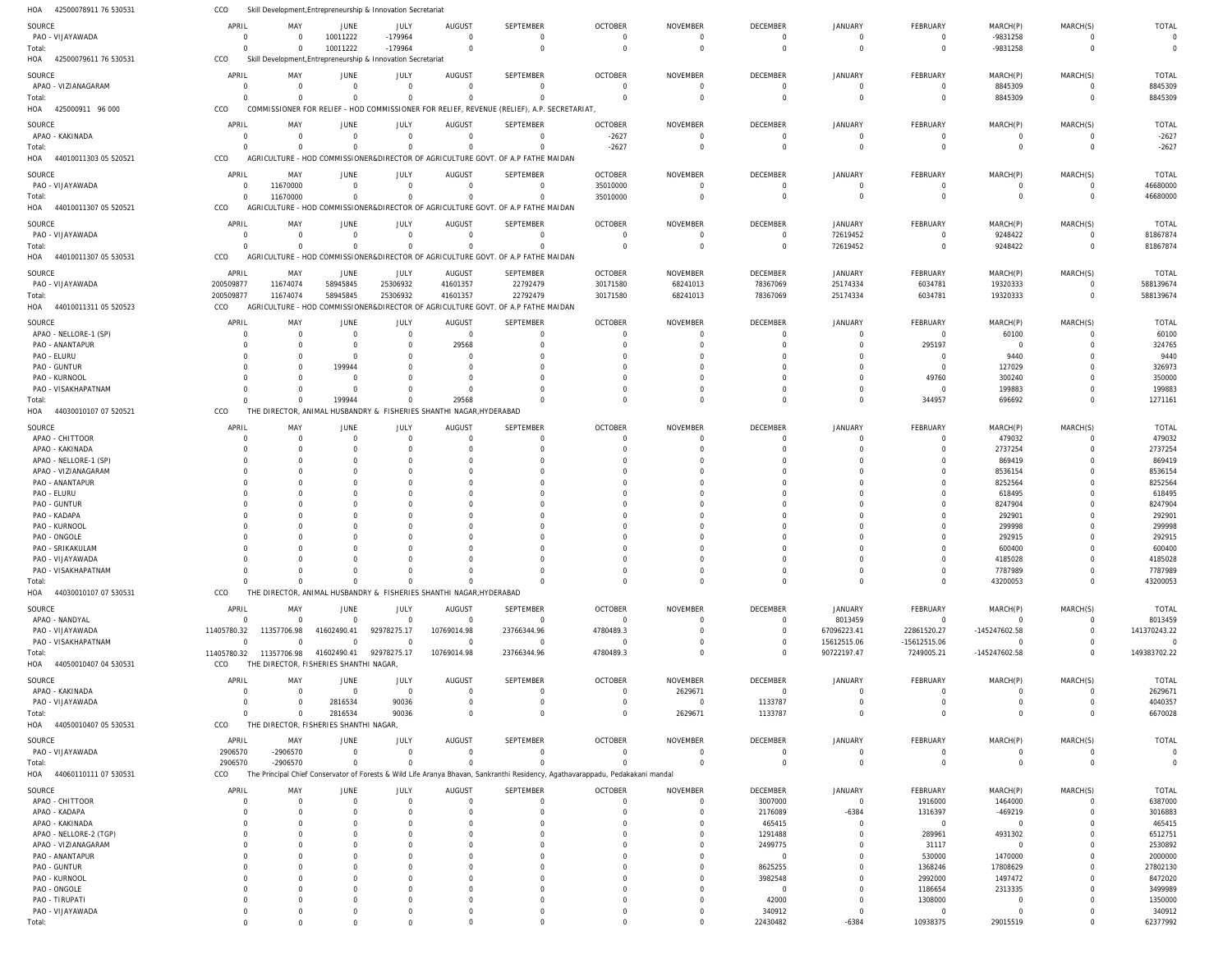| HOA<br>42500078911 76 530531                  | CCO                        | Skill Development, Entrepreneurship & Innovation Secretariat |                            |                      |                                                                     |                                                                                                                                |                               |                            |                      |                         |                      |                           |                      |                    |
|-----------------------------------------------|----------------------------|--------------------------------------------------------------|----------------------------|----------------------|---------------------------------------------------------------------|--------------------------------------------------------------------------------------------------------------------------------|-------------------------------|----------------------------|----------------------|-------------------------|----------------------|---------------------------|----------------------|--------------------|
| SOURCE                                        | APRIL                      | MAY                                                          | JUNE                       | JULY                 | AUGUST                                                              | SEPTEMBER                                                                                                                      | <b>OCTOBER</b>                | <b>NOVEMBER</b>            | <b>DECEMBER</b>      | <b>JANUARY</b>          | FEBRUARY             | MARCH(P)                  | MARCH(S)             | <b>TOTAL</b>       |
| PAO - VIJAYAWADA                              | $\overline{0}$             | $\Omega$                                                     | 10011222                   | -179964              | $\Omega$                                                            | $\mathbf 0$                                                                                                                    | $\overline{0}$                | $\overline{0}$             | $\overline{0}$       | $^{\circ}$              | $\mathbf{0}$         | -9831258                  | $\mathbf 0$          | $\Omega$           |
| Total:                                        | $\overline{0}$             | $\Omega$                                                     | 10011222                   | $-179964$            | $\mathbf 0$                                                         | $\overline{0}$                                                                                                                 | $\overline{0}$                | $\overline{0}$             | $\Omega$             | $\Omega$                | $\Omega$             | -9831258                  | $\Omega$             | $\Omega$           |
| HOA<br>42500079611 76 530531                  | CCO                        | Skill Development, Entrepreneurship & Innovation Secretariat |                            |                      |                                                                     |                                                                                                                                |                               |                            |                      |                         |                      |                           |                      |                    |
| SOURCE                                        | APRIL                      | MAY                                                          | JUNE                       | JULY                 | AUGUST                                                              | SEPTEMBER                                                                                                                      | <b>OCTOBER</b>                | NOVEMBER                   | DECEMBER             | JANUARY                 | FEBRUARY             | MARCH(P)                  | MARCH(S)             | <b>TOTAL</b>       |
| APAO - VIZIANAGARAM                           | $\overline{0}$             | $\overline{0}$                                               | $\overline{0}$             | $\overline{0}$       | $\overline{0}$                                                      | $\overline{0}$                                                                                                                 | $\overline{0}$                | $\overline{0}$             | $\mathbf 0$          | $\mathbf 0$             | $\overline{0}$       | 8845309                   | $\overline{0}$       | 8845309            |
| Total:                                        | $\Omega$                   | $\overline{0}$                                               | $\overline{0}$             | $\Omega$             | $\overline{0}$                                                      | $\mathbf 0$                                                                                                                    | $\Omega$                      | $\overline{0}$             | $\Omega$             | $\mathbf 0$             | $\mathbf 0$          | 8845309                   | $\mathbf 0$          | 8845309            |
| HOA 425000911 96 000                          | CCO                        |                                                              |                            |                      |                                                                     | COMMISSIONER FOR RELIEF - HOD COMMISSIONER FOR RELIEF, REVENUE (RELIEF), A.P. SECRETARIAT,                                     |                               |                            |                      |                         |                      |                           |                      |                    |
| SOURCE                                        | APRIL                      | MAY                                                          | JUNE                       | JULY                 | AUGUST                                                              | SEPTEMBER                                                                                                                      | <b>OCTOBER</b>                | NOVEMBER                   | DECEMBER             | JANUARY                 | FEBRUARY             | MARCH(P)                  | MARCH(S)             | <b>TOTAL</b>       |
| APAO - KAKINADA                               | $\Omega$                   | $\Omega$                                                     | $\Omega$                   | $\Omega$             | $\Omega$                                                            | $\Omega$                                                                                                                       | $-2627$                       | $\Omega$                   | $\Omega$             | $\mathbf 0$             | $\Omega$             | $\overline{0}$            | $\Omega$             | $-2627$            |
| Total:                                        | $\Omega$                   | $\Omega$                                                     | $\Omega$                   | $\Omega$             | $\Omega$                                                            | $\Omega$                                                                                                                       | $-2627$                       | $\Omega$                   | $\Omega$             | $\Omega$                | $\Omega$             | $\overline{0}$            | $\Omega$             | $-2627$            |
| 44010011303 05 520521<br>HOA                  | CCO                        |                                                              |                            |                      |                                                                     | AGRICULTURE - HOD COMMISSIONER&DIRECTOR OF AGRICULTURE GOVT. OF A.P FATHE MAIDAN                                               |                               |                            |                      |                         |                      |                           |                      |                    |
| SOURCE                                        | APRIL                      | MAY                                                          | JUNE                       | JULY                 | AUGUST                                                              | SEPTEMBER                                                                                                                      | <b>OCTOBER</b>                | NOVEMBER                   | <b>DECEMBER</b>      | JANUARY                 | <b>FEBRUARY</b>      | MARCH(P)                  | MARCH(S)             | <b>TOTAL</b>       |
| PAO - VIJAYAWADA                              | $\overline{0}$             | 11670000                                                     | $\overline{0}$             | $\overline{0}$       | $\mathbf 0$                                                         | $\overline{0}$                                                                                                                 | 35010000                      | $\overline{0}$             | $\mathbf 0$          | $\mathbf 0$             | $\overline{0}$       | $\overline{0}$            | $\mathbf 0$          | 46680000           |
| Total:                                        | $\overline{0}$             | 11670000                                                     | $\overline{0}$             | $\Omega$             | $\Omega$                                                            | $\Omega$                                                                                                                       | 35010000                      | $\overline{0}$             | $\Omega$             | $\mathbf{0}$            | $\mathbf 0$          | $\overline{0}$            | $\mathbf 0$          | 46680000           |
| HOA<br>44010011307 05 520521                  | CCO                        |                                                              |                            |                      |                                                                     | AGRICULTURE - HOD COMMISSIONER&DIRECTOR OF AGRICULTURE GOVT. OF A.P FATHE MAIDAN                                               |                               |                            |                      |                         |                      |                           |                      |                    |
| SOURCE                                        | APRIL                      | MAY                                                          | JUNE                       | JULY                 | AUGUST                                                              | SEPTEMBER                                                                                                                      | <b>OCTOBER</b>                | NOVEMBER                   | DECEMBER             | JANUARY                 | FEBRUARY             | MARCH(P)                  | MARCH(S)             | <b>TOTAL</b>       |
| PAO - VIJAYAWADA                              | $\overline{0}$             | $\Omega$                                                     | $\Omega$                   | $\overline{0}$       | $\Omega$                                                            | $\Omega$                                                                                                                       | $\Omega$                      | $\Omega$                   | $\mathbf 0$          | 72619452                | $\mathbf 0$          | 9248422                   | $\Omega$             | 81867874           |
| Total:                                        | $\Omega$                   | $\Omega$                                                     | $\overline{0}$             | $\Omega$             | $\mathbf 0$                                                         | $\Omega$                                                                                                                       | $\overline{0}$                | $\overline{0}$             | $\mathbf 0$          | 72619452                | $\mathbf 0$          | 9248422                   | $\mathbf 0$          | 81867874           |
| HOA<br>44010011307 05 530531                  | CCO                        |                                                              |                            |                      |                                                                     | AGRICULTURE - HOD COMMISSIONER&DIRECTOR OF AGRICULTURE GOVT. OF A.P FATHE MAIDAN                                               |                               |                            |                      |                         |                      |                           |                      |                    |
| SOURCE                                        | APRIL                      | MAY                                                          | JUNE                       | JULY                 | AUGUST                                                              | SEPTEMBER                                                                                                                      | <b>OCTOBER</b>                | NOVEMBER                   | DECEMBER             | JANUARY                 | <b>FEBRUARY</b>      | MARCH(P)                  | MARCH(S)             | TOTAL              |
| PAO - VIJAYAWADA                              | 200509877                  | 11674074                                                     | 58945845                   | 25306932             | 41601357                                                            | 22792479                                                                                                                       | 30171580                      | 68241013                   | 78367069             | 25174334                | 6034781              | 19320333                  | $\mathbf 0$          | 588139674          |
| Total:                                        | 200509877                  | 11674074                                                     | 58945845                   | 25306932             | 41601357                                                            | 22792479                                                                                                                       | 30171580                      | 68241013                   | 78367069             | 25174334                | 6034781              | 19320333                  | $\mathbf 0$          | 588139674          |
| HOA<br>44010011311 05 520523                  | CCO                        |                                                              |                            |                      |                                                                     | AGRICULTURE - HOD COMMISSIONER&DIRECTOR OF AGRICULTURE GOVT. OF A.P FATHE MAIDAN                                               |                               |                            |                      |                         |                      |                           |                      |                    |
| SOURCE                                        | APRIL                      | MAY                                                          | JUNE                       | JULY                 | AUGUST                                                              | SEPTEMBER                                                                                                                      | <b>OCTOBER</b>                | NOVEMBER                   | DECEMBER             | JANUARY                 | FEBRUARY             | MARCH(P)                  | MARCH(S)             | <b>TOTAL</b>       |
| APAO - NELLORE-1 (SP)                         | $\Omega$                   | $\Omega$                                                     | $\Omega$                   | $\Omega$             | $\mathbf 0$                                                         | $\Omega$                                                                                                                       | $\overline{0}$                | $\Omega$                   | $\Omega$             | $\Omega$                | $\overline{0}$       | 60100                     | $\Omega$             | 60100              |
| PAO - ANANTAPUR                               | $\Omega$                   | $\Omega$                                                     | $\Omega$                   | $\Omega$             | 29568                                                               | $\Omega$                                                                                                                       | $\Omega$                      | $\Omega$                   | $\Omega$             | $\Omega$                | 295197               | $\Omega$                  | $\Omega$             | 324765             |
| PAO - ELURU                                   | $\Omega$                   | $\Omega$                                                     | $\Omega$                   | $\Omega$             | $\Omega$                                                            | <sup>0</sup>                                                                                                                   | $\Omega$                      | $\Omega$                   |                      | $\Omega$                | $\Omega$             | 9440                      | $\Omega$             | 9440               |
| PAO - GUNTUR                                  | $\Omega$                   | $\Omega$                                                     | 199944                     | $\Omega$             | $\Omega$                                                            | <sup>0</sup>                                                                                                                   | $\Omega$                      | $\Omega$                   |                      | $\Omega$                | $\Omega$             | 127029                    | $\Omega$             | 326973             |
| PAO - KURNOOL                                 | $\Omega$<br>$\Omega$       | $\Omega$                                                     | $\Omega$                   |                      | $\Omega$                                                            | <sup>0</sup><br>$\Omega$                                                                                                       | $\Omega$<br>$\Omega$          | $\Omega$<br>$\Omega$       |                      | $\Omega$                | 49760                | 300240                    | $\Omega$<br>$\Omega$ | 350000             |
| PAO - VISAKHAPATNAM<br>Total:                 | $\Omega$                   | $\Omega$<br>$\Omega$                                         | $\Omega$<br>199944         | $\cap$               | $\Omega$<br>29568                                                   | $\Omega$                                                                                                                       | $\Omega$                      | $\Omega$                   | $\Omega$<br>$\Omega$ | $\Omega$<br>$\Omega$    | $\Omega$<br>344957   | 199883<br>696692          | $\Omega$             | 199883<br>1271161  |
| HOA<br>44030010107 07 520521                  | CCO                        |                                                              |                            |                      | THE DIRECTOR, ANIMAL HUSBANDRY & FISHERIES SHANTHI NAGAR, HYDERABAD |                                                                                                                                |                               |                            |                      |                         |                      |                           |                      |                    |
|                                               |                            |                                                              |                            |                      |                                                                     |                                                                                                                                |                               |                            |                      |                         |                      |                           |                      |                    |
| SOURCE                                        | APRIL                      | MAY                                                          | JUNE                       | JULY                 | AUGUST                                                              | SEPTEMBER                                                                                                                      | <b>OCTOBER</b>                | NOVEMBER                   | DECEMBER             | JANUARY                 | FEBRUARY             | MARCH(P)                  | MARCH(S)             | <b>TOTAL</b>       |
| APAO - CHITTOOR<br>APAO - KAKINADA            | $\overline{0}$<br>$\Omega$ | $\overline{0}$<br>$\Omega$                                   | $\overline{0}$<br>$\Omega$ | $\Omega$<br>$\Omega$ | $\overline{0}$<br>$\Omega$                                          | $\overline{0}$<br>$\Omega$                                                                                                     | $\mathbf 0$<br>$\overline{0}$ | $\overline{0}$<br>$\Omega$ | $\Omega$<br>$\Omega$ | $\mathbf 0$<br>$\Omega$ | $\Omega$<br>$\Omega$ | 479032<br>2737254         | $\Omega$<br>$\Omega$ | 479032<br>2737254  |
| APAO - NELLORE-1 (SP)                         | $\Omega$                   | $\Omega$                                                     | - 0                        | $\Omega$             | $\Omega$                                                            | $\Omega$                                                                                                                       | $\Omega$                      | $\Omega$                   | $\Omega$             | $\Omega$                | <sup>0</sup>         | 869419                    | $\Omega$             | 869419             |
| APAO - VIZIANAGARAM                           | $\Omega$                   | $\Omega$                                                     | $\Omega$                   | - 0                  | $\Omega$                                                            | $\Omega$                                                                                                                       | $\Omega$                      | $\Omega$                   | $\Omega$             | $\Omega$                |                      | 8536154                   | $\Omega$             | 8536154            |
| PAO - ANANTAPUR                               | $\Omega$                   | $\Omega$                                                     | - 0                        | - 0                  | $\Omega$                                                            | <sup>0</sup>                                                                                                                   | $\Omega$                      | $\Omega$                   | $\Omega$             | $\Omega$                | <sup>0</sup>         | 8252564                   | $\Omega$             | 8252564            |
| PAO - ELURU                                   | $\Omega$                   | $\Omega$                                                     | $\Omega$                   |                      | $\Omega$                                                            | <sup>0</sup>                                                                                                                   | $\Omega$                      | $\Omega$                   | $\Omega$             | $\Omega$                |                      | 618495                    | $\Omega$             | 618495             |
| PAO - GUNTUR                                  | $\Omega$                   | $\Omega$                                                     | $\Omega$                   | $\Omega$             | $\Omega$                                                            | <sup>0</sup>                                                                                                                   | $\Omega$                      | $\Omega$                   | $\Omega$             | $\Omega$                | <sup>0</sup>         | 8247904                   | $\Omega$             | 8247904            |
| PAO - KADAPA                                  | $\Omega$                   | $\Omega$                                                     | $\Omega$                   |                      | $\Omega$                                                            |                                                                                                                                | $\Omega$                      | $\Omega$                   |                      | $\Omega$                |                      | 292901                    | $\Omega$             | 292901             |
| PAO - KURNOOL                                 | $\Omega$                   | $\Omega$                                                     | - 0                        |                      | $\Omega$                                                            | <sup>0</sup>                                                                                                                   | $\Omega$                      | $\Omega$                   |                      | $\Omega$                |                      | 299998                    | $\Omega$             | 299998             |
| PAO - ONGOLE<br>PAO - SRIKAKULAM              | $\Omega$<br>$\Omega$       | $\Omega$<br>$\Omega$                                         | - 0<br>$\Omega$            | $\cap$               | $\Omega$<br>$\cap$                                                  | $\cap$                                                                                                                         | $\Omega$                      | $\Omega$<br>$\Omega$       |                      | $\Omega$<br>$\Omega$    | $\Omega$             | 292915<br>600400          | $\Omega$<br>$\Omega$ | 292915<br>600400   |
| PAO - VIJAYAWADA                              | $\Omega$                   | $\Omega$                                                     | $\Omega$                   | $\cap$               | $\Omega$                                                            | $\Omega$                                                                                                                       | $\Omega$                      | $\Omega$                   | $\Omega$             | $\Omega$                | $\mathbf 0$          | 4185028                   | $\mathbf 0$          | 4185028            |
| PAO - VISAKHAPATNAM                           | $\overline{0}$             | $\overline{0}$                                               | $\Omega$                   | $\Omega$             | $\Omega$                                                            | $\mathbf 0$                                                                                                                    | $\overline{0}$                | $\overline{0}$             | $\Omega$             | $\mathbf 0$             | $\mathbf 0$          | 7787989                   | $\mathbf 0$          | 7787989            |
| Total:                                        | $\Omega$                   | $\overline{0}$                                               | $\Omega$                   | $\Omega$             | $\overline{0}$                                                      | $\Omega$                                                                                                                       | $\Omega$                      | $\overline{0}$             | $\Omega$             | $\mathbf 0$             | $\Omega$             | 43200053                  | $\mathbf 0$          | 43200053           |
| HOA<br>44030010107 07 530531                  | CCO                        |                                                              |                            |                      | THE DIRECTOR, ANIMAL HUSBANDRY & FISHERIES SHANTHI NAGAR, HYDERABAD |                                                                                                                                |                               |                            |                      |                         |                      |                           |                      |                    |
| SOURCE                                        | APRIL                      | MAY                                                          | JUNE                       | JULY                 | AUGUST                                                              | SEPTEMBER                                                                                                                      | <b>OCTOBER</b>                | NOVEMBER                   | DECEMBER             | <b>JANUARY</b>          | FEBRUARY             | MARCH(P)                  | MARCH(S)             | <b>TOTAL</b>       |
| APAO - NANDYAL                                | $\overline{0}$             | $\overline{0}$                                               | $\mathbf 0$                | $\overline{0}$       | $\overline{0}$                                                      | $\overline{0}$                                                                                                                 | $\overline{0}$                | $\Omega$                   | $\mathbf 0$          | 8013459                 | $\overline{0}$       | $\Omega$                  | $\Omega$             | 8013459            |
| PAO - VIJAYAWADA                              | 11405780.32                | 11357706.98                                                  | 41602490.41                | 92978275.17          | 10769014.98                                                         | 23766344.96                                                                                                                    | 4780489.3                     | $\Omega$                   | $\mathbf 0$          | 67096223.41             | 22861520.27          | -145247602.58             | $\Omega$             | 141370243.22       |
| PAO - VISAKHAPATNAM                           | $\mathbf 0$                | $\Omega$                                                     | $\Omega$                   | $\Omega$             | $\mathbf 0$                                                         | $\overline{0}$                                                                                                                 | $\overline{0}$                | $\overline{0}$             | $\mathbf 0$          | 15612515.06             | $-15612515.06$       | $\Omega$                  | $\mathbf 0$          | $\Omega$           |
| Total:                                        | 11405780.32                | 11357706.98                                                  | 41602490.41                | 92978275.17          | 10769014.98                                                         | 23766344.96                                                                                                                    | 4780489.3                     | $\Omega$                   | $\Omega$             | 90722197.47             | 7249005.21           | -145247602.58             | $\Omega$             | 149383702.22       |
| HOA<br>44050010407 04 530531                  | CCO                        | THE DIRECTOR, FISHERIES SHANTHI NAGAR                        |                            |                      |                                                                     |                                                                                                                                |                               |                            |                      |                         |                      |                           |                      |                    |
| SOURCE                                        | APRIL                      | MAY                                                          | JUNE                       | <b>JULY</b>          | AUGUST                                                              | SEPTEMBER                                                                                                                      | <b>OCTOBER</b>                | NOVEMBER                   | DECEMBER             | JANUARY                 | FEBRUARY             | MARCH(P)                  | MARCH(S)             | TOTAL              |
| APAO - KAKINADA                               | $\overline{0}$             | $\overline{0}$                                               | $\mathbf 0$                | $\overline{0}$       | $\mathbf 0$                                                         | $\mathbf 0$                                                                                                                    | $\overline{0}$                | 2629671                    | $\overline{0}$       | $\mathbf 0$             | $\mathbf 0$          | $\overline{0}$            | $\mathbf 0$          | 2629671            |
| PAO - VIJAYAWADA                              | $\overline{0}$             | $\overline{0}$                                               | 2816534                    | 90036                | $\overline{0}$                                                      | $\mathbf 0$                                                                                                                    | $\overline{0}$                | $\overline{0}$             | 1133787              | $\mathbf 0$             | $\Omega$             | - 0                       | $\mathbf 0$          | 4040357            |
| Total:                                        | $\Omega$                   | $\overline{0}$                                               | 2816534                    | 90036                | $\mathbf 0$                                                         | $\mathbf 0$                                                                                                                    | $\overline{0}$                | 2629671                    | 1133787              | $\Omega$                | $\Omega$             | $\Omega$                  | $\mathbf 0$          | 6670028            |
| 44050010407 05 530531<br>HOA                  | CCO                        | THE DIRECTOR, FISHERIES SHANTHI NAGAR,                       |                            |                      |                                                                     |                                                                                                                                |                               |                            |                      |                         |                      |                           |                      |                    |
| SOURCE                                        | APRIL                      | MAY                                                          | JUNE                       | JULY                 | AUGUST                                                              | SEPTEMBER                                                                                                                      | <b>OCTOBER</b>                | <b>NOVEMBER</b>            | DECEMBER             | <b>JANUARY</b>          | FEBRUARY             | MARCH(P)                  | MARCH(S)             | TOTAL              |
| PAO - VIJAYAWADA                              | 2906570                    | -2906570                                                     | $\overline{0}$             | $\Omega$             | $\mathbf 0$                                                         | $\mathbf 0$                                                                                                                    | $\overline{0}$                | $\overline{0}$             | $\overline{0}$       | $\mathbf 0$             | $\mathbf 0$          | $\overline{0}$            | $\mathbf 0$          | $\Omega$           |
| Total:                                        | 2906570                    | -2906570                                                     | $\mathbf{0}$               | $\Omega$             | $\Omega$                                                            | $\Omega$                                                                                                                       | $\Omega$                      | $\Omega$                   | $\Omega$             | $\Omega$                | $\Omega$             | $\Omega$                  | $\Omega$             | $\Omega$           |
| HOA<br>44060110111 07 530531                  | CCO                        |                                                              |                            |                      |                                                                     | The Principal Chief Conservator of Forests & Wild Life Aranya Bhavan, Sankranthi Residency, Agathavarappadu, Pedakakani mandal |                               |                            |                      |                         |                      |                           |                      |                    |
| SOURCE                                        | APRIL                      | MAY                                                          | JUNE                       | JULY                 | AUGUST                                                              | SEPTEMBER                                                                                                                      | <b>OCTOBER</b>                | NOVEMBER                   | DECEMBER             | JANUARY                 | FEBRUARY             | MARCH(P)                  | MARCH(S)             | <b>TOTAL</b>       |
| APAO - CHITTOOR                               | $\Omega$                   | $\overline{0}$                                               | $\Omega$                   | $\Omega$             | $\overline{0}$                                                      | $\mathbf 0$                                                                                                                    | $\mathbf 0$                   | $\overline{0}$             | 3007000              | $\mathbf 0$             | 1916000              | 1464000                   | $\mathbf 0$          | 6387000            |
| APAO - KADAPA                                 | $\Omega$                   | $\overline{0}$                                               | $\Omega$                   | $\Omega$             | $\Omega$                                                            | $\Omega$                                                                                                                       | $\mathbf 0$                   | $\overline{0}$             | 2176089              | $-6384$                 | 1316397              | -469219                   | $\mathbf 0$          | 3016883            |
| APAO - KAKINADA                               | $\Omega$                   | $\Omega$<br>$\Omega$                                         | $\Omega$                   | $\Omega$             | $\Omega$                                                            | $\Omega$                                                                                                                       | $\Omega$                      | $\Omega$<br>$\Omega$       | 465415               | $\mathbf 0$             | $\overline{0}$       | $\overline{0}$            | $\Omega$             | 465415             |
| APAO - NELLORE-2 (TGP)<br>APAO - VIZIANAGARAM | $\Omega$<br>$\Omega$       | $\Omega$                                                     | - 0<br>$\Omega$            | $\Omega$             | $\Omega$<br>$\Omega$                                                | <sup>0</sup><br><sup>0</sup>                                                                                                   | $\Omega$<br>$\Omega$          | $\Omega$                   | 1291488<br>2499775   | $\Omega$<br>$\circ$     | 289961<br>31117      | 4931302<br>$\overline{0}$ | $\Omega$<br>$\Omega$ | 6512751<br>2530892 |
| PAO - ANANTAPUR                               | $\Omega$                   | $\Omega$                                                     | $\Omega$                   |                      | $\Omega$                                                            | $\Omega$                                                                                                                       | $\Omega$                      | $\Omega$                   | $\mathbf 0$          | $\Omega$                | 530000               | 1470000                   | $\Omega$             | 2000000            |
| PAO - GUNTUR                                  | $\Omega$                   | $\Omega$                                                     | - 0                        |                      | $\Omega$                                                            |                                                                                                                                | $\Omega$                      | $\Omega$                   | 8625255              | $\Omega$                | 1368246              | 17808629                  | $\Omega$             | 27802130           |
| PAO - KURNOOL                                 | $\Omega$                   | $\Omega$                                                     | - 0                        |                      | $\Omega$                                                            | <sup>0</sup>                                                                                                                   | $\Omega$                      | $\Omega$                   | 3982548              | $\Omega$                | 2992000              | 1497472                   | $\Omega$             | 8472020            |
| PAO - ONGOLE                                  | $\Omega$                   | $\Omega$                                                     | - 0                        |                      | $\Omega$                                                            | <sup>0</sup>                                                                                                                   | $\Omega$                      | $\Omega$                   | $\mathbf 0$          | $\Omega$                | 1186654              | 2313335                   | $\Omega$             | 3499989            |
| PAO - TIRUPATI                                | $\Omega$                   | $\Omega$                                                     | - 0                        | $\Omega$             | $\Omega$                                                            | $\Omega$                                                                                                                       | $\Omega$                      | $\overline{0}$             | 42000                | $\circ$                 | 1308000              | $\Omega$                  | $\Omega$             | 1350000            |
| PAO - VIJAYAWADA                              | $\mathbf 0$                | $\Omega$                                                     | $\Omega$                   |                      | $\Omega$                                                            | $\Omega$                                                                                                                       | $\Omega$                      | $\overline{0}$             | 340912               | $\mathbf{0}$            | $\overline{0}$       | - 0                       | $\Omega$             | 340912             |
| Total:                                        | $\Omega$                   | $\Omega$                                                     | $\Omega$                   | $\cap$               | $\Omega$                                                            | $\Omega$                                                                                                                       | $\Omega$                      | $\Omega$                   | 22430482             | $-6384$                 | 10938375             | 29015519                  | $\Omega$             | 62377992           |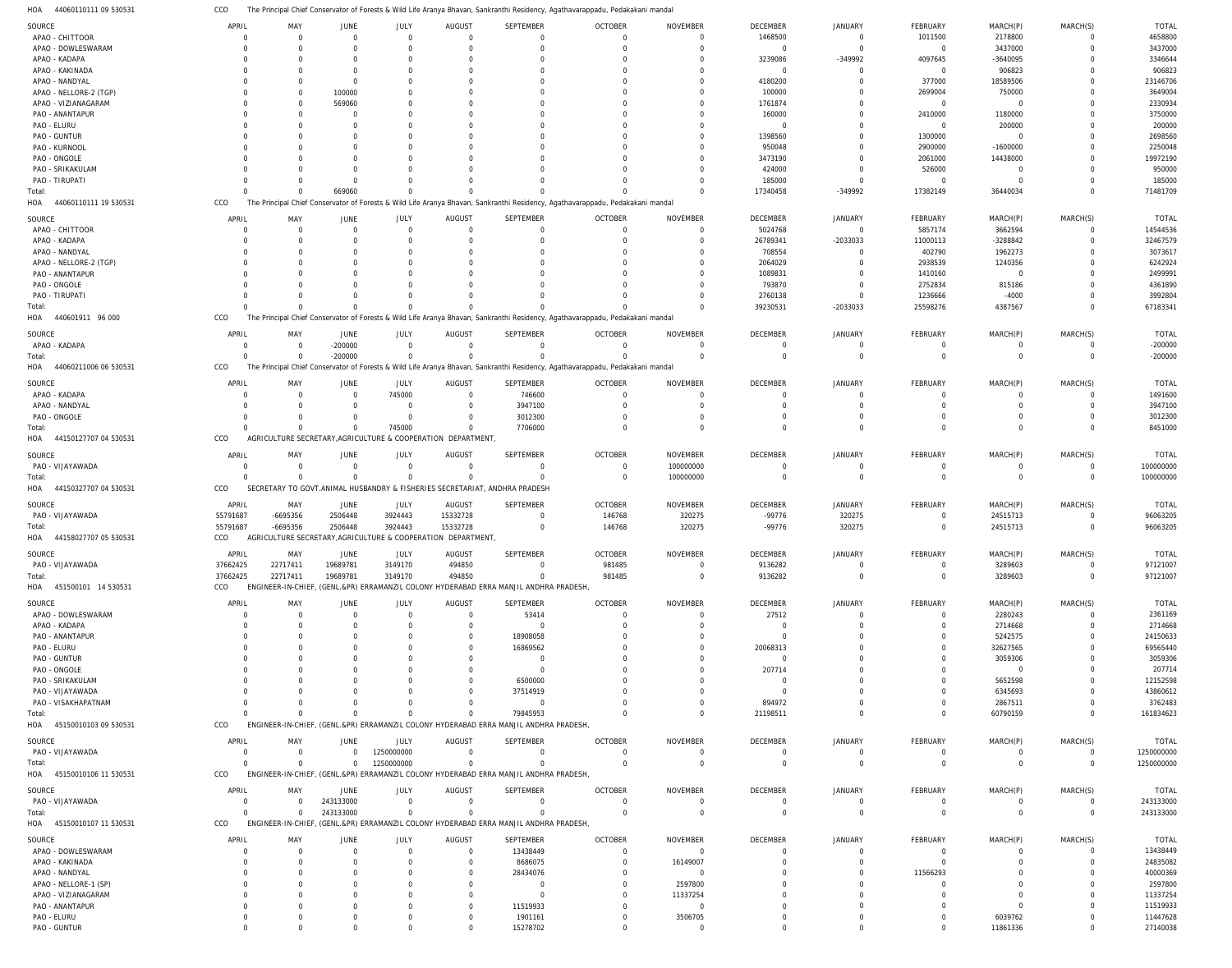The Principal Chief Conservator of Forests & Wild Life Aranya Bhavan, Sankranthi Residency, Agathavarappadu, Pedakakani mandal CCO

| HOA<br>44060110111 09 530531          | CCO      |                            |                               |                                  |                                                              |                                                                                       | The Principal Chief Conservator of Forests & Wild Life Aranya Bhavan, Sankranthi Residency, Agathavarappadu, Pedakakani mandal |                                   |                        |                            |                           |                     |                         |                      |
|---------------------------------------|----------|----------------------------|-------------------------------|----------------------------------|--------------------------------------------------------------|---------------------------------------------------------------------------------------|--------------------------------------------------------------------------------------------------------------------------------|-----------------------------------|------------------------|----------------------------|---------------------------|---------------------|-------------------------|----------------------|
| SOURCE                                | APRIL    | MAY                        | <b>JUNE</b>                   | JULY                             | AUGUST                                                       | SEPTEMBER                                                                             | <b>OCTOBER</b>                                                                                                                 | <b>NOVEMBER</b>                   | <b>DECEMBER</b>        | <b>JANUARY</b>             | FEBRUARY                  | MARCH(P)            | MARCH(S)                | <b>TOTAL</b>         |
| APAO - CHITTOOR                       |          | $\overline{0}$             | $\overline{0}$                | $\mathbf 0$                      | $\overline{0}$                                               | $\Omega$                                                                              | $\overline{0}$                                                                                                                 | $\overline{0}$                    | 1468500                | $\mathbf 0$                | 1011500                   | 2178800             |                         | 4658800              |
| APAO - DOWLESWARAM                    |          | $\Omega$                   | $\Omega$                      | $\overline{0}$                   | $\Omega$                                                     |                                                                                       | $\Omega$                                                                                                                       | $\Omega$                          | $\mathbf 0$            | $\Omega$                   | $\Omega$                  | 3437000             | $\Omega$                | 3437000              |
| APAO - KADAPA                         |          | - 0                        | $\Omega$                      | 0                                | $\Omega$                                                     |                                                                                       |                                                                                                                                | $\Omega$                          | 3239086                | -349992                    | 4097645                   | -3640095            |                         | 3346644              |
| APAO - KAKINADA                       |          | $\Omega$                   | $\Omega$                      | $\Omega$                         | $\Omega$                                                     |                                                                                       |                                                                                                                                | $\Omega$                          | $\mathbf 0$            | 0                          | $\Omega$                  | 906823              |                         | 906823               |
| APAO - NANDYAL                        |          | $\overline{0}$             | $\overline{0}$                | $\Omega$                         | $\Omega$                                                     |                                                                                       |                                                                                                                                | $\overline{0}$                    | 4180200                | $\Omega$                   | 377000                    | 18589506            |                         | 23146706             |
| APAO - NELLORE-2 (TGP)                |          | $\Omega$                   | 100000                        | $\Omega$                         | $\Omega$                                                     |                                                                                       |                                                                                                                                | $\Omega$                          | 100000                 | $\Omega$                   | 2699004                   | 750000              |                         | 3649004              |
| APAO - VIZIANAGARAM                   |          | $\overline{0}$             | 569060                        | -0                               |                                                              |                                                                                       |                                                                                                                                | $\Omega$                          | 1761874                | $\Omega$                   | $\overline{0}$            | $\Omega$            |                         | 2330934              |
| PAO - ANANTAPUR                       |          | $\Omega$<br>$\Omega$       | $\Omega$                      | $\Omega$                         | $\Omega$                                                     |                                                                                       |                                                                                                                                | $\Omega$<br>$\Omega$              | 160000                 | $\Omega$<br>$\Omega$       | 2410000                   | 1180000             |                         | 3750000<br>200000    |
| PAO - ELURU                           |          | $\Omega$                   | $\Omega$<br>$\Omega$          | $\Omega$<br>-0                   |                                                              |                                                                                       |                                                                                                                                | $\Omega$                          | $\mathbf 0$<br>1398560 | $\Omega$                   | $\overline{0}$<br>1300000 | 200000<br>$\Omega$  |                         | 2698560              |
| PAO - GUNTUR<br>PAO - KURNOOL         |          | $\Omega$                   | $\Omega$                      | -0                               |                                                              |                                                                                       |                                                                                                                                | $\Omega$                          | 950048                 | $\Omega$                   | 2900000                   | $-1600000$          |                         | 2250048              |
| PAO - ONGOLE                          |          | $\Omega$                   | $\Omega$                      |                                  |                                                              |                                                                                       |                                                                                                                                | $\Omega$                          | 3473190                | $\Omega$                   | 2061000                   | 14438000            |                         | 19972190             |
| PAO - SRIKAKULAM                      |          | $\Omega$                   | $\Omega$                      | -0                               |                                                              |                                                                                       |                                                                                                                                | $\Omega$                          | 424000                 | $\Omega$                   | 526000                    | $\Omega$            |                         | 950000               |
| PAO - TIRUPATI                        |          | $\Omega$                   | $\Omega$                      | $\Omega$                         |                                                              |                                                                                       |                                                                                                                                | $\Omega$                          | 185000                 | $\Omega$                   | $\Omega$                  | $\Omega$            | $\Omega$                | 185000               |
| Total:                                | $\Omega$ | $\Omega$                   | 669060                        | $\Omega$                         | $\Omega$                                                     |                                                                                       |                                                                                                                                | $\Omega$                          | 17340458               | -349992                    | 17382149                  | 36440034            | $\Omega$                | 71481709             |
| HOA 44060110111 19 530531             | CCO      |                            |                               |                                  |                                                              |                                                                                       | The Principal Chief Conservator of Forests & Wild Life Aranya Bhavan, Sankranthi Residency, Agathavarappadu, Pedakakani mandal |                                   |                        |                            |                           |                     |                         |                      |
|                                       |          |                            |                               |                                  |                                                              |                                                                                       |                                                                                                                                |                                   |                        |                            |                           |                     |                         |                      |
| SOURCE                                | APRIL    | MAY                        | JUNE<br>$\Omega$              | JULY                             | AUGUST                                                       | SEPTEMBER                                                                             | <b>OCTOBER</b>                                                                                                                 | <b>NOVEMBER</b>                   | <b>DECEMBER</b>        | <b>JANUARY</b>             | FEBRUARY                  | MARCH(P)            | MARCH(S)                | <b>TOTAL</b>         |
| APAO - CHITTOOR<br>APAO - KADAPA      |          | $\overline{0}$<br>$\Omega$ | $\Omega$                      | $\overline{0}$<br>$\Omega$       | $\overline{0}$<br>$\Omega$                                   |                                                                                       | $\mathbf 0$<br>$\Omega$                                                                                                        | $\overline{0}$<br>$\Omega$        | 5024768<br>26789341    | C<br>-2033033              | 5857174<br>11000113       | 3662594<br>-3288842 |                         | 14544536<br>32467579 |
| APAO - NANDYAL                        |          | $\Omega$                   | $\Omega$                      | $\Omega$                         |                                                              |                                                                                       |                                                                                                                                |                                   | 708554                 | $\Omega$                   | 402790                    | 1962273             |                         | 3073617              |
| APAO - NELLORE-2 (TGP)                |          |                            |                               |                                  |                                                              |                                                                                       |                                                                                                                                |                                   | 2064029                | $\Omega$                   | 2938539                   | 1240356             |                         | 6242924              |
| PAO - ANANTAPUR                       |          | $\Omega$                   | $\Omega$                      | $\Omega$                         |                                                              |                                                                                       |                                                                                                                                | $\Omega$                          | 1089831                | $\Omega$                   | 1410160                   | $\Omega$            |                         | 2499991              |
| PAO - ONGOLE                          |          |                            |                               |                                  |                                                              |                                                                                       |                                                                                                                                | $\Omega$                          | 793870                 | C                          | 2752834                   | 815186              |                         | 4361890              |
| PAO - TIRUPATI                        |          | $\Omega$                   | $\Omega$                      | $\Omega$                         |                                                              |                                                                                       |                                                                                                                                | $\Omega$                          | 2760138                | $\Omega$                   | 1236666                   | $-4000$             |                         | 3992804              |
| Total:                                |          | $\Omega$                   | $\Omega$                      | $\Omega$                         |                                                              |                                                                                       |                                                                                                                                | $\Omega$                          | 39230531               | -2033033                   | 25598276                  | 4387567             | $\Omega$                | 67183341             |
| HOA 440601911 96 000                  | CCO      |                            |                               |                                  |                                                              |                                                                                       | The Principal Chief Conservator of Forests & Wild Life Aranya Bhavan, Sankranthi Residency, Agathavarappadu, Pedakakani mandal |                                   |                        |                            |                           |                     |                         |                      |
| SOURCE                                | APRIL    | MAY                        | JUNE                          | JULY                             | AUGUST                                                       | SEPTEMBER                                                                             | <b>OCTOBER</b>                                                                                                                 | NOVEMBER                          | <b>DECEMBER</b>        | <b>JANUARY</b>             | FEBRUARY                  | MARCH(P)            | MARCH(S)                | TOTAL                |
| APAO - KADAPA                         | $\Omega$ | $\overline{0}$             | $-200000$                     | $\mathbf 0$                      | $\overline{0}$                                               | $\Omega$                                                                              | $\overline{0}$                                                                                                                 | $\overline{0}$                    | $\mathbf 0$            | $\mathbf 0$                | $\Omega$                  | $\Omega$            | $\Omega$                | $-200000$            |
| Total:                                | $\Omega$ | $\Omega$                   | $-200000$                     | $\mathbf 0$                      | $\Omega$                                                     | $\Omega$                                                                              | $\Omega$                                                                                                                       | $\overline{0}$                    | $\mathbf 0$            | $\mathbf 0$                | $\Omega$                  | $\Omega$            | $\mathbf 0$             | $-200000$            |
| HOA 44060211006 06 530531             | CCO      |                            |                               |                                  |                                                              |                                                                                       | The Principal Chief Conservator of Forests & Wild Life Aranya Bhavan, Sankranthi Residency, Agathavarappadu, Pedakakani mandal |                                   |                        |                            |                           |                     |                         |                      |
|                                       |          |                            |                               |                                  |                                                              |                                                                                       |                                                                                                                                |                                   |                        |                            |                           |                     |                         |                      |
| SOURCE                                | APRIL    | MAY                        | JUNE                          | JULY                             | AUGUST                                                       | SEPTEMBER                                                                             | <b>OCTOBER</b>                                                                                                                 | <b>NOVEMBER</b>                   | <b>DECEMBER</b>        | <b>JANUARY</b>             | FEBRUARY                  | MARCH(P)            | MARCH(S)                | TOTAL                |
| APAO - KADAPA                         |          | $\overline{0}$             | $\overline{0}$                | 745000                           | $\overline{0}$                                               | 746600                                                                                | $\Omega$                                                                                                                       | $\overline{0}$                    | 0                      | $\Omega$                   |                           | - 0                 |                         | 1491600              |
| APAO - NANDYAL<br>PAO - ONGOLE        | $\Omega$ | $\Omega$<br>$\Omega$       | $\mathbf 0$<br>$\Omega$       | $\overline{0}$<br>$\overline{0}$ | $\mathbf 0$<br>$\Omega$                                      | 3947100<br>3012300                                                                    | $\Omega$                                                                                                                       | $\Omega$<br>$\Omega$              | $\Omega$<br>$\Omega$   | C<br>$\Omega$              |                           |                     |                         | 3947100<br>3012300   |
| Total:                                |          | $\Omega$                   | $\overline{0}$                | 745000                           | $\Omega$                                                     | 7706000                                                                               | $\Omega$                                                                                                                       | $\Omega$                          | $\Omega$               | $\Omega$                   |                           | $\Omega$            | O                       | 8451000              |
| HOA 44150127707 04 530531             | CCO      |                            |                               |                                  | AGRICULTURE SECRETARY, AGRICULTURE & COOPERATION DEPARTMENT, |                                                                                       |                                                                                                                                |                                   |                        |                            |                           |                     |                         |                      |
|                                       |          |                            |                               |                                  |                                                              |                                                                                       |                                                                                                                                |                                   |                        |                            |                           |                     |                         |                      |
| SOURCE                                | APRIL    | MAY                        | JUNE                          | JULY                             | <b>AUGUST</b>                                                | SEPTEMBER                                                                             | <b>OCTOBER</b>                                                                                                                 | NOVEMBER                          | <b>DECEMBER</b>        | <b>JANUARY</b>             | FEBRUARY                  | MARCH(P)            | MARCH(S)                | TOTAL                |
| PAO - VIJAYAWADA                      | $\Omega$ | $\overline{0}$             | $\overline{0}$                | $\overline{0}$                   | $\overline{0}$                                               | $\Omega$                                                                              | $\overline{0}$                                                                                                                 | 100000000                         | $\overline{0}$         | 0                          | $\Omega$                  | $\overline{0}$      | 0                       | 100000000            |
| Total:                                | $\Omega$ | $\Omega$                   | $\Omega$                      | $\Omega$                         | $\Omega$                                                     | $\Omega$                                                                              | $\overline{0}$                                                                                                                 | 100000000                         | $\mathbf 0$            | $\overline{0}$             | $\Omega$                  | $\Omega$            | $\mathbf 0$             | 100000000            |
| HOA 44150327707 04 530531             | CCO      |                            |                               |                                  |                                                              | SECRETARY TO GOVT. ANIMAL HUSBANDRY & FISHERIES SECRETARIAT, ANDHRA PRADESH           |                                                                                                                                |                                   |                        |                            |                           |                     |                         |                      |
| SOURCE                                | APRIL    | MAY                        | JUNE                          | JULY                             | AUGUST                                                       | SEPTEMBER                                                                             | <b>OCTOBER</b>                                                                                                                 | NOVEMBER                          | <b>DECEMBER</b>        | JANUARY                    | FEBRUARY                  | MARCH(P)            | MARCH(S)                | TOTAL                |
| PAO - VIJAYAWADA                      | 55791687 | -6695356                   | 2506448                       | 3924443                          | 15332728                                                     | $\Omega$                                                                              | 146768                                                                                                                         | 320275                            | $-99776$               | 320275                     | $\Omega$                  | 24515713            | 0                       | 96063205             |
| Total:                                |          |                            |                               |                                  |                                                              |                                                                                       | 146768                                                                                                                         | 320275                            | $-99776$               | 320275                     | $\Omega$                  | 24515713            | $\Omega$                | 96063205             |
|                                       | 55791687 | $-6695356$                 | 2506448                       | 3924443                          | 15332728                                                     |                                                                                       |                                                                                                                                |                                   |                        |                            |                           |                     |                         |                      |
| HOA 44158027707 05 530531             | CCO      |                            |                               |                                  | AGRICULTURE SECRETARY, AGRICULTURE & COOPERATION DEPARTMENT  |                                                                                       |                                                                                                                                |                                   |                        |                            |                           |                     |                         |                      |
|                                       | APRIL    | MAY                        | <b>JUNE</b>                   |                                  | AUGUST                                                       | <b>SEPTEMBER</b>                                                                      | <b>OCTOBER</b>                                                                                                                 | <b>NOVEMBER</b>                   | <b>DECEMBER</b>        | <b>JANUARY</b>             | <b>FEBRUARY</b>           |                     |                         | TOTAL                |
| PAO - VIJAYAWADA                      | 37662425 | 22717411                   | 19689781                      | JULY<br>3149170                  | 494850                                                       | $\Omega$                                                                              | 981485                                                                                                                         | $\overline{0}$                    | 9136282                | $\mathbf 0$                |                           | MARCH(P)<br>3289603 | MARCH(S)<br>$\mathbf 0$ | 97121007             |
| Total:                                | 37662425 | 22717411                   | 19689781                      | 3149170                          | 494850                                                       | $\Omega$                                                                              | 981485                                                                                                                         | $\overline{0}$                    | 9136282                | $\overline{0}$             | $\Omega$                  | 3289603             | $\mathbf 0$             | 97121007             |
| HOA 451500101 14 530531               | CCO      |                            |                               |                                  |                                                              | ENGINEER-IN-CHIEF, (GENL.&PR) ERRAMANZIL COLONY HYDERABAD ERRA MANJIL ANDHRA PRADESH, |                                                                                                                                |                                   |                        |                            |                           |                     |                         |                      |
|                                       |          |                            |                               |                                  |                                                              |                                                                                       |                                                                                                                                |                                   |                        |                            |                           |                     |                         |                      |
| SOURCE                                | APRIL    | MAY<br>$\overline{0}$      | <b>JUNE</b><br>$\overline{0}$ | JULY<br>$\overline{0}$           | AUGUST<br>$\mathbf 0$                                        | SEPTEMBER                                                                             | <b>OCTOBER</b><br>$\overline{0}$                                                                                               | <b>NOVEMBER</b><br>$\overline{0}$ | <b>DECEMBER</b>        | <b>JANUARY</b><br>$\Omega$ | FEBRUARY                  | MARCH(P)            | MARCH(S)                | TOTAL                |
| APAO - DOWLESWARAM                    |          | $\Omega$                   | $\Omega$                      | 0                                | $\overline{0}$                                               | 53414<br>$\Omega$                                                                     | $\Omega$                                                                                                                       | $\Omega$                          | 27512<br>0             | C                          |                           | 2280243             |                         | 2361169              |
| APAO - KADAPA<br>PAO - ANANTAPUR      |          |                            |                               | -0                               | $\Omega$                                                     | 18908058                                                                              |                                                                                                                                |                                   | $\overline{0}$         |                            |                           | 2714668<br>5242575  |                         | 2714668<br>24150633  |
| PAO - ELURU                           |          |                            |                               |                                  |                                                              | 16869562                                                                              |                                                                                                                                | $\Omega$                          | 20068313               |                            |                           | 32627565            |                         | 69565440             |
| PAO - GUNTUR                          |          |                            |                               |                                  |                                                              | $\Omega$                                                                              |                                                                                                                                |                                   | $\mathbf 0$            |                            |                           | 3059306             |                         | 3059306              |
| PAO - ONGOLE                          |          |                            |                               |                                  |                                                              |                                                                                       |                                                                                                                                |                                   | 207714                 |                            |                           | $\Omega$            |                         | 207714               |
| PAO - SRIKAKULAM                      |          |                            |                               |                                  |                                                              | 6500000                                                                               |                                                                                                                                |                                   | O                      |                            |                           | 5652598             |                         | 12152598             |
| PAO - VIJAYAWADA                      |          |                            |                               |                                  |                                                              | 37514919                                                                              |                                                                                                                                |                                   | $\Omega$               |                            |                           | 6345693             |                         | 43860612             |
| PAO - VISAKHAPATNAM                   |          |                            | $\Omega$                      |                                  | $\Omega$                                                     | $\Omega$                                                                              |                                                                                                                                | $\Omega$                          | 894972                 | C                          |                           | 2867511             |                         | 3762483              |
| Total:                                |          | $\Omega$                   | $\Omega$                      | $\Omega$                         | $\Omega$                                                     | 79845953                                                                              |                                                                                                                                | $\Omega$                          | 21198511               | $\Omega$                   |                           | 60790159            |                         | 161834623            |
| SOURCE<br>HOA 45150010103 09 530531   | CCO      |                            |                               |                                  |                                                              | ENGINEER-IN-CHIEF, (GENL.&PR) ERRAMANZIL COLONY HYDERABAD ERRA MANJIL ANDHRA PRADESH, |                                                                                                                                |                                   |                        |                            |                           |                     |                         |                      |
| SOURCE                                | APRIL    | MAY                        | JUNE                          | JULY                             | AUGUST                                                       | SEPTEMBER                                                                             | <b>OCTOBER</b>                                                                                                                 | NOVEMBER                          | DECEMBER               | JANUARY                    | FEBRUARY                  | MARCH(P)            | MARCH(S)                | TOTAL                |
| PAO - VIJAYAWADA                      | $\Omega$ | $\overline{0}$             | $\overline{0}$                | 1250000000                       | $\overline{0}$                                               | $\Omega$                                                                              | $\overline{0}$                                                                                                                 | $\overline{0}$                    | $\overline{0}$         | 0                          | $\Omega$                  | $\overline{0}$      | 0                       | 1250000000           |
| Total:                                | $\Omega$ | $\Omega$                   | $\mathbf 0$                   | 1250000000                       | $\Omega$                                                     | $\Omega$                                                                              | $\Omega$                                                                                                                       | $\Omega$                          | $\mathbf 0$            | $\overline{0}$             | $\Omega$                  | $\Omega$            | $\mathbf 0$             | 1250000000           |
| HOA 45150010106 11 530531             | CCO      |                            |                               |                                  |                                                              | ENGINEER-IN-CHIEF, (GENL.&PR) ERRAMANZIL COLONY HYDERABAD ERRA MANJIL ANDHRA PRADESH, |                                                                                                                                |                                   |                        |                            |                           |                     |                         |                      |
| SOURCE                                | APRIL    | MAY                        | JUNE                          | JULY                             | <b>AUGUST</b>                                                | SEPTEMBER                                                                             | <b>OCTOBER</b>                                                                                                                 | <b>NOVEMBER</b>                   | DECEMBER               | JANUARY                    | FEBRUARY                  | MARCH(P)            | MARCH(S)                | TOTAL                |
| PAO - VIJAYAWADA                      | $\Omega$ | $\overline{0}$             | 243133000                     | $\mathbf 0$                      | $\overline{0}$                                               | $\Omega$                                                                              | $\Omega$                                                                                                                       | $\overline{0}$                    | 0                      | 0                          | $\Omega$                  | - 0                 | $\Omega$                | 243133000            |
| Total:                                | $\Omega$ | $\overline{0}$             | 243133000                     | $\overline{0}$                   | $\mathbf 0$                                                  | $\Omega$                                                                              | $\overline{0}$                                                                                                                 | $\overline{0}$                    | $\mathbf 0$            | $\mathbf 0$                | $\Omega$                  | $\Omega$            | $\mathbf 0$             | 243133000            |
| HOA 45150010107 11 530531             | CCO      |                            |                               |                                  |                                                              | ENGINEER-IN-CHIEF, (GENL.&PR) ERRAMANZIL COLONY HYDERABAD ERRA MANJIL ANDHRA PRADESH, |                                                                                                                                |                                   |                        |                            |                           |                     |                         |                      |
|                                       |          |                            |                               |                                  |                                                              |                                                                                       |                                                                                                                                |                                   |                        |                            |                           |                     |                         |                      |
| SOURCE                                | APRIL    | MAY<br>$\overline{0}$      | <b>JUNE</b><br>$\Omega$       | JULY<br>$\overline{0}$           | AUGUST<br>$\overline{0}$                                     | SEPTEMBER                                                                             | <b>OCTOBER</b><br>$\mathbf 0$                                                                                                  | <b>NOVEMBER</b><br>$\overline{0}$ | <b>DECEMBER</b><br>0   | <b>JANUARY</b><br>0        | FEBRUARY<br>$\Omega$      | MARCH(P)            | MARCH(S)                | TOTAL                |
| APAO - DOWLESWARAM<br>APAO - KAKINADA |          | $\Omega$                   | $\Omega$                      | $\overline{0}$                   | $\overline{0}$                                               | 13438449<br>8686075                                                                   | $\mathbf 0$                                                                                                                    | 16149007                          | $\mathbf 0$            | $\Omega$                   | $\Omega$                  |                     |                         | 13438449<br>24835082 |
| APAO - NANDYAL                        |          | $\Omega$                   |                               | $\Omega$                         | $\mathbf 0$                                                  | 28434076                                                                              |                                                                                                                                | $\overline{0}$                    |                        | $\Omega$                   | 11566293                  |                     |                         | 40000369             |
| APAO - NELLORE-1 (SP)                 |          | $\Omega$                   |                               | -0                               | $\Omega$                                                     | $\Omega$                                                                              |                                                                                                                                | 2597800                           |                        | $\Omega$                   |                           |                     |                         | 2597800              |
| APAO - VIZIANAGARAM                   |          |                            |                               | $\Omega$                         | $\Omega$                                                     | $\Omega$                                                                              | $\Omega$                                                                                                                       | 11337254                          |                        | $\Omega$                   |                           |                     |                         | 11337254             |
| PAO - ANANTAPUR                       |          |                            |                               | $\Omega$                         | $\Omega$                                                     | 11519933                                                                              |                                                                                                                                | $\overline{0}$                    |                        | $\Omega$                   |                           | $\Omega$            |                         | 11519933             |
| PAO - ELURU                           |          | $\overline{0}$             | $\mathbf 0$                   | 0                                | $\mathbf 0$                                                  | 1901161                                                                               | 0                                                                                                                              | 3506705                           | $\Omega$               | $\Omega$                   |                           | 6039762             |                         | 11447628             |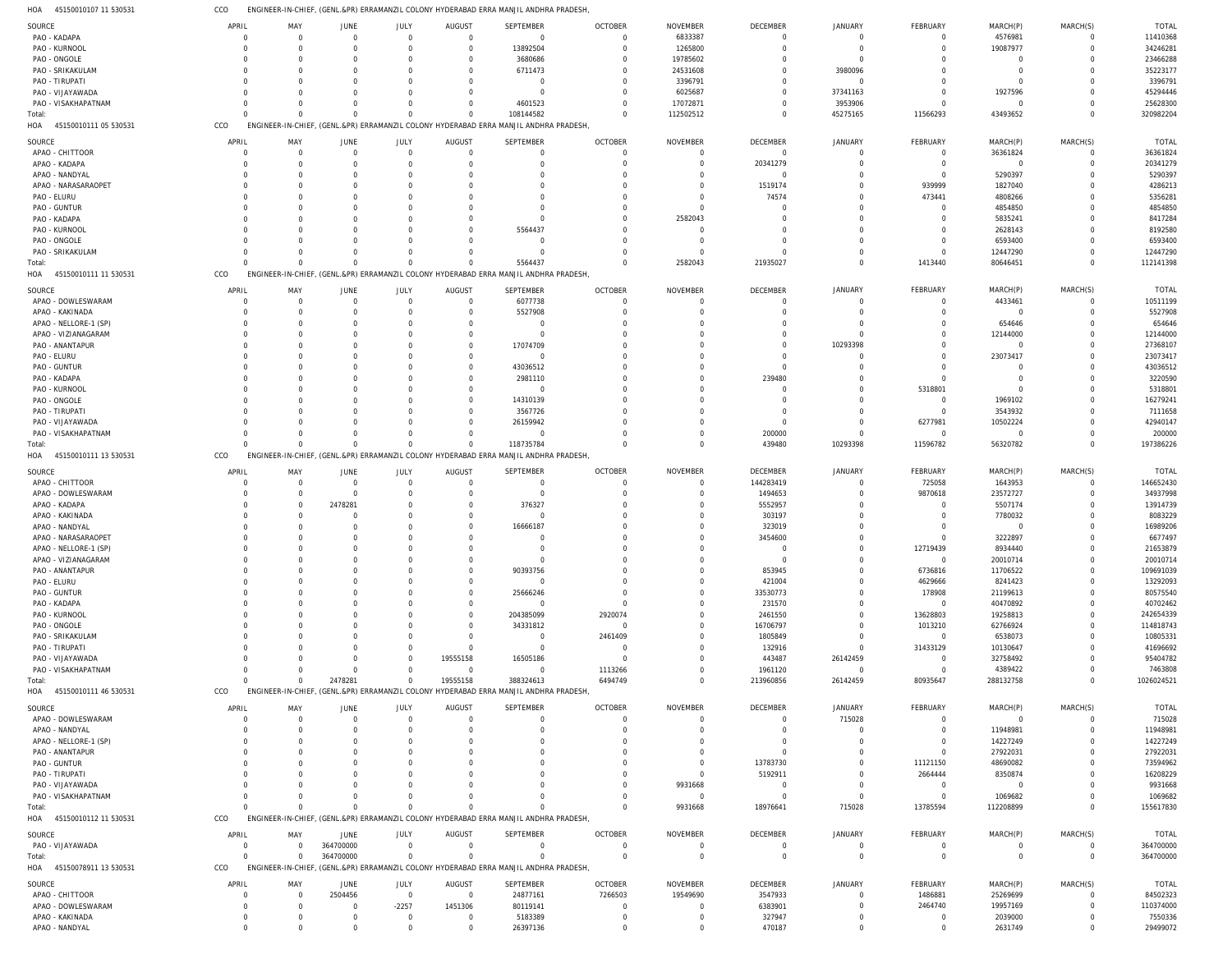45150010107 11 530531 HOA CCO ENGINEER-IN-CHIEF, (GENL.&PR) ERRAMANZIL COLONY HYDERABAD ERRA MANJIL ANDHRA PRADESH,

| SOURCE                       | APRIL          | MAY                                             | JUNE      | JULY           | <b>AUGUST</b> | SEPTEMBER                                                                             | <b>OCTOBER</b> | NOVEMBER        | DECEMBER    | <b>JANUARY</b> | FEBRUARY       | MARCH(P)       | MARCH(S)    | <b>TOTAL</b> |
|------------------------------|----------------|-------------------------------------------------|-----------|----------------|---------------|---------------------------------------------------------------------------------------|----------------|-----------------|-------------|----------------|----------------|----------------|-------------|--------------|
| PAO - KADAPA                 | $\Omega$       | $\Omega$                                        | $\Omega$  | $\Omega$       | $\Omega$      | $\mathbf 0$                                                                           | $\overline{0}$ | 6833387         | $\Omega$    | $\Omega$       | $\Omega$       | 4576981        | $\Omega$    | 11410368     |
| PAO - KURNOOL                | $\Omega$       | $\Omega$                                        |           | $\Omega$       | $\Omega$      | 13892504                                                                              | $\Omega$       | 1265800         | $\Omega$    | $\Omega$       | $\Omega$       | 19087977       | $\Omega$    | 34246281     |
|                              | $\Omega$       |                                                 |           |                |               |                                                                                       |                |                 |             | $\Omega$       |                | $\Omega$       | C           |              |
| PAO - ONGOLE                 |                | - 0                                             |           |                |               | 3680686                                                                               | $\Omega$       | 19785602        |             |                |                |                |             | 23466288     |
| PAO - SRIKAKULAM             | $\Omega$       | $\Omega$                                        |           | <sup>0</sup>   | $\Omega$      | 6711473                                                                               | $\Omega$       | 24531608        |             | 3980096        |                | $\Omega$       | C           | 35223177     |
| PAO - TIRUPATI               |                | - 0                                             |           |                |               | $\Omega$                                                                              | $\Omega$       | 3396791         |             | $\Omega$       |                | $\Omega$       | C           | 3396791      |
| PAO - VIJAYAWADA             |                | $\Omega$                                        |           |                |               | $\Omega$                                                                              | $\Omega$       | 6025687         |             | 37341163       | $\Omega$       | 1927596        | C           | 45294446     |
|                              |                |                                                 |           |                |               |                                                                                       |                |                 |             |                |                |                |             |              |
| PAO - VISAKHAPATNAM          | $\Omega$       | $\Omega$                                        |           |                |               | 4601523                                                                               | $\Omega$       | 17072871        | $\Omega$    | 3953906        | $\Omega$       | $\Omega$       | $\Omega$    | 25628300     |
| Total:                       | $\Omega$       | $\Omega$                                        |           | $\Omega$       |               | 108144582                                                                             | $\Omega$       | 112502512       | $\Omega$    | 45275165       | 11566293       | 43493652       | $\Omega$    | 320982204    |
| HOA 45150010111 05 530531    | CCO            |                                                 |           |                |               | ENGINEER-IN-CHIEF, (GENL.&PR) ERRAMANZIL COLONY HYDERABAD ERRA MANJIL ANDHRA PRADESH  |                |                 |             |                |                |                |             |              |
|                              |                |                                                 |           |                |               |                                                                                       |                |                 |             |                |                |                |             |              |
|                              |                |                                                 |           |                |               |                                                                                       |                |                 |             |                |                |                |             |              |
| SOURCE                       | APRIL          | MAY                                             | JUNE      | JULY           | AUGUST        | SEPTEMBER                                                                             | <b>OCTOBER</b> | <b>NOVEMBER</b> | DECEMBER    | <b>JANUARY</b> | FEBRUARY       | MARCH(P)       | MARCH(S)    | <b>TOTAL</b> |
| APAO - CHITTOOR              | $\Omega$       | $\Omega$                                        | $\Omega$  | $\Omega$       | $\Omega$      | $\Omega$                                                                              | $\overline{0}$ | $\Omega$        | $\Omega$    | $\Omega$       | $\overline{0}$ | 36361824       | $\mathbf 0$ | 36361824     |
| APAO - KADAPA                | $\Omega$       | - 0                                             | $\Omega$  | $\Omega$       | $\Gamma$      | $\Omega$                                                                              | $\Omega$       | $\Omega$        | 20341279    | $\Omega$       | $\overline{0}$ | $\overline{0}$ | $\mathbf 0$ | 20341279     |
|                              |                |                                                 |           |                |               |                                                                                       |                |                 |             |                |                |                |             |              |
| APAO - NANDYAL               | $\Omega$       | $\Omega$                                        |           | $\Omega$       |               |                                                                                       | $\Omega$       | $\Omega$        | $\Omega$    | $\Omega$       | $\Omega$       | 5290397        | $\Omega$    | 5290397      |
| APAO - NARASARAOPET          | $\Omega$       | $\Omega$                                        |           | $\Omega$       |               |                                                                                       | $\Omega$       | $\Omega$        | 1519174     | $\Omega$       | 939999         | 1827040        | $\Omega$    | 4286213      |
| PAO - ELURU                  | $\Omega$       | $\Omega$                                        |           | <sup>0</sup>   |               |                                                                                       | $\Omega$       | $\Omega$        | 74574       | $\Omega$       | 473441         | 4808266        | $\Omega$    | 5356281      |
|                              |                |                                                 |           |                |               |                                                                                       |                |                 |             |                |                |                |             |              |
| PAO - GUNTUR                 | $\Omega$       | $\Omega$                                        |           | <sup>0</sup>   |               |                                                                                       | 0              | $\Omega$        | $\Omega$    | $\Omega$       | $\Omega$       | 4854850        | $\Omega$    | 4854850      |
| PAO - KADAPA                 |                | $\Omega$                                        |           | $\Omega$       |               |                                                                                       | $\Omega$       | 2582043         | $\Omega$    |                | $\Omega$       | 5835241        | $\Omega$    | 8417284      |
|                              | $\Omega$       |                                                 |           | <sup>0</sup>   | $\Omega$      |                                                                                       |                | $\Omega$        | $\Omega$    |                |                |                | $\Omega$    |              |
| PAO - KURNOOL                |                | $\Omega$                                        |           |                |               | 5564437                                                                               | 0              |                 |             |                | $\Omega$       | 2628143        |             | 8192580      |
| PAO - ONGOLE                 |                | $\Omega$                                        |           | <sup>0</sup>   |               | $\Omega$                                                                              | $\Omega$       | $\Omega$        | $\Omega$    |                | $\Omega$       | 6593400        | $\Omega$    | 6593400      |
| PAO - SRIKAKULAM             | $\Omega$       | $\Omega$                                        | $\Omega$  | $\Omega$       |               | $\Omega$                                                                              | $\Omega$       | - 0             |             | $\Omega$       | $\Omega$       | 12447290       | $\Omega$    | 12447290     |
|                              |                |                                                 |           |                |               |                                                                                       |                |                 |             |                |                |                |             |              |
| Total:                       | $\Omega$       | $\Omega$                                        | $\Omega$  | $\Omega$       |               | 5564437                                                                               | $\Omega$       | 2582043         | 21935027    | $\Omega$       | 1413440        | 80646451       | $\Omega$    | 112141398    |
| HOA 45150010111 11 530531    | CCO            |                                                 |           |                |               | ENGINEER-IN-CHIEF, (GENL.&PR) ERRAMANZIL COLONY HYDERABAD ERRA MANJIL ANDHRA PRADESH  |                |                 |             |                |                |                |             |              |
|                              |                |                                                 |           |                |               |                                                                                       |                |                 |             |                |                |                |             |              |
| SOURCE                       | APRIL          | MAY                                             | JUNE      | JULY           | AUGUST        | SEPTEMBER                                                                             | <b>OCTOBER</b> | <b>NOVEMBER</b> | DECEMBER    | <b>JANUARY</b> | FEBRUARY       | MARCH(P)       | MARCH(S)    | <b>TOTAL</b> |
| APAO - DOWLESWARAM           | $\Omega$       | $\Omega$                                        | $\Omega$  | $\Omega$       | $\Omega$      | 6077738                                                                               | $\Omega$       | $\Omega$        | $\Omega$    | $\Omega$       | $\Omega$       | 4433461        | $\Omega$    | 10511199     |
|                              |                |                                                 |           |                |               |                                                                                       |                |                 |             |                |                |                |             |              |
| APAO - KAKINADA              | $\Omega$       | $\Omega$                                        |           | $\Omega$       | $\Gamma$      | 5527908                                                                               | $\Omega$       | $\Omega$        | $\Omega$    |                | $\Omega$       | $\Omega$       | $\Omega$    | 5527908      |
| APAO - NELLORE-1 (SP)        | $\Omega$       | $\Omega$                                        |           |                |               | $\Omega$                                                                              | C              | C               | $\Omega$    |                |                | 654646         | C           | 654646       |
|                              |                |                                                 |           |                |               |                                                                                       |                |                 |             |                |                |                |             |              |
| APAO - VIZIANAGARAM          | $\Omega$       | $\Omega$                                        |           | <sup>0</sup>   |               | $\Omega$                                                                              |                | C               | $\Omega$    |                |                | 12144000       | $\Omega$    | 12144000     |
| PAO - ANANTAPUR              |                | - 0                                             |           |                |               | 17074709                                                                              |                | C               | $\Omega$    | 10293398       |                | $\overline{0}$ |             | 27368107     |
| PAO - ELURU                  |                | $\Omega$                                        |           |                |               | $\Omega$                                                                              |                | C               | $\Omega$    |                | ი              | 23073417       | C           | 23073417     |
|                              |                |                                                 |           |                |               |                                                                                       |                |                 |             |                |                |                |             |              |
| PAO - GUNTUR                 |                | - 0                                             |           |                |               | 43036512                                                                              |                | C               | $\Omega$    |                |                | $\Omega$       |             | 43036512     |
| PAO - KADAPA                 |                | - 0                                             |           |                |               | 2981110                                                                               |                | O               | 239480      |                | $\Omega$       | $\Omega$       | C           | 3220590      |
|                              |                |                                                 |           |                |               |                                                                                       |                |                 |             |                |                |                |             |              |
| PAO - KURNOOL                |                | - 0                                             |           |                |               | $\Omega$                                                                              |                | C               | $\Omega$    |                | 5318801        | $\Omega$       | C           | 5318801      |
| PAO - ONGOLE                 | $\Omega$       | - 0                                             |           |                |               | 14310139                                                                              |                | C               | $\Omega$    |                | $\Omega$       | 1969102        | C           | 16279241     |
| PAO - TIRUPATI               |                |                                                 |           |                |               | 3567726                                                                               |                | C               | $\Omega$    |                | $\Omega$       | 3543932        | C           | 7111658      |
|                              |                |                                                 |           |                |               |                                                                                       |                |                 |             |                |                |                |             |              |
| PAO - VIJAYAWADA             | $\Omega$       | $\Omega$                                        |           |                | $\Omega$      | 26159942                                                                              |                | $\Omega$        | $\Omega$    |                | 6277981        | 10502224       | $\Omega$    | 42940147     |
| PAO - VISAKHAPATNAM          |                | $\Omega$                                        |           |                |               | $\Omega$                                                                              | ſ              | $\Omega$        | 200000      | $\Omega$       | $\overline{0}$ | $\overline{0}$ | $\Omega$    | 200000       |
|                              | $\Omega$       | $\Omega$                                        |           | $\Omega$       |               |                                                                                       | $\Omega$       | $\Omega$        |             |                |                |                | $\Omega$    |              |
| Total:                       |                |                                                 |           |                |               | 118735784                                                                             |                |                 | 439480      | 10293398       | 11596782       | 56320782       |             | 197386226    |
| 45150010111 13 530531<br>HOA | CCO            | <b>ENGI</b>                                     |           |                |               | NEER-IN-CHIEF, (GENL.&PR) ERRAMANZIL COLONY HYDERABAD ERRA MANJIL ANDHRA PRADESH      |                |                 |             |                |                |                |             |              |
|                              |                |                                                 |           |                |               |                                                                                       |                |                 |             |                |                |                |             |              |
| SOURCE                       | APRIL          | MAY                                             | JUNE      | JULY           | AUGUST        | SEPTEMBER                                                                             | <b>OCTOBER</b> | <b>NOVEMBER</b> | DECEMBER    | <b>JANUARY</b> | FEBRUARY       | MARCH(P)       | MARCH(S)    | <b>TOTAL</b> |
| APAO - CHITTOOR              | $\Omega$       | $\Omega$                                        | $\Omega$  | $\Omega$       | $\Omega$      | $\mathbf 0$                                                                           | - 0            | $\Omega$        | 144283419   | $\Omega$       | 725058         | 1643953        | $\mathbf 0$ | 146652430    |
|                              |                |                                                 |           |                |               |                                                                                       |                |                 |             |                |                |                |             |              |
| APAO - DOWLESWARAM           | $\Omega$       | $\Omega$                                        | $\Omega$  | $\Omega$       | $\Omega$      | $\Omega$                                                                              | $\Omega$       | $\Omega$        | 1494653     | $\Omega$       | 9870618        | 23572727       | $\Omega$    | 34937998     |
| APAO - KADAPA                | $\Omega$       | $\Omega$                                        | 2478281   | $\Omega$       | $\Omega$      | 376327                                                                                | $\Omega$       | O               | 5552957     | $\Omega$       | $\Omega$       | 5507174        | $\Omega$    | 13914739     |
| APAO - KAKINADA              | $\Omega$       | $\Omega$                                        | $\Omega$  | $\Omega$       | $\Omega$      | $\Omega$                                                                              | ſ              | O               |             |                | $\Omega$       |                | $\Omega$    | 8083229      |
|                              |                |                                                 |           |                |               |                                                                                       |                |                 | 303197      |                |                | 7780032        |             |              |
| APAO - NANDYAL               | $\Omega$       | $\Omega$                                        |           | <sup>0</sup>   | $\Omega$      | 16666187                                                                              |                | C               | 323019      |                | $\Omega$       | $\mathbf 0$    | $\Omega$    | 16989206     |
| APAO - NARASARAOPET          | $\Omega$       | $\Omega$                                        |           | <sup>0</sup>   |               | $\Omega$                                                                              |                | $\Omega$        | 3454600     |                | $\Omega$       | 3222897        | $\Omega$    | 6677497      |
|                              |                |                                                 |           |                |               |                                                                                       |                |                 |             |                |                |                |             |              |
| APAO - NELLORE-1 (SP)        | $\Omega$       | $\Omega$                                        |           | <sup>0</sup>   |               |                                                                                       |                | C               | $\Omega$    | $\Omega$       | 12719439       | 8934440        | $\Omega$    | 21653879     |
| APAO - VIZIANAGARAM          | $\Omega$       | $\Omega$                                        | $\Omega$  | $\Omega$       |               |                                                                                       |                | $\Omega$        | $\Omega$    | $\Omega$       | $\Omega$       | 20010714       | $\Omega$    | 20010714     |
| PAO - ANANTAPUR              | $\mathbf 0$    | $\Omega$                                        | $\Omega$  | $\Omega$       | $\Omega$      | 90393756                                                                              | $\Omega$       | $\Omega$        | 853945      | $\Omega$       | 6736816        | 11706522       | $\mathbf 0$ | 109691039    |
|                              |                |                                                 |           |                |               |                                                                                       |                |                 |             |                |                |                |             |              |
| PAO - ELURU                  | $\Omega$       | $\Omega$                                        |           | $\Omega$       | $\Omega$      | $\mathbf 0$                                                                           | $\Omega$       | $\Omega$        | 421004      | $\Omega$       | 4629666        | 8241423        | $\Omega$    | 13292093     |
| PAO - GUNTUR                 | $\Omega$       | $\Omega$                                        |           | $\Omega$       | $\Omega$      | 25666246                                                                              | $\Omega$       | $\Omega$        | 33530773    | $\Omega$       | 178908         | 21199613       | $\Omega$    | 80575540     |
| PAO - KADAPA                 | $\Omega$       | $\Omega$                                        |           | $\Omega$       | $\Omega$      | $\overline{0}$                                                                        | $\Omega$       | $\Omega$        | 231570      | $\Omega$       | $\overline{0}$ | 40470892       | $\Omega$    | 40702462     |
|                              |                |                                                 |           |                |               |                                                                                       |                |                 |             |                |                |                |             |              |
| PAO - KURNOOL                | $\Omega$       | -0                                              |           |                | $\Omega$      | 204385099                                                                             | 2920074        | $\Omega$        | 2461550     | $\Omega$       | 13628803       | 19258813       | $\Omega$    | 242654339    |
| PAO - ONGOLE                 | $\Omega$       | $\Omega$                                        |           | $\Omega$       | $\Omega$      | 34331812                                                                              | $\overline{0}$ | $\Omega$        | 16706797    | $\Omega$       | 1013210        | 62766924       | $\Omega$    | 114818743    |
|                              |                |                                                 |           |                |               |                                                                                       |                |                 |             |                |                |                |             |              |
| PAO - SRIKAKULAM             | $\Omega$       | $\Omega$                                        |           | $\Omega$       | $\Omega$      | $\mathbf 0$                                                                           | 2461409        | $\Omega$        | 1805849     | $\Omega$       | $\overline{0}$ | 6538073        | $\Omega$    | 10805331     |
| PAO - TIRUPATI               | $\Omega$       | $\Omega$                                        |           | $\Omega$       | $\Omega$      | $\mathbf 0$                                                                           | - 0            | $\Omega$        | 132916      | $\Omega$       | 31433129       | 10130647       | $\Omega$    | 41696692     |
| PAO - VIJAYAWADA             | $\Omega$       | $\Omega$                                        |           | $\Omega$       | 19555158      | 16505186                                                                              | $\Omega$       | $\Omega$        | 443487      | 26142459       | $\overline{0}$ | 32758492       | $\Omega$    | 95404782     |
|                              |                |                                                 |           |                |               |                                                                                       |                |                 |             |                |                |                |             |              |
| PAO - VISAKHAPATNAM          | $\Omega$       | $\Omega$                                        | $\Omega$  | $\Omega$       | $\Omega$      | $\mathbf 0$                                                                           | 1113266        | $\Omega$        | 1961120     | $\Omega$       | $\overline{0}$ | 4389422        | $\Omega$    | 7463808      |
| Total:                       | $\Omega$       | $\Omega$                                        | 2478281   | $\Omega$       | 19555158      | 388324613                                                                             | 6494749        | $\Omega$        | 213960856   | 26142459       | 80935647       | 288132758      | $\mathbf 0$ | 1026024521   |
| HOA 45150010111 46 530531    | CCO            | ENGINEER-IN-CHIEF, (GENL.&PR) ERRAMANZIL COLONY |           |                |               | HYDERABAD ERRA MANJIL ANDHRA PRADESH                                                  |                |                 |             |                |                |                |             |              |
|                              |                |                                                 |           |                |               |                                                                                       |                |                 |             |                |                |                |             |              |
| SOURCE                       | APRIL          | MAY                                             | JUNE      | JULY           | <b>AUGUST</b> | SEPTEMBER                                                                             | <b>OCTOBER</b> | <b>NOVEMBER</b> | DECEMBER    | JANUARY        | FEBRUARY       | MARCH(P)       | MARCH(S)    | TOTAL        |
|                              |                |                                                 |           |                |               |                                                                                       |                |                 |             |                |                |                |             |              |
| APAO - DOWLESWARAM           | $\Omega$       | $\Omega$                                        | $\Omega$  | $\Omega$       | $\Omega$      | $\Omega$                                                                              | $\Omega$       | $\Omega$        | $\Omega$    | 715028         | $^{\circ}$     | $\overline{0}$ | $\Omega$    | 715028       |
| APAO - NANDYAL               | $\Omega$       | $\Omega$                                        |           | $\Omega$       |               | $\Omega$                                                                              | $\Omega$       | $\Omega$        | $\Omega$    | $\Omega$       | $\Omega$       | 11948981       | $\Omega$    | 11948981     |
|                              |                |                                                 |           |                |               |                                                                                       |                |                 |             |                |                |                |             |              |
| APAO - NELLORE-1 (SP)        | $\Omega$       | -0                                              |           |                |               |                                                                                       | $\Omega$       | $\Omega$        | $\Omega$    | $\Omega$       | $\Omega$       | 14227249       | $\Omega$    | 14227249     |
| PAO - ANANTAPUR              | $\Omega$       | -0                                              |           |                |               |                                                                                       | $\cup$         | $\Omega$        | $\Omega$    |                | $\Omega$       | 27922031       | $\Omega$    | 27922031     |
| PAO - GUNTUR                 | $\Omega$       | -0                                              |           |                |               |                                                                                       | $\cup$         | $\Omega$        | 13783730    |                | 11121150       | 48690082       | C           | 73594962     |
|                              |                |                                                 |           |                |               |                                                                                       |                |                 |             |                |                |                |             |              |
| PAO - TIRUPATI               | $\Omega$       | -0                                              |           |                |               |                                                                                       | $\Omega$       | O               | 5192911     |                | 2664444        | 8350874        |             | 16208229     |
| PAO - VIJAYAWADA             |                |                                                 |           |                |               |                                                                                       | $\Omega$       | 9931668         | $\Omega$    |                | $\overline{0}$ | $\Omega$       | C           | 9931668      |
|                              |                |                                                 |           |                |               |                                                                                       |                |                 |             |                |                |                |             |              |
| PAO - VISAKHAPATNAM          | $\Omega$       | $\Omega$                                        |           |                |               |                                                                                       | $\Omega$       | $\Omega$        | $\Omega$    | $\Omega$       | $\overline{0}$ | 1069682        | $\Omega$    | 1069682      |
| Total:                       | $\Omega$       | $\Omega$                                        | $\Omega$  | $\Omega$       |               | $\Omega$                                                                              | $\Omega$       | 9931668         | 18976641    | 715028         | 13785594       | 112208899      | $\Omega$    | 155617830    |
| HOA 45150010112 11 530531    | CCO            |                                                 |           |                |               | ENGINEER-IN-CHIEF, (GENL.&PR) ERRAMANZIL COLONY HYDERABAD ERRA MANJIL ANDHRA PRADESH, |                |                 |             |                |                |                |             |              |
|                              |                |                                                 |           |                |               |                                                                                       |                |                 |             |                |                |                |             |              |
|                              |                |                                                 |           |                |               |                                                                                       |                |                 |             |                |                |                |             |              |
| SOURCE                       | APRIL          | MAY                                             | JUNE      | JULY           | AUGUST        | SEPTEMBER                                                                             | <b>OCTOBER</b> | NOVEMBER        | DECEMBER    | <b>JANUARY</b> | FEBRUARY       | MARCH(P)       | MARCH(S)    | <b>TOTAL</b> |
| PAO - VIJAYAWADA             | $\overline{0}$ | $\Omega$                                        | 364700000 | $\mathbf 0$    | $\Omega$      | $\mathbf 0$                                                                           | $\Omega$       | $\overline{0}$  | $\Omega$    | $\Omega$       | $\circ$        | 0              | 0           | 364700000    |
| Total:                       | $\Omega$       | $\Omega$                                        | 364700000 | $\mathbf 0$    | $\Omega$      | $\mathbf 0$                                                                           | $\overline{0}$ | $\overline{0}$  | $\mathbf 0$ | $\mathbf 0$    | $\mathbf 0$    | $\mathbf 0$    | $\mathbf 0$ | 364700000    |
|                              |                |                                                 |           |                |               |                                                                                       |                |                 |             |                |                |                |             |              |
| HOA 45150078911 13 530531    | CCO            |                                                 |           |                |               | ENGINEER-IN-CHIEF, (GENL.&PR) ERRAMANZIL COLONY HYDERABAD ERRA MANJIL ANDHRA PRADESH  |                |                 |             |                |                |                |             |              |
|                              |                |                                                 |           |                |               |                                                                                       |                |                 |             |                |                |                |             |              |
| SOURCE                       | APRIL          | MAY                                             | JUNE      | JULY           | AUGUST        | SEPTEMBER                                                                             | <b>OCTOBER</b> | <b>NOVEMBER</b> | DECEMBER    | JANUARY        | FEBRUARY       | MARCH(P)       | MARCH(S)    | TOTAL        |
| APAO - CHITTOOR              | 0              | $\Omega$                                        | 2504456   | $\overline{0}$ | $\Omega$      | 24877161                                                                              | 7266503        | 19549690        | 3547933     | $\Omega$       | 1486881        | 25269699       | $\Omega$    | 84502323     |
| APAO - DOWLESWARAM           | $\Omega$       | $\Omega$                                        | $\Omega$  | $-2257$        | 1451306       | 80119141                                                                              | $\Omega$       | $\Omega$        | 6383901     | $\Omega$       | 2464740        | 19957169       | $\Omega$    | 110374000    |
|                              |                |                                                 |           |                |               |                                                                                       |                |                 |             |                |                |                |             |              |
| APAO - KAKINADA              | $\mathbf 0$    | $\Omega$                                        | - 0       | $\overline{0}$ | $\Omega$      | 5183389                                                                               | 0              | $\Omega$        | 327947      | $\Omega$       | $\overline{0}$ | 2039000        | $\Omega$    | 7550336      |
| APAO - NANDYAL               | $\mathbf 0$    | $\Omega$                                        | $\Omega$  | $\mathbf 0$    | $\Omega$      | 26397136                                                                              | $\mathbf 0$    | $\mathbf 0$     | 470187      | $\mathbf 0$    | $\mathbf 0$    | 2631749        | $\mathbf 0$ | 29499072     |
|                              |                |                                                 |           |                |               |                                                                                       |                |                 |             |                |                |                |             |              |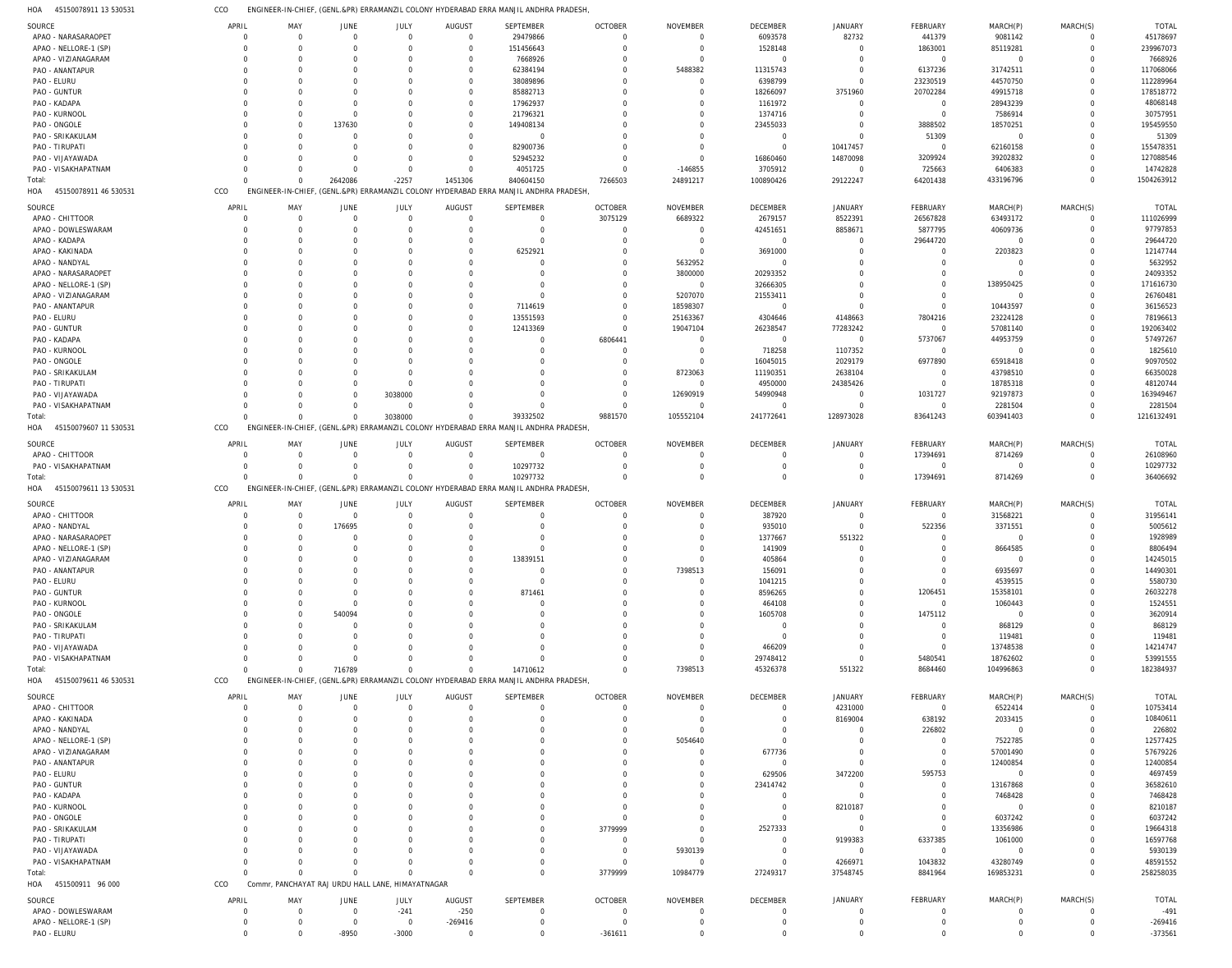45150078911 13 530531 HOA CCO ENGINEER-IN-CHIEF, (GENL.&PR) ERRAMANZIL COLONY HYDERABAD ERRA MANJIL ANDHRA PRADESH,

| SOURCE                                      | APRIL                | MAY                                               | JUNE                       | JULY                     | AUGUST                      | SEPTEMBER                                                                             | <b>OCTOBER</b>                   | NOVEMBER                         | DECEMBER                      | JANUARY                    | FEBRUARY                   | MARCH(P)                  | MARCH(S)             | <b>TOTAL</b>           |
|---------------------------------------------|----------------------|---------------------------------------------------|----------------------------|--------------------------|-----------------------------|---------------------------------------------------------------------------------------|----------------------------------|----------------------------------|-------------------------------|----------------------------|----------------------------|---------------------------|----------------------|------------------------|
| APAO - NARASARAOPET                         | $\mathbf 0$          | $\Omega$                                          | $\mathbf 0$                | $\mathbf 0$              | $\overline{0}$              | 29479866                                                                              | $\mathbf 0$                      | $\overline{0}$                   | 6093578                       | 82732                      | 441379                     | 9081142                   | $\overline{0}$       | 45178697               |
| APAO - NELLORE-1 (SP)                       | $\Omega$             | $\Omega$                                          | $\Omega$                   | $\overline{0}$           | $\overline{0}$              | 151456643                                                                             | $\Omega$                         | $\overline{0}$                   | 1528148                       | $\mathbf 0$                | 1863001                    | 85119281                  | $\circ$              | 239967073              |
| APAO - VIZIANAGARAM                         | $\Omega$             | $\Omega$                                          | $\Omega$                   | $\Omega$                 | $\mathbf 0$                 | 7668926                                                                               | $\Omega$                         | $\overline{0}$                   | $\mathbf{0}$                  | $\Omega$                   | $\overline{0}$             | $\overline{0}$            | $\Omega$             | 7668926                |
| PAO - ANANTAPUR                             | $\Omega$             | $\Omega$                                          | $\Omega$                   | $\Omega$                 | $\mathbf 0$                 | 62384194                                                                              | $\mathbf 0$                      | 5488382                          | 11315743                      | $\circ$                    | 6137236                    | 31742511                  | $\circ$              | 117068066              |
| PAO - ELURU                                 | $\Omega$<br>$\Omega$ | $\Omega$<br>$\Omega$                              | $\Omega$<br>$\Omega$       | $\Omega$<br>$\Omega$     | $\mathbf 0$<br>$\mathbf 0$  | 38089896<br>85882713                                                                  | $\Omega$<br>$\Omega$             | $\overline{0}$<br>$\overline{0}$ | 6398799<br>18266097           | $\mathbf 0$<br>3751960     | 23230519                   | 44570750<br>49915718      | $\Omega$<br>$\Omega$ | 112289964<br>178518772 |
| PAO - GUNTUR<br>PAO - KADAPA                | $\Omega$             | $\Omega$                                          | $\Omega$                   | $\Omega$                 | $\mathbf 0$                 | 17962937                                                                              | $\Omega$                         | $\Omega$                         | 1161972                       | $\circ$                    | 20702284<br>$\overline{0}$ | 28943239                  | $\Omega$             | 48068148               |
| PAO - KURNOOL                               | $\Omega$             | $\Omega$                                          | $\mathbf 0$                | $\Omega$                 | $\mathbf 0$                 | 21796321                                                                              | O                                | $\Omega$                         | 1374716                       | $\circ$                    | $\overline{0}$             | 7586914                   | $\Omega$             | 30757951               |
| PAO - ONGOLE                                | $\Omega$             | $\Omega$                                          | 137630                     | $\Omega$                 | $\mathbf 0$                 | 149408134                                                                             |                                  | $\Omega$                         | 23455033                      | $\circ$                    | 3888502                    | 18570251                  | $\Omega$             | 195459550              |
| PAO - SRIKAKULAM                            | $\Omega$             | $\Omega$                                          | $\Omega$                   | $\Omega$                 | $\mathbf 0$                 | $\Omega$                                                                              | O                                | $\Omega$                         | $\circ$                       | $\Omega$                   | 51309                      | $\overline{0}$            | $\Omega$             | 51309                  |
| PAO - TIRUPATI                              | $\Omega$             | $\Omega$                                          | $\Omega$                   | $\Omega$                 | $\mathbf 0$                 | 82900736                                                                              | $\Omega$                         | $\Omega$                         | $\mathbf{0}$                  | 10417457                   | $\overline{0}$             | 62160158                  | $\Omega$             | 155478351              |
| PAO - VIJAYAWADA                            | $\Omega$             | $\Omega$                                          | $\Omega$                   | $\Omega$                 | $\overline{0}$              | 52945232                                                                              | $\Omega$                         | $\overline{0}$                   | 16860460                      | 14870098                   | 3209924                    | 39202832                  | $\Omega$             | 127088546              |
| PAO - VISAKHAPATNAM                         | $\Omega$             | $\Omega$                                          | $\Omega$                   | $\overline{0}$           | $\overline{0}$              | 4051725                                                                               | $\Omega$                         | $-146855$                        | 3705912                       | $\mathbf 0$                | 725663                     | 6406383                   | $\Omega$             | 14742828               |
| Total:                                      | $\Omega$             | $\Omega$                                          | 2642086                    | $-2257$                  | 1451306                     | 840604150                                                                             | 7266503                          | 24891217                         | 100890426                     | 29122247                   | 64201438                   | 433196796                 | $\Omega$             | 1504263912             |
| 45150078911 46 530531<br>HOA                | CCO                  | ENGINEER-IN-CHIEF.                                |                            |                          |                             | (GENL.&PR) ERRAMANZIL COLONY HYDERABAD ERRA MANJIL ANDHRA PRADESH,                    |                                  |                                  |                               |                            |                            |                           |                      |                        |
| SOURCE                                      | APRIL                | MAY                                               | JUNE                       | JULY                     | AUGUST                      | SEPTEMBER                                                                             | <b>OCTOBER</b>                   | NOVEMBER                         | DECEMBER                      | <b>JANUARY</b>             | FEBRUARY                   | MARCH(P)                  | MARCH(S)             | <b>TOTAL</b>           |
| APAO - CHITTOOR                             | $\Omega$             | $\overline{0}$                                    | $\mathbf 0$                | $\mathbf 0$              | $\mathbf 0$                 | $\Omega$                                                                              | 3075129                          | 6689322                          | 2679157                       | 8522391                    | 26567828                   | 63493172                  | $\Omega$             | 111026999              |
| APAO - DOWLESWARAM                          |                      | $\Omega$                                          | $\Omega$                   | $\Omega$                 | $\mathbf 0$                 | $\Omega$                                                                              | $\Omega$                         | $\Omega$                         | 42451651                      | 8858671                    | 5877795                    | 40609736                  | $\Omega$             | 97797853               |
| APAO - KADAPA                               |                      | $\Omega$                                          | $\Omega$                   | $\Omega$                 | $\mathbf 0$                 |                                                                                       | $\Omega$                         | $\Omega$                         | $\circ$                       | $\Omega$                   | 29644720                   | $\Omega$                  | $\Omega$             | 29644720               |
| APAO - KAKINADA                             |                      | $\Omega$                                          | $\Omega$                   | $\Omega$                 | $\Omega$                    | 6252921                                                                               | $\Omega$                         | $\Omega$                         | 3691000                       | $\Omega$                   | $\Omega$                   | 2203823                   |                      | 12147744               |
| APAO - NANDYAL                              |                      | $\Omega$                                          | $\Omega$                   | $\Omega$                 | $\Omega$                    |                                                                                       | $\Omega$                         | 5632952                          | $\Omega$                      | $\Omega$                   | <sup>0</sup>               | $\Omega$                  | $\Omega$             | 5632952                |
| APAO - NARASARAOPET                         |                      | $\Omega$                                          | O                          | $\Omega$                 | $\Omega$                    |                                                                                       | $\Omega$                         | 3800000                          | 20293352                      | $\Omega$                   |                            | $\Omega$                  | $\Omega$             | 24093352               |
| APAO - NELLORE-1 (SP)                       |                      | $\Omega$                                          | $\Omega$                   | $\Omega$                 | $\Omega$                    |                                                                                       | $\Omega$                         | $\Omega$                         | 32666305                      | $\Omega$                   | <sup>0</sup>               | 138950425                 | $\Omega$             | 171616730              |
| APAO - VIZIANAGARAM                         |                      | $\Omega$                                          | O                          | $\Omega$                 | $\Omega$                    |                                                                                       | $\Omega$                         | 5207070                          | 21553411                      |                            | <sup>0</sup>               | $\overline{0}$            | $\Omega$             | 26760481               |
| PAO - ANANTAPUR                             |                      | $\Omega$                                          | $\Omega$                   | $\Omega$                 | $\Omega$                    | 7114619                                                                               | $\Omega$                         | 18598307                         | $\mathbf 0$                   |                            | $\Omega$                   | 10443597                  | $\Omega$             | 36156523               |
| PAO - ELURU                                 |                      | $\Omega$                                          | O                          | $\Omega$                 | $\mathbf 0$                 | 13551593                                                                              | $\mathbf 0$                      | 25163367                         | 4304646                       | 4148663                    | 7804216                    | 23224128                  |                      | 78196613               |
| PAO - GUNTUR                                |                      | $\Omega$                                          | $\Omega$                   | $\Omega$                 | $\Omega$                    | 12413369                                                                              | $\Omega$                         | 19047104                         | 26238547                      | 77283242                   | $\Omega$                   | 57081140                  | $\Omega$             | 192063402              |
| PAO - KADAPA                                |                      | $\Omega$                                          | O                          | $\Omega$                 | $\Omega$                    | - 0                                                                                   | 6806441                          | $\Omega$                         | $\mathbf 0$                   | $\mathbf 0$                | 5737067                    | 44953759                  |                      | 57497267               |
| PAO - KURNOOL                               |                      | $\Omega$                                          | $\Omega$                   | $\Omega$                 | $\Omega$                    |                                                                                       | $\Omega$                         | $\Omega$                         | 718258                        | 1107352                    | $\overline{0}$             | $\Omega$                  | $\Omega$             | 1825610                |
| PAO - ONGOLE                                |                      | $\Omega$                                          | O                          | $\Omega$                 | O                           |                                                                                       | $\Omega$                         | $\overline{0}$                   | 16045015                      | 2029179                    | 6977890                    | 65918418                  |                      | 90970502               |
| PAO - SRIKAKULAM                            |                      | $\Omega$                                          | $\Omega$                   | $\Omega$<br>$\Omega$     | $\Omega$<br>$\Omega$        |                                                                                       | $\Omega$                         | 8723063                          | 11190351                      | 2638104                    | $\overline{0}$             | 43798510                  | $\Omega$             | 66350028               |
| PAO - TIRUPATI                              |                      | $\Omega$<br>$\Omega$                              | $\Omega$                   |                          |                             |                                                                                       | $\Omega$                         | $\overline{0}$                   | 4950000                       | 24385426                   | $\overline{0}$             | 18785318                  | $\Omega$             | 48120744               |
| PAO - VIJAYAWADA<br>PAO - VISAKHAPATNAM     |                      | $\Omega$                                          | $\Omega$<br>$\Omega$       | 3038000<br>$\Omega$      | $\Omega$<br>$\Omega$        | $\Omega$                                                                              | $\mathbf 0$<br>$\mathbf 0$       | 12690919<br>$\overline{0}$       | 54990948<br>$\circ$           | $\mathbf 0$<br>$\Omega$    | 1031727                    | 92197873                  | $\Omega$<br>$\Omega$ | 163949467<br>2281504   |
| Total:                                      |                      | $\Omega$                                          | $\overline{0}$             | 3038000                  | $\Omega$                    | 39332502                                                                              | 9881570                          |                                  | 241772641                     |                            | $\overline{0}$             | 2281504                   | $\Omega$             | 1216132491             |
| 45150079607 11 530531<br>HOA                | CCO                  |                                                   |                            |                          |                             | ENGINEER-IN-CHIEF, (GENL.&PR) ERRAMANZIL COLONY HYDERABAD ERRA MANJIL ANDHRA PRADESH, |                                  | 105552104                        |                               | 128973028                  | 83641243                   | 603941403                 |                      |                        |
|                                             |                      |                                                   |                            |                          |                             |                                                                                       |                                  |                                  |                               |                            |                            |                           |                      |                        |
| SOURCE                                      | APRIL                | MAY                                               | JUNE                       | JULY                     | AUGUST                      | SEPTEMBER                                                                             | <b>OCTOBER</b>                   | NOVEMBER                         | DECEMBER                      | JANUARY                    | FEBRUARY                   | MARCH(P)                  | MARCH(S)             | <b>TOTAL</b>           |
| APAO - CHITTOOR                             | $\Omega$             | $\Omega$                                          | $\mathbf 0$                | $\Omega$                 | $\overline{0}$              | $\Omega$                                                                              | $\mathbf 0$                      | $\mathbf 0$                      | $\mathbf 0$                   | $\circ$                    | 17394691                   | 8714269                   | $\mathbf 0$          | 26108960               |
| PAO - VISAKHAPATNAM                         | $\circ$              | $\overline{0}$                                    | $\mathbf 0$                | $\overline{0}$           | $\overline{0}$              | 10297732                                                                              | $\overline{0}$                   | $\overline{0}$                   | $\circ$                       | $\circ$                    | $\overline{0}$             | $\overline{0}$            | $\circ$              | 10297732               |
|                                             |                      |                                                   |                            |                          |                             |                                                                                       |                                  |                                  |                               |                            |                            |                           |                      |                        |
| Total:                                      | $\Omega$             | $\overline{0}$                                    | $\overline{0}$             | $\mathbf 0$              | $\overline{0}$              | 10297732                                                                              | $\Omega$                         | $\Omega$                         | $\mathbf 0$                   | $\mathbf 0$                | 17394691                   | 8714269                   | $\mathbf 0$          | 36406692               |
| HOA 45150079611 13 530531                   | CCO                  |                                                   |                            |                          |                             | ENGINEER-IN-CHIEF, (GENL.&PR) ERRAMANZIL COLONY HYDERABAD ERRA MANJIL ANDHRA PRADESH, |                                  |                                  |                               |                            |                            |                           |                      |                        |
| SOURCE                                      | APRIL                | MAY                                               | JUNE                       |                          | AUGUST                      | SEPTEMBER                                                                             | <b>OCTOBER</b>                   | NOVEMBER                         | DECEMBER                      | JANUARY                    | FEBRUARY                   | MARCH(P)                  | MARCH(S)             | <b>TOTAL</b>           |
| APAO - CHITTOOR                             |                      | $\Omega$                                          | $\mathbf 0$                | JULY<br>$\overline{0}$   | $\Omega$                    | $\Omega$                                                                              | $\Omega$                         | $\Omega$                         | 387920                        | $\Omega$                   | $\overline{0}$             | 31568221                  | $\Omega$             | 31956141               |
| APAO - NANDYAL                              | $\Omega$             | $\Omega$                                          | 176695                     | $\Omega$                 | $\mathbf 0$                 |                                                                                       | $\Omega$                         | $\Omega$                         | 935010                        | $\mathbf 0$                | 522356                     | 3371551                   | $\Omega$             | 5005612                |
| APAO - NARASARAOPET                         |                      | $\Omega$                                          | $\Omega$                   | $\Omega$                 | $\Omega$                    |                                                                                       | $\Omega$                         | $\Omega$                         | 1377667                       | 551322                     | $\Omega$                   | $\overline{0}$            |                      | 1928989                |
| APAO - NELLORE-1 (SP)                       | $\Omega$             | $\Omega$                                          | $\Omega$                   | $\Omega$                 | $\Omega$                    |                                                                                       |                                  | $\Omega$                         | 141909                        | $\Omega$                   | <sup>0</sup>               | 8664585                   |                      | 8806494                |
| APAO - VIZIANAGARAM                         | $\Omega$             | $\Omega$                                          | $\Omega$                   | $\Omega$                 | $\Omega$                    | 13839151                                                                              | $\Omega$                         | $\Omega$                         | 405864                        | $\Omega$                   | $\Omega$                   | $\Omega$                  | $\Omega$             | 14245015               |
| PAO - ANANTAPUR                             | $\Omega$             | $\Omega$                                          | 0                          | $\Omega$                 | O                           | $\Omega$                                                                              | 0                                | 7398513                          | 156091                        | $\Omega$                   | $\mathbf 0$                | 6935697                   | $\Omega$             | 14490301               |
| PAO - ELURU                                 |                      | $\Omega$                                          | O                          | $\Omega$                 | $\Omega$                    | $\Omega$                                                                              | $\Omega$                         | $\mathbf 0$                      | 1041215                       | $\Omega$                   | $\mathbf 0$                | 4539515                   | $\Omega$             | 5580730                |
| PAO - GUNTUR                                | $\Omega$             | $\Omega$                                          | $\Omega$                   | $\Omega$                 | $\Omega$                    | 871461                                                                                | O                                | $\Omega$                         | 8596265                       | $\Omega$                   | 1206451                    | 15358101                  | $\Omega$             | 26032278               |
| PAO - KURNOOL                               |                      | $\Omega$                                          | $\mathbf 0$                | C                        | $\Omega$                    |                                                                                       |                                  | $\Omega$                         | 464108                        | $\Omega$                   | $\overline{0}$             | 1060443                   |                      | 1524551                |
| PAO - ONGOLE                                | $\Omega$             | $\Omega$                                          | 540094                     | $\Omega$                 | O                           |                                                                                       |                                  | $\Omega$                         | 1605708                       | $\Omega$                   | 1475112                    | $\Omega$                  | $\Omega$             | 3620914                |
| PAO - SRIKAKULAM                            |                      | $\Omega$                                          | $\Omega$                   | -0                       |                             |                                                                                       |                                  | $\Omega$                         | $\Omega$                      | $\Omega$                   | $\Omega$                   | 868129                    |                      | 868129                 |
| PAO - TIRUPATI                              |                      | $\Omega$                                          | $\Omega$                   | $\Omega$                 | O                           |                                                                                       |                                  | $\Omega$                         | $\Omega$                      | $\Omega$                   | $\Omega$                   | 119481                    | $\Omega$             | 119481                 |
| PAO - VIJAYAWADA                            | $\Omega$             | $\Omega$                                          | O                          | $\Omega$                 |                             |                                                                                       |                                  | $\Omega$                         | 466209                        | $\Omega$                   | $\mathbf 0$                | 13748538                  |                      | 14214747               |
| PAO - VISAKHAPATNAM                         | $\Omega$             | $\Omega$                                          | $\mathbf 0$                | $\Omega$                 | $\Omega$<br>$\Omega$        |                                                                                       | $\Omega$                         | $\Omega$                         | 29748412                      | $\Omega$                   | 5480541                    | 18762602                  | $\Omega$<br>$\Omega$ | 53991555               |
| Total:                                      |                      | $\overline{0}$                                    | 716789                     |                          |                             | 14710612                                                                              | $\mathbf 0$                      | 7398513                          | 45326378                      | 551322                     | 8684460                    | 104996863                 |                      | 182384937              |
| HOA 45150079611 46 530531                   | CCO                  |                                                   |                            |                          |                             | ENGINEER-IN-CHIEF, (GENL.&PR) ERRAMANZIL COLONY HYDERABAD ERRA MANJIL ANDHRA PRADESH, |                                  |                                  |                               |                            |                            |                           |                      |                        |
| SOURCE                                      | APRIL                | MAY                                               | JUNE                       | JULY                     | AUGUST                      | SEPTEMBER                                                                             | <b>OCTOBER</b>                   | NOVEMBER                         | DECEMBER                      | JANUARY                    | FEBRUARY                   | MARCH(P)                  | MARCH(S)             | <b>TOTAL</b>           |
| APAO - CHITTOOR                             | $\Omega$             | $\overline{0}$                                    | $\mathbf 0$                | $\overline{0}$           | $\overline{0}$              | $\Omega$                                                                              | $\mathbf 0$                      | $\overline{0}$                   | $\circ$                       | 4231000                    | $\overline{0}$             | 6522414                   | $^{\circ}$           | 10753414               |
| APAO - KAKINADA                             | $\Omega$             | $\Omega$                                          | $\Omega$                   | $\Omega$                 | $\mathbf 0$                 |                                                                                       | $\mathbf 0$                      | $\overline{0}$                   | $\circ$                       | 8169004                    | 638192                     | 2033415                   | $\circ$              | 10840611               |
| APAO - NANDYAL                              | $\Omega$             | $\Omega$                                          | $\Omega$                   | $\Omega$                 | $\Omega$                    |                                                                                       | $\mathbf 0$                      | $\Omega$                         | $\mathbf 0$                   | $\mathbf 0$                | 226802                     | $\overline{0}$            | $\Omega$             | 226802                 |
| APAO - NELLORE-1 (SP)                       | $\Omega$             | $\Omega$                                          | $\Omega$                   | $\Omega$                 | $\Omega$                    |                                                                                       | $\mathbf 0$                      | 5054640                          | $\circ$                       | $\mathbf 0$                | $\overline{0}$             | 7522785                   | $\Omega$             | 12577425               |
| APAO - VIZIANAGARAM                         | $\Omega$             | $\Omega$                                          | $\Omega$                   | $\Omega$                 | $\Omega$                    |                                                                                       | $\Omega$                         | $\Omega$                         | 677736                        | $\mathbf 0$                | 0                          | 57001490                  | $\Omega$             | 57679226               |
| PAO - ANANTAPUR                             | $\Omega$             | $\Omega$                                          | O                          | C                        | O                           |                                                                                       | $\Omega$                         | $\Omega$                         | $\circ$                       | $\circ$                    | $\overline{0}$             | 12400854                  | $\Omega$             | 12400854               |
| PAO - ELURU                                 | $\Omega$<br>$\Omega$ | $\Omega$<br>$\Omega$                              | $\Omega$<br>O              | $\Omega$<br>C            | $\Omega$<br>$\Omega$        |                                                                                       | $\Omega$<br>$\Omega$             | $\overline{0}$<br>$\Omega$       | 629506                        | 3472200                    | 595753                     | $\overline{0}$            | $\Omega$<br>$\Omega$ | 4697459                |
| PAO - GUNTUR                                | $\Omega$             | $\Omega$                                          | $\Omega$                   | $\Omega$                 | $\Omega$                    |                                                                                       | $\Omega$                         | $\Omega$                         | 23414742<br>$\circ$           | $\mathbf 0$<br>$\mathbf 0$ | $\overline{0}$<br>$\Omega$ | 13167868                  | $\Omega$             | 36582610               |
| PAO - KADAPA                                | $\Omega$             | $\Omega$                                          | O                          | C                        | $\Omega$                    |                                                                                       | $\Omega$                         | $\Omega$                         |                               |                            | $\Omega$                   | 7468428<br>$\overline{0}$ | $\Omega$             | 7468428                |
| PAO - KURNOOL                               | $\Omega$             | $\Omega$                                          | O                          | $\Omega$                 | $\Omega$                    |                                                                                       | $\Omega$                         | $\Omega$                         | $\overline{0}$<br>$\mathbf 0$ | 8210187<br>$\Omega$        | $^{\circ}$                 | 6037242                   | $\Omega$             | 8210187<br>6037242     |
| PAO - ONGOLE<br>PAO - SRIKAKULAM            | $\Omega$             |                                                   | O                          | C                        | $\Omega$                    |                                                                                       | 3779999                          | $\Omega$                         | 2527333                       | $\circ$                    | $\overline{0}$             | 13356986                  | $\Omega$             | 19664318               |
| PAO - TIRUPATI                              | $\Omega$             | $\Omega$                                          | O                          | $\Omega$                 | $\Omega$                    |                                                                                       | $\overline{0}$                   | $\Omega$                         | $\circ$                       | 9199383                    | 6337385                    | 1061000                   | $\Omega$             | 16597768               |
| PAO - VIJAYAWADA                            | $\Omega$             | $\Omega$                                          | O                          | $\Omega$                 | $\Omega$                    |                                                                                       | $\overline{0}$                   | 5930139                          | $\mathbf 0$                   | $\mathbf 0$                | $\overline{0}$             | $\overline{0}$            | $\Omega$             | 5930139                |
| PAO - VISAKHAPATNAM                         | $\Omega$             | $\Omega$                                          | $\Omega$                   | $\Omega$                 | $\Omega$                    |                                                                                       | $\overline{0}$                   | $\overline{0}$                   | $\circ$                       | 4266971                    | 1043832                    | 43280749                  | $\Omega$             | 48591552               |
| Total:                                      | $\Omega$             | $\Omega$                                          | $\Omega$                   | $\Omega$                 | $\Omega$                    | $\Omega$                                                                              | 3779999                          | 10984779                         | 27249317                      | 37548745                   | 8841964                    | 169853231                 | $\mathbf 0$          | 258258035              |
| HOA 451500911 96 000                        | CCO                  | Commr, PANCHAYAT RAJ URDU HALL LANE, HIMAYATNAGAR |                            |                          |                             |                                                                                       |                                  |                                  |                               |                            |                            |                           |                      |                        |
|                                             |                      |                                                   |                            |                          |                             |                                                                                       |                                  |                                  |                               |                            |                            |                           |                      |                        |
| SOURCE                                      | APRIL<br>$\Omega$    | MAY<br>$\overline{0}$                             | <b>JUNE</b><br>$\mathbf 0$ | JULY                     | AUGUST                      | SEPTEMBER<br>$\Omega$                                                                 | <b>OCTOBER</b><br>$\overline{0}$ | NOVEMBER<br>$\mathbf 0$          | DECEMBER<br>$\Omega$          | JANUARY<br>$\Omega$        | FEBRUARY<br>$\overline{0}$ | MARCH(P)<br>$\Omega$      | MARCH(S)<br>$\Omega$ | <b>TOTAL</b>           |
| APAO - DOWLESWARAM<br>APAO - NELLORE-1 (SP) | $^{\circ}$           | $\overline{0}$                                    | $\mathbf 0$                | $-241$<br>$\overline{0}$ | $-250$                      | - 0                                                                                   | $\overline{0}$                   | $\mathbf 0$                      | $^{\circ}$                    | $\mathbf 0$                | $\mathbf 0$                | 0                         | $^{\circ}$           | $-491$<br>$-269416$    |
| PAO - ELURU                                 | $\Omega$             | $\Omega$                                          | $-8950$                    | $-3000$                  | $-269416$<br>$\overline{0}$ | $\Omega$                                                                              | $-361611$                        | $\mathbf 0$                      | $\Omega$                      | $\Omega$                   | $\mathbf 0$                | $\mathbf 0$               | $\mathbf 0$          | $-373561$              |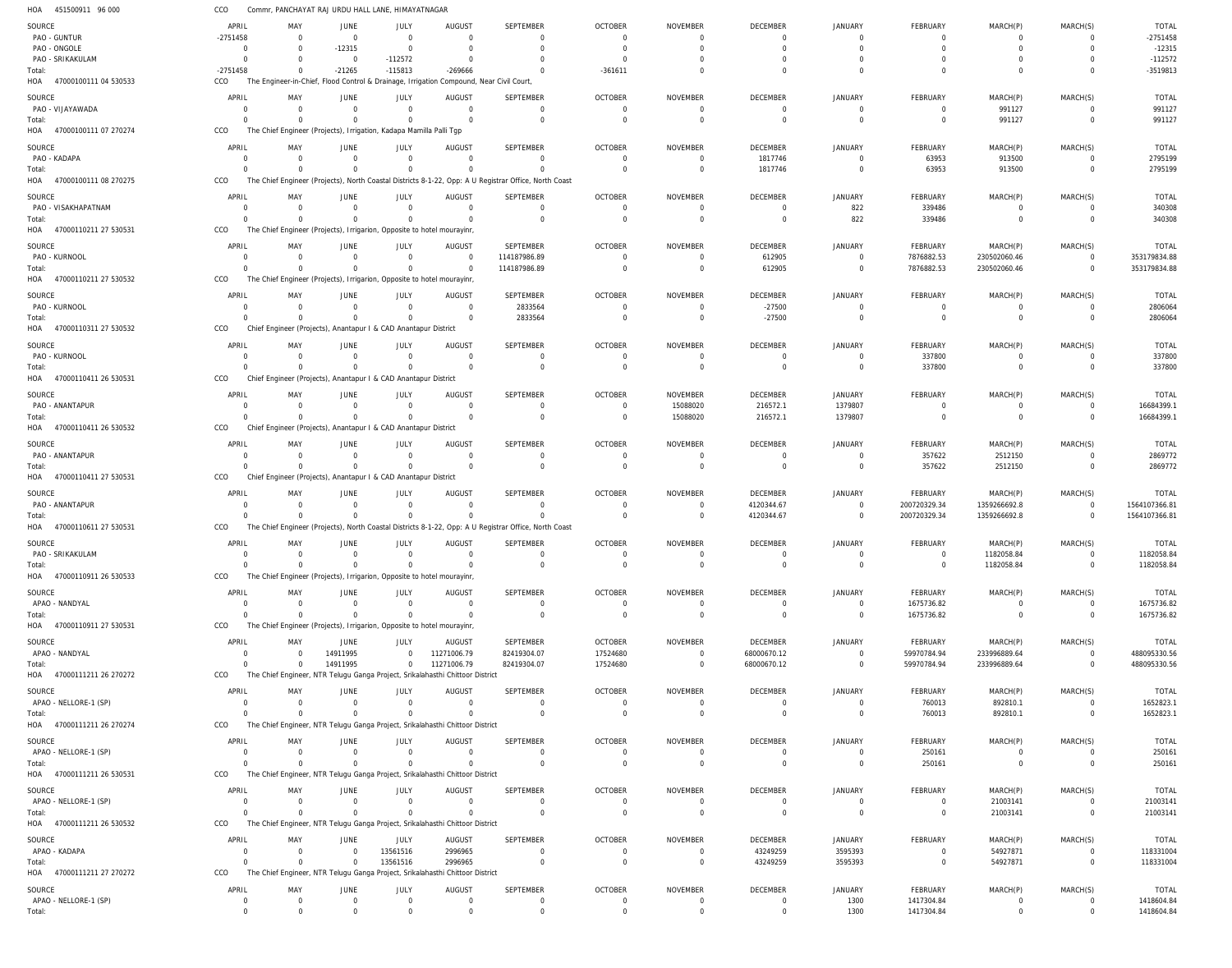| HOA<br>451500911 96 000             | CCO                              |                         | Commr, PANCHAYAT RAJ URDU HALL LANE, HIMAYATNAGAR                                     |                         |                                                                                          |                                                                                                       |                                |                                |                                  |                                  |                                   |                                  |                            |                                |
|-------------------------------------|----------------------------------|-------------------------|---------------------------------------------------------------------------------------|-------------------------|------------------------------------------------------------------------------------------|-------------------------------------------------------------------------------------------------------|--------------------------------|--------------------------------|----------------------------------|----------------------------------|-----------------------------------|----------------------------------|----------------------------|--------------------------------|
| SOURCE                              | APRIL                            | MAY                     | <b>JUNE</b>                                                                           | <b>JULY</b>             | AUGUST                                                                                   | SEPTEMBER                                                                                             | <b>OCTOBER</b>                 | NOVEMBER                       | <b>DECEMBER</b>                  | <b>JANUARY</b>                   | <b>FEBRUARY</b>                   | MARCH(P)                         | MARCH(S)                   | <b>TOTAL</b>                   |
| PAO - GUNTUR                        | $-2751458$                       | $\Omega$                | $\mathbf 0$                                                                           | $\Omega$                | $\overline{0}$                                                                           | $\overline{0}$                                                                                        | $\mathbf{0}$                   | $\mathbf 0$                    | $\overline{0}$                   | $\overline{0}$                   | $\overline{0}$                    | $\overline{0}$                   | $\Omega$                   | $-2751458$                     |
| PAO - ONGOLE<br>PAO - SRIKAKULAM    | $\overline{0}$<br>$\overline{0}$ | $\Omega$<br>$\Omega$    | $-12315$<br>$\overline{0}$                                                            | $\Omega$<br>$-112572$   | $\overline{0}$<br>$\overline{0}$                                                         | $\overline{0}$<br>$\overline{0}$                                                                      | $\mathbf{0}$<br>$\mathbf{0}$   | $\mathbf 0$<br>$\Omega$        | $\Omega$<br>$\Omega$             | $\Omega$<br>$\Omega$             | $\overline{0}$<br>$\overline{0}$  | $\overline{0}$<br>$\overline{0}$ | $\Omega$                   | $-12315$<br>$-112572$          |
| Total:                              | $-2751458$                       | $\Omega$                | $-21265$                                                                              | $-115813$               | $-269666$                                                                                | $\Omega$                                                                                              | $-361611$                      | $\Omega$                       | $\Omega$                         | $\Omega$                         | $\Omega$                          | $\Omega$                         | $\Omega$                   | $-3519813$                     |
| HOA 47000100111 04 530533           | CCO                              |                         |                                                                                       |                         | The Engineer-in-Chief, Flood Control & Drainage, Irrigation Compound, Near Civil Court,  |                                                                                                       |                                |                                |                                  |                                  |                                   |                                  |                            |                                |
| SOURCE                              | APRIL                            | MAY                     | JUNE                                                                                  | JULY                    | AUGUST                                                                                   | SEPTEMBER                                                                                             | <b>OCTOBER</b>                 | <b>NOVEMBER</b>                | DECEMBER                         | <b>JANUARY</b>                   | <b>FEBRUARY</b>                   | MARCH(P)                         | MARCH(S)                   | <b>TOTAL</b>                   |
| PAO - VIJAYAWADA                    | $^{\circ}$                       | $\Omega$                | $\mathbf 0$                                                                           | $\Omega$                | $\overline{0}$                                                                           | $\overline{0}$                                                                                        | $\mathbf 0$                    | $\mathbf 0$                    | $\overline{0}$                   | $\overline{0}$                   | $\overline{0}$                    | 991127                           | $\Omega$                   | 991127                         |
| Total:<br>HOA 47000100111 07 270274 | $\Omega$<br>CCO                  | $\Omega$                | $\overline{0}$<br>The Chief Engineer (Projects), Irrigation, Kadapa Mamilla Palli Tgp | $\Omega$                | $\mathbf 0$                                                                              | $\overline{0}$                                                                                        | $\mathbf 0$                    | $\mathbf 0$                    | $\overline{0}$                   | $\overline{0}$                   | $\overline{0}$                    | 991127                           | $\Omega$                   | 991127                         |
|                                     |                                  |                         |                                                                                       |                         |                                                                                          |                                                                                                       |                                |                                |                                  |                                  |                                   |                                  |                            |                                |
| SOURCE<br>PAO - KADAPA              | APRIL<br>0                       | MAY<br>$\Omega$         | JUNE<br>$\overline{0}$                                                                | <b>JULY</b><br>$\Omega$ | <b>AUGUST</b><br>$\overline{0}$                                                          | SEPTEMBER<br>$\overline{0}$                                                                           | <b>OCTOBER</b><br>$\mathbf{0}$ | <b>NOVEMBER</b><br>$\mathbf 0$ | DECEMBER<br>1817746              | <b>JANUARY</b><br>$\overline{0}$ | FEBRUARY<br>63953                 | MARCH(P)<br>913500               | MARCH(S)<br>$\Omega$       | <b>TOTAL</b><br>2795199        |
| Total:                              | $\Omega$                         | $\Omega$                | $\overline{0}$                                                                        | $\Omega$                | $\Omega$                                                                                 | $\Omega$                                                                                              | $\mathbf{0}$                   | $\mathbf 0$                    | 1817746                          | $\overline{0}$                   | 63953                             | 913500                           | $\Omega$                   | 2795199                        |
| HOA 47000100111 08 270275           | CCO                              |                         |                                                                                       |                         |                                                                                          | The Chief Engineer (Projects), North Coastal Districts 8-1-22, Opp: A U Registrar Office, North Coast |                                |                                |                                  |                                  |                                   |                                  |                            |                                |
| SOURCE                              | APRIL                            | MAY                     | JUNE                                                                                  | <b>JULY</b>             | <b>AUGUST</b>                                                                            | SEPTEMBER                                                                                             | OCTOBER                        | NOVEMBER                       | DECEMBER                         | <b>JANUARY</b>                   | FEBRUARY                          | MARCH(P)                         | MARCH(S)                   | <b>TOTAL</b>                   |
| PAO - VISAKHAPATNAM                 | 0                                | $\Omega$                | $\mathbf{0}$                                                                          | $\Omega$                | $\overline{0}$                                                                           | $\overline{0}$                                                                                        | $\mathbf 0$                    | 0                              | $\overline{0}$                   | 822                              | 339486                            | $\overline{0}$                   | - 0                        | 340308                         |
| Total:                              | $\Omega$                         | $\Omega$                | $\overline{0}$                                                                        | $\Omega$                | $\Omega$                                                                                 | $\overline{0}$                                                                                        | $\mathbf 0$                    | $\mathbf 0$                    | $\overline{0}$                   | 822                              | 339486                            | $\overline{0}$                   | $\Omega$                   | 340308                         |
| HOA 47000110211 27 530531           | CCO                              |                         | The Chief Engineer (Projects), Irrigarion, Opposite to hotel mourayinr,               |                         |                                                                                          |                                                                                                       |                                |                                |                                  |                                  |                                   |                                  |                            |                                |
| SOURCE                              | APRIL                            | MAY                     | <b>JUNE</b>                                                                           | JULY                    | AUGUST                                                                                   | SEPTEMBER                                                                                             | <b>OCTOBER</b>                 | <b>NOVEMBER</b>                | DECEMBER                         | <b>JANUARY</b>                   | FEBRUARY                          | MARCH(P)                         | MARCH(S)                   | <b>TOTAL</b>                   |
| PAO - KURNOOL<br>Total:             | $^{\circ}$<br>$\Omega$           | $\Omega$<br>$\Omega$    | $\overline{0}$<br>$\mathbf{0}$                                                        | $\Omega$<br>$\mathbf 0$ | $\overline{0}$<br>$\overline{0}$                                                         | 114187986.89<br>114187986.89                                                                          | $\mathbf{0}$<br>$\mathbf{0}$   | 0<br>$\mathbf 0$               | 612905<br>612905                 | $\overline{0}$<br>$\overline{0}$ | 7876882.53<br>7876882.53          | 230502060.46<br>230502060.46     | $\Omega$<br>$\Omega$       | 353179834.88<br>353179834.88   |
| HOA 47000110211 27 530532           | CCO                              |                         | The Chief Engineer (Projects), Irrigarion, Opposite to hotel mourayinr,               |                         |                                                                                          |                                                                                                       |                                |                                |                                  |                                  |                                   |                                  |                            |                                |
| SOURCE                              | APRIL                            | MAY                     | JUNE                                                                                  | <b>JULY</b>             | AUGUST                                                                                   | SEPTEMBER                                                                                             | <b>OCTOBER</b>                 | <b>NOVEMBER</b>                | DECEMBER                         | <b>JANUARY</b>                   | <b>FEBRUARY</b>                   | MARCH(P)                         | MARCH(S)                   | <b>TOTAL</b>                   |
| PAO - KURNOOL                       | 0                                | $\Omega$                | $\overline{0}$                                                                        | $\Omega$                | $\mathbf 0$                                                                              | 2833564                                                                                               | $\mathbf 0$                    | $\mathbf 0$                    | $-27500$                         | $\overline{0}$                   | $\overline{0}$                    | $\overline{0}$                   | $\Omega$                   | 2806064                        |
| Total:                              | $\Omega$                         | $\Omega$                | $\Omega$                                                                              | $\Omega$                | $\overline{0}$                                                                           | 2833564                                                                                               | $\mathbf 0$                    | $\mathbf 0$                    | $-27500$                         | $\overline{0}$                   | $\overline{0}$                    | $\overline{0}$                   | $\Omega$                   | 2806064                        |
| HOA 47000110311 27 530532           | CCO                              |                         | Chief Engineer (Projects), Anantapur I & CAD Anantapur District                       |                         |                                                                                          |                                                                                                       |                                |                                |                                  |                                  |                                   |                                  |                            |                                |
| SOURCE                              | APRIL                            | MAY                     | JUNE                                                                                  | JULY                    | AUGUST                                                                                   | SEPTEMBER                                                                                             | <b>OCTOBER</b>                 | <b>NOVEMBER</b>                | DECEMBER                         | <b>JANUARY</b>                   | FEBRUARY                          | MARCH(P)                         | MARCH(S)                   | <b>TOTAL</b>                   |
| PAO - KURNOOL                       | $\Omega$                         | $\Omega$                | $\mathbf{0}$                                                                          | $\Omega$                | $\overline{0}$                                                                           | $\overline{0}$                                                                                        | $\mathbf{0}$                   | $\mathbf 0$                    | $\overline{0}$                   | $\overline{0}$                   | 337800                            | $\overline{0}$                   | $\Omega$                   | 337800                         |
| Total:<br>HOA 47000110411 26 530531 | $\Omega$<br>CCO                  | $\Omega$                | $\mathbf 0$<br>Chief Engineer (Projects), Anantapur I & CAD Anantapur District        | $\Omega$                | $\overline{0}$                                                                           | $\overline{0}$                                                                                        | $\mathbf{0}$                   | $\mathbf 0$                    | $\overline{0}$                   | $\overline{0}$                   | 337800                            | $\overline{0}$                   | $\overline{0}$             | 337800                         |
|                                     |                                  |                         |                                                                                       |                         |                                                                                          |                                                                                                       |                                |                                |                                  |                                  |                                   |                                  |                            |                                |
| SOURCE<br>PAO - ANANTAPUR           | APRIL<br>0                       | MAY<br>$\Omega$         | <b>JUNE</b><br>$\overline{0}$                                                         | <b>JULY</b><br>$\Omega$ | AUGUST<br>$\overline{0}$                                                                 | SEPTEMBER<br>$\overline{0}$                                                                           | <b>OCTOBER</b><br>$\mathbf{0}$ | <b>NOVEMBER</b><br>15088020    | DECEMBER<br>216572.1             | <b>JANUARY</b><br>1379807        | <b>FEBRUARY</b><br>$\overline{0}$ | MARCH(P)<br>0                    | MARCH(S)<br>$\Omega$       | <b>TOTAL</b><br>16684399.1     |
| Total:                              | $\Omega$                         | $\Omega$                | $\overline{0}$                                                                        | $\Omega$                | $\Omega$                                                                                 | $\overline{0}$                                                                                        | $\mathbf{0}$                   | 15088020                       | 216572.1                         | 1379807                          | $\overline{0}$                    | $\overline{0}$                   | $\Omega$                   | 16684399.1                     |
| HOA 47000110411 26 530532           | CCO                              |                         | Chief Engineer (Projects), Anantapur I & CAD Anantapur District                       |                         |                                                                                          |                                                                                                       |                                |                                |                                  |                                  |                                   |                                  |                            |                                |
| SOURCE                              | APRIL                            | MAY                     | JUNE                                                                                  | JULY                    | AUGUST                                                                                   | SEPTEMBER                                                                                             | <b>OCTOBER</b>                 | <b>NOVEMBER</b>                | DECEMBER                         | <b>JANUARY</b>                   | <b>FEBRUARY</b>                   | MARCH(P)                         | MARCH(S)                   | <b>TOTAL</b>                   |
| PAO - ANANTAPUR                     | $\Omega$                         | $\Omega$                | $\overline{0}$                                                                        | $\Omega$                | $\overline{0}$                                                                           | $\overline{0}$                                                                                        | $\mathbf{0}$                   | $\mathbf 0$                    | $\overline{0}$                   | $\overline{0}$                   | 357622                            | 2512150                          | $\Omega$                   | 2869772                        |
| Total:                              | $\Omega$                         | $\Omega$                | $\mathbf{0}$                                                                          | $\Omega$                | $\mathbf 0$                                                                              | $\overline{0}$                                                                                        | $\mathbf 0$                    | $\mathbf 0$                    | $\overline{0}$                   | $\overline{0}$                   | 357622                            | 2512150                          | $\Omega$                   | 2869772                        |
| HOA 47000110411 27 530531           | CCO                              |                         | Chief Engineer (Projects), Anantapur I & CAD Anantapur District                       |                         |                                                                                          |                                                                                                       |                                |                                |                                  |                                  |                                   |                                  |                            |                                |
| SOURCE                              | APRIL                            | MAY                     | JUNE                                                                                  | JULY                    | AUGUST                                                                                   | SEPTEMBER                                                                                             | <b>OCTOBER</b>                 | <b>NOVEMBER</b>                | DECEMBER                         | <b>JANUARY</b>                   | FEBRUARY                          | MARCH(P)                         | MARCH(S)                   | <b>TOTAL</b>                   |
| PAO - ANANTAPUR<br>Total:           | $^{\circ}$<br>$\mathbf 0$        | $\mathbf 0$<br>$\Omega$ | $\mathbf 0$<br>$\mathbf{0}$                                                           | $\Omega$<br>$\mathbf 0$ | $\overline{0}$<br>$\mathbf 0$                                                            | $\overline{0}$<br>$\Omega$                                                                            | $\mathbf 0$<br>$\mathbf 0$     | 0<br>$\mathbf 0$               | 4120344.67<br>4120344.67         | $\overline{0}$<br>$\overline{0}$ | 200720329.34<br>200720329.34      | 1359266692.8<br>1359266692.8     | $\overline{0}$<br>$\Omega$ | 1564107366.81<br>1564107366.81 |
| HOA 47000110611 27 530531           | CCO                              |                         |                                                                                       |                         |                                                                                          | The Chief Engineer (Projects), North Coastal Districts 8-1-22, Opp: A U Registrar Office, North Coast |                                |                                |                                  |                                  |                                   |                                  |                            |                                |
| SOURCE                              | APRIL                            | MAY                     | <b>JUNE</b>                                                                           | <b>JULY</b>             | <b>AUGUST</b>                                                                            | <b>SEPTEMBER</b>                                                                                      | <b>OCTOBER</b>                 | NOVEMBER                       | DECEMBER                         | <b>JANUARY</b>                   | FEBRUARY                          | MARCH(P)                         | MARCH(S)                   | <b>TOTAL</b>                   |
| PAO - SRIKAKULAM                    | $\Omega$                         | $\Omega$                | $\mathbf{0}$                                                                          | $\overline{0}$          | $\Omega$                                                                                 | $\Omega$                                                                                              | $\Omega$                       |                                |                                  |                                  |                                   | 1182058.84                       |                            | 1182058.84                     |
| Total:                              | $\mathbf 0$                      | $\Omega$                | $\overline{0}$                                                                        | $\Omega$                | $\Omega$                                                                                 | $\overline{0}$                                                                                        | $\mathbf{0}$                   | $\mathbf{0}$                   | $\mathbf{0}$                     | $\mathbf 0$                      | $\overline{0}$                    | 1182058.84                       | $\overline{0}$             | 1182058.84                     |
| HOA 47000110911 26 530533           | CCO                              |                         | The Chief Engineer (Projects), Irrigarion, Opposite to hotel mourayinr,               |                         |                                                                                          |                                                                                                       |                                |                                |                                  |                                  |                                   |                                  |                            |                                |
| SOURCE                              | APRIL                            | MAY                     | <b>JUNE</b>                                                                           | <b>JULY</b>             | <b>AUGUST</b>                                                                            | SEPTEMBER                                                                                             | <b>OCTOBER</b>                 | <b>NOVEMBER</b>                | DECEMBER                         | <b>JANUARY</b>                   | FEBRUARY                          | MARCH(P)                         | MARCH(S)                   | <b>TOTAL</b>                   |
| APAO - NANDYAL                      | 0                                | $\Omega$                | $\mathbf 0$                                                                           | $\Omega$                | $\Omega$                                                                                 | $\overline{0}$                                                                                        | $\mathbf 0$                    | 0                              | $\overline{0}$                   | $\overline{0}$                   | 1675736.82                        | $\Omega$                         | $\Omega$                   | 1675736.82                     |
| Total:<br>HOA 47000110911 27 530531 | $\Omega$<br>CCO                  | $\Omega$                | $\Omega$<br>The Chief Engineer (Projects), Irrigarion, Opposite to hotel mourayinr,   | $\Omega$                | $\Omega$                                                                                 | $\overline{0}$                                                                                        | $\mathbf 0$                    | $\mathbf 0$                    | $\overline{0}$                   | $\overline{0}$                   | 1675736.82                        | $\overline{0}$                   | $\overline{0}$             | 1675736.82                     |
|                                     |                                  |                         |                                                                                       |                         |                                                                                          |                                                                                                       |                                |                                |                                  |                                  |                                   |                                  |                            |                                |
| SOURCE<br>APAO - NANDYAL            | APRIL<br>0                       | MAY<br>0                | <b>JUNE</b><br>14911995                                                               | JULY<br>$\mathbf 0$     | <b>AUGUST</b><br>11271006.79                                                             | SEPTEMBER<br>82419304.07                                                                              | <b>OCTOBER</b><br>17524680     | NOVEMBER<br>$\overline{0}$     | DECEMBER<br>68000670.12          | <b>JANUARY</b><br>$\overline{0}$ | FEBRUARY<br>59970784.94           | MARCH(P)<br>233996889.64         | MARCH(S)<br>$\Omega$       | <b>TOTAL</b><br>488095330.56   |
| Total:                              | $\Omega$                         | $\Omega$                | 14911995                                                                              | $\overline{0}$          | 11271006.79                                                                              | 82419304.07                                                                                           | 17524680                       | $\mathbf 0$                    | 68000670.12                      | $\mathbf 0$                      | 59970784.94                       | 233996889.64                     | $\overline{0}$             | 488095330.56                   |
| HOA 47000111211 26 270272           | CCO                              |                         |                                                                                       |                         | The Chief Engineer, NTR Telugu Ganga Project, Srikalahasthi Chittoor District            |                                                                                                       |                                |                                |                                  |                                  |                                   |                                  |                            |                                |
| SOURCE                              | APRIL                            | MAY                     | JUNE                                                                                  | JULY                    | AUGUST                                                                                   | SEPTEMBER                                                                                             | <b>OCTOBER</b>                 | NOVEMBER                       | DECEMBER                         | JANUARY                          | FEBRUARY                          | MARCH(P)                         | MARCH(S)                   | <b>TOTAL</b>                   |
| APAO - NELLORE-1 (SP)               | $^{\circ}$                       | $\Omega$                | $\overline{0}$                                                                        | $\Omega$                | $\mathbf 0$                                                                              | $\overline{0}$                                                                                        | $\mathbf{0}$                   | $\mathbf 0$                    | $\overline{0}$                   | $\overline{0}$                   | 760013                            | 892810.1                         | $\Omega$                   | 1652823.1                      |
| Total:                              | $\Omega$                         | $\Omega$                | $\Omega$                                                                              | $\Omega$                | $\mathbf 0$                                                                              | $\Omega$                                                                                              | $\mathbf 0$                    | $\mathbf 0$                    | $\overline{0}$                   | $\overline{0}$                   | 760013                            | 892810.1                         | $\Omega$                   | 1652823.1                      |
| HOA 47000111211 26 270274           | CCO                              |                         |                                                                                       |                         | The Chief Engineer, NTR Telugu Ganga Project, Srikalahasthi Chittoor District            |                                                                                                       |                                |                                |                                  |                                  |                                   |                                  |                            |                                |
| SOURCE                              | APRIL                            | MAY                     | JUNE                                                                                  | JULY                    | AUGUST                                                                                   | SEPTEMBER                                                                                             | <b>OCTOBER</b>                 | <b>NOVEMBER</b>                | DECEMBER                         | JANUARY                          | FEBRUARY                          | MARCH(P)                         | MARCH(S)                   | <b>TOTAL</b>                   |
| APAO - NELLORE-1 (SP)<br>Total:     | $\Omega$<br>$\Omega$             | $\Omega$<br>$\Omega$    | $\overline{0}$<br>$\mathbf{0}$                                                        | $\Omega$<br>$\Omega$    | $\overline{0}$<br>$\Omega$                                                               | $\overline{0}$<br>$\overline{0}$                                                                      | $\mathbf{0}$<br>$\overline{0}$ | $\mathbf 0$<br>$\mathbf 0$     | $\overline{0}$<br>$\overline{0}$ | $\overline{0}$<br>$\mathbf 0$    | 250161<br>250161                  | $\Omega$<br>$\overline{0}$       | $\Omega$<br>$\overline{0}$ | 250161<br>250161               |
| HOA 47000111211 26 530531           | CCO                              |                         |                                                                                       |                         | The Chief Engineer, NTR Telugu Ganga Project, Srikalahasthi Chittoor District            |                                                                                                       |                                |                                |                                  |                                  |                                   |                                  |                            |                                |
| SOURCE                              | APRIL                            | MAY                     | <b>JUNE</b>                                                                           | JULY                    | AUGUST                                                                                   | SEPTEMBER                                                                                             | <b>OCTOBER</b>                 | NOVEMBER                       | DECEMBER                         | <b>JANUARY</b>                   | <b>FEBRUARY</b>                   | MARCH(P)                         | MARCH(S)                   | <b>TOTAL</b>                   |
| APAO - NELLORE-1 (SP)               | 0                                | $\Omega$                | $\overline{0}$                                                                        | $\Omega$                | $\overline{0}$                                                                           | $\overline{0}$                                                                                        | 0                              | 0                              | $\overline{0}$                   | $\overline{0}$                   | 0                                 | 21003141                         | $\Omega$                   | 21003141                       |
| Total:                              | $\Omega$                         | $\Omega$                | $\Omega$                                                                              | $\Omega$                | $\Omega$                                                                                 | $\overline{0}$                                                                                        | $\mathbf 0$                    | $\mathbf 0$                    | $\overline{0}$                   | $\overline{0}$                   | $\overline{0}$                    | 21003141                         | $\overline{0}$             | 21003141                       |
| HOA 47000111211 26 530532           | CCO                              |                         |                                                                                       |                         | The Chief Engineer, NTR Telugu Ganga Project, Srikalahasthi Chittoor District            |                                                                                                       |                                |                                |                                  |                                  |                                   |                                  |                            |                                |
| SOURCE                              | APRIL                            | MAY                     | JUNE                                                                                  | JULY                    | <b>AUGUST</b>                                                                            | SEPTEMBER                                                                                             | <b>OCTOBER</b>                 | NOVEMBER                       | DECEMBER                         | <b>JANUARY</b>                   | FEBRUARY                          | MARCH(P)                         | MARCH(S)                   | <b>TOTAL</b>                   |
| APAO - KADAPA                       | $\Omega$                         | $\Omega$                | $\overline{0}$                                                                        | 13561516                | 2996965                                                                                  | $\overline{0}$                                                                                        | $\mathbf{0}$                   | $\mathbf 0$                    | 43249259                         | 3595393                          | $\Omega$                          | 54927871                         | $\Omega$                   | 118331004                      |
| Total:<br>HOA 47000111211 27 270272 | $\Omega$<br>CCO                  | $\Omega$                | $\mathbf{0}$                                                                          | 13561516                | 2996965<br>The Chief Engineer, NTR Telugu Ganga Project, Srikalahasthi Chittoor District | $\overline{0}$                                                                                        | $\mathbf 0$                    | $\mathbf 0$                    | 43249259                         | 3595393                          | $\overline{0}$                    | 54927871                         | $\overline{0}$             | 118331004                      |
|                                     |                                  |                         |                                                                                       |                         |                                                                                          |                                                                                                       |                                |                                |                                  |                                  |                                   |                                  |                            |                                |
| SOURCE<br>APAO - NELLORE-1 (SP)     | APRIL<br>$\overline{0}$          | MAY<br>$\mathbf 0$      | <b>JUNE</b><br>$\overline{0}$                                                         | JULY<br>$\overline{0}$  | AUGUST<br>$\overline{0}$                                                                 | SEPTEMBER<br>$\overline{0}$                                                                           | <b>OCTOBER</b><br>$\mathbf{0}$ | NOVEMBER<br>$\mathbf 0$        | DECEMBER<br>$\overline{0}$       | <b>JANUARY</b><br>1300           | FEBRUARY<br>1417304.84            | MARCH(P)<br>$\overline{0}$       | MARCH(S)<br>$\Omega$       | <b>TOTAL</b><br>1418604.84     |
| Total:                              | $\overline{0}$                   | $\Omega$                | $\Omega$                                                                              | $\Omega$                | $\Omega$                                                                                 | $\Omega$                                                                                              | $\Omega$                       | $\Omega$                       | $\mathbf{0}$                     | 1300                             | 1417304.84                        | $\Omega$                         |                            | 1418604.84                     |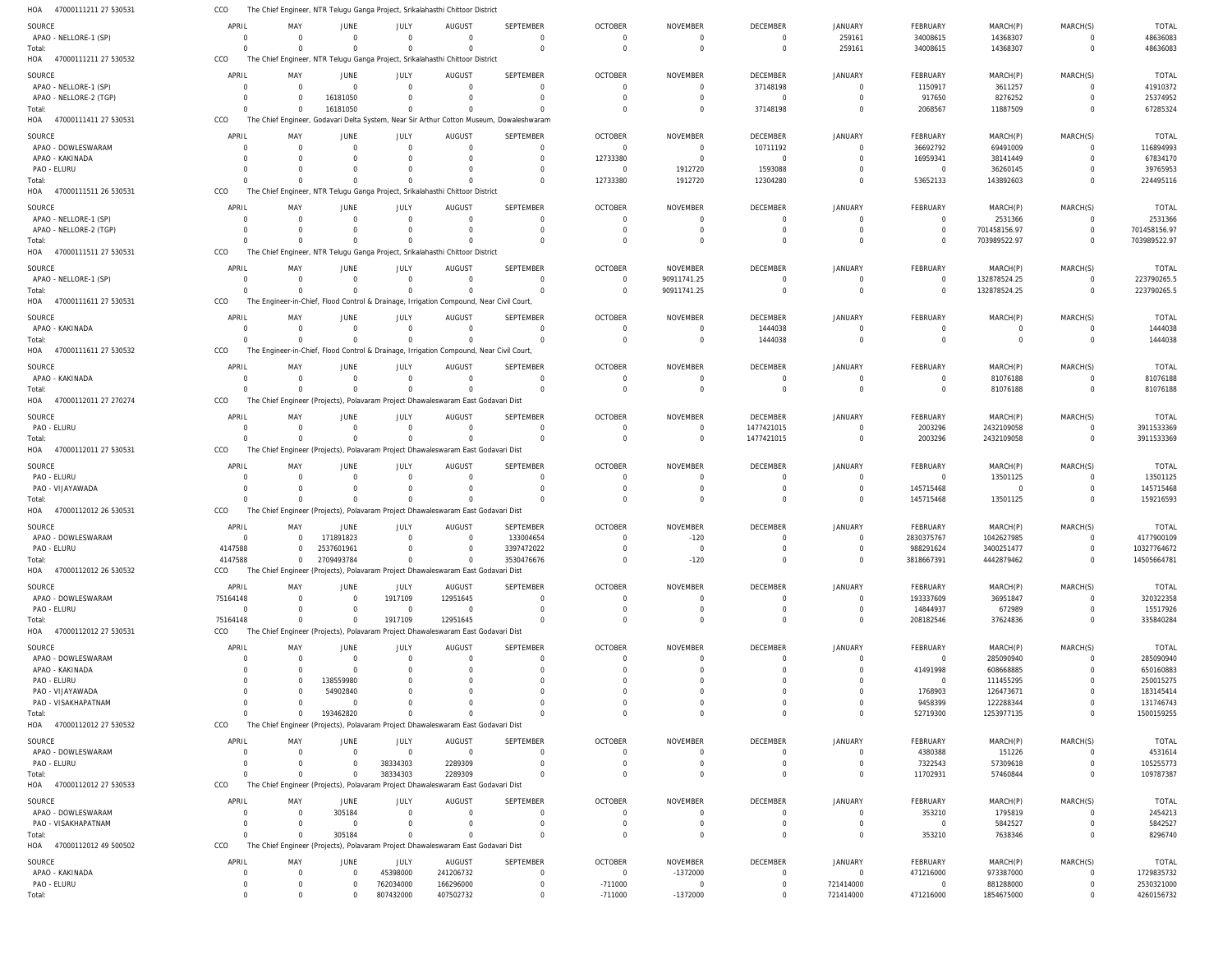47000111211 27 530531 HOA CCO The Chief Engineer, NTR Telugu Ganga Project, Srikalahasthi Chittoor District

| SOURCE                       | APRIL       | MAY         | <b>JUNE</b>                                                                       | JULY           | <b>AUGUST</b>                                                                           | SEPTEMBER                                                                               | <b>OCTOBER</b> | <b>NOVEMBER</b> | <b>DECEMBER</b> | <b>JANUARY</b> | FEBRUARY        | MARCH(P)       | MARCH(S)       | <b>TOTAL</b> |
|------------------------------|-------------|-------------|-----------------------------------------------------------------------------------|----------------|-----------------------------------------------------------------------------------------|-----------------------------------------------------------------------------------------|----------------|-----------------|-----------------|----------------|-----------------|----------------|----------------|--------------|
| APAO - NELLORE-1 (SP)        | $\Omega$    | $\Omega$    | $\Omega$                                                                          | $\Omega$       | $\Omega$                                                                                | $\Omega$                                                                                | $\Omega$       |                 | $\overline{0}$  | 259161         | 34008615        | 14368307       | $\Omega$       | 48636083     |
|                              |             |             |                                                                                   |                |                                                                                         |                                                                                         |                |                 |                 |                |                 |                |                |              |
| Total:                       | $\Omega$    | $\Omega$    | $\Omega$                                                                          | $\Omega$       | $\Omega$                                                                                | $\Omega$                                                                                | $\Omega$       | $\Omega$        | $\overline{0}$  | 259161         | 34008615        | 14368307       | $\overline{0}$ | 48636083     |
| HOA<br>47000111211 27 530532 | CCO         |             |                                                                                   |                | The Chief Engineer, NTR Telugu Ganga Project, Srikalahasthi Chittoor District           |                                                                                         |                |                 |                 |                |                 |                |                |              |
|                              |             |             |                                                                                   |                |                                                                                         |                                                                                         |                |                 |                 |                |                 |                |                |              |
| SOURCE                       | APRIL       | MAY         | JUNE                                                                              | JULY           | AUGUST                                                                                  | SEPTEMBER                                                                               | <b>OCTOBER</b> | <b>NOVEMBER</b> | <b>DECEMBER</b> | <b>JANUARY</b> | <b>FEBRUARY</b> | MARCH(P)       | MARCH(S)       | <b>TOTAL</b> |
| APAO - NELLORE-1 (SP)        | $\Omega$    | $\Omega$    | $\mathbf 0$                                                                       | $\overline{0}$ | $\Omega$                                                                                | 0                                                                                       | $\Omega$       |                 | 37148198        | $\overline{0}$ | 1150917         | 3611257        | $\Omega$       | 41910372     |
|                              |             |             |                                                                                   |                |                                                                                         |                                                                                         |                |                 |                 |                |                 |                |                |              |
| APAO - NELLORE-2 (TGP)       | $\Omega$    | $\Omega$    | 16181050                                                                          | $\Omega$       | $\Omega$                                                                                | $\Omega$                                                                                | $\Omega$       | $\Omega$        | $\overline{0}$  | $\Omega$       | 917650          | 8276252        | $\Omega$       | 25374952     |
| Total:                       | $\Omega$    | $\Omega$    | 16181050                                                                          | $\overline{0}$ |                                                                                         | $\Omega$                                                                                | $\Omega$       |                 | 37148198        | $\Omega$       | 2068567         | 11887509       | $\Omega$       | 67285324     |
| HOA<br>47000111411 27 530531 | CCO         |             |                                                                                   |                |                                                                                         | The Chief Engineer, Godavari Delta System, Near Sir Arthur Cotton Museum, Dowaleshwaram |                |                 |                 |                |                 |                |                |              |
|                              |             |             |                                                                                   |                |                                                                                         |                                                                                         |                |                 |                 |                |                 |                |                |              |
|                              | APRIL       | MAY         |                                                                                   |                |                                                                                         | SEPTEMBER                                                                               |                | <b>NOVEMBER</b> |                 | <b>JANUARY</b> |                 |                | MARCH(S)       | <b>TOTAL</b> |
| SOURCE                       |             |             | JUNE                                                                              | JULY           | <b>AUGUST</b>                                                                           |                                                                                         | <b>OCTOBER</b> |                 | DECEMBER        |                | FEBRUARY        | MARCH(P)       |                |              |
| APAO - DOWLESWARAM           | $\Omega$    | $\Omega$    | $\Omega$                                                                          | $\Omega$       | $\Omega$                                                                                | $\Omega$                                                                                | $\Omega$       | $\Omega$        | 10711192        | $\Omega$       | 36692792        | 69491009       | $\Omega$       | 116894993    |
| APAO - KAKINADA              |             |             | $\Omega$                                                                          | $\Omega$       | O                                                                                       | $\Omega$                                                                                | 12733380       | $\Omega$        | $\overline{0}$  |                | 16959341        | 38141449       | $\Omega$       | 67834170     |
|                              |             |             |                                                                                   |                |                                                                                         | $\Omega$                                                                                |                |                 |                 |                |                 |                |                |              |
| PAO - ELURU                  | $\Omega$    |             | $\Omega$                                                                          | $\Omega$       |                                                                                         |                                                                                         | $\Omega$       | 1912720         | 1593088         |                | $\overline{0}$  | 36260145       | $\Omega$       | 39765953     |
| Total:                       |             |             | $\Omega$                                                                          | $\Omega$       |                                                                                         | $\Omega$                                                                                | 12733380       | 1912720         | 12304280        | $\Omega$       | 53652133        | 143892603      | $\Omega$       | 224495116    |
| 47000111511 26 530531<br>HOA | CCO         |             |                                                                                   |                | The Chief Engineer, NTR Telugu Ganga Project, Srikalahasthi Chittoor District           |                                                                                         |                |                 |                 |                |                 |                |                |              |
|                              |             |             |                                                                                   |                |                                                                                         |                                                                                         |                |                 |                 |                |                 |                |                |              |
| SOURCE                       | APRIL       | MAY         | JUNE                                                                              | JULY           | <b>AUGUST</b>                                                                           | SEPTEMBER                                                                               | <b>OCTOBER</b> | <b>NOVEMBER</b> | DECEMBER        | JANUARY        | FEBRUARY        | MARCH(P)       | MARCH(S)       | <b>TOTAL</b> |
|                              |             |             |                                                                                   |                |                                                                                         |                                                                                         |                |                 |                 |                |                 |                |                |              |
| APAO - NELLORE-1 (SP)        | $\Omega$    | $\Omega$    | $\Omega$                                                                          | $\Omega$       | $\Omega$                                                                                | $\mathbf 0$                                                                             | $\Omega$       | $\Omega$        | $\overline{0}$  | $\mathbf 0$    | $\overline{0}$  | 2531366        | $\Omega$       | 2531366      |
| APAO - NELLORE-2 (TGP)       | $\Omega$    | $\Omega$    | $\Omega$                                                                          | $\Omega$       | $\Omega$                                                                                | $\Omega$                                                                                | $\Omega$       | $\Omega$        | $\overline{0}$  | $\Omega$       | $\mathbf 0$     | 701458156.97   | $\overline{0}$ | 701458156.97 |
| Total:                       | $\Omega$    | $\Omega$    | $\Omega$                                                                          | $\Omega$       |                                                                                         | $\Omega$                                                                                | $\Omega$       |                 | $\Omega$        | $\Omega$       | $\mathbf 0$     | 703989522.97   | $\mathbf 0$    | 703989522.97 |
|                              |             |             |                                                                                   |                |                                                                                         |                                                                                         |                |                 |                 |                |                 |                |                |              |
| 47000111511 27 530531<br>HOA | CCO         |             |                                                                                   |                | The Chief Engineer, NTR Telugu Ganga Project, Srikalahasthi Chittoor District           |                                                                                         |                |                 |                 |                |                 |                |                |              |
|                              | APRIL       |             |                                                                                   |                |                                                                                         |                                                                                         |                |                 |                 |                |                 |                | MARCH(S)       |              |
| SOURCE                       |             | MAY         | <b>JUNE</b>                                                                       | JULY           | <b>AUGUST</b>                                                                           | SEPTEMBER                                                                               | <b>OCTOBER</b> | <b>NOVEMBER</b> | <b>DECEMBER</b> | <b>JANUARY</b> | <b>FEBRUARY</b> | MARCH(P)       |                | <b>TOTAL</b> |
| APAO - NELLORE-1 (SP)        | $\Omega$    | $\Omega$    | $\Omega$                                                                          | $\Omega$       | $\Omega$                                                                                | $\Omega$                                                                                | $\Omega$       | 90911741.25     | $\Omega$        | $\Omega$       | $\mathbf 0$     | 132878524.25   | $\Omega$       | 223790265.5  |
| Total:                       | $\Omega$    | $\Omega$    | $\Omega$                                                                          | $\Omega$       | $\Omega$                                                                                | $\Omega$                                                                                | $\Omega$       | 90911741.25     | $\Omega$        | $\Omega$       | $\mathbf 0$     | 132878524.25   | $\mathbf 0$    | 223790265.5  |
|                              |             |             |                                                                                   |                |                                                                                         |                                                                                         |                |                 |                 |                |                 |                |                |              |
| HOA<br>47000111611 27 530531 | CCO         |             |                                                                                   |                | The Engineer-in-Chief, Flood Control & Drainage, Irrigation Compound, Near Civil Court, |                                                                                         |                |                 |                 |                |                 |                |                |              |
|                              |             |             |                                                                                   |                |                                                                                         |                                                                                         |                |                 |                 |                |                 |                |                |              |
| SOURCE                       | APRIL       | MAY         | JUNE                                                                              | JULY           | <b>AUGUST</b>                                                                           | SEPTEMBER                                                                               | <b>OCTOBER</b> | <b>NOVEMBER</b> | <b>DECEMBER</b> | <b>JANUARY</b> | <b>FEBRUARY</b> | MARCH(P)       | MARCH(S)       | <b>TOTAL</b> |
| APAO - KAKINADA              | $\mathbf 0$ | $\Omega$    | $\mathbf 0$                                                                       | $\mathbf 0$    | $\Omega$                                                                                | $\mathbf 0$                                                                             | $\Omega$       | $\Omega$        | 1444038         | $\mathbf 0$    | 0               | 0              | 0              | 1444038      |
|                              |             | $\Omega$    | $\Omega$                                                                          | $\mathbf 0$    | $\Omega$                                                                                | $\Omega$                                                                                | $\Omega$       | $\Omega$        | 1444038         | $\Omega$       | $\mathbf 0$     | $\mathbf 0$    | $\overline{0}$ | 1444038      |
| Total:                       |             |             |                                                                                   |                |                                                                                         |                                                                                         |                |                 |                 |                |                 |                |                |              |
| 47000111611 27 530532<br>HOA | CCO         |             |                                                                                   |                | The Engineer-in-Chief, Flood Control & Drainage, Irrigation Compound, Near Civil Court, |                                                                                         |                |                 |                 |                |                 |                |                |              |
|                              |             |             |                                                                                   |                |                                                                                         |                                                                                         |                |                 |                 |                |                 |                |                |              |
| SOURCE                       | APRIL       | MAY         | JUNE                                                                              | JULY           | <b>AUGUST</b>                                                                           | SEPTEMBER                                                                               | <b>OCTOBER</b> | <b>NOVEMBER</b> | DECEMBER        | <b>JANUARY</b> | FEBRUARY        | MARCH(P)       | MARCH(S)       | <b>TOTAL</b> |
| APAO - KAKINADA              | $\Omega$    | $\Omega$    | $\mathbf 0$                                                                       | $\Omega$       | $\Omega$                                                                                | $\Omega$                                                                                | $\Omega$       | $\Omega$        | - 0             | $\mathbf 0$    | 0               | 81076188       | $\Omega$       | 81076188     |
|                              |             |             |                                                                                   |                |                                                                                         |                                                                                         |                |                 |                 |                |                 |                |                |              |
| Total:                       | $\Omega$    | $\Omega$    | $\Omega$                                                                          | $\Omega$       | $\Omega$                                                                                | $\Omega$                                                                                | $\Omega$       | $\Omega$        | $\Omega$        | $\Omega$       | $\Omega$        | 81076188       | $\Omega$       | 81076188     |
| 47000112011 27 270274<br>HOA | CCO         |             |                                                                                   |                | The Chief Engineer (Projects), Polavaram Project Dhawaleswaram East Godavari Dist       |                                                                                         |                |                 |                 |                |                 |                |                |              |
|                              |             |             |                                                                                   |                |                                                                                         |                                                                                         |                |                 |                 |                |                 |                |                |              |
| SOURCE                       | APRIL       | MAY         | JUNE                                                                              | JULY           | <b>AUGUST</b>                                                                           | SEPTEMBER                                                                               | <b>OCTOBER</b> | <b>NOVEMBER</b> | DECEMBER        | <b>JANUARY</b> | FEBRUARY        | MARCH(P)       | MARCH(S)       | <b>TOTAL</b> |
|                              | $\Omega$    | $\Omega$    | $\mathbf 0$                                                                       | $\mathbf 0$    | $\Omega$                                                                                | $\circ$                                                                                 | $\Omega$       | $\overline{0}$  |                 | $\overline{0}$ |                 | 2432109058     | $\overline{0}$ | 3911533369   |
| PAO - ELURU                  |             |             |                                                                                   |                |                                                                                         |                                                                                         |                |                 | 1477421015      |                | 2003296         |                |                |              |
| Total:                       | $\Omega$    | $\Omega$    | $\Omega$                                                                          | $\Omega$       | $\Omega$                                                                                | $\Omega$                                                                                | $\Omega$       | $\Omega$        | 1477421015      | $\mathbf 0$    | 2003296         | 2432109058     | $\mathbf 0$    | 3911533369   |
| HOA<br>47000112011 27 530531 |             |             | The Chief Engineer (Projects), Polavaram Project Dhawaleswaram East Godavari Dist |                |                                                                                         |                                                                                         |                |                 |                 |                |                 |                |                |              |
|                              |             |             |                                                                                   |                |                                                                                         |                                                                                         |                |                 |                 |                |                 |                |                |              |
|                              | CCO         |             |                                                                                   |                |                                                                                         |                                                                                         |                |                 |                 |                |                 |                |                |              |
|                              |             |             |                                                                                   |                |                                                                                         |                                                                                         |                |                 |                 |                |                 |                |                |              |
| SOURCE                       | APRIL       | MAY         | JUNE                                                                              | JULY           | <b>AUGUST</b>                                                                           | SEPTEMBER                                                                               | <b>OCTOBER</b> | <b>NOVEMBER</b> | DECEMBER        | <b>JANUARY</b> | FEBRUARY        | MARCH(P)       | MARCH(S)       | <b>TOTAL</b> |
| PAO - ELURU                  | $\Omega$    | $\Omega$    | $\Omega$                                                                          | $\Omega$       | $\Omega$                                                                                | $\Omega$                                                                                | $\Omega$       |                 | $\Omega$        | $\Omega$       | $\Omega$        | 13501125       | $\Omega$       | 13501125     |
|                              | $\Omega$    | O           | $\Omega$                                                                          | $\Omega$       | $\Omega$                                                                                | $\Omega$                                                                                | $\Omega$       | $\Omega$        | $\overline{0}$  | $\Omega$       |                 | $\overline{0}$ | $\Omega$       |              |
| PAO - VIJAYAWADA             |             |             |                                                                                   |                |                                                                                         |                                                                                         |                |                 |                 |                | 145715468       |                |                | 145715468    |
| Total:                       | $\Omega$    | $\Omega$    | $\Omega$                                                                          | $\Omega$       |                                                                                         | $\Omega$                                                                                |                |                 | $\Omega$        | $\Omega$       | 145715468       | 13501125       | $\Omega$       | 159216593    |
| 47000112012 26 530531<br>HOA | CCO         |             |                                                                                   |                | The Chief Engineer (Projects), Polavaram Project Dhawaleswaram East Godavari Dist       |                                                                                         |                |                 |                 |                |                 |                |                |              |
|                              |             |             |                                                                                   |                |                                                                                         |                                                                                         |                |                 |                 |                |                 |                |                |              |
| SOURCE                       | APRIL       | MAY         | JUNE                                                                              | JULY           | AUGUST                                                                                  | SEPTEMBER                                                                               | <b>OCTOBER</b> | <b>NOVEMBER</b> | DECEMBER        | <b>JANUARY</b> | FEBRUARY        | MARCH(P)       | MARCH(S)       | <b>TOTAL</b> |
|                              |             |             |                                                                                   |                |                                                                                         |                                                                                         |                |                 |                 |                |                 |                |                |              |
| APAO - DOWLESWARAM           | $\Omega$    | $\Omega$    | 171891823                                                                         | $\Omega$       | $\Omega$                                                                                | 133004654                                                                               | $\Omega$       | $-120$          | $\overline{0}$  | $\Omega$       | 2830375767      | 1042627985     | $\overline{0}$ | 4177900109   |
| PAO - ELURU                  | 4147588     | $\Omega$    | 2537601961                                                                        | $\Omega$       | $\mathbf 0$                                                                             | 3397472022                                                                              |                | $\Omega$        | $\overline{0}$  | $\Omega$       | 988291624       | 3400251477     | $\Omega$       | 10327764672  |
| Total:                       | 4147588     | $\Omega$    | 2709493784                                                                        | $\Omega$       | $\Omega$                                                                                | 3530476676                                                                              |                | $-120$          | $\Omega$        |                | 3818667391      | 4442879462     | $\Omega$       | 14505664781  |
|                              |             |             |                                                                                   |                |                                                                                         |                                                                                         |                |                 |                 |                |                 |                |                |              |
| HOA 47000112012 26 530532    | CCO         |             |                                                                                   |                | The Chief Engineer (Projects), Polavaram Project Dhawaleswaram East Godavari Dist       |                                                                                         |                |                 |                 |                |                 |                |                |              |
|                              |             |             |                                                                                   |                |                                                                                         |                                                                                         |                |                 |                 |                |                 |                |                |              |
| SOURCE                       | APRIL       | MAY         | JUNE                                                                              | JULY           | AUGUST                                                                                  | SEPTEMBER                                                                               | <b>OCTOBER</b> | <b>NOVEMBER</b> | DECEMBER        | <b>JANUARY</b> | FEBRUARY        | MARCH(P)       | MARCH(S)       | <b>TOTAL</b> |
| APAO - DOWLESWARAM           | 75164148    | $\Omega$    | $\mathbf 0$                                                                       | 1917109        | 12951645                                                                                | $\Omega$                                                                                | $\Omega$       | $\Omega$        | $\mathbf 0$     | $\mathbf 0$    | 193337609       | 36951847       | $\Omega$       | 320322358    |
| PAO - ELURU                  | $\mathbf 0$ | $\Omega$    | $\Omega$                                                                          | $\overline{0}$ | $\Omega$                                                                                | $\Omega$                                                                                | $\Omega$       | $\Omega$        | $\mathbf 0$     | $\mathbf 0$    |                 |                | $\Omega$       |              |
|                              |             |             |                                                                                   |                |                                                                                         |                                                                                         |                |                 |                 |                | 14844937        | 672989         |                | 15517926     |
| Total:                       | 75164148    | $\Omega$    | $\mathbf 0$                                                                       | 1917109        | 12951645                                                                                | $\Omega$                                                                                | $\Omega$       | $\Omega$        | $\overline{0}$  | $\mathbf 0$    | 208182546       | 37624836       | $\mathbf 0$    | 335840284    |
| HOA 47000112012 27 530531    | CCO         |             |                                                                                   |                | The Chief Engineer (Projects), Polavaram Project Dhawaleswaram East Godavari Dist       |                                                                                         |                |                 |                 |                |                 |                |                |              |
|                              |             |             |                                                                                   |                |                                                                                         |                                                                                         |                |                 |                 |                |                 |                |                |              |
| SOURCE                       | APRIL       | MAY         | JUNE                                                                              | JULY           | AUGUST                                                                                  | SEPTEMBER                                                                               | <b>OCTOBER</b> | <b>NOVEMBER</b> | DECEMBER        | JANUARY        | FEBRUARY        | MARCH(P)       | MARCH(S)       | TOTAL        |
| APAO - DOWLESWARAM           | 0           | $\Omega$    | $\overline{0}$                                                                    | $\mathbf 0$    | $\Omega$                                                                                | $\circ$                                                                                 | $\Omega$       |                 | $\mathbf 0$     | $\Omega$       | $\overline{0}$  | 285090940      | 0              | 285090940    |
|                              |             |             |                                                                                   |                |                                                                                         |                                                                                         |                |                 |                 |                |                 |                |                |              |
| APAO - KAKINADA              |             | $\Omega$    | $\Omega$                                                                          | $\Omega$       | $\Omega$                                                                                | $\Omega$                                                                                | $\Omega$       |                 | $\mathbf 0$     | $\Omega$       | 41491998        | 608668885      | $\mathbf 0$    | 650160883    |
| PAO - ELURU                  | $\Omega$    | $\Omega$    | 138559980                                                                         | $\Omega$       |                                                                                         | $\Omega$                                                                                |                |                 | $\Omega$        | $\Omega$       | $\overline{0}$  | 111455295      | $\mathbf 0$    | 250015275    |
|                              |             | O           |                                                                                   | $\Omega$       |                                                                                         | $\Omega$                                                                                |                |                 | $\Omega$        | $\Omega$       |                 |                | $\Omega$       |              |
| PAO - VIJAYAWADA             |             |             | 54902840                                                                          |                |                                                                                         |                                                                                         |                |                 |                 |                | 1768903         | 126473671      |                | 183145414    |
| PAO - VISAKHAPATNAM          | $\Omega$    | $\Omega$    | $\Omega$                                                                          | $\Omega$       |                                                                                         | $\Omega$                                                                                |                |                 | $\Omega$        | $\Omega$       | 9458399         | 122288344      | $\mathbf 0$    | 131746743    |
| Total:                       |             | $\Omega$    | 193462820                                                                         | $\Omega$       |                                                                                         |                                                                                         |                |                 | $\Omega$        | $\mathbf 0$    | 52719300        | 1253977135     | $\Omega$       | 1500159255   |
|                              | CCO         |             |                                                                                   |                |                                                                                         |                                                                                         |                |                 |                 |                |                 |                |                |              |
| HOA 47000112012 27 530532    |             |             |                                                                                   |                | The Chief Engineer (Projects), Polavaram Project Dhawaleswaram East Godavari Dist       |                                                                                         |                |                 |                 |                |                 |                |                |              |
|                              |             |             |                                                                                   |                |                                                                                         |                                                                                         |                |                 |                 |                |                 |                |                |              |
| SOURCE                       | APRIL       | MAY         | JUNE                                                                              | JULY           | AUGUST                                                                                  | SEPTEMBER                                                                               | <b>OCTOBER</b> | <b>NOVEMBER</b> | DECEMBER        | <b>JANUARY</b> | FEBRUARY        | MARCH(P)       | MARCH(S)       | <b>TOTAL</b> |
| APAO - DOWLESWARAM           | $\Omega$    | $\Omega$    | $\Omega$                                                                          | $\Omega$       | $\Omega$                                                                                | $\Omega$                                                                                | $\Omega$       | $\Omega$        | $\overline{0}$  | $\mathbf 0$    | 4380388         | 151226         | $\Omega$       | 4531614      |
| PAO - ELURU                  | $\Omega$    | $\Omega$    | $\Omega$                                                                          | 38334303       | 2289309                                                                                 | $\Omega$                                                                                | $\Omega$       | $\Omega$        | $\mathbf 0$     | $\mathbf 0$    | 7322543         | 57309618       | $\Omega$       | 105255773    |
|                              |             |             |                                                                                   |                |                                                                                         |                                                                                         |                |                 |                 |                |                 |                |                |              |
| Total:                       | $\Omega$    | $\Omega$    | $\mathbf 0$                                                                       | 38334303       | 2289309                                                                                 | $\mathbf 0$                                                                             | $\Omega$       |                 | $\Omega$        | $\mathbf 0$    | 11702931        | 57460844       | $\mathbf 0$    | 109787387    |
| HOA 47000112012 27 530533    | CCO         |             |                                                                                   |                | The Chief Engineer (Projects), Polavaram Project Dhawaleswaram East Godavari Dist       |                                                                                         |                |                 |                 |                |                 |                |                |              |
|                              |             |             |                                                                                   |                |                                                                                         |                                                                                         |                |                 |                 |                |                 |                |                |              |
| SOURCE                       | APRIL       | MAY         | JUNE                                                                              | JULY           | AUGUST                                                                                  | SEPTEMBER                                                                               | <b>OCTOBER</b> | <b>NOVEMBER</b> | DECEMBER        | JANUARY        | FEBRUARY        | MARCH(P)       | MARCH(S)       | TOTAL        |
|                              | $\Omega$    | $\Omega$    |                                                                                   | $\Omega$       | $\Omega$                                                                                | $\mathbf 0$                                                                             | $\Omega$       |                 | 0               | $\overline{0}$ |                 |                | $\Omega$       |              |
| APAO - DOWLESWARAM           |             |             | 305184                                                                            |                |                                                                                         |                                                                                         |                |                 |                 |                | 353210          | 1795819        |                | 2454213      |
| PAO - VISAKHAPATNAM          | $\Omega$    | $\Omega$    | $\overline{0}$                                                                    | $\mathbf{0}$   | $\Omega$                                                                                | $\mathbf 0$                                                                             | $\mathbf 0$    | $\Omega$        | $\overline{0}$  | $\overline{0}$ | $\overline{0}$  | 5842527        | $\mathbf 0$    | 5842527      |
| Total:                       | $\Omega$    | $\Omega$    | 305184                                                                            | $\Omega$       |                                                                                         | $\mathbf 0$                                                                             | $\Omega$       | $\Omega$        | $\Omega$        | $\overline{0}$ | 353210          | 7638346        | $\mathbf 0$    | 8296740      |
|                              |             |             |                                                                                   |                |                                                                                         |                                                                                         |                |                 |                 |                |                 |                |                |              |
| HOA 47000112012 49 500502    | CCO         |             |                                                                                   |                | The Chief Engineer (Projects), Polavaram Project Dhawaleswaram East Godavari Dist       |                                                                                         |                |                 |                 |                |                 |                |                |              |
|                              |             |             |                                                                                   |                |                                                                                         |                                                                                         |                |                 |                 |                |                 |                |                |              |
| SOURCE                       | APRIL       | MAY         | JUNE                                                                              | JULY           | AUGUST                                                                                  | SEPTEMBER                                                                               | <b>OCTOBER</b> | <b>NOVEMBER</b> | DECEMBER        | JANUARY        | FEBRUARY        | MARCH(P)       | MARCH(S)       | TOTAL        |
| APAO - KAKINADA              | $\Omega$    | $\Omega$    | $\mathbf 0$                                                                       | 45398000       | 241206732                                                                               | $\mathbf 0$                                                                             | $\overline{0}$ | -1372000        | $\overline{0}$  | $\Omega$       | 471216000       | 973387000      | $\Omega$       | 1729835732   |
| PAO - ELURU                  | 0           | $\Omega$    | $\mathbf 0$                                                                       | 762034000      | 166296000                                                                               | $\Omega$                                                                                | $-711000$      | - 0             | $\mathbf 0$     | 721414000      | $\overline{0}$  | 881288000      | $\mathbf 0$    | 2530321000   |
| Total:                       | $\mathbf 0$ | $\mathbf 0$ | $\circ$                                                                           | 807432000      | 407502732                                                                               | $\mathbf 0$                                                                             | $-711000$      | $-1372000$      | $\mathbf 0$     | 721414000      | 471216000       | 1854675000     | $\circ$        | 4260156732   |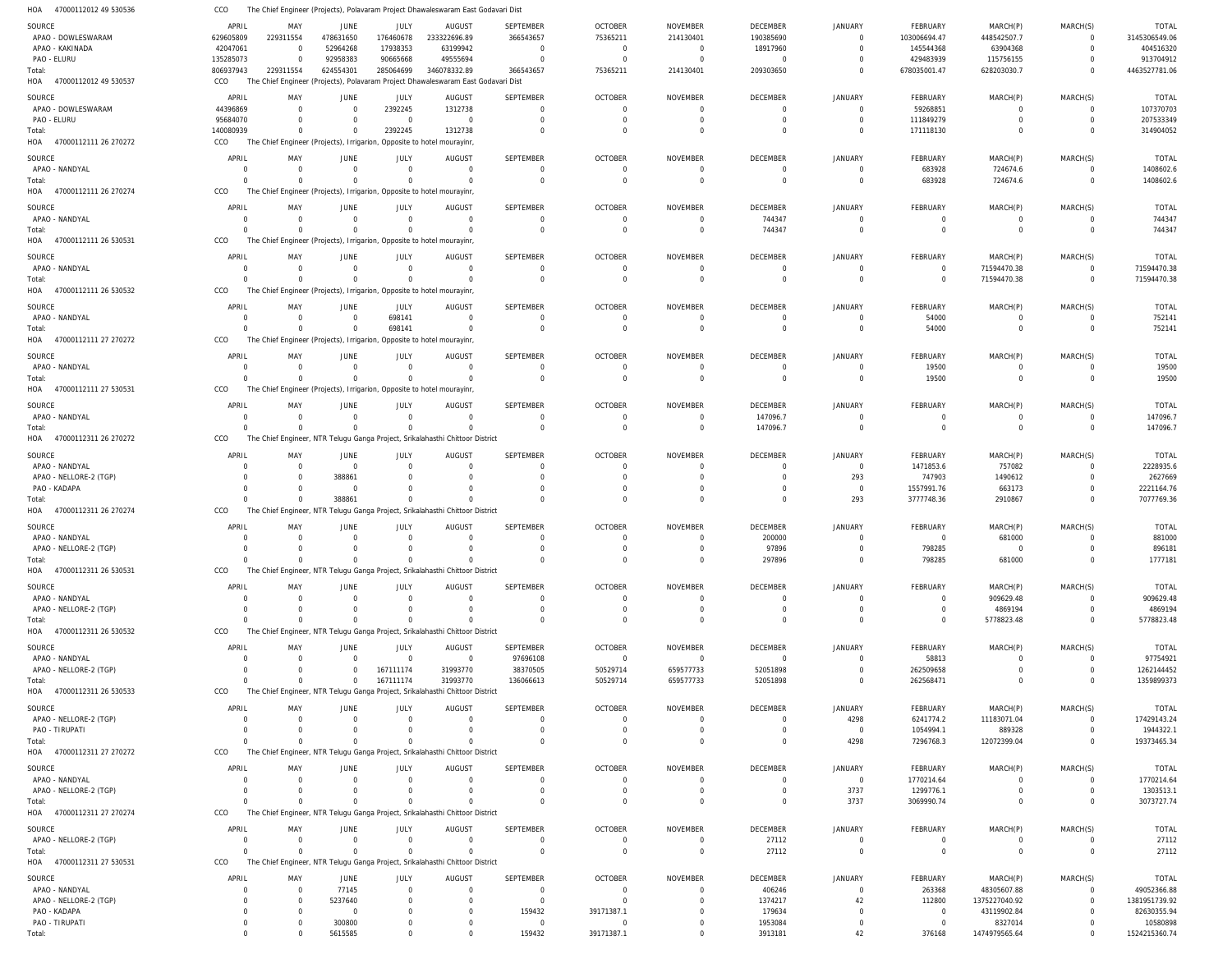|                                     | CCO                  |                                                                                   |                         |                        | The Chief Engineer (Projects), Polavaram Project Dhawaleswaram East Godavari Dist |                                 |                                  |                                |                             |                            |                                   |                         |                            |                           |
|-------------------------------------|----------------------|-----------------------------------------------------------------------------------|-------------------------|------------------------|-----------------------------------------------------------------------------------|---------------------------------|----------------------------------|--------------------------------|-----------------------------|----------------------------|-----------------------------------|-------------------------|----------------------------|---------------------------|
| SOURCE                              | APRIL                | MAY                                                                               | JUNE                    | JULY                   | AUGUST                                                                            | <b>SEPTEMBER</b>                | <b>OCTOBER</b>                   | <b>NOVEMBER</b>                | <b>DECEMBER</b>             | <b>JANUARY</b>             | <b>FEBRUARY</b>                   | MARCH(P)                | MARCH(S)                   | <b>TOTAL</b>              |
| APAO - DOWLESWARAM                  | 629605809            | 229311554                                                                         | 478631650               | 176460678              | 233322696.89                                                                      | 366543657                       | 75365211                         | 214130401                      | 190385690                   | $\Omega$                   | 103006694.47                      | 448542507.7             | $\mathbf 0$                | 3145306549.06             |
| APAO - KAKINADA                     | 42047061             | $\Omega$                                                                          | 52964268                | 17938353               | 63199942                                                                          | $\overline{0}$                  | $\overline{0}$                   | $\overline{0}$                 | 18917960                    | $\Omega$                   | 145544368                         | 63904368                | $\mathbf 0$                | 404516320                 |
| PAO - ELURU                         | 135285073            | $\Omega$                                                                          | 92958383                | 90665668               | 49555694                                                                          | $\Omega$                        | $\overline{0}$                   | $\overline{0}$                 | $\overline{0}$              | $\Omega$                   | 429483939                         | 115756155               | $\mathbf 0$                | 913704912                 |
| Total:                              | 806937943            | 229311554                                                                         | 624554301               | 285064699              | 346078332.89                                                                      | 366543657                       | 75365211                         | 214130401                      | 209303650                   | $\Omega$                   | 678035001.47                      | 628203030.7             | $\Omega$                   | 4463527781.06             |
| HOA 47000112012 49 530537           | CCO                  | The Chief Engineer (Projects), Polavaram Project Dhawaleswaram East Godavari Dist |                         |                        |                                                                                   |                                 |                                  |                                |                             |                            |                                   |                         |                            |                           |
| SOURCE                              | APRIL                | MAY                                                                               | JUNE                    | JULY                   | AUGUST                                                                            | <b>SEPTEMBER</b>                | <b>OCTOBER</b>                   | <b>NOVEMBER</b>                | DECEMBER                    | <b>JANUARY</b>             | FEBRUARY                          | MARCH(P)                | MARCH(S)                   | <b>TOTAL</b>              |
| APAO - DOWLESWARAM                  | 44396869             | $\Omega$                                                                          | $\Omega$                | 2392245                | 1312738                                                                           | $\mathbf 0$                     | $\overline{0}$                   | $\overline{0}$                 | $\Omega$                    | $\Omega$                   | 59268851                          | $\overline{0}$          | $\mathbf 0$                | 107370703                 |
| PAO - ELURU                         | 95684070             | $\Omega$                                                                          | $\Omega$                | $\Omega$               | $\Omega$                                                                          | $\mathbf 0$                     | $\mathbf 0$                      | $\overline{0}$                 | $\Omega$                    | $\Omega$                   | 111849279                         | $\mathbf 0$             | $\mathbf 0$                | 207533349                 |
| Total:                              | 140080939            | $\Omega$                                                                          | $\Omega$                | 2392245                | 1312738                                                                           | $\Omega$                        | $\Omega$                         | $\Omega$                       | $\Omega$                    | $\Omega$                   | 171118130                         | $\mathbf 0$             | $\mathbf 0$                | 314904052                 |
| HOA 47000112111 26 270272           | CCO                  | The Chief Engineer (Projects), Irrigarion, Opposite to hotel mourayinr            |                         |                        |                                                                                   |                                 |                                  |                                |                             |                            |                                   |                         |                            |                           |
| SOURCE                              | APRIL                | MAY                                                                               | <b>JUNE</b>             | JULY                   | <b>AUGUST</b>                                                                     | <b>SEPTEMBER</b>                | <b>OCTOBER</b>                   | <b>NOVEMBER</b>                | <b>DECEMBER</b>             | <b>JANUARY</b>             | <b>FEBRUARY</b>                   | MARCH(P)                | MARCH(S)                   | <b>TOTAL</b>              |
| APAO - NANDYAL                      | $\overline{0}$       | $^{\circ}$                                                                        | $\Omega$                | $\overline{0}$         | $\Omega$                                                                          | $\mathbf 0$                     | $\overline{0}$                   | 0                              | $\Omega$                    | $\Omega$                   | 683928                            | 724674.6                | $^{\circ}$                 | 1408602.6                 |
| Total:                              | $\Omega$             | $\Omega$                                                                          | $\Omega$                | $\Omega$               | $\Omega$                                                                          | $\Omega$                        | $\Omega$                         | $\Omega$                       | $\Omega$                    | $\Omega$                   | 683928                            | 724674.6                | $\mathbf{0}$               | 1408602.6                 |
| HOA 47000112111 26 270274           | CCO                  | The Chief Engineer (Projects), Irrigarion, Opposite to hotel mourayinr            |                         |                        |                                                                                   |                                 |                                  |                                |                             |                            |                                   |                         |                            |                           |
|                                     |                      |                                                                                   |                         |                        |                                                                                   |                                 |                                  |                                |                             |                            |                                   |                         |                            |                           |
| SOURCE                              | APRIL                | MAY                                                                               | JUNE                    | JULY                   | <b>AUGUST</b>                                                                     | <b>SEPTEMBER</b>                | <b>OCTOBER</b>                   | <b>NOVEMBER</b>                | DECEMBER                    | <b>JANUARY</b>             | FEBRUARY                          | MARCH(P)                | MARCH(S)                   | <b>TOTAL</b>              |
| APAO - NANDYAL                      | $\Omega$             | $\Omega$                                                                          | $\Omega$                | $\mathbf 0$            | $\Omega$                                                                          | $\mathbf 0$                     | $\mathbf 0$                      | $\mathbf 0$                    | 744347                      | $\Omega$                   | $\overline{0}$                    | $\overline{0}$          | $\mathbf 0$                | 744347                    |
| Total:                              | $\Omega$             | $\Omega$                                                                          | $\Omega$                | $\Omega$               | $\Gamma$                                                                          | $\Omega$                        | $\Omega$                         | $\mathbf 0$                    | 744347                      | $\Omega$                   | $\mathbf 0$                       | $\mathbf 0$             | $\mathbf 0$                | 744347                    |
| HOA 47000112111 26 530531           | CCO                  | The Chief Engineer (Projects), Irrigarion, Opposite to hotel mourayinr            |                         |                        |                                                                                   |                                 |                                  |                                |                             |                            |                                   |                         |                            |                           |
| SOURCE                              | APRIL                | MAY                                                                               | JUNE                    | JULY                   | <b>AUGUST</b>                                                                     | <b>SEPTEMBER</b>                | <b>OCTOBER</b>                   | <b>NOVEMBER</b>                | <b>DECEMBER</b>             | <b>JANUARY</b>             | <b>FEBRUARY</b>                   | MARCH(P)                | MARCH(S)                   | <b>TOTAL</b>              |
| APAO - NANDYAL                      | $\overline{0}$       | $\Omega$                                                                          | $\Omega$                | $\Omega$               | $\Omega$                                                                          | $\mathbf 0$                     | $\overline{0}$                   | $\overline{0}$                 | $\Omega$                    | $\Omega$                   | $\overline{\mathbf{0}}$           | 71594470.38             | $\mathbf{0}$               | 71594470.38               |
| Total:                              | $\Omega$             | $\Omega$                                                                          | $\Omega$                | $\Omega$               | $\Omega$                                                                          | $\mathbf 0$                     | $\overline{0}$                   | $\overline{0}$                 | $\Omega$                    | $\Omega$                   | $\mathbf 0$                       | 71594470.38             | $\mathbf{0}$               | 71594470.38               |
| HOA 47000112111 26 530532           | CCO                  | The Chief Engineer (Projects), Irrigarion, Opposite to hotel mourayinr            |                         |                        |                                                                                   |                                 |                                  |                                |                             |                            |                                   |                         |                            |                           |
| SOURCE                              | APRIL                | MAY                                                                               | <b>JUNE</b>             | JULY                   | <b>AUGUST</b>                                                                     | <b>SEPTEMBER</b>                | <b>OCTOBER</b>                   | <b>NOVEMBER</b>                | <b>DECEMBER</b>             | <b>JANUARY</b>             | <b>FEBRUARY</b>                   | MARCH(P)                | MARCH(S)                   | <b>TOTAL</b>              |
| APAO - NANDYAL                      | $\overline{0}$       | 0                                                                                 | $\Omega$                | 698141                 | $\Omega$                                                                          | $\mathbf 0$                     | $\overline{0}$                   | 0                              | $\Omega$                    | $\Omega$                   | 54000                             | $\overline{0}$          | 0                          | 752141                    |
| Total:                              | $\Omega$             | $\Omega$                                                                          | $\Omega$                | 698141                 | $\Omega$                                                                          | $\mathbf 0$                     | $\overline{0}$                   | $\overline{0}$                 | $\Omega$                    | $\Omega$                   | 54000                             | $\overline{0}$          | $\mathbf 0$                | 752141                    |
| HOA 47000112111 27 270272           | CCO                  | The Chief Engineer (Projects), Irrigarion, Opposite to hotel mourayinr            |                         |                        |                                                                                   |                                 |                                  |                                |                             |                            |                                   |                         |                            |                           |
| SOURCE                              | APRIL                | MAY                                                                               | JUNE                    | JULY                   | <b>AUGUST</b>                                                                     | <b>SEPTEMBER</b>                | <b>OCTOBER</b>                   | <b>NOVEMBER</b>                | <b>DECEMBER</b>             | <b>JANUARY</b>             | <b>FEBRUARY</b>                   | MARCH(P)                | MARCH(S)                   | <b>TOTAL</b>              |
| APAO - NANDYAL                      | $\Omega$             | $\Omega$                                                                          | $\Omega$                | $\overline{0}$         | $\Omega$                                                                          | $\mathbf 0$                     | $\overline{0}$                   | $\mathbf 0$                    | $\Omega$                    | $\Omega$                   | 19500                             | $\overline{0}$          | $^{\circ}$                 | 19500                     |
| Total:                              | $\Omega$             | $\Omega$                                                                          | $\Omega$                | $\Omega$               | $\Omega$                                                                          | $\Omega$                        | $\Omega$                         | $\overline{0}$                 | $\Omega$                    | $\Omega$                   | 19500                             | $\mathbf 0$             | $\mathbf 0$                | 19500                     |
| HOA 47000112111 27 530531           | CCO                  | The Chief Engineer (Projects), Irrigarion, Opposite to hotel mourayinr            |                         |                        |                                                                                   |                                 |                                  |                                |                             |                            |                                   |                         |                            |                           |
|                                     |                      |                                                                                   |                         |                        |                                                                                   |                                 |                                  |                                |                             |                            |                                   |                         |                            |                           |
| SOURCE                              | APRIL                | MAY                                                                               | <b>JUNE</b>             | JULY                   | <b>AUGUST</b>                                                                     | <b>SEPTEMBER</b>                | <b>OCTOBER</b>                   | <b>NOVEMBER</b>                | DECEMBER                    | <b>JANUARY</b>             | FEBRUARY                          | MARCH(P)                | MARCH(S)                   | <b>TOTAL</b>              |
| APAO - NANDYAL                      | $\Omega$             | $\Omega$                                                                          | $\Omega$                | $\Omega$               | $\Omega$                                                                          | $\mathbf 0$                     | $\overline{0}$                   | $\overline{0}$                 | 147096.7                    | $\Omega$                   | $\overline{0}$                    | $\overline{0}$          | $\overline{0}$             | 147096.7                  |
| Total:                              | $\Omega$             | $\Omega$                                                                          | $\Omega$                | $\Omega$               | $\Omega$                                                                          | $\mathbf 0$                     | $\overline{0}$                   | $\mathbf 0$                    | 147096.7                    | $\Omega$                   | $\mathbf 0$                       | $\mathbf 0$             | $\mathbf 0$                | 147096.7                  |
| HOA 47000112311 26 270272           | CCO                  | The Chief Engineer, NTR Telugu Ganga Project, Srikalahasthi Chittoor District     |                         |                        |                                                                                   |                                 |                                  |                                |                             |                            |                                   |                         |                            |                           |
| SOURCE                              | APRIL                | MAY                                                                               | JUNE                    | JULY                   | <b>AUGUST</b>                                                                     | <b>SEPTEMBER</b>                | <b>OCTOBER</b>                   | <b>NOVEMBER</b>                | <b>DECEMBER</b>             | <b>JANUARY</b>             | <b>FEBRUARY</b>                   | MARCH(P)                | MARCH(S)                   | <b>TOTAL</b>              |
| APAO - NANDYAL                      | $\Omega$             | $\Omega$                                                                          | $\Omega$                | $\overline{0}$         | $\Omega$                                                                          | $\mathbf 0$                     | 0                                | 0                              | $\Omega$                    | $\Omega$                   | 1471853.6                         | 757082                  | $^{\circ}$                 | 2228935.6                 |
| APAO - NELLORE-2 (TGP)              | $\Omega$             | $\Omega$                                                                          | 388861                  | $\Omega$               | $\Omega$                                                                          | $\Omega$                        | $\overline{0}$                   | $\Omega$                       | $\Omega$                    | 293                        | 747903                            | 1490612                 | $\mathbf 0$                | 2627669                   |
| PAO - KADAPA                        | $\Omega$             | $\Omega$                                                                          | $\Omega$                | $\Omega$               | $\Omega$                                                                          | $\Omega$                        | $\Omega$                         | $\Omega$                       | $\Omega$                    | $\Omega$                   | 1557991.76                        | 663173                  | $\mathbf 0$                | 2221164.76                |
| Total:                              | $\Omega$             | $\Omega$                                                                          | 388861                  | $\Omega$               | $\Omega$                                                                          | $\Omega$                        | $\Omega$                         | $\Omega$                       | $\Omega$                    | 293                        | 3777748.36                        | 2910867                 | $\mathbf 0$                | 7077769.36                |
| HOA 47000112311 26 270274           | CCO                  | The Chief Engineer, NTR Telugu Ganga Project, Srikalahasthi Chittoor District     |                         |                        |                                                                                   |                                 |                                  |                                |                             |                            |                                   |                         |                            |                           |
| SOURCE                              | APRIL                | MAY                                                                               | JUNE                    | <b>JULY</b>            | <b>AUGUST</b>                                                                     | <b>SEPTEMBER</b>                | <b>OCTOBER</b>                   | <b>NOVEMBER</b>                | <b>DECEMBER</b>             | <b>JANUARY</b>             | <b>FEBRUARY</b>                   | MARCH(P)                | MARCH(S)                   | <b>TOTAL</b>              |
| APAO - NANDYAL                      | 0                    | $\Omega$                                                                          | $\Omega$                | $\Omega$               | $\Omega$                                                                          | 0                               | 0                                | $\Omega$                       | 200000                      | $\Omega$                   | 0                                 | 681000                  | $\Omega$                   | 881000                    |
| APAO - NELLORE-2 (TGP)              | $\overline{0}$       | $\Omega$                                                                          | $\Omega$                | $\Omega$               | $\Omega$                                                                          | $\Omega$                        | $\Omega$                         | $\Omega$                       | 97896                       | $\Omega$                   | 798285                            | $\overline{0}$          | $\Omega$                   | 896181                    |
| Total:                              | 0                    | $\Omega$                                                                          | $\Omega$                | $\mathbf{0}$           |                                                                                   | 0                               | $\overline{0}$                   | $\mathbf{0}$                   | 297896                      | $\mathbf{0}$               | 798285                            | 681000                  | $\mathbf 0$                | 1777181                   |
| HOA 47000112311 26 530531           | CCO                  | The Chief Engineer, NTR Telugu Ganga Project, Srikalahasthi Chittoor District     |                         |                        |                                                                                   |                                 |                                  |                                |                             |                            |                                   |                         |                            |                           |
| SOURCE                              | APRIL                |                                                                                   |                         |                        |                                                                                   |                                 |                                  |                                |                             |                            |                                   |                         |                            |                           |
| APAO - NANDYAL                      |                      |                                                                                   |                         |                        |                                                                                   |                                 |                                  |                                |                             |                            |                                   |                         |                            |                           |
| APAO - NELLORE-2 (TGP)              | $\Omega$             | MAY<br>$\Omega$                                                                   | <b>JUNE</b><br>$\Omega$ | JULY<br>$\mathbf 0$    | <b>AUGUST</b><br>$\Omega$                                                         | <b>SEPTEMBER</b><br>$\mathbf 0$ | <b>OCTOBER</b><br>$\overline{0}$ | <b>NOVEMBER</b><br>$\mathbf 0$ | <b>DECEMBER</b><br>$\Omega$ | <b>JANUARY</b><br>$\Omega$ | <b>FEBRUARY</b><br>$\overline{0}$ | MARCH(P)                | MARCH(S)<br>$^{\circ}$     | <b>TOTAL</b><br>909629.48 |
|                                     | $\Omega$             | $\Omega$                                                                          |                         | $\Omega$               | $\Omega$                                                                          | $\mathbf 0$                     | $\overline{0}$                   | $\overline{0}$                 | $\Omega$                    | $\Omega$                   | 0                                 | 909629.48<br>4869194    | $\mathbf 0$                | 4869194                   |
| Total:                              | $\Omega$             | $\Omega$                                                                          | $\Omega$                | $\Omega$               | $\Omega$                                                                          | $\Omega$                        | $\Omega$                         | $\Omega$                       | $\Omega$                    | $\Omega$                   | $\Omega$                          | 5778823.48              | $\mathbf 0$                | 5778823.48                |
| HOA 47000112311 26 530532           | CCO                  | The Chief Engineer, NTR Telugu Ganga Project, Srikalahasthi Chittoor District     |                         |                        |                                                                                   |                                 |                                  |                                |                             |                            |                                   |                         |                            |                           |
|                                     |                      |                                                                                   |                         |                        |                                                                                   |                                 |                                  |                                |                             |                            |                                   |                         |                            |                           |
| SOURCE                              | APRIL                | MAY                                                                               | <b>JUNE</b>             | JULY                   | <b>AUGUST</b>                                                                     | SEPTEMBER                       | <b>OCTOBER</b>                   | <b>NOVEMBER</b>                | DECEMBER                    | JANUARY                    | FEBRUARY                          | MARCH(P)                | MARCH(S)                   | <b>TOTAL</b>              |
| APAO - NANDYAL                      | $\Omega$<br>$\Omega$ | $\Omega$<br>$\Omega$                                                              | $\Omega$                | $\Omega$               | $\overline{0}$                                                                    | 97696108                        | $\mathbf 0$                      | $\mathbf 0$                    | $\mathbf 0$                 | $\Omega$<br>$\Omega$       | 58813                             | $\overline{0}$          | $\mathbf 0$                | 97754921                  |
| APAO - NELLORE-2 (TGP)              | $\Omega$             | $\Omega$                                                                          | $\Omega$                | 167111174<br>167111174 | 31993770<br>31993770                                                              | 38370505                        | 50529714                         | 659577733<br>659577733         | 52051898                    | $\Omega$                   | 262509658                         | $\mathbf 0$<br>$\Omega$ | $\mathbf 0$<br>$\mathbf 0$ | 1262144452                |
| Total:<br>HOA 47000112311 26 530533 | CCO                  | The Chief Engineer, NTR Telugu Ganga Project, Srikalahasthi Chittoor District     |                         |                        |                                                                                   | 136066613                       | 50529714                         |                                | 52051898                    |                            | 262568471                         |                         |                            | 1359899373                |
|                                     |                      |                                                                                   |                         |                        |                                                                                   |                                 |                                  |                                |                             |                            |                                   |                         |                            |                           |
| SOURCE                              | APRIL                | MAY                                                                               | <b>JUNE</b>             | JULY                   | <b>AUGUST</b>                                                                     | <b>SEPTEMBER</b>                | <b>OCTOBER</b>                   | <b>NOVEMBER</b>                | <b>DECEMBER</b>             | JANUARY                    | FEBRUARY                          | MARCH(P)                | MARCH(S)                   | <b>TOTAL</b>              |
| APAO - NELLORE-2 (TGP)              | $\Omega$             | $\Omega$                                                                          | $\Omega$                | $\Omega$               | $\Omega$                                                                          | 0                               | 0                                | 0                              | $\Omega$                    | 4298                       | 6241774.2                         | 11183071.04             | $^{\circ}$                 | 17429143.24               |
| PAO - TIRUPATI                      | $\Omega$             | $\Omega$                                                                          | $\Omega$                | $\Omega$               | $\Omega$                                                                          | $\Omega$                        | $\overline{0}$                   | $\overline{0}$                 | $\Omega$                    | $\Omega$                   | 1054994.1                         | 889328                  | $\mathbf{0}$               | 1944322.1                 |
| Total:                              | $\Omega$             | $\Omega$                                                                          | $\Omega$                | $\Omega$               | $\Omega$                                                                          | $\Omega$                        | $\Omega$                         | $\Omega$                       | $\Omega$                    | 4298                       | 7296768.3                         | 12072399.04             | $\mathbf 0$                | 19373465.34               |
| HOA 47000112311 27 270272           | CCO                  | The Chief Engineer, NTR Telugu Ganga Project, Srikalahasthi Chittoor District     |                         |                        |                                                                                   |                                 |                                  |                                |                             |                            |                                   |                         |                            |                           |
| SOURCE                              | APRIL                | MAY                                                                               | <b>JUNE</b>             | JULY                   | <b>AUGUST</b>                                                                     | SEPTEMBER                       | <b>OCTOBER</b>                   | <b>NOVEMBER</b>                | DECEMBER                    | <b>JANUARY</b>             | FEBRUARY                          | MARCH(P)                | MARCH(S)                   | TOTAL                     |
| APAO - NANDYAL                      | $\Omega$             | $\Omega$                                                                          |                         | $\Omega$               | - 0                                                                               | 0                               | 0                                | 0                              | $\Omega$                    | $\mathbf 0$                | 1770214.64                        | 0                       | 0                          | 1770214.64                |
| APAO - NELLORE-2 (TGP)              | $\Omega$             | $\Omega$                                                                          |                         | $\Omega$               | $\Omega$                                                                          | $\Omega$                        | $\overline{0}$                   | $\overline{0}$                 | $\Omega$                    | 3737                       | 1299776.1                         | 0                       | $\mathbf 0$                | 1303513.1                 |
| Total:                              | $\Omega$             | $\Omega$                                                                          | $\Omega$                | $\Omega$               |                                                                                   | $\Omega$                        | $\Omega$                         | $\Omega$                       | $\Omega$                    | 3737                       | 3069990.74                        | $\mathbf 0$             | $\Omega$                   | 3073727.74                |
| HOA 47000112311 27 270274           | CCO                  | The Chief Engineer, NTR Telugu Ganga Project, Srikalahasthi Chittoor District     |                         |                        |                                                                                   |                                 |                                  |                                |                             |                            |                                   |                         |                            |                           |
| SOURCE                              | APRIL                | MAY                                                                               | JUNE                    | JULY                   | <b>AUGUST</b>                                                                     | SEPTEMBER                       | <b>OCTOBER</b>                   | <b>NOVEMBER</b>                | DECEMBER                    | JANUARY                    | FEBRUARY                          | MARCH(P)                | MARCH(S)                   | <b>TOTAL</b>              |
| APAO - NELLORE-2 (TGP)              | $\Omega$             | $\Omega$                                                                          | $\Omega$                | $\overline{0}$         | $\Omega$                                                                          | $\mathbf 0$                     | $\overline{0}$                   | $\overline{0}$                 | 27112                       | $\mathbf{0}$               | 0                                 | $\overline{0}$          | $\mathbf 0$                | 27112                     |
| Total:                              | $\Omega$             | $\Omega$                                                                          | $\Omega$                | $\Omega$               | $\Omega$                                                                          | $\Omega$                        | $\overline{0}$                   | $\mathbf 0$                    | 27112                       | $\mathbf 0$                | $\overline{0}$                    | $\overline{0}$          | $\mathbf 0$                | 27112                     |
| HOA 47000112311 27 530531           | CCO                  | The Chief Engineer, NTR Telugu Ganga Project, Srikalahasthi Chittoor District     |                         |                        |                                                                                   |                                 |                                  |                                |                             |                            |                                   |                         |                            |                           |
| SOURCE                              | APRIL                | MAY                                                                               | <b>JUNE</b>             | JULY                   | <b>AUGUST</b>                                                                     | <b>SEPTEMBER</b>                | <b>OCTOBER</b>                   | <b>NOVEMBER</b>                | DECEMBER                    | <b>JANUARY</b>             | <b>FEBRUARY</b>                   | MARCH(P)                | MARCH(S)                   | <b>TOTAL</b>              |
| APAO - NANDYAL                      | $\Omega$             | $^{\circ}$                                                                        | 77145                   | $\mathbf 0$            | $\Omega$                                                                          | 0                               | $\overline{0}$                   | $\Omega$                       | 406246                      | $\Omega$                   | 263368                            | 48305607.88             | $\mathbf 0$                | 49052366.88               |
| APAO - NELLORE-2 (TGP)              | $\Omega$             | 0                                                                                 | 5237640                 | $\Omega$               | - 0                                                                               | $\mathbf 0$                     | $\overline{0}$                   | $\overline{0}$                 | 1374217                     | 42                         | 112800                            | 1375227040.92           | $\mathbf 0$                | 1381951739.92             |
| PAO - KADAPA                        | $\Omega$             | $\Omega$                                                                          | $\Omega$                | $\Omega$               | $\Omega$                                                                          | 159432                          | 39171387.1                       | $\Omega$                       | 179634                      | $\Omega$                   | $\overline{0}$                    | 43119902.84             | $\mathbf 0$                | 82630355.94               |
| PAO - TIRUPATI                      | $\Omega$             | $\Omega$                                                                          | 300800<br>5615585       | 0                      |                                                                                   | $\mathbf 0$<br>159432           | 0<br>39171387.1                  | 0                              | 1953084                     | $\Omega$<br>42             | $\overline{0}$                    | 8327014                 | $\mathbf 0$                | 10580898                  |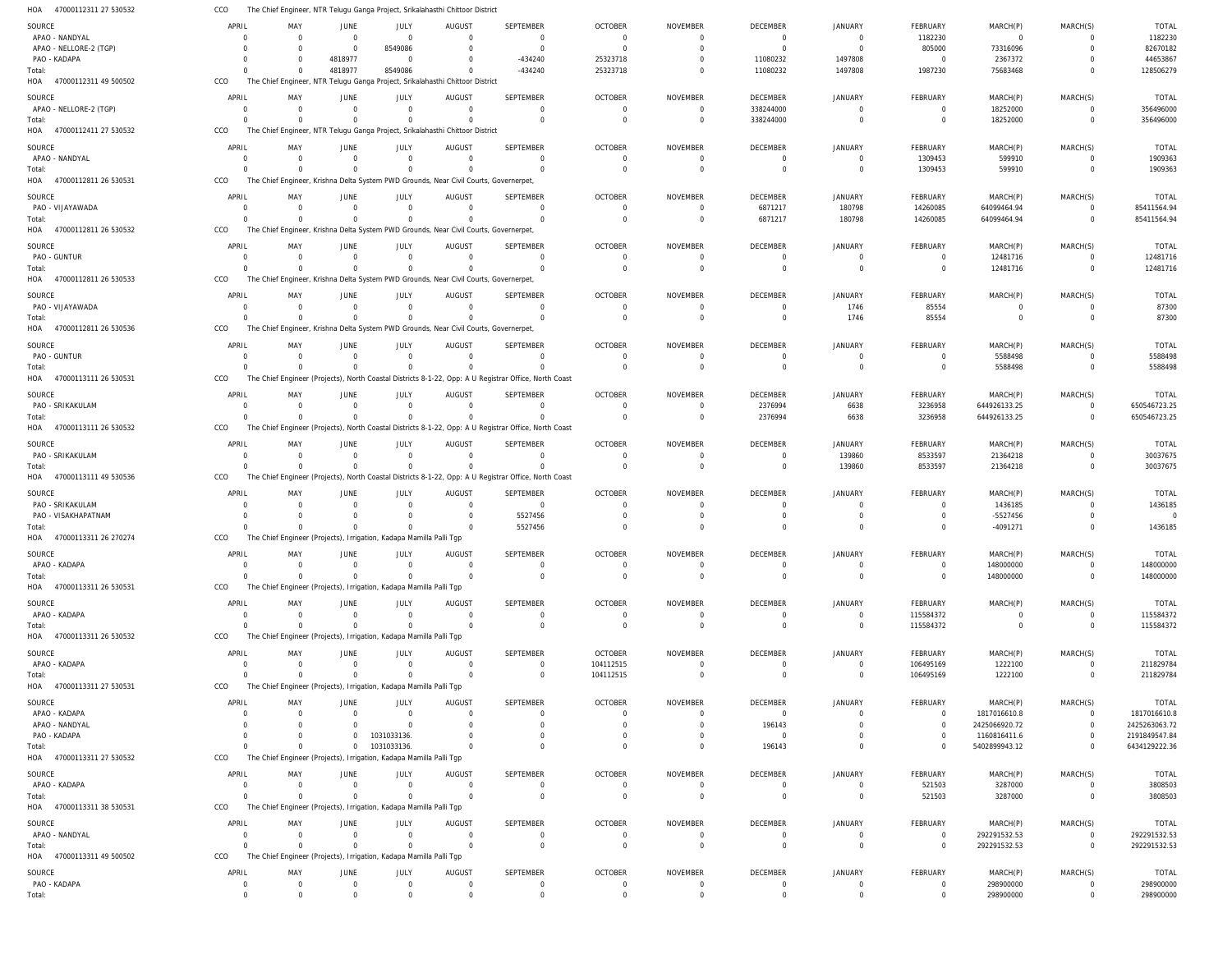47000112311 27 530532 HOA CCO The Chief Engineer, NTR Telugu Ganga Project, Srikalahasthi Chittoor District

| SOURCE                          | APRIL                      | MAY                     | <b>JUNE</b>                                                                          | JULY                     | <b>AUGUST</b>              | SEPTEMBER                                                                                             | <b>OCTOBER</b> | <b>NOVEMBER</b>             | <b>DECEMBER</b>                  | <b>JANUARY</b>                | FEBRUARY       | MARCH(P)               | MARCH(S)       | <b>TOTAL</b>   |
|---------------------------------|----------------------------|-------------------------|--------------------------------------------------------------------------------------|--------------------------|----------------------------|-------------------------------------------------------------------------------------------------------|----------------|-----------------------------|----------------------------------|-------------------------------|----------------|------------------------|----------------|----------------|
| APAO - NANDYAL                  | $\overline{0}$             | $\mathbf 0$             | $\mathbf{0}$                                                                         | $\overline{0}$           | $\mathbf 0$                | $\mathbf{0}$                                                                                          | $\overline{0}$ | - 0                         | $\overline{0}$                   | $\overline{0}$                | 1182230        | $\overline{0}$         | 0              | 1182230        |
| APAO - NELLORE-2 (TGP)          | $\Omega$                   | $\mathbf 0$             | $\mathbf{0}$                                                                         | 8549086                  | $\mathbf 0$                | $\overline{0}$                                                                                        | $\Omega$       | $\Omega$                    | $\overline{0}$                   | $\Omega$                      | 805000         | 73316096               | $\mathbf 0$    | 82670182       |
| PAO - KADAPA                    | $\Omega$                   | $\Omega$                | 4818977                                                                              | $\mathbf{0}$             | $\mathbf 0$                | $-434240$                                                                                             | 25323718       |                             | 11080232                         | 1497808                       | $\overline{0}$ | 2367372                | $\Omega$       | 44653867       |
| Total:                          | $\Omega$                   | $\Omega$                | 4818977                                                                              | 8549086                  | $\Omega$                   | $-434240$                                                                                             | 25323718       |                             | 11080232                         | 1497808                       | 1987230        | 75683468               | $\mathbf 0$    | 128506279      |
| 47000112311 49 500502<br>HOA    | CCO                        |                         | The Chief Engineer, NTR Telugu Ganga Project, Srikalahasthi Chittoor District        |                          |                            |                                                                                                       |                |                             |                                  |                               |                |                        |                |                |
| SOURCE                          | APRIL                      | MAY                     | <b>JUNE</b>                                                                          | JULY                     | <b>AUGUST</b>              | SEPTEMBER                                                                                             | <b>OCTOBER</b> | <b>NOVEMBER</b>             | DECEMBER                         | <b>JANUARY</b>                | FEBRUARY       | MARCH(P)               | MARCH(S)       | <b>TOTAL</b>   |
| APAO - NELLORE-2 (TGP)          | $\overline{0}$             | $\Omega$                | $\mathbf{0}$                                                                         | $\mathbf{0}$             | $\mathbf 0$                | $\mathbf 0$                                                                                           | $\overline{0}$ | $\Omega$                    | 338244000                        | $\Omega$                      | 0              | 18252000               | $\overline{0}$ | 356496000      |
| Total:                          | $\Omega$                   | $\Omega$                | $\Omega$                                                                             | $\Omega$                 | $\Omega$                   | $\Omega$                                                                                              | $\overline{0}$ | $\Omega$                    | 338244000                        | $\Omega$                      | $\mathbf 0$    | 18252000               | $\mathbf{0}$   | 356496000      |
| 47000112411 27 530532<br>HOA    | CCO                        |                         | The Chief Engineer, NTR Telugu Ganga Project, Srikalahasthi Chittoor District        |                          |                            |                                                                                                       |                |                             |                                  |                               |                |                        |                |                |
|                                 |                            |                         |                                                                                      |                          |                            |                                                                                                       |                |                             |                                  |                               |                |                        |                |                |
| SOURCE                          | APRIL                      | MAY                     | <b>JUNE</b>                                                                          | JULY                     | <b>AUGUST</b>              | SEPTEMBER                                                                                             | <b>OCTOBER</b> | <b>NOVEMBER</b>             | DECEMBER                         | <b>JANUARY</b>                | FEBRUARY       | MARCH(P)               | MARCH(S)       | <b>TOTAL</b>   |
| APAO - NANDYAL                  | $\overline{0}$             | $\mathbf 0$             | $\mathbf 0$                                                                          | $\overline{0}$           | $\mathbf 0$                | $\mathbf 0$                                                                                           | $\overline{0}$ | $\Omega$                    | $\overline{0}$                   | $\overline{0}$                | 1309453        | 599910                 | $\overline{0}$ | 1909363        |
| Total:                          | $\Omega$                   | $\Omega$                | $\mathbf 0$                                                                          | $\mathbf 0$              | $\mathbf 0$                | $\Omega$                                                                                              | $\overline{0}$ | $\Omega$                    | $\overline{0}$                   | $\overline{0}$                | 1309453        | 599910                 | $\mathbf{0}$   | 1909363        |
| 47000112811 26 530531<br>HOA    | CCO                        |                         | The Chief Engineer, Krishna Delta System PWD Grounds, Near Civil Courts, Governerpet |                          |                            |                                                                                                       |                |                             |                                  |                               |                |                        |                |                |
| SOURCE                          | APRII                      | MAY                     | <b>JUNE</b>                                                                          | JULY                     | <b>AUGUST</b>              | SEPTEMBER                                                                                             | <b>OCTOBER</b> | <b>NOVEMBER</b>             | DECEMBER                         | <b>JANUARY</b>                | FEBRUARY       | MARCH(P)               | MARCH(S)       | <b>TOTAL</b>   |
| PAO - VIJAYAWADA                | $\Omega$                   | $\mathbf 0$             | $\mathbf{0}$                                                                         | $\overline{0}$           | $\mathbf 0$                | $\Omega$                                                                                              | $\Omega$       | - 0                         | 6871217                          | 180798                        | 14260085       | 64099464.94            | $\overline{0}$ | 85411564.94    |
|                                 | $\Omega$                   | $\Omega$                | $\Omega$                                                                             | $\Omega$                 | $\Omega$                   | $\Omega$                                                                                              | $\overline{0}$ | $\Omega$                    | 6871217                          | 180798                        |                | 64099464.94            | $\mathbf{0}$   | 85411564.94    |
| Total:<br>47000112811 26 530532 | CCO                        |                         |                                                                                      |                          |                            |                                                                                                       |                |                             |                                  |                               | 14260085       |                        |                |                |
| HOA                             |                            |                         | The Chief Engineer, Krishna Delta System PWD Grounds, Near Civil Courts, Governerpet |                          |                            |                                                                                                       |                |                             |                                  |                               |                |                        |                |                |
| SOURCE                          | APRIL                      | MAY                     | <b>JUNE</b>                                                                          | JULY                     | <b>AUGUST</b>              | SEPTEMBER                                                                                             | <b>OCTOBER</b> | <b>NOVEMBER</b>             | DECEMBER                         | <b>JANUARY</b>                | FEBRUARY       | MARCH(P)               | MARCH(S)       | <b>TOTAL</b>   |
| PAO - GUNTUR                    | $\overline{0}$             | $\overline{0}$          | $\mathbf{0}$                                                                         | $\overline{0}$           | $\mathbf 0$                | $\mathbf{0}$                                                                                          | $\overline{0}$ | $\Omega$                    | $\overline{0}$                   | $\overline{0}$                | 0              | 12481716               | $\overline{0}$ | 12481716       |
| Total:                          | $\Omega$                   | $\Omega$                | $\mathbf{0}$                                                                         | $\mathbf 0$              | $\mathbf 0$                | $\Omega$                                                                                              | $\overline{0}$ | $\Omega$                    | $\overline{0}$                   | $\overline{0}$                | $\mathbf 0$    | 12481716               | $\mathbf{0}$   | 12481716       |
| 47000112811 26 530533<br>HOA    | CCO                        |                         | The Chief Engineer, Krishna Delta System PWD Grounds, Near Civil Courts, Governerpet |                          |                            |                                                                                                       |                |                             |                                  |                               |                |                        |                |                |
|                                 |                            |                         |                                                                                      |                          |                            |                                                                                                       |                |                             |                                  |                               |                |                        |                |                |
| SOURCE                          | APRIL                      | MAY                     | <b>JUNE</b>                                                                          | JULY                     | <b>AUGUST</b>              | SEPTEMBER                                                                                             | <b>OCTOBER</b> | <b>NOVEMBER</b>             | DECEMBER                         | <b>JANUARY</b>                | FEBRUARY       | MARCH(P)               | MARCH(S)       | <b>TOTAL</b>   |
| PAO - VIJAYAWADA                | $\overline{0}$             | $\Omega$                | $\mathbf{0}$                                                                         | $\mathbf{0}$             | $\Omega$                   | $\mathbf 0$                                                                                           | $\Omega$       | $\Omega$                    | $\overline{0}$                   | 1746                          | 85554          | $\overline{0}$         | $\overline{0}$ | 87300          |
| Total:                          | $\Omega$                   | $\Omega$                | $\mathbf{0}$                                                                         | $\Omega$                 | $\Omega$                   | $\Omega$                                                                                              | $\overline{0}$ | $\Omega$                    | $\overline{0}$                   | 1746                          | 85554          | $\mathbf 0$            | $\mathbf{0}$   | 87300          |
| 47000112811 26 530536<br>HOA    | CCO                        |                         | The Chief Engineer, Krishna Delta System PWD Grounds, Near Civil Courts, Governerpet |                          |                            |                                                                                                       |                |                             |                                  |                               |                |                        |                |                |
| SOURCE                          | APRIL                      | MAY                     | <b>JUNE</b>                                                                          | <b>JULY</b>              | <b>AUGUST</b>              | SEPTEMBER                                                                                             | <b>OCTOBER</b> | <b>NOVEMBER</b>             | DECEMBER                         | <b>JANUARY</b>                | FEBRUARY       | MARCH(P)               | MARCH(S)       | <b>TOTAL</b>   |
| PAO - GUNTUR                    | 0                          | $\mathbf 0$             | $\mathbf{0}$                                                                         | $\overline{0}$           | $\mathbf 0$                | $\mathbf 0$                                                                                           | $\overline{0}$ | $\Omega$                    | $\overline{0}$                   | $\overline{0}$                | $\mathbf 0$    | 5588498                | $\overline{0}$ | 5588498        |
|                                 | $\Omega$                   | $\Omega$                | $\mathbf{0}$                                                                         | $\mathbf 0$              | $\Omega$                   | $\Omega$                                                                                              | $\Omega$       | $\Omega$                    | $\overline{0}$                   | $\overline{0}$                | $\mathbf 0$    | 5588498                | $\overline{0}$ | 5588498        |
| Total:                          | CCO                        |                         |                                                                                      |                          |                            |                                                                                                       |                |                             |                                  |                               |                |                        |                |                |
| 47000113111 26 530531<br>HOA    |                            |                         |                                                                                      |                          |                            | The Chief Engineer (Projects), North Coastal Districts 8-1-22, Opp: A U Registrar Office, North Coast |                |                             |                                  |                               |                |                        |                |                |
| SOURCE                          | APRIL                      | MAY                     | <b>JUNE</b>                                                                          | JULY                     | <b>AUGUST</b>              | SEPTEMBER                                                                                             | <b>OCTOBER</b> | <b>NOVEMBER</b>             | DECEMBER                         | <b>JANUARY</b>                | FEBRUARY       | MARCH(P)               | MARCH(S)       | <b>TOTAL</b>   |
| PAO - SRIKAKULAM                | $\overline{0}$             | $\mathbf 0$             | $\mathbf 0$                                                                          | $\overline{0}$           | $\mathbf 0$                | $\Omega$                                                                                              | $\Omega$       | $\Omega$                    | 2376994                          | 6638                          | 3236958        | 644926133.25           | $\mathbf{0}$   | 650546723.25   |
| Total:                          | $\Omega$                   | $\Omega$                | $\overline{0}$                                                                       | $\mathbf 0$              | $\Omega$                   | $\Omega$                                                                                              | $\overline{0}$ | $\Omega$                    | 2376994                          | 6638                          | 3236958        | 644926133.25           | $\mathbf{0}$   | 650546723.25   |
| 47000113111 26 530532<br>HOA    | CCO                        |                         |                                                                                      |                          |                            | The Chief Engineer (Projects), North Coastal Districts 8-1-22, Opp: A U Registrar Office, North Coast |                |                             |                                  |                               |                |                        |                |                |
|                                 |                            |                         |                                                                                      |                          |                            |                                                                                                       |                |                             |                                  |                               |                |                        |                |                |
|                                 |                            | MAY                     | <b>JUNE</b>                                                                          | <b>JULY</b>              | <b>AUGUST</b>              | SEPTEMBER                                                                                             | <b>OCTOBER</b> | <b>NOVEMBER</b>             | DECEMBER                         | <b>JANUARY</b>                | FEBRUARY       | MARCH(P)               | MARCH(S)       | <b>TOTAL</b>   |
| SOURCE                          | APRIL                      |                         |                                                                                      |                          |                            |                                                                                                       |                |                             |                                  |                               |                |                        |                |                |
| PAO - SRIKAKULAM                | 0                          | $\mathbf 0$             | $\mathbf{0}$                                                                         | $\overline{0}$           | $\mathbf 0$                | $\mathbf{0}$                                                                                          | $\Omega$       | $\Omega$                    | $\overline{0}$                   | 139860                        | 8533597        | 21364218               | $\overline{0}$ | 30037675       |
| Total:                          | $\Omega$                   | $\Omega$                | $\mathbf{0}$                                                                         | $\mathbf 0$              | $\mathbf 0$                | $\Omega$                                                                                              | $\Omega$       | $\Omega$                    | $\overline{0}$                   | 139860                        | 8533597        | 21364218               | $\mathbf{0}$   | 30037675       |
| HOA<br>47000113111 49 530536    | CCO                        |                         |                                                                                      |                          |                            | The Chief Engineer (Projects), North Coastal Districts 8-1-22, Opp: A U Registrar Office, North Coast |                |                             |                                  |                               |                |                        |                |                |
|                                 |                            |                         |                                                                                      |                          |                            |                                                                                                       |                |                             |                                  |                               |                |                        |                |                |
| SOURCE                          | APRIL                      | MAY                     | <b>JUNE</b>                                                                          | JULY                     | <b>AUGUST</b>              | SEPTEMBER                                                                                             | <b>OCTOBER</b> | <b>NOVEMBER</b>             | DECEMBER                         | <b>JANUARY</b>                | FEBRUARY       | MARCH(P)               | MARCH(S)       | <b>TOTAL</b>   |
| PAO - SRIKAKULAM                | $\Omega$                   | 0                       | $\mathbf{0}$                                                                         | $\mathbf 0$              | $\mathbf 0$                | $\mathbf 0$                                                                                           | $\Omega$       | - 0                         | $\overline{0}$                   | $\Omega$                      | 0              | 1436185                | $\mathbf 0$    | 1436185        |
| PAO - VISAKHAPATNAM             | $\Omega$                   | $\mathbf 0$             | $\mathbf{0}$                                                                         | $\mathbf{0}$             | $\mathbf 0$                | 5527456                                                                                               | $\Omega$       | $\Omega$                    | $\overline{0}$                   | $\Omega$                      | $\mathbf 0$    | $-5527456$             | $\mathbf 0$    | $\overline{0}$ |
| Total:                          | $\Omega$                   | $\Omega$                | $\Omega$                                                                             | $\Omega$                 | $\Omega$                   | 5527456                                                                                               | $\Omega$       | $\Omega$                    | $\Omega$                         | $\Omega$                      | $\mathbf 0$    | $-4091271$             | $\Omega$       | 1436185        |
| 47000113311 26 270274<br>HOA    | CCO                        |                         | The Chief Engineer (Projects), Irrigation, Kadapa Mamilla Palli Tgp                  |                          |                            |                                                                                                       |                |                             |                                  |                               |                |                        |                |                |
| SOURCE                          | APRIL                      | MAY                     | <b>JUNE</b>                                                                          | JULY                     | AUGUST                     | SEPTEMBER                                                                                             | <b>OCTOBER</b> | NOVEMBER                    | DECEMBER                         | <b>JANUARY</b>                | FEBRUARY       | MARCH(P)               | MARCH(S)       | <b>TOTAL</b>   |
| APAO - KADAPA                   |                            |                         | $\circ$                                                                              | $\Omega$                 |                            | $\Omega$                                                                                              | $\circ$        |                             | 0                                | $\circ$                       | 0              | 148000000              | $\mathbf{0}$   | 148000000      |
| Total:                          | $\Omega$                   | $\Omega$                | $\mathbf{0}$                                                                         | $\Omega$                 | $\Omega$                   | $\Omega$                                                                                              | $\mathbf 0$    | $\Omega$                    | $\overline{0}$                   | $\overline{0}$                | $\mathbf 0$    | 148000000              | $\mathbf{0}$   | 148000000      |
| HOA 47000113311 26 530531       |                            |                         |                                                                                      |                          |                            |                                                                                                       |                |                             |                                  |                               |                |                        |                |                |
|                                 | CCO                        |                         | The Chief Engineer (Projects), Irrigation, Kadapa Mamilla Palli Tgp                  |                          |                            |                                                                                                       |                |                             |                                  |                               |                |                        |                |                |
| SOURCE                          | APRIL                      | MAY                     | <b>JUNE</b>                                                                          | JULY                     | <b>AUGUST</b>              | SEPTEMBER                                                                                             | <b>OCTOBER</b> | NOVEMBER                    | DECEMBER                         | <b>JANUARY</b>                | FEBRUARY       | MARCH(P)               | MARCH(S)       | TOTAL          |
| APAO - KADAPA                   | $\overline{0}$             | $\mathbf 0$             | $\mathbf{0}$                                                                         | $\mathbf{0}$             | $\mathbf 0$                | $\mathbf{0}$                                                                                          | $\overline{0}$ | $\Omega$                    | $\overline{0}$                   | $\overline{0}$                | 115584372      | $\overline{0}$         | $\overline{0}$ | 115584372      |
| Total:                          | $\Omega$                   | $\Omega$                | $\mathbf{0}$                                                                         | $\Omega$                 | $\Omega$                   | $\Omega$                                                                                              | $\overline{0}$ | $\Omega$                    | $\overline{0}$                   | $\overline{0}$                | 115584372      | $\mathbf 0$            | $\mathbf{0}$   | 115584372      |
| 47000113311 26 530532<br>HOA    | CCO                        |                         | The Chief Engineer (Projects), Irrigation, Kadapa Mamilla Palli Tgp                  |                          |                            |                                                                                                       |                |                             |                                  |                               |                |                        |                |                |
|                                 |                            |                         |                                                                                      |                          |                            |                                                                                                       |                |                             |                                  |                               |                |                        |                |                |
| SOURCE                          | APRIL                      | MAY                     | JUNE                                                                                 | JULY                     | <b>AUGUST</b>              | SEPTEMBER                                                                                             | <b>OCTOBER</b> | NOVEMBER                    | DECEMBER                         | <b>JANUARY</b>                | FEBRUARY       | MARCH(P)               | MARCH(S)       | <b>TOTAL</b>   |
| APAO - KADAPA                   | $\overline{0}$             | $\mathbf 0$             | $\mathbf 0$                                                                          | $\overline{0}$           | $\mathbf 0$                | $\mathbf 0$                                                                                           | 104112515      | $\Omega$<br>$\Omega$        | $\overline{0}$                   | $\overline{0}$                | 106495169      | 1222100                | $\mathbf 0$    | 211829784      |
| Total:                          | $\mathbf 0$                | $\Omega$                | $\mathbf{0}$                                                                         | $\Omega$                 | $\overline{0}$             | $\Omega$                                                                                              | 104112515      |                             | $\overline{0}$                   | $\overline{0}$                | 106495169      | 1222100                | $\mathbf{0}$   | 211829784      |
| HOA 47000113311 27 530531       | CCO                        |                         | The Chief Engineer (Projects), Irrigation, Kadapa Mamilla Palli Tgp                  |                          |                            |                                                                                                       |                |                             |                                  |                               |                |                        |                |                |
| SOURCE                          | APRIL                      | MAY                     | <b>JUNE</b>                                                                          | JULY                     | <b>AUGUST</b>              | SEPTEMBER                                                                                             | <b>OCTOBER</b> | NOVEMBER                    | DECEMBER                         | <b>JANUARY</b>                | FEBRUARY       | MARCH(P)               | MARCH(S)       | <b>TOTAL</b>   |
| APAO - KADAPA                   | $\Omega$                   | $\Omega$                | $\mathbf 0$                                                                          | $\mathbf 0$              | $\mathbf 0$                | $\mathbf 0$                                                                                           | $\Omega$       |                             | $\overline{0}$                   | $\overline{0}$                | $\mathbf 0$    | 1817016610.8           | $\overline{0}$ | 1817016610.8   |
| APAO - NANDYAL                  | $\Omega$                   | $\Omega$                | $\Omega$                                                                             | $\Omega$                 | $\Omega$                   | $\Omega$                                                                                              | $\Omega$       |                             | 196143                           | $\Omega$                      | $\mathbf 0$    | 2425066920.72          | $\mathbf{0}$   | 2425263063.72  |
| PAO - KADAPA                    | $\Omega$                   | $\Omega$                | $\mathbf{0}$                                                                         | 1031033136.              | $\Omega$                   | $\Omega$                                                                                              | $\Omega$       | - 0                         | $\overline{0}$                   | $\Omega$                      | $\mathbf 0$    | 1160816411.6           | $\mathbf{0}$   | 2191849547.84  |
| Total:                          | $\Omega$                   | $\Omega$                | $\overline{0}$                                                                       | 1031033136.              | $\Omega$                   | $\Omega$                                                                                              | $\Omega$       | $\Omega$                    | 196143                           | $\Omega$                      | $\mathbf 0$    | 5402899943.12          | $\mathbf 0$    | 6434129222.36  |
| HOA 47000113311 27 530532       | CCO                        |                         | The Chief Engineer (Projects), Irrigation, Kadapa Mamilla Palli Tgp                  |                          |                            |                                                                                                       |                |                             |                                  |                               |                |                        |                |                |
|                                 |                            |                         |                                                                                      |                          |                            |                                                                                                       |                |                             |                                  |                               |                |                        |                |                |
| SOURCE                          | APRIL                      | MAY                     | JUNE                                                                                 | JULY                     | <b>AUGUST</b>              | SEPTEMBER                                                                                             | <b>OCTOBER</b> | NOVEMBER                    | DECEMBER                         | JANUARY                       | FEBRUARY       | MARCH(P)               | MARCH(S)       | TOTAL          |
| APAO - KADAPA                   | 0                          | $\mathbf 0$             | $\mathbf{0}$                                                                         | $\overline{0}$           | $\mathbf 0$                | $\mathbf{0}$                                                                                          | $\overline{0}$ |                             | $\overline{0}$                   | $\overline{0}$                | 521503         | 3287000                | 0              | 3808503        |
| Total:                          | $\Omega$                   | $\Omega$                | $\mathbf{0}$                                                                         | $\Omega$                 | $\Omega$                   | $\mathbf 0$                                                                                           | $\overline{0}$ | $\Omega$                    | $\overline{0}$                   | $\overline{0}$                | 521503         | 3287000                | $\mathbf{0}$   | 3808503        |
| HOA 47000113311 38 530531       | CCO                        |                         | The Chief Engineer (Projects), Irrigation, Kadapa Mamilla Palli Tgp                  |                          |                            |                                                                                                       |                |                             |                                  |                               |                |                        |                |                |
|                                 |                            |                         |                                                                                      |                          |                            |                                                                                                       |                |                             |                                  |                               |                |                        |                |                |
| SOURCE                          | APRIL                      | MAY                     | <b>JUNE</b>                                                                          | JULY                     | <b>AUGUST</b>              | SEPTEMBER                                                                                             | <b>OCTOBER</b> | <b>NOVEMBER</b><br>$\Omega$ | DECEMBER                         | <b>JANUARY</b>                | FEBRUARY       | MARCH(P)               | MARCH(S)       | <b>TOTAL</b>   |
| APAO - NANDYAL                  | $\overline{0}$<br>$\Omega$ | $\mathbf 0$<br>$\Omega$ | $\mathbf{0}$                                                                         | $\mathbf{0}$<br>$\Omega$ | $\mathbf 0$<br>$\Omega$    | $\mathbf{0}$<br>$\Omega$                                                                              | $\overline{0}$ | $\Omega$                    | $\overline{0}$                   | $\overline{0}$<br>$\Omega$    | $\mathbf 0$    | 292291532.53           | $\overline{0}$ | 292291532.53   |
| Total:                          |                            |                         | $\mathbf{0}$                                                                         |                          |                            |                                                                                                       | $\overline{0}$ |                             | $\mathbf 0$                      |                               | $\mathbf 0$    | 292291532.53           | $\mathbf{0}$   | 292291532.53   |
| HOA 47000113311 49 500502       | CCO                        |                         | The Chief Engineer (Projects), Irrigation, Kadapa Mamilla Palli Tgp                  |                          |                            |                                                                                                       |                |                             |                                  |                               |                |                        |                |                |
| SOURCE                          | APRIL                      | MAY                     | JUNE                                                                                 | JULY                     | <b>AUGUST</b>              | SEPTEMBER                                                                                             | <b>OCTOBER</b> | NOVEMBER                    | DECEMBER                         | <b>JANUARY</b>                | FEBRUARY       | MARCH(P)               | MARCH(S)       | <b>TOTAL</b>   |
| PAO - KADAPA                    | $\overline{0}$             | $\mathbf 0$             | $\mathbf 0$                                                                          | $\overline{0}$           | $\mathbf 0$<br>$\mathbf 0$ | $\mathbf{0}$<br>$\mathbf 0$                                                                           | $\overline{0}$ | $\Omega$                    | $\overline{0}$<br>$\overline{0}$ | $\overline{0}$<br>$\mathbf 0$ | $\mathbf 0$    | 298900000<br>298900000 | $\overline{0}$ | 298900000      |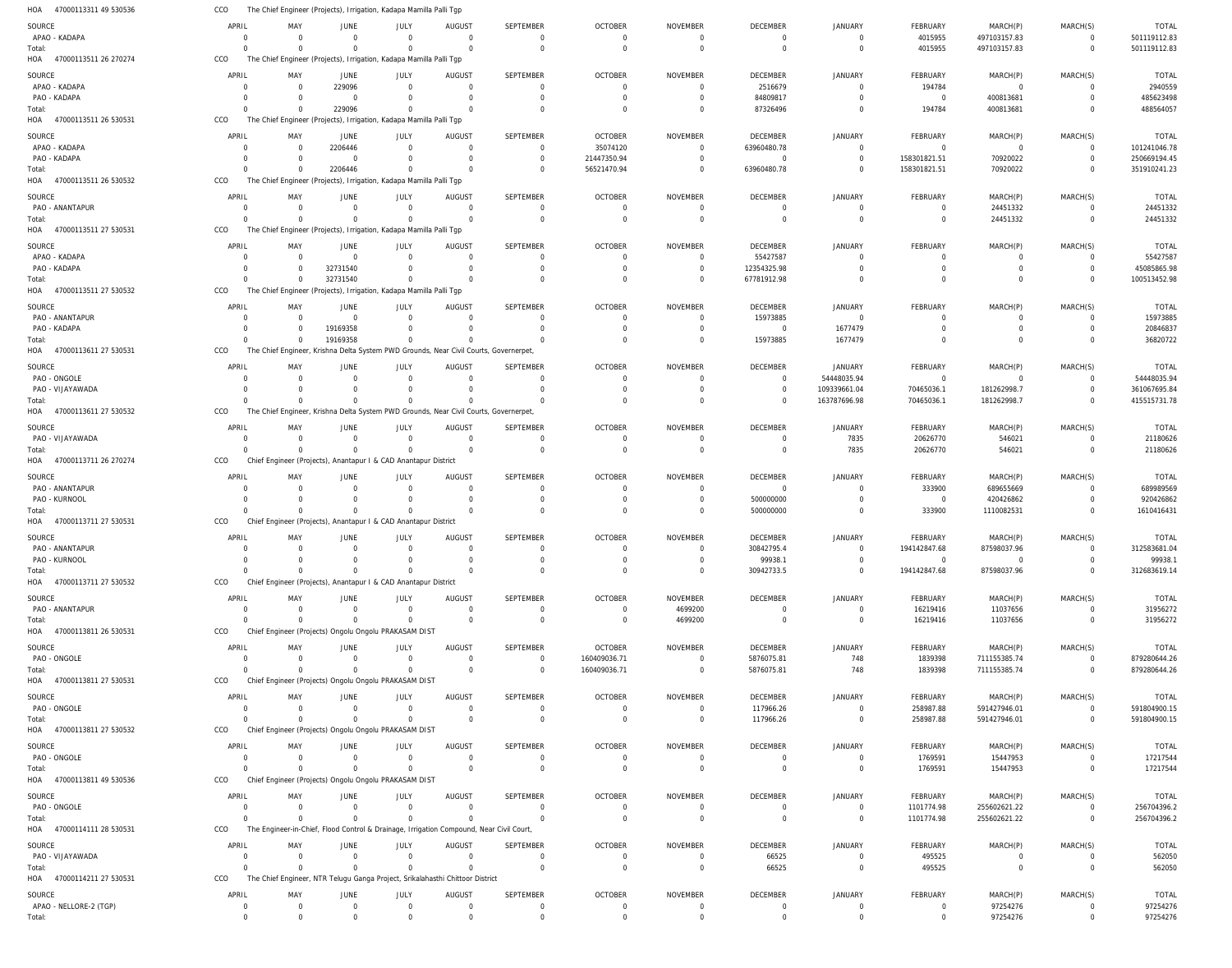| HOA<br>47000113311 49 530536     | CCO                  |                      | The Chief Engineer (Projects), Irrigation, Kadapa Mamilla Palli Tgp                     |                            |                                  |                              |                            |                                   |                                  |                                  |                           |                            |                            |                        |
|----------------------------------|----------------------|----------------------|-----------------------------------------------------------------------------------------|----------------------------|----------------------------------|------------------------------|----------------------------|-----------------------------------|----------------------------------|----------------------------------|---------------------------|----------------------------|----------------------------|------------------------|
| SOURCE                           | APRIL                | MAY                  | JUNE                                                                                    | JULY                       | <b>AUGUST</b>                    | <b>SEPTEMBER</b>             | <b>OCTOBER</b>             | <b>NOVEMBER</b>                   | <b>DECEMBER</b>                  | <b>JANUARY</b>                   | FEBRUARY                  | MARCH(P)                   | MARCH(S)                   | <b>TOTAL</b>           |
| APAO - KADAPA                    | $\Omega$             | $\Omega$             | $\overline{0}$                                                                          | $\Omega$                   | $\Omega$                         | $\mathbf 0$                  | $\Omega$                   | $\Omega$                          | $\overline{0}$                   | $\Omega$                         | 4015955                   | 497103157.83               | $\Omega$                   | 501119112.83           |
| Total:                           | $\Omega$             | $\Omega$             | $\Omega$                                                                                | $\Omega$                   | $\Omega$                         | $\mathbf 0$                  | $\overline{0}$             | $\mathbf 0$                       | $\overline{0}$                   | $\Omega$                         | 4015955                   | 497103157.83               | $\mathbf{0}$               | 501119112.83           |
| HOA 47000113511 26 270274        | CCO                  |                      | The Chief Engineer (Projects), Irrigation, Kadapa Mamilla Palli Tgp                     |                            |                                  |                              |                            |                                   |                                  |                                  |                           |                            |                            |                        |
|                                  | APRIL                | MAY                  |                                                                                         |                            |                                  | <b>SEPTEMBER</b>             | <b>OCTOBER</b>             | <b>NOVEMBER</b>                   | <b>DECEMBER</b>                  | JANUARY                          | <b>FEBRUARY</b>           |                            | MARCH(S)                   | <b>TOTAL</b>           |
| SOURCE<br>APAO - KADAPA          | $\Omega$             | $\Omega$             | JUNE<br>229096                                                                          | JULY<br>$\Omega$           | AUGUS <sub>1</sub><br>$\Omega$   | $\mathbf 0$                  | $\Omega$                   | $\Omega$                          | 2516679                          | $\Omega$                         | 194784                    | MARCH(P)<br>$\overline{0}$ | $\Omega$                   | 2940559                |
| PAO - KADAPA                     | $\Omega$             | $\Omega$             | $\Omega$                                                                                | $\Omega$                   | $\Omega$                         | $\mathbf 0$                  | $\Omega$                   | $\Omega$                          | 84809817                         | $\Omega$                         | $\overline{0}$            | 400813681                  | $\Omega$                   | 485623498              |
| Total:                           |                      |                      | 229096                                                                                  | $\Omega$                   |                                  | $\Omega$                     | $\Omega$                   | $\Omega$                          | 87326496                         | $\Omega$                         | 194784                    | 400813681                  | $\Omega$                   | 488564057              |
| HOA 47000113511 26 530531        | CCO                  |                      | The Chief Engineer (Projects), Irrigation, Kadapa Mamilla Palli Tgp                     |                            |                                  |                              |                            |                                   |                                  |                                  |                           |                            |                            |                        |
|                                  |                      |                      |                                                                                         |                            |                                  |                              |                            |                                   |                                  |                                  |                           |                            |                            |                        |
| SOURCE                           | APRIL                | MAY                  | JUNE                                                                                    | JULY                       | AUGUST                           | <b>SEPTEMBER</b>             | <b>OCTOBER</b>             | <b>NOVEMBER</b>                   | DECEMBER                         | <b>JANUARY</b>                   | FEBRUARY                  | MARCH(P)                   | MARCH(S)                   | <b>TOTAL</b>           |
| APAO - KADAPA                    | $\Omega$             | $\Omega$             | 2206446                                                                                 | $\mathbf 0$                | $\Omega$                         | $\mathbf 0$                  | 35074120                   | $\Omega$                          | 63960480.78                      | $\Omega$                         | $\overline{0}$            | $\overline{0}$             | $\mathbf 0$                | 101241046.78           |
| PAO - KADAPA                     | -0                   | $\Omega$             | $\Omega$                                                                                | $\Omega$                   | $\Omega$                         | $\mathbf 0$                  | 21447350.94                | $\Omega$                          | $\overline{0}$                   | $\Omega$                         | 158301821.51              | 70920022                   | $\mathbf{0}$               | 250669194.45           |
| Total:                           | $\Omega$             |                      | 2206446                                                                                 | $\Omega$                   | $\Omega$                         | $\Omega$                     | 56521470.94                | $\Omega$                          | 63960480.78                      | $\Omega$                         | 158301821.51              | 70920022                   | $\mathbf{0}$               | 351910241.23           |
| HOA 47000113511 26 530532        | CCO                  |                      | The Chief Engineer (Projects), Irrigation, Kadapa Mamilla Palli Tgp                     |                            |                                  |                              |                            |                                   |                                  |                                  |                           |                            |                            |                        |
| SOURCE                           | APRIL                | MAY                  | JUNE                                                                                    | JULY                       | AUGUS <sub>1</sub>               | <b>SEPTEMBER</b>             | <b>OCTOBER</b>             | <b>NOVEMBER</b>                   | <b>DECEMBER</b>                  | <b>JANUARY</b>                   | FEBRUARY                  | MARCH(P)                   | MARCH(S)                   | <b>TOTAL</b>           |
| PAO - ANANTAPUR                  | $\Omega$             | $\Omega$             | $\Omega$                                                                                | $\Omega$                   | $\Omega$                         | $\Omega$                     | $\Omega$                   | $\Omega$                          | $\Omega$                         | $\Omega$                         | $\Omega$                  | 24451332                   | $\Omega$                   | 24451332               |
| Total:                           | $\Omega$             | $\Omega$             | $\Omega$                                                                                | $\Omega$                   | $\Omega$                         | $\mathbf 0$                  | $\Omega$                   | $\overline{0}$                    | $\overline{0}$                   | $\Omega$                         | $\mathbf 0$               | 24451332                   | $\mathbf 0$                | 24451332               |
| HOA 47000113511 27 530531        | CCO                  |                      | The Chief Engineer (Projects), Irrigation, Kadapa Mamilla Palli Tgp                     |                            |                                  |                              |                            |                                   |                                  |                                  |                           |                            |                            |                        |
| SOURCE                           | APRIL                | MAY                  | JUNE                                                                                    | JULY                       | AUGUS <sub>1</sub>               | SEPTEMBER                    | <b>OCTOBER</b>             | <b>NOVEMBER</b>                   | <b>DECEMBER</b>                  | <b>JANUARY</b>                   | FEBRUARY                  | MARCH(P)                   | MARCH(S)                   | <b>TOTAL</b>           |
| APAO - KADAPA                    | $\Omega$             | $\Omega$             | $\Omega$                                                                                | $\Omega$                   | $\Omega$                         | $\mathbf 0$                  | $\Omega$                   | $\Omega$                          | 55427587                         | $\Omega$                         | 0                         | $\mathbf 0$                | 0                          | 55427587               |
| PAO - KADAPA                     | $\Omega$             | $\Omega$             | 32731540                                                                                | $\Omega$                   | $\Omega$                         | $\mathbf 0$                  | $\Omega$                   | $\overline{0}$                    | 12354325.98                      | $\Omega$                         | 0                         | $\mathbf 0$                | $\mathbf 0$                | 45085865.98            |
| Total:                           | $\Omega$             | $\Omega$             | 32731540                                                                                | $\Omega$                   | $\Omega$                         | $\Omega$                     | $\Omega$                   | $\Omega$                          | 67781912.98                      | $\Omega$                         | $\Omega$                  | $\Omega$                   | $\mathbf 0$                | 100513452.98           |
| HOA 47000113511 27 530532        | CCO                  |                      | The Chief Engineer (Projects), Irrigation, Kadapa Mamilla Palli Tgp                     |                            |                                  |                              |                            |                                   |                                  |                                  |                           |                            |                            |                        |
|                                  | APRIL                |                      |                                                                                         |                            |                                  |                              |                            |                                   |                                  |                                  |                           |                            |                            |                        |
| SOURCE                           |                      | MAY<br>$\Omega$      | JUNE<br>$\Omega$                                                                        | JULY<br>$\Omega$           | AUGUS <sub>1</sub>               | <b>SEPTEMBER</b><br>$\Omega$ | <b>OCTOBER</b>             | <b>NOVEMBER</b>                   | DECEMBER                         | <b>JANUARY</b>                   | FEBRUARY                  | MARCH(P)                   | MARCH(S)                   | <b>TOTAL</b>           |
| PAO - ANANTAPUR<br>PAO - KADAPA  | $\Omega$<br>$\Omega$ | $\Omega$             | 19169358                                                                                | $\Omega$                   | $\Omega$<br>$\Omega$             | $\Omega$                     | $\Omega$<br>$\Omega$       | $\Omega$<br>$\Omega$              | 15973885<br>$\overline{0}$       | $\Omega$<br>1677479              | $\Omega$<br>$\Omega$      | $\overline{0}$<br>$\Omega$ | $\Omega$<br>$\Omega$       | 15973885<br>20846837   |
| Total:                           | $\Omega$             |                      | 19169358                                                                                | $\Omega$                   |                                  | $\Omega$                     | $\Omega$                   | $\Omega$                          | 15973885                         | 1677479                          | $\Omega$                  | $\Omega$                   | $\Omega$                   | 36820722               |
| HOA 47000113611 27 530531        | CCO                  |                      | The Chief Engineer, Krishna Delta System PWD Grounds, Near Civil Courts, Governerpet,   |                            |                                  |                              |                            |                                   |                                  |                                  |                           |                            |                            |                        |
|                                  |                      |                      |                                                                                         |                            |                                  |                              |                            |                                   |                                  |                                  |                           |                            |                            |                        |
| SOURCE                           | APRIL                | MAY                  | JUNE                                                                                    | JULY                       | <b>AUGUST</b>                    | <b>SEPTEMBER</b>             | <b>OCTOBER</b>             | <b>NOVEMBER</b>                   | <b>DECEMBER</b>                  | <b>JANUARY</b>                   | FEBRUARY                  | MARCH(P)                   | MARCH(S)                   | <b>TOTAL</b>           |
| PAO - ONGOLE                     | $\Omega$             | $\Omega$             | $\Omega$                                                                                | $\Omega$                   | $\Omega$                         | $\mathbf 0$                  | $\Omega$                   | $\Omega$                          | $\overline{0}$                   | 54448035.94                      | $\overline{0}$            | $\overline{0}$             | $\mathbf 0$                | 54448035.94            |
| PAO - VIJAYAWADA                 | $\Omega$             | $\Omega$             | $\Omega$                                                                                | $\Omega$                   | $\Omega$                         | $\mathbf 0$                  | $\Omega$                   | $\overline{0}$                    | $\overline{0}$                   | 109339661.04                     | 70465036.1                | 181262998.7                | $\mathbf{0}$               | 361067695.84           |
| Total:                           |                      |                      | $\Omega$                                                                                | $\Omega$                   | $\Omega$                         | $\Omega$                     | $\Omega$                   | $\Omega$                          | $\Omega$                         | 163787696.98                     | 70465036.1                | 181262998.7                | $\overline{0}$             | 415515731.78           |
| HOA 47000113611 27 530532        | CCO                  |                      | The Chief Engineer, Krishna Delta System PWD Grounds, Near Civil Courts, Governerpet,   |                            |                                  |                              |                            |                                   |                                  |                                  |                           |                            |                            |                        |
| SOURCE                           | APRIL                | MAY                  | JUNE                                                                                    | JULY                       | AUGUS <sub>1</sub>               | <b>SEPTEMBER</b>             | <b>OCTOBER</b>             | <b>NOVEMBER</b>                   | DECEMBER                         | JANUARY                          | FEBRUARY                  | MARCH(P)                   | MARCH(S)                   | <b>TOTAL</b>           |
| PAO - VIJAYAWADA                 | $\Omega$             | $\Omega$             | $\overline{0}$                                                                          | $\Omega$                   | $\Omega$                         | $\mathbf 0$                  | $\Omega$                   | $\Omega$                          | $\overline{0}$                   | 7835                             | 20626770                  | 546021                     | $\Omega$                   | 21180626               |
| Total:                           |                      |                      | $\Omega$                                                                                | $\Omega$                   | $\Omega$                         | $\Omega$                     | $\Omega$                   | $\Omega$                          | $\Omega$                         | 7835                             | 20626770                  | 546021                     | $\Omega$                   | 21180626               |
| HOA 47000113711 26 270274        | CCO                  |                      | Chief Engineer (Projects), Anantapur I & CAD Anantapur District                         |                            |                                  |                              |                            |                                   |                                  |                                  |                           |                            |                            |                        |
| SOURCE                           | APRIL                | MAY                  | JUNE                                                                                    | JULY                       | AUGUST                           | <b>SEPTEMBER</b>             | <b>OCTOBER</b>             | <b>NOVEMBER</b>                   | DECEMBER                         | <b>JANUARY</b>                   | FEBRUARY                  | MARCH(P)                   | MARCH(S)                   | <b>TOTAL</b>           |
| PAO - ANANTAPUR                  | $\Gamma$             | $\Omega$             | $\Omega$                                                                                | $\Omega$                   | $\Omega$                         | $\mathbf 0$                  | $\Omega$                   | $\Omega$                          | $\Omega$                         | $\Omega$                         | 333900                    | 689655669                  | $\mathbf 0$                | 689989569              |
| PAO - KURNOOL                    | $\Omega$             | $\Omega$             | $\mathbf 0$                                                                             | $\Omega$                   | $\Omega$                         | $\mathbf 0$                  | $\Omega$                   | - 0                               | 500000000                        | $\Omega$                         | $\overline{0}$            | 420426862                  | $\mathbf 0$                | 920426862              |
| Total:                           |                      | $\Omega$             | $\mathbf 0$                                                                             | $\Omega$                   |                                  | $\Omega$                     | $\Omega$                   | $\Omega$                          | 500000000                        | $\Omega$                         | 333900                    | 1110082531                 | $\Omega$                   | 1610416431             |
| HOA 47000113711 27 530531        | CCO                  |                      | Chief Engineer (Projects), Anantapur I & CAD Anantapur District                         |                            |                                  |                              |                            |                                   |                                  |                                  |                           |                            |                            |                        |
|                                  |                      |                      |                                                                                         |                            |                                  |                              |                            |                                   |                                  |                                  |                           |                            |                            |                        |
| SOURCE                           | APRIL                | MAY                  | JUNE                                                                                    | JULY                       | <b>AUGUST</b>                    | <b>SEPTEMBER</b>             | <b>OCTOBER</b>             | <b>NOVEMBER</b>                   | <b>DECEMBER</b>                  | <b>JANUARY</b>                   | FEBRUARY                  | MARCH(P)                   | MARCH(S)                   | <b>TOTAL</b>           |
| PAO - ANANTAPUR                  | $\Omega$             | $\Omega$             | $\overline{0}$                                                                          | $\Omega$<br>$\Omega$       | $\Omega$                         | $\mathbf 0$                  | $\Omega$<br>$\Omega$       | $\Omega$<br>$\Omega$              | 30842795.4                       | $\Omega$<br>$\Omega$             | 194142847.68<br>$\Omega$  | 87598037.96<br>$\Omega$    | $\Omega$<br>$\Omega$       | 312583681.04           |
| PAO - KURNOOL<br>Total:          | $\Omega$<br>$\Omega$ | - 0<br>$\Omega$      | $^{\circ}$<br>$\Omega$                                                                  | $\Omega$                   | $\Omega$                         | $^{\circ}$<br>$\Omega$       | $\Omega$                   | $\Omega$                          | 99938.1<br>30942733.5            | $\Omega$                         | 194142847.68              | 87598037.96                | $\Omega$                   | 99938.<br>312683619.14 |
| HOA 47000113711 27 530532        | CCO                  |                      | Chief Engineer (Projects), Anantapur I & CAD Anantapur District                         |                            |                                  |                              |                            |                                   |                                  |                                  |                           |                            |                            |                        |
|                                  |                      |                      |                                                                                         |                            |                                  |                              |                            |                                   |                                  |                                  |                           |                            |                            |                        |
| SOURCE                           | APRIL                | MAY                  | JUNE                                                                                    | JULY                       | <b>AUGUST</b>                    | <b>SEPTEMBER</b>             | <b>OCTOBER</b>             | <b>NOVEMBER</b>                   | DECEMBER                         | <b>JANUARY</b>                   | FEBRUARY                  | MARCH(P)                   | MARCH(S)                   | TOTAL                  |
| PAO - ANANTAPUR                  | $\Omega$             | $\Omega$             | $\overline{0}$                                                                          | $\mathbf 0$                | $\Omega$                         | $\mathbf 0$                  | $\Omega$                   | 4699200                           | $\overline{0}$                   | $\Omega$                         | 16219416                  | 11037656                   | $\Omega$                   | 31956272               |
| Total:                           | $\Omega$             | $\Omega$             | $\Omega$                                                                                | $\mathbf 0$                | $\Omega$                         | $\mathbf 0$                  | $\overline{0}$             | 4699200                           | $\overline{0}$                   | $\Omega$                         | 16219416                  | 11037656                   | $\mathbf 0$                | 31956272               |
| HOA 47000113811 26 530531        | CCO                  |                      | Chief Engineer (Projects) Ongolu Ongolu PRAKASAM DIST                                   |                            |                                  |                              |                            |                                   |                                  |                                  |                           |                            |                            |                        |
| SOURCE                           |                      |                      |                                                                                         |                            |                                  |                              |                            |                                   |                                  |                                  |                           |                            |                            |                        |
| PAO - ONGOLE                     | APRIL                | MAY                  | JUNE                                                                                    | JULY                       | AUGUST                           | SEPTEMBER                    | <b>OCTOBER</b>             | <b>NOVEMBER</b>                   | DECEMBER                         | JANUARY                          | FEBRUARY                  | MARCH(P)                   | MARCH(S)                   | <b>TOTAL</b>           |
| Total:                           | $\Omega$             | $\Omega$             | $\overline{0}$                                                                          | $\Omega$                   | $\Omega$                         | $\mathbf 0$                  | 160409036.71               | $\Omega$                          | 5876075.81                       | 748                              | 1839398                   | 711155385.74               | $\mathbf 0$                | 879280644.26           |
|                                  | $\Omega$             | $\Omega$             | $\mathbf 0$                                                                             | $\Omega$                   | $\Omega$                         | $\mathbf 0$                  | 160409036.71               | $\overline{0}$                    | 5876075.81                       | 748                              | 1839398                   | 711155385.74               | $\mathbf{0}$               | 879280644.26           |
| HOA 47000113811 27 530531        | CCO                  |                      | Chief Engineer (Projects) Ongolu Ongolu PRAKASAM DIST                                   |                            |                                  |                              |                            |                                   |                                  |                                  |                           |                            |                            |                        |
|                                  |                      |                      |                                                                                         |                            |                                  |                              |                            |                                   |                                  |                                  |                           |                            |                            |                        |
| SOURCE                           | APRIL<br>$\Omega$    | MAY<br>$\Omega$      | JUNE                                                                                    | JULY<br>$\Omega$           | <b>AUGUST</b><br>$\Omega$        | <b>SEPTEMBER</b>             | <b>OCTOBER</b>             | <b>NOVEMBER</b>                   | DECEMBER                         | <b>JANUARY</b>                   | FEBRUARY                  | MARCH(P)                   | MARCH(S)                   | <b>TOTAL</b>           |
| PAO - ONGOLE                     | $\Omega$             | $\Omega$             | $\overline{0}$                                                                          |                            |                                  | $\mathbf 0$                  | $\overline{0}$             | $\overline{0}$                    | 117966.26                        | $\overline{0}$                   | 258987.88                 | 591427946.01               | $\mathbf 0$                | 591804900.15           |
| Total:                           |                      |                      | $\Omega$                                                                                | $\Omega$                   | $\Omega$                         | $\mathbf 0$                  | $\overline{0}$             | $\overline{0}$                    | 117966.26                        | $\overline{0}$                   | 258987.88                 | 591427946.01               | $\overline{0}$             | 591804900.15           |
| HOA 47000113811 27 530532        | CCO                  |                      | Chief Engineer (Projects) Ongolu Ongolu PRAKASAM DIST                                   |                            |                                  |                              |                            |                                   |                                  |                                  |                           |                            |                            |                        |
| SOURCE                           | APRIL                | MAY                  | JUNE                                                                                    | JULY                       | <b>AUGUST</b>                    | <b>SEPTEMBER</b>             | <b>OCTOBER</b>             | <b>NOVEMBER</b>                   | <b>DECEMBER</b>                  | <b>JANUARY</b>                   | FEBRUARY                  | MARCH(P)                   | MARCH(S)                   | TOTAL                  |
| PAO - ONGOLE                     | $\Omega$             | $\Omega$             | $\overline{0}$                                                                          | $\Omega$                   | $\Omega$                         | $\mathbf 0$                  | $\Omega$                   | $\Omega$                          | $\overline{0}$                   | $\Omega$                         | 1769591                   | 15447953                   | $\Omega$                   | 17217544               |
| Total:                           | $\Omega$             | $\Omega$             | $\overline{0}$                                                                          | $\mathbf 0$                | $\Omega$                         | $\mathbf 0$                  | $\Omega$                   | $\overline{0}$                    | $\overline{0}$                   | $\overline{0}$                   | 1769591                   | 15447953                   | $\mathbf 0$                | 17217544               |
| HOA 47000113811 49 530536        | CCO                  |                      | Chief Engineer (Projects) Ongolu Ongolu PRAKASAM DIST                                   |                            |                                  |                              |                            |                                   |                                  |                                  |                           |                            |                            |                        |
| SOURCE                           | APRIL                | MAY                  | JUNE                                                                                    | JULY                       | <b>AUGUST</b>                    | <b>SEPTEMBER</b>             | <b>OCTOBER</b>             | <b>NOVEMBER</b>                   | <b>DECEMBER</b>                  | <b>JANUARY</b>                   | FEBRUARY                  | MARCH(P)                   | MARCH(S)                   | TOTAL                  |
| PAO - ONGOLE                     | $\Omega$             | $\Omega$             | $\overline{0}$                                                                          | $\mathbf 0$                | $\overline{0}$                   | $\mathbf 0$                  | $\Omega$                   | $\overline{0}$                    | $\overline{0}$                   | $\Omega$                         | 1101774.98                | 255602621.22               | $\mathbf 0$                | 256704396.2            |
| Total:                           | $\Omega$             | $\Omega$             | $\Omega$                                                                                | $\mathbf 0$                | $\Omega$                         | $\Omega$                     | $\Omega$                   | $\overline{0}$                    | $\overline{0}$                   | $\mathbf 0$                      | 1101774.98                | 255602621.22               | $\mathbf{0}$               | 256704396.2            |
| HOA 47000114111 28 530531        | CCO                  |                      | The Engineer-in-Chief, Flood Control & Drainage, Irrigation Compound, Near Civil Court, |                            |                                  |                              |                            |                                   |                                  |                                  |                           |                            |                            |                        |
| SOURCE                           | APRIL                | MAY                  | JUNE                                                                                    |                            |                                  | <b>SEPTEMBER</b>             |                            |                                   | <b>DECEMBER</b>                  | <b>JANUARY</b>                   |                           |                            |                            |                        |
| PAO - VIJAYAWADA                 | $\Omega$             | $\Omega$             | $\overline{0}$                                                                          | JULY<br>$\Omega$           | AUGUS <sub>1</sub><br>$\Omega$   | $\mathbf 0$                  | <b>OCTOBER</b><br>$\Omega$ | <b>NOVEMBER</b><br>$\overline{0}$ |                                  | $\overline{0}$                   | FEBRUARY                  | MARCH(P)<br>$\overline{0}$ | MARCH(S)<br>$\mathbf 0$    | <b>TOTAL</b>           |
| Total:                           | $\Omega$             | $\Omega$             | $\Omega$                                                                                | $\Omega$                   | $\Omega$                         | $\Omega$                     | $\Omega$                   | $\overline{0}$                    | 66525<br>66525                   | $\overline{0}$                   | 495525<br>495525          | $\overline{0}$             | $\Omega$                   | 562050<br>562050       |
| HOA 47000114211 27 530531        | CCO                  |                      | The Chief Engineer, NTR Telugu Ganga Project, Srikalahasthi Chittoor District           |                            |                                  |                              |                            |                                   |                                  |                                  |                           |                            |                            |                        |
|                                  |                      |                      |                                                                                         |                            |                                  |                              |                            |                                   |                                  |                                  |                           |                            |                            |                        |
| SOURCE                           | APRIL                | MAY                  | JUNE                                                                                    | JULY                       | <b>AUGUST</b>                    | <b>SEPTEMBER</b>             | <b>OCTOBER</b>             | <b>NOVEMBER</b>                   | <b>DECEMBER</b>                  | <b>JANUARY</b>                   | FEBRUARY                  | MARCH(P)                   | MARCH(S)                   | <b>TOTAL</b>           |
| APAO - NELLORE-2 (TGP)<br>Total: | 0<br>$\Omega$        | $\Omega$<br>$\Omega$ | $\overline{0}$<br>$\Omega$                                                              | $\mathbf 0$<br>$\mathbf 0$ | $\overline{0}$<br>$\overline{0}$ | $\mathbf 0$<br>$\mathbf 0$   | $\overline{0}$<br>$\Omega$ | $\overline{0}$<br>$\mathbf 0$     | $\overline{0}$<br>$\overline{0}$ | $\overline{0}$<br>$\overline{0}$ | $^{\circ}$<br>$\mathbf 0$ | 97254276<br>97254276       | $\mathbf 0$<br>$\mathbf 0$ | 97254276<br>97254276   |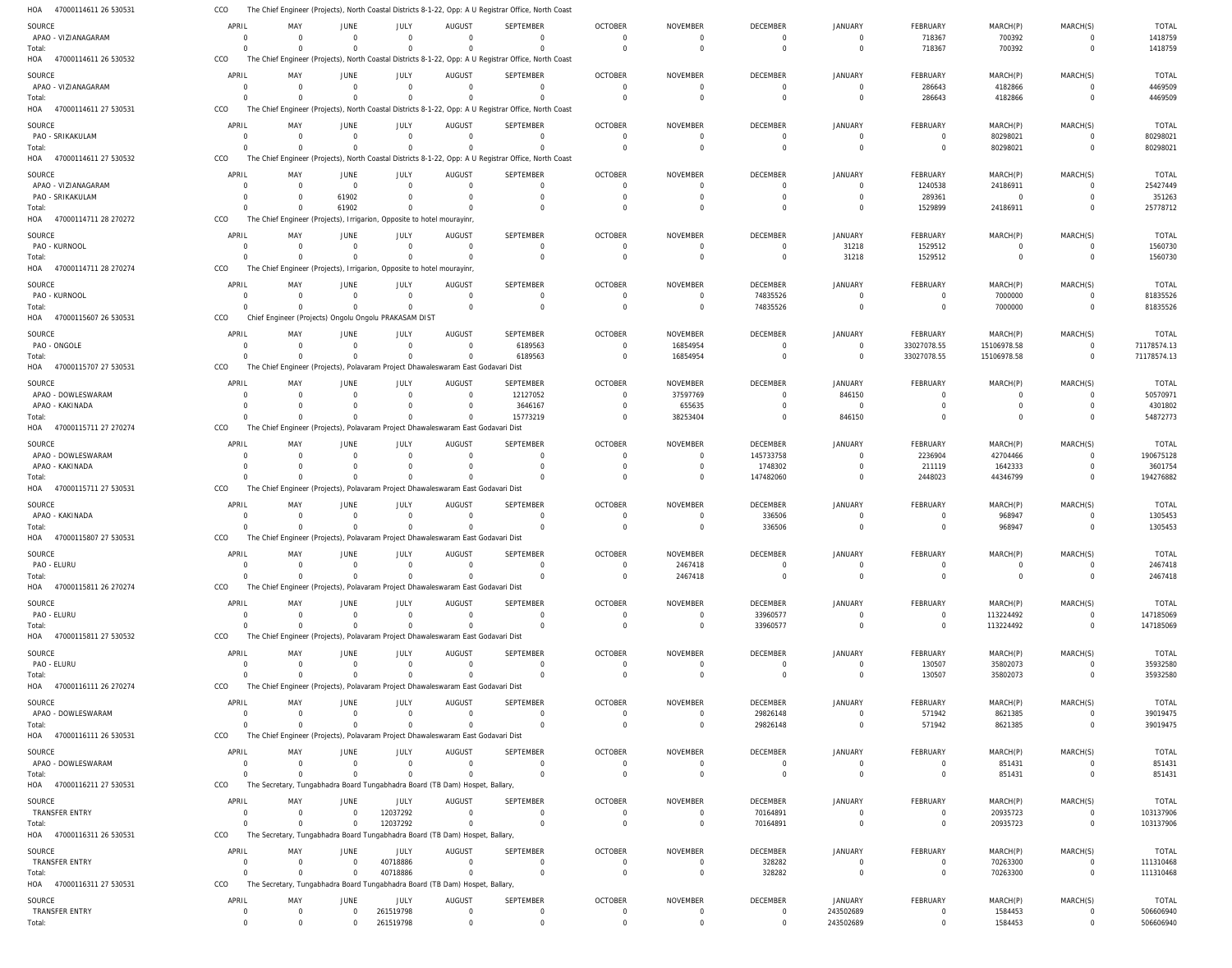47000114611 26 530531 47000114611 26 530532 47000114611 27 530531 47000114611 27 530532 47000114711 28 270272 47000114711 28 270274 47000115607 26 530531 47000115707 27 530531 47000115711 27 270274 47000115711 27 530531 47000115807 27 530531 47000115811 26 270274 47000115811 27 530532 47000116111 26 270274 47000116111 26 530531 47000116211 27 530531 47000116311 26 530531 47000116311 27 530531 HOA HOA HOA HOA HOA HOA HOA HOA HOA HOA HOA HOA HOA HOA HOA HOA HOA HOA The Chief Engineer (Projects), North Coastal Districts 8-1-22, Opp: A U Registrar Office, North Coast The Chief Engineer (Projects), North Coastal Districts 8-1-22, Opp: A U Registrar Office, North Coast The Chief Engineer (Projects), North Coastal Districts 8-1-22, Opp: A U Registrar Office, North Coast The Chief Engineer (Projects), North Coastal Districts 8-1-22, Opp: A U Registrar Office, North Coast The Chief Engineer (Projects), Irrigarion, Opposite to hotel mourayinr, The Chief Engineer (Projects), Irrigarion, Opposite to hotel mourayinr, Chief Engineer (Projects) Ongolu Ongolu PRAKASAM DIST The Chief Engineer (Projects), Polavaram Project Dhawaleswaram East Godavari Dist The Chief Engineer (Projects), Polavaram Project Dhawaleswaram East Godavari Dist The Chief Engineer (Projects), Polavaram Project Dhawaleswaram East Godavari Dist The Chief Engineer (Projects), Polavaram Project Dhawaleswaram East Godavari Dist The Chief Engineer (Projects), Polavaram Project Dhawaleswaram East Godavari Dist The Chief Engineer (Projects), Polavaram Project Dhawaleswaram East Godavari Dist The Chief Engineer (Projects), Polavaram Project Dhawaleswaram East Godavari Dist The Chief Engineer (Projects), Polavaram Project Dhawaleswaram East Godavari Dist The Secretary, Tungabhadra Board Tungabhadra Board (TB Dam) Hospet, Ballary, The Secretary, Tungabhadra Board Tungabhadra Board (TB Dam) Hospet, Ballary, The Secretary, Tungabhadra Board Tungabhadra Board (TB Dam) Hospet, Ballary, CCO CCO CCO CCO CCO CCO CCO CCO CCO CCO CCO CCO CCO CCO CCO CCO CCO CCO 0 0  $\Omega$  $\Omega$ 0  $\Omega$  $\Omega$  $\Omega$ 0 0  $\Omega$ 0 0  $\Omega$ 0 0 0 0 0 0 0  $\Omega$ 0  $\Omega$  $\Omega$  $\Omega$ 0 0  $\Omega$ 0 0  $\Omega$ 0 0 0 0 0 0  $\Omega$ 61902 0  $\Omega$  $\Omega$  $\Omega$ 0 0  $\Omega$ 0 0  $\Omega$ 0 0  $\Omega$ 0 0 0  $\Omega$  $\Omega$ 0  $\Omega$  $\Omega$  $\Omega$ 0 0  $\Omega$ 0  $\Omega$  $\Omega$ 0 12037292 40718886 261519798 0 0 0  $\Omega$ 0 0  $\Omega$ 0 0 0  $\Omega$ 0 0  $\Omega$ 0 0 0 0 0 0  $\Omega$  $\Omega$ 0  $\Omega$ 6189563 15773219 0 0  $\Omega$ 0 0 0 0  $\Omega$  $\Omega$ 0 0 0  $\Omega$  $\Omega$ 0  $\Omega$  $\Omega$  $\Omega$ 0 0  $\Omega$ 0 0  $\Omega$ 0 0 0 0 0 0  $\Omega$  $\Omega$ 0  $\Omega$ 16854954 38253404 0 0 2467418 0 0  $\Omega$ 0 0  $\Omega$ 0 0 0  $\Omega$  $\Omega$ 0 74835526  $\Omega$ 0 147482060 336506  $\Omega$ 33960577 0 29826148 0 70164891 328282 0 0 0 0  $\Omega$ 31218 0  $\Omega$ 846150 0 0  $\Omega$ 0 0  $\Omega$ 0 0 0 243502689 718367 286643  $\Omega$ 1529899 1529512  $\Omega$ 33027078.55  $\Omega$ 2448023 0  $\Omega$ 0 130507 571942 0 0 0 0 700392 4182866 80298021 24186911 0 7000000 15106978.58 0 44346799 968947 0 113224492 35802073 8621385 851431 20935723 70263300 1584453 0 0  $\Omega$  $\Omega$ 0  $\Omega$  $\Omega$  $\Omega$ 0 0  $\Omega$ 0 0  $\Omega$ 0 0 0 0 1418759 4469509 80298021 25778712 1560730 81835526 71178574.13 54872773 194276882 1305453 2467418 147185069 35932580 39019475 851431 103137906 111310468 506606940 APAO - VIZIANAGARAM APAO - VIZIANAGARAM PAO - SRIKAKULAM APAO - VIZIANAGARAM PAO - SRIKAKULAM PAO - KURNOOL PAO - KURNOOL PAO - ONGOLE APAO - DOWLESWARAM APAO - KAKINADA APAO - DOWLESWARAM APAO - KAKINADA APAO - KAKINADA PAO - ELURU PAO - ELURU PAO - ELURU APAO - DOWLESWARAM APAO - DOWLESWARAM TRANSFER ENTRY TRANSFER ENTRY TRANSFER ENTRY SOURCE **SOURCE** SOURCE SOURCE SOURCE SOURCE SOURCE SOURCE SOURCE **SOURCE** SOURCE SOURCE **SOURCE** SOURCE SOURCE **SOURCE** SOURCE SOURCE 0 0 0 0 0  $\Omega$ 0 0  $\Omega$ 0 0  $\Omega$ 0 0  $\Omega$ 0 0 0 0 0 0 APRIL APRIL APRIL APRIL APRIL APRIL APRIL APRIL APRIL APRIL APRIL APRIL APRIL APRIL APRIL APRIL APRIL APRIL 0 0 0 0 0  $\Omega$ 0 0  $\Omega$ 0  $\Omega$  $\Omega$ 0 0 0 0 0 0 0 0  $\Omega$ MAY MAY MAY MAY MAY MAY MAY MAY MAY MAY MAY MAY MAY MAY MAY MAY MAY MAY 0 0 0  $\Omega$ 61902  $\Omega$ 0 0  $\Omega$ 0  $\Omega$  $\Omega$ 0 0 0 0 0 0 0 0  $\Omega$ JUNE JUNE JUNE JUNE JUNE JUNE JUNE JUNE JUNE **JUNE** JUNE JUNE **JUNE** JUNE JUNE **JUNE** JUNE JUNE  $\Omega$ 0 0  $\Omega$ 0  $\Omega$ 0 0  $\Omega$ 0  $\Omega$  $\Omega$ 0 0 0 0 0 0 12037292 40718886 261519798 JULY JULY JULY JULY JULY JULY JULY JULY JULY JULY JULY JULY JULY JULY JULY JULY JULY JULY 0 0 0  $\Omega$ 0  $\Omega$ 0 0  $\Omega$ 0 0  $\Omega$ 0 0 0 0 0 0 0 0 0 AUGUST AUGUST AUGUST AUGUST AUGUST AUGUST AUGUST AUGUST AUGUST **AUGUST** AUGUST AUGUST **AUGUST** AUGUST AUGUST **AUGUST** AUGUST AUGUST  $\Omega$ 0 0  $\Omega$ 0  $\Omega$  $\Omega$ 6189563 12127052 3646167  $\Omega$  $\Omega$ 0  $\Omega$  $\Omega$ 0  $\Omega$  $\Omega$ 0  $\Omega$  $\Omega$ SEPTEMBER **SEPTEMBER SEPTEMBER** SEPTEMBER SEPTEMBER SEPTEMBER **SEPTEMBER** SEPTEMBER SEPTEMBER **SEPTEMBER** SEPTEMBER **SEPTEMBER SEPTEMBER** SEPTEMBER SEPTEMBER **SEPTEMBER** SEPTEMBER SEPTEMBER 0 0  $\Omega$  $\Omega$ 0  $\Omega$ 0 0  $\Omega$ 0  $\Omega$  $\Omega$ 0  $\Omega$  $\Omega$ 0 0 0 0 0  $\Omega$ OCTOBER **OCTOBER** OCTOBER OCTOBER OCTOBER OCTOBER OCTOBER OCTOBER OCTOBER **OCTOBER** OCTOBER OCTOBER **OCTOBER** OCTOBER OCTOBER **OCTOBER** OCTOBER OCTOBER  $\Omega$ 0 0  $\Omega$ 0  $\Omega$  $\Omega$ 16854954 37597769 655635  $\Omega$  $\Omega$ 0 2467418  $\Omega$ 0  $\Omega$  $\Omega$ 0 0  $\Omega$ NOVEMBER NOVEMBER NOVEMBER NOVEMBER NOVEMBER NOVEMBER NOVEMBER NOVEMBER NOVEMBER NOVEMBER NOVEMBER NOVEMBER NOVEMBER NOVEMBER NOVEMBER NOVEMBER NOVEMBER NOVEMBER  $\Omega$ 0 0  $\Omega$ 0  $\Omega$ 74835526 0  $\Omega$ 0 145733758 1748302 336506 0 33960577 0 29826148  $\Omega$ 70164891 328282  $\Omega$ DECEMBER **DECEMBER** DECEMBER DECEMBER DECEMBER DECEMBER DECEMBER DECEMBER DECEMBER **DECEMBER** DECEMBER DECEMBER **DECEMBER** DECEMBER DECEMBER **DECEMBER** DECEMBER DECEMBER 0 0 0  $\Omega$ 0 31218 0 0 846150 0 0  $\Omega$ 0 0  $\Omega$ 0 0 0 0 0 243502689 JANUARY JANUARY JANUARY JANUARY JANUARY JANUARY JANUARY JANUARY JANUARY **JANUARY** JANUARY JANUARY **JANUARY** JANUARY JANUARY **JANUARY** JANUARY JANUARY 718367 286643  $\Omega$ 1240538 289361 1529512 0 33027078.55  $\Omega$ 0 2236904 211119 0  $\Omega$  $\Omega$ 130507 571942 0 0  $\Omega$  $\Omega$ FEBRUARY **FEBRUARY** FEBRUARY FEBRUARY FEBRUARY FEBRUARY FEBRUARY FEBRUARY FEBRUARY **FFBRUARY** FEBRUARY FEBRUARY **FEBRUARY** FEBRUARY FEBRUARY **FEBRUARY** FEBRUARY FEBRUARY 700392 4182866 80298021 24186911 0  $\Omega$ 7000000 15106978.58  $\Omega$ 0 42704466 1642333 968947 0 113224492 35802073 8621385 851431 20935723 70263300 1584453 MARCH(P) MARCH(P) MARCH(P) MARCH(P) MARCH(P) MARCH(P) MARCH(P) MARCH(P) MARCH(P) MARCH(P) MARCH(P) MARCH(P) MARCH(P) MARCH(P) MARCH(P) MARCH(P) MARCH(P) MARCH(P)  $\Omega$ 0  $\Omega$  $\Omega$ 0  $\Omega$  $\Omega$ 0  $\Omega$ 0  $\Omega$  $\Omega$ 0  $\Omega$  $\Omega$ 0  $\Omega$  $\Omega$ 0  $\Omega$  $\Omega$ MARCH(S) MARCH(S) MARCH(S) MARCH(S) MARCH(S) MARCH(S) MARCH(S) MARCH(S) MARCH(S) MARCH(S) MARCH(S) MARCH(S) MARCH(S) MARCH(S) MARCH(S) MARCH(S) MARCH(S) MARCH(S) 1418759 4469509 80298021 25427449 351263 1560730 81835526 71178574.13 50570971 4301802 190675128 3601754 1305453 2467418 147185069 35932580 39019475 851431 103137906 111310468 506606940 TOTAL TOTAL TOTAL TOTAL TOTAL TOTAL TOTAL TOTAL TOTAL TOTAL TOTAL TOTAL TOTAL TOTAL TOTAL TOTAL TOTAL TOTAL Total: Total: Total: Total: Total: Total: Total: Total: Total: Total: Total: Total: Total: Total: Total: Total: Total: Total: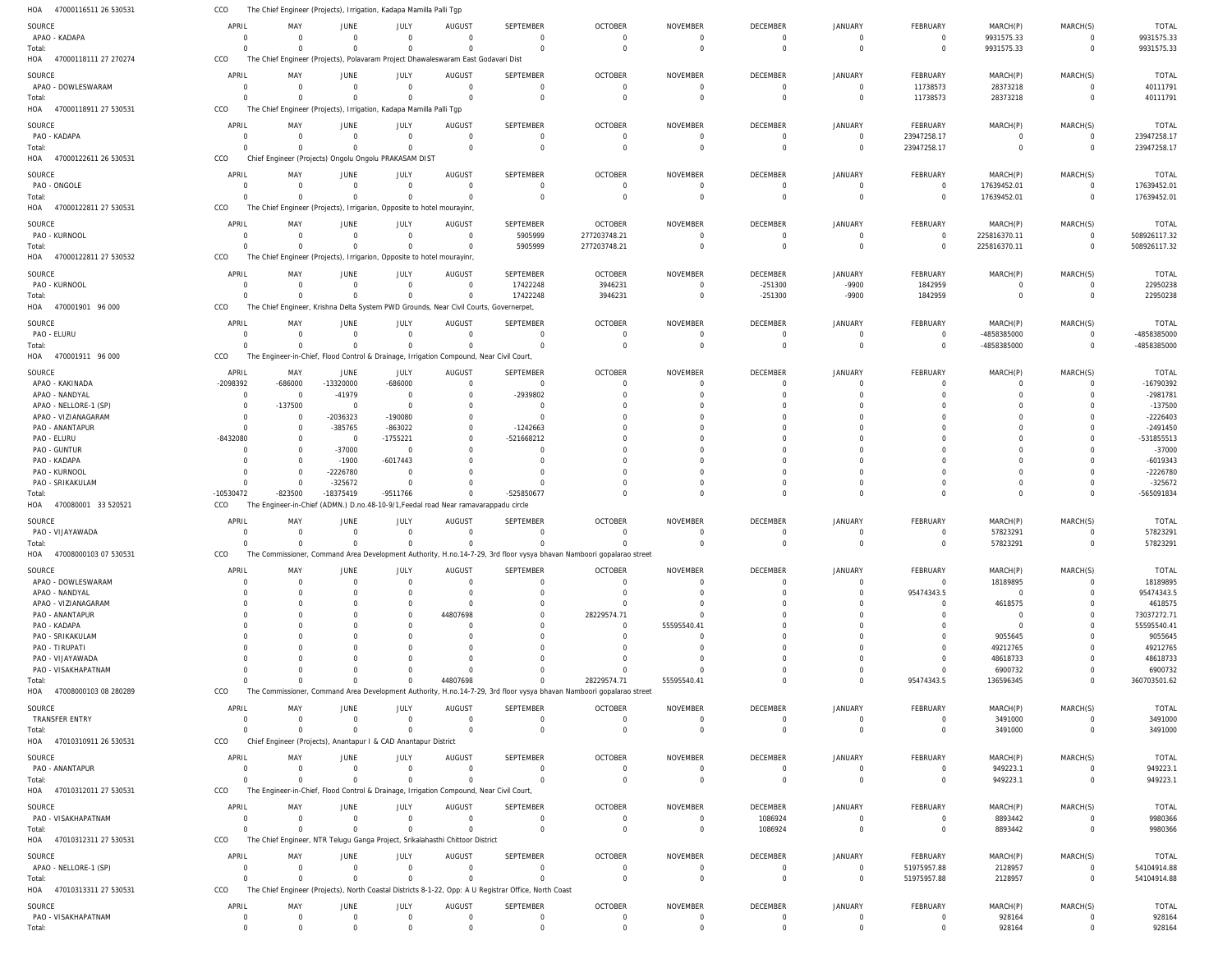| HOA<br>47000116511 26 530531  | CCO                     |                            | The Chief Engineer (Projects), Irrigation, Kadapa Mamilla Palli Tgp                     |                            |                                  |                                                                                                       |                                                                                                                      |                                   |                                  |                               |                         |                            |                                |                          |
|-------------------------------|-------------------------|----------------------------|-----------------------------------------------------------------------------------------|----------------------------|----------------------------------|-------------------------------------------------------------------------------------------------------|----------------------------------------------------------------------------------------------------------------------|-----------------------------------|----------------------------------|-------------------------------|-------------------------|----------------------------|--------------------------------|--------------------------|
| SOURCE                        | APRIL                   | MAY                        | JUNE                                                                                    | JULY                       | <b>AUGUST</b>                    | <b>SEPTEMBER</b>                                                                                      | <b>OCTOBER</b>                                                                                                       | <b>NOVEMBER</b>                   | DECEMBER                         | JANUARY                       | FEBRUARY                | MARCH(P)                   | MARCH(S)                       | <b>TOTAL</b>             |
| APAO - KADAPA                 | 0                       | $\Omega$                   | $\overline{0}$                                                                          | $\mathbf 0$                | $\overline{0}$                   | 0                                                                                                     | $\mathbf 0$                                                                                                          | - 0                               | $\overline{0}$                   | $\Omega$                      | $\overline{0}$          | 9931575.33                 | $\mathbf 0$                    | 9931575.33               |
| Total:                        | $\Omega$                | $\Omega$                   | $\Omega$                                                                                | $\Omega$                   | $\Omega$                         | $\Omega$                                                                                              | $\Omega$                                                                                                             | $\Omega$                          | $\overline{0}$                   | $\Omega$                      | $\mathbf 0$             | 9931575.33                 | $\mathbf{0}$                   | 9931575.33               |
| 47000118111 27 270274<br>HOA  | CCO                     |                            | The Chief Engineer (Projects), Polavaram Project Dhawaleswaram East Godavari Dist       |                            |                                  |                                                                                                       |                                                                                                                      |                                   |                                  |                               |                         |                            |                                |                          |
|                               | APRIL                   | MAY                        |                                                                                         | JULY                       | <b>AUGUST</b>                    | <b>SEPTEMBER</b>                                                                                      | <b>OCTOBER</b>                                                                                                       | <b>NOVEMBER</b>                   | DECEMBER                         | JANUARY                       | FEBRUARY                | MARCH(P)                   | MARCH(S)                       | <b>TOTAL</b>             |
| SOURCE<br>APAO - DOWLESWARAM  | $\Omega$                | $\Omega$                   | JUNE<br>$\overline{0}$                                                                  | $\mathbf 0$                | $\Omega$                         | $\mathbf 0$                                                                                           | $\Omega$                                                                                                             | $\Omega$                          | $\overline{0}$                   | $\Omega$                      | 11738573                | 28373218                   | $\Omega$                       | 40111791                 |
| Total:                        | $\Omega$                | $\Omega$                   | $\Omega$                                                                                | $\Omega$                   | $\Omega$                         | $\Omega$                                                                                              | $\Omega$                                                                                                             | $\Omega$                          | $\Omega$                         | $\Omega$                      | 11738573                | 28373218                   | $\Omega$                       | 40111791                 |
| 47000118911 27 530531<br>HOA  | CCO                     |                            | The Chief Engineer (Projects), Irrigation, Kadapa Mamilla Palli Tgp                     |                            |                                  |                                                                                                       |                                                                                                                      |                                   |                                  |                               |                         |                            |                                |                          |
|                               |                         |                            |                                                                                         |                            |                                  |                                                                                                       |                                                                                                                      |                                   |                                  |                               |                         |                            |                                |                          |
| SOURCE                        | APRIL                   | MAY                        | JUNE                                                                                    | JULY                       | <b>AUGUST</b>                    | <b>SEPTEMBER</b>                                                                                      | <b>OCTOBER</b>                                                                                                       | <b>NOVEMBER</b>                   | DECEMBER                         | JANUARY                       | FEBRUARY                | MARCH(P)                   | MARCH(S)                       | <b>TOTAL</b>             |
| PAO - KADAPA                  | $\Omega$                | $\Omega$                   | $\overline{0}$                                                                          | $\mathbf 0$                | $\Omega$                         | $\mathbf 0$                                                                                           | $\overline{0}$                                                                                                       | $\overline{0}$                    | $\overline{0}$                   | $\overline{0}$                | 23947258.17             | $\overline{0}$             | $\mathbf 0$                    | 23947258.17              |
| Total:                        | $\Omega$                | $\Omega$                   | $\Omega$                                                                                | $\Omega$                   | $\Omega$                         | $\mathbf 0$                                                                                           | $\Omega$                                                                                                             | $\Omega$                          | $\Omega$                         | $\Omega$                      | 23947258.17             | $\mathbf 0$                | $\mathbf{0}$                   | 23947258.17              |
| HOA<br>47000122611 26 530531  | CCO                     |                            | Chief Engineer (Projects) Ongolu Ongolu PRAKASAM DIST                                   |                            |                                  |                                                                                                       |                                                                                                                      |                                   |                                  |                               |                         |                            |                                |                          |
| SOURCE                        | APRIL                   | MAY                        | JUNE                                                                                    | JULY                       | <b>AUGUST</b>                    | <b>SEPTEMBER</b>                                                                                      | <b>OCTOBER</b>                                                                                                       | <b>NOVEMBER</b>                   | DECEMBER                         | JANUARY                       | FEBRUARY                | MARCH(P)                   | MARCH(S)                       | <b>TOTAL</b>             |
| PAO - ONGOLE                  | $\Omega$                | $\Omega$                   | $\overline{0}$                                                                          | $\Omega$                   | $\Omega$                         | $\mathbf 0$                                                                                           | $\Omega$                                                                                                             | $\Omega$                          | $\overline{0}$                   | $\Omega$                      | $\overline{0}$          | 17639452.01                | $\Omega$                       | 17639452.01              |
| Total:                        | $\Omega$                | $\Omega$                   | $\Omega$                                                                                | $\Omega$                   | $\Omega$                         | $\mathbf 0$                                                                                           | $\Omega$                                                                                                             | $\Omega$                          | $\Omega$                         | $\Omega$                      | $\overline{0}$          | 17639452.01                | $\overline{0}$                 | 17639452.01              |
| HOA 47000122811 27 530531     | CCO                     |                            | The Chief Engineer (Projects), Irrigarion, Opposite to hotel mourayinr,                 |                            |                                  |                                                                                                       |                                                                                                                      |                                   |                                  |                               |                         |                            |                                |                          |
| SOURCE                        | APRIL                   | MAY                        | JUNE                                                                                    | JULY                       | <b>AUGUST</b>                    | SEPTEMBER                                                                                             | <b>OCTOBER</b>                                                                                                       | <b>NOVEMBER</b>                   | DECEMBER                         | JANUARY                       | FEBRUARY                | MARCH(P)                   | MARCH(S)                       | TOTAL                    |
| PAO - KURNOOL                 | $\Omega$                | $\Omega$                   | $\overline{0}$                                                                          | $\overline{0}$             | $\Omega$                         | 5905999                                                                                               | 277203748.21                                                                                                         | $\Omega$                          | $\overline{0}$                   | $\Omega$                      | $\overline{0}$          | 225816370.11               | $\mathbf 0$                    | 508926117.32             |
| Total:                        | $\Omega$                | $\Omega$                   | $\Omega$                                                                                | $\Omega$                   | $\Omega$                         | 5905999                                                                                               | 277203748.21                                                                                                         | $\Omega$                          | $\overline{0}$                   | $\Omega$                      | $\overline{0}$          | 225816370.11               | $\overline{0}$                 | 508926117.32             |
| 47000122811 27 530532<br>HOA  | CCO                     |                            | The Chief Engineer (Projects), Irrigarion, Opposite to hotel mourayinr,                 |                            |                                  |                                                                                                       |                                                                                                                      |                                   |                                  |                               |                         |                            |                                |                          |
|                               |                         |                            |                                                                                         |                            |                                  |                                                                                                       |                                                                                                                      |                                   |                                  |                               |                         |                            |                                |                          |
| SOURCE                        | APRIL<br>$\Omega$       | MAY<br>$\Omega$            | JUNE<br>$\overline{0}$                                                                  | JULY<br>$\Omega$           | <b>AUGUST</b><br>$\Omega$        | <b>SEPTEMBER</b>                                                                                      | <b>OCTOBER</b>                                                                                                       | <b>NOVEMBER</b><br>$\Omega$       | DECEMBER                         | JANUARY<br>$-9900$            | FEBRUARY                | MARCH(P)<br>$\overline{0}$ | MARCH(S)<br>$\Omega$           | <b>TOTAL</b>             |
| PAO - KURNOOL<br>Total:       | $\Omega$                | $\Omega$                   | $\mathbf 0$                                                                             | $\Omega$                   | $\Omega$                         | 17422248<br>17422248                                                                                  | 3946231<br>3946231                                                                                                   | $\Omega$                          | $-251300$<br>$-251300$           | $-9900$                       | 1842959<br>1842959      | $\mathbf 0$                | $\Omega$                       | 22950238<br>22950238     |
| 470001901 96 000<br>HOA       | CCO                     |                            | The Chief Engineer, Krishna Delta System PWD Grounds, Near Civil Courts, Governerpet,   |                            |                                  |                                                                                                       |                                                                                                                      |                                   |                                  |                               |                         |                            |                                |                          |
|                               |                         |                            |                                                                                         |                            |                                  |                                                                                                       |                                                                                                                      |                                   |                                  |                               |                         |                            |                                |                          |
| SOURCE                        | APRIL                   | MAY                        | JUNE                                                                                    | JULY                       | <b>AUGUST</b>                    | <b>SEPTEMBER</b>                                                                                      | <b>OCTOBER</b>                                                                                                       | <b>NOVEMBER</b>                   | DECEMBER                         | JANUARY                       | FEBRUARY                | MARCH(P)                   | MARCH(S)                       | <b>TOTAL</b>             |
| PAO - ELURU                   | $\Omega$                | $\Omega$                   | $\overline{0}$                                                                          | $\mathbf 0$                | $\Omega$                         | $\mathbf 0$                                                                                           | $\overline{0}$                                                                                                       | $\overline{0}$                    | $\overline{0}$                   | $\Omega$                      | $\overline{0}$          | -4858385000                | $\mathbf 0$                    | -4858385000              |
| Total:                        | $\Omega$                |                            | $\Omega$                                                                                | $\Omega$                   |                                  | $\mathbf 0$                                                                                           | $\Omega$                                                                                                             | $\Omega$                          | $\overline{0}$                   | $\Omega$                      | $\mathbf 0$             | -4858385000                | $\mathbf{0}$                   | -4858385000              |
| 470001911 96 000<br>HOA       | CCO                     |                            | The Engineer-in-Chief, Flood Control & Drainage, Irrigation Compound, Near Civil Court, |                            |                                  |                                                                                                       |                                                                                                                      |                                   |                                  |                               |                         |                            |                                |                          |
| SOURCE                        | APRIL                   | MAY                        | JUNE                                                                                    | JULY                       | <b>AUGUST</b>                    | <b>SEPTEMBER</b>                                                                                      | <b>OCTOBER</b>                                                                                                       | <b>NOVEMBER</b>                   | DECEMBER                         | <b>JANUARY</b>                | FEBRUARY                | MARCH(P)                   | MARCH(S)                       | <b>TOTAL</b>             |
| APAO - KAKINADA               | -2098392                | $-686000$                  | $-13320000$                                                                             | $-686000$                  | $\Omega$                         | $\mathbf 0$                                                                                           | - 0                                                                                                                  | $\Omega$                          | $\Omega$                         | $\Omega$                      | 0                       | $\Omega$                   | $\Omega$                       | -16790392                |
| APAO - NANDYAL                | $\overline{0}$          | $\Omega$                   | $-41979$                                                                                | $\mathbf 0$                | $\Omega$                         | -2939802                                                                                              |                                                                                                                      | $\Omega$                          | $\Omega$                         | $\Omega$                      | $\Omega$                | $\Omega$                   | $\Omega$                       | -2981781                 |
| APAO - NELLORE-1 (SP)         | $^{\circ}$              | -137500                    | $\overline{0}$                                                                          | $\mathbf 0$                | $\Omega$                         | $\Omega$                                                                                              |                                                                                                                      | $\Omega$                          | $\Omega$                         | $\Omega$                      | U                       | <sup>0</sup>               | $\Omega$                       | $-137500$                |
| APAO - VIZIANAGARAM           | $\Omega$                | $\Omega$                   | $-2036323$                                                                              | $-190080$                  | $\Omega$                         | $\Omega$                                                                                              |                                                                                                                      | $\Omega$                          |                                  |                               |                         |                            | $\Omega$                       | $-2226403$               |
| PAO - ANANTAPUR               | $\Omega$                | $\Omega$                   | $-385765$                                                                               | $-863022$                  | $\Omega$                         | $-1242663$                                                                                            |                                                                                                                      | $\Omega$                          | $\Omega$                         |                               | U                       | <sup>0</sup>               | $\Omega$                       | $-2491450$               |
| PAO - ELURU                   | $-8432080$              | $\Omega$                   | $\overline{0}$                                                                          | $-1755221$                 | $\Omega$                         | -521668212                                                                                            |                                                                                                                      | $\Omega$                          |                                  |                               |                         | <sup>0</sup>               | $\Omega$                       | -531855513               |
| PAO - GUNTUR                  | $\Omega$                | $\cap$                     | $-37000$                                                                                | $\Omega$                   | $\Omega$                         | $\Omega$                                                                                              |                                                                                                                      | $\Omega$                          | $\Omega$                         |                               |                         | <sup>0</sup>               | $\Omega$                       | $-37000$                 |
| PAO - KADAPA                  | $\Omega$                | $\Omega$                   | $-1900$                                                                                 | $-6017443$                 |                                  | $\Omega$                                                                                              |                                                                                                                      |                                   | $\Omega$                         |                               |                         | <sup>0</sup>               | $\Omega$                       | $-6019343$               |
| PAO - KURNOOL                 | $\Omega$                | $\Omega$<br>$\Omega$       | $-2226780$                                                                              | $\Omega$                   |                                  | $\Omega$<br>$\Omega$                                                                                  |                                                                                                                      | $\Omega$                          | $\Omega$<br>$\Omega$             | $\cap$<br>$\Omega$            | U                       | <sup>0</sup>               | $\Omega$                       | -2226780                 |
| PAO - SRIKAKULAM<br>Total:    | $\Omega$<br>$-10530472$ | $-823500$                  | $-325672$<br>-18375419                                                                  | $\Omega$<br>$-9511766$     | $\Omega$<br>$\Omega$             | -525850677                                                                                            |                                                                                                                      | $\Omega$<br>$\Omega$              | $\Omega$                         | $\Omega$                      | $\Omega$<br>$\Omega$    | $\Omega$<br>$\Omega$       | $\Omega$<br>$\Omega$           | $-325672$<br>-565091834  |
| 470080001 33 520521<br>HOA    | CCO                     |                            | The Engineer-in-Chief (ADMN.) D.no.48-10-9/1, Feedal road Near ramavarappadu circle     |                            |                                  |                                                                                                       |                                                                                                                      |                                   |                                  |                               |                         |                            |                                |                          |
|                               |                         |                            |                                                                                         |                            |                                  |                                                                                                       |                                                                                                                      |                                   |                                  |                               |                         |                            |                                |                          |
|                               |                         | MAY                        | JUNE                                                                                    | JULY                       | <b>AUGUST</b>                    | <b>SEPTEMBER</b>                                                                                      | <b>OCTOBER</b>                                                                                                       | <b>NOVEMBER</b>                   | DECEMBER                         | JANUARY                       | FEBRUARY                | MARCH(P)                   | MARCH(S)                       | <b>TOTAL</b>             |
| SOURCE                        | APRIL                   |                            |                                                                                         | $\mathbf 0$                | $\Omega$                         | $\mathbf 0$                                                                                           | $\Omega$                                                                                                             | $\Omega$                          | $\Omega$                         | $\Omega$                      | $\mathbf 0$             | 57823291                   | $\mathbf 0$                    | 57823291                 |
| PAO - VIJAYAWADA              | $\Omega$                | - 0                        | $\overline{0}$                                                                          |                            |                                  |                                                                                                       |                                                                                                                      |                                   |                                  | $\Omega$                      |                         |                            |                                |                          |
| Total:                        | $\Omega$                | $\Omega$                   | $\overline{0}$                                                                          | $\mathbf 0$                | $\Omega$                         | $\mathbf 0$                                                                                           |                                                                                                                      | $\Omega$                          | $\Omega$                         |                               | $\mathbf 0$             | 57823291                   | $\Omega$                       | 57823291                 |
| HOA 47008000103 07 530531     | CCO                     |                            |                                                                                         |                            |                                  |                                                                                                       | The Commissioner, Command Area Development Authority, H.no.14-7-29, 3rd floor vysya bhavan Namboori gopalarao street |                                   |                                  |                               |                         |                            |                                |                          |
| SOURCE                        | APRIL                   | MAY                        | JUNE                                                                                    | JULY                       | <b>AUGUST</b>                    | <b>SEPTEMBER</b>                                                                                      | <b>OCTOBER</b>                                                                                                       | <b>NOVEMBER</b>                   | DECEMBER                         | <b>JANUARY</b>                | FEBRUARY                | MARCH(P)                   | MARCH(S)                       | <b>TOTAL</b>             |
| APAO - DOWLESWARAM            | $\Omega$                | $\Omega$                   | $\overline{0}$                                                                          | $\Omega$                   | $\Omega$                         | $\Omega$                                                                                              | $\Omega$                                                                                                             | $\Omega$                          | $\Omega$                         | $\Omega$                      | $\Omega$                | 18189895                   | $\Omega$                       | 18189895                 |
| APAO - NANDYAL                |                         | $\Omega$                   | <sup>0</sup>                                                                            | 0                          | $\Omega$                         | $\mathbf 0$                                                                                           | $\Omega$                                                                                                             | $\Omega$                          | $\Omega$                         | $\Omega$                      | 95474343.5              | $\overline{0}$             | $\Omega$                       | 95474343.5               |
| APAO - VIZIANAGARAM           | $\Omega$                |                            | $\Omega$                                                                                | $\Omega$                   | $\Omega$                         | $\Omega$                                                                                              |                                                                                                                      | $\Omega$                          | $\Omega$                         | $\Omega$                      | $\Omega$                | 4618575                    | $\Omega$                       | 4618575                  |
| PAO - ANANTAPUR               |                         |                            |                                                                                         | $\Omega$                   | 44807698                         | $\Omega$                                                                                              | 28229574.71                                                                                                          | $\Omega$                          | $\Omega$                         | $\Omega$                      |                         | $\overline{0}$             | $\Omega$                       | 73037272.71              |
| PAO - KADAPA                  |                         |                            | U                                                                                       | <sup>0</sup>               | $\Omega$                         | $\Omega$                                                                                              | $\Omega$                                                                                                             | 55595540.41                       | $\Omega$                         | $\Omega$                      |                         | $\Omega$                   | $\Omega$                       | 55595540.41              |
| PAO - SRIKAKULAM              |                         |                            |                                                                                         |                            |                                  | $\Omega$                                                                                              | $\Omega$                                                                                                             | $\Omega$                          |                                  | $\Omega$                      |                         | 9055645                    | $\Omega$                       | 9055645                  |
| PAO - TIRUPATI                |                         |                            |                                                                                         | O                          |                                  | $\Omega$                                                                                              |                                                                                                                      | $\Omega$                          |                                  | $\Omega$                      |                         | 49212765                   | $\Omega$                       | 49212765                 |
| PAO - VIJAYAWADA              |                         |                            |                                                                                         |                            |                                  |                                                                                                       |                                                                                                                      | - 0                               |                                  | $\cap$                        |                         | 48618733                   |                                | 48618733                 |
| PAO - VISAKHAPATNAM           |                         |                            | $\Omega$                                                                                |                            |                                  | C                                                                                                     |                                                                                                                      |                                   |                                  | $\Omega$                      | $\Omega$                | 6900732                    | $\Omega$                       | 6900732                  |
| Total:                        | $\Omega$                | $\Omega$                   | $\Omega$                                                                                | $\Omega$                   | 44807698                         | $\Omega$                                                                                              | 28229574.71                                                                                                          | 55595540.41                       | $\Omega$                         | $\Omega$                      | 95474343.5              | 136596345                  | $\Omega$                       | 360703501.62             |
| HOA 47008000103 08 280289     | CCO                     |                            |                                                                                         |                            |                                  |                                                                                                       | The Commissioner, Command Area Development Authority, H.no.14-7-29, 3rd floor vysya bhavan Namboori gopalarao street |                                   |                                  |                               |                         |                            |                                |                          |
| SOURCE                        | APRIL                   | MAY                        | JUNE                                                                                    | JULY                       | AUGUST                           | SEPTEMBER                                                                                             | <b>OCTOBER</b>                                                                                                       | <b>NOVEMBER</b>                   | DECEMBER                         | JANUARY                       | FEBRUARY                | MARCH(P)                   | MARCH(S)                       | <b>TOTAL</b>             |
| TRANSFER ENTRY                | 0                       | $\Omega$                   | $\overline{0}$                                                                          | $\overline{0}$             | $\Omega$                         | $\mathbf 0$                                                                                           | $\Omega$                                                                                                             | 0                                 | $\overline{0}$                   | $\Omega$                      | $^{\circ}$              | 3491000                    | $\mathbf 0$                    | 3491000                  |
| Total:                        | $\Omega$                | $\Omega$                   | $\Omega$                                                                                | $\mathbf 0$                | $\Omega$                         | $\mathbf 0$                                                                                           | $\Omega$                                                                                                             | $\overline{0}$                    | $\overline{0}$                   | $\Omega$                      | $\mathbf 0$             | 3491000                    | $\mathbf 0$                    | 3491000                  |
| HOA 47010310911 26 530531     | CCO                     |                            | Chief Engineer (Projects), Anantapur I & CAD Anantapur District                         |                            |                                  |                                                                                                       |                                                                                                                      |                                   |                                  |                               |                         |                            |                                |                          |
|                               | APRIL                   | MAY                        |                                                                                         |                            |                                  |                                                                                                       |                                                                                                                      |                                   |                                  |                               |                         |                            |                                |                          |
| SOURCE<br>PAO - ANANTAPUR     | $\Omega$                | $\Omega$                   | JUNE<br>$\overline{0}$                                                                  | JULY<br>$\Omega$           | <b>AUGUST</b><br>$\Omega$        | <b>SEPTEMBER</b><br>$\mathbf 0$                                                                       | <b>OCTOBER</b><br>$\Omega$                                                                                           | <b>NOVEMBER</b><br>$\overline{0}$ | DECEMBER<br>$\overline{0}$       | <b>JANUARY</b><br>$\Omega$    | FEBRUARY<br>$\mathbf 0$ | MARCH(P)<br>949223.1       | MARCH(S)<br>$\Omega$           | <b>TOTAL</b><br>949223.1 |
| Total:                        | $\Omega$                | $\Omega$                   | $\mathbf 0$                                                                             | $\mathbf 0$                | $\Omega$                         | $\Omega$                                                                                              | $\Omega$                                                                                                             | $\Omega$                          | $\overline{0}$                   | $\Omega$                      | $\mathbf 0$             | 949223.1                   | $\mathbf 0$                    | 949223.1                 |
| HOA 47010312011 27 530531     | CCO                     |                            | The Engineer-in-Chief, Flood Control & Drainage, Irrigation Compound, Near Civil Court, |                            |                                  |                                                                                                       |                                                                                                                      |                                   |                                  |                               |                         |                            |                                |                          |
|                               |                         |                            |                                                                                         |                            |                                  |                                                                                                       |                                                                                                                      |                                   |                                  |                               |                         |                            |                                |                          |
| SOURCE                        | APRIL                   | MAY                        | JUNE                                                                                    | JULY                       | <b>AUGUST</b>                    | <b>SEPTEMBER</b>                                                                                      | <b>OCTOBER</b>                                                                                                       | <b>NOVEMBER</b>                   | DECEMBER                         | JANUARY                       | FEBRUARY                | MARCH(P)                   | MARCH(S)                       | <b>TOTAL</b>             |
| PAO - VISAKHAPATNAM           | $\overline{0}$          | $\Omega$<br>$\Omega$       | $\overline{0}$                                                                          | $\overline{0}$             | $\Omega$                         | $\mathbf 0$                                                                                           | $\Omega$                                                                                                             | $\overline{0}$                    | 1086924                          | $\Omega$                      | $\overline{0}$          | 8893442                    | $\mathbf 0$                    | 9980366                  |
| Total:                        | $\Omega$                |                            | $\overline{0}$                                                                          | $\mathbf 0$                | $\Omega$                         | $\mathbf 0$                                                                                           | $\Omega$                                                                                                             | $\overline{0}$                    | 1086924                          | $\Omega$                      | $\mathbf 0$             | 8893442                    | $\mathbf 0$                    | 9980366                  |
| HOA 47010312311 27 530531     | CCO                     |                            | The Chief Engineer, NTR Telugu Ganga Project, Srikalahasthi Chittoor District           |                            |                                  |                                                                                                       |                                                                                                                      |                                   |                                  |                               |                         |                            |                                |                          |
| SOURCE                        | APRIL                   | MAY                        | JUNE                                                                                    | JULY                       | <b>AUGUST</b>                    | <b>SEPTEMBER</b>                                                                                      | <b>OCTOBER</b>                                                                                                       | <b>NOVEMBER</b>                   | DECEMBER                         | JANUARY                       | FEBRUARY                | MARCH(P)                   | MARCH(S)                       | <b>TOTAL</b>             |
| APAO - NELLORE-1 (SP)         | $\Omega$                | $\Omega$                   | $\overline{0}$                                                                          | $\Omega$                   | $\Omega$                         | $\mathbf 0$                                                                                           | $\Omega$                                                                                                             | 0                                 | $\overline{0}$                   | $\Omega$                      | 51975957.88             | 2128957                    | $\mathbf 0$                    | 54104914.88              |
| Total:                        | $\Omega$                | $\Omega$                   | $\Omega$                                                                                | $\Omega$                   | $\Omega$                         | $\Omega$                                                                                              | $\Omega$                                                                                                             | $\overline{0}$                    | $\overline{0}$                   | $\overline{0}$                | 51975957.88             | 2128957                    | $\mathbf 0$                    | 54104914.88              |
| HOA 47010313311 27 530531     | CCO                     |                            |                                                                                         |                            |                                  | The Chief Engineer (Projects), North Coastal Districts 8-1-22, Opp: A U Registrar Office, North Coast |                                                                                                                      |                                   |                                  |                               |                         |                            |                                |                          |
| SOURCE                        | APRIL                   | MAY                        | JUNE                                                                                    | JULY                       | <b>AUGUST</b>                    | SEPTEMBER                                                                                             | <b>OCTOBER</b>                                                                                                       | <b>NOVEMBER</b>                   | DECEMBER                         | <b>JANUARY</b>                | FEBRUARY                | MARCH(P)                   | MARCH(S)                       | <b>TOTAL</b>             |
| PAO - VISAKHAPATNAM<br>Total: | 0<br>$\Omega$           | $\overline{0}$<br>$\Omega$ | $\overline{0}$<br>$\mathbf 0$                                                           | $\mathbf 0$<br>$\mathbf 0$ | $\overline{0}$<br>$\overline{0}$ | 0<br>$\mathbf 0$                                                                                      | $\mathbf 0$<br>$\Omega$                                                                                              | $\overline{0}$<br>$\mathbf 0$     | $\overline{0}$<br>$\overline{0}$ | $\overline{0}$<br>$\mathbf 0$ | 0<br>$\mathbf 0$        | 928164<br>928164           | $\overline{0}$<br>$\mathbf{0}$ | 928164<br>928164         |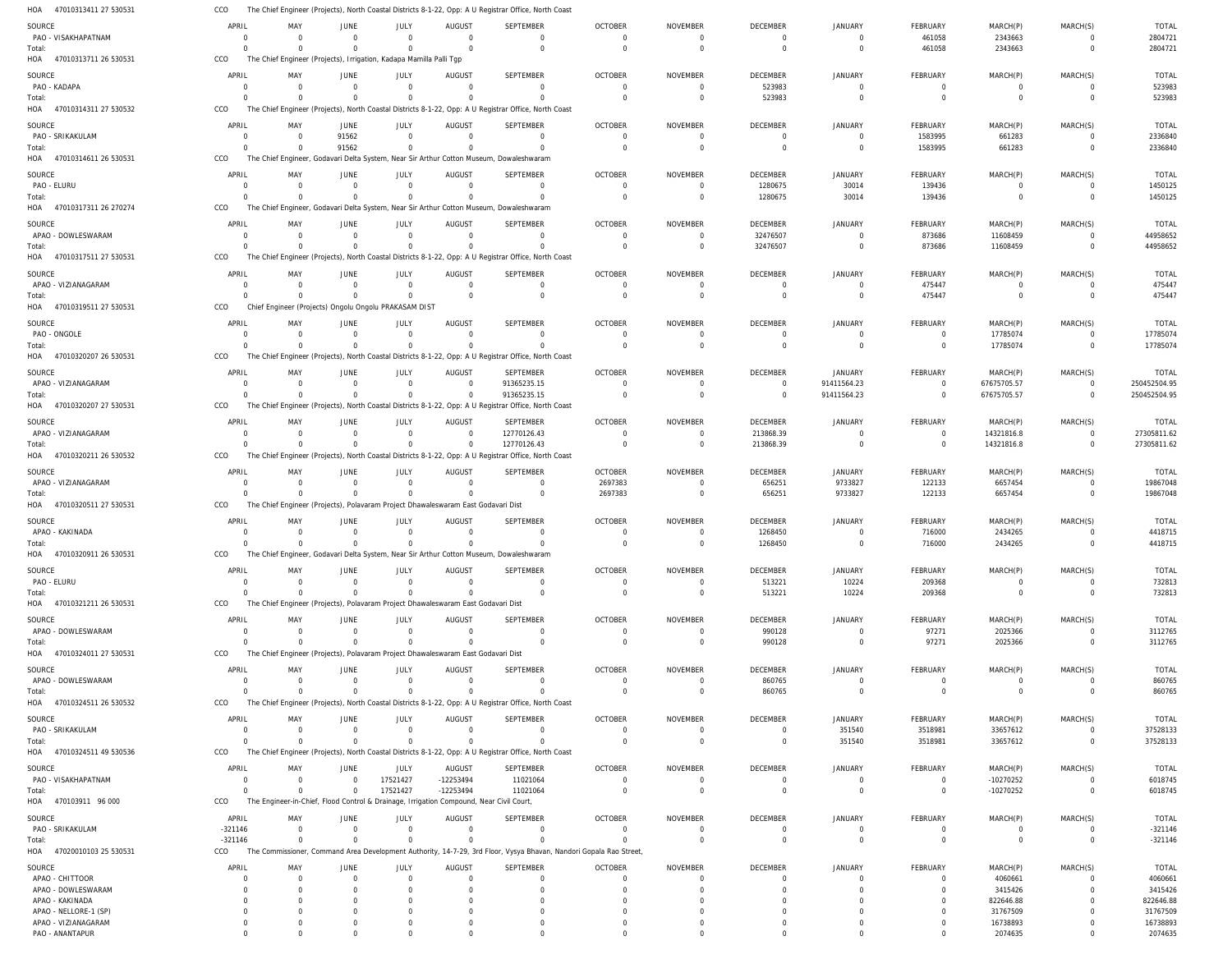47010313411 27 530531 47010313711 26 530531 47010314311 27 530532 47010314611 26 530531 47010317311 26 270274 47010317511 27 530531 47010319511 27 530531 47010320207 26 530531 47010320207 27 530531 47010320211 26 530532 HOA 47010320511 27 530531 HOA 47010320911 26 530531 47010321211 26 530531 47010324011 27 530531 47010324511 26 530532 47010324511 49 530536 470103911 96 000 47020010103 25 530531 HOA HOA HOA HOA HOA HOA HOA HOA HOA HOA HOA HOA HOA HOA HOA HOA The Chief Engineer (Projects), North Coastal Districts 8-1-22, Opp: A U Registrar Office, North Coast The Chief Engineer (Projects), Irrigation, Kadapa Mamilla Palli Tgp The Chief Engineer (Projects), North Coastal Districts 8-1-22, Opp: A U Registrar Office, North Coast The Chief Engineer, Godavari Delta System, Near Sir Arthur Cotton Museum, Dowaleshwaram The Chief Engineer, Godavari Delta System, Near Sir Arthur Cotton Museum, Dowaleshwaram The Chief Engineer (Projects), North Coastal Districts 8-1-22, Opp: A U Registrar Office, North Coast Chief Engineer (Projects) Ongolu Ongolu PRAKASAM DIST The Chief Engineer (Projects), North Coastal Districts 8-1-22, Opp: A U Registrar Office, North Coast The Chief Engineer (Projects), North Coastal Districts 8-1-22, Opp: A U Registrar Office, North Coast The Chief Engineer (Projects), North Coastal Districts 8-1-22, Opp: A U Registrar Office, North Coast The Chief Engineer (Projects), Polavaram Project Dhawaleswaram East Godavari Dist The Chief Engineer, Godavari Delta System, Near Sir Arthur Cotton Museum, Dowaleshwaram The Chief Engineer (Projects), Polavaram Project Dhawaleswaram East Godavari Dist The Chief Engineer (Projects), Polavaram Project Dhawaleswaram East Godavari Dist The Chief Engineer (Projects), North Coastal Districts 8-1-22, Opp: A U Registrar Office, North Coast The Chief Engineer (Projects), North Coastal Districts 8-1-22, Opp: A U Registrar Office, North Coast The Engineer-in-Chief, Flood Control & Drainage, Irrigation Compound, Near Civil Court, The Commissioner, Command Area Development Authority, 14-7-29, 3rd Floor, Vysya Bhavan, Nandori Gopala Rao Street, CCO CCO CCO CCO CCO CCO CCO CCO CCO CCO CCO CCO CCO CCO CCO CCO CCO CCO 0 0  $\Omega$ 0  $\Omega$  $\Omega$ 0  $\Omega$  $\Omega$ 0  $\Omega$ 0 0  $\Omega$ 0  $\Omega$ -321146 0 0 0 0  $\Omega$  $\Omega$ 0  $\Omega$ 0 0  $\Omega$ 0 0  $\Omega$ 0  $\Omega$  $\Omega$ 0 0 91562 0  $\Omega$  $\Omega$ 0  $\Omega$ 0 0  $\Omega$ 0 0  $\Omega$ 0 0  $\Omega$ 0 0  $\Omega$ 0  $\Omega$  $\cap$ 0  $\Omega$  $\Omega$ 0  $\Omega$  $\Omega$ 0  $\Omega$ 0 17521427  $\Omega$ 0 0  $\Omega$ 0  $\Omega$ 0 0  $\Omega$ 0 0  $\Omega$ 0 0  $\Omega$ 0 -12253494  $\Omega$ 0 0  $\bigcap$ 0  $\Omega$  $\Omega$ 0 91365235.15 12770126.43 0  $\Omega$ 0 0  $\Omega$ 0 11021064  $\Omega$ 0  $\Omega$  $\Omega$ 0  $\Omega$ 0 0  $\Omega$ 0 2697383  $\Omega$ 0 0  $\Omega$  $\Omega$ 0  $\Omega$ 0 0  $\Omega$ 0  $\Omega$ 0 0  $\Omega$ 0 0  $\Omega$ 0 0  $\Omega$ 0  $\Omega$  $\Omega$ 0 523983  $\Omega$ 1280675 32476507 0 0  $\Omega$ 213868.39 656251 1268450 513221 990128 860765 0  $\Omega$  $\Omega$ 0 0 0 30014  $\Omega$ 0 0 91411564.23 0 9733827  $\Omega$ 10224 0  $\Omega$ 351540  $\Omega$  $\Omega$ 461058 0 1583995 139436 873686 475447 0  $\Omega$ 0 122133 716000 209368 97271  $\Omega$ 3518981  $\Omega$  $\Omega$ 2343663 0 661283 0 11608459 0 17785074 67675705.57 14321816.8 6657454 2434265 0 2025366  $\Omega$ 33657612 -10270252  $\Omega$ 0 0  $\Omega$ 0  $\Omega$  $\Omega$ 0  $\Omega$ 0 0  $\Omega$ 0 0  $\Omega$ 0  $\Omega$  $\Omega$ 2804721 523983 2336840 1450125 44958652 475447 17785074 250452504.95 27305811.62 19867048 4418715 732813 3112765 860765 37528133 6018745 -321146 PAO - VISAKHAPATNAM PAO - KADAPA PAO - SRIKAKULAM PAO - ELURU APAO - DOWLESWARAM APAO - VIZIANAGARAM PAO - ONGOLE APAO - VIZIANAGARAM APAO - VIZIANAGARAM APAO - VIZIANAGARAM APAO - KAKINADA PAO - ELURU APAO - DOWLESWARAM APAO - DOWLESWARAM PAO - SRIKAKULAM PAO - VISAKHAPATNAM PAO - SRIKAKULAM APAO - CHITTOOR APAO - DOWLESWARAM APAO - KAKINADA APAO - NELLORE-1 (SP) APAO - VIZIANAGARAM PAO - ANANTAPUR SOURCE **SOURCE** SOURCE SOURCE SOURCE SOURCE SOURCE **SOURCE** SOURCE SOURCE SOURCE SOURCE SOURCE **SOURCE** SOURCE SOURCE **SOURCE** SOURCE 0 0 0  $\Omega$ 0 0 0 0 0 0 0 0 0 0  $\Omega$ 0 -321146  $\Omega$ 0 0  $\Omega$ 0  $\Omega$ APRIL APRIL APRIL APRIL APRIL APRIL APRIL APRIL APRIL APRIL APRIL APRIL APRIL APRIL APRIL APRIL APRIL APRIL 0 0 0  $\Omega$ 0 0 0 0 0 0 0 0 0 0  $\Omega$ 0 0  $\Omega$ 0 0  $\Omega$ 0  $\Omega$ MAY MAY MAY MAY MAY MAY MAY MAY MAY MAY MAY MAY MAY MAY MAY MAY MAY MAY 0 0 91562  $\Omega$ 0 0 0 0 0 0 0 0 0 0  $\Omega$ 0 0  $\Omega$ 0  $\Omega$  $\Omega$ 0  $\Omega$ JUNE **JUNE** JUNE JUNE JUNE JUNE JUNE JUNE JUNE JUNE JUNE JUNE JUNE JUNE JUNE JUNE JUNE JUNE  $\Omega$ 0 0  $\Omega$ 0 0 0 0 0 0 0 0 0 0  $\Omega$ 17521427 0  $\Omega$ 0  $\Omega$  $\Omega$ 0  $\Omega$ JULY JULY JULY JULY JULY JULY JULY JULY JULY JULY JULY JULY JULY JULY JULY JULY JULY JULY 0 0 0  $\Omega$ 0 0 0 0 0 0 0 0 0 0  $\Omega$ -12253494 0  $\Omega$ 0 0  $\Omega$ 0  $\Omega$ AUGUST AUGUST AUGUST AUGUST AUGUST AUGUST AUGUST AUGUST AUGUST AUGUST AUGUST AUGUST AUGUST AUGUST AUGUST AUGUST AUGUST AUGUST  $\Omega$ 0  $\Omega$  $\Omega$ 0 0  $\Omega$ 91365235.15 12770126.43  $\Omega$ 0 0  $\Omega$ 0  $\Omega$ 11021064 0  $\Omega$ 0  $\Omega$  $\Omega$ 0  $\Omega$ SEPTEMBER **SEPTEMBER SEPTEMBER** SEPTEMBER SEPTEMBER SEPTEMBER SEPTEMBER **SEPTEMBER** SEPTEMBER SEPTEMBER **SEPTEMBER** SEPTEMBER SEPTEMBER **SEPTEMBER** SEPTEMBER SEPTEMBER **SEPTEMBER** SEPTEMBER 0 0  $\Omega$  $\Omega$ 0 0  $\Omega$ 0 0 2697383 0 0  $\Omega$ 0  $\Omega$  $\Omega$ 0  $\Omega$ 0  $\Omega$  $\Omega$ 0  $\Omega$ OCTOBER OCTOBER OCTOBER OCTOBER OCTOBER OCTOBER OCTOBER OCTOBER OCTOBER OCTOBER OCTOBER OCTOBER OCTOBER OCTOBER OCTOBER OCTOBER **OCTOBER** OCTOBER 0 0 0  $\Omega$ 0 0  $\Omega$ 0 0  $\Omega$ 0 0 0 0  $\Omega$ 0 0  $\Omega$ 0 0  $\Omega$ 0  $\Omega$ NOVEMBER NOVEMBER NOVEMBER NOVEMBER NOVEMBER NOVEMBER NOVEMBER NOVEMBER NOVEMBER NOVEMBER NOVEMBER NOVEMBER NOVEMBER NOVEMBER NOVEMBER NOVEMBER NOVEMBER NOVEMBER  $\Omega$ 523983 0 1280675 32476507 0  $\cap$ 0 213868.39 656251 1268450 513221 990128 860765  $\Omega$  $\Omega$ 0  $\Omega$ 0 0  $\Omega$ 0  $\Omega$ DECEMBER **DECEMBER** DECEMBER DECEMBER DECEMBER DECEMBER DECEMBER DECEMBER DECEMBER DECEMBER DECEMBER DECEMBER DECEMBER **DECEMBER** DECEMBER DECEMBER **DECEMBER** DECEMBER 0 0 0 30014 0 0 0 91411564.23 0 9733827 0 10224 0 0 351540 0 0  $\Omega$ 0 0  $\Omega$ 0  $\Omega$ JANUARY JANUARY JANUARY JANUARY JANUARY JANUARY JANUARY **JANUARY** JANUARY JANUARY JANUARY JANUARY JANUARY JANUARY JANUARY JANUARY JANUARY JANUARY 461058 0 1583995 139436 873686 475447 0 0 0 122133 716000 209368 97271 0 3518981 0 0  $\Omega$ 0 0  $\Omega$ 0  $\Omega$ FEBRUARY FEBRUARY FEBRUARY FEBRUARY FEBRUARY FEBRUARY FEBRUARY FEBRUARY FEBRUARY FEBRUARY FEBRUARY FEBRUARY FEBRUARY FEBRUARY FEBRUARY FEBRUARY **FEBRUARY** FEBRUARY 2343663 0 661283  $\Omega$ 11608459 0 17785074 67675705.57 14321816.8 6657454 2434265 0 2025366 0 33657612 -10270252 0 4060661 3415426 822646.88 31767509 16738893 2074635 MARCH(P) MARCH(P) MARCH(P) MARCH(P) MARCH(P) MARCH(P) MARCH(P) MARCH(P) MARCH(P) MARCH(P) MARCH(P) MARCH(P) MARCH(P) MARCH(P) MARCH(P) MARCH(P) MARCH(P) MARCH(P)  $\Omega$ 0  $\Omega$  $\Omega$ 0 0  $\Omega$ 0 0  $\cap$ 0 0  $\Omega$ 0  $\Omega$ 0 0  $\Omega$ 0 0  $\Omega$ 0  $\Omega$ MARCH(S) MARCH(S) MARCH(S) MARCH(S) MARCH(S) MARCH(S) MARCH(S) MARCH(S) MARCH(S) MARCH(S) MARCH(S) MARCH(S) MARCH(S) MARCH(S) MARCH(S) MARCH(S) MARCH(S) MARCH(S) 2804721 523983 2336840 1450125 44958652 475447 17785074 250452504.95 27305811.62 19867048 4418715 732813 3112765 860765 37528133 6018745 -321146 4060661 3415426 822646.88 31767509 16738893 2074635 TOTAL TOTAL TOTAL TOTAL TOTAL TOTAL TOTAL TOTAL TOTAL TOTAL TOTAL TOTAL TOTAL TOTAL TOTAL TOTAL TOTAL TOTAL Total: Total: Total: Total: Total: Total: Total: Total: Total: Total: Total: Total: Total: Total: Total: Total: Total: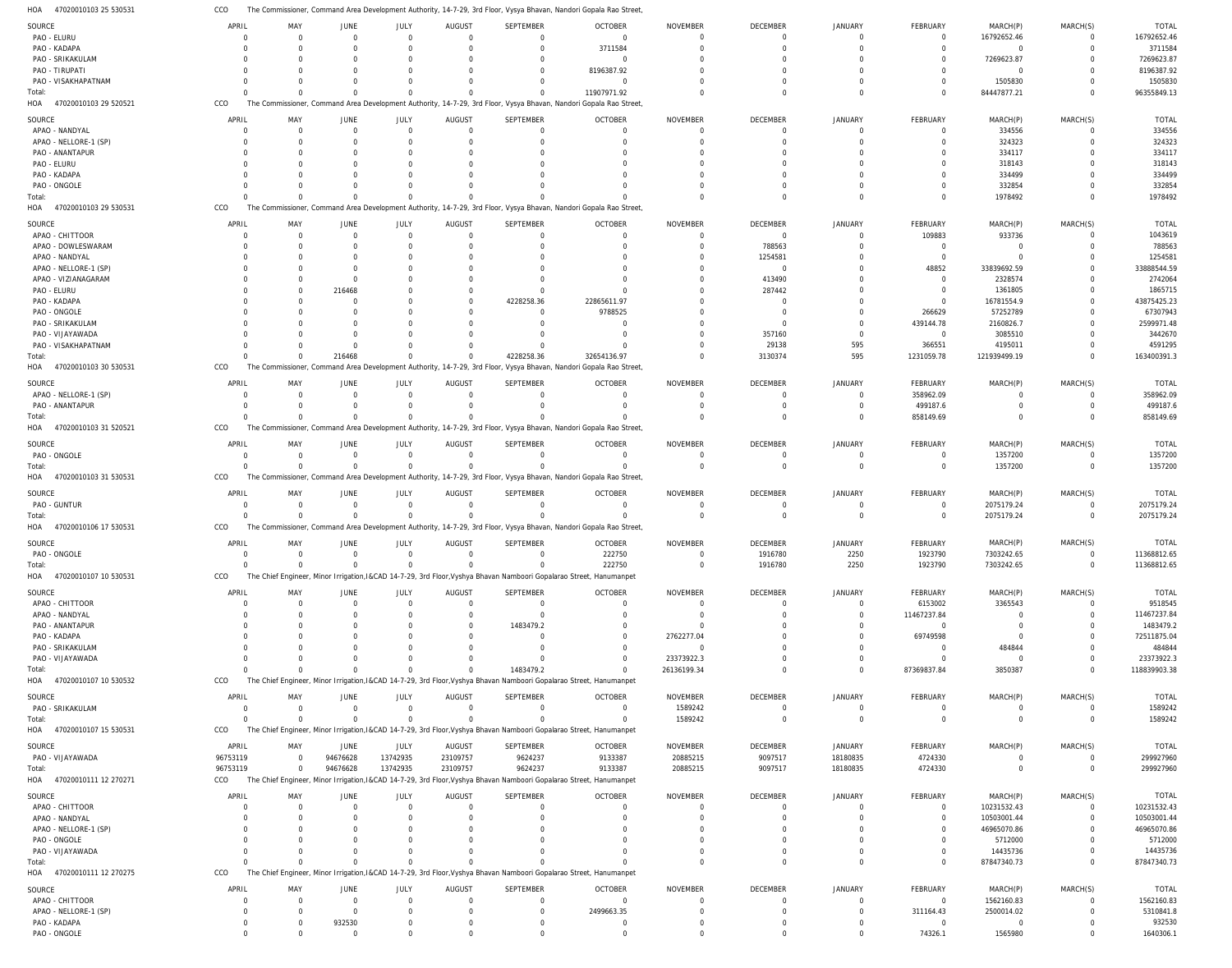47020010103 25 530531 HOA CCO The Commissioner, Command Area Development Authority, 14-7-29, 3rd Floor, Vysya Bhavan, Nandori Gopala Rao Street,

| SOURCE                       | APRIL                | MAY                  | JUNE                  | JULY                 | <b>AUGUST</b>        | SEPTEMBER               | <b>OCTOBER</b>                                                                                                      | <b>NOVEMBER</b> | DECEMBER             | JANUARY              | FEBRUARY                  | MARCH(P)                  | MARCH(S)             | <b>TOTAL</b>        |
|------------------------------|----------------------|----------------------|-----------------------|----------------------|----------------------|-------------------------|---------------------------------------------------------------------------------------------------------------------|-----------------|----------------------|----------------------|---------------------------|---------------------------|----------------------|---------------------|
| PAO - ELURU                  | 0                    | $\Omega$             | $\overline{0}$        | $\mathbf 0$          | $\Omega$             | $\mathbf 0$             | $\Omega$                                                                                                            | $\Omega$        | $\overline{0}$       | $\Omega$             | $\overline{0}$            | 16792652.46               | $\mathbf 0$          | 16792652.46         |
| PAO - KADAPA                 | -C                   | $\cap$               | $\Omega$              | $\Omega$             |                      | $\mathbf 0$             | 3711584                                                                                                             | $\Omega$        | $\Omega$             | $\Omega$             | $\Omega$                  | $\overline{0}$            | $\mathbf 0$          | 3711584             |
| PAO - SRIKAKULAM             | $\Omega$             |                      | $\Omega$              | 0                    |                      | $\Omega$                | $\Omega$                                                                                                            | - 0             | $\Omega$             | $\Omega$             | $\Omega$                  | 7269623.87                | $\Omega$             | 7269623.87          |
| PAO - TIRUPATI               |                      |                      |                       | O                    |                      | $\Omega$                | 8196387.92                                                                                                          |                 | $\Omega$             | $\cap$               |                           | $\overline{0}$            | $\Omega$             | 8196387.92          |
| PAO - VISAKHAPATNAM          |                      |                      | $\Omega$              | O                    |                      | $\Omega$                | $\Omega$                                                                                                            |                 | $\Omega$             | $\cap$               | $\Omega$                  | 1505830                   | $\Omega$             | 1505830             |
| Total:                       |                      |                      | $\Omega$              | $\Omega$             |                      | $\Omega$                | 11907971.92                                                                                                         | $\Omega$        | $\Omega$             | $\Omega$             | $\Omega$                  | 84447877.21               | $\Omega$             | 96355849.13         |
| 47020010103 29 520521<br>HOA | CCO                  |                      |                       |                      |                      |                         | The Commissioner, Command Area Development Authority, 14-7-29, 3rd Floor, Vysya Bhavan, Nandori Gopala Rao Street   |                 |                      |                      |                           |                           |                      |                     |
|                              |                      |                      |                       |                      |                      |                         |                                                                                                                     |                 |                      |                      |                           |                           |                      |                     |
| SOURCE                       | APRIL                | MAY                  | JUNE                  | JULY                 | <b>AUGUST</b>        | SEPTEMBER               | <b>OCTOBER</b>                                                                                                      | <b>NOVEMBER</b> | DECEMBER             | <b>JANUARY</b>       | FEBRUARY                  | MARCH(P)                  | MARCH(S)             | <b>TOTAL</b>        |
| APAO - NANDYAL               | $\Gamma$             | $\Omega$             | $\overline{0}$        | $\Omega$             | $\Omega$             | $\mathbf 0$             | $\Omega$                                                                                                            | $\Omega$        | $\Omega$             | $\Omega$             | $\Omega$                  | 334556                    | $\Omega$             | 334556              |
| APAO - NELLORE-1 (SP)        | $\Omega$             | $\Omega$             | $\Omega$              | $\Omega$             | $\Omega$             | $\Omega$                | $\Omega$                                                                                                            | $\Omega$        | $\Omega$             | $\Omega$             | $\Omega$                  | 324323                    | $\Omega$             | 324323              |
| PAO - ANANTAPUR              |                      |                      |                       | O                    |                      | $\Omega$                |                                                                                                                     | - 0             | $\Omega$             | $\cap$               |                           | 334117                    | $\Omega$             | 334117              |
| PAO - ELURU                  |                      |                      |                       | O                    |                      | $\Omega$                |                                                                                                                     | $\Omega$        | $\Omega$             |                      |                           | 318143                    | $\Omega$             | 318143              |
|                              |                      |                      |                       |                      |                      |                         |                                                                                                                     |                 |                      |                      |                           |                           |                      |                     |
| PAO - KADAPA                 |                      |                      |                       |                      |                      |                         |                                                                                                                     |                 | $\Omega$             |                      |                           | 334499                    | $\Omega$             | 334499              |
| PAO - ONGOLE                 |                      |                      | $\Omega$              | O                    |                      |                         |                                                                                                                     |                 | $\Omega$             |                      | $\Omega$                  | 332854                    | $\Omega$             | 332854              |
| Total:                       |                      |                      | $\Omega$              | $\Omega$             | $\Omega$             | $\Omega$                |                                                                                                                     | $\Omega$        | $\Omega$             | $\Omega$             | $\Omega$                  | 1978492                   | $\Omega$             | 1978492             |
| HOA<br>47020010103 29 530531 | CCO                  |                      |                       |                      |                      |                         | The Commissioner, Command Area Development Authority, 14-7-29, 3rd Floor, Vysya Bhavan, Nandori Gopala Rao Street   |                 |                      |                      |                           |                           |                      |                     |
| SOURCE                       | APRIL                | MAY                  | JUNE                  | JULY                 | AUGUST               | SEPTEMBER               | <b>OCTOBER</b>                                                                                                      | <b>NOVEMBER</b> | DECEMBER             | JANUARY              | FEBRUARY                  | MARCH(P)                  | MARCH(S)             | <b>TOTAL</b>        |
|                              |                      | $\Omega$             |                       |                      |                      |                         |                                                                                                                     |                 |                      |                      |                           |                           |                      |                     |
| APAO - CHITTOOR              | $\Omega$             |                      | $\overline{0}$        | $\mathbf 0$          | $\Omega$             | $\mathbf 0$             | $\Omega$                                                                                                            | $\Omega$        | $\overline{0}$       | $\Omega$             | 109883                    | 933736                    | 0                    | 1043619             |
| APAO - DOWLESWARAM           |                      |                      | $\Omega$              | $\Omega$             | $\Omega$             | $\Omega$                | $\Omega$                                                                                                            | $\Omega$        | 788563               | $\Omega$             | $\overline{0}$            | $\overline{0}$            | $\mathbf 0$          | 788563              |
| APAO - NANDYAL               |                      | $\cap$               | $\Omega$              | $\Omega$             |                      | $\Omega$                |                                                                                                                     | - 0             | 1254581              | $\Omega$             | $\overline{0}$            | $\Omega$                  | $\Omega$             | 1254581             |
| APAO - NELLORE-1 (SP)        |                      |                      | $\Omega$              | O                    |                      | $\Omega$                |                                                                                                                     | $\Omega$        | $\overline{0}$       | $\Omega$             | 48852                     | 33839692.59               | $\Omega$             | 33888544.59         |
| APAO - VIZIANAGARAM          |                      |                      | $\Omega$              | O                    |                      | $\Omega$                |                                                                                                                     | $\Omega$        | 413490               | $\Omega$             | $\overline{0}$            | 2328574                   | $\Omega$             | 2742064             |
| PAO - ELURU                  |                      |                      | 216468                | O                    |                      | $\Omega$                |                                                                                                                     | $\Omega$        | 287442               | $\cap$               | $\Omega$                  | 1361805                   | $\Omega$             | 1865715             |
| PAO - KADAPA                 |                      |                      | $\Omega$              | O                    | $\Omega$             | 4228258.36              | 22865611.97                                                                                                         |                 | $\Omega$             |                      | $\Omega$                  | 16781554.9                | $\Omega$             | 43875425.23         |
| PAO - ONGOLE                 |                      |                      | $\Omega$              |                      |                      | $\mathbf 0$             | 9788525                                                                                                             |                 | $\Omega$             | $\Omega$             | 266629                    | 57252789                  | $\Omega$             | 67307943            |
|                              |                      |                      |                       |                      |                      |                         |                                                                                                                     |                 |                      |                      |                           |                           |                      |                     |
| PAO - SRIKAKULAM             |                      |                      | $\Omega$              | O                    |                      | $\mathbf 0$             | $\Gamma$                                                                                                            | - 0             | $\Omega$             | $\Omega$             | 439144.78                 | 2160826.7                 | $\Omega$             | 2599971.48          |
| PAO - VIJAYAWADA             |                      |                      | $\Omega$              |                      |                      | $\Omega$                | $\Omega$                                                                                                            |                 | 357160               | $\Omega$             | $\overline{0}$            | 3085510                   | $\Omega$             | 3442670             |
| PAO - VISAKHAPATNAM          |                      |                      | $\Omega$              | $\Omega$             |                      | $\Omega$                |                                                                                                                     | $\Omega$        | 29138                | 595                  | 366551                    | 4195011                   | $\Omega$             | 4591295             |
| Total:                       |                      |                      | 216468                | $\Omega$             | $\Omega$             | 4228258.36              | 32654136.97                                                                                                         | $\Omega$        | 3130374              | 595                  | 1231059.78                | 121939499.19              | $\Omega$             | 163400391.3         |
| 47020010103 30 530531<br>HOA | CCO                  |                      |                       |                      |                      |                         | The Commissioner, Command Area Development Authority, 14-7-29, 3rd Floor, Vysya Bhavan, Nandori Gopala Rao Street   |                 |                      |                      |                           |                           |                      |                     |
|                              |                      |                      |                       |                      |                      |                         |                                                                                                                     |                 |                      |                      |                           |                           |                      |                     |
| SOURCE                       | APRIL                | MAY                  | <b>JUNE</b>           | JULY                 | <b>AUGUST</b>        | <b>SEPTEMBER</b>        | <b>OCTOBER</b>                                                                                                      | <b>NOVEMBER</b> | DECEMBER             | <b>JANUARY</b>       | FEBRUARY                  | MARCH(P)                  | MARCH(S)             | <b>TOTAL</b>        |
| APAO - NELLORE-1 (SP)        | $\Omega$             | $\Omega$             | $\Omega$              | $\Omega$             | $\Omega$             | $\Omega$                | $\Omega$                                                                                                            | $\Omega$        | $\Omega$             | $\Omega$             | 358962.09                 | $\Omega$                  | $\Omega$             | 358962.09           |
| PAO - ANANTAPUR              | $\Omega$             | $\Omega$             | $\Omega$              | $\Omega$             | $\Omega$             | $\Omega$                | $\Omega$                                                                                                            | $\Omega$        | $\Omega$             | $\Omega$             | 499187.6                  | $\Omega$                  | $\Omega$             | 499187.6            |
| Total:                       | $\Gamma$             | $\Omega$             | $\Omega$              | $\Omega$             | $\Omega$             | $\Omega$                |                                                                                                                     | $\Omega$        | $\Omega$             | $\Omega$             | 858149.69                 | $\Omega$                  | $\Omega$             | 858149.69           |
| 47020010103 31 520521<br>HOA | CCO                  |                      |                       |                      |                      |                         | The Commissioner, Command Area Development Authority, 14-7-29, 3rd Floor, Vysya Bhavan, Nandori Gopala Rao Street   |                 |                      |                      |                           |                           |                      |                     |
|                              |                      |                      |                       |                      |                      |                         |                                                                                                                     |                 |                      |                      |                           |                           |                      |                     |
| SOURCE                       | APRIL                | MAY                  | JUNE                  | JULY                 | <b>AUGUST</b>        | SEPTEMBER               | <b>OCTOBER</b>                                                                                                      | <b>NOVEMBER</b> | DECEMBER             | JANUARY              | FEBRUARY                  | MARCH(P)                  | MARCH(S)             | <b>TOTAL</b>        |
| PAO - ONGOLE                 | 0                    | $\Omega$             | $\mathbf 0$           | $\overline{0}$       | $\overline{0}$       | 0                       | $\Omega$                                                                                                            | $^{\circ}$      | $\overline{0}$       | $\Omega$             | 0                         | 1357200                   | 0                    | 1357200             |
| Total:                       | $\Gamma$             | $\Omega$             | $\Omega$              | $\Omega$             | $\Omega$             | $\Omega$                | $\Omega$                                                                                                            | $\Omega$        | $\Omega$             | $\Omega$             | $\mathbf 0$               | 1357200                   | $\mathbf 0$          | 1357200             |
| 47020010103 31 530531<br>HOA | CCO                  |                      |                       |                      |                      |                         | The Commissioner, Command Area Development Authority, 14-7-29, 3rd Floor, Vysya Bhavan, Nandori Gopala Rao Street   |                 |                      |                      |                           |                           |                      |                     |
|                              |                      |                      |                       |                      |                      |                         |                                                                                                                     |                 |                      |                      |                           |                           |                      |                     |
|                              |                      |                      |                       |                      |                      |                         |                                                                                                                     |                 |                      |                      |                           |                           |                      |                     |
| SOURCE                       | APRIL                | MAY                  | JUNE                  | JULY                 | <b>AUGUST</b>        | SEPTEMBER               | <b>OCTOBER</b>                                                                                                      | <b>NOVEMBER</b> | DECEMBER             | <b>JANUARY</b>       | FEBRUARY                  | MARCH(P)                  | MARCH(S)             | <b>TOTAL</b>        |
|                              | $\Omega$             | $\Omega$             |                       |                      | $\Omega$             | $\Omega$                | $\Omega$                                                                                                            | $\Omega$        | $\Omega$             | $\Omega$             |                           |                           | $\Omega$             |                     |
| PAO - GUNTUR                 |                      |                      | $\overline{0}$        | $\mathbf 0$          |                      |                         |                                                                                                                     |                 |                      |                      | $\mathbf 0$               | 2075179.24                |                      | 2075179.24          |
| Total:                       |                      | $\Omega$             | $\Omega$              | $\Omega$             | $\Omega$             | $\Omega$                |                                                                                                                     | $\Omega$        | $\Omega$             | $\Omega$             | $\Omega$                  | 2075179.24                | $\Omega$             | 2075179.24          |
| HOA<br>47020010106 17 530531 | CCO                  |                      |                       |                      |                      |                         | The Commissioner, Command Area Development Authority, 14-7-29, 3rd Floor, Vysya Bhavan, Nandori Gopala Rao Street   |                 |                      |                      |                           |                           |                      |                     |
| SOURCE                       | APRIL                | MAY                  | JUNE                  | JULY                 | <b>AUGUST</b>        | SEPTEMBER               | <b>OCTOBER</b>                                                                                                      | <b>NOVEMBER</b> | DECEMBER             | JANUARY              | FEBRUARY                  | MARCH(P)                  | MARCH(S)             | TOTAL               |
|                              | $\Omega$             | $\Omega$             |                       | $\overline{0}$       | $\overline{0}$       | $\mathbf 0$             |                                                                                                                     | $\Omega$        |                      |                      |                           |                           |                      |                     |
| PAO - ONGOLE                 |                      |                      | $\overline{0}$        |                      |                      | $\Omega$                | 222750                                                                                                              |                 | 1916780              | 2250                 | 1923790                   | 7303242.65                | $\mathbf{0}$         | 11368812.65         |
| Total:                       |                      |                      | $\overline{0}$        | $\Omega$             |                      |                         | 222750                                                                                                              | $\overline{0}$  | 1916780              | 2250                 | 1923790                   | 7303242.65                | $\overline{0}$       | 11368812.65         |
| 47020010107 10 530531<br>HOA | CCO                  |                      |                       |                      |                      |                         | The Chief Engineer, Minor Irrigation, I&CAD 14-7-29, 3rd Floor, Vyshya Bhavan Namboori Gopalarao Street, Hanumanpet |                 |                      |                      |                           |                           |                      |                     |
| SOURCE                       | APRIL                | MAY                  | JUNE                  | JULY                 | <b>AUGUST</b>        | SEPTEMBER               | <b>OCTOBER</b>                                                                                                      | NOVEMBER        | DECEMBER             | <b>JANUARY</b>       | FEBRUARY                  | MARCH(P)                  | MARCH(S)             | <b>TOTAL</b>        |
|                              | $\Omega$             | $\Omega$             | $\overline{0}$        | $\mathbf 0$          | $\Omega$             | $\mathbf 0$             | $\Omega$                                                                                                            | $\Omega$        | $\Omega$             | $\Omega$             |                           |                           | $\Omega$             |                     |
| APAO - CHITTOOR              |                      | $\Omega$             |                       | O                    | $\Omega$             |                         | $\Omega$                                                                                                            |                 |                      |                      | 6153002                   | 3365543                   |                      | 9518545             |
| APAO - NANDYAL               |                      |                      | 0                     |                      |                      | $\mathbf 0$             |                                                                                                                     | $\Omega$        | $\Omega$             | $\Omega$             | 11467237.84               | $\Omega$                  | $\mathbf 0$          | 11467237.84         |
| PAO - ANANTAPUR              | $\Omega$             |                      | $\Omega$              | O                    | $\Omega$             | 1483479.2               | $\Omega$                                                                                                            | $\Omega$        | $\Omega$             | $\Omega$             | $\Omega$                  | $\Omega$                  | $\Omega$             | 1483479.2           |
| PAO - KADAPA                 | $\Omega$             |                      |                       | O                    | $\Omega$             | $\Omega$                | $\Omega$                                                                                                            | 2762277.04      | $\Omega$             | $\Omega$             | 69749598                  | $\Omega$                  | $\Omega$             | 72511875.04         |
| PAO - SRIKAKULAM             | $\Omega$             |                      |                       | O                    | $\Omega$             | $\Omega$                |                                                                                                                     | $\Omega$        | $\Omega$             | $\Omega$             | $\Omega$                  | 484844                    | $\Omega$             | 484844              |
| PAO - VIJAYAWADA             |                      |                      |                       |                      |                      | $\Omega$                | $\Omega$                                                                                                            | 23373922.3      | $\Omega$             | $\Omega$             | $\Omega$                  | $\overline{0}$            | $\Omega$             | 23373922.3          |
| Total:                       |                      |                      | $\Omega$              | $\Omega$             | $\Omega$             | 1483479.2               | $\Omega$                                                                                                            | 26136199.34     | $\Omega$             | $\Omega$             | 87369837.84               | 3850387                   | $\Omega$             | 118839903.38        |
| 47020010107 10 530532<br>HOA | CCO                  |                      |                       |                      |                      |                         | The Chief Engineer, Minor Irrigation, I&CAD 14-7-29, 3rd Floor, Vyshya Bhavan Namboori Gopalarao Street, Hanumanpet |                 |                      |                      |                           |                           |                      |                     |
|                              |                      |                      |                       |                      |                      |                         |                                                                                                                     |                 |                      |                      |                           |                           |                      |                     |
| SOURCE                       | APRIL                | MAY                  | JUNE                  | JULY                 | <b>AUGUST</b>        | SEPTEMBER               | <b>OCTOBER</b>                                                                                                      | NOVEMBER        | DECEMBER             | JANUARY              | FEBRUARY                  | MARCH(P)                  | MARCH(S)             | <b>TOTAL</b>        |
| PAO - SRIKAKULAM             | $\overline{0}$       | $\Omega$             | $\overline{0}$        | $\overline{0}$       | $\Omega$             | $\mathbf 0$             | $\overline{0}$                                                                                                      | 1589242         | $\overline{0}$       | $\Omega$             | $\overline{0}$            | $\overline{0}$            | $\mathbf 0$          | 1589242             |
| Total:                       | $\Omega$             | $\Omega$             | $\Omega$              | $\mathbf 0$          | $\Omega$             | $\mathbf 0$             | $\Omega$                                                                                                            | 1589242         | $\overline{0}$       | $\Omega$             | $\mathbf 0$               | $\overline{0}$            | $\mathbf 0$          | 1589242             |
| HOA 47020010107 15 530531    | CCO                  |                      |                       |                      |                      |                         | The Chief Engineer, Minor Irrigation, I&CAD 14-7-29, 3rd Floor, Vyshya Bhavan Namboori Gopalarao Street, Hanumanpet |                 |                      |                      |                           |                           |                      |                     |
|                              |                      |                      |                       |                      |                      |                         |                                                                                                                     |                 |                      |                      |                           |                           |                      |                     |
| SOURCE                       | APRIL                | MAY                  | JUNE                  | JULY                 | <b>AUGUST</b>        | <b>SEPTEMBER</b>        | <b>OCTOBER</b>                                                                                                      | <b>NOVEMBER</b> | DECEMBER             | JANUARY              | FEBRUARY                  | MARCH(P)                  | MARCH(S)             | <b>TOTAL</b>        |
| PAO - VIJAYAWADA             | 96753119             | $\Omega$             | 94676628              | 13742935             | 23109757             | 9624237                 | 9133387                                                                                                             | 20885215        | 9097517              | 18180835             | 4724330                   | $\Omega$                  | 0                    | 299927960           |
| Total:                       | 96753119             | $\Omega$             | 94676628              | 13742935             | 23109757             | 9624237                 | 9133387                                                                                                             | 20885215        | 9097517              | 18180835             | 4724330                   | $\overline{0}$            | $\mathbf 0$          | 299927960           |
| HOA 47020010111 12 270271    | CCO                  |                      |                       |                      |                      |                         | The Chief Engineer, Minor Irrigation, I&CAD 14-7-29, 3rd Floor, Vyshya Bhavan Namboori Gopalarao Street, Hanumanpet |                 |                      |                      |                           |                           |                      |                     |
|                              |                      |                      |                       |                      |                      |                         |                                                                                                                     |                 |                      |                      |                           |                           |                      |                     |
| SOURCE                       | APRIL                | MAY                  | JUNE                  | JULY                 | <b>AUGUST</b>        | SEPTEMBER               | <b>OCTOBER</b>                                                                                                      | NOVEMBER        | DECEMBER             | JANUARY              | FEBRUARY                  | MARCH(P)                  | MARCH(S)             | <b>TOTAL</b>        |
| APAO - CHITTOOR              | $\Omega$             | $\Omega$             | $\overline{0}$        | $\mathbf 0$          | $\Omega$             | $\mathbf 0$             | $\Omega$                                                                                                            | $\Omega$        | $\Omega$             | $\Omega$             | $\overline{0}$            | 10231532.43               | $\mathbf 0$          | 10231532.43         |
| APAO - NANDYAL               |                      |                      | $\Omega$              | $\Omega$             |                      | $\mathbf 0$             | $\Omega$                                                                                                            | $\Omega$        | $\Omega$             | $\Omega$             | $\mathbf 0$               | 10503001.44               | $\mathbf 0$          | 10503001.44         |
| APAO - NELLORE-1 (SP)        | 0                    | $\Omega$             | $\Omega$              | $\Omega$             |                      | $\Omega$                |                                                                                                                     | $\Omega$        | $\Omega$             | $\Omega$             | $\Omega$                  | 46965070.86               | $\mathbf 0$          | 46965070.86         |
| PAO - ONGOLE                 |                      |                      | $\Omega$              | O                    |                      | $\Omega$                |                                                                                                                     | $\Omega$        | $\Omega$             | $\Omega$             | $\Omega$                  | 5712000                   | $\Omega$             | 5712000             |
| PAO - VIJAYAWADA             |                      |                      | $\Omega$              | $\Omega$             |                      | $\Omega$                |                                                                                                                     | $\Omega$        | $\Omega$             | $\Omega$             | 0                         | 14435736                  | $\mathbf 0$          | 14435736            |
|                              |                      | $\cap$               | $\Omega$              | $\Omega$             | $\Omega$             | $\Omega$                |                                                                                                                     | $\Omega$        | $\Omega$             | $\Omega$             | $\Omega$                  |                           | $\overline{0}$       |                     |
| Total:                       |                      |                      |                       |                      |                      |                         |                                                                                                                     |                 |                      |                      |                           | 87847340.73               |                      | 87847340.73         |
| HOA 47020010111 12 270275    | CCO                  |                      |                       |                      |                      |                         | The Chief Engineer, Minor Irrigation, I&CAD 14-7-29, 3rd Floor, Vyshya Bhavan Namboori Gopalarao Street, Hanumanpet |                 |                      |                      |                           |                           |                      |                     |
| SOURCE                       | APRIL                | MAY                  | JUNE                  | JULY                 | <b>AUGUST</b>        | SEPTEMBER               | <b>OCTOBER</b>                                                                                                      | NOVEMBER        | DECEMBER             | JANUARY              | FEBRUARY                  | MARCH(P)                  | MARCH(S)             | <b>TOTAL</b>        |
| APAO - CHITTOOR              | $\Gamma$             | $\cap$               | $\Omega$              | $\Omega$             | $\Omega$             | $\Omega$                | $\overline{0}$                                                                                                      | $\Omega$        | $\Omega$             | $\Omega$             | $\overline{0}$            | 1562160.83                | $\Omega$             | 1562160.83          |
|                              | $\Omega$             | $\Omega$             | $\Omega$              | $\Omega$             | $\Omega$             | $\Omega$                |                                                                                                                     | $\Omega$        | $\Omega$             | $\Omega$             |                           |                           | $\Omega$             |                     |
| APAO - NELLORE-1 (SP)        |                      |                      |                       |                      |                      |                         | 2499663.35                                                                                                          |                 |                      |                      | 311164.43                 | 2500014.02                |                      | 5310841.8           |
| PAO - KADAPA<br>PAO - ONGOLE | $\Omega$<br>$\Omega$ | $\Omega$<br>$\Omega$ | 932530<br>$\mathbf 0$ | $\Omega$<br>$\Omega$ | $\Omega$<br>$\Omega$ | $\mathbf 0$<br>$\Omega$ | $\Omega$<br>$\Omega$                                                                                                | 0<br>$\Omega$   | $\Omega$<br>$\Omega$ | $\Omega$<br>$\Omega$ | $\overline{0}$<br>74326.1 | $\overline{0}$<br>1565980 | $\Omega$<br>$\Omega$ | 932530<br>1640306.1 |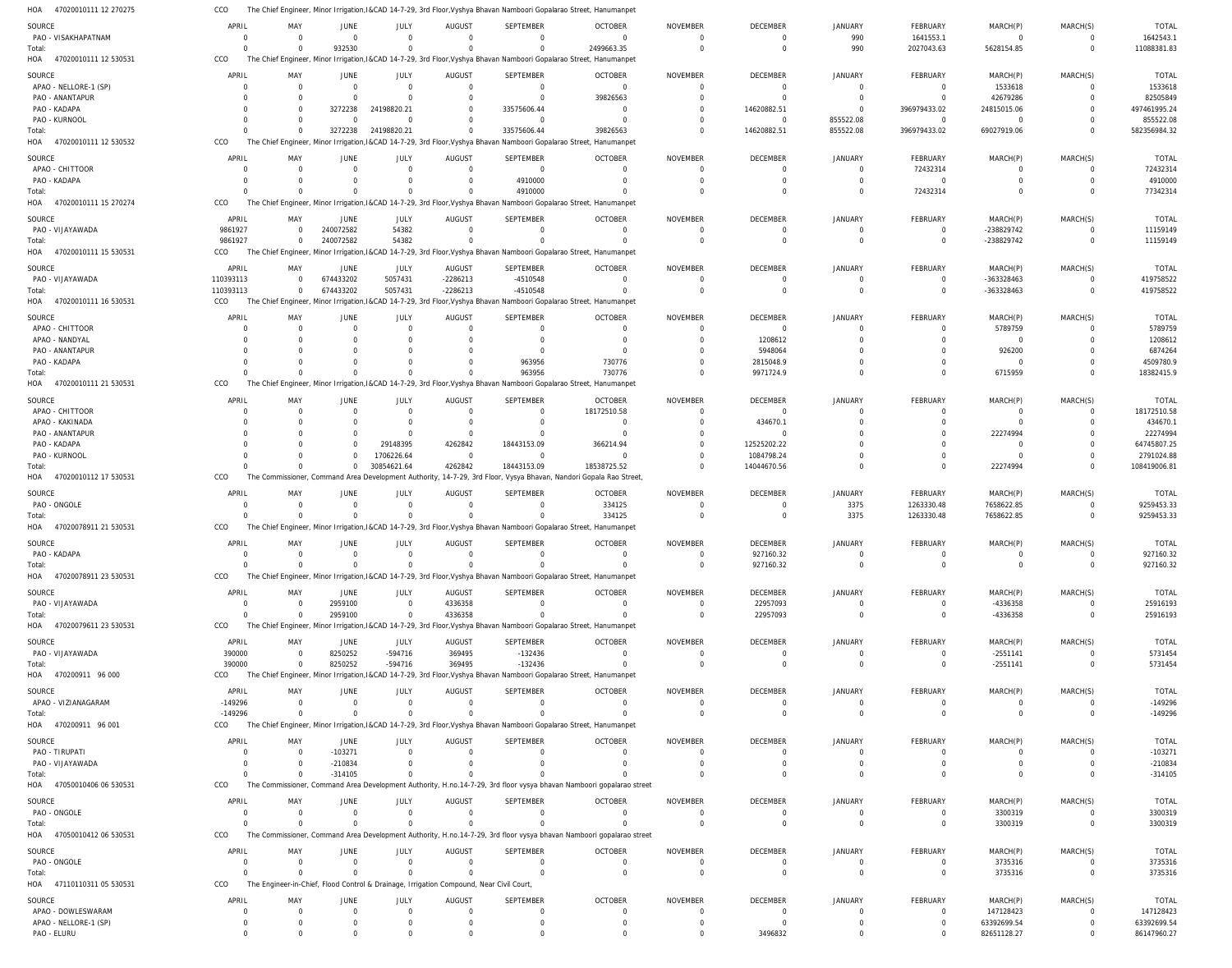|                                      | CCO               |                       |                |                        |                                                                                         | The Chief Engineer, Minor Irrigation, I&CAD 14-7-29, 3rd Floor, Vyshya Bhavan Namboori Gopalarao Street, Hanumanpet |                                                                                                                      |                             |                               |                              |                             |                            |                      |                            |
|--------------------------------------|-------------------|-----------------------|----------------|------------------------|-----------------------------------------------------------------------------------------|---------------------------------------------------------------------------------------------------------------------|----------------------------------------------------------------------------------------------------------------------|-----------------------------|-------------------------------|------------------------------|-----------------------------|----------------------------|----------------------|----------------------------|
| SOURCE                               | APRIL             | MAY                   | JUNE           | JULY                   | AUGUST                                                                                  | SEPTEMBER                                                                                                           | <b>OCTOBER</b>                                                                                                       | <b>NOVEMBER</b>             | <b>DECEMBER</b>               | <b>JANUARY</b>               | FEBRUARY                    | MARCH(P)                   | MARCH(S)             | <b>TOTAL</b>               |
| PAO - VISAKHAPATNAM                  | $\Omega$          | $\overline{0}$        | $\mathbf 0$    | $\overline{0}$         | $\overline{0}$                                                                          | $\Omega$                                                                                                            | $\Omega$                                                                                                             | $\overline{0}$              | $^{\circ}$                    | 990                          | 1641553.1                   | $\Omega$                   | $\overline{0}$       | 1642543.1                  |
| Total:                               | $\Omega$          | $\Omega$              | 932530         | $\Omega$               | $\Omega$                                                                                | $\Omega$                                                                                                            | 2499663.35                                                                                                           | $\overline{0}$              | $\mathbf 0$                   | 990                          | 2027043.63                  | 5628154.85                 | $\mathbf 0$          | 11088381.83                |
| HOA<br>47020010111 12 530531         | CCO               |                       |                |                        |                                                                                         | The Chief Engineer, Minor Irrigation, I&CAD 14-7-29, 3rd Floor, Vyshya Bhavan Namboori Gopalarao Street, Hanumanpet |                                                                                                                      |                             |                               |                              |                             |                            |                      |                            |
|                                      |                   |                       |                |                        |                                                                                         |                                                                                                                     |                                                                                                                      |                             |                               |                              |                             |                            |                      |                            |
| SOURCE                               | APRIL             | MAY                   | <b>JUNE</b>    | JULY                   | AUGUST                                                                                  | SEPTEMBER                                                                                                           | <b>OCTOBER</b>                                                                                                       | <b>NOVEMBER</b>             | <b>DECEMBER</b>               | <b>JANUARY</b>               | FEBRUARY                    | MARCH(P)                   | MARCH(S)             | <b>TOTAL</b>               |
| APAO - NELLORE-1 (SP)                | $\Omega$          | $\Omega$              | $\Omega$       | $\Omega$               | $\overline{0}$                                                                          | $\Omega$                                                                                                            | $\overline{0}$                                                                                                       | $\mathbf 0$                 | $\mathbf 0$                   | $\mathbf 0$                  | $\overline{0}$              | 1533618                    | $\mathbf 0$          | 1533618                    |
| PAO - ANANTAPUR                      | $\Omega$          | $\Omega$              | $\Omega$       | $\Omega$               | $\mathbf 0$                                                                             | $\Omega$                                                                                                            | 39826563                                                                                                             | $\Omega$                    | $\Omega$                      | $\Omega$                     | $\Omega$                    | 42679286                   | $\Omega$             | 82505849                   |
| PAO - KADAPA                         |                   | $\Omega$              | 3272238        | 24198820.21            | $\Omega$                                                                                | 33575606.44                                                                                                         | $\overline{0}$                                                                                                       | $\Omega$                    | 14620882.51                   | $\mathbf 0$                  | 396979433.02                | 24815015.06                | $\Omega$             | 497461995.24               |
| PAO - KURNOOL                        | $\Omega$          | $\Omega$              | $\mathbf 0$    | $\Omega$               | $\Omega$                                                                                | $\Omega$                                                                                                            | $\Omega$                                                                                                             | $\Omega$                    | $\mathbf 0$                   | 855522.08                    | $\overline{0}$              | $\Omega$                   | $\Omega$             | 855522.08                  |
| Total:                               | $\Omega$          | $\Omega$              | 3272238        | 24198820.21            | $\Omega$                                                                                | 33575606.44                                                                                                         | 39826563                                                                                                             | $\Omega$                    | 14620882.51                   | 855522.08                    | 396979433.02                | 69027919.06                | $\mathbf 0$          | 582356984.32               |
| HOA 47020010111 12 530532            | CCO               |                       |                |                        |                                                                                         | The Chief Engineer, Minor Irrigation, I&CAD 14-7-29, 3rd Floor, Vyshya Bhavan Namboori Gopalarao Street, Hanumanpet |                                                                                                                      |                             |                               |                              |                             |                            |                      |                            |
| SOURCE                               | APRIL             | MAY                   | JUNE           | JULY                   | <b>AUGUST</b>                                                                           | SEPTEMBER                                                                                                           | <b>OCTOBER</b>                                                                                                       | <b>NOVEMBER</b>             | <b>DECEMBER</b>               | JANUARY                      | FEBRUARY                    | MARCH(P)                   | MARCH(S)             | <b>TOTAL</b>               |
| APAO - CHITTOOR                      | $\Omega$          | $\Omega$              | $\Omega$       | $\Omega$               | $\overline{0}$                                                                          | $\Omega$                                                                                                            | $\overline{0}$                                                                                                       | $\overline{0}$              | $^{\circ}$                    | 0                            | 72432314                    | $\overline{0}$             | 0                    | 72432314                   |
| PAO - KADAPA                         | $\Omega$          | $\Omega$              | $\Omega$       | $\Omega$               | $\overline{0}$                                                                          | 4910000                                                                                                             | $\Omega$                                                                                                             | $\Omega$                    | $\mathbf 0$                   | $\mathbf 0$                  | $\Omega$                    | $\Omega$                   | $\mathbf 0$          | 4910000                    |
| Total:                               | $\Omega$          | $\Omega$              | $\Omega$       | $\Omega$               | $\Omega$                                                                                | 4910000                                                                                                             | $\Omega$                                                                                                             | $\Omega$                    | $\Omega$                      | $\Omega$                     | 72432314                    | $\Omega$                   | $\Omega$             | 77342314                   |
| HOA 47020010111 15 270274            | CCO               |                       |                |                        |                                                                                         | The Chief Engineer, Minor Irrigation, I&CAD 14-7-29, 3rd Floor, Vyshya Bhavan Namboori Gopalarao Street, Hanumanpet |                                                                                                                      |                             |                               |                              |                             |                            |                      |                            |
|                                      |                   |                       |                |                        |                                                                                         |                                                                                                                     |                                                                                                                      |                             |                               |                              |                             |                            |                      |                            |
| SOURCE                               | APRIL             | MAY                   | <b>JUNE</b>    | JULY                   | <b>AUGUST</b>                                                                           | SEPTEMBER                                                                                                           | <b>OCTOBER</b>                                                                                                       | <b>NOVEMBER</b>             | <b>DECEMBER</b>               | <b>JANUARY</b>               | FEBRUARY                    | MARCH(P)                   | MARCH(S)             | <b>TOTAL</b>               |
| PAO - VIJAYAWADA                     | 9861927           | $\Omega$              | 240072582      | 54382                  | $\overline{0}$                                                                          | $\Omega$                                                                                                            | $\Omega$                                                                                                             | $\mathbf 0$                 | $^{\circ}$                    | 0                            | $\overline{0}$              | -238829742                 | $\Omega$             | 11159149                   |
| Total:                               | 9861927           | $\mathbf 0$           | 240072582      | 54382                  | $\Omega$                                                                                | $\Omega$                                                                                                            | $\Omega$                                                                                                             | $\Omega$                    | $\mathbf 0$                   | $\mathbf 0$                  | $\mathbf 0$                 | -238829742                 | $\mathbf 0$          | 11159149                   |
| HOA 47020010111 15 530531            | CCO               |                       |                |                        |                                                                                         | The Chief Engineer, Minor Irrigation, I&CAD 14-7-29, 3rd Floor, Vyshya Bhavan Namboori Gopalarao Street, Hanumanpet |                                                                                                                      |                             |                               |                              |                             |                            |                      |                            |
| SOURCE                               | APRIL             | MAY                   | JUNE           | JULY                   | <b>AUGUST</b>                                                                           | SEPTEMBER                                                                                                           | <b>OCTOBER</b>                                                                                                       | <b>NOVEMBER</b>             | <b>DECEMBER</b>               | <b>JANUARY</b>               | FEBRUARY                    | MARCH(P)                   | MARCH(S)             | <b>TOTAL</b>               |
| PAO - VIJAYAWADA                     | 110393113         | $\mathbf 0$           | 674433202      | 5057431                | $-2286213$                                                                              | -4510548                                                                                                            | $\overline{0}$                                                                                                       | $\overline{0}$              | $^{\circ}$                    | $^{\circ}$                   | $\overline{0}$              | -363328463                 | $\overline{0}$       | 419758522                  |
| Total:                               | 110393113         | $\Omega$              | 674433202      | 5057431                | $-2286213$                                                                              | -4510548                                                                                                            | $\Omega$                                                                                                             | $\Omega$                    | $\mathbf 0$                   | $\Omega$                     | $\mathbf 0$                 | -363328463                 | $\mathbf 0$          | 419758522                  |
| HOA 47020010111 16 530531            | CCO               |                       |                |                        |                                                                                         | The Chief Engineer, Minor Irrigation, I&CAD 14-7-29, 3rd Floor, Vyshya Bhavan Namboori Gopalarao Street, Hanumanpet |                                                                                                                      |                             |                               |                              |                             |                            |                      |                            |
|                                      |                   |                       |                |                        |                                                                                         |                                                                                                                     |                                                                                                                      |                             |                               |                              |                             |                            |                      |                            |
| SOURCE                               | APRIL             | MAY                   | JUNE           | JULY                   | <b>AUGUST</b>                                                                           | SEPTEMBER                                                                                                           | <b>OCTOBER</b>                                                                                                       | NOVEMBER                    | DECEMBER                      | JANUARY                      | FEBRUARY                    | MARCH(P)                   | MARCH(S)             | <b>TOTAL</b>               |
| APAO - CHITTOOR                      |                   | $\Omega$              | $\Omega$       | $\Omega$               | $\overline{0}$                                                                          | $\Omega$                                                                                                            | $\overline{0}$                                                                                                       | $\circ$                     | $\mathbf 0$                   | $\Omega$                     | $\mathbf 0$                 | 5789759                    | $\Omega$             | 5789759                    |
| APAO - NANDYAL                       |                   | $\Omega$              |                |                        | $\mathbf 0$                                                                             | $\Omega$                                                                                                            | $\Omega$                                                                                                             | $\Omega$                    | 1208612                       | $\Omega$                     | $\Omega$                    | $\Omega$                   | $\Omega$             | 1208612                    |
| PAO - ANANTAPUR                      |                   | $\Omega$              |                |                        | $\Omega$                                                                                | $\Omega$                                                                                                            | $\overline{0}$                                                                                                       | $\Omega$                    | 5948064                       | $\Omega$                     |                             | 926200                     | $\Omega$             | 6874264                    |
| PAO - KADAPA                         | $\Omega$          | $\Omega$              | $\Omega$       |                        | $\Omega$                                                                                | 963956                                                                                                              | 730776                                                                                                               | $\Omega$                    | 2815048.9                     | $\Omega$                     | 0                           | $\Omega$                   | $\Omega$             | 4509780.9                  |
| Total:                               | $\Omega$          | $\Omega$              | $\Omega$       |                        | $\Omega$                                                                                | 963956                                                                                                              | 730776                                                                                                               | $\Omega$                    | 9971724.9                     | $\Omega$                     | $\Omega$                    | 6715959                    | $\Omega$             | 18382415.9                 |
| HOA 47020010111 21 530531            | CCO               |                       |                |                        |                                                                                         | The Chief Engineer, Minor Irrigation, I&CAD 14-7-29, 3rd Floor, Vyshya Bhavan Namboori Gopalarao Street, Hanumanpet |                                                                                                                      |                             |                               |                              |                             |                            |                      |                            |
| SOURCE                               | APRIL             | MAY                   | JUNE           | JULY                   | <b>AUGUST</b>                                                                           | SEPTEMBER                                                                                                           | <b>OCTOBER</b>                                                                                                       | <b>NOVEMBER</b>             | <b>DECEMBER</b>               | <b>JANUARY</b>               | FEBRUARY                    | MARCH(P)                   | MARCH(S)             | <b>TOTAL</b>               |
| APAO - CHITTOOR                      | $\Omega$          | $\overline{0}$        | $\overline{0}$ | $\overline{0}$         | $\overline{0}$                                                                          | $\overline{0}$                                                                                                      | 18172510.58                                                                                                          | $\Omega$                    | $\mathbf 0$                   | $\Omega$                     | $\Omega$                    | $\Omega$                   | 0                    | 18172510.58                |
| APAO - KAKINADA                      | $\Omega$          | $\Omega$              | $\Omega$       | $\Omega$               | $\overline{0}$                                                                          | $\Omega$                                                                                                            | $\overline{0}$                                                                                                       | $\Omega$                    | 434670.1                      | $\Omega$                     | $\Omega$                    | $\Omega$                   | $\mathbf 0$          | 434670.1                   |
| PAO - ANANTAPUR                      | $\Omega$          | $\Omega$              | $\Omega$       | $\Omega$               | $\overline{0}$                                                                          | $\Omega$                                                                                                            | $\Omega$                                                                                                             |                             | $\Omega$                      | $\Omega$                     |                             | 22274994                   | $\Omega$             | 22274994                   |
| PAO - KADAPA                         | $\Omega$          | $\Omega$              | $\Omega$       | 29148395               | 4262842                                                                                 | 18443153.09                                                                                                         | 366214.94                                                                                                            | $\Omega$                    | 12525202.22                   | $\Omega$                     |                             | $\Omega$                   | $\mathbf 0$          | 64745807.25                |
| PAO - KURNOOL                        | $\Omega$          | $\Omega$              | $\Omega$       | 1706226.64             | $\overline{0}$                                                                          | $\Omega$                                                                                                            | $\Omega$                                                                                                             | $\Omega$                    | 1084798.24                    | $\Omega$                     |                             | $\Omega$                   | $\mathbf 0$          | 2791024.88                 |
| Total:                               | $\Omega$          | $\Omega$              | $\overline{0}$ | 30854621.64            | 4262842                                                                                 | 18443153.09                                                                                                         | 18538725.52                                                                                                          | $\Omega$                    | 14044670.56                   | $\Omega$                     | $\Omega$                    | 22274994                   | $\Omega$             | 108419006.81               |
| HOA 47020010112 17 530531            | CCO               | The                   |                |                        |                                                                                         | Commissioner, Command Area Development Authority, 14-7-29, 3rd Floor, Vysya Bhavan, Nandori Gopala Rao Street,      |                                                                                                                      |                             |                               |                              |                             |                            |                      |                            |
|                                      |                   |                       |                |                        |                                                                                         |                                                                                                                     |                                                                                                                      |                             |                               |                              |                             |                            |                      |                            |
| SOURCE                               | APRIL             | MAY                   | <b>JUNE</b>    | JULY                   | <b>AUGUST</b>                                                                           | SEPTEMBER                                                                                                           | <b>OCTOBER</b>                                                                                                       | <b>NOVEMBER</b>             | <b>DECEMBER</b>               | JANUARY                      | FEBRUARY                    | MARCH(P)                   | MARCH(S)             | <b>TOTAL</b>               |
| PAO - ONGOLE                         | $\overline{0}$    | $\overline{0}$        | $\mathbf 0$    | $\Omega$               | $\overline{0}$                                                                          | $\Omega$                                                                                                            | 334125                                                                                                               | $\mathbf 0$                 | $\mathbf 0$                   | 3375                         | 1263330.48                  | 7658622.85                 | $\mathbf 0$          | 9259453.33                 |
| Total:                               | $\Omega$          | $\Omega$              | $\mathbf 0$    | $\Omega$               | $\overline{0}$                                                                          | $\Omega$                                                                                                            | 334125                                                                                                               | $\overline{0}$              | $\mathbf 0$                   | 3375                         | 1263330.48                  | 7658622.85                 | $\mathbf 0$          | 9259453.33                 |
| HOA 47020078911 21 530531            |                   |                       |                |                        |                                                                                         | The Chief Engineer, Minor Irrigation, I&CAD 14-7-29, 3rd Floor, Vyshya Bhavan Namboori Gopalarao Street, Hanumanpet |                                                                                                                      |                             |                               |                              |                             |                            |                      |                            |
|                                      | CCO               |                       |                |                        |                                                                                         |                                                                                                                     |                                                                                                                      |                             |                               |                              |                             |                            |                      |                            |
|                                      |                   |                       |                |                        |                                                                                         |                                                                                                                     |                                                                                                                      |                             |                               |                              |                             |                            |                      |                            |
| SOURCE                               | APRIL             | MAY<br>$\Omega$       | JUNE           | JULY                   | <b>AUGUST</b>                                                                           | SEPTEMBER                                                                                                           | <b>OCTOBER</b><br>$\Omega$                                                                                           | <b>NOVEMBER</b><br>$\Omega$ | <b>DECEMBER</b>               | <b>JANUARY</b><br>$\Omega$   | FEBRUARY<br>$\Omega$        | MARCH(P)                   | MARCH(S)<br>$\Omega$ | <b>TOTAL</b>               |
| PAO - KADAPA                         | $\overline{0}$    |                       | $\overline{0}$ | $\overline{0}$         | $\overline{0}$                                                                          | $\overline{0}$                                                                                                      |                                                                                                                      |                             | 927160.32                     |                              |                             |                            |                      | 927160.32                  |
| Total:                               | $\overline{0}$    | $\Omega$              | $\Omega$       | $\Omega$               | $\Omega$                                                                                | $\Omega$                                                                                                            | $\Omega$                                                                                                             | $\overline{0}$              | 927160.32                     | $\mathbf 0$                  | $\overline{0}$              | $\Omega$                   | $\mathbf 0$          | 927160.32                  |
| HOA 47020078911 23 530531            | CCO               |                       |                |                        |                                                                                         | The Chief Engineer, Minor Irrigation, I&CAD 14-7-29, 3rd Floor, Vyshya Bhavan Namboori Gopalarao Street, Hanumanpet |                                                                                                                      |                             |                               |                              |                             |                            |                      |                            |
| SOURCE                               | APRIL             | MAY                   | <b>JUNE</b>    | JULY                   | AUGUST                                                                                  | SEPTEMBER                                                                                                           | <b>OCTOBER</b>                                                                                                       | <b>NOVEMBER</b>             | <b>DECEMBER</b>               | <b>JANUARY</b>               | FEBRUARY                    | MARCH(P)                   | MARCH(S)             | TOTAL                      |
| PAO - VIJAYAWADA                     | $\mathbf 0$       | $\Omega$              | 2959100        | $\Omega$               | 4336358                                                                                 | $\Omega$                                                                                                            | $\Omega$                                                                                                             | $\mathbf 0$                 | 22957093                      | $\mathbf 0$                  | $\overline{0}$              | -4336358                   | $\Omega$             | 25916193                   |
| Total:                               | $\Omega$          | $\Omega$              | 2959100        | $\Omega$               | 4336358                                                                                 | $\Omega$                                                                                                            | $\Omega$                                                                                                             | $\overline{0}$              | 22957093                      | $\mathbf 0$                  | $\mathbf 0$                 | -4336358                   | $\mathbf 0$          | 25916193                   |
| HOA 47020079611 23 530531            | CCO               |                       |                |                        |                                                                                         | The Chief Engineer, Minor Irrigation, I&CAD 14-7-29, 3rd Floor, Vyshya Bhavan Namboori Gopalarao Street, Hanumanpet |                                                                                                                      |                             |                               |                              |                             |                            |                      |                            |
|                                      |                   |                       |                |                        |                                                                                         |                                                                                                                     |                                                                                                                      |                             |                               |                              |                             |                            |                      |                            |
| SOURCE                               | APRIL             | MAY                   | JUNE           | JULY                   | AUGUST                                                                                  | SEPTEMBER                                                                                                           | <b>OCTOBER</b>                                                                                                       | <b>NOVEMBER</b>             | <b>DECEMBER</b>               | <b>JANUARY</b>               | FEBRUARY                    | MARCH(P)                   | MARCH(S)             | TOTAL                      |
| PAO - VIJAYAWADA                     | 390000            | $\overline{0}$        | 8250252        | $-594716$              | 369495                                                                                  | $-132436$                                                                                                           | $\Omega$                                                                                                             | $\Omega$                    | $\mathbf 0$                   | $^{\circ}$                   | $\overline{0}$              | $-2551141$                 | $\Omega$             | 5731454                    |
| Total:                               | 390000            | $\overline{0}$        | 8250252        | $-594716$              | 369495                                                                                  | $-132436$                                                                                                           | $\Omega$                                                                                                             | $\overline{0}$              | $\circ$                       | $\mathbf 0$                  | $\overline{0}$              | $-2551141$                 | $\mathbf 0$          | 5731454                    |
| HOA 470200911 96 000                 | CCO               |                       |                |                        |                                                                                         | The Chief Engineer, Minor Irrigation, I&CAD 14-7-29, 3rd Floor, Vyshya Bhavan Namboori Gopalarao Street, Hanumanpet |                                                                                                                      |                             |                               |                              |                             |                            |                      |                            |
| SOURCE                               | APRIL             | MAY                   | <b>JUNE</b>    | JULY                   | <b>AUGUST</b>                                                                           | SEPTEMBER                                                                                                           | <b>OCTOBER</b>                                                                                                       | <b>NOVEMBER</b>             | <b>DECEMBER</b>               | JANUARY                      | FEBRUARY                    | MARCH(P)                   | MARCH(S)             | <b>TOTAL</b>               |
| APAO - VIZIANAGARAM                  | $-149296$         | $\overline{0}$        | $\mathbf 0$    | $\overline{0}$         | $\overline{0}$                                                                          | $\Omega$                                                                                                            | $\overline{0}$                                                                                                       | $\mathbf 0$                 | $\mathbf 0$                   | $\mathbf 0$                  | $\overline{0}$              | $\overline{0}$             | 0                    | $-149296$                  |
| Total:                               | $-149296$         | $\Omega$              | $\Omega$       | $\Omega$               | $\Omega$                                                                                | $\Omega$                                                                                                            | $\Omega$                                                                                                             | $\Omega$                    | $\Omega$                      | $\Omega$                     | $\mathbf 0$                 | $\Omega$                   | $\Omega$             | $-149296$                  |
| HOA 470200911 96 001                 | CCO               |                       |                |                        |                                                                                         | The Chief Engineer, Minor Irrigation, I&CAD 14-7-29, 3rd Floor, Vyshya Bhavan Namboori Gopalarao Street, Hanumanpet |                                                                                                                      |                             |                               |                              |                             |                            |                      |                            |
|                                      |                   |                       |                |                        |                                                                                         |                                                                                                                     |                                                                                                                      |                             |                               |                              |                             |                            |                      |                            |
| SOURCE                               | APRIL<br>$\Omega$ | MAY<br>$\overline{0}$ | JUNE           | JULY<br>$\overline{0}$ | AUGUST<br>$\overline{0}$                                                                | SEPTEMBER<br>$\Omega$                                                                                               | <b>OCTOBER</b><br>$\Omega$                                                                                           | <b>NOVEMBER</b><br>$\Omega$ | <b>DECEMBER</b><br>$^{\circ}$ | <b>JANUARY</b><br>$^{\circ}$ | <b>FEBRUARY</b><br>$\Omega$ | MARCH(P)                   | MARCH(S)<br>$\Omega$ | <b>TOTAL</b>               |
| PAO - TIRUPATI                       | $\Omega$          | $\overline{0}$        | $-103271$      | $\overline{0}$         | $\Omega$                                                                                | $\Omega$                                                                                                            | $\Omega$                                                                                                             | $\Omega$                    | $\Omega$                      | $\Omega$                     |                             | $\Omega$                   | $\mathbf 0$          | $-103271$                  |
| PAO - VIJAYAWADA                     | $\Omega$          | $\Omega$              | $-210834$      | $\Omega$               | $\Omega$                                                                                | $\Omega$                                                                                                            | - 0                                                                                                                  | $\Omega$                    | $\Omega$                      |                              | $\Omega$                    | $\Omega$                   |                      | $-210834$                  |
| Total:                               |                   |                       | $-314105$      |                        |                                                                                         |                                                                                                                     |                                                                                                                      |                             |                               | $\mathbf 0$                  |                             |                            | $\mathbf 0$          | $-314105$                  |
| HOA 47050010406 06 530531            | CCO               |                       |                |                        |                                                                                         |                                                                                                                     | The Commissioner, Command Area Development Authority, H.no.14-7-29, 3rd floor vysya bhavan Namboori gopalarao street |                             |                               |                              |                             |                            |                      |                            |
| SOURCE                               | APRIL             | MAY                   | <b>JUNE</b>    | JULY                   | <b>AUGUST</b>                                                                           | SEPTEMBER                                                                                                           | <b>OCTOBER</b>                                                                                                       | <b>NOVEMBER</b>             | <b>DECEMBER</b>               | JANUARY                      | FEBRUARY                    | MARCH(P)                   | MARCH(S)             | TOTAL                      |
| PAO - ONGOLE                         | $\overline{0}$    | $\mathbf 0$           | $\mathbf 0$    | $\Omega$               | $\overline{0}$                                                                          | $\Omega$                                                                                                            | $\Omega$                                                                                                             | $\overline{0}$              | $\mathbf 0$                   | $\mathbf 0$                  | $\overline{0}$              | 3300319                    | $\mathbf 0$          | 3300319                    |
| Total:                               | $\Omega$          | $\Omega$              | $\Omega$       |                        | $\Omega$                                                                                |                                                                                                                     | $\Omega$                                                                                                             | $\Omega$                    | $\Omega$                      | $\mathbf 0$                  | $\overline{0}$              | 3300319                    | $\mathbf 0$          | 3300319                    |
| HOA 47050010412 06 530531            | CCO               |                       |                |                        |                                                                                         |                                                                                                                     | The Commissioner, Command Area Development Authority, H.no.14-7-29, 3rd floor vysya bhavan Namboori gopalarao street |                             |                               |                              |                             |                            |                      |                            |
|                                      |                   |                       |                |                        |                                                                                         |                                                                                                                     |                                                                                                                      |                             |                               |                              |                             |                            |                      |                            |
| SOURCE                               | APRIL             | MAY                   | JUNE           | JULY                   | AUGUST                                                                                  | SEPTEMBER                                                                                                           | <b>OCTOBER</b>                                                                                                       | <b>NOVEMBER</b>             | <b>DECEMBER</b>               | <b>JANUARY</b>               | FEBRUARY                    | MARCH(P)                   | MARCH(S)             | <b>TOTAL</b>               |
| PAO - ONGOLE                         | $\Omega$          | $\overline{0}$        | $\mathbf 0$    | $\overline{0}$         | $\Omega$                                                                                | $\Omega$                                                                                                            | $\overline{0}$                                                                                                       | $\mathbf 0$                 | $\mathbf{0}$                  | $^{\circ}$                   | $\overline{0}$              | 3735316                    | $\mathbf 0$          | 3735316                    |
| Total:                               | $\Omega$          | $\Omega$              | $\Omega$       | $\Omega$               | $\Omega$                                                                                | $\mathbf 0$                                                                                                         | $\overline{0}$                                                                                                       | $\overline{0}$              | $\Omega$                      | $\mathbf 0$                  | $\mathbf 0$                 | 3735316                    | $\mathbf 0$          | 3735316                    |
| HOA 47110110311 05 530531            | CCO               |                       |                |                        | The Engineer-in-Chief, Flood Control & Drainage, Irrigation Compound, Near Civil Court, |                                                                                                                     |                                                                                                                      |                             |                               |                              |                             |                            |                      |                            |
| SOURCE                               | APRIL             | MAY                   | <b>JUNE</b>    | JULY                   | <b>AUGUST</b>                                                                           | SEPTEMBER                                                                                                           | <b>OCTOBER</b>                                                                                                       | <b>NOVEMBER</b>             | <b>DECEMBER</b>               | JANUARY                      | FEBRUARY                    | MARCH(P)                   | MARCH(S)             | TOTAL                      |
| APAO - DOWLESWARAM                   | $\Omega$          | $\Omega$              | $\Omega$       | $\Omega$               | $\overline{0}$                                                                          | $\Omega$                                                                                                            | $\Omega$                                                                                                             | $\Omega$                    | $\Omega$                      | $\mathbf 0$                  | $\overline{0}$              | 147128423                  | $\Omega$             | 147128423                  |
| APAO - NELLORE-1 (SP)<br>PAO - ELURU | $\Omega$          | 0                     | 0              | $\Omega$               | $\mathbf 0$                                                                             | 0                                                                                                                   | $\overline{0}$<br>$\Omega$                                                                                           | $\mathbf 0$                 | $\mathbf 0$<br>3496832        | $\mathbf 0$                  | $\overline{0}$              | 63392699.54<br>82651128.27 | $\mathbf 0$          | 63392699.54<br>86147960.27 |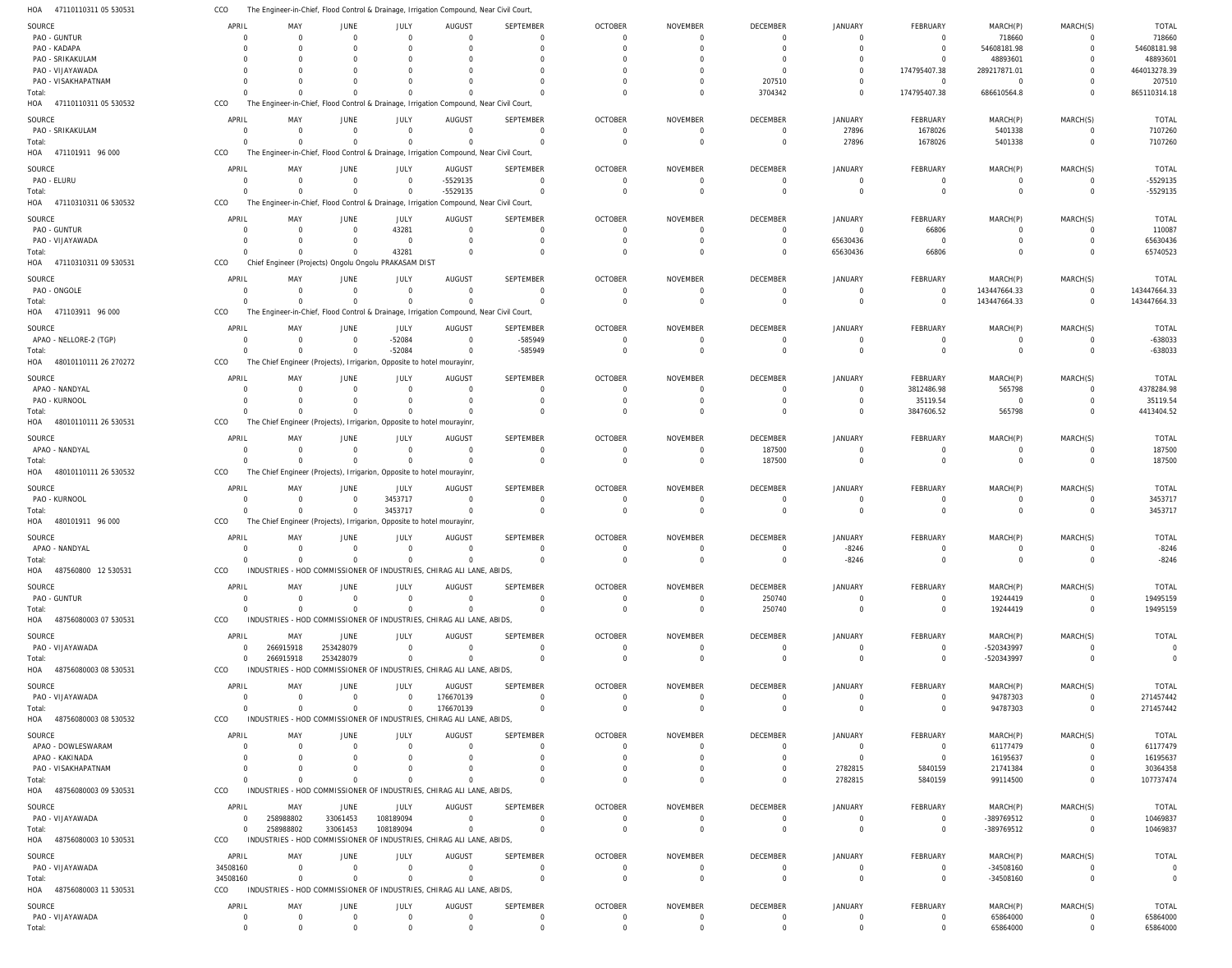47110110311 05 530531 HOA The Engineer-in-Chief, Flood Control & Drainage, Irrigation Compound, Near Civil Court, CCO

| SOURCE                       | APRIL                         | MAY                           | JUNE                                                  | JULY                          | AUGUST                                                                                  | SEPTEMBER                  | <b>OCTOBER</b>       | <b>NOVEMBER</b>      | DECEMBER                      | <b>JANUARY</b>                   | FEBRUARY         | MARCH(P)             | MARCH(S)         | <b>TOTAL</b>         |
|------------------------------|-------------------------------|-------------------------------|-------------------------------------------------------|-------------------------------|-----------------------------------------------------------------------------------------|----------------------------|----------------------|----------------------|-------------------------------|----------------------------------|------------------|----------------------|------------------|----------------------|
| PAO - GUNTUR                 |                               | $\Omega$                      | $\mathbf 0$                                           | $\mathbf 0$                   | $\overline{0}$                                                                          | $\mathbf 0$                | $\Omega$             | $\Omega$             | $\overline{0}$                | $\Omega$                         | $\Omega$         | 718660               | $\Omega$         | 718660               |
| PAO - KADAPA                 |                               | $\Omega$                      |                                                       | $\Omega$                      | $\Omega$                                                                                | $\Omega$                   |                      |                      | $\Omega$                      | $\Omega$                         | $\mathbf 0$      | 54608181.98          | $\mathbf 0$      | 54608181.98          |
| PAO - SRIKAKULAM             |                               | $\Omega$                      |                                                       | $\Omega$                      | $\Omega$                                                                                | $\Omega$                   |                      |                      | $\Omega$                      | $\Omega$                         | $\Omega$         | 48893601             | $\Omega$         | 48893601             |
|                              |                               |                               |                                                       | $\Omega$                      |                                                                                         | $\Omega$                   |                      |                      | $\Omega$                      | $\Omega$                         | 174795407.38     |                      | $\Omega$         | 464013278.39         |
| PAO - VIJAYAWADA             |                               |                               |                                                       |                               |                                                                                         |                            |                      |                      |                               |                                  |                  | 289217871.01         |                  |                      |
| PAO - VISAKHAPATNAM          |                               |                               |                                                       | $\Omega$                      |                                                                                         | $\Omega$                   |                      |                      | 207510                        | $\Omega$                         | $\overline{0}$   | $\overline{0}$       | $\Omega$         | 207510               |
| Total:                       |                               | $\Omega$                      | $\Omega$                                              | $\Omega$                      | $\Omega$                                                                                | $\Omega$                   |                      |                      | 3704342                       | $\Omega$                         | 174795407.38     | 686610564.8          | $\Omega$         | 865110314.18         |
| HOA<br>47110110311 05 530532 | CCO                           |                               |                                                       |                               | The Engineer-in-Chief, Flood Control & Drainage, Irrigation Compound, Near Civil Court, |                            |                      |                      |                               |                                  |                  |                      |                  |                      |
|                              |                               |                               |                                                       |                               |                                                                                         |                            |                      |                      |                               |                                  |                  |                      |                  |                      |
| SOURCE                       | APRIL                         | MAY                           | JUNE                                                  | JULY                          | <b>AUGUST</b>                                                                           | <b>SEPTEMBER</b>           | <b>OCTOBER</b>       | <b>NOVEMBER</b>      | DECEMBER                      | JANUARY                          | FEBRUARY         | MARCH(P)             | MARCH(S)         | <b>TOTAL</b>         |
| PAO - SRIKAKULAM             | $\Omega$                      | $\overline{0}$                | $\mathbf 0$                                           | $\mathbf 0$                   | $\overline{0}$                                                                          | $\mathbf 0$                | $\Omega$             | $\Omega$             | $\overline{0}$                | 27896                            | 1678026          | 5401338              | $\Omega$         | 7107260              |
| Total:                       |                               | $\Omega$                      | $\Omega$                                              | $\mathbf{0}$                  | $\Omega$                                                                                | $\Omega$                   | $\Omega$             | $\Omega$             | $\mathbf 0$                   | 27896                            | 1678026          | 5401338              | $\mathbf 0$      | 7107260              |
| HOA 471101911 96 000         | CCO                           |                               |                                                       |                               | The Engineer-in-Chief, Flood Control & Drainage, Irrigation Compound, Near Civil Court, |                            |                      |                      |                               |                                  |                  |                      |                  |                      |
|                              |                               |                               |                                                       |                               |                                                                                         |                            |                      |                      |                               |                                  |                  |                      |                  |                      |
| SOURCE                       | APRIL                         | MAY                           | JUNE                                                  | JULY                          | <b>AUGUST</b>                                                                           | SEPTEMBER                  | <b>OCTOBER</b>       | <b>NOVEMBER</b>      | DECEMBER                      | <b>JANUARY</b>                   | <b>FEBRUARY</b>  | MARCH(P)             | MARCH(S)         | <b>TOTAL</b>         |
| PAO - ELURU                  | $\Omega$                      | $\Omega$                      | $\mathbf 0$                                           | $\mathbf 0$                   | $-5529135$                                                                              | $\mathbf 0$                | $\Omega$             | $\Omega$             | $\overline{0}$                | $\overline{0}$                   | 0                | $\overline{0}$       | $\overline{0}$   | -5529135             |
| Total:                       |                               | $\Omega$                      | $\Omega$                                              | $\Omega$                      | $-5529135$                                                                              | $\mathbf 0$                | $\Omega$             | $\Omega$             | $\Omega$                      | $\Omega$                         | $\mathbf 0$      | $\mathbf 0$          | $\Omega$         | -5529135             |
| 47110310311 06 530532<br>HOA | CCO                           |                               |                                                       |                               | The Engineer-in-Chief, Flood Control & Drainage, Irrigation Compound, Near Civil Court, |                            |                      |                      |                               |                                  |                  |                      |                  |                      |
|                              |                               |                               |                                                       |                               |                                                                                         |                            |                      |                      |                               |                                  |                  |                      |                  |                      |
| SOURCE                       | APRIL                         | MAY                           | JUNE                                                  | JULY                          | <b>AUGUST</b>                                                                           | SEPTEMBER                  | <b>OCTOBER</b>       | <b>NOVEMBER</b>      | DECEMBER                      | JANUARY                          | FEBRUARY         | MARCH(P)             | MARCH(S)         | <b>TOTAL</b>         |
| PAO - GUNTUR                 | - 0                           | $\Omega$                      | $\Omega$                                              | 43281                         | $\overline{0}$                                                                          | $\mathbf 0$                | $\Omega$             | $\Omega$             | $\overline{0}$                | $\Omega$                         | 66806            | $\overline{0}$       | $\overline{0}$   | 110087               |
| PAO - VIJAYAWADA             |                               | $\Omega$                      | 0                                                     | $\mathbf 0$                   | $\Omega$                                                                                | $\mathbf 0$                | $\Omega$             | $\Omega$             | $\overline{0}$                | 65630436                         | $\overline{0}$   | $\mathbf 0$          | $\mathbf 0$      | 65630436             |
| Total:                       |                               | $\Omega$                      | $\Omega$                                              | 43281                         | $\Omega$                                                                                | $\mathbf 0$                | $\Omega$             | $\Omega$             | $\Omega$                      | 65630436                         | 66806            | $\Omega$             | $\Omega$         | 65740523             |
| 47110310311 09 530531<br>HOA | CCO                           |                               | Chief Engineer (Projects) Ongolu Ongolu PRAKASAM DIST |                               |                                                                                         |                            |                      |                      |                               |                                  |                  |                      |                  |                      |
|                              |                               |                               |                                                       |                               |                                                                                         |                            |                      |                      |                               |                                  |                  |                      |                  |                      |
| SOURCE                       | APRIL                         | MAY                           | <b>JUNE</b>                                           | JULY                          | <b>AUGUST</b>                                                                           | <b>SEPTEMBER</b>           | <b>OCTOBER</b>       | <b>NOVEMBER</b>      | DECEMBER                      | <b>JANUARY</b>                   | <b>FEBRUARY</b>  | MARCH(P)             | MARCH(S)         | <b>TOTAL</b>         |
| PAO - ONGOLE                 | $\Omega$                      | $\Omega$                      | $\mathbf 0$                                           | $\mathbf 0$                   | $\Omega$                                                                                | $^{\circ}$                 | $\Omega$             | $\Omega$             | $\overline{0}$                | $\overline{0}$                   | $\mathbf 0$      | 143447664.33         | $\overline{0}$   | 143447664.33         |
| Total:                       |                               | $\Omega$                      | $\mathbf 0$                                           | $\mathbf 0$                   | $\Omega$                                                                                | $\mathbf 0$                | $\Omega$             | $\Omega$             | $\overline{0}$                | $\Omega$                         | $\mathbf 0$      | 143447664.33         | $\overline{0}$   | 143447664.33         |
| 471103911 96 000<br>HOA      | CCO                           |                               |                                                       |                               | The Engineer-in-Chief, Flood Control & Drainage, Irrigation Compound, Near Civil Court, |                            |                      |                      |                               |                                  |                  |                      |                  |                      |
|                              |                               |                               |                                                       |                               |                                                                                         |                            |                      |                      |                               |                                  |                  |                      |                  |                      |
| SOURCE                       | APRIL                         | MAY                           | JUNE                                                  | JULY                          | <b>AUGUST</b>                                                                           | SEPTEMBER                  | <b>OCTOBER</b>       | <b>NOVEMBER</b>      | DECEMBER                      | <b>JANUARY</b>                   | <b>FEBRUARY</b>  | MARCH(P)             | MARCH(S)         | <b>TOTAL</b>         |
| APAO - NELLORE-2 (TGP)       | - 0                           | $\overline{0}$                | $\mathbf 0$                                           | $-52084$                      | $\overline{0}$                                                                          | -585949                    | $\Omega$             | $\Omega$             | $\overline{0}$                | $\Omega$                         | 0                | 0                    | $\overline{0}$   | $-638033$            |
| Total:                       | $\Omega$                      | $\Omega$                      | $\Omega$                                              | $-52084$                      | $\overline{0}$                                                                          | -585949                    | $\overline{0}$       | $\Omega$             | $\overline{0}$                | $\Omega$                         | $\Omega$         | $\overline{0}$       | $\mathbf 0$      | -638033              |
|                              |                               |                               |                                                       |                               |                                                                                         |                            |                      |                      |                               |                                  |                  |                      |                  |                      |
| 48010110111 26 270272<br>HOA | CCO                           |                               |                                                       |                               | The Chief Engineer (Projects), Irrigarion, Opposite to hotel mourayinr,                 |                            |                      |                      |                               |                                  |                  |                      |                  |                      |
| SOURCE                       | APRIL                         | MAY                           | JUNE                                                  | JULY                          | <b>AUGUST</b>                                                                           | <b>SEPTEMBER</b>           | <b>OCTOBER</b>       | <b>NOVEMBER</b>      | DECEMBER                      | <b>JANUARY</b>                   | FEBRUARY         | MARCH(P)             | MARCH(S)         | <b>TOTAL</b>         |
| APAO - NANDYAL               |                               | $\Omega$                      | $\Omega$                                              | $\mathbf 0$                   | $\Omega$                                                                                | 0                          | $\Omega$             | - 0                  | $\Omega$                      | $\Omega$                         | 3812486.98       | 565798               | $\Omega$         | 4378284.98           |
|                              |                               |                               |                                                       |                               |                                                                                         |                            |                      |                      |                               |                                  |                  |                      |                  |                      |
| PAO - KURNOOL                |                               | $\Omega$                      | $\Omega$                                              | $\Omega$                      | $\Omega$                                                                                | $\mathbf 0$                | $\Omega$             | $\Omega$             | $\Omega$                      | $\Omega$                         | 35119.54         | $\overline{0}$       | $\mathbf 0$      | 35119.54             |
| Total:                       |                               | $\Omega$                      | $\Omega$                                              | $\Omega$                      | $\Omega$                                                                                | $\Omega$                   |                      |                      | $\Omega$                      | $\Omega$                         | 3847606.52       | 565798               | $\Omega$         | 4413404.52           |
| 48010110111 26 530531<br>HOA | CCO                           |                               |                                                       |                               | The Chief Engineer (Projects), Irrigarion, Opposite to hotel mourayinr,                 |                            |                      |                      |                               |                                  |                  |                      |                  |                      |
|                              |                               |                               |                                                       |                               |                                                                                         |                            |                      |                      |                               |                                  |                  |                      |                  |                      |
| SOURCE                       | APRIL                         | MAY                           | JUNE                                                  | JULY                          | <b>AUGUST</b>                                                                           | SEPTEMBER                  | <b>OCTOBER</b>       | <b>NOVEMBER</b>      | DECEMBER                      | JANUARY                          | FEBRUARY         | MARCH(P)             | MARCH(S)         | <b>TOTAL</b>         |
| APAO - NANDYAL               | $\Omega$                      | $\Omega$                      | $\Omega$                                              | $\mathbf 0$                   | $\Omega$                                                                                | $\mathbf 0$                | $\Omega$             | $\Omega$             | 187500                        | $\Omega$                         | 0                | $\overline{0}$       | $\overline{0}$   | 187500               |
|                              |                               |                               |                                                       |                               |                                                                                         |                            |                      |                      |                               |                                  |                  |                      |                  |                      |
| Total:                       | $\Omega$                      | $\Omega$                      | $\Omega$                                              | $\Omega$                      | $\overline{0}$                                                                          | $\mathbf{0}$               | $\Omega$             | $\Omega$             | 187500                        | $\Omega$                         | $\mathbf 0$      | $\overline{0}$       | $\overline{0}$   | 187500               |
| HOA 48010110111 26 530532    | CCO                           |                               |                                                       |                               | The Chief Engineer (Projects), Irrigarion, Opposite to hotel mourayinr,                 |                            |                      |                      |                               |                                  |                  |                      |                  |                      |
|                              |                               |                               |                                                       |                               |                                                                                         |                            |                      |                      |                               |                                  |                  |                      |                  |                      |
| SOURCE                       | APRIL                         | MAY                           | JUNE                                                  | JULY                          | <b>AUGUST</b>                                                                           | <b>SEPTEMBER</b>           | <b>OCTOBER</b>       | <b>NOVEMBER</b>      | DECEMBER                      | JANUARY                          | FEBRUARY         | MARCH(P)             | MARCH(S)         | <b>TOTAL</b>         |
| PAO - KURNOOL                |                               | $\overline{0}$                | $\mathbf 0$                                           | 3453717                       | $\Omega$                                                                                | $\mathbf 0$                | $\Omega$             | $\Omega$             | $\overline{0}$                | $\Omega$                         | 0                | $\overline{0}$       | 0                | 3453717              |
| Total:                       |                               | $\Omega$                      | $\mathbf 0$                                           | 3453717                       | $\Omega$                                                                                | $\mathbf 0$                | $\Omega$             |                      | $\overline{0}$                | $\Omega$                         | $\mathbf 0$      | $\overline{0}$       | $\mathbf 0$      | 3453717              |
| HOA<br>480101911 96 000      | CCO                           |                               |                                                       |                               |                                                                                         |                            |                      |                      |                               |                                  |                  |                      |                  |                      |
|                              |                               |                               |                                                       |                               | The Chief Engineer (Projects), Irrigarion, Opposite to hotel mourayinr,                 |                            |                      |                      |                               |                                  |                  |                      |                  |                      |
| SOURCE                       | APRIL                         | MAY                           | JUNE                                                  | <b>JULY</b>                   | <b>AUGUST</b>                                                                           | SEPTEMBER                  | <b>OCTOBER</b>       | <b>NOVEMBER</b>      | DECEMBER                      | JANUARY                          | FEBRUARY         | MARCH(P)             | MARCH(S)         | <b>TOTAL</b>         |
| APAO - NANDYAL               | $\Omega$                      | $\mathbf 0$                   | $\mathbf 0$                                           | $\mathbf{0}$                  | $\overline{0}$                                                                          | $\mathbf 0$                | $\Omega$             | $\Omega$             | $\Omega$                      | $-8246$                          | $\Omega$         | $\Omega$             | $\Omega$         | $-8246$              |
| Total:                       | $\Omega$                      | $\overline{0}$                | $\Omega$                                              | $\overline{0}$                | $\overline{0}$                                                                          | $\Omega$                   | $\Omega$             | $\Omega$             | $\Omega$                      |                                  | $\Omega$         | $\Omega$             | $\Omega$         |                      |
|                              |                               |                               |                                                       |                               |                                                                                         |                            |                      |                      |                               | $-8246$                          |                  |                      |                  | $-8246$              |
| HOA<br>487560800 12 530531   | CCO                           |                               |                                                       |                               | INDUSTRIES - HOD COMMISSIONER OF INDUSTRIES, CHIRAG ALI LANE, ABIDS,                    |                            |                      |                      |                               |                                  |                  |                      |                  |                      |
| SOURCE                       | APRIL                         | MAY                           | JUNE                                                  | JULY                          | AUGUST                                                                                  | <b>SEPTEMBER</b>           | <b>OCTOBER</b>       | <b>NOVEMBER</b>      | DECEMBER                      | <b>JANUARY</b>                   | FEBRUARY         | MARCH(P)             | MARCH(S)         | <b>TOTAL</b>         |
| PAO - GUNTUR                 | $\Omega$                      | $\Omega$                      | $\mathbf 0$                                           | $\mathbf 0$                   | $\mathbf 0$                                                                             | $\mathbf 0$                | $\Omega$             | $\Omega$             | 250740                        | $\overline{0}$                   | 0                | 19244419             | $\overline{0}$   | 19495159             |
|                              |                               | $\Omega$                      | $\Omega$                                              | $\mathbf 0$                   | $\Omega$                                                                                | $\mathbf{0}$               | $\Omega$             | $\Omega$             |                               | $\mathbf 0$                      | $\mathbf 0$      |                      | $\mathbf 0$      |                      |
| Total:                       |                               |                               |                                                       |                               |                                                                                         |                            |                      |                      | 250740                        |                                  |                  | 19244419             |                  | 19495159             |
| HOA 48756080003 07 530531    | CCO                           |                               |                                                       |                               | INDUSTRIES - HOD COMMISSIONER OF INDUSTRIES. CHIRAG ALI LANE. ABIDS.                    |                            |                      |                      |                               |                                  |                  |                      |                  |                      |
| SOURCE                       | APRIL                         | MAY                           | JUNE                                                  | JULY                          | <b>AUGUST</b>                                                                           | <b>SEPTEMBER</b>           | <b>OCTOBER</b>       | <b>NOVEMBER</b>      | DECEMBER                      | JANUARY                          | FEBRUARY         | MARCH(P)             | MARCH(S)         | TOTAL                |
| PAO - VIJAYAWADA             | $\Omega$                      | 266915918                     | 253428079                                             | $\mathbf 0$                   | $\overline{0}$                                                                          | $\mathbf 0$                | $\Omega$             | $\Omega$             | $\overline{0}$                | $\overline{0}$                   | $\overline{0}$   | -520343997           | 0                | $\overline{0}$       |
|                              | $\overline{0}$                |                               |                                                       |                               | $\Omega$                                                                                |                            | $\overline{0}$       | $\Omega$             |                               | $\Omega$                         | $\mathbf 0$      |                      |                  | $\overline{0}$       |
| Total:                       |                               | 266915918                     | 253428079                                             | $\mathbf{0}$                  |                                                                                         | $\mathbf 0$                |                      |                      | $\mathbf 0$                   |                                  |                  | -520343997           | $\overline{0}$   |                      |
| HOA 48756080003 08 530531    | CCO                           |                               |                                                       |                               | INDUSTRIES - HOD COMMISSIONER OF INDUSTRIES, CHIRAG ALI LANE, ABIDS,                    |                            |                      |                      |                               |                                  |                  |                      |                  |                      |
| SOURCE                       | APRIL                         | MAY                           | <b>JUNE</b>                                           | JULY                          | <b>AUGUST</b>                                                                           | <b>SEPTEMBER</b>           | <b>OCTOBER</b>       | <b>NOVEMBER</b>      | DECEMBER                      | JANUARY                          | FEBRUARY         | MARCH(P)             | MARCH(S)         | <b>TOTAL</b>         |
| PAO - VIJAYAWADA             | $\Omega$                      | $\overline{0}$                | $\mathbf 0$                                           | $\mathbf 0$                   | 176670139                                                                               | $\mathbf 0$                | $\Omega$             | $\Omega$             | $\overline{0}$                | $\overline{0}$                   | $\overline{0}$   | 94787303             | $\Omega$         | 271457442            |
|                              |                               | $\Omega$                      | $\mathbf 0$                                           | $\mathbf 0$                   | 176670139                                                                               | $\mathbf 0$                | $\Omega$             | $\Omega$             | $\overline{0}$                | $\Omega$                         | $\mathbf 0$      |                      | $\mathbf 0$      |                      |
| Total:                       |                               |                               |                                                       |                               |                                                                                         |                            |                      |                      |                               |                                  |                  | 94787303             |                  | 271457442            |
| HOA 48756080003 08 530532    | CCO                           |                               |                                                       |                               | INDUSTRIES - HOD COMMISSIONER OF INDUSTRIES, CHIRAG ALI LANE, ABIDS,                    |                            |                      |                      |                               |                                  |                  |                      |                  |                      |
| SOURCE                       | APRIL                         | MAY                           | <b>JUNE</b>                                           | JULY                          | <b>AUGUST</b>                                                                           | <b>SEPTEMBER</b>           | <b>OCTOBER</b>       | <b>NOVEMBER</b>      | DECEMBER                      | <b>JANUARY</b>                   | FEBRUARY         | MARCH(P)             | MARCH(S)         | TOTAL                |
| APAO - DOWLESWARAM           | - 0                           | $\Omega$                      | $\mathbf 0$                                           | $\mathbf 0$                   | $\Omega$                                                                                | $\mathbf 0$                | $\Omega$             | $\Omega$             | $\mathbf 0$                   | $\overline{0}$                   | $\overline{0}$   | 61177479             | $\Omega$         | 61177479             |
|                              |                               | $\Omega$                      | $\Omega$                                              | $\Omega$                      | $\Omega$                                                                                | $\Omega$                   | $\Omega$             | $\Omega$             | $\overline{0}$                | $\Omega$                         | $\mathbf 0$      | 16195637             | $\mathbf 0$      | 16195637             |
| APAO - KAKINADA              |                               | $\Omega$                      | $\Omega$                                              | $\Omega$                      |                                                                                         |                            | $\Omega$             | $\Omega$             | $\Omega$                      |                                  |                  |                      | $\Omega$         |                      |
| PAO - VISAKHAPATNAM          |                               |                               |                                                       |                               | $\mathbf 0$                                                                             | $\mathbf 0$                |                      |                      |                               | 2782815                          | 5840159          | 21741384             |                  | 30364358             |
| Total:                       |                               | $\Omega$                      | $\Omega$                                              | $\Omega$                      | $\Omega$                                                                                | $\Omega$                   | $\Omega$             | $\Omega$             | $\Omega$                      | 2782815                          | 5840159          | 99114500             | $\Omega$         | 107737474            |
| HOA 48756080003 09 530531    | CCO                           |                               |                                                       |                               | INDUSTRIES - HOD COMMISSIONER OF INDUSTRIES, CHIRAG ALI LANE, ABIDS,                    |                            |                      |                      |                               |                                  |                  |                      |                  |                      |
|                              |                               |                               |                                                       |                               |                                                                                         |                            |                      |                      |                               |                                  |                  |                      |                  |                      |
| SOURCE                       | APRIL                         | MAY                           | JUNE                                                  | JULY                          | <b>AUGUST</b>                                                                           | <b>SEPTEMBER</b>           | <b>OCTOBER</b>       | <b>NOVEMBER</b>      | DECEMBER                      | <b>JANUARY</b>                   | <b>FEBRUARY</b>  | MARCH(P)             | MARCH(S)         | TOTAL                |
| PAO - VIJAYAWADA             | $\overline{0}$                | 258988802                     | 33061453                                              | 108189094                     | $\overline{0}$                                                                          | $\mathbf 0$                | $\Omega$             | $\Omega$             | $\overline{0}$                | $\overline{0}$                   | $\overline{0}$   | -389769512           | $\overline{0}$   | 10469837             |
| Total:                       | $\Omega$                      | 258988802                     | 33061453                                              | 108189094                     | $\overline{0}$                                                                          | $\Omega$                   | $\Omega$             | $\Omega$             | $\overline{0}$                | $\mathbf 0$                      | $\mathbf 0$      | -389769512           | $\mathbf 0$      | 10469837             |
| HOA 48756080003 10 530531    | CCO                           |                               |                                                       |                               | INDUSTRIES - HOD COMMISSIONER OF INDUSTRIES, CHIRAG ALI LANE, ABIDS,                    |                            |                      |                      |                               |                                  |                  |                      |                  |                      |
|                              |                               |                               |                                                       |                               |                                                                                         |                            |                      |                      |                               |                                  |                  |                      |                  |                      |
| SOURCE                       | APRIL                         | MAY                           | JUNE                                                  | JULY                          | <b>AUGUST</b>                                                                           | <b>SEPTEMBER</b>           | <b>OCTOBER</b>       | <b>NOVEMBER</b>      | DECEMBER                      | <b>JANUARY</b>                   | FEBRUARY         | MARCH(P)             | MARCH(S)         | TOTAL                |
| PAO - VIJAYAWADA             | 34508160                      | $\mathbf 0$                   | $\mathbf 0$                                           | $\mathbf 0$                   | $\overline{0}$                                                                          | $\mathbf 0$                | $\Omega$             | $\overline{0}$       | $\overline{0}$                | $\overline{0}$                   | $\overline{0}$   | $-34508160$          | $\overline{0}$   | $\overline{0}$       |
| Total:                       | 34508160                      | $\Omega$                      | $\Omega$                                              | $\overline{0}$                | $\Omega$                                                                                | $\mathbf 0$                | $\overline{0}$       | $\Omega$             | $\mathbf 0$                   | $\Omega$                         | $\mathbf 0$      | $-34508160$          | $\overline{0}$   | $\Omega$             |
| HOA 48756080003 11 530531    | CCO                           |                               |                                                       |                               | INDUSTRIES - HOD COMMISSIONER OF INDUSTRIES, CHIRAG ALI LANE, ABIDS,                    |                            |                      |                      |                               |                                  |                  |                      |                  |                      |
|                              |                               |                               |                                                       |                               |                                                                                         |                            |                      |                      |                               |                                  |                  |                      |                  |                      |
| SOURCE                       | APRIL                         | MAY                           | <b>JUNE</b>                                           | JULY                          | <b>AUGUST</b>                                                                           | <b>SEPTEMBER</b>           | <b>OCTOBER</b>       | NOVEMBER             | DECEMBER                      | JANUARY                          | FEBRUARY         | MARCH(P)             | MARCH(S)         | TOTAL                |
| PAO - VIJAYAWADA<br>Total:   | $\overline{0}$<br>$\mathbf 0$ | $\overline{0}$<br>$\mathbf 0$ | $\mathbf 0$<br>$\mathbf 0$                            | $\mathbf 0$<br>$\overline{0}$ | $\overline{0}$<br>$\overline{0}$                                                        | $\mathbf 0$<br>$\mathbf 0$ | $\Omega$<br>$\Omega$ | $\Omega$<br>$\Omega$ | $\overline{0}$<br>$\mathbf 0$ | $\overline{0}$<br>$\overline{0}$ | 0<br>$\mathbf 0$ | 65864000<br>65864000 | 0<br>$\mathbf 0$ | 65864000<br>65864000 |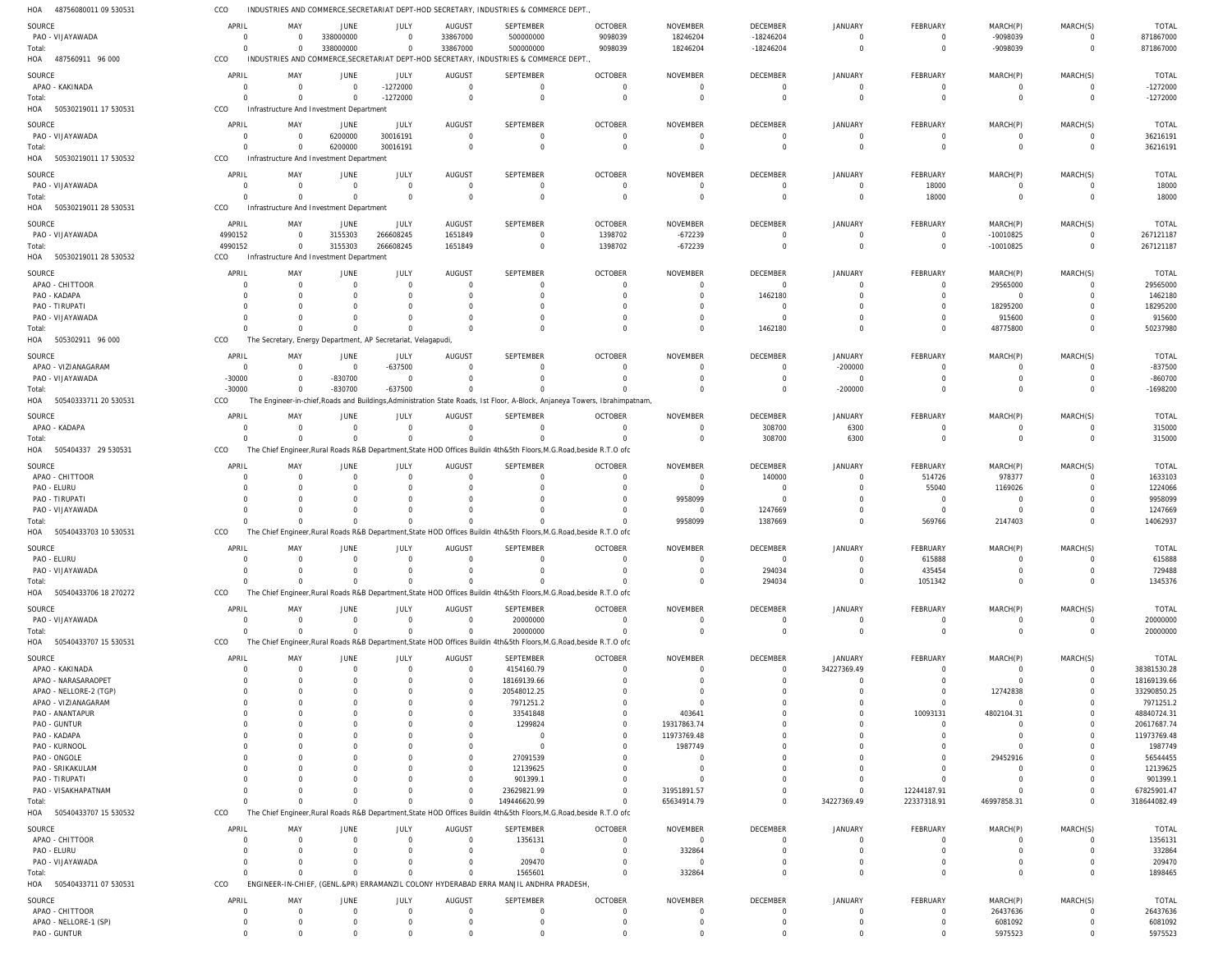48756080011 09 530531 HOA CCO INDUSTRIES AND COMMERCE, SECRETARIAT DEPT-HOD SECRETARY, INDUSTRIES & COMMERCE DEPT.,

| SOURCE                       | APRIL       | MAY                  | JUNE                                                          | JULY           | <b>AUGUST</b>  | SEPTEMBER                                                                             | <b>OCTOBER</b>                                                                                                              | <b>NOVEMBER</b> | <b>DECEMBER</b> | <b>JANUARY</b> | FEBRUARY       | MARCH(P)       | MARCH(S)       | <b>TOTAL</b> |
|------------------------------|-------------|----------------------|---------------------------------------------------------------|----------------|----------------|---------------------------------------------------------------------------------------|-----------------------------------------------------------------------------------------------------------------------------|-----------------|-----------------|----------------|----------------|----------------|----------------|--------------|
| PAO - VIJAYAWADA             | $\Omega$    |                      | 338000000                                                     | $\mathbf 0$    | 33867000       | 500000000                                                                             | 9098039                                                                                                                     | 18246204        | $-18246204$     | $\Omega$       | $\Omega$       | -9098039       | $\Omega$       | 871867000    |
| Total:                       | $\Omega$    | $\Omega$             | 338000000                                                     | $\mathbf 0$    | 33867000       | 500000000                                                                             | 9098039                                                                                                                     | 18246204        | $-18246204$     | $\Omega$       | $\overline{0}$ | -9098039       | $\Omega$       | 871867000    |
| HOA<br>487560911 96 000      | CCO         |                      |                                                               |                |                | INDUSTRIES AND COMMERCE, SECRETARIAT DEPT-HOD SECRETARY, INDUSTRIES & COMMERCE DEPT.  |                                                                                                                             |                 |                 |                |                |                |                |              |
|                              |             |                      |                                                               |                |                |                                                                                       |                                                                                                                             |                 |                 |                |                |                |                |              |
| SOURCE                       | APRIL       | MAY                  | <b>JUNE</b>                                                   | JULY           | AUGUST         | SEPTEMBER                                                                             | <b>OCTOBER</b>                                                                                                              | <b>NOVEMBER</b> | <b>DECEMBER</b> | <b>JANUARY</b> | FEBRUARY       | MARCH(P)       | MARCH(S)       | <b>TOTAL</b> |
| APAO - KAKINADA              | $\mathbf 0$ | $\Omega$             | $\Omega$                                                      | $-1272000$     | $\Omega$       | $\overline{0}$                                                                        | $\mathbf 0$                                                                                                                 | $\Omega$        | $\overline{0}$  | $\overline{0}$ | $\overline{0}$ | 0              | $\Omega$       | $-1272000$   |
| Total:                       | $\Omega$    | $\Omega$             | $\Omega$                                                      | $-1272000$     | $\Omega$       | $\overline{0}$                                                                        | $\mathbf 0$                                                                                                                 | $\mathbf 0$     | $\mathbf 0$     | $\overline{0}$ | $\mathbf 0$    | $\mathbf 0$    | $\Omega$       | $-1272000$   |
| 50530219011 17 530531<br>HOA | CCO         |                      | Infrastructure And Investment Department                      |                |                |                                                                                       |                                                                                                                             |                 |                 |                |                |                |                |              |
|                              |             |                      |                                                               |                |                |                                                                                       |                                                                                                                             |                 |                 |                |                |                |                |              |
| SOURCE                       | APRIL       | MAY                  | <b>JUNE</b>                                                   | JULY           | AUGUST         | SEPTEMBER                                                                             | <b>OCTOBER</b>                                                                                                              | <b>NOVEMBER</b> | <b>DECEMBER</b> | <b>JANUARY</b> | FEBRUARY       | MARCH(P)       | MARCH(S)       | <b>TOTAL</b> |
| PAO - VIJAYAWADA             | $\Omega$    | $\Omega$             | 6200000                                                       | 30016191       | $\Omega$       | $\overline{0}$                                                                        | $\mathbf 0$                                                                                                                 | $\Omega$        | 0               | $\mathbf 0$    | 0              | 0              | $\Omega$       | 36216191     |
| Total:                       | $\Omega$    | $\Omega$             | 6200000                                                       | 30016191       | $\Omega$       | $\Omega$                                                                              | $\Omega$                                                                                                                    | $\Omega$        | $\Omega$        | $\Omega$       | $\mathbf 0$    | $\mathbf 0$    | $\Omega$       | 36216191     |
| 50530219011 17 530532<br>HOA | CCO         |                      | Infrastructure And Investment Department                      |                |                |                                                                                       |                                                                                                                             |                 |                 |                |                |                |                |              |
|                              |             |                      |                                                               |                |                |                                                                                       |                                                                                                                             |                 |                 |                |                |                |                |              |
| SOURCE                       | APRIL       | MAY                  | <b>JUNE</b>                                                   | JULY           | AUGUST         | SEPTEMBER                                                                             | <b>OCTOBER</b>                                                                                                              | <b>NOVEMBER</b> | <b>DECEMBER</b> | <b>JANUARY</b> | FEBRUARY       | MARCH(P)       | MARCH(S)       | <b>TOTAL</b> |
| PAO - VIJAYAWADA             | $\Omega$    | $\Omega$             | $\Omega$                                                      | $\mathbf 0$    | $\Omega$       | $\overline{0}$                                                                        | $\mathbf 0$                                                                                                                 | $\Omega$        | $\mathbf 0$     | $\overline{0}$ | 18000          | $\mathbf 0$    | $\Omega$       | 18000        |
| Total:                       | $\Omega$    | $\Omega$             | $\Omega$                                                      | $\Omega$       | $\Omega$       | $\overline{0}$                                                                        | $\mathbf 0$                                                                                                                 | $\Omega$        | $\mathbf 0$     | $\overline{0}$ | 18000          | $\mathbf 0$    | $\Omega$       | 18000        |
| HOA<br>50530219011 28 530531 | CCO         |                      | Infrastructure And Investment Department                      |                |                |                                                                                       |                                                                                                                             |                 |                 |                |                |                |                |              |
|                              |             |                      |                                                               |                |                |                                                                                       |                                                                                                                             |                 |                 |                |                |                |                |              |
| SOURCE                       | APRIL       | MAY                  | JUNE                                                          | JULY           | AUGUST         | SEPTEMBER                                                                             | <b>OCTOBER</b>                                                                                                              | <b>NOVEMBER</b> | <b>DECEMBER</b> | <b>JANUARY</b> | FEBRUARY       | MARCH(P)       | MARCH(S)       | <b>TOTAL</b> |
| PAO - VIJAYAWADA             | 4990152     | $\Omega$             | 3155303                                                       | 266608245      | 1651849        | $\Omega$                                                                              | 1398702                                                                                                                     | $-672239$       | $\Omega$        | $\Omega$       | - 0            | -10010825      | $\Omega$       | 267121187    |
| Total:                       | 4990152     | $\Omega$             | 3155303                                                       | 266608245      | 1651849        | $\overline{0}$                                                                        | 1398702                                                                                                                     | $-672239$       | $\Omega$        | $\overline{0}$ | $\overline{0}$ | $-10010825$    | $\Omega$       | 267121187    |
| HOA<br>50530219011 28 530532 | CCO         |                      | Infrastructure And Investment Department                      |                |                |                                                                                       |                                                                                                                             |                 |                 |                |                |                |                |              |
|                              |             |                      |                                                               |                |                |                                                                                       |                                                                                                                             |                 |                 |                |                |                |                |              |
| SOURCE                       | APRIL       | MAY                  | <b>JUNE</b>                                                   | JULY           | AUGUST         | SEPTEMBER                                                                             | <b>OCTOBER</b>                                                                                                              | <b>NOVEMBER</b> | <b>DECEMBER</b> | <b>JANUARY</b> | FEBRUARY       | MARCH(P)       | MARCH(S)       | <b>TOTAL</b> |
| APAO - CHITTOOR              | $\Omega$    | $\Omega$             | $\Omega$                                                      | $\mathbf 0$    | $\Omega$       | $\mathbf 0$                                                                           | $\mathbf 0$                                                                                                                 | $\Omega$        | $\mathbf 0$     | $\Omega$       | $^{\circ}$     | 29565000       | $\Omega$       | 29565000     |
| PAO - KADAPA                 | $\Omega$    | $\Omega$             | $\Omega$                                                      | $\Omega$       | $\Omega$       | $\mathbf 0$                                                                           | $\Omega$                                                                                                                    | $\Omega$        | 1462180         | $\Omega$       | $\mathbf 0$    | $\mathbf 0$    | $\Omega$       | 1462180      |
| PAO - TIRUPATI               | $\Omega$    |                      | $\Omega$                                                      |                | $\Omega$       | $\Omega$                                                                              | $\Omega$                                                                                                                    |                 | 0               | $\Omega$       | $\mathbf 0$    | 18295200       |                | 18295200     |
|                              |             |                      | $\Omega$                                                      | $\Omega$       | $\Omega$       | $\Omega$                                                                              | $\Omega$                                                                                                                    |                 | $\Omega$        | $\Omega$       |                |                | $\Omega$       |              |
| PAO - VIJAYAWADA             | $\Omega$    |                      |                                                               |                |                |                                                                                       |                                                                                                                             |                 |                 |                | $\mathbf 0$    | 915600         |                | 915600       |
| Total:                       | $\Omega$    | $\Omega$             | $\Omega$                                                      | $\Omega$       | $\Omega$       | $\Omega$                                                                              | $\Omega$                                                                                                                    | $\Omega$        | 1462180         | $\Omega$       | $\Omega$       | 48775800       | $\Omega$       | 50237980     |
| HOA<br>505302911 96 000      | CCO         |                      | The Secretary, Energy Department, AP Secretariat, Velagapudi, |                |                |                                                                                       |                                                                                                                             |                 |                 |                |                |                |                |              |
|                              |             |                      |                                                               |                |                |                                                                                       |                                                                                                                             |                 |                 |                |                |                |                |              |
| SOURCE                       | APRIL       | MAY                  | <b>JUNE</b>                                                   | JULY           | AUGUST         | SEPTEMBER                                                                             | <b>OCTOBER</b>                                                                                                              | <b>NOVEMBER</b> | <b>DECEMBER</b> | <b>JANUARY</b> | FEBRUARY       | MARCH(P)       | MARCH(S)       | <b>TOTAL</b> |
| APAO - VIZIANAGARAM          | $\Omega$    | $\Omega$             | $\Omega$                                                      | $-637500$      | $\Omega$       | $\Omega$                                                                              | $\Omega$                                                                                                                    | $\Omega$        | $\Omega$        | $-200000$      | $\Omega$       | 0              | - 0            | $-837500$    |
| PAO - VIJAYAWADA             | $-30000$    | $\Omega$             | $-830700$                                                     | $\mathbf 0$    | $\Omega$       | $\Omega$                                                                              | $\Omega$                                                                                                                    | $\Omega$        | $\Omega$        | $\Omega$       | $\Omega$       | $\mathbf 0$    | $\Omega$       | $-860700$    |
| Total:                       | $-30000$    | $\Omega$             | $-830700$                                                     | $-637500$      | $\Omega$       |                                                                                       |                                                                                                                             |                 | $\Omega$        | $-200000$      | $\Omega$       | $\Omega$       | $\Omega$       | $-1698200$   |
| 50540333711 20 530531<br>HOA | CCO         |                      |                                                               |                |                |                                                                                       | The Engineer-in-chief, Roads and Buildings, Administration State Roads, Ist Floor, A-Block, Anjaneya Towers, Ibrahimpatnam, |                 |                 |                |                |                |                |              |
|                              |             |                      |                                                               |                |                |                                                                                       |                                                                                                                             |                 |                 |                |                |                |                |              |
| SOURCE                       | APRIL       | MAY                  | <b>JUNE</b>                                                   | JULY           | AUGUST         | SEPTEMBER                                                                             | <b>OCTOBER</b>                                                                                                              | <b>NOVEMBER</b> | <b>DECEMBER</b> | <b>JANUARY</b> | FEBRUARY       | MARCH(P)       | MARCH(S)       | <b>TOTAL</b> |
| APAO - KADAPA                | $\Omega$    | $\Omega$             | $\overline{0}$                                                | $\overline{0}$ | $\Omega$       | $\overline{0}$                                                                        | $\mathbf 0$                                                                                                                 | $\mathbf 0$     | 308700          | 6300           | $^{\circ}$     | 0              | $\Omega$       | 315000       |
| Total:                       | $\Omega$    | $\Omega$             | $\Omega$                                                      | $\Omega$       | $\Omega$       | $\Omega$                                                                              | $\Omega$                                                                                                                    | $\Omega$        | 308700          | 6300           | $\overline{0}$ | $\mathbf 0$    | $\Omega$       | 315000       |
| 505404337 29 530531<br>HOA   | CCO         |                      |                                                               |                |                |                                                                                       | The Chief Engineer, Rural Roads R&B Department, State HOD Offices Buildin 4th&5th Floors, M.G.Road, beside R.T.O ofc        |                 |                 |                |                |                |                |              |
|                              |             |                      |                                                               |                |                |                                                                                       |                                                                                                                             |                 |                 |                |                |                |                |              |
| SOURCE                       | APRIL       | MAY                  | <b>JUNE</b>                                                   | JULY           | AUGUST         | SEPTEMBER                                                                             | <b>OCTOBER</b>                                                                                                              | <b>NOVEMBER</b> | DECEMBER        | <b>JANUARY</b> | FEBRUARY       | MARCH(P)       | MARCH(S)       | <b>TOTAL</b> |
| APAO - CHITTOOR              | $\Omega$    | $\Omega$             | $\Omega$                                                      | $\Omega$       | $\Omega$       | $\Omega$                                                                              | $\Omega$                                                                                                                    | $\Omega$        | 140000          | $\Omega$       | 514726         | 978377         | $\Omega$       | 1633103      |
| PAO - ELURU                  | $\Omega$    | $\Omega$             | $\Omega$                                                      | $\Omega$       |                | $\Omega$                                                                              | $\Omega$                                                                                                                    | $\Omega$        | $\Omega$        | $\Omega$       | 55040          | 1169026        | $\Omega$       | 1224066      |
| PAO - TIRUPATI               | $\Omega$    | $\Omega$             | $\Omega$                                                      | $\Omega$       |                | $\Omega$                                                                              | $\Omega$                                                                                                                    | 9958099         | $\Omega$        | $\Omega$       | $\overline{0}$ | $\Omega$       |                | 9958099      |
|                              |             |                      |                                                               |                |                |                                                                                       |                                                                                                                             |                 |                 |                |                |                |                |              |
| PAO - VIJAYAWADA             | $\Omega$    | $\Omega$             | $\Omega$                                                      | $\Omega$       |                |                                                                                       | $\Omega$                                                                                                                    | $\Omega$        | 1247669         | $\Omega$       | $\Omega$       | $\Omega$       | $\Omega$       | 1247669      |
| Total:                       |             | $\Omega$             | $\Omega$                                                      | $\Omega$       | $\Omega$       |                                                                                       |                                                                                                                             | 9958099         | 1387669         | $\Omega$       | 569766         | 2147403        | $\Omega$       | 14062937     |
| 50540433703 10 530531<br>HOA | CCO         |                      |                                                               |                |                |                                                                                       | The Chief Engineer, Rural Roads R&B Department, State HOD Offices Buildin 4th&5th Floors, M.G.Road, beside R.T.O ofc        |                 |                 |                |                |                |                |              |
|                              |             |                      |                                                               |                |                |                                                                                       |                                                                                                                             |                 |                 |                |                |                |                |              |
| SOURCE                       | APRIL       | MAY                  | <b>JUNE</b>                                                   | JULY           | AUGUST         | SEPTEMBER                                                                             | <b>OCTOBER</b>                                                                                                              | <b>NOVEMBER</b> | <b>DECEMBER</b> | <b>JANUARY</b> | FEBRUARY       | MARCH(P)       | MARCH(S)       | <b>TOTAL</b> |
| PAO - ELURU                  | $\Omega$    | $\overline{0}$       | $\overline{0}$                                                | $\overline{0}$ | $\overline{0}$ | $\Omega$                                                                              | $\overline{0}$                                                                                                              |                 | $\Omega$        | $\Omega$       | 615888         |                | $\Omega$       | 615888       |
| PAO - VIJAYAWADA             |             |                      | $\Omega$                                                      | $\Omega$       |                |                                                                                       | $\Omega$                                                                                                                    | $\Omega$        | 294034          | $\overline{0}$ | 435454         | $\mathbf 0$    | $\Omega$       | 729488       |
| Total:                       | $\Omega$    | $\Omega$             | $\Omega$                                                      | $\Omega$       | $\Omega$       | $\Omega$                                                                              | $\Omega$                                                                                                                    | $\Omega$        | 294034          | $\overline{0}$ | 1051342        | $\mathbf 0$    | $\Omega$       | 1345376      |
| HOA 50540433706 18 270272    | CCO         |                      |                                                               |                |                |                                                                                       | The Chief Engineer, Rural Roads R&B Department, State HOD Offices Buildin 4th&5th Floors, M.G.Road, beside R.T.O ofc        |                 |                 |                |                |                |                |              |
|                              |             |                      |                                                               |                |                |                                                                                       |                                                                                                                             |                 |                 |                |                |                |                |              |
| SOURCE                       | APRIL       | MAY                  | <b>JUNE</b>                                                   | JULY           | AUGUST         | SEPTEMBER                                                                             | <b>OCTOBER</b>                                                                                                              | <b>NOVEMBER</b> | <b>DECEMBER</b> | <b>JANUARY</b> | FEBRUARY       | MARCH(P)       | MARCH(S)       | <b>TOTAL</b> |
| PAO - VIJAYAWADA             | $\Omega$    | $\Omega$             | $\overline{0}$                                                | $\mathbf 0$    | $\Omega$       | 20000000                                                                              | $\mathbf 0$                                                                                                                 | $\Omega$        | $\mathbf 0$     | $\overline{0}$ | $\overline{0}$ | $\mathbf 0$    | $\Omega$       | 20000000     |
| Total:                       | $\Omega$    | $\Omega$             | $\Omega$                                                      | $\Omega$       | $\Omega$       | 20000000                                                                              | $\Omega$                                                                                                                    | $\Omega$        | $\Omega$        | $\Omega$       | $\mathbf 0$    | $\mathbf 0$    | $\Omega$       | 20000000     |
| 50540433707 15 530531<br>HOA | CCO         |                      |                                                               |                |                |                                                                                       | The Chief Engineer, Rural Roads R&B Department, State HOD Offices Buildin 4th&5th Floors, M.G.Road, beside R.T.O ofc        |                 |                 |                |                |                |                |              |
|                              |             |                      |                                                               |                |                |                                                                                       |                                                                                                                             |                 |                 |                |                |                |                |              |
| <b>SOURCE</b>                | APRIL       | MAY                  | JUNE                                                          | JULY           | AUGUST         | SEPTEMBER                                                                             | <b>OCTOBER</b>                                                                                                              | <b>NOVEMBER</b> | <b>DECEMBER</b> | JANUARY        | FEBRUARY       | MARCH(P)       | MARCH(S)       | <b>TOTAL</b> |
| APAO - KAKINADA              | $\Omega$    | $\Omega$             | $\overline{0}$                                                | $\overline{0}$ | $\overline{0}$ | 4154160.79                                                                            | $\mathbf 0$                                                                                                                 | $\Omega$        | $\mathbf 0$     | 34227369.49    | $\mathbf 0$    | $\mathbf 0$    | $\overline{0}$ | 38381530.28  |
| APAO - NARASARAOPET          | $\Omega$    | $\Omega$             | $\overline{0}$                                                | $\overline{0}$ | $\mathbf 0$    | 18169139.66                                                                           | $\mathbf 0$                                                                                                                 | $\Omega$        | $\mathbf 0$     | $\overline{0}$ | $\mathbf 0$    | $\mathbf 0$    | $\overline{0}$ | 18169139.66  |
| APAO - NELLORE-2 (TGP)       | $\Omega$    | $\Omega$             | $\Omega$                                                      | $\Omega$       | $\mathbf 0$    | 20548012.25                                                                           | $\Omega$                                                                                                                    | $\Omega$        | $\Omega$        | $\overline{0}$ | $\mathbf 0$    | 12742838       | $\Omega$       | 33290850.25  |
| APAO - VIZIANAGARAM          |             | $\Omega$             | $\Omega$                                                      | $\Omega$       | $\Omega$       | 7971251.2                                                                             | $\Omega$                                                                                                                    | $\Omega$        | $\Omega$        | $\Omega$       | $\mathbf 0$    | $\overline{0}$ | $\Omega$       | 7971251.2    |
| PAO - ANANTAPUR              |             | $\Omega$             | $\Omega$                                                      | $\Omega$       | $\Omega$       | 33541848                                                                              | $\Omega$                                                                                                                    | 403641          | $\Omega$        | $\Omega$       | 10093131       | 4802104.31     | $\Omega$       | 48840724.31  |
|                              |             |                      |                                                               |                |                |                                                                                       |                                                                                                                             |                 |                 |                |                |                |                |              |
| PAO - GUNTUR                 |             | $\Omega$             | $\Omega$                                                      | $\Omega$       | $\Omega$       | 1299824                                                                               | $\mathbf 0$                                                                                                                 | 19317863.74     |                 | $\Omega$       | $\mathbf 0$    | $\mathbf 0$    | $\Omega$       | 20617687.74  |
| PAO - KADAPA                 |             | $\Omega$             | $\Omega$                                                      | $\Omega$       | $\Omega$       | $\Omega$                                                                              | $\Omega$                                                                                                                    | 11973769.48     |                 | $\Omega$       | $\Omega$       | $\overline{0}$ | $\Omega$       | 11973769.48  |
| PAO - KURNOOL                |             | $\Omega$             | $\Omega$                                                      | $\Omega$       | $\Omega$       | $\Omega$                                                                              | $\mathbf 0$                                                                                                                 | 1987749         |                 | $\Omega$       | $\Omega$       | $\mathbf 0$    | $\Omega$       | 1987749      |
| PAO - ONGOLE                 |             | $\Omega$             | $\Omega$                                                      |                | $\Omega$       | 27091539                                                                              | $\Omega$                                                                                                                    | $\Omega$        |                 | $\Omega$       | $\Omega$       | 29452916       |                | 56544455     |
| PAO - SRIKAKULAM             |             | $\Omega$             | $\Omega$                                                      |                | $\Omega$       | 12139625                                                                              | $\Omega$                                                                                                                    | $\Omega$        | $\Omega$        | $\Omega$       | $\Omega$       | $\mathbf 0$    |                | 12139625     |
| PAO - TIRUPATI               |             | $\Omega$             | $\Omega$                                                      | $\Omega$       | $\Omega$       | 901399.1                                                                              | $\Omega$                                                                                                                    |                 | $\Omega$        | $\Omega$       | $\Omega$       | $\Omega$       | $\Omega$       | 901399.1     |
| PAO - VISAKHAPATNAM          |             | $\Omega$             | $\Omega$                                                      | $\Omega$       | $\Omega$       | 23629821.99                                                                           | $\mathbf 0$                                                                                                                 | 31951891.57     | $\Omega$        | $\overline{0}$ | 12244187.91    | $\Omega$       | $\Omega$       | 67825901.47  |
|                              |             | $\Omega$             | $\Omega$                                                      | $\Omega$       | $\Omega$       |                                                                                       |                                                                                                                             |                 |                 |                |                |                | $\Omega$       | 318644082.49 |
| Total:                       |             |                      |                                                               |                |                | 149446620.99                                                                          | $\Omega$                                                                                                                    | 65634914.79     | $\Omega$        | 34227369.49    | 22337318.91    | 46997858.31    |                |              |
| HOA 50540433707 15 530532    | CCO         |                      |                                                               |                |                |                                                                                       | The Chief Engineer, Rural Roads R&B Department, State HOD Offices Buildin 4th&5th Floors, M.G.Road, beside R.T.O ofc        |                 |                 |                |                |                |                |              |
| SOURCE                       | APRIL       | MAY                  | JUNE                                                          | JULY           | AUGUST         | SEPTEMBER                                                                             | <b>OCTOBER</b>                                                                                                              | NOVEMBER        | DECEMBER        | JANUARY        | FEBRUARY       | MARCH(P)       | MARCH(S)       | <b>TOTAL</b> |
|                              |             |                      |                                                               |                |                |                                                                                       |                                                                                                                             |                 |                 |                |                |                |                |              |
| APAO - CHITTOOR              | $\Omega$    | $\Omega$             | $\Omega$                                                      | $\Omega$       | $\Omega$       | 1356131                                                                               | $\Omega$                                                                                                                    | $\Omega$        | $\Omega$        | $\Omega$       | $\Omega$       | $\Omega$       | $\Omega$       | 1356131      |
| PAO - ELURU                  | $\Omega$    | $\Omega$             | $\Omega$                                                      | $\Omega$       | $\Omega$       | $\Omega$                                                                              | $\Omega$                                                                                                                    | 332864          | $\Omega$        | $\Omega$       | $\Omega$       | $\Omega$       | $\Omega$       | 332864       |
| PAO - VIJAYAWADA             | $\Omega$    | $\Omega$             | $\Omega$                                                      | $\Omega$       | $\Omega$       | 209470                                                                                | $\Omega$                                                                                                                    | $\Omega$        | $\Omega$        | $\Omega$       | $\Omega$       | $\Omega$       | $\Omega$       | 209470       |
| Total:                       |             | $\Omega$             | $\Omega$                                                      | $\Omega$       | $\Omega$       | 1565601                                                                               | $\Omega$                                                                                                                    | 332864          | $\Omega$        | $\Omega$       | $\Omega$       | $\Omega$       | $\Omega$       | 1898465      |
| HOA 50540433711 07 530531    | CCO         |                      |                                                               |                |                | ENGINEER-IN-CHIEF, (GENL.&PR) ERRAMANZIL COLONY HYDERABAD ERRA MANJIL ANDHRA PRADESH, |                                                                                                                             |                 |                 |                |                |                |                |              |
|                              |             |                      |                                                               |                |                |                                                                                       |                                                                                                                             |                 |                 |                |                |                |                |              |
| SOURCE                       | APRIL       | MAY                  | <b>JUNE</b>                                                   | JULY           | AUGUST         | SEPTEMBER                                                                             | <b>OCTOBER</b>                                                                                                              | <b>NOVEMBER</b> | <b>DECEMBER</b> | <b>JANUARY</b> | FEBRUARY       | MARCH(P)       | MARCH(S)       | TOTAL        |
| APAO - CHITTOOR              | $^{\circ}$  | $\Omega$             | $\overline{0}$                                                | $\overline{0}$ | $\Omega$       | $\overline{0}$                                                                        | $\mathbf 0$                                                                                                                 | $\Omega$        | $\overline{0}$  | $\overline{0}$ | $\overline{0}$ | 26437636       | $\Omega$       | 26437636     |
| APAO - NELLORE-1 (SP)        | $\circ$     | $\overline{0}$       | $\overline{0}$                                                | $\mathbf 0$    | $\mathbf 0$    | $\overline{0}$                                                                        | $\mathbf 0$                                                                                                                 | $\mathbf 0$     | $\mathbf 0$     | $\overline{0}$ | $\overline{0}$ | 6081092        | $\Omega$       | 6081092      |
|                              |             | $\Omega$<br>$\Omega$ | $\Omega$                                                      | $\Omega$       | $\Omega$       | $\Omega$                                                                              | $\Omega$                                                                                                                    | $\Omega$        | $\Omega$        | $\Omega$       | $\Omega$       | 5975523        | $\Omega$       | 5975523      |
| PAO - GUNTUR                 |             |                      |                                                               |                |                |                                                                                       |                                                                                                                             |                 |                 |                |                |                |                |              |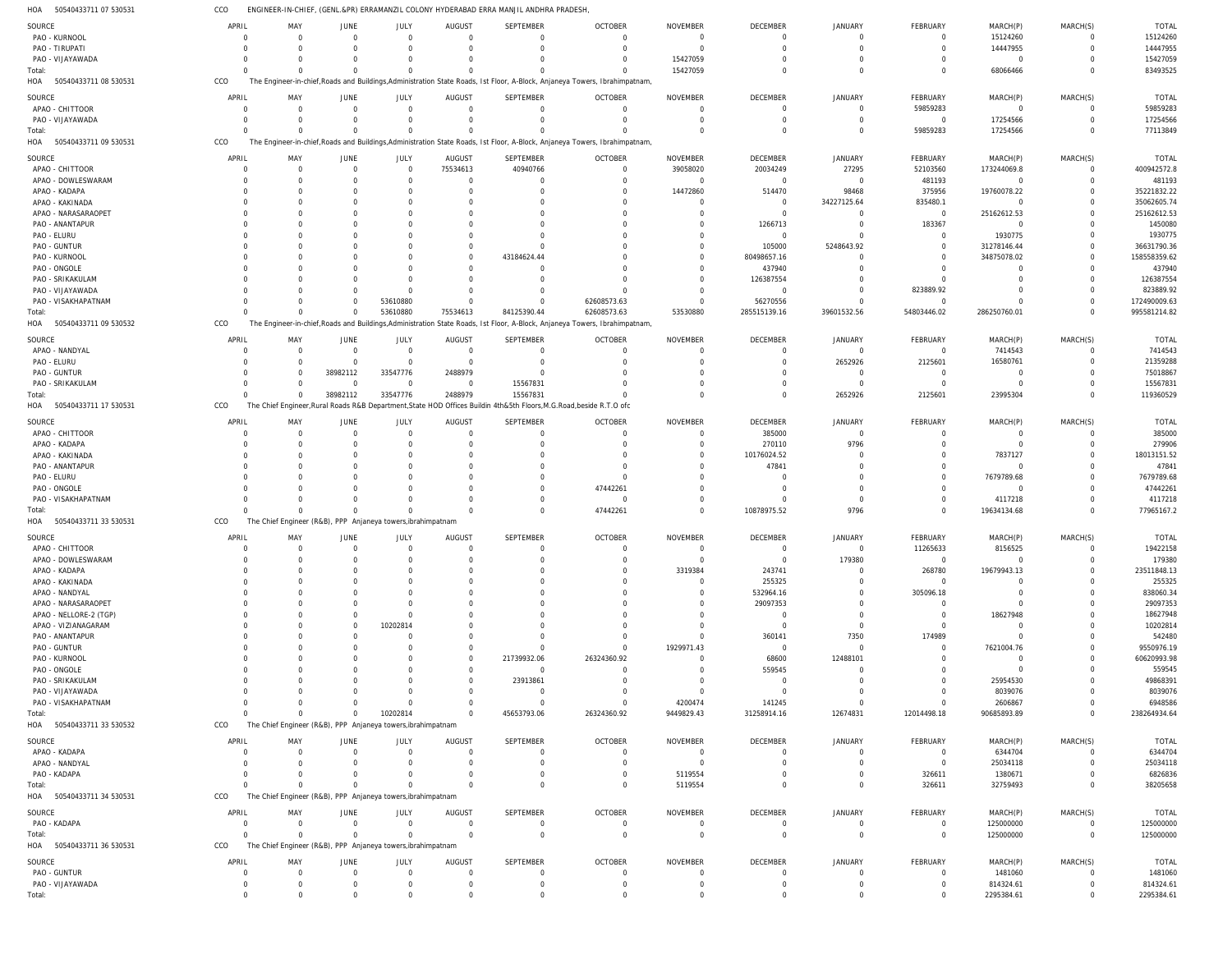ENGINEER-IN-CHIEF, (GENL.&PR) ERRAMANZIL COLONY HYDERABAD ERRA MANJIL ANDHRA PRADESH,  $cc<sub>O</sub>$ 

| HOA<br>50540433711 07 530531 | CCO        |          |                                                              |                     |                                 | ENGINEER-IN-CHIEF, (GENL.&PR) ERRAMANZIL COLONY HYDERABAD ERRA MANJIL ANDHRA PRADESH                                 |                                                                                                                             |                                   |                            |                            |                        |                         |               |                         |
|------------------------------|------------|----------|--------------------------------------------------------------|---------------------|---------------------------------|----------------------------------------------------------------------------------------------------------------------|-----------------------------------------------------------------------------------------------------------------------------|-----------------------------------|----------------------------|----------------------------|------------------------|-------------------------|---------------|-------------------------|
| SOURCE                       | APRIL      | MAY      | JUNE                                                         | JULY                | <b>AUGUST</b>                   | SEPTEMBER                                                                                                            | <b>OCTOBER</b>                                                                                                              | <b>NOVEMBER</b>                   | <b>DECEMBER</b>            | <b>JANUARY</b>             | FEBRUARY               | MARCH(P)                | MARCH(S)      | <b>TOTAL</b>            |
| PAO - KURNOOL                | $\Omega$   | $\Omega$ | $\overline{0}$                                               | $\mathbf 0$         | $\Omega$                        | $\mathbf 0$                                                                                                          | $\Omega$                                                                                                                    | $\Omega$                          | $\overline{0}$             | $\Omega$                   | 0                      | 15124260                | 0             | 15124260                |
|                              |            |          | $\Omega$                                                     | $\Omega$            | $\Omega$                        | $\Omega$                                                                                                             | $\Omega$                                                                                                                    | $\Omega$                          | $\Omega$                   | $\Omega$                   | $\Omega$               | 14447955                |               | 14447955                |
| PAO - TIRUPATI               |            |          |                                                              |                     |                                 |                                                                                                                      |                                                                                                                             |                                   |                            |                            |                        |                         | $\mathbf 0$   |                         |
| PAO - VIJAYAWADA             |            |          | $\Omega$                                                     | $\Omega$            |                                 | 0                                                                                                                    | - 0                                                                                                                         | 15427059                          | $\Omega$                   | $\Omega$                   | 0                      | $\overline{0}$          | $\Omega$      | 15427059                |
| Total:                       |            |          | $\Omega$                                                     | $\Omega$            |                                 | $\Omega$                                                                                                             |                                                                                                                             | 15427059                          | $\Omega$                   | $\Omega$                   | $\Omega$               | 68066466                | $\Omega$      | 83493525                |
| 50540433711 08 530531<br>HOA | CCO        |          |                                                              |                     |                                 |                                                                                                                      | The Engineer-in-chief, Roads and Buildings, Administration State Roads, 1st Floor, A-Block, Anjaneya Towers, Ibrahimpatnam, |                                   |                            |                            |                        |                         |               |                         |
| SOURCE                       | APRIL      | MAY      | <b>JUNE</b>                                                  | JULY                | <b>AUGUST</b>                   | SEPTEMBER                                                                                                            | <b>OCTOBER</b>                                                                                                              | <b>NOVEMBER</b>                   | <b>DECEMBER</b>            | <b>JANUARY</b>             | FEBRUARY               | MARCH(P)                | MARCH(S)      | <b>TOTAL</b>            |
| APAO - CHITTOOR              | $\Omega$   | $\Omega$ | $\overline{0}$                                               | $\Omega$            | $\Omega$                        | $\mathbf 0$                                                                                                          | $\Omega$                                                                                                                    | $\Omega$                          | $\overline{0}$             | $\Omega$                   | 59859283               | $\overline{0}$          | $\Omega$      | 59859283                |
| PAO - VIJAYAWADA             |            |          | $\mathbf 0$                                                  | $\Omega$            | $\Omega$                        | $\Omega$                                                                                                             |                                                                                                                             | $\Omega$                          | $\Omega$                   | $\Omega$                   | $\overline{0}$         | 17254566                | $\Omega$      | 17254566                |
|                              |            |          | $\Omega$                                                     | $\Omega$            |                                 | $\Omega$                                                                                                             |                                                                                                                             |                                   | $\Omega$                   | $\Omega$                   |                        |                         | $\Omega$      | 77113849                |
| Total:                       | $\Omega$   |          |                                                              |                     |                                 |                                                                                                                      |                                                                                                                             | $\Omega$                          |                            |                            | 59859283               | 17254566                |               |                         |
| 50540433711 09 530531<br>HOA | CCO        |          |                                                              |                     |                                 |                                                                                                                      | The Engineer-in-chief, Roads and Buildings, Administration State Roads, 1st Floor, A-Block, Anjaneya Towers, Ibrahimpatnam, |                                   |                            |                            |                        |                         |               |                         |
| SOURCE                       | APRIL      | MAY      | JUNE                                                         | JULY                | AUGUST                          | SEPTEMBER                                                                                                            | <b>OCTOBER</b>                                                                                                              | <b>NOVEMBER</b>                   | <b>DECEMBER</b>            | JANUARY                    | FEBRUARY               | MARCH(P)                | MARCH(S)      | <b>TOTAL</b>            |
| APAO - CHITTOOR              |            | $\Omega$ | $\mathbf 0$                                                  | $\overline{0}$      | 75534613                        | 40940766                                                                                                             | $\Omega$                                                                                                                    | 39058020                          | 20034249                   | 27295                      | 52103560               | 173244069.8             | $\mathbf 0$   | 400942572.8             |
| APAO - DOWLESWARAM           |            |          | $\Omega$                                                     | $\Omega$            | $\Omega$                        | $\mathbf 0$                                                                                                          | $\Omega$                                                                                                                    | $\overline{0}$                    | $\overline{0}$             | $\Omega$                   | 481193                 | $\overline{0}$          | $\mathbf 0$   | 481193                  |
| APAO - KADAPA                |            |          | $\Omega$                                                     | $\Omega$            |                                 | $\mathbf 0$                                                                                                          | $\Omega$                                                                                                                    | 14472860                          | 514470                     | 98468                      | 375956                 | 19760078.22             | $\mathbf 0$   | 35221832.22             |
| APAO - KAKINADA              |            |          |                                                              | 0                   |                                 | $\Omega$                                                                                                             |                                                                                                                             | $\Omega$                          | $\overline{0}$             | 34227125.64                | 835480.1               | $\overline{0}$          | $\mathbf 0$   | 35062605.74             |
|                              |            |          |                                                              |                     |                                 |                                                                                                                      |                                                                                                                             |                                   | $\Omega$                   |                            |                        |                         |               |                         |
| APAO - NARASARAOPET          |            |          | $\Omega$                                                     | 0                   |                                 | $\Omega$                                                                                                             |                                                                                                                             | $\Omega$                          |                            | $\Omega$                   | $\overline{0}$         | 25162612.53             | $\mathbf 0$   | 25162612.53             |
| PAO - ANANTAPUR              |            |          |                                                              | 0                   |                                 | $\Omega$                                                                                                             |                                                                                                                             | $\Omega$                          | 1266713                    | $\Omega$                   | 183367                 | $\overline{0}$          | $\Omega$      | 1450080                 |
| PAO - ELURU                  |            |          |                                                              | 0                   |                                 | $\Omega$                                                                                                             |                                                                                                                             | $\Omega$                          | $\overline{0}$             | $\Omega$                   | $\overline{0}$         | 1930775                 | $\Omega$      | 1930775                 |
| PAO - GUNTUR                 |            |          |                                                              | 0                   |                                 | $\Omega$                                                                                                             |                                                                                                                             | $\Omega$                          | 105000                     | 5248643.92                 | $\Omega$               | 31278146.44             | $\mathbf 0$   | 36631790.36             |
| PAO - KURNOOL                |            |          |                                                              | $\Omega$            |                                 | 43184624.44                                                                                                          |                                                                                                                             |                                   | 80498657.16                |                            | $\Omega$               | 34875078.02             | $\mathbf 0$   | 158558359.62            |
| PAO - ONGOLE                 |            |          |                                                              | $\Omega$            | $\Omega$                        | $\Omega$                                                                                                             |                                                                                                                             | $\Omega$                          | 437940                     | $\Omega$                   |                        | $\Omega$                | $\Omega$      | 437940                  |
| PAO - SRIKAKULAM             |            |          |                                                              | $\Omega$            |                                 | $\mathbf 0$                                                                                                          |                                                                                                                             | $\Omega$                          | 126387554                  | $\Omega$                   | $\Omega$               | $\Omega$                | $\Omega$      | 126387554               |
| PAO - VIJAYAWADA             |            |          | $\Omega$                                                     | $\Omega$            |                                 | $\Omega$                                                                                                             |                                                                                                                             | $\Omega$                          | $\overline{0}$             | $\Omega$                   | 823889.92              | $\Omega$                | $\Omega$      | 823889.92               |
| PAO - VISAKHAPATNAM          | $\Omega$   |          | $\mathbf 0$                                                  | 53610880            | $\Omega$                        | $\Omega$                                                                                                             | 62608573.63                                                                                                                 | $\Omega$                          | 56270556                   | $\Omega$                   | $\mathbf 0$            | $\Omega$                | $\mathbf 0$   | 172490009.63            |
| Total:                       |            | $\Omega$ | $\mathbf 0$                                                  | 53610880            | 75534613                        | 84125390.44                                                                                                          | 62608573.63                                                                                                                 | 53530880                          | 285515139.16               | 39601532.56                | 54803446.02            | 286250760.01            | $\mathbf{0}$  | 995581214.82            |
| 50540433711 09 530532<br>HOA | CCO        |          |                                                              |                     |                                 |                                                                                                                      | The Engineer-in-chief, Roads and Buildings, Administration State Roads, 1st Floor, A-Block, Anjaneya Towers, Ibrahimpatnam, |                                   |                            |                            |                        |                         |               |                         |
|                              |            |          |                                                              |                     |                                 |                                                                                                                      |                                                                                                                             |                                   |                            |                            |                        |                         |               |                         |
| SOURCE                       | APRIL      | MAY      | <b>JUNE</b>                                                  | JULY                | <b>AUGUST</b>                   | <b>SEPTEMBER</b>                                                                                                     | <b>OCTOBER</b>                                                                                                              | <b>NOVEMBER</b>                   | <b>DECEMBER</b>            | <b>JANUARY</b>             | FEBRUARY               | MARCH(P)                | MARCH(S)      | <b>TOTAL</b>            |
| APAO - NANDYAL               |            |          | $\overline{0}$                                               | $\overline{0}$      | $\Omega$                        | $\mathbf 0$                                                                                                          | $\Omega$                                                                                                                    | $\Omega$                          | $\overline{0}$             | $\Omega$                   | $\overline{0}$         | 7414543                 | $\Omega$      | 7414543                 |
| PAO - ELURU                  |            |          | $\overline{0}$                                               | $\overline{0}$      |                                 | $\mathbf 0$                                                                                                          |                                                                                                                             | -0                                | $\Omega$                   | 2652926                    | 2125601                | 16580761                | $\Omega$      | 21359288                |
| PAO - GUNTUR                 |            |          | 38982112                                                     | 33547776            | 2488979                         | $\Omega$                                                                                                             |                                                                                                                             |                                   |                            | $\Omega$                   | $\mathbf 0$            | $\overline{0}$          | $\Omega$      | 75018867                |
| PAO - SRIKAKULAM             |            |          | $\overline{0}$                                               | $\Omega$            | $\Omega$                        | 15567831                                                                                                             |                                                                                                                             | $\Omega$                          | $\Omega$                   | $\Omega$                   | $\mathbf 0$            | $\Omega$                | $\Omega$      | 15567831                |
| Total:                       |            |          | 38982112                                                     | 33547776            | 2488979                         | 15567831                                                                                                             |                                                                                                                             | $\Omega$                          | $\Omega$                   | 2652926                    | 2125601                | 23995304                | $\Omega$      | 119360529               |
| HOA<br>50540433711 17 530531 | CCO        |          |                                                              |                     |                                 | The Chief Engineer, Rural Roads R&B Department, State HOD Offices Buildin 4th&5th Floors, M.G.Road, beside R.T.O ofc |                                                                                                                             |                                   |                            |                            |                        |                         |               |                         |
|                              |            |          |                                                              |                     |                                 |                                                                                                                      |                                                                                                                             |                                   |                            |                            |                        |                         |               |                         |
| SOURCE                       | APRIL      | MAY      | JUNE                                                         | JULY                | <b>AUGUST</b>                   | <b>SEPTEMBER</b>                                                                                                     | <b>OCTOBER</b>                                                                                                              | <b>NOVEMBER</b>                   | DECEMBER                   | <b>JANUARY</b>             | FEBRUARY               | MARCH(P)                | MARCH(S)      | <b>TOTAL</b>            |
| APAO - CHITTOOR              |            |          | 0                                                            | $\Omega$            | $\Omega$                        | $\mathbf 0$                                                                                                          | $\Omega$                                                                                                                    | $\Omega$                          | 385000                     | $\Omega$                   | 0                      | 0                       | 0             | 385000                  |
| APAO - KADAPA                |            |          | $\Omega$                                                     | $\Omega$            | $\Omega$                        | $\Omega$                                                                                                             | $\Omega$                                                                                                                    | $\Omega$                          | 270110                     | 9796                       | $\Omega$               | $\mathbf 0$             | $\mathbf 0$   | 279906                  |
| APAO - KAKINADA              |            |          | $\Omega$                                                     | 0                   |                                 | 0                                                                                                                    | $\Omega$                                                                                                                    | $\Omega$                          | 10176024.52                | $\Omega$                   |                        | 7837127                 | $\mathbf 0$   | 18013151.52             |
| PAO - ANANTAPUR              |            |          |                                                              | 0                   |                                 | $\Omega$                                                                                                             | $\Omega$                                                                                                                    | $\Omega$                          | 47841                      | $\Omega$                   |                        | $\overline{0}$          | $\Omega$      | 47841                   |
|                              |            |          |                                                              | $\Omega$            |                                 | $\Omega$                                                                                                             | $\Omega$                                                                                                                    |                                   | $\Omega$                   |                            |                        | 7679789.68              | $\Omega$      | 7679789.68              |
| PAO - ELURU                  |            |          | $\Omega$                                                     |                     |                                 |                                                                                                                      |                                                                                                                             | $\Omega$                          |                            |                            |                        |                         | $\Omega$      |                         |
|                              |            |          |                                                              |                     |                                 |                                                                                                                      |                                                                                                                             | $\Omega$                          | $\Omega$                   | $\Omega$                   |                        | $\Omega$                |               | 47442261                |
| PAO - ONGOLE                 |            |          |                                                              | $\Omega$            |                                 | $\Omega$                                                                                                             | 47442261                                                                                                                    |                                   |                            |                            |                        |                         |               |                         |
| PAO - VISAKHAPATNAM          |            |          | $\Omega$                                                     | $\Omega$            | $\Omega$                        | $\mathbf 0$                                                                                                          | $\Omega$                                                                                                                    | $\Omega$                          | $\Omega$                   | $\Omega$                   | $\mathbf 0$            | 4117218                 | $\Omega$      | 4117218                 |
| Total:                       |            |          | $\Omega$                                                     | $\Omega$            | $\Omega$                        | $\Omega$                                                                                                             | 47442261                                                                                                                    | $\Omega$                          | 10878975.52                | 9796                       | $\Omega$               | 19634134.68             | $\Omega$      | 77965167.2              |
| 50540433711 33 530531<br>HOA | CCO        |          | The Chief Engineer (R&B), PPP Anjaneya towers, ibrahimpatnam |                     |                                 |                                                                                                                      |                                                                                                                             |                                   |                            |                            |                        |                         |               |                         |
|                              |            |          |                                                              |                     |                                 |                                                                                                                      |                                                                                                                             |                                   |                            |                            |                        |                         |               |                         |
| SOURCE                       | APRIL      | MAY      | JUNE                                                         | JULY                | <b>AUGUST</b>                   | <b>SEPTEMBER</b>                                                                                                     | <b>OCTOBER</b>                                                                                                              | <b>NOVEMBER</b>                   | DECEMBER                   | <b>JANUARY</b>             | FEBRUARY               | MARCH(P)                | MARCH(S)      | <b>TOTAL</b>            |
| APAO - CHITTOOR              | $\Omega$   | $\Omega$ | $\mathbf 0$                                                  | $\mathbf 0$         | $\Omega$                        | $\mathbf 0$                                                                                                          | $\Omega$                                                                                                                    | $\Omega$                          | $\overline{0}$             | $\Omega$                   | 11265633               | 8156525                 | $\Omega$      | 19422158                |
| APAO - DOWLESWARAM           |            |          | 0                                                            |                     |                                 | 0                                                                                                                    |                                                                                                                             | -0                                | $\overline{0}$             | 179380                     | 0                      | $\Omega$                | $\Omega$      | 179380                  |
| APAO - KADAPA                |            |          |                                                              |                     |                                 | $\mathbf 0$                                                                                                          |                                                                                                                             | 3319384                           | 243741                     | $\Omega$                   | 268780                 | 19679943.13             | $\Omega$      | 23511848.13             |
| APAO - KAKINADA              |            |          | 0                                                            |                     |                                 | $\Omega$                                                                                                             |                                                                                                                             | $\Omega$                          | 255325                     | $\Omega$                   | $\mathbf 0$            | $\mathbf 0$             | $\Omega$      | 255325                  |
| APAO - NANDYAL               |            |          |                                                              |                     |                                 | $\Omega$                                                                                                             |                                                                                                                             | $\Omega$                          | 532964.16                  | $\Omega$                   | 305096.18              | $\Omega$                |               | 838060.34               |
| APAO - NARASARAOPET          |            |          |                                                              |                     |                                 | $\Omega$                                                                                                             |                                                                                                                             | $\Omega$                          | 29097353                   |                            | 0                      | $\Omega$                |               | 29097353                |
| APAO - NELLORE-2 (TGP)       |            |          | 0                                                            | $\Omega$            |                                 | $\Omega$                                                                                                             |                                                                                                                             |                                   | $\overline{0}$             | $\Omega$                   | $\Omega$               | 18627948                |               | 18627948                |
| APAO - VIZIANAGARAM          |            |          | $\mathbf 0$                                                  | 10202814            |                                 | $\Omega$                                                                                                             |                                                                                                                             | $\Omega$                          | $\overline{0}$             | $\Omega$                   | $\Omega$               | - 0                     |               | 10202814                |
| PAO - ANANTAPUR              |            |          |                                                              | 0                   |                                 | $\Omega$                                                                                                             |                                                                                                                             | $\Omega$                          | 360141                     | 7350                       | 174989                 | $\overline{0}$          | $\Omega$      | 542480                  |
| PAO - GUNTUR                 |            |          | $\Omega$                                                     |                     |                                 | $\Omega$                                                                                                             |                                                                                                                             | 1929971.43                        | $\overline{0}$             | $\Omega$                   | 0                      | 7621004.76              | $\Omega$      | 9550976.19              |
| PAO - KURNOOL                |            |          |                                                              |                     |                                 | 21739932.06                                                                                                          | 26324360.92                                                                                                                 | $\Omega$                          | 68600                      | 12488101                   |                        | $\overline{0}$          | $\Omega$      | 60620993.98             |
|                              |            |          |                                                              |                     |                                 | $\overline{0}$                                                                                                       |                                                                                                                             | $\Omega$                          |                            |                            |                        | $\overline{0}$          | $\Omega$      |                         |
| PAO - ONGOLE                 |            |          |                                                              |                     |                                 |                                                                                                                      |                                                                                                                             |                                   | 559545                     |                            |                        |                         |               | 559545                  |
| PAO - SRIKAKULAM             |            |          |                                                              |                     |                                 | 23913861                                                                                                             |                                                                                                                             |                                   | $\overline{0}$             | $\Omega$                   |                        | 25954530                |               | 49868391                |
| PAO - VIJAYAWADA             |            |          |                                                              |                     |                                 | $\mathbf 0$                                                                                                          |                                                                                                                             | $\Omega$                          | $\overline{0}$             | $\Omega$                   |                        | 8039076                 | $\Omega$      | 8039076                 |
| PAO - VISAKHAPATNAM          |            |          | $\Omega$                                                     | $\Omega$            |                                 | $\overline{0}$                                                                                                       | $\Omega$                                                                                                                    | 4200474                           | 141245                     | $\Omega$                   | $\Omega$               | 2606867                 | $\Omega$      | 6948586                 |
| Total:                       |            |          | $\mathbf 0$                                                  | 10202814            |                                 | 45653793.06                                                                                                          | 26324360.92                                                                                                                 | 9449829.43                        | 31258914.16                | 12674831                   | 12014498.18            | 90685893.89             | $\Omega$      | 238264934.64            |
| HOA 50540433711 33 530532    | CCO        |          | The Chief Engineer (R&B), PPP Anjaneya towers, ibrahimpatnam |                     |                                 |                                                                                                                      |                                                                                                                             |                                   |                            |                            |                        |                         |               |                         |
|                              | APRIL      | MAY      |                                                              |                     |                                 | <b>SEPTEMBER</b>                                                                                                     |                                                                                                                             | <b>NOVEMBER</b>                   |                            |                            |                        |                         |               |                         |
| SOURCE                       | $\Omega$   | $\Omega$ | JUNE                                                         | JULY                | <b>AUGUST</b><br>$\Omega$       |                                                                                                                      | <b>OCTOBER</b><br>$\Omega$                                                                                                  |                                   | DECEMBER                   | JANUARY<br>$\Omega$        | FEBRUARY               | MARCH(P)                | MARCH(S)      | <b>TOTAL</b>            |
| APAO - KADAPA                |            |          | $\mathbf 0$                                                  | $\mathbf 0$         |                                 | $\mathbf 0$                                                                                                          |                                                                                                                             | $\overline{0}$                    | $\overline{0}$             |                            | $\overline{0}$         | 6344704                 | 0             | 6344704                 |
| APAO - NANDYAL               |            |          | 0                                                            | $\mathbf 0$         | $\Omega$                        | $\mathbf 0$                                                                                                          | $\Omega$                                                                                                                    | - 0                               | $\Omega$                   | $\Omega$                   | $\overline{0}$         | 25034118                | 0             | 25034118                |
| PAO - KADAPA                 | $\Omega$   |          | $\Omega$                                                     | $\Omega$            |                                 | $\overline{0}$                                                                                                       | $\mathbf 0$                                                                                                                 | 5119554                           | $\Omega$                   | $\overline{0}$             | 326611                 | 1380671                 | $\mathbf 0$   | 6826836                 |
| Total:                       | $\Omega$   | $\Omega$ | $\Omega$                                                     | $\Omega$            | $\Omega$                        | $\mathbf 0$                                                                                                          | $\Omega$                                                                                                                    | 5119554                           | $\Omega$                   | $\Omega$                   | 326611                 | 32759493                | $\mathbf 0$   | 38205658                |
| HOA 50540433711 34 530531    | CCO        |          | The Chief Engineer (R&B), PPP Anjaneya towers, ibrahimpatnam |                     |                                 |                                                                                                                      |                                                                                                                             |                                   |                            |                            |                        |                         |               |                         |
|                              | APRIL      | MAY      |                                                              |                     |                                 | SEPTEMBER                                                                                                            |                                                                                                                             |                                   |                            |                            |                        |                         |               |                         |
| SOURCE                       | $\Omega$   | $\Omega$ | JUNE<br>$\overline{0}$                                       | JULY<br>$\mathbf 0$ | <b>AUGUST</b><br>$\overline{0}$ | $\mathbf 0$                                                                                                          | <b>OCTOBER</b><br>$\Omega$                                                                                                  | <b>NOVEMBER</b><br>$\overline{0}$ | DECEMBER<br>$\overline{0}$ | <b>JANUARY</b><br>$\Omega$ | FEBRUARY<br>$^{\circ}$ | MARCH(P)                | MARCH(S)<br>0 | TOTAL                   |
| PAO - KADAPA                 |            |          |                                                              |                     |                                 |                                                                                                                      |                                                                                                                             |                                   |                            |                            |                        | 125000000               |               | 125000000               |
| Total:                       | $\Omega$   | $\Omega$ | $\mathbf 0$                                                  | $\mathbf 0$         | $\Omega$                        | $\mathbf 0$                                                                                                          | $\Omega$                                                                                                                    | $\overline{0}$                    | $\overline{0}$             | $\Omega$                   | $\mathbf 0$            | 125000000               | $\mathbf 0$   | 125000000               |
| HOA 50540433711 36 530531    | CCO        |          | The Chief Engineer (R&B), PPP Anjaneya towers, ibrahimpatnam |                     |                                 |                                                                                                                      |                                                                                                                             |                                   |                            |                            |                        |                         |               |                         |
| SOURCE                       | APRIL      | MAY      | JUNE                                                         | JULY                | <b>AUGUST</b>                   | <b>SEPTEMBER</b>                                                                                                     | <b>OCTOBER</b>                                                                                                              | <b>NOVEMBER</b>                   | DECEMBER                   | <b>JANUARY</b>             | FEBRUARY               | MARCH(P)                | MARCH(S)      | TOTAL                   |
| PAO - GUNTUR                 | $\Omega$   | $\Omega$ | $\overline{0}$                                               | $\mathbf 0$         | $\Omega$                        | $\mathbf 0$                                                                                                          | $\Omega$                                                                                                                    | $\Omega$                          | $\overline{0}$             | $\Omega$                   | $\mathbf 0$            | 1481060                 | $\Omega$      | 1481060                 |
| PAO - VIJAYAWADA             | $^{\circ}$ | $\Omega$ | 0                                                            | $\mathbf 0$         | $\overline{0}$                  | $\mathbf 0$                                                                                                          | $\overline{0}$                                                                                                              | 0                                 | $\overline{0}$             | $\overline{0}$             | $\mathbf 0$            |                         | $\mathbf 0$   |                         |
| Total:                       | $\Omega$   | $\Omega$ | $\Omega$                                                     | $\mathbf 0$         | $\Omega$                        | $\mathbf 0$                                                                                                          | $\Omega$                                                                                                                    | $\Omega$                          | $\overline{0}$             | $\Omega$                   | $\Omega$               | 814324.61<br>2295384.61 | $\mathbf 0$   | 814324.61<br>2295384.61 |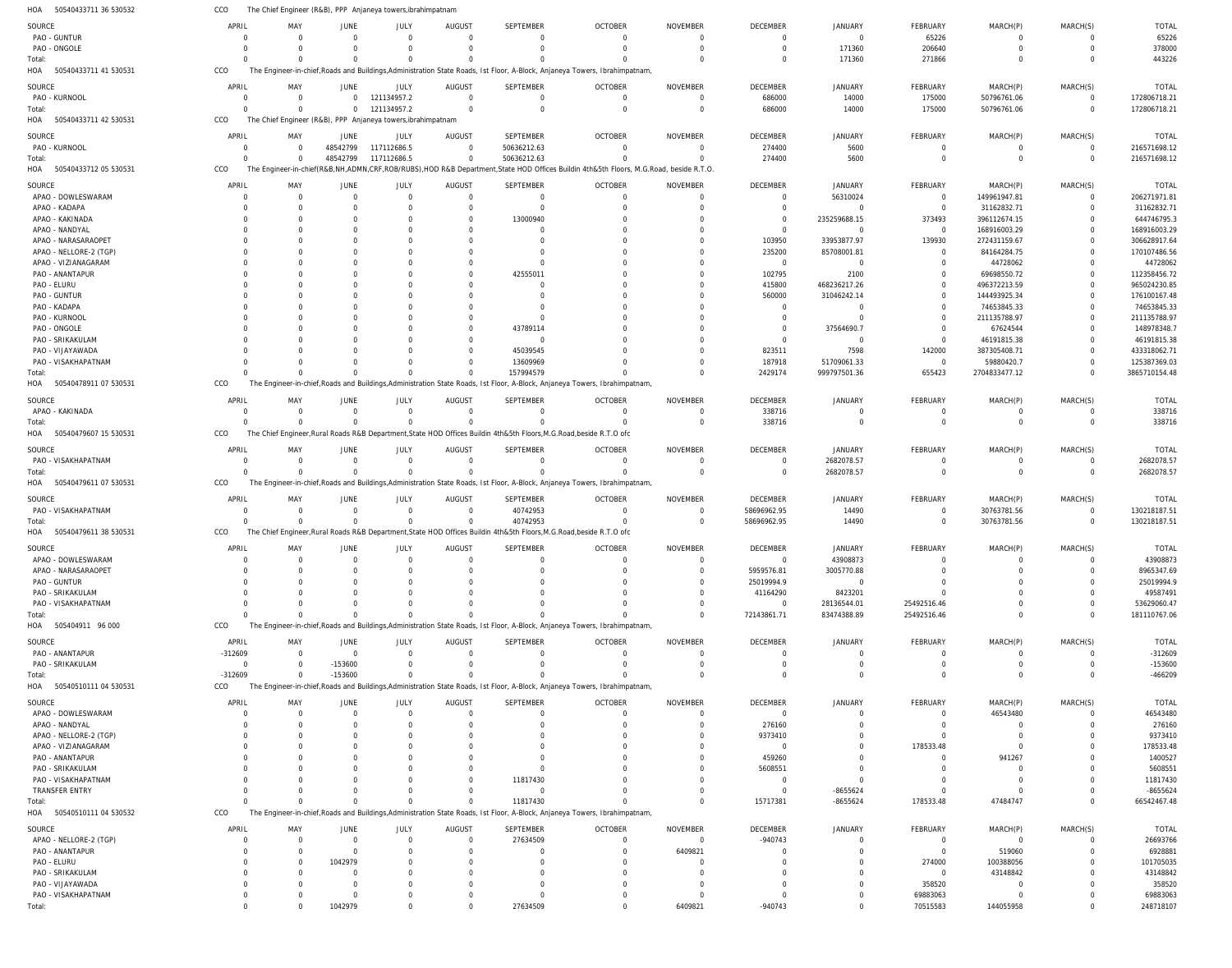| HOA<br>50540433711 36 530532            | CCO                     | The Chief Engineer (R&B), PPP Anjaneya towers, ibrahimpatnam |                            |                        |                            |                                 |                                                                                                                                                  |                                   |                                   |                             |                                  |                              |                               |                              |
|-----------------------------------------|-------------------------|--------------------------------------------------------------|----------------------------|------------------------|----------------------------|---------------------------------|--------------------------------------------------------------------------------------------------------------------------------------------------|-----------------------------------|-----------------------------------|-----------------------------|----------------------------------|------------------------------|-------------------------------|------------------------------|
| SOURCE                                  | APRIL                   | MAY                                                          | JUNE                       | JULY                   | <b>AUGUST</b>              | <b>SEPTEMBER</b>                | <b>OCTOBER</b>                                                                                                                                   | <b>NOVEMBER</b>                   | <b>DECEMBER</b>                   | JANUARY                     | <b>FEBRUARY</b>                  | MARCH(P)                     | MARCH(S)                      | <b>TOTAL</b>                 |
| PAO - GUNTUR                            | $\Omega$                | $\Omega$                                                     | $\Omega$                   | $\Omega$               | $\Omega$                   | $\mathbf 0$                     | $\overline{0}$                                                                                                                                   | $\mathbf 0$                       | $\mathbf 0$                       | $\mathbf 0$                 | 65226                            | $\Omega$                     | $\overline{0}$                | 65226                        |
| PAO - ONGOLE                            | $\Omega$                | $\Omega$                                                     | $\Omega$                   | $\Omega$               | $\Omega$                   | $\mathbf 0$                     | $\Omega$                                                                                                                                         | $\overline{0}$                    | $\mathbf 0$                       | 171360                      | 206640                           | $\overline{0}$               | $\mathbf 0$                   | 378000                       |
| Total:                                  | $\Omega$                | $\Omega$                                                     | $\Omega$                   |                        | $\Omega$<br>$\Omega$       | $\Omega$                        | <sup>0</sup>                                                                                                                                     | $\Omega$                          | $\Omega$                          | 171360                      | 271866                           | $\Omega$                     | $\Omega$                      | 443226                       |
| HOA 50540433711 41 530531               | CCO                     |                                                              |                            |                        |                            |                                 | The Engineer-in-chief, Roads and Buildings, Administration State Roads, Ist Floor, A-Block, Anjaneya Towers, Ibrahimpatnam,                      |                                   |                                   |                             |                                  |                              |                               |                              |
| SOURCE                                  | APRIL                   | MAY                                                          | JUNE                       | JULY                   | AUGUST                     | SEPTEMBER                       | <b>OCTOBER</b>                                                                                                                                   | <b>NOVEMBER</b>                   | <b>DECEMBER</b>                   | JANUARY                     | <b>FEBRUARY</b>                  | MARCH(P)                     | MARCH(S)                      | <b>TOTAL</b>                 |
| PAO - KURNOOL                           | 0                       | $\Omega$                                                     | $\Omega$                   | 121134957.2            | $\Omega$                   | $\mathbf 0$                     | $\overline{0}$                                                                                                                                   | 0                                 | 686000                            | 14000                       | 175000                           | 50796761.06                  | $^{\circ}$                    | 172806718.21                 |
| Total:<br>50540433711 42 530531<br>HOA  | $\Omega$<br>CCO         | $\Omega$                                                     | $\Omega$                   | 121134957.2            | $\Omega$                   | $\mathbf 0$                     | $\mathbf 0$                                                                                                                                      | $\mathbf 0$                       | 686000                            | 14000                       | 175000                           | 50796761.06                  | $^{\circ}$                    | 172806718.21                 |
|                                         |                         | The Chief Engineer (R&B), PPP Anjaneya towers, ibrahimpatnam |                            |                        |                            |                                 |                                                                                                                                                  |                                   |                                   |                             |                                  |                              |                               |                              |
| SOURCE                                  | APRIL                   | MAY                                                          | <b>JUNE</b>                | JULY                   | AUGUST                     | SEPTEMBER                       | <b>OCTOBER</b>                                                                                                                                   | <b>NOVEMBER</b>                   | <b>DECEMBER</b>                   | <b>JANUARY</b>              | FEBRUARY                         | MARCH(P)                     | MARCH(S)                      | <b>TOTAL</b>                 |
| PAO - KURNOOL                           | $\mathbf 0$             | $\Omega$                                                     | 48542799                   | 117112686.5            | $\overline{0}$<br>$\Omega$ | 50636212.63<br>50636212.63      | $\Omega$                                                                                                                                         | $\overline{0}$<br>$\Omega$        | 274400                            | 5600                        | $\overline{0}$                   | $\overline{0}$<br>$\Omega$   | $\overline{0}$                | 216571698.12                 |
| Total:<br>HOA<br>50540433712 05 530531  | $\Omega$<br>CCO         | $\Omega$                                                     | 48542799                   | 117112686.5            |                            |                                 | $\Omega$<br>The Engineer-in-chief(R&B,NH,ADMN,CRF,ROB/RUBS),HOD R&B Department,State HOD Offices Buildin 4th&5th Floors, M.G.Road, beside R.T.O. |                                   | 274400                            | 5600                        | $\overline{0}$                   |                              | $\mathbf 0$                   | 216571698.12                 |
|                                         |                         |                                                              |                            |                        |                            |                                 |                                                                                                                                                  |                                   |                                   |                             |                                  |                              |                               |                              |
| SOURCE                                  | APRIL                   | MAY                                                          | JUNE                       | JULY                   | AUGUST                     | SEPTEMBER                       | <b>OCTOBER</b>                                                                                                                                   | <b>NOVEMBER</b>                   | DECEMBER                          | JANUARY                     | FEBRUARY                         | MARCH(P)                     | MARCH(S)                      | <b>TOTAL</b>                 |
| APAO - DOWLESWARAM<br>APAO - KADAPA     | $\Omega$<br>C           | $\Omega$                                                     | $\mathbf 0$<br>0           | $\Omega$<br>0          | $\mathbf 0$<br>$\Omega$    | $\mathbf 0$<br>$\mathbf 0$      | $\overline{0}$<br>$\Omega$                                                                                                                       | $\mathbf 0$<br>$\Omega$           | $\mathbf 0$<br>0                  | 56310024<br>$\mathbf 0$     | $\overline{0}$<br>$\overline{0}$ | 149961947.81<br>31162832.71  | $\overline{0}$<br>$\mathbf 0$ | 206271971.81<br>31162832.71  |
| APAO - KAKINADA                         | C                       |                                                              |                            |                        | $\Omega$                   | 13000940                        |                                                                                                                                                  |                                   | $\mathbf 0$                       | 235259688.15                | 373493                           | 396112674.15                 | $\Omega$                      | 644746795.3                  |
| APAO - NANDYAL                          | $\Omega$                |                                                              |                            |                        |                            | $\Omega$                        |                                                                                                                                                  |                                   | $\mathbf 0$                       | $\mathbf 0$                 | $\Omega$                         | 168916003.29                 | $\Omega$                      | 168916003.29                 |
| APAO - NARASARAOPET                     | C                       |                                                              |                            |                        |                            | $\Omega$                        |                                                                                                                                                  |                                   | 103950                            | 33953877.97                 | 139930                           | 272431159.67                 | $\Omega$                      | 306628917.64                 |
| APAO - NELLORE-2 (TGP)                  | C                       |                                                              |                            |                        |                            | $\Omega$                        |                                                                                                                                                  |                                   | 235200                            | 85708001.81                 | $\Omega$                         | 84164284.75                  | $\Omega$                      | 170107486.56                 |
| APAO - VIZIANAGARAM                     |                         |                                                              |                            |                        |                            | $\Omega$                        |                                                                                                                                                  |                                   | $\mathbf 0$                       | $\overline{0}$              | $\overline{0}$                   | 44728062                     | $\Omega$                      | 44728062                     |
| PAO - ANANTAPUR                         | C                       |                                                              |                            |                        | 0                          | 42555011<br>$\Omega$            |                                                                                                                                                  |                                   | 102795                            | 2100                        | $\Omega$<br>$\Omega$             | 69698550.72                  | $\Omega$<br>$\Omega$          | 112358456.72                 |
| PAO - ELURU<br>PAO - GUNTUR             | C                       |                                                              |                            |                        |                            | $\Omega$                        |                                                                                                                                                  |                                   | 415800<br>560000                  | 468236217.26<br>31046242.14 | $\Omega$                         | 496372213.59<br>144493925.34 | $\Omega$                      | 965024230.85<br>176100167.48 |
| PAO - KADAPA                            | C                       |                                                              |                            |                        |                            | $\Omega$                        |                                                                                                                                                  |                                   | $\mathbf 0$                       | $\overline{0}$              |                                  | 74653845.33                  | $\Omega$                      | 74653845.33                  |
| PAO - KURNOOL                           | $\Omega$                |                                                              |                            |                        |                            | $\Omega$                        |                                                                                                                                                  | $\Omega$                          | $\Omega$                          | $\Omega$                    | $\Omega$                         | 211135788.97                 | $\Omega$                      | 211135788.97                 |
| PAO - ONGOLE                            | C                       |                                                              |                            |                        |                            | 43789114                        |                                                                                                                                                  |                                   | $\Omega$                          | 37564690.7                  | $\Omega$                         | 67624544                     | $\Omega$                      | 148978348.7                  |
| PAO - SRIKAKULAM                        | $\Omega$                |                                                              |                            |                        | 0                          | $\mathbf 0$                     |                                                                                                                                                  |                                   | $\mathbf 0$                       | $\mathbf{0}$                | $\Omega$                         | 46191815.38                  | $\Omega$                      | 46191815.38                  |
| PAO - VIJAYAWADA                        | C                       |                                                              |                            |                        | $\Omega$                   | 45039545                        |                                                                                                                                                  |                                   | 823511                            | 7598                        | 142000                           | 387305408.71                 | $\Omega$                      | 433318062.71                 |
| PAO - VISAKHAPATNAM                     | C<br>C                  |                                                              | 0<br>$\Omega$              |                        | 0<br>$\Omega$<br>$\Omega$  | 13609969<br>157994579           |                                                                                                                                                  | $\Omega$<br>$\Omega$              | 187918                            | 51709061.33<br>999797501.36 | $\overline{0}$<br>655423         | 59880420.7                   | $\Omega$<br>$\Omega$          | 125387369.03                 |
| Total:<br>HOA 50540478911 07 530531     | CCO                     |                                                              |                            |                        |                            |                                 | The Engineer-in-chief, Roads and Buildings, Administration State Roads, Ist Floor, A-Block, Anjaneya Towers, Ibrahimpatnam,                      |                                   | 2429174                           |                             |                                  | 2704833477.12                |                               | 3865710154.48                |
|                                         |                         |                                                              |                            |                        |                            |                                 |                                                                                                                                                  |                                   |                                   |                             |                                  |                              |                               |                              |
| SOURCE                                  | APRIL<br>$\mathbf 0$    | MAY<br>$\Omega$                                              | JUNE                       | JULY<br>$\overline{0}$ | AUGUST<br>$\Omega$         | <b>SEPTEMBER</b><br>$\mathbf 0$ | <b>OCTOBER</b><br>$\overline{0}$                                                                                                                 | <b>NOVEMBER</b><br>$\Omega$       | <b>DECEMBER</b><br>338716         | JANUARY                     | FEBRUARY<br>$\overline{0}$       | MARCH(P)<br>$\overline{0}$   | MARCH(S)<br>$\overline{0}$    | <b>TOTAL</b><br>338716       |
| APAO - KAKINADA<br>Total:               | $\Omega$                | $\Omega$                                                     | $\overline{0}$<br>$\Omega$ | $\Omega$               | $\Omega$                   | $\Omega$                        | $\Omega$                                                                                                                                         | $\Omega$                          | 338716                            | 0<br>$\Omega$               | $\overline{0}$                   | $\Omega$                     | $\overline{0}$                | 338716                       |
| 50540479607 15 530531<br>HOA            | CCO                     |                                                              |                            |                        |                            |                                 | The Chief Engineer, Rural Roads R&B Department, State HOD Offices Buildin 4th&5th Floors, M.G.Road, beside R.T.O ofc                             |                                   |                                   |                             |                                  |                              |                               |                              |
|                                         |                         |                                                              |                            |                        |                            |                                 |                                                                                                                                                  |                                   |                                   |                             |                                  |                              |                               |                              |
| SOURCE<br>PAO - VISAKHAPATNAM           | APRIL<br>$\mathbf 0$    | MAY<br>$\Omega$                                              | <b>JUNE</b><br>$\mathbf 0$ | JULY<br>$\mathbf 0$    | <b>AUGUST</b><br>$\Omega$  | <b>SEPTEMBER</b><br>$\mathbf 0$ | <b>OCTOBER</b><br>$\mathbf 0$                                                                                                                    | <b>NOVEMBER</b><br>$\mathbf 0$    | DECEMBER<br>$\mathbf 0$           | JANUARY<br>2682078.57       | FEBRUARY<br>$\overline{0}$       | MARCH(P)<br>$\overline{0}$   | MARCH(S)<br>0                 | <b>TOTAL</b><br>2682078.57   |
| Total:                                  | $\Omega$                |                                                              | $\mathbf 0$                | $\mathbf 0$            | $\Omega$                   | $\Omega$                        | $\Omega$                                                                                                                                         | $\Omega$                          | $\mathbf 0$                       | 2682078.57                  | $\overline{0}$                   | $\overline{0}$               | $\Omega$                      | 2682078.57                   |
| 50540479611 07 530531<br>HOA            | CCO                     |                                                              |                            |                        |                            |                                 | The Engineer-in-chief, Roads and Buildings, Administration State Roads, Ist Floor, A-Block, Anjaneya Towers, Ibrahimpatnam,                      |                                   |                                   |                             |                                  |                              |                               |                              |
| SOURCE                                  | APRIL                   | MAY                                                          | JUNE                       | JULY                   | <b>AUGUST</b>              | SEPTEMBER                       | <b>OCTOBER</b>                                                                                                                                   | NOVEMBER                          | DECEMBER                          | JANUARY                     | FEBRUARY                         | MARCH(P)                     | MARCH(S)                      | <b>TOTAL</b>                 |
| PAO - VISAKHAPATNAM                     | $\Omega$                | $\Omega$                                                     | $\overline{0}$             | $\overline{0}$         | $\overline{0}$             | 40742953                        | $\overline{0}$                                                                                                                                   | $\overline{0}$                    | 58696962.95                       | 14490                       | $\overline{0}$                   | 30763781.56                  | $\overline{0}$                | 130218187.51                 |
| Total:                                  | $\Omega$                | $\Omega$                                                     | $\Omega$                   |                        | $\Omega$<br>$\Omega$       | 40742953                        | $\Omega$                                                                                                                                         | $\Omega$                          | 58696962.95                       | 14490                       | $\overline{0}$                   | 30763781.56                  | $\overline{0}$                | 130218187.51                 |
| HOA 50540479611 38 530531               | CCO                     |                                                              |                            |                        |                            |                                 | The Chief Engineer, Rural Roads R&B Department, State HOD Offices Buildin 4th&5th Floors, M.G.Road, beside R.T.O ofc                             |                                   |                                   |                             |                                  |                              |                               |                              |
| SOURCE                                  | APRIL                   | MAY                                                          | <b>JUNE</b>                | JULY                   | AUGUST                     | SEPTEMBER                       | <b>OCTOBER</b>                                                                                                                                   | <b>NOVEMBER</b>                   | <b>DECEMBER</b>                   | JANUARY                     | FEBRUARY                         | MARCH(P)                     | MARCH(S)                      | TOTAL                        |
| APAO - DOWLESWARAM                      | C                       |                                                              |                            |                        |                            | $\Omega$                        |                                                                                                                                                  | 0                                 | 0                                 | 43908873                    | $\Omega$                         |                              |                               | 43908873                     |
| APAO - NARASARAOPET                     | C                       |                                                              |                            |                        |                            | $\Omega$                        |                                                                                                                                                  | $\Omega$                          | 5959576.81                        | 3005770.88                  | $\Omega$                         | $\Omega$                     |                               | 8965347.69                   |
| PAO - GUNTUR                            | C                       |                                                              |                            |                        |                            | $\Omega$                        |                                                                                                                                                  | $\Omega$                          | 25019994.9                        | $\mathbf 0$                 |                                  |                              |                               | 25019994.9                   |
| PAO - SRIKAKULAM                        |                         |                                                              |                            |                        |                            |                                 |                                                                                                                                                  | $\Omega$                          | 41164290                          | 8423201                     |                                  |                              |                               | 49587491                     |
| PAO - VISAKHAPATNAM<br>Total:           | $\Omega$<br>$\Omega$    |                                                              | $\Omega$                   |                        | $\Omega$<br><sup>0</sup>   | $\Omega$<br>$\Omega$            |                                                                                                                                                  | $\Omega$<br>$\Omega$              | $\mathbf 0$<br>72143861.71        | 28136544.01<br>83474388.89  | 25492516.46<br>25492516.46       | $\Omega$                     | $\Omega$<br>$\mathbf 0$       | 53629060.47<br>181110767.06  |
| HOA 505404911 96 000                    | CCO                     |                                                              |                            |                        |                            |                                 | The Engineer-in-chief, Roads and Buildings, Administration State Roads, 1st Floor, A-Block, Anjaneya Towers, Ibrahimpatnam,                      |                                   |                                   |                             |                                  |                              |                               |                              |
|                                         |                         |                                                              |                            |                        |                            |                                 |                                                                                                                                                  |                                   |                                   |                             |                                  |                              |                               |                              |
| SOURCE<br>PAO - ANANTAPUR               | APRIL<br>-312609        | MAY<br>$\Omega$                                              | JUNE<br>$\overline{0}$     | JULY<br>$\overline{0}$ | AUGUST<br>$\overline{0}$   | <b>SEPTEMBER</b><br>$^{\circ}$  | <b>OCTOBER</b><br>0                                                                                                                              | <b>NOVEMBER</b><br>$\overline{0}$ | <b>DECEMBER</b><br>$\overline{0}$ | JANUARY<br>0                | FEBRUARY<br>$\overline{0}$       | MARCH(P)<br>$\Omega$         | MARCH(S)<br>0                 | TOTAL<br>$-312609$           |
| PAO - SRIKAKULAM                        | $\mathbf 0$             | $\Omega$                                                     | $-153600$                  | $\Omega$               | $\Omega$                   | $\mathbf 0$                     | $\Omega$                                                                                                                                         | $\Omega$                          | $\mathbf 0$                       | $\Omega$                    | $\overline{0}$                   | $\Omega$                     | $\mathbf 0$                   | $-153600$                    |
| Total:                                  | $-312609$               | $\Omega$                                                     | $-153600$                  |                        | $\Omega$<br>$\Omega$       | $\Omega$                        |                                                                                                                                                  | $\Omega$                          | $\Omega$                          | $\mathbf 0$                 | $\Omega$                         | $\Omega$                     | $^{\circ}$                    | $-466209$                    |
| HOA 50540510111 04 530531               | CCO                     |                                                              |                            |                        |                            |                                 | The Engineer-in-chief, Roads and Buildings, Administration State Roads, 1st Floor, A-Block, Anjaneya Towers, Ibrahimpatnam,                      |                                   |                                   |                             |                                  |                              |                               |                              |
| SOURCE                                  | APRIL                   | MAY                                                          | JUNE                       | JULY                   | AUGUST                     | SEPTEMBER                       | <b>OCTOBER</b>                                                                                                                                   | <b>NOVEMBER</b>                   | <b>DECEMBER</b>                   | JANUARY                     | FEBRUARY                         | MARCH(P)                     | MARCH(S)                      | TOTAL                        |
| APAO - DOWLESWARAM                      | 0                       | $\Omega$                                                     | $\mathbf 0$                | $\Omega$               | $\Omega$                   | $^{\circ}$                      | $\Omega$                                                                                                                                         | $\Omega$                          | $\mathbf 0$                       | $\Omega$                    | $\Omega$                         | 46543480                     | $^{\circ}$                    | 46543480                     |
| APAO - NANDYAL                          | C                       |                                                              |                            | 0                      |                            | $\Omega$                        |                                                                                                                                                  | $\Omega$                          | 276160                            | $\Omega$                    | $\Omega$                         | $\Omega$                     | $\Omega$                      | 276160                       |
| APAO - NELLORE-2 (TGP)                  | C                       |                                                              |                            |                        |                            | $\Omega$                        |                                                                                                                                                  | $\Omega$                          | 9373410                           |                             |                                  | $\Omega$                     |                               | 9373410                      |
| APAO - VIZIANAGARAM                     |                         |                                                              |                            |                        |                            | $\Omega$                        |                                                                                                                                                  |                                   | $\mathbf 0$                       | $\Omega$                    | 178533.48                        | $\Omega$                     |                               | 178533.48                    |
| PAO - ANANTAPUR                         | C                       |                                                              |                            |                        |                            | $\Omega$                        |                                                                                                                                                  |                                   | 459260                            |                             |                                  | 941267                       |                               | 1400527<br>5608551           |
| PAO - SRIKAKULAM<br>PAO - VISAKHAPATNAM |                         |                                                              |                            |                        |                            | $\Omega$<br>11817430            |                                                                                                                                                  | $\Omega$                          | 5608551<br>- 0                    | $\Omega$<br>$\Omega$        |                                  | $\Omega$<br>$\Omega$         |                               | 11817430                     |
| TRANSFER ENTRY                          | C                       |                                                              |                            |                        | 0                          | $\overline{0}$                  |                                                                                                                                                  | $\Omega$                          | - 0                               | -8655624                    | $\Omega$                         | $\Omega$                     | -0                            | $-8655624$                   |
| Total:                                  | $\sqrt{ }$              |                                                              | $\Omega$                   | $\Omega$               | $\Omega$                   | 11817430                        |                                                                                                                                                  | $\Omega$                          | 15717381                          | -8655624                    | 178533.48                        | 47484747                     | $\Omega$                      | 66542467.48                  |
| HOA 50540510111 04 530532               | CCO                     |                                                              |                            |                        |                            |                                 | The Engineer-in-chief, Roads and Buildings, Administration State Roads, Ist Floor, A-Block, Anjaneya Towers, Ibrahimpatnam,                      |                                   |                                   |                             |                                  |                              |                               |                              |
| SOURCE                                  | APRIL                   | MAY                                                          | JUNE                       | JULY                   | AUGUST                     | SEPTEMBER                       | <b>OCTOBER</b>                                                                                                                                   | NOVEMBER                          | DECEMBER                          | JANUARY                     | FEBRUARY                         | MARCH(P)                     | MARCH(S)                      | TOTAL                        |
| APAO - NELLORE-2 (TGP)                  | $\Omega$                | $\Omega$                                                     | $\overline{0}$             | $\mathbf 0$            | $\overline{0}$             | 27634509                        | $\overline{0}$                                                                                                                                   | $\overline{0}$                    | $-940743$                         | $\Omega$                    | $\overline{0}$                   | $\Omega$                     | 0                             | 26693766                     |
| PAO - ANANTAPUR                         | C                       | $\Omega$                                                     | $\Omega$                   | $\Omega$               | $\Omega$                   | 0                               | $\Omega$                                                                                                                                         | 6409821                           | 0                                 | $\Omega$                    | $\overline{0}$                   | 519060                       | -0                            | 6928881                      |
| PAO - ELURU                             | C                       |                                                              | 1042979                    | 0                      | $\Omega$                   | $\Omega$                        |                                                                                                                                                  | $\Omega$                          | $\Omega$                          | $\Omega$                    | 274000                           | 100388056                    | $\Omega$                      | 101705035                    |
| PAO - SRIKAKULAM                        | $\Omega$                |                                                              | $\Omega$                   |                        |                            | $\Omega$                        |                                                                                                                                                  |                                   | $\Omega$                          | 0                           | $\overline{0}$                   | 43148842                     | -0                            | 43148842                     |
| PAO - VIJAYAWADA<br>PAO - VISAKHAPATNAM | $\Omega$<br>$\mathbf 0$ |                                                              | $\Omega$<br>$\Omega$       |                        | $\Omega$<br>$\Omega$       | $\Omega$<br>$\Omega$            |                                                                                                                                                  |                                   | $\Omega$<br>$\Omega$              | $\Omega$<br>$\mathbf 0$     | 358520<br>69883063               | $\Omega$                     | $\Omega$                      | 358520<br>69883063           |
| Total:                                  | $\mathbf 0$             | $\Omega$                                                     | 1042979                    | $\Omega$               | $\Omega$                   | 27634509                        |                                                                                                                                                  | 6409821                           | $-940743$                         | $\Omega$                    | 70515583                         | 144055958                    | $\Omega$                      | 248718107                    |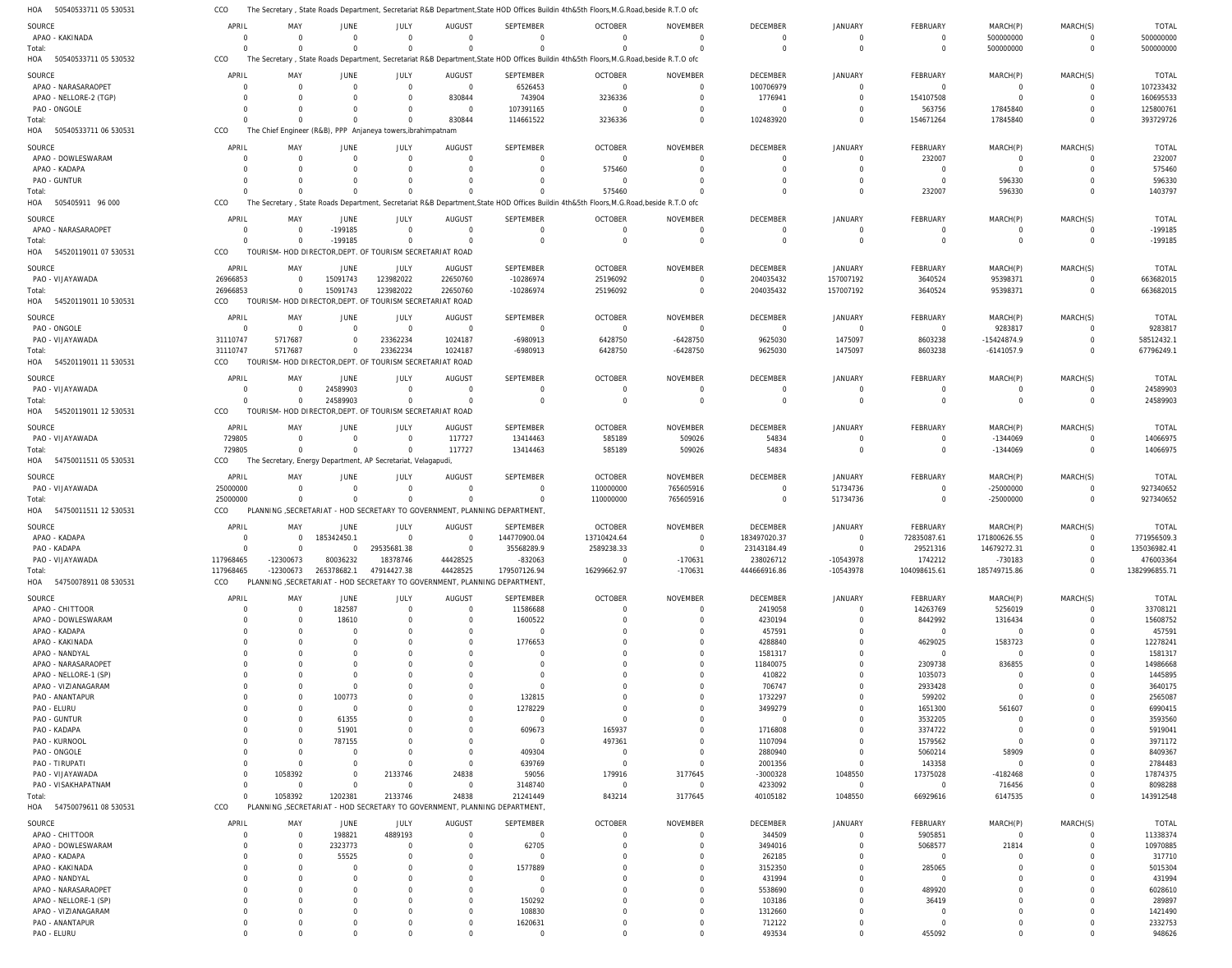50540533711 05 530531 HOA 50540533711 05 530532 HOA 50540533711 06 530531 505405911 96 000 54520119011 07 530531 HOA 54520119011 10 530531 HOA 54520119011 11 530531 54520119011 12 530531 54750011511 05 530531 54750011511 12 530531 HOA 54750078911 08 530531 HOA 54750079611 08 530531 HOA HOA HOA HOA HOA HOA The Secretary , State Roads Department, Secretariat R&B Department,State HOD Offices Buildin 4th&5th Floors,M.G.Road,beside R.T.O ofc The Secretary , State Roads Department, Secretariat R&B Department,State HOD Offices Buildin 4th&5th Floors,M.G.Road,beside R.T.O ofc The Chief Engineer (R&B), PPP Anjaneya towers,ibrahimpatnam The Secretary , State Roads Department, Secretariat R&B Department,State HOD Offices Buildin 4th&5th Floors,M.G.Road,beside R.T.O ofc TOURISM- HOD DIRECTOR,DEPT. OF TOURISM SECRETARIAT ROAD TOURISM- HOD DIRECTOR,DEPT. OF TOURISM SECRETARIAT ROAD TOURISM- HOD DIRECTOR,DEPT. OF TOURISM SECRETARIAT ROAD TOURISM- HOD DIRECTOR,DEPT. OF TOURISM SECRETARIAT ROAD The Secretary, Energy Department, AP Secretariat, Velagapudi, PLANNING ,SECRETARIAT - HOD SECRETARY TO GOVERNMENT, PLANNING DEPARTMENT, PLANNING ,SECRETARIAT - HOD SECRETARY TO GOVERNMENT, PLANNING DEPARTMENT, PLANNING ,SECRETARIAT - HOD SECRETARY TO GOVERNMENT, PLANNING DEPARTMENT, CCO CCO CCO CCO CCO CCO CCO CCO CCO CCO CCO CCO 0  $\Omega$ 0  $\Omega$ 26966853 31110747 0 729805 25000000 117968465 0 0  $\Omega$  $\Omega$  $\Omega$ 0 5717687 0  $\Omega$ 0 -12300673 1058392 0  $\Omega$ 0 -199185 15091743 0 24589903  $\Omega$ 0 265378682.1 1202381 0  $\Omega$ 0  $\Omega$ 123982022 23362234 0  $\Omega$  $\Omega$ 47914427.38 2133746 0 830844 0  $\Omega$ 22650760 1024187 0 117727 0 44428525 24838 0 114661522  $\Omega$  $\Omega$ -10286974 -6980913 0 13414463 0 179507126.94 21241449 0 3236336 575460 0 25196092 6428750 0 585189 110000000 16299662.97 843214 0 0  $\Omega$  $\Omega$ 0 -6428750 0 509026 765605916 -170631 3177645 0 102483920 0  $\Omega$ 204035432 9625030 0 54834 0 444666916.86 40105182 0 0 0 0 157007192 1475097 0  $\Omega$ 51734736 -10543978 1048550 0 154671264 232007 0 3640524 8603238 0  $\Omega$ 0 104098615.61 66929616 500000000 17845840 596330 0 95398371 -6141057.9 0 -1344069 -25000000 185749715.86 6147535 0  $\Omega$ 0  $\Omega$ 0 0 0  $\Omega$ 0 0 0 500000000 393729726 1403797 -199185 663682015 67796249.1 24589903 14066975 927340652 1382996855.71 143912548 APAO - KAKINADA APAO - NARASARAOPET APAO - NELLORE-2 (TGP) PAO - ONGOLE APAO - DOWLESWARAM APAO - KADAPA PAO - GUNTUR APAO - NARASARAOPET PAO - VIJAYAWADA PAO - ONGOLE PAO - VIJAYAWADA PAO - VIJAYAWADA PAO - VIJAYAWADA PAO - VIJAYAWADA APAO - KADAPA PAO - KADAPA PAO - VIJAYAWADA APAO - CHITTOOR APAO - DOWLESWARAM APAO - KADAPA APAO - KAKINADA APAO - NANDYAL APAO - NARASARAOPET APAO - NELLORE-1 (SP) APAO - VIZIANAGARAM PAO - ANANTAPUR PAO - ELURU PAO - GUNTUR PAO - KADAPA PAO - KURNOOL PAO - ONGOLE PAO - TIRUPATI PAO - VIJAYAWADA PAO - VISAKHAPATNAM APAO - CHITTOOR APAO - DOWLESWARAM APAO - KADAPA APAO - KAKINADA APAO - NANDYAL APAO - NARASARAOPET APAO - NELLORE-1 (SP) APAO - VIZIANAGARAM PAO - ANANTAPUR SOURCE **SOURCE** SOURCE SOURCE SOURCE **SOURCE** SOURCE **SOURCE** SOURCE SOURCE **SOURCE** SOURCE 0 0 0 0 0  $\Omega$ 0 0 26966853 0 31110747 0 729805 25000000 0  $\Omega$ 117968465  $\mathbf{0}$ 0 0 0  $\Omega$ 0 0 0  $\Omega$  $\Omega$ 0  $\Omega$ 0  $\Omega$ 0 0  $\Omega$ 0  $\Omega$ 0 0  $\Omega$ 0 0  $\Omega$ 0 APRIL APRIL APRIL APRIL APRIL APRIL APRIL APRIL APRIL APRIL APRIL APRIL 0 0 0 0 0  $\Omega$ 0 0 0 0 5717687 0 0  $\Omega$ 0 0 -12300673 0 0 0 0  $\Omega$ 0 0 0 0 0 0  $\Omega$ 0  $\Omega$ 0 1058392  $\Omega$ 0 0 0 0  $\Omega$ 0 0  $\Omega$ 0 MAY MAY MAY MAY MAY MAY MAY MAY MAY MAY MAY MAY 0 0 0 0 0  $\Omega$ 0 -199185 15091743 0 0 24589903 0  $\Omega$ 185342450.1 0 80036232 182587 18610 0 0  $\Omega$ 0 0  $\Omega$ 100773  $\Omega$ 61355 51901 787155 0 0 0  $\Omega$ 198821 2323773 55525 0  $\Omega$ 0 0  $\Omega$ 0 JUNE JUNE JUNE JUNE JUNE **JUNE** JUNE JUNE JUNE JUNE JUNE JUNE 0 0 0 0 0  $\Omega$ 0 0 123982022 0 23362234 0 0  $\Omega$  $\Omega$ 29535681.38 18378746 0 0  $\Omega$ 0  $\Omega$ 0  $\Omega$ 0  $\Omega$  $\Omega$ 0  $\Omega$  $\Omega$ 0  $\Omega$ 2133746  $\Omega$ 4889193  $\Omega$  $\Omega$ 0  $\Omega$ 0  $\Omega$  $\Omega$ 0 JULY JULY JULY JULY JULY JULY JULY JULY JULY JULY JULY JULY 0 0 830844 0 0  $\Omega$ 0 0 22650760 0 1024187 0 117727  $\Omega$ 0 0 44428525 0 0 0 0  $\Omega$ 0 0 0 0 0 0  $\Omega$ 0 0 0 24838  $\Omega$ 0 0 0 0  $\Omega$ 0 0 0 0 AUGUST AUGUST AUGUST AUGUST AUGUST AUGUST AUGUST **AUGUST** AUGUST AUGUST **AUGUST** AUGUST  $\Omega$ 6526453 743904 107391165 0  $\Omega$ 0 0 -10286974 0 -6980913  $\Omega$ 13414463  $\Omega$ 144770900.04 35568289.9 -832063 11586688 1600522  $\bigcap$ 1776653  $\Omega$ 0 0 0 132815 1278229 0 609673  $\Omega$ 409304 639769 59056 3148740  $\Omega$ 62705  $\bigcap$ 1577889  $\Omega$ 0 150292 108830 1620631 SEPTEMBER **SEPTEMBER** SEPTEMBER SEPTEMBER SEPTEMBER SEPTEMBER SEPTEMBER **SEPTEMBER** SEPTEMBER SEPTEMBER **SEPTEMBER** SEPTEMBER  $\Omega$ 0 3236336  $\Omega$ 0 575460 0 0 25196092 0 6428750 0 585189 110000000 13710424.64 2589238.33  $\Omega$ 0 0 0 0  $\Omega$ 0  $\Omega$  $\Omega$  $\Omega$  $\Omega$ 0 165937 497361 0  $\Omega$ 179916  $\bigcap$ 0  $\Omega$  $\Omega$ 0  $\Omega$ 0  $\Omega$  $\Omega$ 0 OCTOBER OCTOBER OCTOBER OCTOBER OCTOBER OCTOBER OCTOBER **OCTOBER** OCTOBER OCTOBER OCTOBER OCTOBER 0 0 0 0 0  $\Omega$ 0 0  $\Omega$ 0 -6428750  $\Omega$ 509026 765605916 0  $\Omega$ -170631 0 0 0 0  $\Omega$ 0 0  $\Omega$ 0  $\Omega$ 0  $\Omega$ 0  $\Omega$  $\Omega$ 3177645  $\cap$ 0 0  $\Omega$ 0  $\Omega$ 0 0  $\Omega$ 0 NOVEMBER NOVEMBER NOVEMBER NOVEMBER NOVEMBER NOVEMBER NOVEMBER NOVEMBER NOVEMBER NOVEMBER NOVEMBER NOVEMBER  $\Omega$ 100706979 1776941  $\cap$ 0  $\Omega$ 0 0 204035432 0 9625030 0 54834  $\Omega$ 183497020.37 23143184.49 238026712 2419058 4230194 457591 4288840 1581317 11840075 410822 706747 1732297 3499279 0 1716808 1107094 2880940 2001356 -3000328 4233092 344509 3494016 262185 3152350 431994 5538690 103186 1312660 712122 DECEMBER **DECEMBER** DECEMBER DECEMBER DECEMBER DECEMBER DECEMBER **DECEMBER** DECEMBER DECEMBER **DECEMBER** DECEMBER 0 0 0 0 0  $\Omega$ 0 0 157007192 0 1475097 0 0 51734736 0 0 -10543978 0 0 0 0  $\Omega$ 0 0  $\Omega$  $\Omega$  $\Omega$ 0  $\Omega$ 0  $\Omega$  $\Omega$ 1048550  $\Omega$ 0 0 0 0  $\Omega$ 0 0  $\Omega$ 0 JANUARY JANUARY JANUARY JANUARY JANUARY JANUARY JANUARY JANUARY JANUARY JANUARY **JANUARY** JANUARY 0 0 154107508 563756 232007  $\Omega$ 0 0 3640524 0 8603238 0 0  $\Omega$ 72835087.61 29521316 1742212 14263769 8442992  $\Omega$ 4629025  $\Omega$ 2309738 1035073 2933428 599202 1651300 3532205 3374722 1579562 5060214 143358 17375028  $\Omega$ 5905851 5068577  $\Omega$ 285065  $\Omega$ 489920 36419 0 0 FEBRUARY FEBRUARY FEBRUARY FEBRUARY FEBRUARY FEBRUARY FEBRUARY FEBRUARY FEBRUARY FEBRUARY **FEBRUARY** FEBRUARY 500000000 0 0 17845840 0  $\Omega$ 596330 0 95398371 9283817 -15424874.9 0 -1344069 -25000000 171800626.55 14679272.31 -730183 5256019 1316434  $\Omega$ 1583723  $\Omega$ 836855 0  $\Omega$  $\Omega$ 561607 0  $\Omega$ 0 58909  $\Omega$ -4182468 716456 0 21814  $\Omega$ 0  $\Omega$ 0 0  $\Omega$ 0 MARCH(P) MARCH(P) MARCH(P) MARCH(P) MARCH(P) MARCH(P) MARCH(P) MARCH(P) MARCH(P) MARCH(P) MARCH(P) MARCH(P)  $\Omega$ 0 0 0 0  $\Omega$ 0  $\Omega$  $\Omega$ 0 0 0 0  $\Omega$ 0 0  $\Omega$ 0 0  $\Omega$ 0  $\Omega$ 0  $\Omega$ 0  $\Omega$  $\Omega$ 0  $\Omega$ 0  $\Omega$  $\Omega$ 0  $\Omega$ 0  $\Omega$  $\Omega$ 0  $\Omega$ 0 0  $\Omega$ 0 MARCH(S) MARCH(S) MARCH(S) MARCH(S) MARCH(S) MARCH(S) MARCH(S) MARCH(S) MARCH(S) MARCH(S) MARCH(S) MARCH(S) 500000000 107233432 160695533 125800761 232007 575460 596330 -199185 663682015 9283817 58512432.1 24589903 14066975 927340652 771956509.3 135036982.41 476003364 33708121 15608752 457591 12278241 1581317 14986668 1445895 3640175 2565087 6990415 3593560 5919041 3971172 8409367 2784483 17874375 8098288 11338374 10970885 317710 5015304 431994 6028610 289897 1421490 2332753 TOTAL TOTAL TOTAL TOTAL TOTAL TOTAL TOTAL TOTAL TOTAL TOTAL TOTAL TOTAL Total: Total: Total: Total: Total: Total: Total: Total: Total: Total: Total:

PAO - ELURU

 $\Omega$ 

 $\Omega$ 

 $\Omega$ 

 $\Omega$ 

 $\Omega$ 

 $\Omega$ 

 $\Omega$ 

 $\Omega$ 

493534

 $\Omega$ 

455092

 $\Omega$ 

 $\Omega$ 

948626